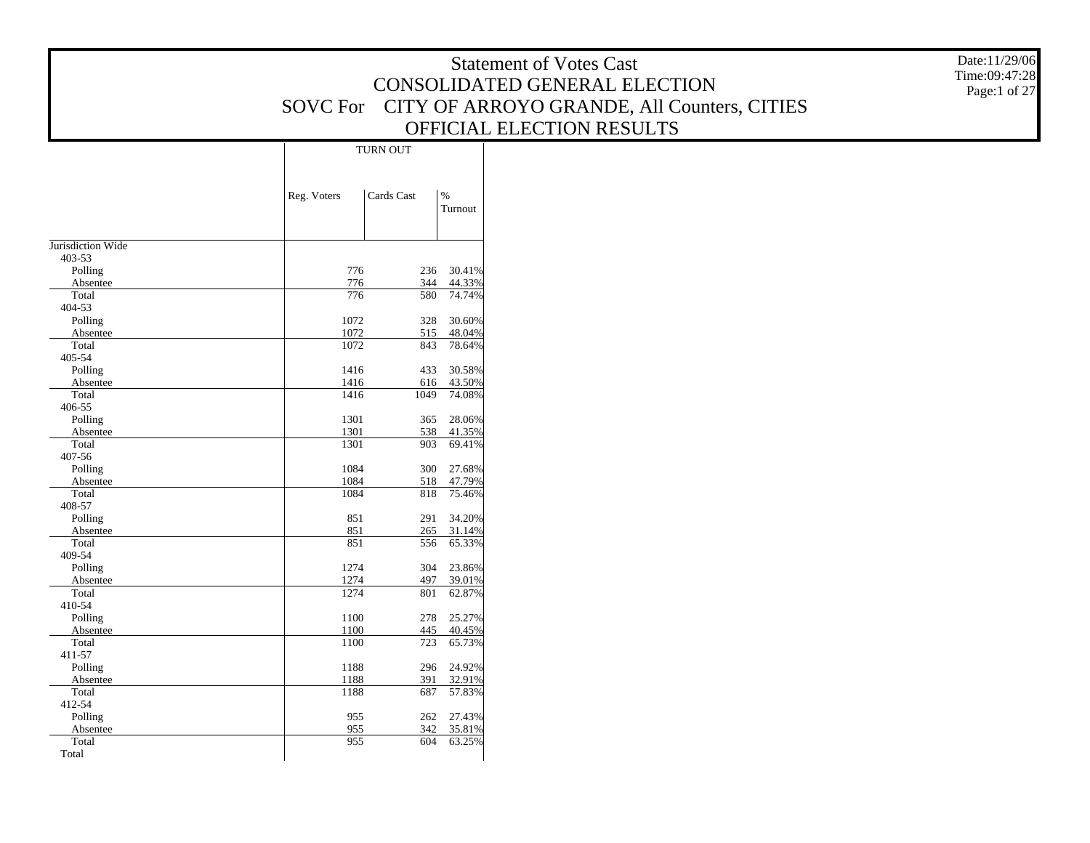|                     |                 |                 |                  | <b>Statement of Votes Cast</b>              | Date:11/29/06 |
|---------------------|-----------------|-----------------|------------------|---------------------------------------------|---------------|
|                     |                 |                 |                  |                                             | Time:09:47:28 |
|                     |                 |                 |                  | CONSOLIDATED GENERAL ELECTION               | Page:1 of 27  |
|                     | <b>SOVC For</b> |                 |                  | CITY OF ARROYO GRANDE, All Counters, CITIES |               |
|                     |                 |                 |                  |                                             |               |
|                     |                 |                 |                  | OFFICIAL ELECTION RESULTS                   |               |
|                     |                 | <b>TURN OUT</b> |                  |                                             |               |
|                     |                 |                 |                  |                                             |               |
|                     |                 |                 |                  |                                             |               |
|                     | Reg. Voters     | Cards Cast      | $\%$             |                                             |               |
|                     |                 |                 | Turnout          |                                             |               |
|                     |                 |                 |                  |                                             |               |
| Jurisdiction Wide   |                 |                 |                  |                                             |               |
| 403-53              |                 |                 |                  |                                             |               |
| Polling             | 776             | 236             | 30.41%           |                                             |               |
| Absentee            | 776             | 344             | 44.33%           |                                             |               |
| Total               | 776             | 580             | 74.74%           |                                             |               |
| 404-53              |                 |                 |                  |                                             |               |
| Polling             | 1072            | 328             | 30.60%           |                                             |               |
| Absentee            | 1072            | 515             | 48.04%           |                                             |               |
| Total<br>405-54     | 1072            | 843             | 78.64%           |                                             |               |
| Polling             | 1416            | 433             | 30.58%           |                                             |               |
| Absentee            | 1416            | 616             | 43.50%           |                                             |               |
| Total               | 1416            | 1049            | 74.08%           |                                             |               |
| 406-55              |                 |                 |                  |                                             |               |
| Polling             | 1301            | 365             | 28.06%           |                                             |               |
| Absentee            | 1301            | 538             | 41.35%           |                                             |               |
| Total<br>407-56     | 1301            | 903             | 69.41%           |                                             |               |
| Polling             | 1084            | 300             | 27.68%           |                                             |               |
| Absentee            | 1084            | 518             | 47.79%           |                                             |               |
| Total               | 1084            | 818             | 75.46%           |                                             |               |
| 408-57              |                 |                 |                  |                                             |               |
| Polling             | 851             | 291             | 34.20%           |                                             |               |
| Absentee            | 851             | 265             | 31.14%           |                                             |               |
| Total<br>409-54     | 851             | 556             | 65.33%           |                                             |               |
| Polling             | 1274            | 304             | 23.86%           |                                             |               |
| Absentee            | 1274            | 497             | 39.01%           |                                             |               |
| Total               | 1274            | 801             | 62.87%           |                                             |               |
| 410-54              |                 |                 |                  |                                             |               |
| Polling             | 1100            | 278             | 25.27%           |                                             |               |
| Absentee            | 1100            | 445             | 40.45%           |                                             |               |
| Total               | 1100            | 723             | 65.73%           |                                             |               |
| 411-57              | 1188            | 296             |                  |                                             |               |
| Polling<br>Absentee | 1188            | 391             | 24.92%<br>32.91% |                                             |               |
| Total               | 1188            | 687             | 57.83%           |                                             |               |
| 412-54              |                 |                 |                  |                                             |               |
| Polling             | 955             | 262             | 27.43%           |                                             |               |
| Absentee            | 955             | 342             | 35.81%           |                                             |               |
| Total               | 955             | 604             | 63.25%           |                                             |               |
| Total               |                 |                 |                  |                                             |               |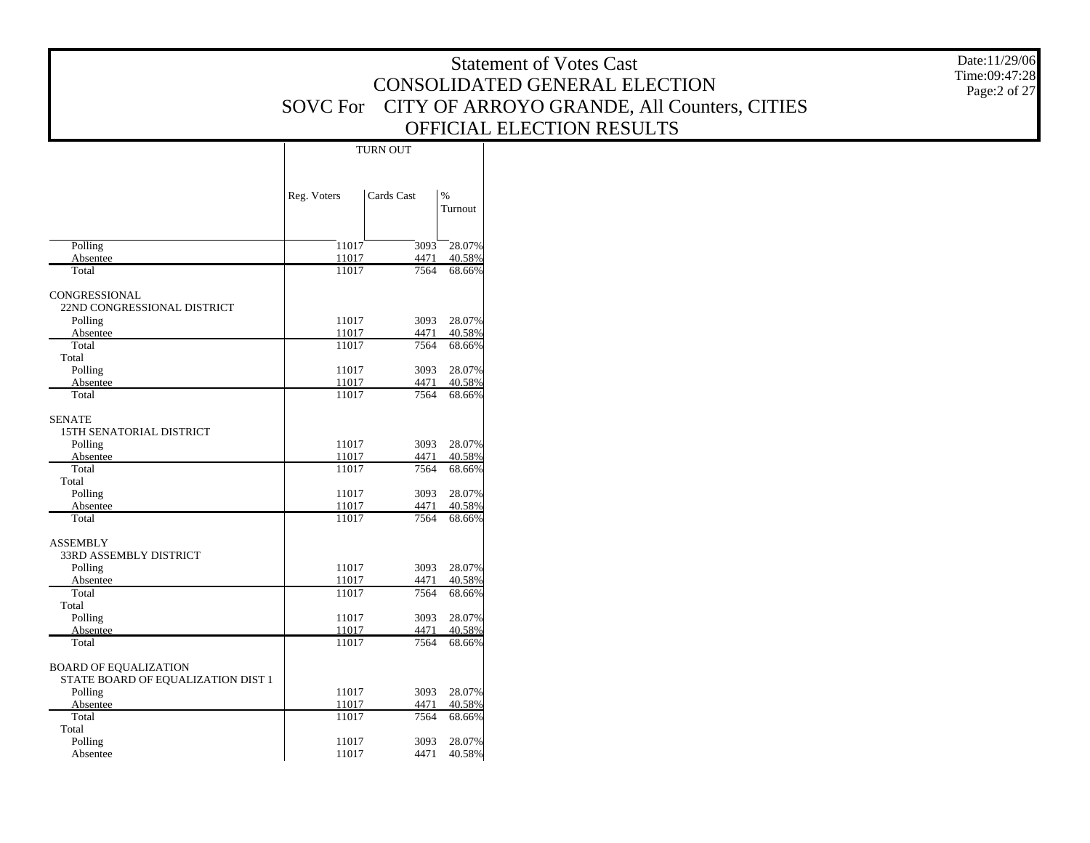|                                           |                 |                 |                  |                                             | Date:11/29/06 |
|-------------------------------------------|-----------------|-----------------|------------------|---------------------------------------------|---------------|
|                                           |                 |                 |                  | <b>Statement of Votes Cast</b>              | Time:09:47:28 |
|                                           |                 |                 |                  | CONSOLIDATED GENERAL ELECTION               | Page:2 of 27  |
|                                           | <b>SOVC</b> For |                 |                  | CITY OF ARROYO GRANDE, All Counters, CITIES |               |
|                                           |                 |                 |                  |                                             |               |
|                                           |                 |                 |                  | OFFICIAL ELECTION RESULTS                   |               |
|                                           |                 | <b>TURN OUT</b> |                  |                                             |               |
|                                           |                 |                 |                  |                                             |               |
|                                           |                 |                 |                  |                                             |               |
|                                           | Reg. Voters     | Cards Cast      | $\%$             |                                             |               |
|                                           |                 |                 | Turnout          |                                             |               |
|                                           |                 |                 |                  |                                             |               |
| Polling                                   | 11017           | 3093            | $^{-28.07\%}$    |                                             |               |
| Absentee                                  | 11017           | 4471            | 40.58%           |                                             |               |
| Total                                     | 11017           | 7564            | 68.66%           |                                             |               |
| CONGRESSIONAL                             |                 |                 |                  |                                             |               |
| 22ND CONGRESSIONAL DISTRICT               |                 |                 |                  |                                             |               |
| Polling                                   | 11017           | 3093            | 28.07%           |                                             |               |
| Absentee                                  | 11017           | 4471            | 40.58%           |                                             |               |
| Total<br>Total                            | 11017           | 7564            | 68.66%           |                                             |               |
| Polling                                   | 11017           | 3093            | 28.07%           |                                             |               |
| Absentee                                  | 11017           | 4471            | 40.58%           |                                             |               |
| Total                                     | 11017           | 7564            | 68.66%           |                                             |               |
|                                           |                 |                 |                  |                                             |               |
| <b>SENATE</b><br>15TH SENATORIAL DISTRICT |                 |                 |                  |                                             |               |
| Polling                                   | 11017           |                 | 3093 28.07%      |                                             |               |
| Absentee                                  | 11017           | 4471            | 40.58%           |                                             |               |
| Total                                     | 11017           | 7564            | 68.66%           |                                             |               |
| Total                                     |                 |                 |                  |                                             |               |
| Polling<br>Absentee                       | 11017<br>11017  | 3093<br>4471    | 28.07%<br>40.58% |                                             |               |
| Total                                     | 11017           | 7564            | 68.66%           |                                             |               |
|                                           |                 |                 |                  |                                             |               |
| <b>ASSEMBLY</b>                           |                 |                 |                  |                                             |               |
| 33RD ASSEMBLY DISTRICT                    | 11017           | 3093            | 28.07%           |                                             |               |
| Polling<br>Absentee                       | 11017           | 4471            | 40.58%           |                                             |               |
| Total                                     | 11017           | 7564            | 68.66%           |                                             |               |
| Total                                     |                 |                 |                  |                                             |               |
| Polling                                   | 11017           | 3093            | 28.07%           |                                             |               |
| Absentee<br>Total                         | 11017<br>11017  | 4471<br>7564    | 40.58%<br>68.66% |                                             |               |
|                                           |                 |                 |                  |                                             |               |
| <b>BOARD OF EQUALIZATION</b>              |                 |                 |                  |                                             |               |
| STATE BOARD OF EQUALIZATION DIST 1        |                 |                 |                  |                                             |               |
| Polling                                   | 11017           |                 | 3093 28.07%      |                                             |               |
| Absentee                                  | 11017           | 4471            | 40.58%           |                                             |               |
| Total<br>Total                            | 11017           | 7564            | 68.66%           |                                             |               |
| Polling                                   | 11017           | 3093            | 28.07%           |                                             |               |
| Absentee                                  | 11017           | 4471            | 40.58%           |                                             |               |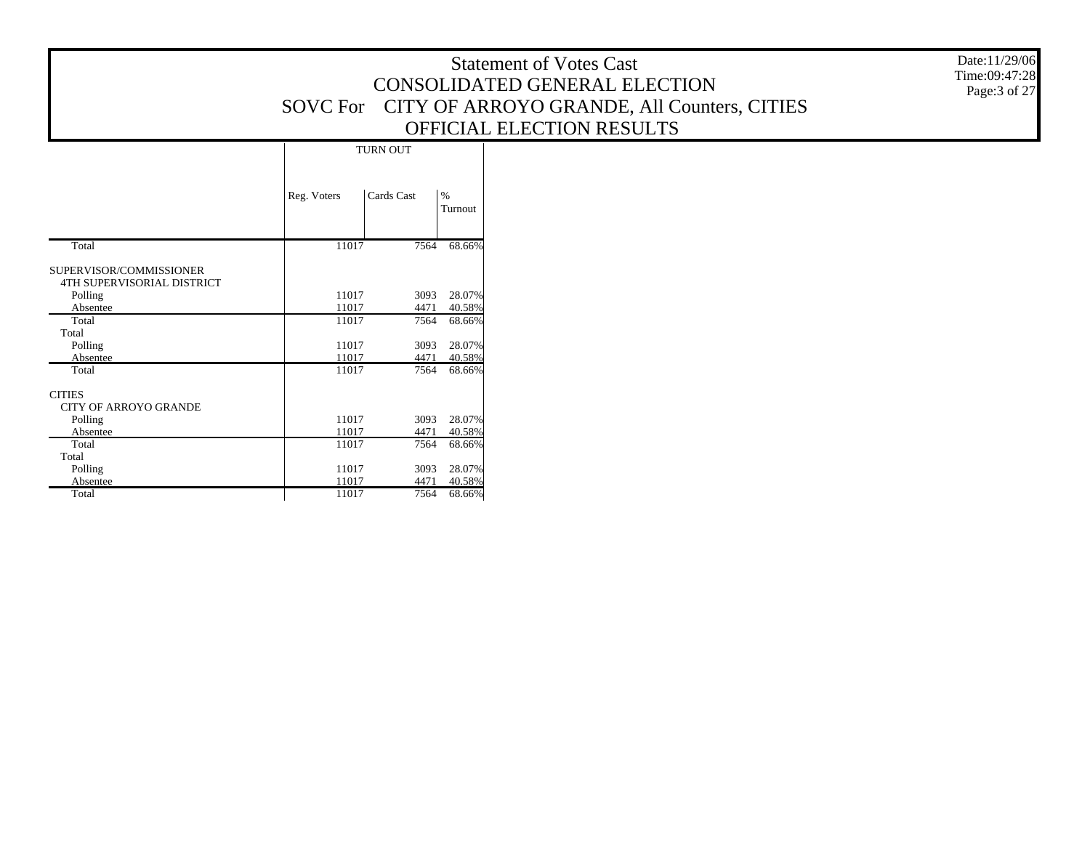|                              |             |                 |           | <b>Statement of Votes Cast</b>                       | Date:11/29/06<br>Time:09:47:28 |
|------------------------------|-------------|-----------------|-----------|------------------------------------------------------|--------------------------------|
|                              |             |                 |           | CONSOLIDATED GENERAL ELECTION                        | Page:3 of 27                   |
|                              |             |                 |           | SOVC For CITY OF ARROYO GRANDE, All Counters, CITIES |                                |
|                              |             |                 |           |                                                      |                                |
|                              |             |                 |           | OFFICIAL ELECTION RESULTS                            |                                |
|                              |             | <b>TURN OUT</b> |           |                                                      |                                |
|                              |             |                 |           |                                                      |                                |
|                              |             |                 |           |                                                      |                                |
|                              | Reg. Voters | Cards Cast      | $\%$      |                                                      |                                |
|                              |             |                 | Turnout   |                                                      |                                |
|                              |             |                 |           |                                                      |                                |
|                              |             |                 |           |                                                      |                                |
| Total                        | 11017       | 7564            | 68.66%    |                                                      |                                |
| SUPERVISOR/COMMISSIONER      |             |                 |           |                                                      |                                |
| 4TH SUPERVISORIAL DISTRICT   |             |                 |           |                                                      |                                |
| Polling                      | 11017       | 3093            | 28.07%    |                                                      |                                |
| Absentee                     | 11017       | 4471            | 40.58%    |                                                      |                                |
| Total                        | 11017       | 7564            | 68.66%    |                                                      |                                |
| Total                        |             |                 |           |                                                      |                                |
| Polling                      | 11017       | 3093            | 28.07%    |                                                      |                                |
| Absentee                     | 11017       | 4471            | 40.58%    |                                                      |                                |
| Total                        | 11017       | 7564            | 68.66%    |                                                      |                                |
|                              |             |                 |           |                                                      |                                |
| <b>CITIES</b>                |             |                 |           |                                                      |                                |
| <b>CITY OF ARROYO GRANDE</b> |             |                 |           |                                                      |                                |
| Polling                      | 11017       | 3093            | 28.07%    |                                                      |                                |
| Absentee                     | 11017       | 4471            | 40.58%    |                                                      |                                |
| Total                        | 11017       | 7564            | 68.66%    |                                                      |                                |
| Total                        |             |                 |           |                                                      |                                |
| Polling                      | 11017       | 3093            | 28.07%    |                                                      |                                |
| Absentee                     | 11017       | 4471            | 40.58%    |                                                      |                                |
| Total                        | 11017       | 7564            | $-68.66%$ |                                                      |                                |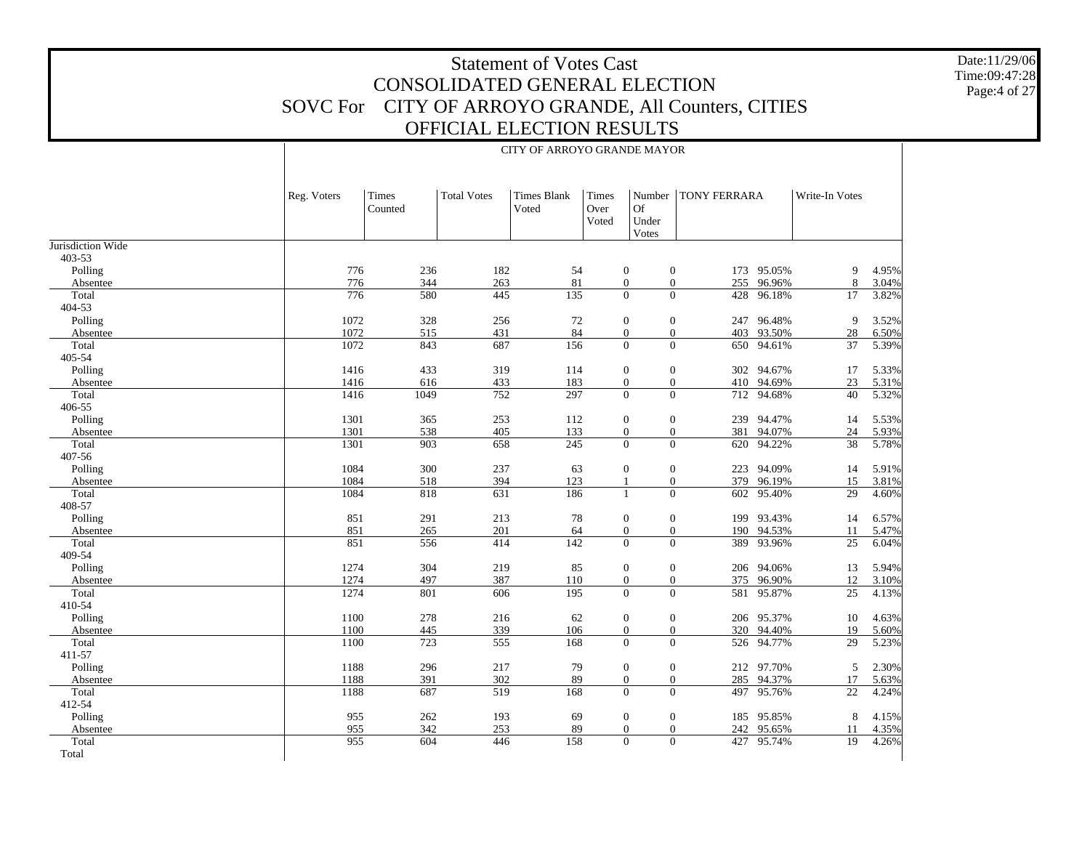Date:11/29/06 Time:09:47:28 Page:4 of 27

|                     |              |                  |                         | CITT OF ANNOTO UNAINDE MATON |                        |                                                                          |                       |                  |                       |                |
|---------------------|--------------|------------------|-------------------------|------------------------------|------------------------|--------------------------------------------------------------------------|-----------------------|------------------|-----------------------|----------------|
|                     | Reg. Voters  | Times<br>Counted | <b>Total Votes</b>      | <b>Times Blank</b><br>Voted  | Times<br>Over<br>Voted | Number<br><b>Of</b><br>Under<br>Votes                                    | <b>TONY FERRARA</b>   |                  | Write-In Votes        |                |
| Jurisdiction Wide   |              |                  |                         |                              |                        |                                                                          |                       |                  |                       |                |
| 403-53<br>Polling   | 776          | 236              | 182                     | 54                           |                        | $\boldsymbol{0}$<br>$\boldsymbol{0}$                                     | 173                   | 95.05%           | 9                     | 4.95%          |
| Absentee            | 776          | 344              | 263                     | 81                           |                        | $\boldsymbol{0}$<br>$\mathbf{0}$                                         | 255                   | 96.96%           | 8                     | 3.04%          |
| Total               | 776          | 580              | 445                     | 135                          |                        | $\mathbf{0}$<br>$\mathbf{0}$                                             | 428                   | 96.18%           | 17                    | 3.82%          |
| 404-53              |              |                  |                         |                              |                        |                                                                          |                       |                  |                       |                |
| Polling             | 1072         | 328              | 256                     | 72                           |                        | $\mathbf{0}$<br>$\mathbf{0}$                                             |                       | 247 96.48%       | 9                     | 3.52%          |
| Absentee            | 1072         | 515              | 431                     | 84                           |                        | $\boldsymbol{0}$<br>$\boldsymbol{0}$                                     | 403                   | 93.50%           | $28\,$                | 6.50%          |
| Total               | 1072         | 843              | 687                     | 156                          |                        | $\overline{0}$<br>$\overline{0}$                                         |                       | 650 94.61%       | 37                    | 5.39%          |
| 405-54              |              |                  |                         |                              |                        |                                                                          |                       |                  |                       |                |
| Polling             | 1416         | 433              | 319                     | 114                          |                        | $\boldsymbol{0}$<br>$\boldsymbol{0}$                                     |                       | 302 94.67%       | 17                    | 5.33%          |
| Absentee            | 1416         | 616              | 433                     | 183                          |                        | $\mathbf{0}$<br>$\mathbf{0}$                                             | 410                   | 94.69%           | 23                    | 5.31%          |
| Total               | 1416         | 1049             | 752                     | 297                          |                        | $\overline{0}$<br>$\overline{0}$                                         |                       | 712 94.68%       | $\overline{40}$       | 5.32%          |
| 406-55              |              |                  |                         |                              |                        |                                                                          |                       |                  |                       |                |
| Polling             | 1301         | 365              | 253                     | 112                          |                        | $\boldsymbol{0}$<br>$\mathbf{0}$                                         | 239                   | 94.47%           | 14                    | 5.53%          |
| Absentee            | 1301         | 538              | 405                     | 133                          |                        | $\mathbf{0}$<br>$\boldsymbol{0}$                                         | 381                   | 94.07%           | 24                    | 5.93%          |
| Total               | 1301         | 903              | 658                     | 245                          |                        | $\overline{0}$                                                           | $\overline{0}$<br>620 | 94.22%           | 38                    | 5.78%          |
| 407-56              | 1084         | 300              |                         | 63                           |                        |                                                                          | 223                   | 94.09%           | 14                    |                |
| Polling<br>Absentee | 1084         | 518              | 237<br>394              | 123                          |                        | $\mathbf{0}$<br>$\mathbf{0}$<br>$\overline{0}$<br>$\mathbf{1}$           | 379                   | 96.19%           | 15                    | 5.91%<br>3.81% |
| Total               | 1084         | 818              | 631                     | 186                          |                        | $\Omega$<br>$\mathbf{1}$                                                 |                       | 602 95.40%       | 29                    | 4.60%          |
| 408-57              |              |                  |                         |                              |                        |                                                                          |                       |                  |                       |                |
| Polling             | 851          | 291              | 213                     | 78                           |                        | $\boldsymbol{0}$<br>$\boldsymbol{0}$                                     | 199                   | 93.43%           | 14                    | 6.57%          |
| Absentee            | 851          | 265              | 201                     | 64                           |                        | $\mathbf{0}$<br>$\mathbf{0}$                                             | 190                   | 94.53%           | 11                    | 5.47%          |
| Total               | 851          | 556              | 414                     | 142                          |                        | $\Omega$<br>$\Omega$                                                     | 389                   | 93.96%           | 25                    | 6.04%          |
| 409-54              |              |                  |                         |                              |                        |                                                                          |                       |                  |                       |                |
| Polling             | 1274         | 304              | 219                     | 85                           |                        | $\boldsymbol{0}$<br>$\boldsymbol{0}$                                     |                       | 206 94.06%       | 13                    | 5.94%          |
| Absentee            | 1274         | 497              | 387                     | 110                          |                        | $\boldsymbol{0}$<br>$\boldsymbol{0}$                                     | 375                   | 96.90%           | 12                    | 3.10%          |
| Total               | 1274         | 801              | 606                     | 195                          |                        | $\Omega$<br>$\theta$                                                     |                       | 581 95.87%       | 25                    | 4.13%          |
| 410-54              |              |                  |                         |                              |                        |                                                                          |                       |                  |                       |                |
| Polling             | 1100         | 278              | 216                     | 62                           |                        | $\boldsymbol{0}$<br>$\boldsymbol{0}$                                     |                       | 206 95.37%       | 10                    | 4.63%          |
| Absentee            | 1100         | 445              | 339                     | 106                          |                        | $\boldsymbol{0}$<br>$\boldsymbol{0}$                                     | 320                   | 94.40%           | 19                    | 5.60%          |
| Total               | 1100         | 723              | 555                     | 168                          |                        | $\mathbf{0}$<br>$\mathbf{0}$                                             |                       | 526 94.77%       | 29                    | 5.23%          |
| 411-57              |              |                  |                         |                              |                        |                                                                          |                       |                  |                       |                |
| Polling             | 1188         | 296              | 217                     | 79                           |                        | $\boldsymbol{0}$<br>$\boldsymbol{0}$                                     |                       | 212 97.70%       | 5                     | 2.30%          |
| Absentee<br>Total   | 1188<br>1188 | 391<br>687       | 302<br>$\overline{519}$ | 89<br>168                    |                        | $\boldsymbol{0}$<br>$\boldsymbol{0}$<br>$\overline{0}$<br>$\overline{0}$ | 285<br>497            | 94.37%<br>95.76% | 17<br>$\overline{22}$ | 5.63%          |
| 412-54              |              |                  |                         |                              |                        |                                                                          |                       |                  |                       | 4.24%          |
| Polling             | 955          | 262              | 193                     | 69                           |                        | $\boldsymbol{0}$<br>$\boldsymbol{0}$                                     | 185                   | 95.85%           | 8                     | 4.15%          |
| Absentee            | 955          | 342              | 253                     | 89                           |                        | $\boldsymbol{0}$<br>$\boldsymbol{0}$                                     | 242                   | 95.65%           | 11                    | 4.35%          |
| Total               | 955          | 604              | 446                     | 158                          |                        | $\overline{0}$<br>$\overline{0}$                                         |                       | 427 95.74%       | 19                    | 4.26%          |
|                     |              |                  |                         |                              |                        |                                                                          |                       |                  |                       |                |

Τ

Total

#### CITY OF ARROYO GRANDE MAYOR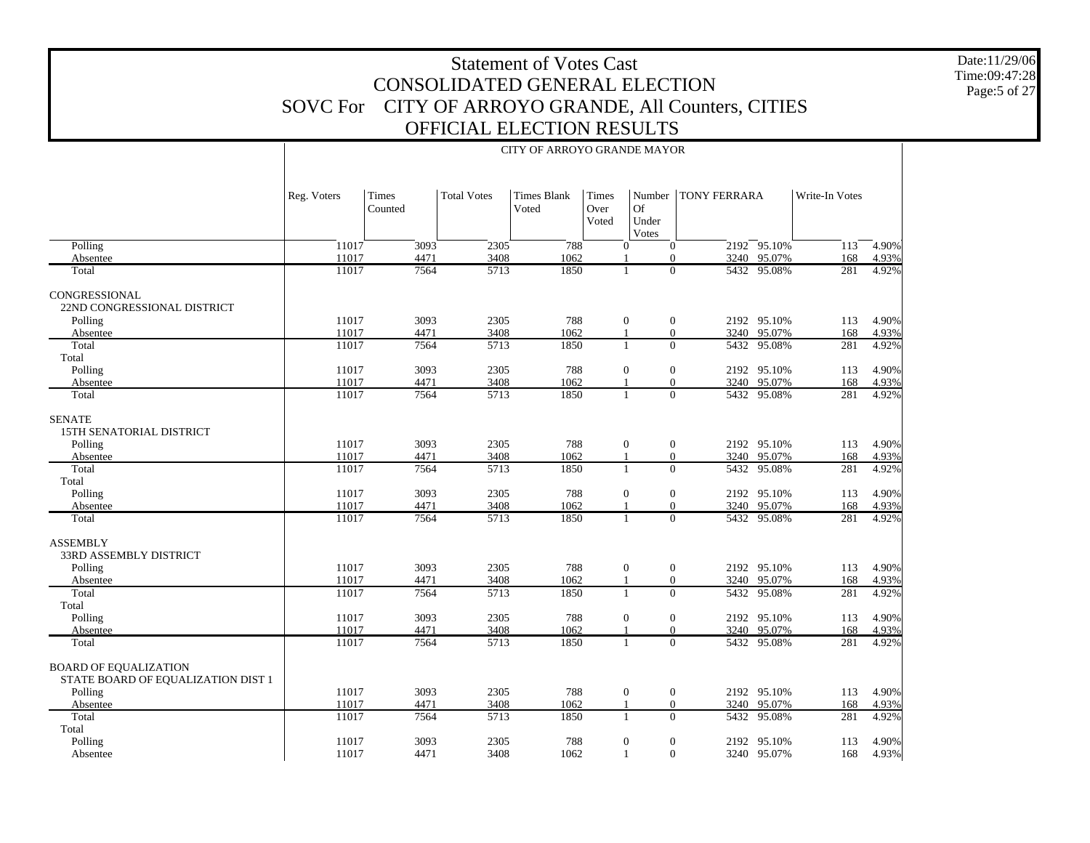Date:11/29/06 Time:09:47:28Page:5 of 27

|                                                                    |                |                  |                    | CITY OF ARROYO GRANDE MAYOR |                        |                                                  |                       |                            |                |                |
|--------------------------------------------------------------------|----------------|------------------|--------------------|-----------------------------|------------------------|--------------------------------------------------|-----------------------|----------------------------|----------------|----------------|
|                                                                    | Reg. Voters    | Times<br>Counted | <b>Total Votes</b> | <b>Times Blank</b><br>Voted | Times<br>Over<br>Voted | <b>Of</b><br>Under<br><b>Votes</b>               | Number   TONY FERRARA |                            | Write-In Votes |                |
| Polling                                                            | 11017          | 3093             | 2305               | 788                         |                        | $\mathbf{0}$<br>$\mathbf{0}$                     |                       | $2192 - 95.10%$            | 113            | 4.90%          |
| Absentee                                                           | 11017          | 4471             | 3408               | 1062                        |                        | $\Omega$                                         |                       | 3240 95.07%                | 168            | 4.93%          |
| Total                                                              | 11017          | 7564             | 5713               | 1850                        |                        | $\Omega$<br>-1                                   |                       | 5432 95.08%                | 281            | 4.92%          |
| CONGRESSIONAL<br>22ND CONGRESSIONAL DISTRICT                       |                |                  |                    |                             |                        |                                                  |                       |                            |                |                |
| Polling                                                            | 11017          | 3093             | 2305               | 788                         |                        | $\mathbf{0}$<br>$\boldsymbol{0}$                 |                       | 2192 95.10%                | 113            | 4.90%          |
| Absentee                                                           | 11017          | 4471             | 3408               | 1062                        |                        | $\Omega$<br>$\mathbf{1}$                         |                       | 3240 95.07%                | 168            | 4.93%          |
| Total                                                              | 11017          | 7564             | 5713               | 1850                        |                        | $\overline{0}$<br>$\mathbf{1}$                   |                       | 5432 95.08%                | 281            | 4.92%          |
| Total<br>Polling                                                   | 11017          | 3093             | 2305               | 788                         |                        | $\mathbf{0}$<br>$\boldsymbol{0}$                 |                       |                            |                | 4.90%          |
| Absentee                                                           | 11017          | 4471             | 3408               | 1062                        |                        | $\mathbf{0}$<br>$\mathbf{1}$                     | 3240                  | 2192 95.10%<br>95.07%      | 113<br>168     | 4.93%          |
| Total                                                              | 11017          | 7564             | 5713               | 1850                        |                        | $\mathbf{0}$<br>$\mathbf{1}$                     |                       | 5432 95.08%                | 281            | 4.92%          |
|                                                                    |                |                  |                    |                             |                        |                                                  |                       |                            |                |                |
| <b>SENATE</b><br>15TH SENATORIAL DISTRICT                          |                |                  |                    |                             |                        |                                                  |                       |                            |                |                |
| Polling                                                            | 11017          | 3093             | 2305               | 788                         |                        | $\mathbf{0}$<br>$\overline{0}$                   |                       | 2192 95.10%                | 113            | 4.90%          |
| Absentee                                                           | 11017          | 4471             | 3408               | 1062                        | -1                     | $\mathbf{0}$                                     | 3240                  | 95.07%                     | 168            | 4.93%          |
| Total                                                              | 11017          | 7564             | 5713               | 1850                        |                        | $\Omega$<br>$\mathbf{1}$                         |                       | 5432 95.08%                | 281            | 4.92%          |
| Total                                                              |                |                  |                    |                             |                        |                                                  |                       |                            |                |                |
| Polling                                                            | 11017          | 3093             | 2305               | 788                         |                        | $\mathbf{0}$<br>$\boldsymbol{0}$<br>$\mathbf{0}$ |                       | 2192 95.10%                | 113            | 4.90%          |
| Absentee<br>Total                                                  | 11017<br>11017 | 4471<br>7564     | 3408<br>5713       | 1062<br>1850                | $\overline{1}$         | $\Omega$<br>1                                    |                       | 3240 95.07%<br>5432 95.08% | 168<br>281     | 4.93%<br>4.92% |
|                                                                    |                |                  |                    |                             |                        |                                                  |                       |                            |                |                |
| <b>ASSEMBLY</b><br>33RD ASSEMBLY DISTRICT                          |                |                  |                    |                             |                        |                                                  |                       |                            |                |                |
| Polling                                                            | 11017          | 3093             | 2305               | 788                         |                        | $\mathbf{0}$<br>$\overline{0}$                   |                       | 2192 95.10%                | 113            | 4.90%          |
| Absentee                                                           | 11017          | 4471             | 3408               | 1062                        | -1                     | $\mathbf{0}$                                     | 3240                  | 95.07%                     | 168            | 4.93%          |
| Total                                                              | 11017          | 7564             | 5713               | 1850                        |                        | 1<br>$\theta$                                    |                       | 5432 95.08%                | 281            | 4.92%          |
| Total                                                              |                |                  |                    |                             |                        |                                                  |                       |                            |                |                |
| Polling                                                            | 11017          | 3093             | 2305               | 788                         |                        | $\mathbf{0}$<br>$\mathbf{0}$                     |                       | 2192 95.10%                | 113            | 4.90%          |
| Absentee                                                           | 11017<br>11017 | 4471<br>7564     | 3408<br>5713       | 1062<br>1850                | -1                     | $\mathbf{0}$<br>$\mathbf{1}$<br>$\Omega$         | 3240                  | 95.07%<br>5432 95.08%      | 168<br>281     | 4.93%<br>4.92% |
| Total                                                              |                |                  |                    |                             |                        |                                                  |                       |                            |                |                |
| <b>BOARD OF EQUALIZATION</b><br>STATE BOARD OF EQUALIZATION DIST 1 |                |                  |                    |                             |                        |                                                  |                       |                            |                |                |
| Polling                                                            | 11017          | 3093             | 2305               | 788                         |                        | $\mathbf{0}$<br>$\overline{0}$                   |                       | 2192 95.10%                | 113            | 4.90%          |
| Absentee                                                           | 11017          | 4471             | 3408               | 1062                        | -1                     | $\mathbf{0}$                                     | 3240                  | 95.07%                     | 168            | 4.93%          |
| Total                                                              | 11017          | 7564             | 5713               | 1850                        |                        | $\mathbf{0}$<br>1                                |                       | 5432 95.08%                | 281            | 4.92%          |
| Total                                                              |                |                  |                    |                             |                        |                                                  |                       |                            |                |                |
| Polling                                                            | 11017          | 3093             | 2305               | 788                         |                        | $\boldsymbol{0}$<br>$\boldsymbol{0}$             |                       | 2192 95.10%                | 113            | 4.90%          |
| Absentee                                                           | 11017          | 4471             | 3408               | 1062                        |                        | $\mathbf{0}$<br>$\mathbf{1}$                     |                       | 3240 95.07%                | 168            | 4.93%          |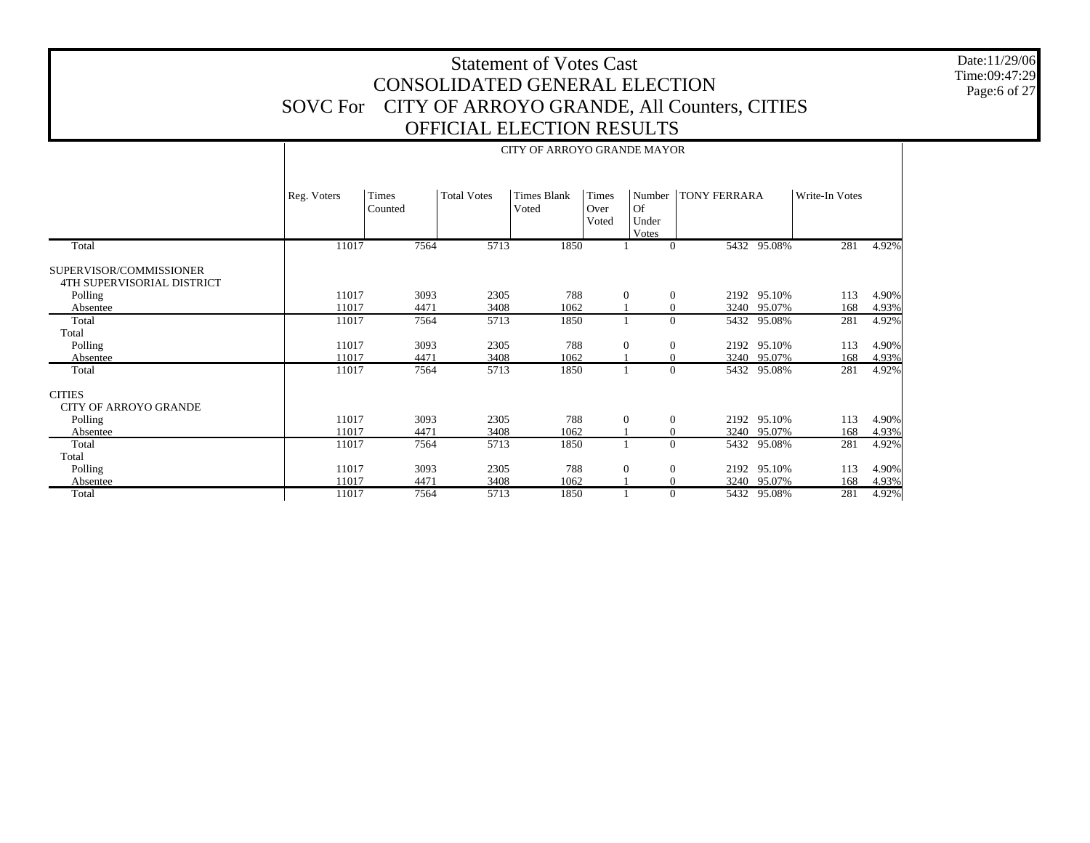Date:11/29/06 Time:09:47:29 Page:6 of 27

|                                                       |             |                  |                    | <b>CITY OF ARROYO GRANDE MAYOR</b> |                        |                                       |                     |             |                |       |
|-------------------------------------------------------|-------------|------------------|--------------------|------------------------------------|------------------------|---------------------------------------|---------------------|-------------|----------------|-------|
|                                                       | Reg. Voters | Times<br>Counted | <b>Total Votes</b> | <b>Times Blank</b><br>Voted        | Times<br>Over<br>Voted | Number<br><b>Of</b><br>Under<br>Votes | <b>TONY FERRARA</b> |             | Write-In Votes |       |
| Total                                                 | 11017       | 7564             | 5713               | 1850                               |                        | $\Omega$                              |                     | 5432 95.08% | 281            | 4.92% |
| SUPERVISOR/COMMISSIONER<br>4TH SUPERVISORIAL DISTRICT |             |                  |                    |                                    |                        |                                       |                     |             |                |       |
| Polling                                               | 11017       | 3093             | 2305               | 788                                | $\boldsymbol{0}$       | $\mathbf{0}$                          |                     | 2192 95.10% | 113            | 4.90% |
| Absentee                                              | 11017       | 4471             | 3408               | 1062                               |                        | $\mathbf{0}$                          | 3240                | 95.07%      | 168            | 4.93% |
| Total                                                 | 11017       | 7564             | 5713               | 1850                               | -1                     | $\Omega$                              |                     | 5432 95.08% | 281            | 4.92% |
| Total                                                 |             |                  |                    |                                    |                        |                                       |                     |             |                |       |
| Polling                                               | 11017       | 3093             | 2305               | 788                                | $\boldsymbol{0}$       | $\mathbf{0}$                          |                     | 2192 95.10% | 113            | 4.90% |
| Absentee                                              | 11017       | 4471             | 3408               | 1062                               |                        | $\mathbf{0}$                          |                     | 3240 95.07% | 168            | 4.93% |
| Total                                                 | 11017       | 7564             | 5713               | 1850                               | 1                      | $\Omega$                              |                     | 5432 95.08% | 281            | 4.92% |
| <b>CITIES</b><br><b>CITY OF ARROYO GRANDE</b>         |             |                  |                    |                                    |                        |                                       |                     |             |                |       |
| Polling                                               | 11017       | 3093             | 2305               | 788                                | $\mathbf{0}$           | $\overline{0}$                        |                     | 2192 95.10% | 113            | 4.90% |
| Absentee                                              | 11017       | 4471             | 3408               | 1062                               | $\mathbf{1}$           | $\mathbf{0}$                          | 3240                | 95.07%      | 168            | 4.93% |
| Total                                                 | 11017       | 7564             | 5713               | 1850                               | $\mathbf{1}$           | $\Omega$                              | 5432                | 95.08%      | 281            | 4.92% |
| Total                                                 |             |                  |                    |                                    |                        |                                       |                     |             |                |       |
| Polling                                               | 11017       | 3093             | 2305               | 788                                | $\mathbf{0}$           | $\mathbf{0}$                          |                     | 2192 95.10% | 113            | 4.90% |
| Absentee                                              | 11017       | 4471             | 3408               | 1062                               |                        | $\overline{0}$                        | 3240                | 95.07%      | 168            | 4.93% |
| Total                                                 | 11017       | 7564             | 5713               | 1850                               |                        | $\Omega$                              |                     | 5432 95.08% | 281            | 4.92% |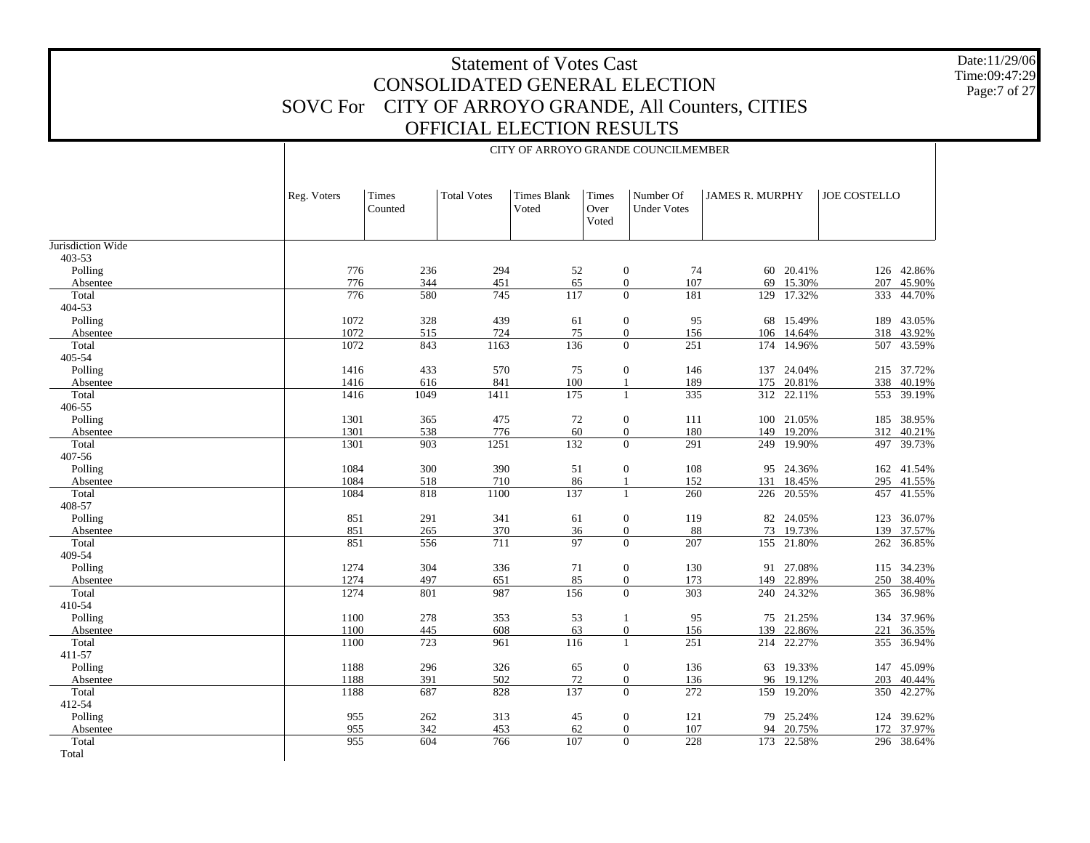Date:11/29/06 Time:09:47:29 Page:7 of 27

| <b>Total Votes</b><br><b>JAMES R. MURPHY</b><br><b>JOE COSTELLO</b><br>Reg. Voters<br>Times<br><b>Times Blank</b><br>Times<br>Number Of<br>Over<br>Counted<br>Voted<br><b>Under Votes</b><br>Voted<br>403-53<br>776<br>236<br>294<br>$\mathbf{0}$<br>74<br>60 20.41%<br>126 42.86%<br>Polling<br>52<br>776<br>107<br>344<br>451<br>65<br>$\overline{0}$<br>15.30%<br>207<br>45.90%<br>Absentee<br>69<br>Total<br>776<br>580<br>745<br>117<br>$\overline{0}$<br>181<br>17.32%<br>129<br>333<br>44.70%<br>404-53<br>1072<br>328<br>439<br>95<br>Polling<br>61<br>$\mathbf{0}$<br>68 15.49%<br>189 43.05%<br>1072<br>515<br>724<br>75<br>$\mathbf{0}$<br>156<br>106<br>14.64%<br>318<br>43.92%<br>Absentee<br>1072<br>843<br>1163<br>136<br>$\boldsymbol{0}$<br>251<br>14.96%<br>Total<br>174<br>507 43.59%<br>405-54<br>433<br>570<br>Polling<br>1416<br>75<br>$\mathbf{0}$<br>146<br>137 24.04%<br>215 37.72%<br>616<br>841<br>100<br>20.81%<br>1416<br>189<br>338<br>40.19%<br>Absentee<br>175<br>1<br>335<br>Total<br>1416<br>1049<br>1411<br>175<br>312 22.11%<br>553 39.19%<br>$\mathbf{1}$<br>406-55<br>Polling<br>1301<br>475<br>72<br>365<br>$\mathbf{0}$<br>111<br>100 21.05%<br>185 38.95%<br>1301<br>538<br>776<br>60<br>180<br>19.20%<br>Absentee<br>$\mathbf{0}$<br>149<br>312<br>40.21%<br>1251<br>132<br>Total<br>1301<br>903<br>$\overline{0}$<br>291<br>249 19.90%<br>39.73%<br>497<br>407-56<br>1084<br>300<br>390<br>Polling<br>51<br>$\mathbf{0}$<br>108<br>95 24.36%<br>162 41.54%<br>1084<br>518<br>710<br>86<br>152<br>131<br>18.45%<br>295 41.55%<br>Absentee<br>1<br>137<br>1084<br>818<br>1100<br>Total<br>260<br>226 20.55%<br>457 41.55%<br>$\mathbf{1}$<br>408-57<br>Polling<br>851<br>291<br>341<br>$\mathbf{0}$<br>119<br>82 24.05%<br>123 36.07%<br>61<br>851<br>265<br>370<br>36<br>88<br>73<br>19.73%<br>139<br>Absentee<br>$\mathbf{0}$<br>37.57%<br>97<br>Total<br>851<br>556<br>711<br>$\overline{0}$<br>207<br>155 21.80%<br>36.85%<br>262<br>409-54<br>1274<br>304<br>336<br>$\boldsymbol{0}$<br>130<br>91 27.08%<br>115 34.23%<br>Polling<br>71<br>1274<br>497<br>85<br>173<br>22.89%<br>651<br>$\mathbf{0}$<br>149<br>250 38.40%<br>Absentee<br>Total<br>1274<br>801<br>987<br>156<br>$\overline{0}$<br>303<br>240 24.32%<br>365 36.98%<br>410-54<br>1100<br>278<br>353<br>Polling<br>53<br>95<br>75 21.25%<br>134 37.96%<br>1<br>608<br>63<br>22.86%<br>1100<br>445<br>$\boldsymbol{0}$<br>156<br>139<br>221<br>36.35%<br>Absentee<br>1100<br>723<br>251<br>214 22.27%<br>Total<br>961<br>116<br>$\mathbf{1}$<br>355 36.94%<br>411-57<br>Polling<br>1188<br>296<br>326<br>65<br>$\boldsymbol{0}$<br>136<br>63 19.33%<br>147 45.09%<br>72<br>1188<br>391<br>502<br>$\boldsymbol{0}$<br>136<br>19.12%<br>203<br>40.44%<br>Absentee<br>96<br>137<br>Total<br>1188<br>687<br>828<br>$\mathbf{0}$<br>272<br>159 19.20%<br>350 42.27%<br>412-54<br>955<br>262<br>313<br>79 25.24%<br>Polling<br>45<br>$\mathbf{0}$<br>121<br>124 39.62%<br>955<br>342<br>453<br>62<br>$\boldsymbol{0}$<br>107<br>20.75%<br>Absentee<br>94<br>172<br>37.97%<br>Total<br>955<br>604<br>107<br>$\overline{0}$<br>228<br>766<br>173 22.58%<br>296 38.64%<br>Total |                   |  |  | CITY OF ARROYO GRANDE COUNCILMEMBER |  |  |
|---------------------------------------------------------------------------------------------------------------------------------------------------------------------------------------------------------------------------------------------------------------------------------------------------------------------------------------------------------------------------------------------------------------------------------------------------------------------------------------------------------------------------------------------------------------------------------------------------------------------------------------------------------------------------------------------------------------------------------------------------------------------------------------------------------------------------------------------------------------------------------------------------------------------------------------------------------------------------------------------------------------------------------------------------------------------------------------------------------------------------------------------------------------------------------------------------------------------------------------------------------------------------------------------------------------------------------------------------------------------------------------------------------------------------------------------------------------------------------------------------------------------------------------------------------------------------------------------------------------------------------------------------------------------------------------------------------------------------------------------------------------------------------------------------------------------------------------------------------------------------------------------------------------------------------------------------------------------------------------------------------------------------------------------------------------------------------------------------------------------------------------------------------------------------------------------------------------------------------------------------------------------------------------------------------------------------------------------------------------------------------------------------------------------------------------------------------------------------------------------------------------------------------------------------------------------------------------------------------------------------------------------------------------------------------------------------------------------------------------------------------------------------------------------------------------------------------------------------------------------------------------------------------------------------------------------------------------------------------------------------------------------------------------------------------------------------------------------------------------------------------------------------------------------------------|-------------------|--|--|-------------------------------------|--|--|
|                                                                                                                                                                                                                                                                                                                                                                                                                                                                                                                                                                                                                                                                                                                                                                                                                                                                                                                                                                                                                                                                                                                                                                                                                                                                                                                                                                                                                                                                                                                                                                                                                                                                                                                                                                                                                                                                                                                                                                                                                                                                                                                                                                                                                                                                                                                                                                                                                                                                                                                                                                                                                                                                                                                                                                                                                                                                                                                                                                                                                                                                                                                                                                                 |                   |  |  |                                     |  |  |
|                                                                                                                                                                                                                                                                                                                                                                                                                                                                                                                                                                                                                                                                                                                                                                                                                                                                                                                                                                                                                                                                                                                                                                                                                                                                                                                                                                                                                                                                                                                                                                                                                                                                                                                                                                                                                                                                                                                                                                                                                                                                                                                                                                                                                                                                                                                                                                                                                                                                                                                                                                                                                                                                                                                                                                                                                                                                                                                                                                                                                                                                                                                                                                                 | Jurisdiction Wide |  |  |                                     |  |  |
|                                                                                                                                                                                                                                                                                                                                                                                                                                                                                                                                                                                                                                                                                                                                                                                                                                                                                                                                                                                                                                                                                                                                                                                                                                                                                                                                                                                                                                                                                                                                                                                                                                                                                                                                                                                                                                                                                                                                                                                                                                                                                                                                                                                                                                                                                                                                                                                                                                                                                                                                                                                                                                                                                                                                                                                                                                                                                                                                                                                                                                                                                                                                                                                 |                   |  |  |                                     |  |  |
|                                                                                                                                                                                                                                                                                                                                                                                                                                                                                                                                                                                                                                                                                                                                                                                                                                                                                                                                                                                                                                                                                                                                                                                                                                                                                                                                                                                                                                                                                                                                                                                                                                                                                                                                                                                                                                                                                                                                                                                                                                                                                                                                                                                                                                                                                                                                                                                                                                                                                                                                                                                                                                                                                                                                                                                                                                                                                                                                                                                                                                                                                                                                                                                 |                   |  |  |                                     |  |  |
|                                                                                                                                                                                                                                                                                                                                                                                                                                                                                                                                                                                                                                                                                                                                                                                                                                                                                                                                                                                                                                                                                                                                                                                                                                                                                                                                                                                                                                                                                                                                                                                                                                                                                                                                                                                                                                                                                                                                                                                                                                                                                                                                                                                                                                                                                                                                                                                                                                                                                                                                                                                                                                                                                                                                                                                                                                                                                                                                                                                                                                                                                                                                                                                 |                   |  |  |                                     |  |  |
|                                                                                                                                                                                                                                                                                                                                                                                                                                                                                                                                                                                                                                                                                                                                                                                                                                                                                                                                                                                                                                                                                                                                                                                                                                                                                                                                                                                                                                                                                                                                                                                                                                                                                                                                                                                                                                                                                                                                                                                                                                                                                                                                                                                                                                                                                                                                                                                                                                                                                                                                                                                                                                                                                                                                                                                                                                                                                                                                                                                                                                                                                                                                                                                 |                   |  |  |                                     |  |  |
|                                                                                                                                                                                                                                                                                                                                                                                                                                                                                                                                                                                                                                                                                                                                                                                                                                                                                                                                                                                                                                                                                                                                                                                                                                                                                                                                                                                                                                                                                                                                                                                                                                                                                                                                                                                                                                                                                                                                                                                                                                                                                                                                                                                                                                                                                                                                                                                                                                                                                                                                                                                                                                                                                                                                                                                                                                                                                                                                                                                                                                                                                                                                                                                 |                   |  |  |                                     |  |  |
|                                                                                                                                                                                                                                                                                                                                                                                                                                                                                                                                                                                                                                                                                                                                                                                                                                                                                                                                                                                                                                                                                                                                                                                                                                                                                                                                                                                                                                                                                                                                                                                                                                                                                                                                                                                                                                                                                                                                                                                                                                                                                                                                                                                                                                                                                                                                                                                                                                                                                                                                                                                                                                                                                                                                                                                                                                                                                                                                                                                                                                                                                                                                                                                 |                   |  |  |                                     |  |  |
|                                                                                                                                                                                                                                                                                                                                                                                                                                                                                                                                                                                                                                                                                                                                                                                                                                                                                                                                                                                                                                                                                                                                                                                                                                                                                                                                                                                                                                                                                                                                                                                                                                                                                                                                                                                                                                                                                                                                                                                                                                                                                                                                                                                                                                                                                                                                                                                                                                                                                                                                                                                                                                                                                                                                                                                                                                                                                                                                                                                                                                                                                                                                                                                 |                   |  |  |                                     |  |  |
|                                                                                                                                                                                                                                                                                                                                                                                                                                                                                                                                                                                                                                                                                                                                                                                                                                                                                                                                                                                                                                                                                                                                                                                                                                                                                                                                                                                                                                                                                                                                                                                                                                                                                                                                                                                                                                                                                                                                                                                                                                                                                                                                                                                                                                                                                                                                                                                                                                                                                                                                                                                                                                                                                                                                                                                                                                                                                                                                                                                                                                                                                                                                                                                 |                   |  |  |                                     |  |  |
|                                                                                                                                                                                                                                                                                                                                                                                                                                                                                                                                                                                                                                                                                                                                                                                                                                                                                                                                                                                                                                                                                                                                                                                                                                                                                                                                                                                                                                                                                                                                                                                                                                                                                                                                                                                                                                                                                                                                                                                                                                                                                                                                                                                                                                                                                                                                                                                                                                                                                                                                                                                                                                                                                                                                                                                                                                                                                                                                                                                                                                                                                                                                                                                 |                   |  |  |                                     |  |  |
|                                                                                                                                                                                                                                                                                                                                                                                                                                                                                                                                                                                                                                                                                                                                                                                                                                                                                                                                                                                                                                                                                                                                                                                                                                                                                                                                                                                                                                                                                                                                                                                                                                                                                                                                                                                                                                                                                                                                                                                                                                                                                                                                                                                                                                                                                                                                                                                                                                                                                                                                                                                                                                                                                                                                                                                                                                                                                                                                                                                                                                                                                                                                                                                 |                   |  |  |                                     |  |  |
|                                                                                                                                                                                                                                                                                                                                                                                                                                                                                                                                                                                                                                                                                                                                                                                                                                                                                                                                                                                                                                                                                                                                                                                                                                                                                                                                                                                                                                                                                                                                                                                                                                                                                                                                                                                                                                                                                                                                                                                                                                                                                                                                                                                                                                                                                                                                                                                                                                                                                                                                                                                                                                                                                                                                                                                                                                                                                                                                                                                                                                                                                                                                                                                 |                   |  |  |                                     |  |  |
|                                                                                                                                                                                                                                                                                                                                                                                                                                                                                                                                                                                                                                                                                                                                                                                                                                                                                                                                                                                                                                                                                                                                                                                                                                                                                                                                                                                                                                                                                                                                                                                                                                                                                                                                                                                                                                                                                                                                                                                                                                                                                                                                                                                                                                                                                                                                                                                                                                                                                                                                                                                                                                                                                                                                                                                                                                                                                                                                                                                                                                                                                                                                                                                 |                   |  |  |                                     |  |  |
|                                                                                                                                                                                                                                                                                                                                                                                                                                                                                                                                                                                                                                                                                                                                                                                                                                                                                                                                                                                                                                                                                                                                                                                                                                                                                                                                                                                                                                                                                                                                                                                                                                                                                                                                                                                                                                                                                                                                                                                                                                                                                                                                                                                                                                                                                                                                                                                                                                                                                                                                                                                                                                                                                                                                                                                                                                                                                                                                                                                                                                                                                                                                                                                 |                   |  |  |                                     |  |  |
|                                                                                                                                                                                                                                                                                                                                                                                                                                                                                                                                                                                                                                                                                                                                                                                                                                                                                                                                                                                                                                                                                                                                                                                                                                                                                                                                                                                                                                                                                                                                                                                                                                                                                                                                                                                                                                                                                                                                                                                                                                                                                                                                                                                                                                                                                                                                                                                                                                                                                                                                                                                                                                                                                                                                                                                                                                                                                                                                                                                                                                                                                                                                                                                 |                   |  |  |                                     |  |  |
|                                                                                                                                                                                                                                                                                                                                                                                                                                                                                                                                                                                                                                                                                                                                                                                                                                                                                                                                                                                                                                                                                                                                                                                                                                                                                                                                                                                                                                                                                                                                                                                                                                                                                                                                                                                                                                                                                                                                                                                                                                                                                                                                                                                                                                                                                                                                                                                                                                                                                                                                                                                                                                                                                                                                                                                                                                                                                                                                                                                                                                                                                                                                                                                 |                   |  |  |                                     |  |  |
|                                                                                                                                                                                                                                                                                                                                                                                                                                                                                                                                                                                                                                                                                                                                                                                                                                                                                                                                                                                                                                                                                                                                                                                                                                                                                                                                                                                                                                                                                                                                                                                                                                                                                                                                                                                                                                                                                                                                                                                                                                                                                                                                                                                                                                                                                                                                                                                                                                                                                                                                                                                                                                                                                                                                                                                                                                                                                                                                                                                                                                                                                                                                                                                 |                   |  |  |                                     |  |  |
|                                                                                                                                                                                                                                                                                                                                                                                                                                                                                                                                                                                                                                                                                                                                                                                                                                                                                                                                                                                                                                                                                                                                                                                                                                                                                                                                                                                                                                                                                                                                                                                                                                                                                                                                                                                                                                                                                                                                                                                                                                                                                                                                                                                                                                                                                                                                                                                                                                                                                                                                                                                                                                                                                                                                                                                                                                                                                                                                                                                                                                                                                                                                                                                 |                   |  |  |                                     |  |  |
|                                                                                                                                                                                                                                                                                                                                                                                                                                                                                                                                                                                                                                                                                                                                                                                                                                                                                                                                                                                                                                                                                                                                                                                                                                                                                                                                                                                                                                                                                                                                                                                                                                                                                                                                                                                                                                                                                                                                                                                                                                                                                                                                                                                                                                                                                                                                                                                                                                                                                                                                                                                                                                                                                                                                                                                                                                                                                                                                                                                                                                                                                                                                                                                 |                   |  |  |                                     |  |  |
|                                                                                                                                                                                                                                                                                                                                                                                                                                                                                                                                                                                                                                                                                                                                                                                                                                                                                                                                                                                                                                                                                                                                                                                                                                                                                                                                                                                                                                                                                                                                                                                                                                                                                                                                                                                                                                                                                                                                                                                                                                                                                                                                                                                                                                                                                                                                                                                                                                                                                                                                                                                                                                                                                                                                                                                                                                                                                                                                                                                                                                                                                                                                                                                 |                   |  |  |                                     |  |  |
|                                                                                                                                                                                                                                                                                                                                                                                                                                                                                                                                                                                                                                                                                                                                                                                                                                                                                                                                                                                                                                                                                                                                                                                                                                                                                                                                                                                                                                                                                                                                                                                                                                                                                                                                                                                                                                                                                                                                                                                                                                                                                                                                                                                                                                                                                                                                                                                                                                                                                                                                                                                                                                                                                                                                                                                                                                                                                                                                                                                                                                                                                                                                                                                 |                   |  |  |                                     |  |  |
|                                                                                                                                                                                                                                                                                                                                                                                                                                                                                                                                                                                                                                                                                                                                                                                                                                                                                                                                                                                                                                                                                                                                                                                                                                                                                                                                                                                                                                                                                                                                                                                                                                                                                                                                                                                                                                                                                                                                                                                                                                                                                                                                                                                                                                                                                                                                                                                                                                                                                                                                                                                                                                                                                                                                                                                                                                                                                                                                                                                                                                                                                                                                                                                 |                   |  |  |                                     |  |  |
|                                                                                                                                                                                                                                                                                                                                                                                                                                                                                                                                                                                                                                                                                                                                                                                                                                                                                                                                                                                                                                                                                                                                                                                                                                                                                                                                                                                                                                                                                                                                                                                                                                                                                                                                                                                                                                                                                                                                                                                                                                                                                                                                                                                                                                                                                                                                                                                                                                                                                                                                                                                                                                                                                                                                                                                                                                                                                                                                                                                                                                                                                                                                                                                 |                   |  |  |                                     |  |  |
|                                                                                                                                                                                                                                                                                                                                                                                                                                                                                                                                                                                                                                                                                                                                                                                                                                                                                                                                                                                                                                                                                                                                                                                                                                                                                                                                                                                                                                                                                                                                                                                                                                                                                                                                                                                                                                                                                                                                                                                                                                                                                                                                                                                                                                                                                                                                                                                                                                                                                                                                                                                                                                                                                                                                                                                                                                                                                                                                                                                                                                                                                                                                                                                 |                   |  |  |                                     |  |  |
|                                                                                                                                                                                                                                                                                                                                                                                                                                                                                                                                                                                                                                                                                                                                                                                                                                                                                                                                                                                                                                                                                                                                                                                                                                                                                                                                                                                                                                                                                                                                                                                                                                                                                                                                                                                                                                                                                                                                                                                                                                                                                                                                                                                                                                                                                                                                                                                                                                                                                                                                                                                                                                                                                                                                                                                                                                                                                                                                                                                                                                                                                                                                                                                 |                   |  |  |                                     |  |  |
|                                                                                                                                                                                                                                                                                                                                                                                                                                                                                                                                                                                                                                                                                                                                                                                                                                                                                                                                                                                                                                                                                                                                                                                                                                                                                                                                                                                                                                                                                                                                                                                                                                                                                                                                                                                                                                                                                                                                                                                                                                                                                                                                                                                                                                                                                                                                                                                                                                                                                                                                                                                                                                                                                                                                                                                                                                                                                                                                                                                                                                                                                                                                                                                 |                   |  |  |                                     |  |  |
|                                                                                                                                                                                                                                                                                                                                                                                                                                                                                                                                                                                                                                                                                                                                                                                                                                                                                                                                                                                                                                                                                                                                                                                                                                                                                                                                                                                                                                                                                                                                                                                                                                                                                                                                                                                                                                                                                                                                                                                                                                                                                                                                                                                                                                                                                                                                                                                                                                                                                                                                                                                                                                                                                                                                                                                                                                                                                                                                                                                                                                                                                                                                                                                 |                   |  |  |                                     |  |  |
|                                                                                                                                                                                                                                                                                                                                                                                                                                                                                                                                                                                                                                                                                                                                                                                                                                                                                                                                                                                                                                                                                                                                                                                                                                                                                                                                                                                                                                                                                                                                                                                                                                                                                                                                                                                                                                                                                                                                                                                                                                                                                                                                                                                                                                                                                                                                                                                                                                                                                                                                                                                                                                                                                                                                                                                                                                                                                                                                                                                                                                                                                                                                                                                 |                   |  |  |                                     |  |  |
|                                                                                                                                                                                                                                                                                                                                                                                                                                                                                                                                                                                                                                                                                                                                                                                                                                                                                                                                                                                                                                                                                                                                                                                                                                                                                                                                                                                                                                                                                                                                                                                                                                                                                                                                                                                                                                                                                                                                                                                                                                                                                                                                                                                                                                                                                                                                                                                                                                                                                                                                                                                                                                                                                                                                                                                                                                                                                                                                                                                                                                                                                                                                                                                 |                   |  |  |                                     |  |  |
|                                                                                                                                                                                                                                                                                                                                                                                                                                                                                                                                                                                                                                                                                                                                                                                                                                                                                                                                                                                                                                                                                                                                                                                                                                                                                                                                                                                                                                                                                                                                                                                                                                                                                                                                                                                                                                                                                                                                                                                                                                                                                                                                                                                                                                                                                                                                                                                                                                                                                                                                                                                                                                                                                                                                                                                                                                                                                                                                                                                                                                                                                                                                                                                 |                   |  |  |                                     |  |  |
|                                                                                                                                                                                                                                                                                                                                                                                                                                                                                                                                                                                                                                                                                                                                                                                                                                                                                                                                                                                                                                                                                                                                                                                                                                                                                                                                                                                                                                                                                                                                                                                                                                                                                                                                                                                                                                                                                                                                                                                                                                                                                                                                                                                                                                                                                                                                                                                                                                                                                                                                                                                                                                                                                                                                                                                                                                                                                                                                                                                                                                                                                                                                                                                 |                   |  |  |                                     |  |  |
|                                                                                                                                                                                                                                                                                                                                                                                                                                                                                                                                                                                                                                                                                                                                                                                                                                                                                                                                                                                                                                                                                                                                                                                                                                                                                                                                                                                                                                                                                                                                                                                                                                                                                                                                                                                                                                                                                                                                                                                                                                                                                                                                                                                                                                                                                                                                                                                                                                                                                                                                                                                                                                                                                                                                                                                                                                                                                                                                                                                                                                                                                                                                                                                 |                   |  |  |                                     |  |  |
|                                                                                                                                                                                                                                                                                                                                                                                                                                                                                                                                                                                                                                                                                                                                                                                                                                                                                                                                                                                                                                                                                                                                                                                                                                                                                                                                                                                                                                                                                                                                                                                                                                                                                                                                                                                                                                                                                                                                                                                                                                                                                                                                                                                                                                                                                                                                                                                                                                                                                                                                                                                                                                                                                                                                                                                                                                                                                                                                                                                                                                                                                                                                                                                 |                   |  |  |                                     |  |  |
|                                                                                                                                                                                                                                                                                                                                                                                                                                                                                                                                                                                                                                                                                                                                                                                                                                                                                                                                                                                                                                                                                                                                                                                                                                                                                                                                                                                                                                                                                                                                                                                                                                                                                                                                                                                                                                                                                                                                                                                                                                                                                                                                                                                                                                                                                                                                                                                                                                                                                                                                                                                                                                                                                                                                                                                                                                                                                                                                                                                                                                                                                                                                                                                 |                   |  |  |                                     |  |  |
|                                                                                                                                                                                                                                                                                                                                                                                                                                                                                                                                                                                                                                                                                                                                                                                                                                                                                                                                                                                                                                                                                                                                                                                                                                                                                                                                                                                                                                                                                                                                                                                                                                                                                                                                                                                                                                                                                                                                                                                                                                                                                                                                                                                                                                                                                                                                                                                                                                                                                                                                                                                                                                                                                                                                                                                                                                                                                                                                                                                                                                                                                                                                                                                 |                   |  |  |                                     |  |  |
|                                                                                                                                                                                                                                                                                                                                                                                                                                                                                                                                                                                                                                                                                                                                                                                                                                                                                                                                                                                                                                                                                                                                                                                                                                                                                                                                                                                                                                                                                                                                                                                                                                                                                                                                                                                                                                                                                                                                                                                                                                                                                                                                                                                                                                                                                                                                                                                                                                                                                                                                                                                                                                                                                                                                                                                                                                                                                                                                                                                                                                                                                                                                                                                 |                   |  |  |                                     |  |  |
|                                                                                                                                                                                                                                                                                                                                                                                                                                                                                                                                                                                                                                                                                                                                                                                                                                                                                                                                                                                                                                                                                                                                                                                                                                                                                                                                                                                                                                                                                                                                                                                                                                                                                                                                                                                                                                                                                                                                                                                                                                                                                                                                                                                                                                                                                                                                                                                                                                                                                                                                                                                                                                                                                                                                                                                                                                                                                                                                                                                                                                                                                                                                                                                 |                   |  |  |                                     |  |  |
|                                                                                                                                                                                                                                                                                                                                                                                                                                                                                                                                                                                                                                                                                                                                                                                                                                                                                                                                                                                                                                                                                                                                                                                                                                                                                                                                                                                                                                                                                                                                                                                                                                                                                                                                                                                                                                                                                                                                                                                                                                                                                                                                                                                                                                                                                                                                                                                                                                                                                                                                                                                                                                                                                                                                                                                                                                                                                                                                                                                                                                                                                                                                                                                 |                   |  |  |                                     |  |  |
|                                                                                                                                                                                                                                                                                                                                                                                                                                                                                                                                                                                                                                                                                                                                                                                                                                                                                                                                                                                                                                                                                                                                                                                                                                                                                                                                                                                                                                                                                                                                                                                                                                                                                                                                                                                                                                                                                                                                                                                                                                                                                                                                                                                                                                                                                                                                                                                                                                                                                                                                                                                                                                                                                                                                                                                                                                                                                                                                                                                                                                                                                                                                                                                 |                   |  |  |                                     |  |  |
|                                                                                                                                                                                                                                                                                                                                                                                                                                                                                                                                                                                                                                                                                                                                                                                                                                                                                                                                                                                                                                                                                                                                                                                                                                                                                                                                                                                                                                                                                                                                                                                                                                                                                                                                                                                                                                                                                                                                                                                                                                                                                                                                                                                                                                                                                                                                                                                                                                                                                                                                                                                                                                                                                                                                                                                                                                                                                                                                                                                                                                                                                                                                                                                 |                   |  |  |                                     |  |  |
|                                                                                                                                                                                                                                                                                                                                                                                                                                                                                                                                                                                                                                                                                                                                                                                                                                                                                                                                                                                                                                                                                                                                                                                                                                                                                                                                                                                                                                                                                                                                                                                                                                                                                                                                                                                                                                                                                                                                                                                                                                                                                                                                                                                                                                                                                                                                                                                                                                                                                                                                                                                                                                                                                                                                                                                                                                                                                                                                                                                                                                                                                                                                                                                 |                   |  |  |                                     |  |  |
|                                                                                                                                                                                                                                                                                                                                                                                                                                                                                                                                                                                                                                                                                                                                                                                                                                                                                                                                                                                                                                                                                                                                                                                                                                                                                                                                                                                                                                                                                                                                                                                                                                                                                                                                                                                                                                                                                                                                                                                                                                                                                                                                                                                                                                                                                                                                                                                                                                                                                                                                                                                                                                                                                                                                                                                                                                                                                                                                                                                                                                                                                                                                                                                 |                   |  |  |                                     |  |  |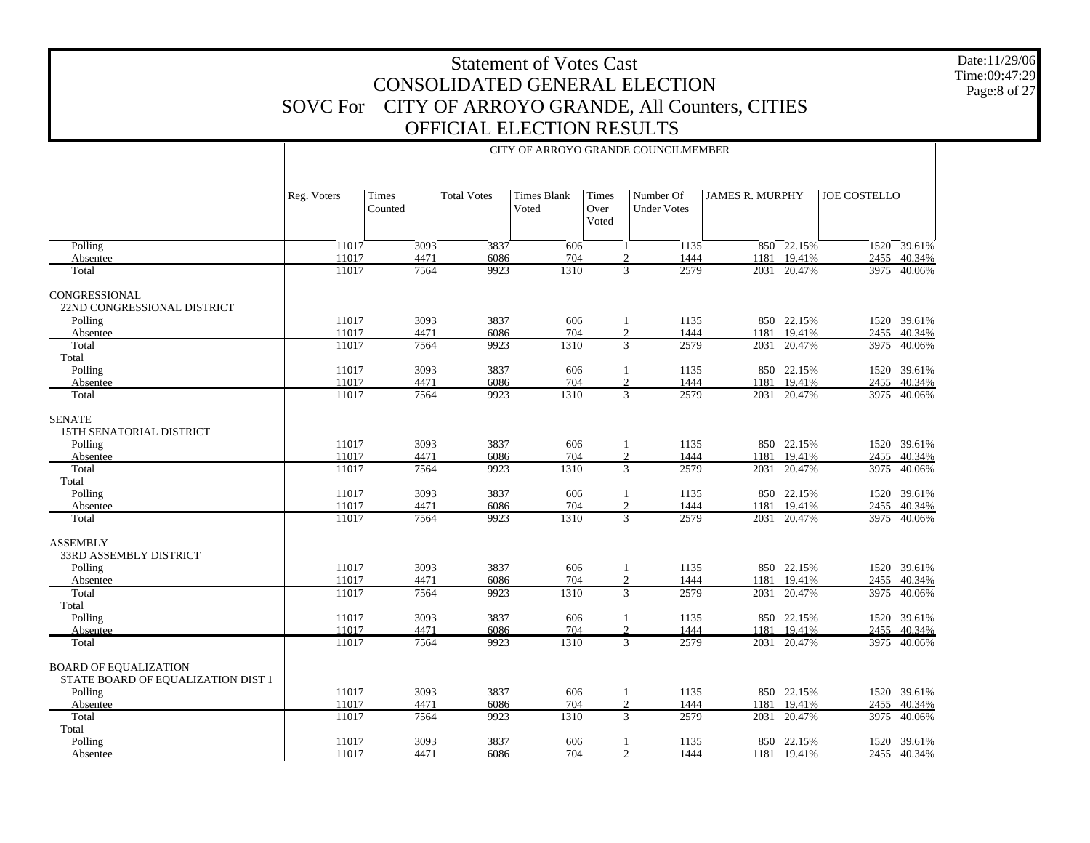Date:11/29/06 Time:09:47:29Page:8 of 27

|                                                                    |             |                  |                    |                             |                        | CITY OF ARROYO GRANDE COUNCILMEMBER |                        |                 |                     |             |
|--------------------------------------------------------------------|-------------|------------------|--------------------|-----------------------------|------------------------|-------------------------------------|------------------------|-----------------|---------------------|-------------|
|                                                                    | Reg. Voters | Times<br>Counted | <b>Total Votes</b> | <b>Times Blank</b><br>Voted | Times<br>Over<br>Voted | Number Of<br><b>Under Votes</b>     | <b>JAMES R. MURPHY</b> |                 | <b>JOE COSTELLO</b> |             |
| Polling                                                            | 11017       | 3093             | 3837               | 606                         |                        | 1135<br>1                           |                        | $850 - 22.15\%$ |                     | 1520 39.61% |
| Absentee                                                           | 11017       | 4471             | 6086               | 704                         |                        | 1444<br>$\overline{2}$              | 1181                   | 19.41%          | 2455                | 40.34%      |
| Total                                                              | 11017       | 7564             | 9923               | 1310                        |                        | 2579<br>$\overline{3}$              |                        | 2031 20.47%     | 3975                | 40.06%      |
| CONGRESSIONAL<br>22ND CONGRESSIONAL DISTRICT                       |             |                  |                    |                             |                        |                                     |                        |                 |                     |             |
| Polling                                                            | 11017       | 3093             | 3837               | 606                         |                        | 1135<br>$\mathbf{1}$                |                        | 850 22.15%      |                     | 1520 39.61% |
| Absentee                                                           | 11017       | 4471             | 6086               | 704                         |                        | 1444<br>$\boldsymbol{2}$            | 1181                   | 19.41%          | 2455                | 40.34%      |
| Total                                                              | 11017       | 7564             | 9923               | 1310                        |                        | $\overline{3}$<br>2579              | 2031                   | 20.47%          | 3975                | 40.06%      |
| Total                                                              |             |                  |                    |                             |                        |                                     |                        |                 |                     |             |
| Polling                                                            | 11017       | 3093             | 3837               | 606                         |                        | 1135<br>-1                          |                        | 850 22.15%      |                     | 1520 39.61% |
| Absentee                                                           | 11017       | 4471             | 6086               | 704                         |                        | 1444<br>2                           | 1181                   | 19.41%          | 2455                | 40.34%      |
| Total                                                              | 11017       | 7564             | 9923               | 1310                        |                        | $\overline{3}$<br>2579              |                        | 2031 20.47%     | 3975                | 40.06%      |
| <b>SENATE</b><br>15TH SENATORIAL DISTRICT                          |             |                  |                    |                             |                        |                                     |                        |                 |                     |             |
| Polling                                                            | 11017       | 3093             | 3837               | 606                         |                        | 1135<br>1                           |                        | 850 22.15%      |                     | 1520 39.61% |
| Absentee                                                           | 11017       | 4471             | 6086               | 704                         |                        | 1444<br>$\boldsymbol{2}$            | 1181                   | 19.41%          | 2455                | 40.34%      |
| Total                                                              | 11017       | 7564             | 9923               | 1310                        |                        | $\overline{3}$<br>2579              | 2031                   | 20.47%          | 3975                | 40.06%      |
| Total                                                              |             |                  |                    |                             |                        |                                     |                        |                 |                     |             |
| Polling                                                            | 11017       | 3093             | 3837               | 606                         |                        | 1135<br>-1                          |                        | 850 22.15%      |                     | 1520 39.61% |
| Absentee                                                           | 11017       | 4471             | 6086               | 704                         |                        | 1444<br>2                           | 1181                   | 19.41%          | 2455                | 40.34%      |
| Total                                                              | 11017       | 7564             | 9923               | 1310                        |                        | $\overline{3}$<br>2579              |                        | 2031 20.47%     | 3975                | 40.06%      |
| <b>ASSEMBLY</b><br>33RD ASSEMBLY DISTRICT                          |             |                  |                    |                             |                        |                                     |                        |                 |                     |             |
| Polling                                                            | 11017       | 3093             | 3837               | 606                         |                        | 1135<br>-1                          |                        | 850 22.15%      |                     | 1520 39.61% |
| Absentee                                                           | 11017       | 4471             | 6086               | 704                         |                        | $\boldsymbol{2}$<br>1444            | 1181                   | 19.41%          | 2455                | 40.34%      |
| Total                                                              | 11017       | 7564             | 9923               | 1310                        |                        | $\overline{3}$<br>2579              |                        | 2031 20.47%     | 3975                | 40.06%      |
| Total                                                              |             |                  |                    |                             |                        |                                     |                        |                 |                     |             |
| Polling                                                            | 11017       | 3093             | 3837               | 606                         |                        | 1135<br>$\mathbf{1}$                |                        | 850 22.15%      |                     | 1520 39.61% |
| Absentee                                                           | 11017       | 4471             | 6086               | 704                         |                        | 1444<br>$\mathbf{2}$                | 1181                   | 19.41%          | 2455                | 40.34%      |
| Total                                                              | 11017       | 7564             | 9923               | 1310                        |                        | $\overline{3}$<br>2579              | 2031                   | 20.47%          | 3975                | 40.06%      |
| <b>BOARD OF EQUALIZATION</b><br>STATE BOARD OF EQUALIZATION DIST 1 |             |                  |                    |                             |                        |                                     |                        |                 |                     |             |
| Polling                                                            | 11017       | 3093             | 3837               | 606                         |                        | 1135<br>1                           |                        | 850 22.15%      |                     | 1520 39.61% |
| Absentee                                                           | 11017       | 4471             | 6086               | 704                         |                        | $\boldsymbol{2}$<br>1444            | 1181                   | 19.41%          | 2455                | 40.34%      |
| Total                                                              | 11017       | 7564             | 9923               | 1310                        |                        | $\overline{3}$<br>2579              | 2031                   | 20.47%          | 3975                | 40.06%      |
| Total                                                              |             |                  |                    |                             |                        |                                     |                        |                 |                     |             |
| Polling                                                            | 11017       | 3093             | 3837               | 606                         |                        | 1135<br>1                           | 850                    | 22.15%          | 1520                | 39.61%      |
| Absentee                                                           | 11017       | 4471             | 6086               | 704                         |                        | 2<br>1444                           |                        | 1181 19.41%     |                     | 2455 40.34% |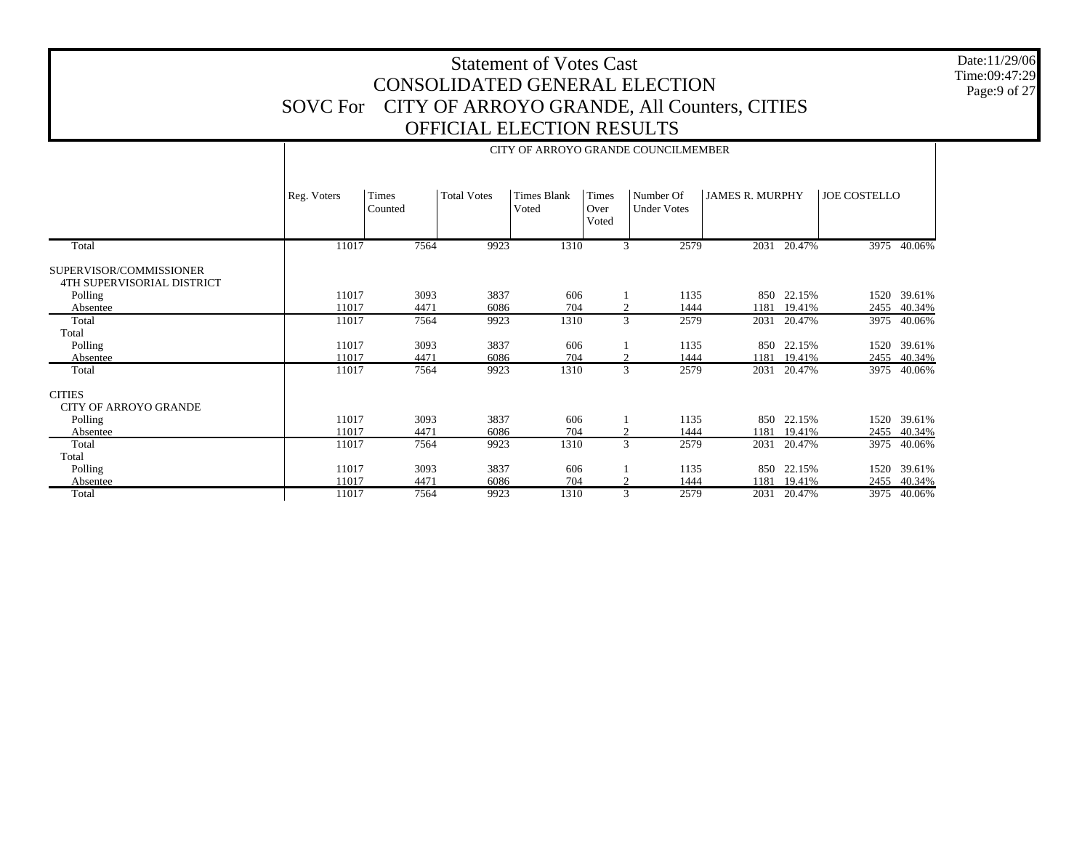Date:11/29/06 Time:09:47:29 Page:9 of 27

|                                                       |             |                  |                    |                             |                        | CITY OF ARROYO GRANDE COUNCILMEMBER |                        |        |                     |        |
|-------------------------------------------------------|-------------|------------------|--------------------|-----------------------------|------------------------|-------------------------------------|------------------------|--------|---------------------|--------|
|                                                       | Reg. Voters | Times<br>Counted | <b>Total Votes</b> | <b>Times Blank</b><br>Voted | Times<br>Over<br>Voted | Number Of<br><b>Under Votes</b>     | <b>JAMES R. MURPHY</b> |        | <b>JOE COSTELLO</b> |        |
| Total                                                 | 11017       | 7564             | 9923               | 1310                        |                        | 3<br>2579                           | 2031                   | 20.47% | 3975                | 40.06% |
| SUPERVISOR/COMMISSIONER<br>4TH SUPERVISORIAL DISTRICT |             |                  |                    |                             |                        |                                     |                        |        |                     |        |
| Polling                                               | 11017       | 3093             | 3837               | 606                         |                        | 1135                                | 850                    | 22.15% | 1520                | 39.61% |
| Absentee                                              | 11017       | 4471             | 6086               | 704                         |                        | 1444<br>2                           | 1181                   | 19.41% | 2455                | 40.34% |
| Total                                                 | 11017       | 7564             | 9923               | 1310                        |                        | 3<br>2579                           | 2031                   | 20.47% | 3975                | 40.06% |
| Total                                                 |             |                  |                    |                             |                        |                                     |                        |        |                     |        |
| Polling                                               | 11017       | 3093             | 3837               | 606                         |                        | 1135                                | 850                    | 22.15% | 1520                | 39.61% |
| Absentee                                              | 11017       | 4471             | 6086               | 704                         |                        | 1444<br>$\overline{2}$              | 1181                   | 19.41% | 2455                | 40.34% |
| Total                                                 | 11017       | 7564             | 9923               | 1310                        |                        | 3<br>2579                           | 2031                   | 20.47% | 3975                | 40.06% |
| <b>CITIES</b><br><b>CITY OF ARROYO GRANDE</b>         |             |                  |                    |                             |                        |                                     |                        |        |                     |        |
| Polling                                               | 11017       | 3093             | 3837               | 606                         |                        | 1135                                | 850                    | 22.15% | 1520                | 39.61% |
| Absentee                                              | 11017       | 4471             | 6086               | 704                         |                        | 2<br>1444                           | 1181                   | 19.41% | 2455                | 40.34% |
| Total                                                 | 11017       | 7564             | 9923               | 1310                        |                        | $\overline{3}$<br>2579              | 2031                   | 20.47% | 3975                | 40.06% |
| Total                                                 |             |                  |                    |                             |                        |                                     |                        |        |                     |        |
| Polling                                               | 11017       | 3093             | 3837               | 606                         |                        | 1135                                | 850                    | 22.15% | 1520                | 39.61% |
| Absentee                                              | 11017       | 4471             | 6086               | 704                         |                        | 2<br>1444                           | 1181                   | 19.41% | 2455                | 40.34% |
| Total                                                 | 11017       | 7564             | 9923               | 1310                        |                        | 3<br>2579                           | 2031                   | 20.47% | 3975                | 40.06% |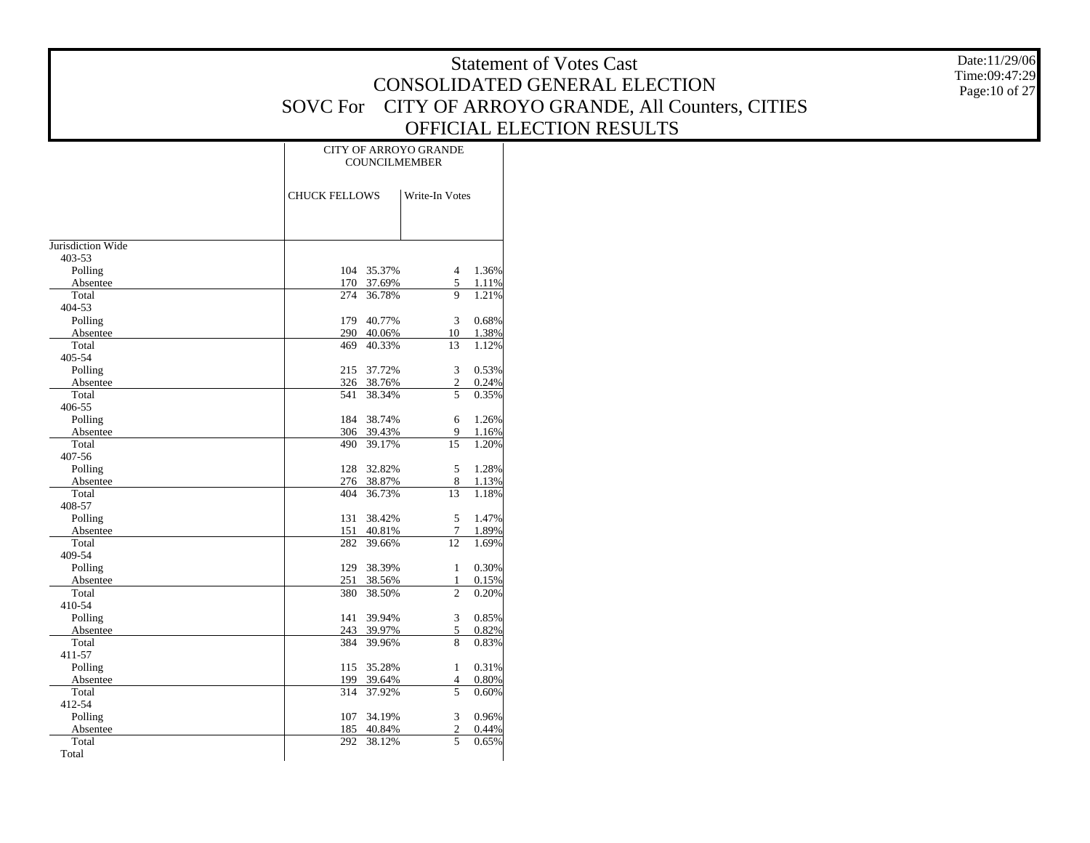Date:11/29/06 Time:09:47:29 Page:10 of 27

|                   |            |                                        | <b>CITY OF ARROYO GRANDE</b><br><b>COUNCILMEMBER</b> |       |  |
|-------------------|------------|----------------------------------------|------------------------------------------------------|-------|--|
|                   |            | <b>CHUCK FELLOWS</b><br>Write-In Votes |                                                      |       |  |
|                   |            |                                        |                                                      |       |  |
| Jurisdiction Wide |            |                                        |                                                      |       |  |
| 403-53            |            |                                        |                                                      |       |  |
| Polling           | 104        | 35.37%                                 | $\overline{4}$                                       | 1.36% |  |
| Absentee          | 170        | 37.69%                                 | 5                                                    | 1.11% |  |
| Total             | 274        | 36.78%                                 | 9                                                    | 1.21% |  |
| 404-53            |            |                                        |                                                      |       |  |
| Polling           | 179        | 40.77%                                 | 3                                                    | 0.68% |  |
| Absentee          | 290        | 40.06%                                 | 10                                                   | 1.38% |  |
| Total             | 469        | 40.33%                                 | 13                                                   | 1.12% |  |
| 405-54            |            |                                        |                                                      |       |  |
| Polling           | 215        | 37.72%                                 | 3                                                    | 0.53% |  |
| Absentee          | 326        | 38.76%                                 | $\mathbf{2}$                                         | 0.24% |  |
| Total             | 541        | 38.34%                                 | 5                                                    | 0.35% |  |
| 406-55            |            |                                        |                                                      |       |  |
| Polling           | 184        | 38.74%                                 | 6                                                    | 1.26% |  |
| Absentee          | 306        | 39.43%                                 | 9                                                    | 1.16% |  |
| Total             | 490        | 39.17%                                 | 15                                                   | 1.20% |  |
| 407-56            |            |                                        |                                                      |       |  |
| Polling           | 128        | 32.82%                                 | 5                                                    | 1.28% |  |
| Absentee          | 276        | 38.87%                                 | 8                                                    | 1.13% |  |
| Total             | 404        | 36.73%                                 | 13                                                   | 1.18% |  |
| 408-57            |            |                                        |                                                      |       |  |
| Polling           | 131        | 38.42%                                 | 5                                                    | 1.47% |  |
| Absentee          | 151        | 40.81%                                 | 7                                                    | 1.89% |  |
| Total             | 282        | 39.66%                                 | 12                                                   | 1.69% |  |
| 409-54            |            |                                        |                                                      |       |  |
| Polling           | 129        | 38.39%                                 | $\mathbf{1}$                                         | 0.30% |  |
| Absentee<br>Total | 251<br>380 | 38.56%                                 | 1<br>$\overline{c}$                                  | 0.15% |  |
| 410-54            |            | 38.50%                                 |                                                      | 0.20% |  |
| Polling           | 141        | 39.94%                                 | 3                                                    | 0.85% |  |
| Absentee          | 243        | 39.97%                                 | 5                                                    | 0.82% |  |
| Total             | 384        | 39.96%                                 | 8                                                    | 0.83% |  |
| 411-57            |            |                                        |                                                      |       |  |
| Polling           | 115        | 35.28%                                 | $\mathbf{1}$                                         | 0.31% |  |
| Absentee          | 199        | 39.64%                                 | 4                                                    | 0.80% |  |
| Total             | 314        | 37.92%                                 | 5                                                    | 0.60% |  |
| 412-54            |            |                                        |                                                      |       |  |
| Polling           | 107        | 34.19%                                 | 3                                                    | 0.96% |  |
| Absentee          | 185        | 40.84%                                 | $\mathfrak{2}$                                       | 0.44% |  |
| Total             | 292        | 38.12%                                 | 5                                                    | 0.65% |  |
| Total             |            |                                        |                                                      |       |  |
|                   |            |                                        |                                                      |       |  |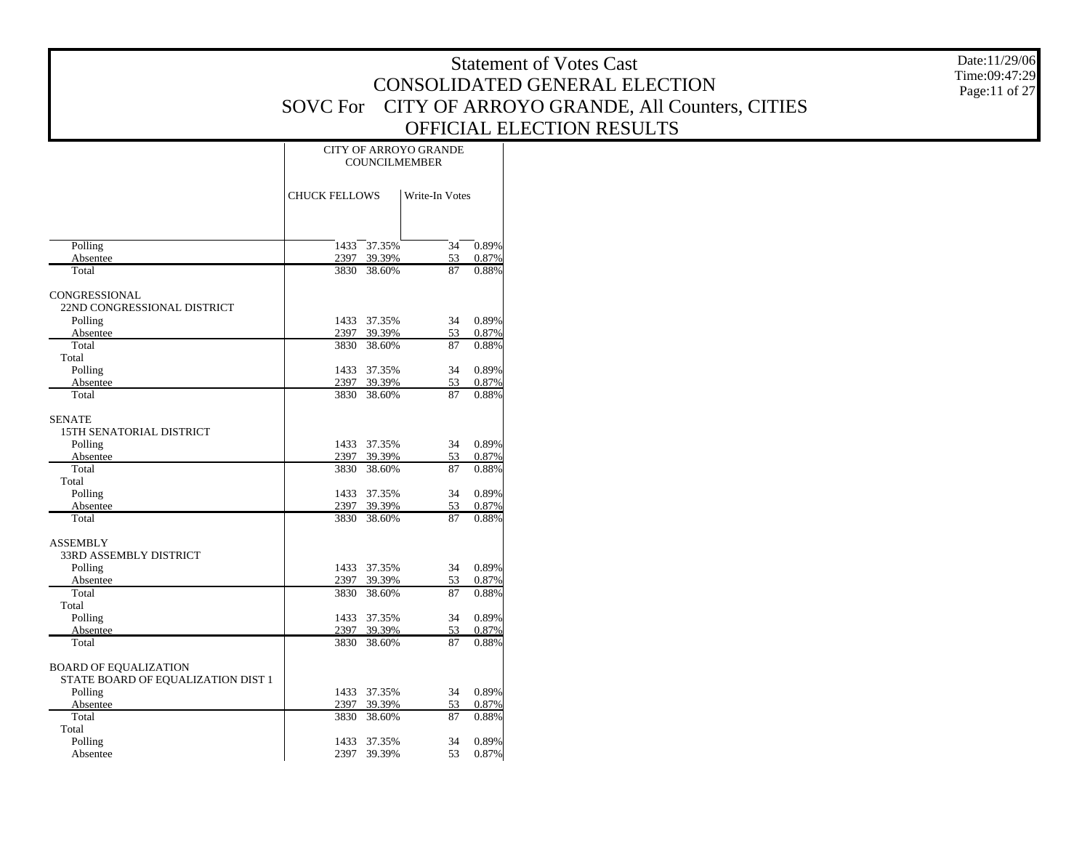Date:11/29/06 Time:09:47:29 Page:11 of 27

|                                    | CITY OF ARROYO GRANDE<br><b>COUNCILMEMBER</b> |             |                |       |  |  |  |
|------------------------------------|-----------------------------------------------|-------------|----------------|-------|--|--|--|
|                                    | <b>CHUCK FELLOWS</b>                          |             | Write-In Votes |       |  |  |  |
|                                    |                                               |             |                |       |  |  |  |
| Polling                            | 1433                                          | 37.35%      | 34             | 0.89% |  |  |  |
| Absentee                           | 2397                                          | 39.39%      | 53             | 0.87% |  |  |  |
| Total                              | 3830                                          | 38.60%      | 87             | 0.88% |  |  |  |
| CONGRESSIONAL                      |                                               |             |                |       |  |  |  |
| 22ND CONGRESSIONAL DISTRICT        |                                               |             |                |       |  |  |  |
| Polling                            | 1433                                          | 37.35%      | 34             | 0.89% |  |  |  |
| Absentee                           | 2397                                          | 39.39%      | 53             | 0.87% |  |  |  |
| Total                              | 3830                                          | 38.60%      | 87             | 0.88% |  |  |  |
| Total                              |                                               |             |                |       |  |  |  |
| Polling                            | 1433                                          | 37.35%      | 34             | 0.89% |  |  |  |
| Absentee                           | 2397                                          | 39.39%      | 53             | 0.87% |  |  |  |
| Total                              | 3830                                          | 38.60%      | 87             | 0.88% |  |  |  |
| <b>SENATE</b>                      |                                               |             |                |       |  |  |  |
| 15TH SENATORIAL DISTRICT           |                                               |             |                |       |  |  |  |
| Polling                            | 1433                                          | 37.35%      | 34             | 0.89% |  |  |  |
| Absentee                           | 2397                                          | 39.39%      | 53             | 0.87% |  |  |  |
| Total                              | 3830                                          | 38.60%      | 87             | 0.88% |  |  |  |
| Total                              |                                               |             |                |       |  |  |  |
| Polling                            | 1433                                          | 37.35%      | 34             | 0.89% |  |  |  |
| Absentee                           |                                               | 2397 39.39% | 53             | 0.87% |  |  |  |
| Total                              | 3830                                          | 38.60%      | 87             | 0.88% |  |  |  |
| <b>ASSEMBLY</b>                    |                                               |             |                |       |  |  |  |
| 33RD ASSEMBLY DISTRICT             |                                               |             |                |       |  |  |  |
| Polling                            | 1433                                          | 37.35%      | 34             | 0.89% |  |  |  |
| Absentee                           | 2397                                          | 39.39%      | 53             | 0.87% |  |  |  |
| Total                              | 3830                                          | 38.60%      | 87             | 0.88% |  |  |  |
| Total                              |                                               |             |                |       |  |  |  |
| Polling                            | 1433                                          | 37.35%      | 34             | 0.89% |  |  |  |
| Absentee                           | 2397                                          | 39.39%      | 53             | 0.87% |  |  |  |
| Total                              | 3830                                          | 38.60%      | 87             | 0.88% |  |  |  |
|                                    |                                               |             |                |       |  |  |  |
| <b>BOARD OF EQUALIZATION</b>       |                                               |             |                |       |  |  |  |
| STATE BOARD OF EQUALIZATION DIST 1 |                                               |             |                |       |  |  |  |
| Polling                            | 1433                                          | 37.35%      | 34             | 0.89% |  |  |  |
| Absentee                           | 2397                                          | 39.39%      | 53             | 0.87% |  |  |  |
| Total                              | 3830                                          | 38.60%      | 87             | 0.88% |  |  |  |
| Total                              |                                               |             |                |       |  |  |  |
| Polling                            | 1433                                          | 37.35%      | 34             | 0.89% |  |  |  |
| Absentee                           |                                               | 2397 39.39% | 53             | 0.87% |  |  |  |
|                                    |                                               |             |                |       |  |  |  |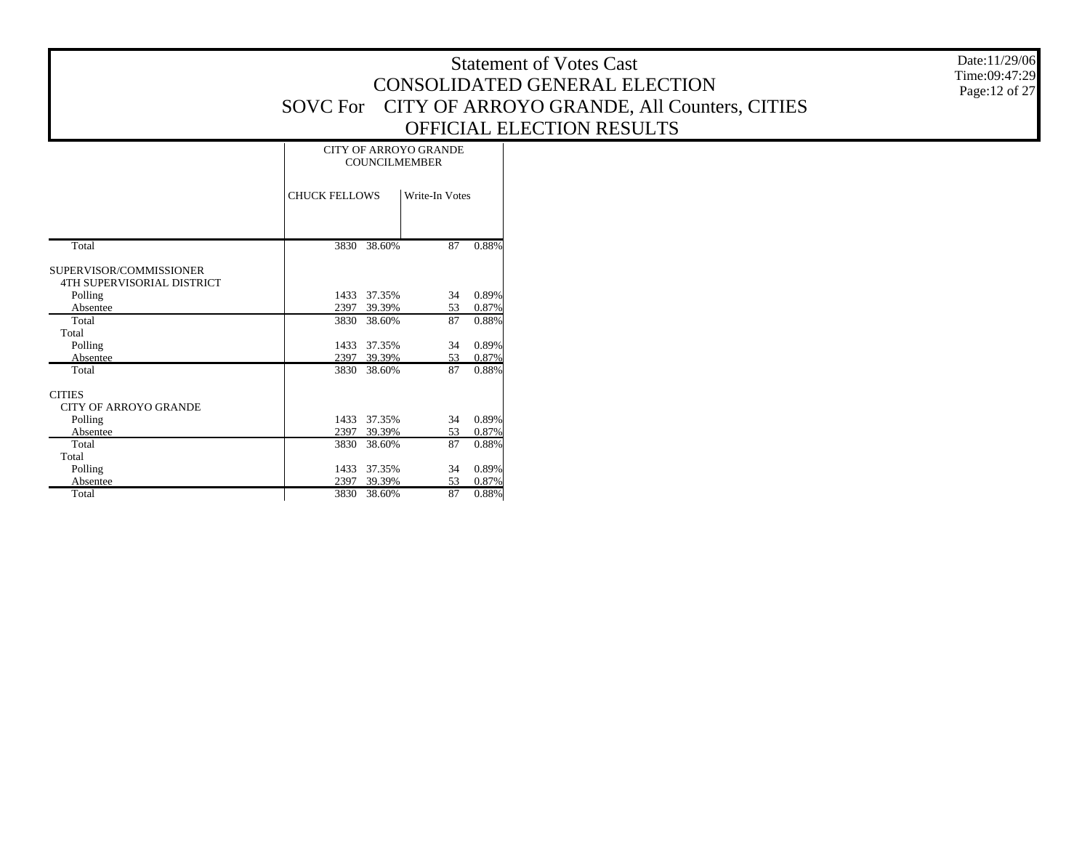Date:11/29/06 Time:09:47:29 Page:12 of 27

|                                                       | <b>CITY OF ARROYO GRANDE</b><br><b>COUNCILMEMBER</b> |                |  |  |  |  |  |  |
|-------------------------------------------------------|------------------------------------------------------|----------------|--|--|--|--|--|--|
|                                                       | <b>CHUCK FELLOWS</b>                                 | Write-In Votes |  |  |  |  |  |  |
|                                                       |                                                      |                |  |  |  |  |  |  |
| Total                                                 | 3830<br>38.60%                                       | 0.88%<br>87    |  |  |  |  |  |  |
| SUPERVISOR/COMMISSIONER<br>4TH SUPERVISORIAL DISTRICT |                                                      |                |  |  |  |  |  |  |
| Polling                                               | 1433<br>37.35%                                       | 0.89%<br>34    |  |  |  |  |  |  |
| Absentee                                              | 2397<br>39.39%                                       | 0.87%<br>53    |  |  |  |  |  |  |
| Total                                                 | 3830<br>38.60%                                       | 87<br>0.88%    |  |  |  |  |  |  |
| Total                                                 |                                                      |                |  |  |  |  |  |  |
| Polling                                               | 37.35%<br>1433                                       | 0.89%<br>34    |  |  |  |  |  |  |
| Absentee                                              | 2397<br>39.39%                                       | 0.87%<br>53    |  |  |  |  |  |  |
| Total                                                 | 38.60%<br>3830                                       | 87<br>0.88%    |  |  |  |  |  |  |
| <b>CITIES</b>                                         |                                                      |                |  |  |  |  |  |  |
| <b>CITY OF ARROYO GRANDE</b>                          |                                                      |                |  |  |  |  |  |  |
| Polling                                               | 37.35%<br>1433                                       | 0.89%<br>34    |  |  |  |  |  |  |
| Absentee                                              | 2397<br>39.39%                                       | 0.87%<br>53    |  |  |  |  |  |  |
| Total                                                 | 3830<br>38.60%                                       | 87<br>0.88%    |  |  |  |  |  |  |
| Total                                                 |                                                      |                |  |  |  |  |  |  |
| Polling                                               | 37.35%<br>1433                                       | 0.89%<br>34    |  |  |  |  |  |  |
| Absentee                                              | 2397<br>39.39%                                       | 0.87%<br>53    |  |  |  |  |  |  |
| Total                                                 | 3830<br>38.60%                                       | 87<br>0.88%    |  |  |  |  |  |  |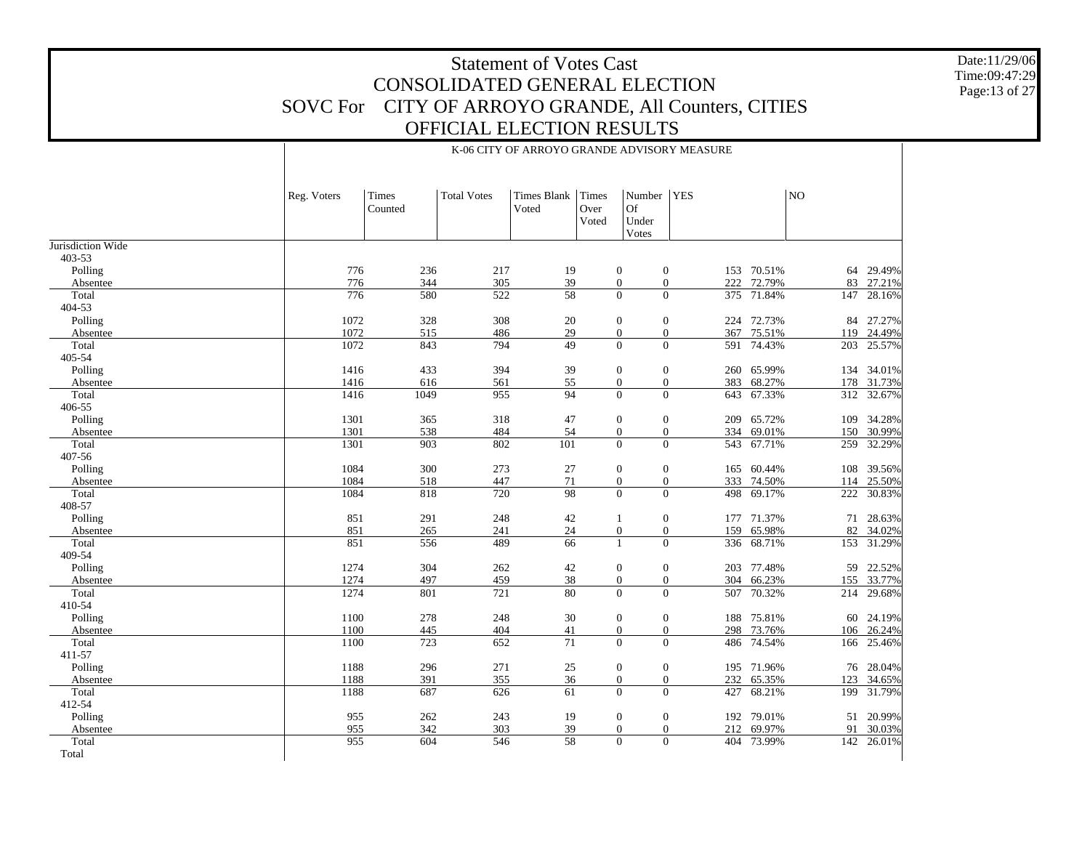Date:11/29/06 Time:09:47:29 Page:13 of 27

|                   | Reg. Voters | Times<br>Counted | <b>Total Votes</b> | <b>Times Blank</b><br>Voted | Times<br>Over<br>Voted | Number<br>Of<br>Under<br>Votes                               | <b>YES</b>                                       |                      | NO        |                  |
|-------------------|-------------|------------------|--------------------|-----------------------------|------------------------|--------------------------------------------------------------|--------------------------------------------------|----------------------|-----------|------------------|
| Jurisdiction Wide |             |                  |                    |                             |                        |                                                              |                                                  |                      |           |                  |
| 403-53            |             |                  |                    |                             |                        |                                                              |                                                  |                      |           |                  |
| Polling           | 776<br>776  | 236<br>344       | 217<br>305         | 19<br>39                    |                        | $\mathbf{0}$<br>$\mathbf{0}$<br>$\mathbf{0}$<br>$\mathbf{0}$ | 222                                              | 153 70.51%<br>72.79% | 64<br>83  | 29.49%<br>27.21% |
| Absentee<br>Total | 776         | 580              | 522                | $\overline{58}$             |                        | $\Omega$                                                     | $\Omega$                                         | 375 71.84%           | 147       | 28.16%           |
| 404-53            |             |                  |                    |                             |                        |                                                              |                                                  |                      |           |                  |
| Polling           | 1072        | 328              | 308                | 20                          |                        | $\mathbf{0}$                                                 | $\boldsymbol{0}$<br>224                          | 72.73%               | 84        | 27.27%           |
| Absentee          | 1072        | 515              | 486                | 29                          |                        | $\boldsymbol{0}$                                             | $\boldsymbol{0}$<br>367                          | 75.51%               |           | 119 24.49%       |
| Total             | 1072        | 843              | 794                | 49                          |                        | $\Omega$                                                     | $\Omega$<br>591                                  | 74.43%               | 203       | 25.57%           |
| 405-54            |             |                  |                    |                             |                        |                                                              |                                                  |                      |           |                  |
| Polling           | 1416        | 433              | 394                | 39                          |                        | $\boldsymbol{0}$<br>$\mathbf{0}$                             | 260                                              | 65.99%               | 134       | 34.01%           |
| Absentee          | 1416        | 616              | 561                | 55                          |                        | $\boldsymbol{0}$                                             | $\boldsymbol{0}$<br>383                          | 68.27%               | 178       | 31.73%           |
| Total             | 1416        | 1049             | 955                | 94                          |                        | $\mathbf{0}$                                                 | $\overline{0}$<br>643                            | 67.33%               | 312       | 32.67%           |
| 406-55            |             |                  |                    |                             |                        |                                                              |                                                  |                      |           |                  |
| Polling           | 1301        | 365              | 318                | 47                          |                        | $\boldsymbol{0}$<br>$\mathbf{0}$                             | 209                                              | 65.72%               | 109       | 34.28%           |
| Absentee          | 1301        | 538              | 484                | 54                          |                        | $\mathbf{0}$<br>$\mathbf{0}$                                 | 334                                              | 69.01%               | 150       | 30.99%           |
| Total             | 1301        | 903              | 802                | 101                         |                        | $\overline{0}$                                               | $\overline{0}$<br>543                            | 67.71%               | 259       | 32.29%           |
| 407-56            |             |                  |                    |                             |                        |                                                              |                                                  |                      |           |                  |
| Polling           | 1084        | 300              | 273                | 27                          |                        | $\boldsymbol{0}$<br>$\mathbf{0}$                             |                                                  | 165 60.44%           | 108       | 39.56%           |
| Absentee          | 1084        | 518              | 447                | 71                          |                        | $\mathbf{0}$                                                 | $\overline{0}$<br>333                            | 74.50%               | 114       | 25.50%           |
| Total             | 1084        | 818              | 720                | 98                          |                        | $\Omega$                                                     | $\Omega$<br>498                                  | 69.17%               | 222       | 30.83%           |
| 408-57            |             |                  |                    |                             |                        |                                                              |                                                  |                      |           |                  |
| Polling           | 851         | 291<br>265       | 248                | 42                          |                        | $\mathbf{0}$<br>$\mathbf{1}$                                 | 177                                              | 71.37%               | 71        | 28.63%           |
| Absentee<br>Total | 851<br>851  | 556              | 241<br>489         | 24<br>66                    |                        | $\boldsymbol{0}$<br>$\mathbf{1}$                             | $\boldsymbol{0}$<br>159<br>$\overline{0}$<br>336 | 65.98%<br>68.71%     | 82<br>153 | 34.02%<br>31.29% |
| 409-54            |             |                  |                    |                             |                        |                                                              |                                                  |                      |           |                  |
| Polling           | 1274        | 304              | 262                | 42                          |                        | $\mathbf{0}$<br>$\mathbf{0}$                                 | 203                                              | 77.48%               | 59        | 22.52%           |
| Absentee          | 1274        | 497              | 459                | 38                          |                        | $\boldsymbol{0}$                                             | 304<br>$\mathbf{0}$                              | 66.23%               | 155       | 33.77%           |
| Total             | 1274        | 801              | 721                | 80                          |                        | $\Omega$                                                     | $\overline{0}$<br>507                            | 70.32%               | 214       | 29.68%           |
| 410-54            |             |                  |                    |                             |                        |                                                              |                                                  |                      |           |                  |
| Polling           | 1100        | 278              | 248                | 30                          |                        | $\boldsymbol{0}$<br>$\mathbf{0}$                             |                                                  | 188 75.81%           |           | 60 24.19%        |
| Absentee          | 1100        | 445              | 404                | 41                          |                        | $\boldsymbol{0}$<br>$\mathbf{0}$                             | 298                                              | 73.76%               | 106       | 26.24%           |
| Total             | 1100        | 723              | 652                | 71                          |                        | $\Omega$<br>$\Omega$                                         | 486                                              | 74.54%               | 166       | 25.46%           |
| 411-57            |             |                  |                    |                             |                        |                                                              |                                                  |                      |           |                  |
| Polling           | 1188        | 296              | 271                | 25                          |                        | $\boldsymbol{0}$                                             | $\boldsymbol{0}$                                 | 195 71.96%           |           | 76 28.04%        |
| Absentee          | 1188        | 391              | 355                | 36                          |                        | $\mathbf{0}$                                                 | $\boldsymbol{0}$<br>232                          | 65.35%               | 123       | 34.65%           |
| Total             | 1188        | 687              | 626                | 61                          |                        | $\mathbf{0}$                                                 | $\overline{0}$<br>427                            | 68.21%               | 199       | 31.79%           |
| 412-54            |             |                  |                    |                             |                        |                                                              |                                                  |                      |           |                  |
| Polling           | 955         | 262              | 243                | 19                          |                        | $\mathbf{0}$                                                 | $\boldsymbol{0}$<br>192                          | 79.01%               | 51        | 20.99%           |
| Absentee          | 955         | 342              | 303                | 39                          |                        | $\mathbf{0}$                                                 | $\mathbf{0}$<br>212                              | 69.97%               | 91        | 30.03%           |
| Total             | 955         | 604              | 546                | 58                          |                        | $\mathbf{0}$                                                 | $\overline{0}$                                   | 404 73.99%           | 142       | 26.01%           |

Total

#### K-06 CITY OF ARROYO GRANDE ADVISORY MEASURE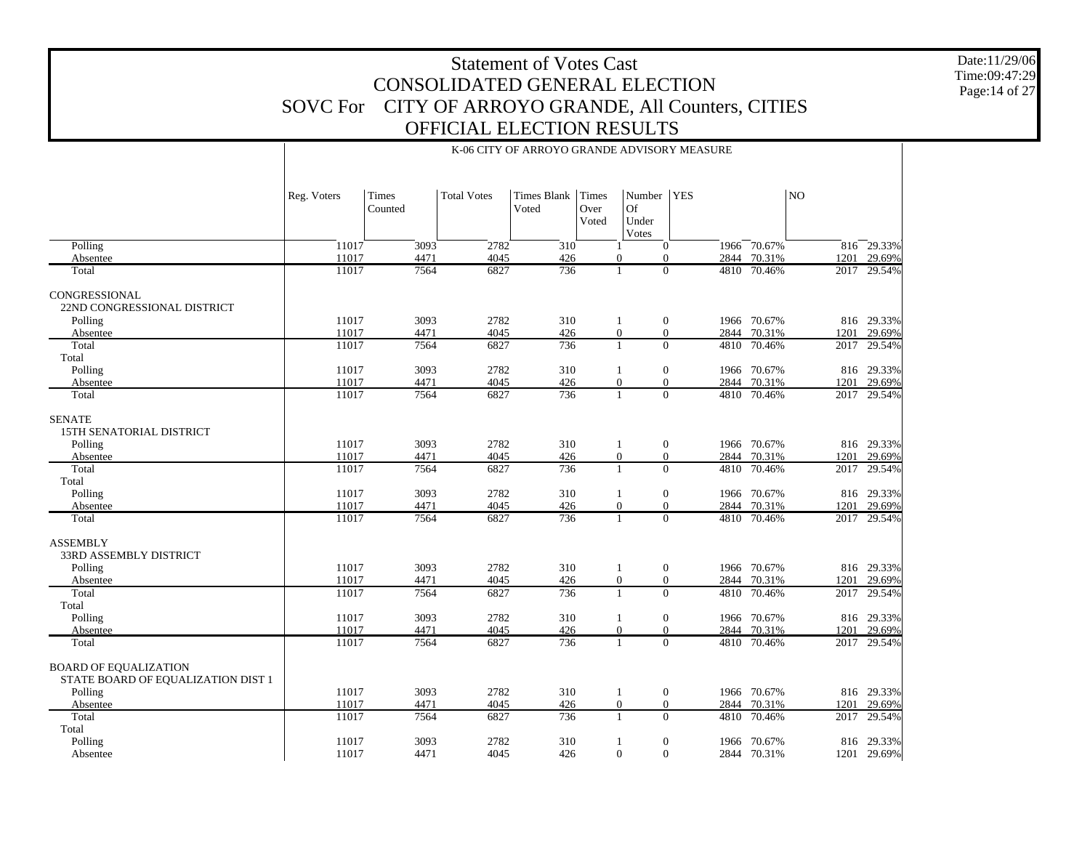Date:11/29/06 Time:09:47:29 Page:14 of 27

|                                                                    | Reg. Voters    | Times<br>Counted | <b>Total Votes</b> | Times Blank<br>Voted | Times<br>Over<br>Voted | Number<br>Of<br>Under<br>Votes                        | <b>YES</b>             |                       | NO           |                      |
|--------------------------------------------------------------------|----------------|------------------|--------------------|----------------------|------------------------|-------------------------------------------------------|------------------------|-----------------------|--------------|----------------------|
| Polling                                                            | 11017          | 3093             | 2782               | 310                  |                        | $\mathbf{0}$                                          |                        | 1966 70.67%           |              | $816 - 29.33%$       |
| Absentee<br>Total                                                  | 11017<br>11017 | 4471<br>7564     | 4045<br>6827       | 426<br>736           |                        | $\mathbf{0}$<br>$\Omega$<br>$\Omega$<br>1             | 2844<br>4810           | 70.31%<br>70.46%      | 1201<br>2017 | 29.69%<br>29.54%     |
|                                                                    |                |                  |                    |                      |                        |                                                       |                        |                       |              |                      |
| <b>CONGRESSIONAL</b><br>22ND CONGRESSIONAL DISTRICT                |                |                  |                    |                      |                        |                                                       |                        |                       |              |                      |
| Polling<br>Absentee                                                | 11017<br>11017 | 3093<br>4471     | 2782<br>4045       | 310<br>426           |                        | $\mathbf{0}$<br>1<br>$\boldsymbol{0}$<br>$\mathbf{0}$ | 2844                   | 1966 70.67%<br>70.31% | 1201         | 816 29.33%<br>29.69% |
| Total                                                              | 11017          | 7564             | 6827               | 736                  |                        | $\Omega$<br>1                                         | 4810                   | 70.46%                | 2017         | 29.54%               |
| Total                                                              |                |                  |                    |                      |                        |                                                       |                        |                       |              |                      |
| Polling                                                            | 11017          | 3093             | 2782               | 310                  |                        | $\mathbf{0}$<br>1                                     | 1966                   | 70.67%                |              | 816 29.33%           |
| Absentee                                                           | 11017          | 4471             | 4045               | 426                  |                        | $\mathbf{0}$<br>$\mathbf{0}$                          | 2844                   | 70.31%                | 1201         | 29.69%               |
| Total                                                              | 11017          | 7564             | 6827               | 736                  |                        | $\Omega$<br>$\mathbf{1}$                              | 4810                   | 70.46%                | 2017         | 29.54%               |
| <b>SENATE</b><br><b>15TH SENATORIAL DISTRICT</b>                   |                |                  |                    |                      |                        |                                                       |                        |                       |              |                      |
| Polling                                                            | 11017          | 3093             | 2782               | 310                  |                        | $\mathbf{0}$<br>1                                     |                        | 1966 70.67%           |              | 816 29.33%           |
| Absentee                                                           | 11017<br>11017 | 4471<br>7564     | 4045               | 426                  |                        | $\mathbf{0}$<br>$\Omega$<br>$\mathbf{1}$              | $\overline{0}$<br>2844 | 70.31%                | 1201         | 29.69%               |
| Total<br>Total                                                     |                |                  | 6827               | 736                  |                        |                                                       | 4810                   | 70.46%                | 2017         | 29.54%               |
| Polling                                                            | 11017          | 3093             | 2782               | 310                  |                        | $\mathbf{0}$<br>1                                     |                        | 1966 70.67%           |              | 816 29.33%           |
| Absentee                                                           | 11017          | 4471             | 4045               | 426                  |                        | $\mathbf{0}$<br>$\mathbf{0}$                          | 2844                   | 70.31%                | 1201         | 29.69%               |
| Total                                                              | 11017          | 7564             | 6827               | 736                  |                        | $\Omega$<br>$\mathbf{1}$                              |                        | 4810 70.46%           | 2017         | 29.54%               |
| <b>ASSEMBLY</b><br><b>33RD ASSEMBLY DISTRICT</b>                   |                |                  |                    |                      |                        |                                                       |                        |                       |              |                      |
| Polling                                                            | 11017          | 3093             | 2782               | 310                  |                        | $\boldsymbol{0}$<br>1                                 |                        | 1966 70.67%           |              | 816 29.33%           |
| Absentee                                                           | 11017          | 4471             | 4045               | 426                  |                        | $\boldsymbol{0}$<br>$\mathbf{0}$                      | 2844                   | 70.31%                | 1201         | 29.69%               |
| Total<br>Total                                                     | 11017          | 7564             | 6827               | 736                  |                        | $\mathbf{0}$<br>$\mathbf{1}$                          | 4810                   | 70.46%                | 2017         | 29.54%               |
| Polling                                                            | 11017          | 3093             | 2782               | 310                  |                        | $\mathbf{0}$<br>1                                     |                        | 1966 70.67%           |              | 816 29.33%           |
| Absentee                                                           | 11017          | 4471             | 4045               | 426                  |                        | $\theta$<br>$\mathbf{0}$                              | 2844                   | 70.31%                | 1201         | 29.69%               |
| Total                                                              | 11017          | 7564             | 6827               | 736                  |                        | $\Omega$<br>$\mathbf{1}$                              | 4810                   | 70.46%                | 2017         | 29.54%               |
| <b>BOARD OF EQUALIZATION</b><br>STATE BOARD OF EQUALIZATION DIST 1 |                |                  |                    |                      |                        |                                                       |                        |                       |              |                      |
| Polling                                                            | 11017          | 3093             | 2782               | 310                  |                        | $\mathbf{0}$<br>$\mathbf{1}$                          |                        | 1966 70.67%           |              | 816 29.33%           |
| Absentee                                                           | 11017          | 4471             | 4045               | 426                  |                        | $\boldsymbol{0}$<br>$\mathbf{0}$                      | 2844                   | 70.31%                | 1201         | 29.69%               |
| Total                                                              | 11017          | 7564             | 6827               | 736                  |                        | $\Omega$<br>$\mathbf{1}$                              | 4810                   | 70.46%                | 2017         | 29.54%               |
| Total<br>Polling                                                   | 11017          | 3093             | 2782               | 310                  | -1                     | $\boldsymbol{0}$                                      | 1966                   | 70.67%                |              | 816 29.33%           |
| Absentee                                                           | 11017          | 4471             | 4045               | 426                  |                        | $\mathbf{0}$<br>$\overline{0}$                        |                        | 2844 70.31%           |              | 1201 29.69%          |

 $\mathbf{I}$ 

#### K-06 CITY OF ARROYO GRANDE ADVISORY MEASURE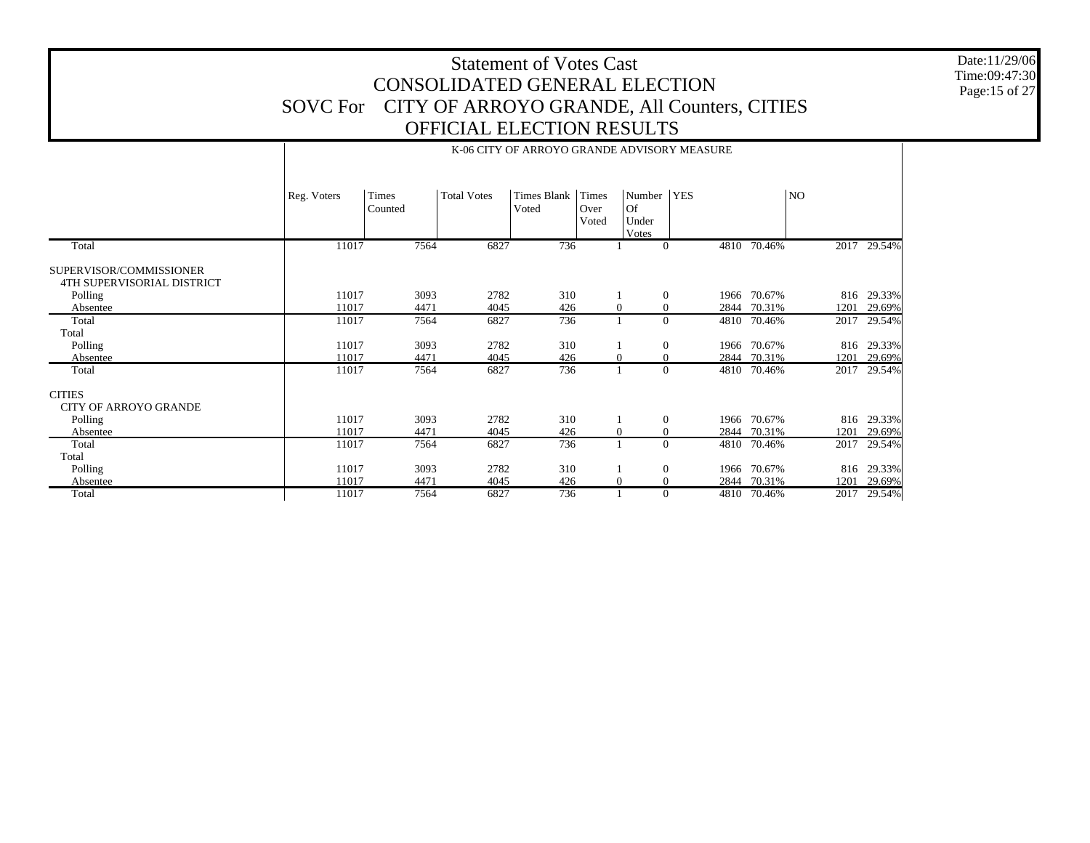Date:11/29/06 Time:09:47:30 Page:15 of 27

|                                                       |             | K-06 CITY OF ARROYO GRANDE ADVISORY MEASURE |                    |                      |                        |                                |            |             |      |             |  |  |
|-------------------------------------------------------|-------------|---------------------------------------------|--------------------|----------------------|------------------------|--------------------------------|------------|-------------|------|-------------|--|--|
|                                                       | Reg. Voters | Times<br>Counted                            | <b>Total Votes</b> | Times Blank<br>Voted | Times<br>Over<br>Voted | Number<br>Of<br>Under<br>Votes | <b>YES</b> |             | NO.  |             |  |  |
| Total                                                 | 11017       | 7564                                        | 6827               | 736                  |                        | $\Omega$                       | 4810       | 70.46%      | 2017 | 29.54%      |  |  |
| SUPERVISOR/COMMISSIONER<br>4TH SUPERVISORIAL DISTRICT |             |                                             |                    |                      |                        |                                |            |             |      |             |  |  |
| Polling                                               | 11017       | 3093                                        | 2782               | 310                  |                        | $\theta$                       | 1966       | 70.67%      |      | 816 29.33%  |  |  |
| Absentee                                              | 11017       | 4471                                        | 4045               | 426                  |                        | $\mathbf{0}$<br>0              | 2844       | 70.31%      | 1201 | 29.69%      |  |  |
| Total                                                 | 11017       | 7564                                        | 6827               | 736                  |                        | $\Omega$                       | 4810       | 70.46%      | 2017 | 29.54%      |  |  |
| Total                                                 |             |                                             |                    |                      |                        |                                |            |             |      |             |  |  |
| Polling                                               | 11017       | 3093                                        | 2782               | 310                  |                        | $\mathbf{0}$                   |            | 1966 70.67% | 816  | 29.33%      |  |  |
| Absentee                                              | 11017       | 4471                                        | 4045               | 426                  |                        | $\theta$<br>$\mathbf{0}$       | 2844       | 70.31%      | 1201 | 29.69%      |  |  |
| Total                                                 | 11017       | 7564                                        | 6827               | 736                  |                        | $\theta$                       |            | 4810 70.46% | 2017 | 29.54%      |  |  |
| <b>CITIES</b><br><b>CITY OF ARROYO GRANDE</b>         |             |                                             |                    |                      |                        |                                |            |             |      |             |  |  |
| Polling                                               | 11017       | 3093                                        | 2782               | 310                  |                        | $\theta$                       | 1966       | 70.67%      | 816  | 29.33%      |  |  |
| Absentee                                              | 11017       | 4471                                        | 4045               | 426                  |                        | $\mathbf{0}$<br>$\theta$       | 2844       | 70.31%      | 1201 | 29.69%      |  |  |
| Total                                                 | 11017       | 7564                                        | 6827               | 736                  |                        | $\Omega$                       | 4810       | 70.46%      | 2017 | 29.54%      |  |  |
| Total                                                 |             |                                             |                    |                      |                        |                                |            |             |      |             |  |  |
| Polling                                               | 11017       | 3093                                        | 2782               | 310                  |                        | $\mathbf{0}$                   | 1966       | 70.67%      | 816  | 29.33%      |  |  |
| Absentee                                              | 11017       | 4471                                        | 4045               | 426                  |                        | $\theta$<br>$\mathbf{0}$       | 2844       | 70.31%      | 1201 | 29.69%      |  |  |
| Total                                                 | 11017       | 7564                                        | 6827               | 736                  |                        | $\Omega$                       |            | 4810 70.46% |      | 2017 29.54% |  |  |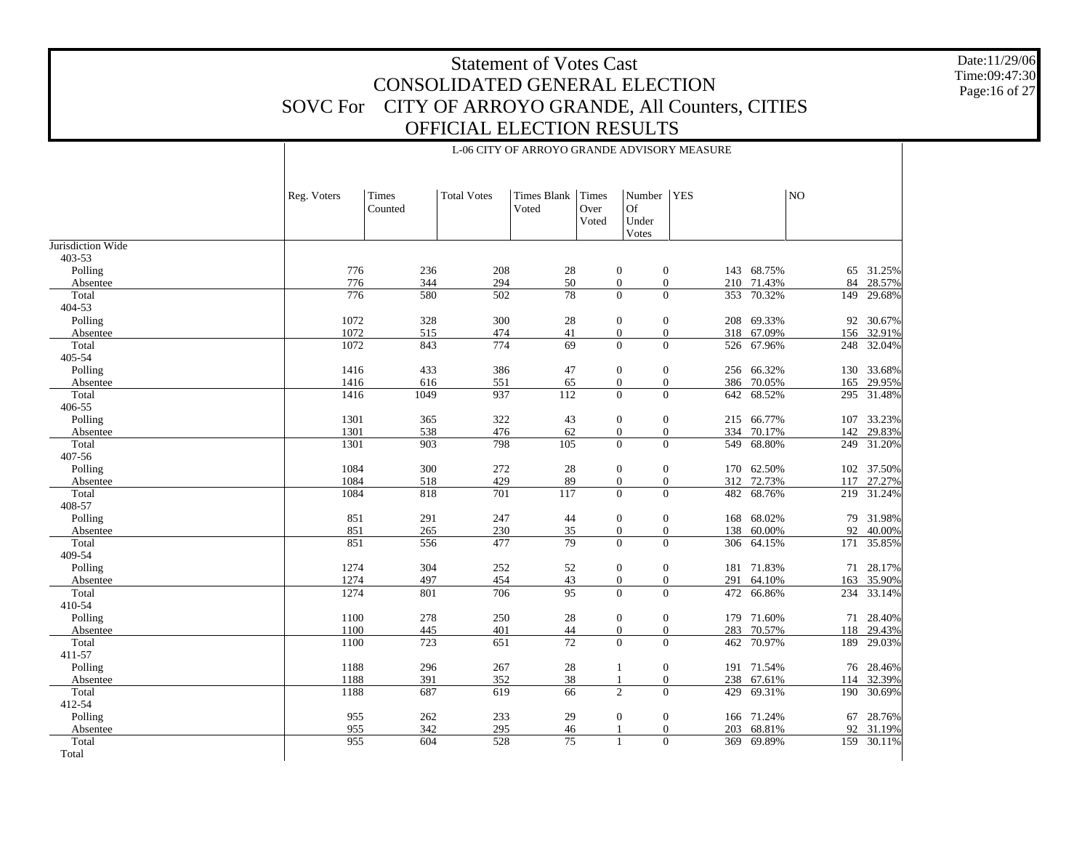Date:11/29/06 Time:09:47:30 Page:16 of 27

|                     | Reg. Voters | Times<br>Counted | <b>Total Votes</b> | <b>Times Blank</b><br>Voted | <b>Times</b><br>Over<br>Voted | Number<br><b>Of</b><br>Under<br>Votes                                | <b>YES</b>     |            | N <sub>O</sub> |            |
|---------------------|-------------|------------------|--------------------|-----------------------------|-------------------------------|----------------------------------------------------------------------|----------------|------------|----------------|------------|
| Jurisdiction Wide   |             |                  |                    |                             |                               |                                                                      |                |            |                |            |
| 403-53              |             |                  |                    |                             |                               |                                                                      |                |            |                |            |
| Polling             | 776         | 236              | 208                | 28                          |                               | $\mathbf{0}$<br>$\boldsymbol{0}$                                     |                | 143 68.75% | 65             | 31.25%     |
| Absentee            | 776         | 344              | 294                | 50                          |                               | $\mathbf{0}$<br>$\boldsymbol{0}$                                     |                | 210 71.43% | 84             | 28.57%     |
| Total<br>404-53     | 776         | 580              | 502                | $\overline{78}$             |                               | $\overline{0}$<br>$\overline{0}$                                     | 353            | 70.32%     | 149            | 29.68%     |
|                     | 1072        |                  |                    |                             |                               |                                                                      |                | 208 69.33% |                | 92 30.67%  |
| Polling<br>Absentee | 1072        | 328<br>515       | 300<br>474         | 28<br>41                    |                               | $\boldsymbol{0}$<br>$\mathbf{0}$<br>$\boldsymbol{0}$<br>$\mathbf{0}$ | 318            | 67.09%     | 156            | 32.91%     |
| Total               | 1072        | 843              | 774                | 69                          |                               | $\overline{0}$<br>$\overline{0}$                                     | 526            | 67.96%     | 248            | 32.04%     |
| 405-54              |             |                  |                    |                             |                               |                                                                      |                |            |                |            |
| Polling             | 1416        | 433              | 386                | 47                          |                               | $\boldsymbol{0}$<br>$\mathbf{0}$                                     |                | 256 66.32% | 130            | 33.68%     |
| Absentee            | 1416        | 616              | 551                | 65                          |                               | $\overline{0}$<br>$\boldsymbol{0}$                                   | 386            | 70.05%     | 165            | 29.95%     |
| Total               | 1416        | 1049             | 937                | 112                         |                               | $\overline{0}$<br>$\overline{0}$                                     | 642            | 68.52%     | 295            | 31.48%     |
| 406-55              |             |                  |                    |                             |                               |                                                                      |                |            |                |            |
| Polling             | 1301        | 365              | 322                | 43                          |                               | $\boldsymbol{0}$<br>$\mathbf{0}$                                     |                | 215 66.77% | 107            | 33.23%     |
| Absentee            | 1301        | 538              | 476                | 62                          |                               | $\mathbf{0}$<br>$\mathbf{0}$                                         |                | 334 70.17% | 142            | 29.83%     |
| Total               | 1301        | 903              | 798                | 105                         |                               | $\boldsymbol{0}$<br>$\boldsymbol{0}$                                 | 549            | 68.80%     | 249            | 31.20%     |
| 407-56              |             |                  |                    |                             |                               |                                                                      |                |            |                |            |
| Polling             | 1084        | 300              | 272                | 28                          |                               | $\boldsymbol{0}$<br>$\mathbf{0}$                                     |                | 170 62.50% |                | 102 37.50% |
| Absentee            | 1084        | 518              | 429                | 89                          |                               | $\mathbf{0}$<br>$\boldsymbol{0}$                                     | 312            | 72.73%     | 117            | 27.27%     |
| Total               | 1084        | 818              | 701                | 117                         |                               | $\overline{0}$<br>$\mathbf{0}$                                       |                | 482 68.76% |                | 219 31.24% |
| 408-57              |             |                  |                    |                             |                               |                                                                      |                |            |                |            |
| Polling             | 851         | 291              | 247                | 44                          |                               | $\mathbf{0}$<br>$\boldsymbol{0}$                                     | 168            | 68.02%     | 79             | 31.98%     |
| Absentee            | 851         | 265              | 230                | 35                          |                               | $\boldsymbol{0}$<br>$\mathbf{0}$                                     | 138            | 60.00%     | 92             | 40.00%     |
| Total               | 851         | 556              | 477                | 79                          |                               | $\overline{0}$<br>$\overline{0}$                                     | 306            | 64.15%     | 171            | 35.85%     |
| 409-54              |             |                  |                    |                             |                               |                                                                      |                |            |                |            |
| Polling             | 1274        | 304              | 252                | 52                          |                               | $\mathbf{0}$<br>$\mathbf{0}$                                         | 181            | 71.83%     | 71             | 28.17%     |
| Absentee            | 1274        | 497              | 454                | 43<br>95                    |                               | $\overline{0}$<br>$\overline{0}$                                     | 291            | 64.10%     | 163            | 35.90%     |
| Total<br>410-54     | 1274        | 801              | 706                |                             |                               | $\overline{0}$                                                       | $\overline{0}$ | 472 66.86% | 234            | 33.14%     |
| Polling             | 1100        | 278              | 250                | 28                          |                               | $\boldsymbol{0}$<br>$\mathbf{0}$                                     |                | 179 71.60% |                | 71 28.40%  |
| Absentee            | 1100        | 445              | 401                | 44                          |                               | $\boldsymbol{0}$<br>$\overline{0}$                                   | 283            | 70.57%     | 118            | 29.43%     |
| Total               | 1100        | 723              | 651                | 72                          |                               | $\Omega$<br>$\Omega$                                                 | 462            | 70.97%     | 189            | 29.03%     |
| 411-57              |             |                  |                    |                             |                               |                                                                      |                |            |                |            |
| Polling             | 1188        | 296              | 267                | 28                          |                               | $\boldsymbol{0}$<br>1                                                |                | 191 71.54% |                | 76 28.46%  |
| Absentee            | 1188        | 391              | 352                | 38                          |                               | $\boldsymbol{0}$<br>$\mathbf{1}$                                     |                | 238 67.61% | 114            | 32.39%     |
| Total               | 1188        | 687              | 619                | 66                          |                               | $\overline{c}$<br>$\overline{0}$                                     | 429            | 69.31%     | 190            | 30.69%     |
| 412-54              |             |                  |                    |                             |                               |                                                                      |                |            |                |            |
| Polling             | 955         | 262              | 233                | 29                          |                               | $\boldsymbol{0}$<br>$\mathbf{0}$                                     | 166            | 71.24%     | 67             | 28.76%     |
| Absentee            | 955         | 342              | 295                | 46                          |                               | $\overline{0}$                                                       | 203            | 68.81%     | 92             | 31.19%     |
| Total               | 955         | 604              | 528                | 75                          |                               | $\overline{0}$<br>$\mathbf{1}$                                       |                | 369 69.89% |                | 159 30.11% |

Total

#### L-06 CITY OF ARROYO GRANDE ADVISORY MEASURE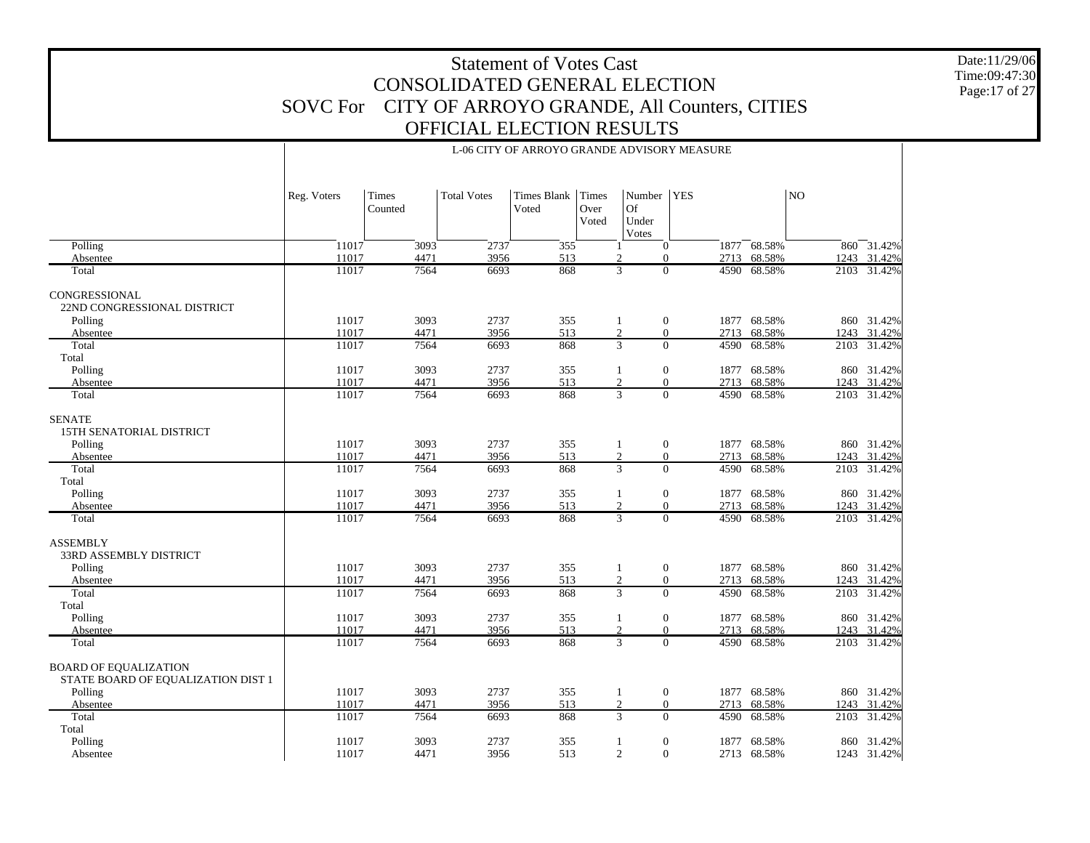L-06 CITY OF ARROYO GRANDE ADVISORY MEASURE

Date:11/29/06 Time:09:47:30 Page:17 of 27

|                                                                               | Reg. Voters    | Times<br>Counted | <b>Total Votes</b> | <b>Times Blank</b><br>Voted | Times<br>Over<br>Voted | Number   YES<br>Of<br>Under<br>Votes                               |              |                       | NO   |                            |
|-------------------------------------------------------------------------------|----------------|------------------|--------------------|-----------------------------|------------------------|--------------------------------------------------------------------|--------------|-----------------------|------|----------------------------|
| Polling                                                                       | 11017          | 3093             | 2737               | 355                         |                        | $\mathbf{0}$                                                       |              | 1877 68.58%           |      | 860 31.42%                 |
| Absentee                                                                      | 11017          | 4471             | 3956               | 513                         |                        | $\overline{2}$<br>$\Omega$                                         | 2713         | 68.58%                |      | 1243 31.42%                |
| Total                                                                         | 11017          | 7564             | 6693               | 868                         |                        | 3<br>$\mathbf{0}$                                                  | 4590         | 68.58%                |      | 2103 31.42%                |
| <b>CONGRESSIONAL</b><br>22ND CONGRESSIONAL DISTRICT                           |                |                  |                    |                             |                        |                                                                    |              |                       |      |                            |
| Polling                                                                       | 11017          | 3093             | 2737               | 355                         |                        | $\boldsymbol{0}$<br>$\mathbf{1}$                                   |              | 1877 68.58%           |      | 860 31.42%                 |
| Absentee<br>Total                                                             | 11017<br>11017 | 4471<br>7564     | 3956<br>6693       | 513<br>868                  |                        | 2<br>$\mathbf{0}$<br>$\overline{3}$<br>$\overline{0}$              | 2713<br>4590 | 68.58%<br>68.58%      |      | 1243 31.42%<br>2103 31.42% |
| Total                                                                         |                |                  |                    |                             |                        |                                                                    |              |                       |      |                            |
| Polling                                                                       | 11017          | 3093             | 2737               | 355                         |                        | $\boldsymbol{0}$<br>1                                              | 1877         | 68.58%                |      | 860 31.42%                 |
| Absentee                                                                      | 11017          | 4471             | 3956               | 513                         |                        | $\overline{0}$<br>$\overline{c}$                                   | 2713         | 68.58%                |      | 1243 31.42%                |
| Total                                                                         | 11017          | 7564             | 6693               | 868                         |                        | $\overline{0}$<br>3                                                | 4590         | 68.58%                |      | 2103 31.42%                |
| <b>SENATE</b><br>15TH SENATORIAL DISTRICT<br>Polling<br>Absentee              | 11017<br>11017 | 3093<br>4471     | 2737<br>3956       | 355<br>513                  |                        | $\boldsymbol{0}$<br>$\mathbf{1}$<br>$\overline{c}$<br>$\mathbf{0}$ | 1877<br>2713 | 68.58%<br>68.58%      |      | 860 31.42%<br>1243 31.42%  |
| Total                                                                         | 11017          | 7564             | 6693               | 868                         |                        | $\overline{3}$<br>$\mathbf{0}$                                     | 4590         | 68.58%                |      | 2103 31.42%                |
| Total<br>Polling<br>Absentee                                                  | 11017<br>11017 | 3093<br>4471     | 2737<br>3956       | 355<br>513                  |                        | $\mathbf{0}$<br>1<br>2<br>$\Omega$                                 | 1877         | 68.58%<br>2713 68.58% |      | 860 31.42%<br>1243 31.42%  |
| Total                                                                         | 11017          | 7564             | 6693               | 868                         |                        | $\overline{0}$<br>3                                                | 4590         | 68.58%                |      | 2103 31.42%                |
| <b>ASSEMBLY</b><br><b>33RD ASSEMBLY DISTRICT</b>                              |                |                  |                    |                             |                        |                                                                    |              |                       |      |                            |
| Polling                                                                       | 11017          | 3093             | 2737               | 355                         |                        | $\boldsymbol{0}$<br>$\mathbf{1}$                                   |              | 1877 68.58%           |      | 860 31.42%                 |
| Absentee<br>Total                                                             | 11017<br>11017 | 4471<br>7564     | 3956<br>6693       | 513<br>868                  |                        | $\sqrt{2}$<br>$\mathbf{0}$<br>$\overline{3}$<br>$\overline{0}$     | 2713<br>4590 | 68.58%<br>68.58%      | 1243 | 31.42%<br>2103 31.42%      |
| Total                                                                         |                |                  |                    |                             |                        |                                                                    |              |                       |      |                            |
| Polling                                                                       | 11017          | 3093             | 2737               | 355                         |                        | $\boldsymbol{0}$<br>$\mathbf{1}$                                   |              | 1877 68.58%           |      | 860 31.42%                 |
| Absentee                                                                      | 11017          | 4471             | 3956               | 513                         |                        | 2<br>$\Omega$                                                      | 2713         | 68.58%                |      | 1243 31.42%                |
| Total                                                                         | 11017          | 7564             | 6693               | 868                         |                        | $\overline{3}$<br>$\overline{0}$                                   | 4590         | 68.58%                |      | 2103 31.42%                |
| <b>BOARD OF EQUALIZATION</b><br>STATE BOARD OF EQUALIZATION DIST 1<br>Polling | 11017          | 3093             | 2737               | 355                         |                        | $\mathbf{0}$<br>$\mathbf{1}$                                       |              | 1877 68.58%           |      | 860 31.42%                 |
| Absentee                                                                      | 11017          | 4471             | 3956               | 513                         |                        | $\overline{c}$<br>$\mathbf{0}$                                     | 2713         | 68.58%                |      | 1243 31.42%                |
| Total                                                                         | 11017          | 7564             | 6693               | 868                         |                        | 3<br>$\Omega$                                                      | 4590         | 68.58%                | 2103 | 31.42%                     |
| Total                                                                         |                |                  |                    |                             |                        |                                                                    |              |                       |      |                            |
| Polling<br>Absentee                                                           | 11017<br>11017 | 3093<br>4471     | 2737<br>3956       | 355<br>513                  |                        | $\boldsymbol{0}$<br>1<br>$\overline{c}$<br>$\overline{0}$          | 1877         | 68.58%<br>2713 68.58% |      | 860 31.42%<br>1243 31.42%  |

 $\mathbf{I}$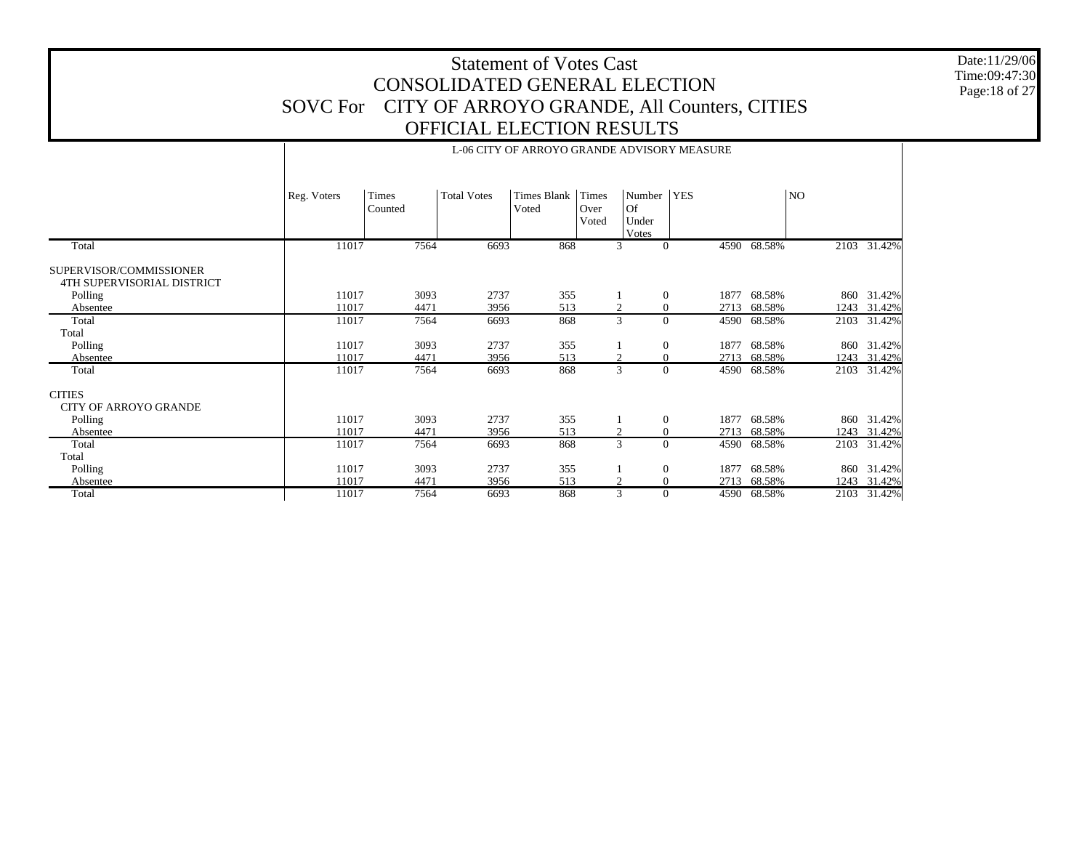Date:11/29/06 Time:09:47:30 Page:18 of 27

|                                                       |             | L-00 CH T OF ANNOTO UNAINDE AD VISON FINEASUNE |                    |                      |                        |                                         |                          |             |      |             |  |  |  |  |
|-------------------------------------------------------|-------------|------------------------------------------------|--------------------|----------------------|------------------------|-----------------------------------------|--------------------------|-------------|------|-------------|--|--|--|--|
|                                                       | Reg. Voters | Times<br>Counted                               | <b>Total Votes</b> | Times Blank<br>Voted | Times<br>Over<br>Voted | Number  <br><b>Of</b><br>Under<br>Votes | <b>YES</b>               |             | NO   |             |  |  |  |  |
| Total                                                 | 11017       | 7564                                           | 6693               | 868                  |                        | 3                                       | $\mathbf{0}$             | 4590 68.58% |      | 2103 31.42% |  |  |  |  |
| SUPERVISOR/COMMISSIONER<br>4TH SUPERVISORIAL DISTRICT |             |                                                |                    |                      |                        |                                         |                          |             |      |             |  |  |  |  |
| Polling                                               | 11017       | 3093                                           | 2737               | 355                  |                        |                                         | $\boldsymbol{0}$<br>1877 | 68.58%      | 860  | 31.42%      |  |  |  |  |
| Absentee                                              | 11017       | 4471                                           | 3956               | 513                  |                        | 2                                       | 2713<br>$\boldsymbol{0}$ | 68.58%      | 1243 | 31.42%      |  |  |  |  |
| Total                                                 | 11017       | 7564                                           | 6693               | 868                  |                        | 3                                       | $\Omega$                 | 4590 68.58% | 2103 | 31.42%      |  |  |  |  |
| Total                                                 |             |                                                |                    |                      |                        |                                         |                          |             |      |             |  |  |  |  |
| Polling                                               | 11017       | 3093                                           | 2737               | 355                  |                        |                                         | $\boldsymbol{0}$<br>1877 | 68.58%      | 860  | 31.42%      |  |  |  |  |
| Absentee                                              | 11017       | 4471                                           | 3956               | 513                  |                        | 2                                       | $\overline{0}$<br>2713   | 68.58%      | 1243 | 31.42%      |  |  |  |  |
| Total                                                 | 11017       | 7564                                           | 6693               | 868                  |                        | 3                                       | $\Omega$                 | 4590 68.58% |      | 2103 31.42% |  |  |  |  |
| <b>CITIES</b><br><b>CITY OF ARROYO GRANDE</b>         |             |                                                |                    |                      |                        |                                         |                          |             |      |             |  |  |  |  |
| Polling                                               | 11017       | 3093                                           | 2737               | 355                  |                        |                                         | $\mathbf{0}$<br>1877     | 68.58%      | 860  | 31.42%      |  |  |  |  |
| Absentee                                              | 11017       | 4471                                           | 3956               | 513                  |                        | $\overline{c}$                          | $\mathbf{0}$<br>2713     | 68.58%      | 1243 | 31.42%      |  |  |  |  |
| Total                                                 | 11017       | 7564                                           | 6693               | 868                  |                        | $\overline{3}$                          | $\Omega$<br>4590         | 68.58%      | 2103 | 31.42%      |  |  |  |  |
| Total                                                 |             |                                                |                    |                      |                        |                                         |                          |             |      |             |  |  |  |  |
| Polling                                               | 11017       | 3093                                           | 2737               | 355                  |                        |                                         | $\boldsymbol{0}$<br>1877 | 68.58%      | 860  | 31.42%      |  |  |  |  |
| Absentee                                              | 11017       | 4471                                           | 3956               | 513                  |                        | $\overline{2}$                          | $\mathbf{0}$<br>2713     | 68.58%      | 1243 | 31.42%      |  |  |  |  |
| Total                                                 | 11017       | 7564                                           | 6693               | 868                  |                        | 3                                       | $\Omega$                 | 4590 68.58% | 2103 | 31.42%      |  |  |  |  |

T

#### L-06 CITY OF ARROYO GRANDE ADVISORY MEASURE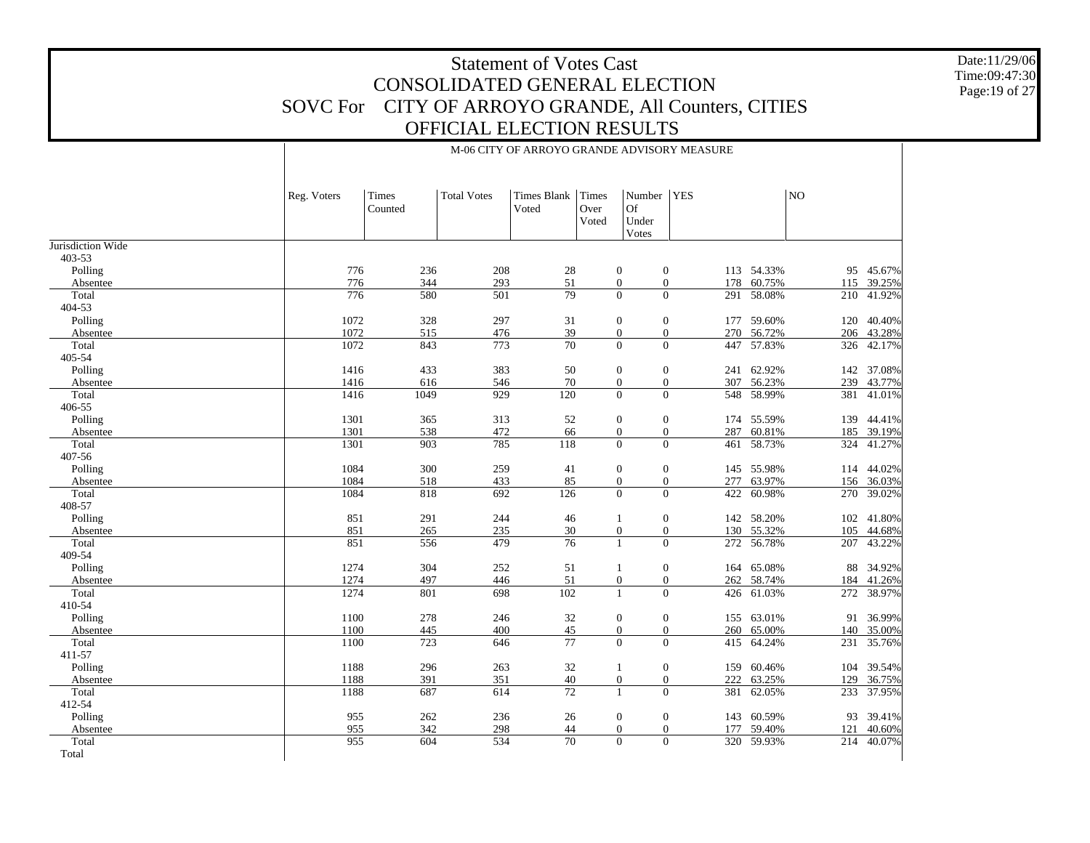Date:11/29/06 Time:09:47:30 Page:19 of 27

|                             | Reg. Voters  | Times<br>Counted | <b>Total Votes</b> | <b>Times Blank</b><br>Voted | Times<br>Over<br>Voted | Number   YES<br>Of<br>Under<br>Votes |                                                |                  | NO         |                  |
|-----------------------------|--------------|------------------|--------------------|-----------------------------|------------------------|--------------------------------------|------------------------------------------------|------------------|------------|------------------|
| Jurisdiction Wide<br>403-53 |              |                  |                    |                             |                        |                                      |                                                |                  |            |                  |
| Polling                     | 776          | 236              | 208                | 28                          |                        | $\mathbf{0}$                         | $\boldsymbol{0}$                               | 113 54.33%       |            | 95 45.67%        |
| Absentee                    | 776          | 344              | 293                | 51                          |                        | $\mathbf{0}$                         | $\overline{0}$<br>178                          | 60.75%           | 115        | 39.25%           |
| Total                       | 776          | 580              | 501                | 79                          |                        | $\mathbf{0}$                         | $\overline{0}$                                 | 291 58.08%       | 210        | 41.92%           |
| 404-53                      |              |                  |                    |                             |                        |                                      |                                                |                  |            |                  |
| Polling                     | 1072         | 328              | 297                | 31                          |                        | $\boldsymbol{0}$                     | $\boldsymbol{0}$                               | 177 59.60%       | 120        | 40.40%           |
| Absentee                    | 1072         | 515              | 476                | 39                          |                        | $\mathbf{0}$                         | $\mathbf{0}$                                   | 270 56.72%       | 206        | 43.28%           |
| Total                       | 1072         | 843              | 773                | $\overline{70}$             |                        | $\overline{0}$                       | $\Omega$                                       | 447 57.83%       | 326        | 42.17%           |
| 405-54                      |              |                  |                    |                             |                        |                                      |                                                |                  |            |                  |
| Polling                     | 1416         | 433              | 383                | 50                          |                        | $\mathbf{0}$                         | $\boldsymbol{0}$                               | 241 62.92%       |            | 142 37.08%       |
| Absentee                    | 1416         | 616              | 546                | 70                          |                        | $\boldsymbol{0}$                     | $\mathbf{0}$                                   | 307 56.23%       | 239        | 43.77%           |
| Total<br>406-55             | 1416         | 1049             | 929                | 120                         |                        | $\mathbf{0}$                         | $\overline{0}$<br>548                          | 58.99%           | 381        | 41.01%           |
| Polling                     | 1301         | 365              | 313                | 52                          |                        | $\boldsymbol{0}$                     | $\boldsymbol{0}$<br>174                        | 55.59%           | 139        | 44.41%           |
| Absentee                    | 1301         | 538              | 472                | 66                          |                        | $\mathbf{0}$                         | $\mathbf{0}$<br>287                            | 60.81%           | 185        | 39.19%           |
| Total                       | 1301         | 903              | 785                | 118                         |                        | $\mathbf{0}$                         | $\overline{0}$<br>461                          | 58.73%           | 324        | 41.27%           |
| 407-56                      |              |                  |                    |                             |                        |                                      |                                                |                  |            |                  |
| Polling                     | 1084         | 300              | 259                | 41                          |                        | $\mathbf{0}$                         | $\mathbf{0}$                                   | 145 55.98%       |            | 114 44.02%       |
| Absentee                    | 1084         | 518              | 433                | 85                          |                        | $\mathbf{0}$                         | $\mathbf{0}$<br>277                            | 63.97%           | 156        | 36.03%           |
| Total                       | 1084         | 818              | 692                | 126                         |                        | $\mathbf{0}$                         | $\overline{0}$<br>422                          | 60.98%           | 270        | 39.02%           |
| 408-57                      |              |                  |                    |                             |                        |                                      |                                                |                  |            |                  |
| Polling                     | 851          | 291              | 244                | 46                          |                        | -1                                   | $\boldsymbol{0}$                               | 142 58.20%       | 102        | 41.80%           |
| Absentee                    | 851          | 265              | 235                | $30\,$                      |                        | $\boldsymbol{0}$                     | $\boldsymbol{0}$                               | 130 55.32%       | 105        | 44.68%           |
| Total                       | 851          | 556              | 479                | $\overline{76}$             |                        | $\mathbf{1}$                         | $\Omega$                                       | 272 56.78%       | 207        | 43.22%           |
| 409-54                      |              |                  |                    |                             |                        |                                      |                                                |                  |            |                  |
| Polling                     | 1274         | 304              | 252<br>446         | 51                          |                        | -1                                   | $\mathbf{0}$<br>164                            | 65.08%           | 88         | 34.92%           |
| Absentee<br>Total           | 1274<br>1274 | 497<br>801       | 698                | 51<br>102                   |                        | $\mathbf{0}$<br>$\mathbf{1}$         | $\overline{0}$<br>262<br>$\overline{0}$<br>426 | 58.74%<br>61.03% | 184<br>272 | 41.26%<br>38.97% |
| 410-54                      |              |                  |                    |                             |                        |                                      |                                                |                  |            |                  |
| Polling                     | 1100         | 278              | 246                | 32                          |                        | $\mathbf{0}$                         | $\mathbf{0}$                                   | 155 63.01%       | 91         | 36.99%           |
| Absentee                    | 1100         | 445              | 400                | 45                          |                        | $\mathbf{0}$                         | $\mathbf{0}$<br>260                            | 65.00%           | 140        | 35.00%           |
| Total                       | 1100         | 723              | 646                | 77                          |                        | $\mathbf{0}$                         | $\Omega$<br>415                                | 64.24%           | 231        | 35.76%           |
| 411-57                      |              |                  |                    |                             |                        |                                      |                                                |                  |            |                  |
| Polling                     | 1188         | 296              | 263                | 32                          |                        | -1                                   | $\boldsymbol{0}$<br>159                        | 60.46%           | 104        | 39.54%           |
| Absentee                    | 1188         | 391              | 351                | 40                          |                        | $\mathbf{0}$                         | $\mathbf{0}$<br>222                            | 63.25%           | 129        | 36.75%           |
| Total                       | 1188         | 687              | 614                | $\overline{72}$             |                        | $\mathbf{1}$                         | $\overline{0}$<br>381                          | 62.05%           | 233        | 37.95%           |
| 412-54                      |              |                  |                    |                             |                        |                                      |                                                |                  |            |                  |
| Polling                     | 955          | 262              | 236                | 26                          |                        | $\mathbf{0}$                         | $\boldsymbol{0}$<br>143                        | 60.59%           | 93         | 39.41%           |
| Absentee                    | 955          | 342              | 298                | 44                          |                        | $\overline{0}$                       | $\mathbf{0}$<br>177                            | 59.40%           | 121        | 40.60%           |
| Total                       | 955          | 604              | 534                | 70                          |                        | $\overline{0}$                       | $\overline{0}$                                 | 320 59.93%       |            | 214 40.07%       |

Total

M-06 CITY OF ARROYO GRANDE ADVISORY MEASURE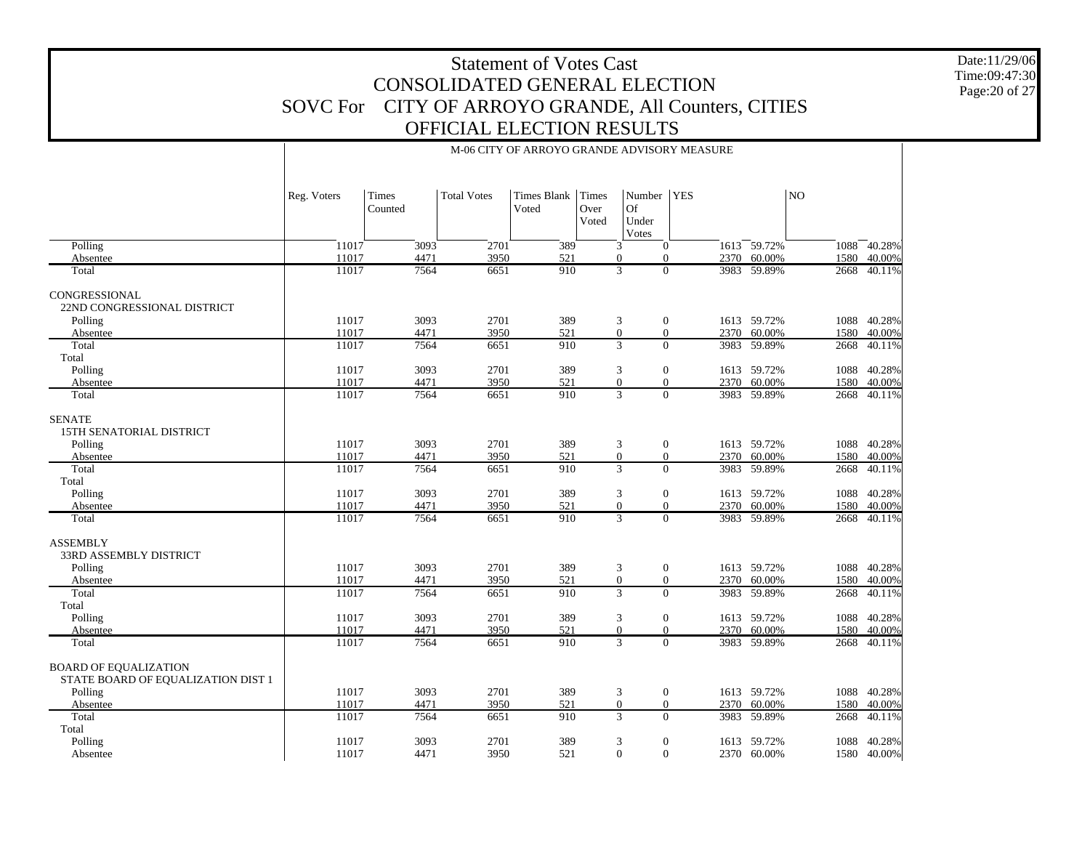M-06 CITY OF ARROYO GRANDE ADVISORY MEASURE

Date:11/29/06 Time:09:47:30 Page:20 of 27

|                                                                               | Reg. Voters    | Times<br>Counted | <b>Total Votes</b> | <b>Times Blank</b><br>Voted | Times<br>Over<br>Voted | Number<br>Of<br>Under<br>Votes                        | <b>YES</b>   |                            | NO           |                       |
|-------------------------------------------------------------------------------|----------------|------------------|--------------------|-----------------------------|------------------------|-------------------------------------------------------|--------------|----------------------------|--------------|-----------------------|
| Polling                                                                       | 11017          | 3093             | 2701               | 389                         |                        | 3<br>$\mathbf{0}$                                     |              | 1613 59.72%                | 1088         | 40.28%                |
| Absentee                                                                      | 11017          | 4471             | 3950               | 521                         |                        | $\Omega$<br>$\Omega$                                  | 2370         | 60.00%                     | 1580         | 40.00%                |
| Total                                                                         | 11017          | 7564             | 6651               | 910                         |                        | 3<br>$\mathbf{0}$                                     |              | 3983 59.89%                | 2668         | 40.11%                |
| CONGRESSIONAL<br>22ND CONGRESSIONAL DISTRICT                                  |                |                  |                    |                             |                        |                                                       |              |                            |              |                       |
| Polling                                                                       | 11017<br>11017 | 3093<br>4471     | 2701<br>3950       | 389<br>521                  |                        | 3<br>$\mathbf{0}$<br>$\overline{0}$<br>$\overline{0}$ | 2370         | 1613 59.72%<br>60.00%      | 1088         | 40.28%<br>40.00%      |
| Absentee<br>Total                                                             | 11017          | 7564             | 6651               | 910                         |                        | $\overline{3}$<br>$\overline{0}$                      | 3983         | 59.89%                     | 1580<br>2668 | 40.11%                |
| Total                                                                         |                |                  |                    |                             |                        |                                                       |              |                            |              |                       |
| Polling                                                                       | 11017          | 3093             | 2701               | 389                         |                        | $\mathbf{0}$<br>3                                     |              | 1613 59.72%                | 1088         | 40.28%                |
| Absentee                                                                      | 11017          | 4471             | 3950               | 521                         |                        | $\overline{0}$<br>$\overline{0}$                      | 2370         | 60.00%                     | 1580         | 40.00%                |
| Total                                                                         | 11017          | 7564             | 6651               | 910                         |                        | 3<br>$\overline{0}$                                   |              | 3983 59.89%                | 2668         | 40.11%                |
| <b>SENATE</b><br>15TH SENATORIAL DISTRICT<br>Polling<br>Absentee              | 11017<br>11017 | 3093<br>4471     | 2701<br>3950       | 389<br>521                  |                        | 3<br>$\mathbf{0}$<br>$\mathbf{0}$<br>$\overline{0}$   | 2370         | 1613 59.72%<br>60.00%      | 1088<br>1580 | 40.28%<br>40.00%      |
| Total                                                                         | 11017          | 7564             | 6651               | 910                         |                        | $\overline{3}$<br>$\overline{0}$                      | 3983         | 59.89%                     | 2668         | 40.11%                |
| Total<br>Polling<br>Absentee                                                  | 11017<br>11017 | 3093<br>4471     | 2701<br>3950       | 389<br>521                  |                        | 3<br>$\mathbf{0}$<br>$\Omega$<br>$\Omega$             |              | 1613 59.72%<br>2370 60.00% | 1088<br>1580 | 40.28%<br>40.00%      |
| Total                                                                         | 11017          | 7564             | 6651               | 910                         |                        | $\overline{3}$<br>$\Omega$                            |              | 3983 59.89%                | 2668         | 40.11%                |
| <b>ASSEMBLY</b><br><b>33RD ASSEMBLY DISTRICT</b>                              |                |                  |                    |                             |                        |                                                       |              |                            |              |                       |
| Polling<br>Absentee                                                           | 11017<br>11017 | 3093<br>4471     | 2701<br>3950       | 389<br>521                  |                        | 3<br>$\mathbf{0}$<br>$\overline{0}$<br>$\overline{0}$ | 2370         | 1613 59.72%<br>60.00%      | 1580         | 1088 40.28%<br>40.00% |
| Total                                                                         | 11017          | 7564             | 6651               | 910                         |                        | $\overline{3}$<br>$\overline{0}$                      |              | 3983 59.89%                | 2668         | 40.11%                |
| Total                                                                         |                |                  |                    |                             |                        |                                                       |              |                            |              |                       |
| Polling                                                                       | 11017          | 3093             | 2701               | 389                         |                        | 3<br>$\mathbf{0}$                                     |              | 1613 59.72%                | 1088         | 40.28%                |
| Absentee                                                                      | 11017          | 4471             | 3950               | 521                         |                        | $\overline{0}$<br>$\overline{0}$                      | 2370         | 60.00%                     | 1580         | 40.00%                |
| Total                                                                         | 11017          | 7564             | 6651               | 910                         |                        | $\overline{3}$<br>$\Omega$                            |              | 3983 59.89%                | 2668         | 40.11%                |
| <b>BOARD OF EQUALIZATION</b><br>STATE BOARD OF EQUALIZATION DIST 1<br>Polling | 11017          | 3093             | 2701               | 389                         |                        | 3<br>$\mathbf{0}$                                     |              | 1613 59.72%                | 1088         | 40.28%                |
| Absentee                                                                      | 11017          | 4471             | 3950               | 521                         |                        | $\overline{0}$<br>$\overline{0}$                      |              | 2370 60.00%                | 1580         | 40.00%                |
| Total<br>Total<br>Polling                                                     | 11017<br>11017 | 7564<br>3093     | 6651<br>2701       | 910<br>389                  |                        | 3<br>$\Omega$<br>3<br>$\mathbf{0}$                    | 3983<br>1613 | 59.89%<br>59.72%           | 2668<br>1088 | 40.11%<br>40.28%      |
| Absentee                                                                      | 11017          | 4471             | 3950               | 521                         |                        | $\Omega$<br>$\overline{0}$                            |              | 2370 60.00%                |              | 1580 40.00%           |

 $\mathbf{I}$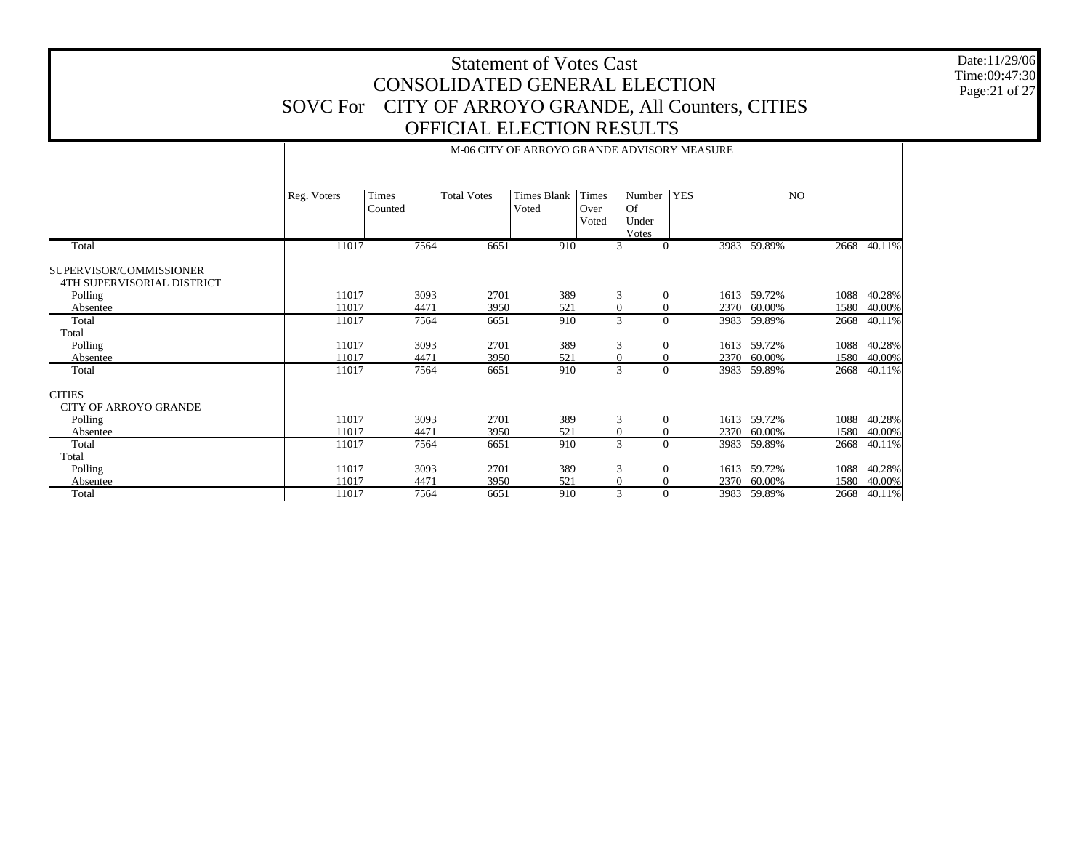Date:11/29/06 Time:09:47:30 Page:21 of 27

|                                                       |             |                  |                    |                             |                        |                                       | M-06 CITY OF ARROYO GRANDE ADVISORY MEASURE |             |      |        |
|-------------------------------------------------------|-------------|------------------|--------------------|-----------------------------|------------------------|---------------------------------------|---------------------------------------------|-------------|------|--------|
|                                                       | Reg. Voters | Times<br>Counted | <b>Total Votes</b> | <b>Times Blank</b><br>Voted | Times<br>Over<br>Voted | Number<br><b>Of</b><br>Under<br>Votes | <b>YES</b>                                  |             | NO   |        |
| Total                                                 | 11017       | 7564             | 6651               | 910                         |                        | 3                                     | 3983<br>$\overline{0}$                      | 59.89%      | 2668 | 40.11% |
| SUPERVISOR/COMMISSIONER<br>4TH SUPERVISORIAL DISTRICT |             |                  |                    |                             |                        |                                       |                                             |             |      |        |
| Polling                                               | 11017       | 3093             | 2701               | 389                         |                        | 3                                     | $\overline{0}$<br>1613                      | 59.72%      | 1088 | 40.28% |
| Absentee                                              | 11017       | 4471             | 3950               | 521                         |                        | $\mathbf{0}$                          | 2370<br>$\overline{0}$                      | 60.00%      | 1580 | 40.00% |
| Total                                                 | 11017       | 7564             | 6651               | 910                         |                        | 3                                     | $\theta$<br>3983                            | 59.89%      | 2668 | 40.11% |
| Total                                                 |             |                  |                    |                             |                        |                                       |                                             |             |      |        |
| Polling                                               | 11017       | 3093             | 2701               | 389                         |                        | 3                                     | $\boldsymbol{0}$<br>1613                    | 59.72%      | 1088 | 40.28% |
| Absentee                                              | 11017       | 4471             | 3950               | 521                         |                        | $\mathbf{0}$                          | $\mathbf{0}$<br>2370                        | 60.00%      | 1580 | 40.00% |
| Total                                                 | 11017       | 7564             | 6651               | 910                         |                        | 3                                     | $\overline{0}$<br>3983                      | 59.89%      | 2668 | 40.11% |
| <b>CITIES</b>                                         |             |                  |                    |                             |                        |                                       |                                             |             |      |        |
| <b>CITY OF ARROYO GRANDE</b>                          |             |                  |                    |                             |                        |                                       |                                             |             |      |        |
| Polling                                               | 11017       | 3093             | 2701               | 389                         |                        | 3                                     | $\boldsymbol{0}$<br>1613                    | 59.72%      | 1088 | 40.28% |
| Absentee                                              | 11017       | 4471             | 3950               | 521                         |                        | $\boldsymbol{0}$                      | $\overline{0}$<br>2370                      | 60.00%      | 1580 | 40.00% |
| Total                                                 | 11017       | 7564             | 6651               | 910                         |                        | $\overline{3}$                        | $\Omega$<br>3983                            | 59.89%      | 2668 | 40.11% |
| Total                                                 |             |                  |                    |                             |                        |                                       |                                             |             |      |        |
| Polling                                               | 11017       | 3093             | 2701               | 389                         |                        | 3                                     | $\overline{0}$<br>1613                      | 59.72%      | 1088 | 40.28% |
| Absentee                                              | 11017       | 4471             | 3950               | 521                         |                        | $\mathbf{0}$                          | 2370<br>$\overline{0}$                      | 60.00%      | 1580 | 40.00% |
| Total                                                 | 11017       | 7564             | 6651               | 910                         |                        | 3                                     | $\overline{0}$                              | 3983 59.89% | 2668 | 40.11% |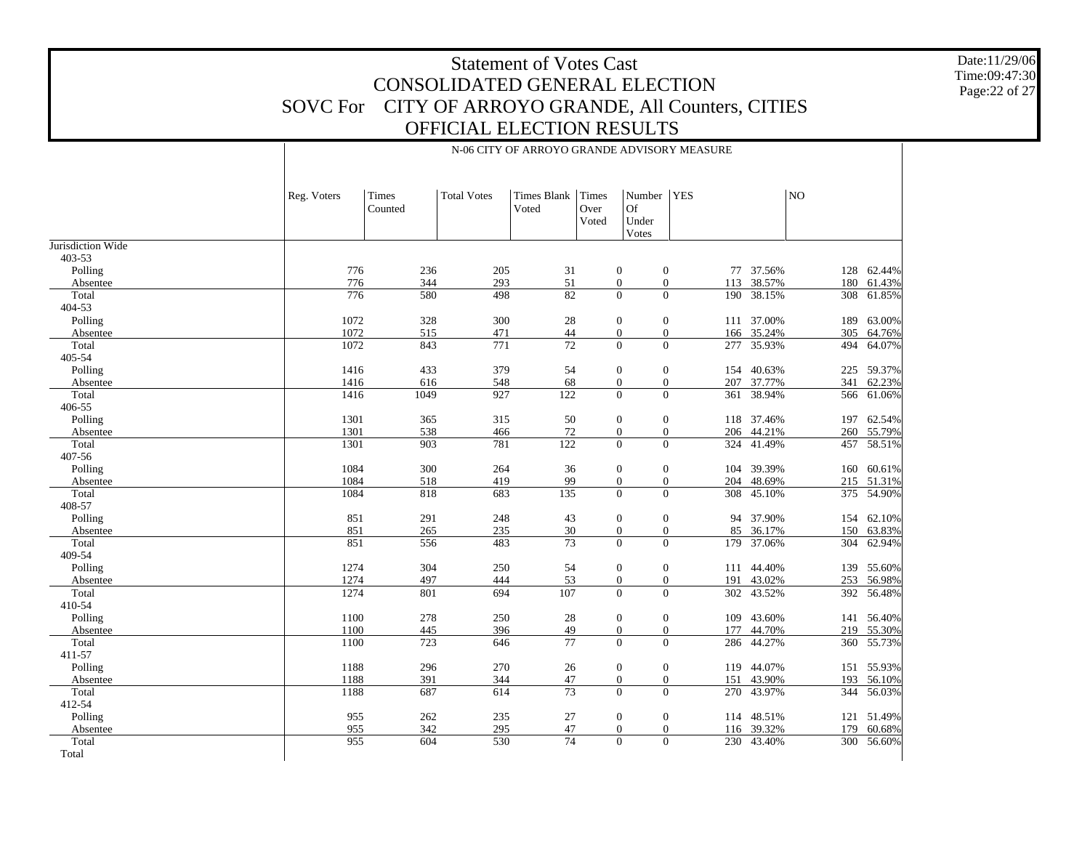N-06 CITY OF ARROYO GRANDE ADVISORY MEASURE

Date:11/29/06 Time:09:47:30 Page:22 of 27

| <b>YES</b><br><b>Total Votes</b><br><b>Times Blank</b><br>Times<br>Number<br>NO<br>Times<br>Reg. Voters<br>Of<br>Voted<br>Over<br>Counted<br>Under<br>Voted<br>Votes<br>Jurisdiction Wide<br>403-53<br>776<br>236<br>77 37.56%<br>128 62.44%<br>Polling<br>205<br>31<br>$\boldsymbol{0}$<br>$\mathbf{0}$<br>51<br>38.57%<br>776<br>344<br>293<br>$\boldsymbol{0}$<br>$\boldsymbol{0}$<br>61.43%<br>113<br>180<br>Absentee<br>$\overline{0}$<br>776<br>82<br>$\Omega$<br>61.85%<br>498<br>38.15%<br>Total<br>580<br>190<br>308<br>404-53<br>1072<br>63.00%<br>Polling<br>328<br>300<br>28<br>$\boldsymbol{0}$<br>$\boldsymbol{0}$<br>111 37.00%<br>189<br>1072<br>$44\,$<br>515<br>471<br>$\boldsymbol{0}$<br>$\boldsymbol{0}$<br>166 35.24%<br>305<br>64.76%<br>Absentee<br>$\overline{72}$<br>$\Omega$<br>1072<br>843<br>771<br>$\Omega$<br>35.93%<br>494<br>Total<br>277<br>405-54<br>1416<br>433<br>379<br>54<br>$\boldsymbol{0}$<br>$\boldsymbol{0}$<br>154 40.63%<br>Polling<br>225<br>68<br>$\boldsymbol{0}$<br>$\boldsymbol{0}$<br>1416<br>616<br>548<br>207 37.77%<br>341<br>62.23%<br>Absentee<br>927<br>122<br>$\boldsymbol{0}$<br>$\overline{0}$<br>38.94%<br>Total<br>1416<br>1049<br>361<br>566<br>61.06%<br>406-55<br>1301<br>365<br>315<br>118 37.46%<br>62.54%<br>Polling<br>50<br>$\boldsymbol{0}$<br>$\mathbf{0}$<br>197<br>1301<br>538<br>72<br>$\boldsymbol{0}$<br>$\boldsymbol{0}$<br>44.21%<br>Absentee<br>466<br>206<br>260<br>55.79%<br>$\boldsymbol{0}$<br>$\mathbf{0}$<br>1301<br>781<br>122<br>41.49%<br>58.51%<br>Total<br>903<br>324<br>457<br>407-56<br>1084<br>300<br>264<br>$\boldsymbol{0}$<br>104 39.39%<br>160 60.61%<br>Polling<br>36<br>$\boldsymbol{0}$<br>1084<br>99<br>518<br>419<br>$\overline{0}$<br>$\overline{0}$<br>204<br>48.69%<br>215 51.31%<br>Absentee<br>135<br>$\overline{0}$<br>$\overline{0}$<br>1084<br>818<br>683<br>45.10%<br>375 54.90%<br>Total<br>308<br>408-57<br>Polling<br>291<br>248<br>94 37.90%<br>62.10%<br>851<br>43<br>$\boldsymbol{0}$<br>$\mathbf{0}$<br>154<br>851<br>265<br>235<br>30<br>$\boldsymbol{0}$<br>$\boldsymbol{0}$<br>85<br>36.17%<br>63.83%<br>Absentee<br>150<br>851<br>73<br>$\overline{0}$<br>$\overline{0}$<br>37.06%<br>556<br>483<br>179<br>Total<br>304<br>409-54<br>1274<br>304<br>250<br>54<br>$\boldsymbol{0}$<br>$\boldsymbol{0}$<br>44.40%<br>55.60%<br>Polling<br>139<br>111<br>1274<br>444<br>$\boldsymbol{0}$<br>43.02%<br>497<br>53<br>$\boldsymbol{0}$<br>191<br>253<br>Absentee<br>$\overline{0}$<br>694<br>107<br>$\overline{0}$<br>56.48%<br>Total<br>1274<br>801<br>302<br>43.52%<br>392<br>410-54<br>1100<br>278<br>250<br>$\boldsymbol{0}$<br>$\boldsymbol{0}$<br>109 43.60%<br>141 56.40%<br>Polling<br>28<br>$\overline{0}$<br>396<br>49<br>$\mathbf{0}$<br>44.70%<br>219 55.30%<br>1100<br>445<br>177<br>Absentee<br>1100<br>723<br>77<br>$\Omega$<br>$\Omega$<br>286<br>44.27%<br>360 55.73%<br>Total<br>646<br>411-57<br>1188<br>$\boldsymbol{0}$<br>Polling<br>296<br>270<br>26<br>$\boldsymbol{0}$<br>119 44.07%<br>151 55.93%<br>1188<br>391<br>344<br>$\boldsymbol{0}$<br>47<br>$\boldsymbol{0}$<br>43.90%<br>193<br>56.10%<br>Absentee<br>151<br>614<br>$\overline{73}$<br>$\overline{0}$<br>$\overline{0}$<br>56.03%<br>1188<br>687<br>270<br>43.97%<br>344<br>Total<br>412-54<br>51.49%<br>Polling<br>955<br>262<br>235<br>27<br>$\boldsymbol{0}$<br>$\mathbf{0}$<br>48.51%<br>114<br>121<br>955<br>342<br>295<br>47<br>$\mathbf{0}$<br>$\mathbf{0}$<br>39.32%<br>179<br>60.68%<br>Absentee<br>116<br>$\overline{74}$<br>955<br>604<br>530<br>$\overline{0}$<br>$\mathbf{0}$<br>230 43.40%<br>300 56.60%<br>Total |  |  |  |  |  |        |
|-------------------------------------------------------------------------------------------------------------------------------------------------------------------------------------------------------------------------------------------------------------------------------------------------------------------------------------------------------------------------------------------------------------------------------------------------------------------------------------------------------------------------------------------------------------------------------------------------------------------------------------------------------------------------------------------------------------------------------------------------------------------------------------------------------------------------------------------------------------------------------------------------------------------------------------------------------------------------------------------------------------------------------------------------------------------------------------------------------------------------------------------------------------------------------------------------------------------------------------------------------------------------------------------------------------------------------------------------------------------------------------------------------------------------------------------------------------------------------------------------------------------------------------------------------------------------------------------------------------------------------------------------------------------------------------------------------------------------------------------------------------------------------------------------------------------------------------------------------------------------------------------------------------------------------------------------------------------------------------------------------------------------------------------------------------------------------------------------------------------------------------------------------------------------------------------------------------------------------------------------------------------------------------------------------------------------------------------------------------------------------------------------------------------------------------------------------------------------------------------------------------------------------------------------------------------------------------------------------------------------------------------------------------------------------------------------------------------------------------------------------------------------------------------------------------------------------------------------------------------------------------------------------------------------------------------------------------------------------------------------------------------------------------------------------------------------------------------------------------------------------------------------------------------------------------------------------------------------------------------------------------------------------------------------------------------------------------------------------------------------------------------------------------------------------------------------------------------------------------------------------------------------------------------------------------------------------------------------------------------------------------------|--|--|--|--|--|--------|
|                                                                                                                                                                                                                                                                                                                                                                                                                                                                                                                                                                                                                                                                                                                                                                                                                                                                                                                                                                                                                                                                                                                                                                                                                                                                                                                                                                                                                                                                                                                                                                                                                                                                                                                                                                                                                                                                                                                                                                                                                                                                                                                                                                                                                                                                                                                                                                                                                                                                                                                                                                                                                                                                                                                                                                                                                                                                                                                                                                                                                                                                                                                                                                                                                                                                                                                                                                                                                                                                                                                                                                                                                                           |  |  |  |  |  |        |
|                                                                                                                                                                                                                                                                                                                                                                                                                                                                                                                                                                                                                                                                                                                                                                                                                                                                                                                                                                                                                                                                                                                                                                                                                                                                                                                                                                                                                                                                                                                                                                                                                                                                                                                                                                                                                                                                                                                                                                                                                                                                                                                                                                                                                                                                                                                                                                                                                                                                                                                                                                                                                                                                                                                                                                                                                                                                                                                                                                                                                                                                                                                                                                                                                                                                                                                                                                                                                                                                                                                                                                                                                                           |  |  |  |  |  |        |
|                                                                                                                                                                                                                                                                                                                                                                                                                                                                                                                                                                                                                                                                                                                                                                                                                                                                                                                                                                                                                                                                                                                                                                                                                                                                                                                                                                                                                                                                                                                                                                                                                                                                                                                                                                                                                                                                                                                                                                                                                                                                                                                                                                                                                                                                                                                                                                                                                                                                                                                                                                                                                                                                                                                                                                                                                                                                                                                                                                                                                                                                                                                                                                                                                                                                                                                                                                                                                                                                                                                                                                                                                                           |  |  |  |  |  |        |
|                                                                                                                                                                                                                                                                                                                                                                                                                                                                                                                                                                                                                                                                                                                                                                                                                                                                                                                                                                                                                                                                                                                                                                                                                                                                                                                                                                                                                                                                                                                                                                                                                                                                                                                                                                                                                                                                                                                                                                                                                                                                                                                                                                                                                                                                                                                                                                                                                                                                                                                                                                                                                                                                                                                                                                                                                                                                                                                                                                                                                                                                                                                                                                                                                                                                                                                                                                                                                                                                                                                                                                                                                                           |  |  |  |  |  |        |
|                                                                                                                                                                                                                                                                                                                                                                                                                                                                                                                                                                                                                                                                                                                                                                                                                                                                                                                                                                                                                                                                                                                                                                                                                                                                                                                                                                                                                                                                                                                                                                                                                                                                                                                                                                                                                                                                                                                                                                                                                                                                                                                                                                                                                                                                                                                                                                                                                                                                                                                                                                                                                                                                                                                                                                                                                                                                                                                                                                                                                                                                                                                                                                                                                                                                                                                                                                                                                                                                                                                                                                                                                                           |  |  |  |  |  |        |
|                                                                                                                                                                                                                                                                                                                                                                                                                                                                                                                                                                                                                                                                                                                                                                                                                                                                                                                                                                                                                                                                                                                                                                                                                                                                                                                                                                                                                                                                                                                                                                                                                                                                                                                                                                                                                                                                                                                                                                                                                                                                                                                                                                                                                                                                                                                                                                                                                                                                                                                                                                                                                                                                                                                                                                                                                                                                                                                                                                                                                                                                                                                                                                                                                                                                                                                                                                                                                                                                                                                                                                                                                                           |  |  |  |  |  |        |
|                                                                                                                                                                                                                                                                                                                                                                                                                                                                                                                                                                                                                                                                                                                                                                                                                                                                                                                                                                                                                                                                                                                                                                                                                                                                                                                                                                                                                                                                                                                                                                                                                                                                                                                                                                                                                                                                                                                                                                                                                                                                                                                                                                                                                                                                                                                                                                                                                                                                                                                                                                                                                                                                                                                                                                                                                                                                                                                                                                                                                                                                                                                                                                                                                                                                                                                                                                                                                                                                                                                                                                                                                                           |  |  |  |  |  |        |
|                                                                                                                                                                                                                                                                                                                                                                                                                                                                                                                                                                                                                                                                                                                                                                                                                                                                                                                                                                                                                                                                                                                                                                                                                                                                                                                                                                                                                                                                                                                                                                                                                                                                                                                                                                                                                                                                                                                                                                                                                                                                                                                                                                                                                                                                                                                                                                                                                                                                                                                                                                                                                                                                                                                                                                                                                                                                                                                                                                                                                                                                                                                                                                                                                                                                                                                                                                                                                                                                                                                                                                                                                                           |  |  |  |  |  |        |
|                                                                                                                                                                                                                                                                                                                                                                                                                                                                                                                                                                                                                                                                                                                                                                                                                                                                                                                                                                                                                                                                                                                                                                                                                                                                                                                                                                                                                                                                                                                                                                                                                                                                                                                                                                                                                                                                                                                                                                                                                                                                                                                                                                                                                                                                                                                                                                                                                                                                                                                                                                                                                                                                                                                                                                                                                                                                                                                                                                                                                                                                                                                                                                                                                                                                                                                                                                                                                                                                                                                                                                                                                                           |  |  |  |  |  | 64.07% |
|                                                                                                                                                                                                                                                                                                                                                                                                                                                                                                                                                                                                                                                                                                                                                                                                                                                                                                                                                                                                                                                                                                                                                                                                                                                                                                                                                                                                                                                                                                                                                                                                                                                                                                                                                                                                                                                                                                                                                                                                                                                                                                                                                                                                                                                                                                                                                                                                                                                                                                                                                                                                                                                                                                                                                                                                                                                                                                                                                                                                                                                                                                                                                                                                                                                                                                                                                                                                                                                                                                                                                                                                                                           |  |  |  |  |  |        |
|                                                                                                                                                                                                                                                                                                                                                                                                                                                                                                                                                                                                                                                                                                                                                                                                                                                                                                                                                                                                                                                                                                                                                                                                                                                                                                                                                                                                                                                                                                                                                                                                                                                                                                                                                                                                                                                                                                                                                                                                                                                                                                                                                                                                                                                                                                                                                                                                                                                                                                                                                                                                                                                                                                                                                                                                                                                                                                                                                                                                                                                                                                                                                                                                                                                                                                                                                                                                                                                                                                                                                                                                                                           |  |  |  |  |  | 59.37% |
|                                                                                                                                                                                                                                                                                                                                                                                                                                                                                                                                                                                                                                                                                                                                                                                                                                                                                                                                                                                                                                                                                                                                                                                                                                                                                                                                                                                                                                                                                                                                                                                                                                                                                                                                                                                                                                                                                                                                                                                                                                                                                                                                                                                                                                                                                                                                                                                                                                                                                                                                                                                                                                                                                                                                                                                                                                                                                                                                                                                                                                                                                                                                                                                                                                                                                                                                                                                                                                                                                                                                                                                                                                           |  |  |  |  |  |        |
|                                                                                                                                                                                                                                                                                                                                                                                                                                                                                                                                                                                                                                                                                                                                                                                                                                                                                                                                                                                                                                                                                                                                                                                                                                                                                                                                                                                                                                                                                                                                                                                                                                                                                                                                                                                                                                                                                                                                                                                                                                                                                                                                                                                                                                                                                                                                                                                                                                                                                                                                                                                                                                                                                                                                                                                                                                                                                                                                                                                                                                                                                                                                                                                                                                                                                                                                                                                                                                                                                                                                                                                                                                           |  |  |  |  |  |        |
|                                                                                                                                                                                                                                                                                                                                                                                                                                                                                                                                                                                                                                                                                                                                                                                                                                                                                                                                                                                                                                                                                                                                                                                                                                                                                                                                                                                                                                                                                                                                                                                                                                                                                                                                                                                                                                                                                                                                                                                                                                                                                                                                                                                                                                                                                                                                                                                                                                                                                                                                                                                                                                                                                                                                                                                                                                                                                                                                                                                                                                                                                                                                                                                                                                                                                                                                                                                                                                                                                                                                                                                                                                           |  |  |  |  |  |        |
|                                                                                                                                                                                                                                                                                                                                                                                                                                                                                                                                                                                                                                                                                                                                                                                                                                                                                                                                                                                                                                                                                                                                                                                                                                                                                                                                                                                                                                                                                                                                                                                                                                                                                                                                                                                                                                                                                                                                                                                                                                                                                                                                                                                                                                                                                                                                                                                                                                                                                                                                                                                                                                                                                                                                                                                                                                                                                                                                                                                                                                                                                                                                                                                                                                                                                                                                                                                                                                                                                                                                                                                                                                           |  |  |  |  |  |        |
|                                                                                                                                                                                                                                                                                                                                                                                                                                                                                                                                                                                                                                                                                                                                                                                                                                                                                                                                                                                                                                                                                                                                                                                                                                                                                                                                                                                                                                                                                                                                                                                                                                                                                                                                                                                                                                                                                                                                                                                                                                                                                                                                                                                                                                                                                                                                                                                                                                                                                                                                                                                                                                                                                                                                                                                                                                                                                                                                                                                                                                                                                                                                                                                                                                                                                                                                                                                                                                                                                                                                                                                                                                           |  |  |  |  |  |        |
|                                                                                                                                                                                                                                                                                                                                                                                                                                                                                                                                                                                                                                                                                                                                                                                                                                                                                                                                                                                                                                                                                                                                                                                                                                                                                                                                                                                                                                                                                                                                                                                                                                                                                                                                                                                                                                                                                                                                                                                                                                                                                                                                                                                                                                                                                                                                                                                                                                                                                                                                                                                                                                                                                                                                                                                                                                                                                                                                                                                                                                                                                                                                                                                                                                                                                                                                                                                                                                                                                                                                                                                                                                           |  |  |  |  |  |        |
|                                                                                                                                                                                                                                                                                                                                                                                                                                                                                                                                                                                                                                                                                                                                                                                                                                                                                                                                                                                                                                                                                                                                                                                                                                                                                                                                                                                                                                                                                                                                                                                                                                                                                                                                                                                                                                                                                                                                                                                                                                                                                                                                                                                                                                                                                                                                                                                                                                                                                                                                                                                                                                                                                                                                                                                                                                                                                                                                                                                                                                                                                                                                                                                                                                                                                                                                                                                                                                                                                                                                                                                                                                           |  |  |  |  |  |        |
|                                                                                                                                                                                                                                                                                                                                                                                                                                                                                                                                                                                                                                                                                                                                                                                                                                                                                                                                                                                                                                                                                                                                                                                                                                                                                                                                                                                                                                                                                                                                                                                                                                                                                                                                                                                                                                                                                                                                                                                                                                                                                                                                                                                                                                                                                                                                                                                                                                                                                                                                                                                                                                                                                                                                                                                                                                                                                                                                                                                                                                                                                                                                                                                                                                                                                                                                                                                                                                                                                                                                                                                                                                           |  |  |  |  |  |        |
|                                                                                                                                                                                                                                                                                                                                                                                                                                                                                                                                                                                                                                                                                                                                                                                                                                                                                                                                                                                                                                                                                                                                                                                                                                                                                                                                                                                                                                                                                                                                                                                                                                                                                                                                                                                                                                                                                                                                                                                                                                                                                                                                                                                                                                                                                                                                                                                                                                                                                                                                                                                                                                                                                                                                                                                                                                                                                                                                                                                                                                                                                                                                                                                                                                                                                                                                                                                                                                                                                                                                                                                                                                           |  |  |  |  |  |        |
|                                                                                                                                                                                                                                                                                                                                                                                                                                                                                                                                                                                                                                                                                                                                                                                                                                                                                                                                                                                                                                                                                                                                                                                                                                                                                                                                                                                                                                                                                                                                                                                                                                                                                                                                                                                                                                                                                                                                                                                                                                                                                                                                                                                                                                                                                                                                                                                                                                                                                                                                                                                                                                                                                                                                                                                                                                                                                                                                                                                                                                                                                                                                                                                                                                                                                                                                                                                                                                                                                                                                                                                                                                           |  |  |  |  |  |        |
|                                                                                                                                                                                                                                                                                                                                                                                                                                                                                                                                                                                                                                                                                                                                                                                                                                                                                                                                                                                                                                                                                                                                                                                                                                                                                                                                                                                                                                                                                                                                                                                                                                                                                                                                                                                                                                                                                                                                                                                                                                                                                                                                                                                                                                                                                                                                                                                                                                                                                                                                                                                                                                                                                                                                                                                                                                                                                                                                                                                                                                                                                                                                                                                                                                                                                                                                                                                                                                                                                                                                                                                                                                           |  |  |  |  |  |        |
|                                                                                                                                                                                                                                                                                                                                                                                                                                                                                                                                                                                                                                                                                                                                                                                                                                                                                                                                                                                                                                                                                                                                                                                                                                                                                                                                                                                                                                                                                                                                                                                                                                                                                                                                                                                                                                                                                                                                                                                                                                                                                                                                                                                                                                                                                                                                                                                                                                                                                                                                                                                                                                                                                                                                                                                                                                                                                                                                                                                                                                                                                                                                                                                                                                                                                                                                                                                                                                                                                                                                                                                                                                           |  |  |  |  |  |        |
|                                                                                                                                                                                                                                                                                                                                                                                                                                                                                                                                                                                                                                                                                                                                                                                                                                                                                                                                                                                                                                                                                                                                                                                                                                                                                                                                                                                                                                                                                                                                                                                                                                                                                                                                                                                                                                                                                                                                                                                                                                                                                                                                                                                                                                                                                                                                                                                                                                                                                                                                                                                                                                                                                                                                                                                                                                                                                                                                                                                                                                                                                                                                                                                                                                                                                                                                                                                                                                                                                                                                                                                                                                           |  |  |  |  |  | 62.94% |
|                                                                                                                                                                                                                                                                                                                                                                                                                                                                                                                                                                                                                                                                                                                                                                                                                                                                                                                                                                                                                                                                                                                                                                                                                                                                                                                                                                                                                                                                                                                                                                                                                                                                                                                                                                                                                                                                                                                                                                                                                                                                                                                                                                                                                                                                                                                                                                                                                                                                                                                                                                                                                                                                                                                                                                                                                                                                                                                                                                                                                                                                                                                                                                                                                                                                                                                                                                                                                                                                                                                                                                                                                                           |  |  |  |  |  |        |
|                                                                                                                                                                                                                                                                                                                                                                                                                                                                                                                                                                                                                                                                                                                                                                                                                                                                                                                                                                                                                                                                                                                                                                                                                                                                                                                                                                                                                                                                                                                                                                                                                                                                                                                                                                                                                                                                                                                                                                                                                                                                                                                                                                                                                                                                                                                                                                                                                                                                                                                                                                                                                                                                                                                                                                                                                                                                                                                                                                                                                                                                                                                                                                                                                                                                                                                                                                                                                                                                                                                                                                                                                                           |  |  |  |  |  |        |
|                                                                                                                                                                                                                                                                                                                                                                                                                                                                                                                                                                                                                                                                                                                                                                                                                                                                                                                                                                                                                                                                                                                                                                                                                                                                                                                                                                                                                                                                                                                                                                                                                                                                                                                                                                                                                                                                                                                                                                                                                                                                                                                                                                                                                                                                                                                                                                                                                                                                                                                                                                                                                                                                                                                                                                                                                                                                                                                                                                                                                                                                                                                                                                                                                                                                                                                                                                                                                                                                                                                                                                                                                                           |  |  |  |  |  | 56.98% |
|                                                                                                                                                                                                                                                                                                                                                                                                                                                                                                                                                                                                                                                                                                                                                                                                                                                                                                                                                                                                                                                                                                                                                                                                                                                                                                                                                                                                                                                                                                                                                                                                                                                                                                                                                                                                                                                                                                                                                                                                                                                                                                                                                                                                                                                                                                                                                                                                                                                                                                                                                                                                                                                                                                                                                                                                                                                                                                                                                                                                                                                                                                                                                                                                                                                                                                                                                                                                                                                                                                                                                                                                                                           |  |  |  |  |  |        |
|                                                                                                                                                                                                                                                                                                                                                                                                                                                                                                                                                                                                                                                                                                                                                                                                                                                                                                                                                                                                                                                                                                                                                                                                                                                                                                                                                                                                                                                                                                                                                                                                                                                                                                                                                                                                                                                                                                                                                                                                                                                                                                                                                                                                                                                                                                                                                                                                                                                                                                                                                                                                                                                                                                                                                                                                                                                                                                                                                                                                                                                                                                                                                                                                                                                                                                                                                                                                                                                                                                                                                                                                                                           |  |  |  |  |  |        |
|                                                                                                                                                                                                                                                                                                                                                                                                                                                                                                                                                                                                                                                                                                                                                                                                                                                                                                                                                                                                                                                                                                                                                                                                                                                                                                                                                                                                                                                                                                                                                                                                                                                                                                                                                                                                                                                                                                                                                                                                                                                                                                                                                                                                                                                                                                                                                                                                                                                                                                                                                                                                                                                                                                                                                                                                                                                                                                                                                                                                                                                                                                                                                                                                                                                                                                                                                                                                                                                                                                                                                                                                                                           |  |  |  |  |  |        |
|                                                                                                                                                                                                                                                                                                                                                                                                                                                                                                                                                                                                                                                                                                                                                                                                                                                                                                                                                                                                                                                                                                                                                                                                                                                                                                                                                                                                                                                                                                                                                                                                                                                                                                                                                                                                                                                                                                                                                                                                                                                                                                                                                                                                                                                                                                                                                                                                                                                                                                                                                                                                                                                                                                                                                                                                                                                                                                                                                                                                                                                                                                                                                                                                                                                                                                                                                                                                                                                                                                                                                                                                                                           |  |  |  |  |  |        |
|                                                                                                                                                                                                                                                                                                                                                                                                                                                                                                                                                                                                                                                                                                                                                                                                                                                                                                                                                                                                                                                                                                                                                                                                                                                                                                                                                                                                                                                                                                                                                                                                                                                                                                                                                                                                                                                                                                                                                                                                                                                                                                                                                                                                                                                                                                                                                                                                                                                                                                                                                                                                                                                                                                                                                                                                                                                                                                                                                                                                                                                                                                                                                                                                                                                                                                                                                                                                                                                                                                                                                                                                                                           |  |  |  |  |  |        |
|                                                                                                                                                                                                                                                                                                                                                                                                                                                                                                                                                                                                                                                                                                                                                                                                                                                                                                                                                                                                                                                                                                                                                                                                                                                                                                                                                                                                                                                                                                                                                                                                                                                                                                                                                                                                                                                                                                                                                                                                                                                                                                                                                                                                                                                                                                                                                                                                                                                                                                                                                                                                                                                                                                                                                                                                                                                                                                                                                                                                                                                                                                                                                                                                                                                                                                                                                                                                                                                                                                                                                                                                                                           |  |  |  |  |  |        |
|                                                                                                                                                                                                                                                                                                                                                                                                                                                                                                                                                                                                                                                                                                                                                                                                                                                                                                                                                                                                                                                                                                                                                                                                                                                                                                                                                                                                                                                                                                                                                                                                                                                                                                                                                                                                                                                                                                                                                                                                                                                                                                                                                                                                                                                                                                                                                                                                                                                                                                                                                                                                                                                                                                                                                                                                                                                                                                                                                                                                                                                                                                                                                                                                                                                                                                                                                                                                                                                                                                                                                                                                                                           |  |  |  |  |  |        |
|                                                                                                                                                                                                                                                                                                                                                                                                                                                                                                                                                                                                                                                                                                                                                                                                                                                                                                                                                                                                                                                                                                                                                                                                                                                                                                                                                                                                                                                                                                                                                                                                                                                                                                                                                                                                                                                                                                                                                                                                                                                                                                                                                                                                                                                                                                                                                                                                                                                                                                                                                                                                                                                                                                                                                                                                                                                                                                                                                                                                                                                                                                                                                                                                                                                                                                                                                                                                                                                                                                                                                                                                                                           |  |  |  |  |  |        |
|                                                                                                                                                                                                                                                                                                                                                                                                                                                                                                                                                                                                                                                                                                                                                                                                                                                                                                                                                                                                                                                                                                                                                                                                                                                                                                                                                                                                                                                                                                                                                                                                                                                                                                                                                                                                                                                                                                                                                                                                                                                                                                                                                                                                                                                                                                                                                                                                                                                                                                                                                                                                                                                                                                                                                                                                                                                                                                                                                                                                                                                                                                                                                                                                                                                                                                                                                                                                                                                                                                                                                                                                                                           |  |  |  |  |  |        |
|                                                                                                                                                                                                                                                                                                                                                                                                                                                                                                                                                                                                                                                                                                                                                                                                                                                                                                                                                                                                                                                                                                                                                                                                                                                                                                                                                                                                                                                                                                                                                                                                                                                                                                                                                                                                                                                                                                                                                                                                                                                                                                                                                                                                                                                                                                                                                                                                                                                                                                                                                                                                                                                                                                                                                                                                                                                                                                                                                                                                                                                                                                                                                                                                                                                                                                                                                                                                                                                                                                                                                                                                                                           |  |  |  |  |  |        |
|                                                                                                                                                                                                                                                                                                                                                                                                                                                                                                                                                                                                                                                                                                                                                                                                                                                                                                                                                                                                                                                                                                                                                                                                                                                                                                                                                                                                                                                                                                                                                                                                                                                                                                                                                                                                                                                                                                                                                                                                                                                                                                                                                                                                                                                                                                                                                                                                                                                                                                                                                                                                                                                                                                                                                                                                                                                                                                                                                                                                                                                                                                                                                                                                                                                                                                                                                                                                                                                                                                                                                                                                                                           |  |  |  |  |  |        |
|                                                                                                                                                                                                                                                                                                                                                                                                                                                                                                                                                                                                                                                                                                                                                                                                                                                                                                                                                                                                                                                                                                                                                                                                                                                                                                                                                                                                                                                                                                                                                                                                                                                                                                                                                                                                                                                                                                                                                                                                                                                                                                                                                                                                                                                                                                                                                                                                                                                                                                                                                                                                                                                                                                                                                                                                                                                                                                                                                                                                                                                                                                                                                                                                                                                                                                                                                                                                                                                                                                                                                                                                                                           |  |  |  |  |  |        |

Total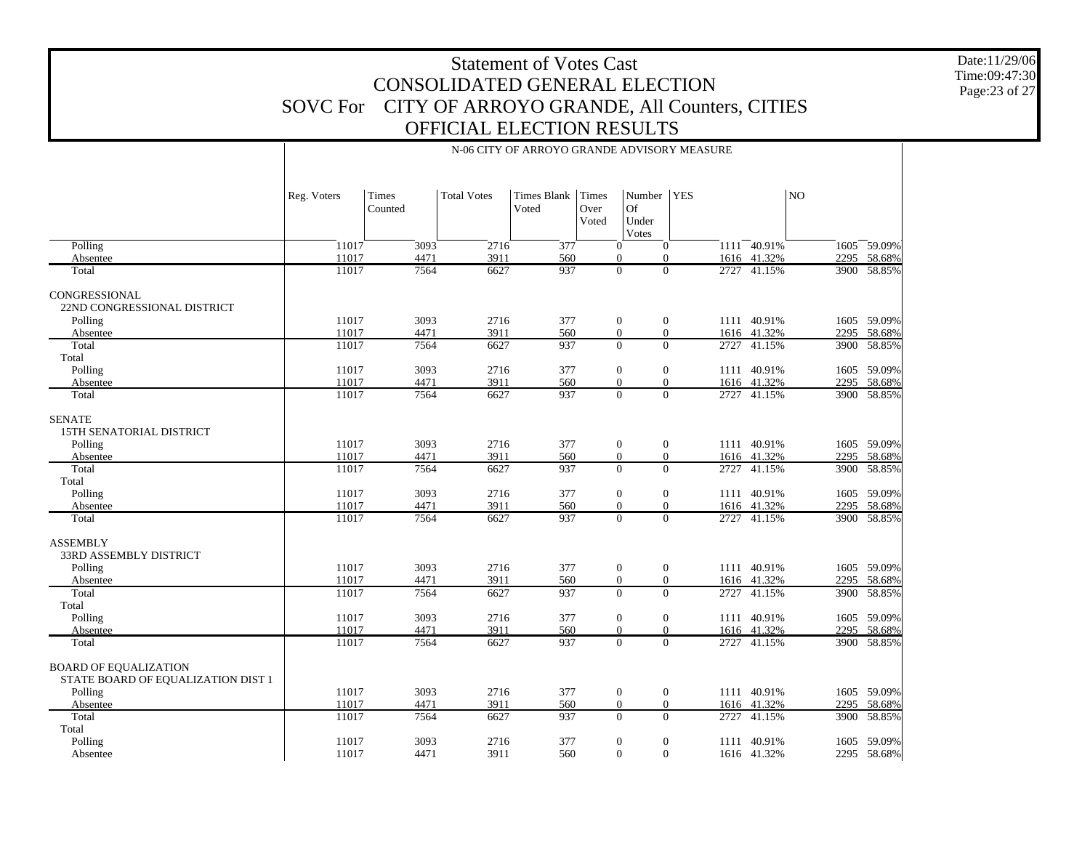Date:11/29/06 Time:09:47:30 Page:23 of 27

|                                                                                           | Reg. Voters             | Times<br>Counted     | <b>Total Votes</b>   | <b>Times Blank</b><br>Voted | Times<br>Over<br>Voted | Number<br>Of<br>Under<br>Votes                                                     | <b>YES</b> |                                           | $_{\rm NO}$  |                                 |
|-------------------------------------------------------------------------------------------|-------------------------|----------------------|----------------------|-----------------------------|------------------------|------------------------------------------------------------------------------------|------------|-------------------------------------------|--------------|---------------------------------|
| Polling                                                                                   | 11017                   | 3093                 | 2716                 | 377                         |                        | $\mathbf{0}$<br>$\mathbf{0}$                                                       |            | $1111 - 40.91\%$                          |              | 1605 59.09%                     |
| Absentee                                                                                  | 11017                   | 4471                 | 3911                 | 560                         |                        | $\Omega$<br>$\Omega$                                                               |            | 1616 41.32%                               | 2295         | 58.68%                          |
| Total                                                                                     | 11017                   | 7564                 | 6627                 | 937                         |                        | $\overline{0}$<br>$\overline{0}$                                                   |            | 2727 41.15%                               |              | 3900 58.85%                     |
| CONGRESSIONAL<br>22ND CONGRESSIONAL DISTRICT                                              |                         |                      |                      |                             |                        |                                                                                    |            |                                           |              |                                 |
| Polling                                                                                   | 11017                   | 3093                 | 2716                 | 377                         |                        | $\mathbf{0}$<br>$\mathbf{0}$                                                       |            | 1111 40.91%                               |              | 1605 59.09%                     |
| Absentee<br>Total                                                                         | 11017<br>11017          | 4471<br>7564         | 3911<br>6627         | 560<br>937                  |                        | $\overline{0}$<br>$\overline{0}$<br>$\Omega$<br>$\overline{0}$                     | 2727       | 1616 41.32%<br>41.15%                     | 2295<br>3900 | 58.68%<br>58.85%                |
| Total                                                                                     |                         |                      |                      |                             |                        |                                                                                    |            |                                           |              |                                 |
| Polling                                                                                   | 11017                   | 3093                 | 2716                 | 377                         |                        | $\mathbf{0}$<br>$\mathbf{0}$                                                       |            | 1111 40.91%                               | 1605         | 59.09%                          |
| Absentee                                                                                  | 11017                   | 4471                 | 3911                 | 560                         |                        | $\mathbf{0}$<br>$\overline{0}$                                                     |            | 1616 41.32%                               | 2295         | 58.68%                          |
| Total                                                                                     | 11017                   | 7564                 | 6627                 | 937                         |                        | $\mathbf{0}$<br>$\overline{0}$                                                     |            | 2727 41.15%                               |              | 3900 58.85%                     |
| <b>SENATE</b><br>15TH SENATORIAL DISTRICT<br>Polling<br>Absentee                          | 11017<br>11017          | 3093<br>4471         | 2716<br>3911         | 377<br>560                  |                        | $\mathbf{0}$<br>$\overline{0}$<br>$\mathbf{0}$<br>$\overline{0}$                   |            | 1111 40.91%<br>1616 41.32%                | 2295         | 1605 59.09%<br>58.68%           |
| Total                                                                                     | 11017                   | 7564                 | 6627                 | 937                         |                        | $\Omega$<br>$\overline{0}$                                                         |            | 2727 41.15%                               | 3900         | 58.85%                          |
| Total<br>Polling<br>Absentee<br>Total                                                     | 11017<br>11017<br>11017 | 3093<br>4471<br>7564 | 2716<br>3911<br>6627 | 377<br>560<br>937           |                        | $\mathbf{0}$<br>$\mathbf{0}$<br>$\Omega$<br>$\Omega$<br>$\overline{0}$<br>$\Omega$ |            | 1111 40.91%<br>1616 41.32%<br>2727 41.15% | 2295<br>3900 | 1605 59.09%<br>58.68%<br>58.85% |
| <b>ASSEMBLY</b><br><b>33RD ASSEMBLY DISTRICT</b><br>Polling                               | 11017                   | 3093                 | 2716                 | 377                         |                        | $\mathbf{0}$<br>$\mathbf{0}$                                                       |            | 1111 40.91%                               |              | 1605 59.09%                     |
| Absentee                                                                                  | 11017                   | 4471                 | 3911                 | 560                         |                        | $\mathbf{0}$<br>$\overline{0}$                                                     |            | 1616 41.32%                               | 2295         | 58.68%                          |
| Total<br>Total                                                                            | 11017                   | 7564                 | 6627                 | 937                         |                        | $\overline{0}$<br>$\overline{0}$                                                   |            | 2727 41.15%                               |              | 3900 58.85%                     |
| Polling                                                                                   | 11017                   | 3093                 | 2716                 | 377                         |                        | $\mathbf{0}$<br>$\mathbf{0}$                                                       |            | 1111 40.91%                               |              | 1605 59.09%                     |
| Absentee                                                                                  | 11017                   | 4471                 | 3911                 | 560                         |                        | $\theta$<br>$\overline{0}$                                                         |            | 1616 41.32%                               | 2295         | 58.68%                          |
| Total                                                                                     | 11017                   | 7564                 | 6627                 | 937                         |                        | $\Omega$<br>$\Omega$                                                               |            | 2727 41.15%                               |              | 3900 58.85%                     |
| <b>BOARD OF EQUALIZATION</b><br>STATE BOARD OF EQUALIZATION DIST 1<br>Polling<br>Absentee | 11017<br>11017          | 3093<br>4471         | 2716<br>3911         | 377<br>560                  |                        | $\mathbf{0}$<br>$\mathbf{0}$<br>$\overline{0}$<br>$\overline{0}$                   |            | 1111 40.91%<br>1616 41.32%                | 2295         | 1605 59.09%<br>58.68%           |
| Total                                                                                     | 11017                   | 7564                 | 6627                 | 937                         |                        | $\Omega$<br>$\Omega$                                                               | 2727       | 41.15%                                    | 3900         | 58.85%                          |
| Total<br>Polling<br>Absentee                                                              | 11017<br>11017          | 3093<br>4471         | 2716<br>3911         | 377<br>560                  |                        | $\boldsymbol{0}$<br>$\mathbf{0}$<br>$\overline{0}$<br>$\Omega$                     | 1111       | 40.91%<br>1616 41.32%                     | 1605         | 59.09%<br>2295 58.68%           |

 $\mathbf{I}$ 

#### N-06 CITY OF ARROYO GRANDE ADVISORY MEASURE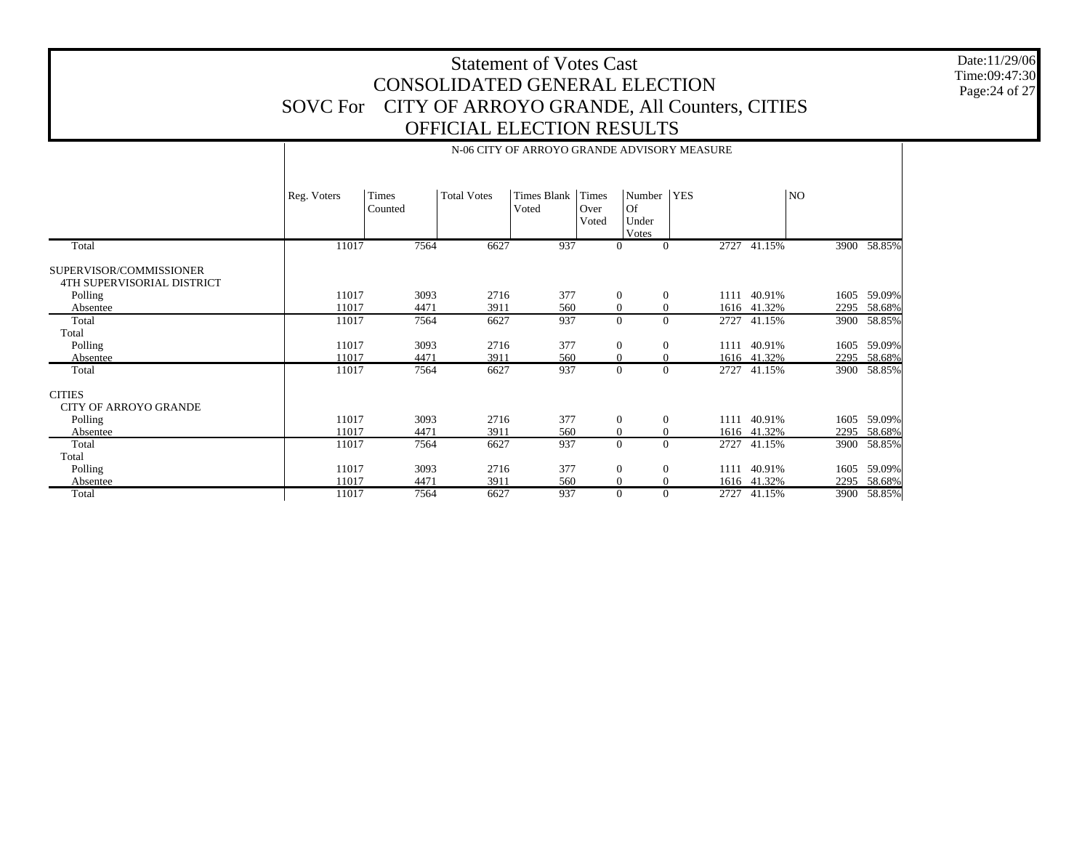Date:11/29/06 Time:09:47:30 Page:24 of 27

|                                                       |             | N-06 CITY OF ARROYO GRANDE ADVISORY MEASURE |                    |                      |                        |                                |            |             |      |             |  |  |  |
|-------------------------------------------------------|-------------|---------------------------------------------|--------------------|----------------------|------------------------|--------------------------------|------------|-------------|------|-------------|--|--|--|
|                                                       | Reg. Voters | Times<br>Counted                            | <b>Total Votes</b> | Times Blank<br>Voted | Times<br>Over<br>Voted | Number<br>Of<br>Under<br>Votes | <b>YES</b> |             | NO.  |             |  |  |  |
| Total                                                 | 11017       | 7564                                        | 6627               | 937                  | $\mathbf{0}$           | $\overline{0}$                 |            | 2727 41.15% |      | 3900 58.85% |  |  |  |
| SUPERVISOR/COMMISSIONER<br>4TH SUPERVISORIAL DISTRICT |             |                                             |                    |                      |                        |                                |            |             |      |             |  |  |  |
| Polling                                               | 11017       | 3093                                        | 2716               | 377                  | $\theta$               | $\theta$                       | 1111       | 40.91%      | 1605 | 59.09%      |  |  |  |
| Absentee                                              | 11017       | 4471                                        | 3911               | 560                  | $\mathbf{0}$           | $\mathbf{0}$                   |            | 1616 41.32% |      | 2295 58.68% |  |  |  |
| Total                                                 | 11017       | 7564                                        | 6627               | 937                  | $\Omega$               | $\Omega$                       | 2727       | 41.15%      | 3900 | 58.85%      |  |  |  |
| Total                                                 |             |                                             |                    |                      |                        |                                |            |             |      |             |  |  |  |
| Polling                                               | 11017       | 3093                                        | 2716               | 377                  | $\mathbf{0}$           | $\theta$                       | 1111       | 40.91%      | 1605 | 59.09%      |  |  |  |
| Absentee                                              | 11017       | 4471                                        | 3911               | 560                  | $\mathbf{0}$           | $\mathbf{0}$                   |            | 1616 41.32% |      | 2295 58.68% |  |  |  |
| Total                                                 | 11017       | 7564                                        | 6627               | 937                  | $\theta$               | $\Omega$                       |            | 2727 41.15% |      | 3900 58.85% |  |  |  |
| <b>CITIES</b><br>CITY OF ARROYO GRANDE                |             |                                             |                    |                      |                        |                                |            |             |      |             |  |  |  |
| Polling                                               | 11017       | 3093                                        | 2716               | 377                  | $\mathbf{0}$           | $\theta$                       | 1111       | 40.91%      | 1605 | 59.09%      |  |  |  |
| Absentee                                              | 11017       | 4471                                        | 3911               | 560                  | $\mathbf{0}$           | $\mathbf{0}$                   |            | 1616 41.32% |      | 2295 58.68% |  |  |  |
| Total                                                 | 11017       | 7564                                        | 6627               | 937                  | $\mathbf{0}$           | $\Omega$                       | 2727       | 41.15%      |      | 3900 58.85% |  |  |  |
| Total                                                 |             |                                             |                    |                      |                        |                                |            |             |      |             |  |  |  |
| Polling                                               | 11017       | 3093                                        | 2716               | 377                  | $\boldsymbol{0}$       | $\mathbf{0}$                   | 1111       | 40.91%      | 1605 | 59.09%      |  |  |  |
| Absentee                                              | 11017       | 4471                                        | 3911               | 560                  | $\mathbf{0}$           | $\mathbf{0}$                   |            | 1616 41.32% |      | 2295 58.68% |  |  |  |
| Total                                                 | 11017       | 7564                                        | 6627               | 937                  | $\theta$               | $\Omega$                       |            | 2727 41.15% |      | 3900 58.85% |  |  |  |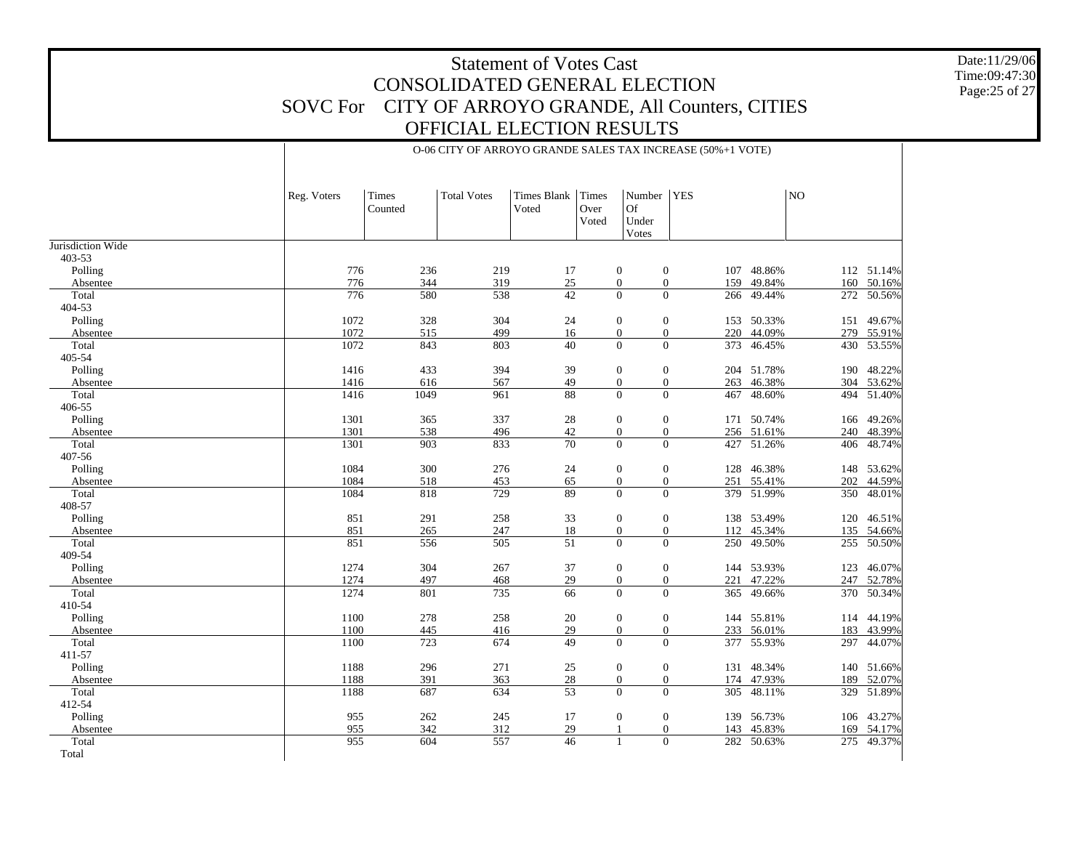O-06 CITY OF ARROYO GRANDE SALES TAX INCREASE (50%+1 VOTE)

Date:11/29/06 Time:09:47:30 Page:25 of 27

|                   | Reg. Voters | Times<br>Counted | <b>Total Votes</b> | Times Blank<br>Voted | <b>Times</b><br>Over<br>Voted | Number<br>Of<br>Under<br>Votes       | <b>YES</b>                       |            | NO  |            |
|-------------------|-------------|------------------|--------------------|----------------------|-------------------------------|--------------------------------------|----------------------------------|------------|-----|------------|
| Jurisdiction Wide |             |                  |                    |                      |                               |                                      |                                  |            |     |            |
| 403-53            |             |                  |                    |                      |                               |                                      |                                  |            |     |            |
| Polling           | 776         | 236              | 219                | 17                   |                               | $\mathbf{0}$                         | $\boldsymbol{0}$                 | 107 48.86% |     | 112 51.14% |
| Absentee          | 776         | 344              | 319                | $25\,$               |                               | $\boldsymbol{0}$                     | $\boldsymbol{0}$<br>159          | 49.84%     | 160 | 50.16%     |
| Total             | 776         | 580              | 538                | 42                   |                               | $\overline{0}$                       | $\mathbf{0}$<br>266              | 49.44%     | 272 | 50.56%     |
| 404-53            |             |                  |                    |                      |                               |                                      |                                  |            |     |            |
| Polling           | 1072        | 328              | 304                | 24                   |                               | $\mathbf{0}$                         | $\mathbf{0}$                     | 153 50.33% | 151 | 49.67%     |
| Absentee          | 1072        | 515              | 499                | 16                   |                               | $\overline{0}$                       | $\boldsymbol{0}$                 | 220 44.09% | 279 | 55.91%     |
| Total             | 1072        | 843              | 803                | 40                   |                               | $\overline{0}$                       | $\overline{0}$                   | 373 46.45% | 430 | 53.55%     |
| 405-54            |             |                  |                    |                      |                               |                                      |                                  |            |     |            |
| Polling           | 1416        | 433              | 394                | 39                   |                               | $\boldsymbol{0}$                     | $\boldsymbol{0}$                 | 204 51.78% | 190 | 48.22%     |
| Absentee          | 1416        | 616              | 567                | 49                   |                               | $\boldsymbol{0}$<br>$\overline{0}$   | $\boldsymbol{0}$<br>$\mathbf{0}$ | 263 46.38% | 304 | 53.62%     |
| Total<br>406-55   | 1416        | 1049             | 961                | 88                   |                               |                                      | 467                              | 48.60%     | 494 | 51.40%     |
| Polling           | 1301        | 365              | 337                | $28\,$               |                               |                                      | $\boldsymbol{0}$<br>171          | 50.74%     | 166 | 49.26%     |
|                   | 1301        | 538              | 496                | 42                   |                               | $\boldsymbol{0}$<br>$\boldsymbol{0}$ | $\boldsymbol{0}$                 | 256 51.61% | 240 | 48.39%     |
| Absentee<br>Total | 1301        | 903              | 833                | $\overline{70}$      |                               | $\boldsymbol{0}$                     | $\boldsymbol{0}$                 | 427 51.26% | 406 | 48.74%     |
| 407-56            |             |                  |                    |                      |                               |                                      |                                  |            |     |            |
| Polling           | 1084        | 300              | 276                | 24                   |                               | $\boldsymbol{0}$                     | $\boldsymbol{0}$                 | 128 46.38% |     | 148 53.62% |
| Absentee          | 1084        | 518              | 453                | 65                   |                               | $\boldsymbol{0}$                     | $\boldsymbol{0}$<br>251          | 55.41%     | 202 | 44.59%     |
| Total             | 1084        | 818              | 729                | 89                   |                               | $\overline{0}$                       | $\overline{0}$                   | 379 51.99% | 350 | 48.01%     |
| 408-57            |             |                  |                    |                      |                               |                                      |                                  |            |     |            |
| Polling           | 851         | 291              | 258                | 33                   |                               | $\boldsymbol{0}$                     | $\boldsymbol{0}$                 | 138 53.49% | 120 | 46.51%     |
| Absentee          | 851         | 265              | 247                | 18                   |                               | $\boldsymbol{0}$                     | $\boldsymbol{0}$                 | 112 45.34% | 135 | 54.66%     |
| Total             | 851         | 556              | 505                | 51                   |                               | $\mathbf{0}$                         | $\mathbf{0}$<br>250              | 49.50%     | 255 | 50.50%     |
| 409-54            |             |                  |                    |                      |                               |                                      |                                  |            |     |            |
| Polling           | 1274        | 304              | 267                | 37                   |                               | $\boldsymbol{0}$                     | $\boldsymbol{0}$                 | 144 53.93% | 123 | 46.07%     |
| Absentee          | 1274        | 497              | 468                | 29                   |                               | $\boldsymbol{0}$                     | $\boldsymbol{0}$                 | 221 47.22% | 247 | 52.78%     |
| Total             | 1274        | 801              | 735                | $\overline{66}$      |                               | $\overline{0}$                       | $\overline{0}$                   | 365 49.66% | 370 | 50.34%     |
| 410-54            |             |                  |                    |                      |                               |                                      |                                  |            |     |            |
| Polling           | 1100        | 278              | 258                | 20                   |                               | $\boldsymbol{0}$                     | $\boldsymbol{0}$                 | 144 55.81% |     | 114 44.19% |
| Absentee          | 1100        | 445              | 416                | 29                   |                               | $\overline{0}$                       | $\boldsymbol{0}$                 | 233 56.01% | 183 | 43.99%     |
| Total             | 1100        | 723              | 674                | 49                   |                               | $\overline{0}$                       | $\boldsymbol{0}$                 | 377 55.93% | 297 | 44.07%     |
| 411-57            |             |                  |                    |                      |                               |                                      |                                  |            |     |            |
| Polling           | 1188        | 296              | 271                | 25                   |                               | $\boldsymbol{0}$                     | $\boldsymbol{0}$<br>131          | 48.34%     | 140 | 51.66%     |
| Absentee          | 1188        | 391              | 363                | 28                   |                               | $\boldsymbol{0}$                     | $\boldsymbol{0}$                 | 174 47.93% | 189 | 52.07%     |
| Total             | 1188        | 687              | 634                | $\overline{53}$      |                               | $\overline{0}$                       | $\mathbf{0}$<br>305              | 48.11%     | 329 | 51.89%     |
| 412-54            |             |                  |                    |                      |                               |                                      |                                  |            |     |            |
| Polling           | 955         | 262              | 245                | 17                   |                               | $\boldsymbol{0}$                     | $\boldsymbol{0}$                 | 139 56.73% | 106 | 43.27%     |
| Absentee          | 955         | 342              | 312                | 29                   |                               | $\mathbf{1}$                         | $\mathbf{0}$                     | 143 45.83% | 169 | 54.17%     |
| Total             | 955         | 604              | 557                | 46                   |                               | 1                                    | $\overline{0}$                   | 282 50.63% |     | 275 49.37% |

Total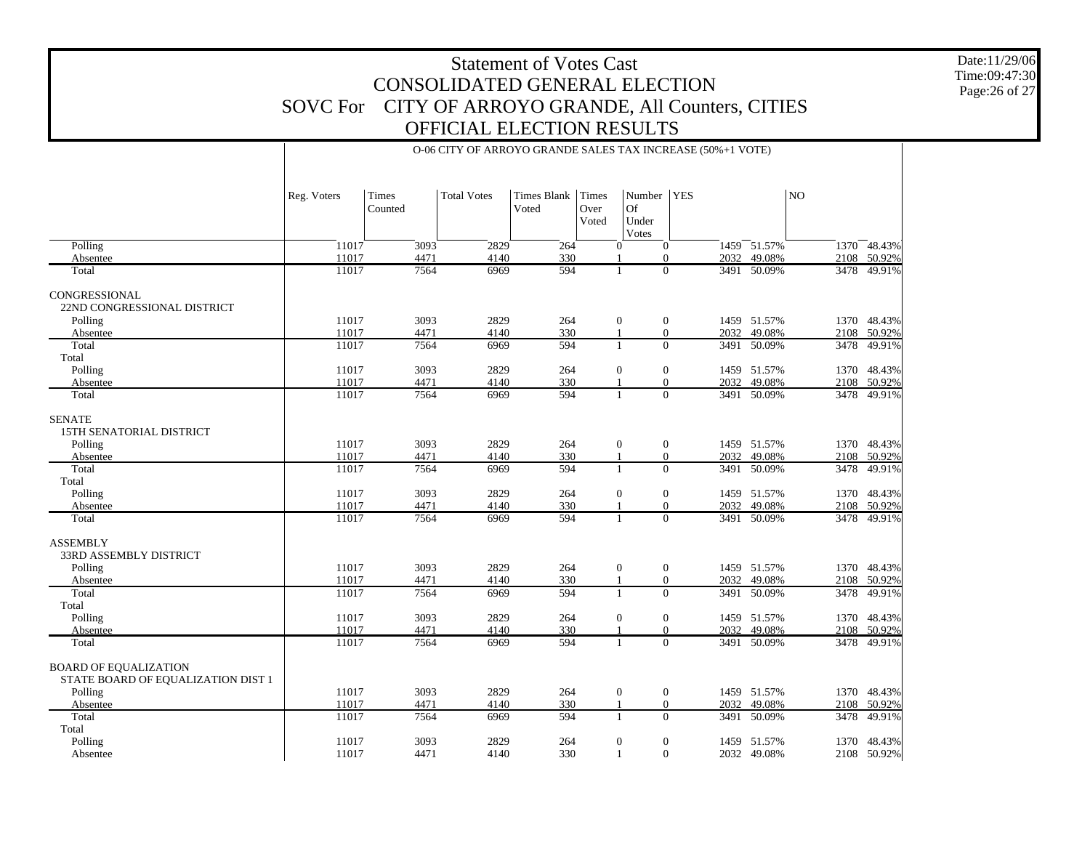O-06 CITY OF ARROYO GRANDE SALES TAX INCREASE (50%+1 VOTE)

Date:11/29/06 Time:09:47:30 Page:26 of 27

|                                                                    | Reg. Voters | Times<br>Counted | <b>Total Votes</b> | Times Blank<br>Voted | <b>Times</b><br>Over<br>Voted | Number<br>Of<br>Under<br>Votes                 | <b>YES</b>     |             | N <sub>O</sub> |             |
|--------------------------------------------------------------------|-------------|------------------|--------------------|----------------------|-------------------------------|------------------------------------------------|----------------|-------------|----------------|-------------|
| Polling                                                            | 11017       | 3093             | 2829               | 264                  |                               | $\mathbf{0}$<br>$\overline{0}$                 |                | 1459 51.57% |                | 1370 48.43% |
| Absentee                                                           | 11017       | 4471             | 4140               | 330                  |                               | $\Omega$                                       |                | 2032 49.08% |                | 2108 50.92% |
| Total                                                              | 11017       | 7564             | 6969               | 594                  |                               | -1                                             | $\Omega$       | 3491 50.09% | 3478           | 49.91%      |
| CONGRESSIONAL<br>22ND CONGRESSIONAL DISTRICT                       |             |                  |                    |                      |                               |                                                |                |             |                |             |
| Polling                                                            | 11017       | 3093             | 2829               | 264                  |                               | $\mathbf{0}$<br>$\mathbf{0}$                   |                | 1459 51.57% |                | 1370 48.43% |
| Absentee                                                           | 11017       | 4471             | 4140               | 330                  | $\overline{1}$                | $\mathbf{0}$                                   |                | 2032 49.08% | 2108           | 50.92%      |
| Total<br>Total                                                     | 11017       | 7564             | 6969               | 594                  |                               | $\mathbf{1}$                                   | $\Omega$       | 3491 50.09% | 3478           | 49.91%      |
| Polling                                                            | 11017       | 3093             | 2829               | 264                  |                               | $\mathbf{0}$<br>$\mathbf{0}$                   |                | 1459 51.57% |                | 1370 48.43% |
| Absentee                                                           | 11017       | 4471             | 4140               | 330                  |                               | $\mathbf{0}$                                   |                | 2032 49.08% |                | 2108 50.92% |
| Total                                                              | 11017       | 7564             | 6969               | 594                  |                               | $\Omega$<br>$\mathbf{1}$                       |                | 3491 50.09% |                | 3478 49.91% |
| <b>SENATE</b><br>15TH SENATORIAL DISTRICT                          | 11017       | 3093             | 2829               | 264                  |                               |                                                |                | 1459 51.57% |                | 1370 48.43% |
| Polling                                                            | 11017       | 4471             | 4140               | 330                  | $\overline{1}$                | $\mathbf{0}$<br>$\mathbf{0}$<br>$\overline{0}$ | 2032           | 49.08%      | 2108           | 50.92%      |
| Absentee<br>Total                                                  | 11017       | 7564             | 6969               | 594                  |                               | $\mathbf{1}$                                   | $\Omega$       | 3491 50.09% | 3478           | 49.91%      |
| Total                                                              |             |                  |                    |                      |                               |                                                |                |             |                |             |
| Polling                                                            | 11017       | 3093             | 2829               | 264                  |                               | $\boldsymbol{0}$<br>$\mathbf{0}$               |                | 1459 51.57% |                | 1370 48.43% |
| Absentee                                                           | 11017       | 4471             | 4140               | 330                  | $\mathbf{1}$                  | $\Omega$                                       | 2032           | 49.08%      | 2108           | 50.92%      |
| Total                                                              | 11017       | 7564             | 6969               | 594                  |                               | $\mathbf{1}$                                   | $\Omega$       | 3491 50.09% |                | 3478 49.91% |
| <b>ASSEMBLY</b><br>33RD ASSEMBLY DISTRICT                          |             |                  |                    |                      |                               |                                                |                |             |                |             |
| Polling                                                            | 11017       | 3093             | 2829               | 264                  |                               | $\boldsymbol{0}$<br>$\boldsymbol{0}$           |                | 1459 51.57% |                | 1370 48.43% |
| Absentee                                                           | 11017       | 4471             | 4140               | 330                  | $\overline{1}$                | $\mathbf{0}$                                   | 2032           | 49.08%      | 2108           | 50.92%      |
| Total<br>Total                                                     | 11017       | 7564             | 6969               | 594                  |                               | $\mathbf{1}$                                   | $\overline{0}$ | 3491 50.09% | 3478           | 49.91%      |
| Polling                                                            | 11017       | 3093             | 2829               | 264                  |                               | $\mathbf{0}$<br>$\mathbf{0}$                   |                | 1459 51.57% |                | 1370 48.43% |
| Absentee                                                           | 11017       | 4471             | 4140               | 330                  | $\overline{1}$                | $\boldsymbol{0}$                               | 2032           | 49.08%      |                | 2108 50.92% |
| Total                                                              | 11017       | 7564             | 6969               | 594                  |                               | $\theta$<br>$\mathbf{1}$                       |                | 3491 50.09% |                | 3478 49.91% |
| <b>BOARD OF EQUALIZATION</b><br>STATE BOARD OF EQUALIZATION DIST 1 |             |                  |                    |                      |                               |                                                |                |             |                |             |
| Polling                                                            | 11017       | 3093             | 2829               | 264                  |                               | $\mathbf{0}$<br>$\mathbf{0}$                   |                | 1459 51.57% |                | 1370 48.43% |
| Absentee                                                           | 11017       | 4471             | 4140               | 330                  |                               | $\mathbf{0}$                                   |                | 2032 49.08% |                | 2108 50.92% |
| Total                                                              | 11017       | 7564             | 6969               | 594                  | $\overline{1}$                | $\mathbf{0}$                                   | 3491           | 50.09%      | 3478           | 49.91%      |
| Total                                                              |             |                  |                    |                      |                               |                                                |                |             |                |             |
| Polling                                                            | 11017       | 3093             | 2829               | 264                  | $\overline{1}$                | $\mathbf{0}$<br>$\mathbf{0}$                   | 1459           | 51.57%      | 1370           | 48.43%      |
| Absentee                                                           | 11017       | 4471             | 4140               | 330                  |                               | $\Omega$                                       |                | 2032 49.08% |                | 2108 50.92% |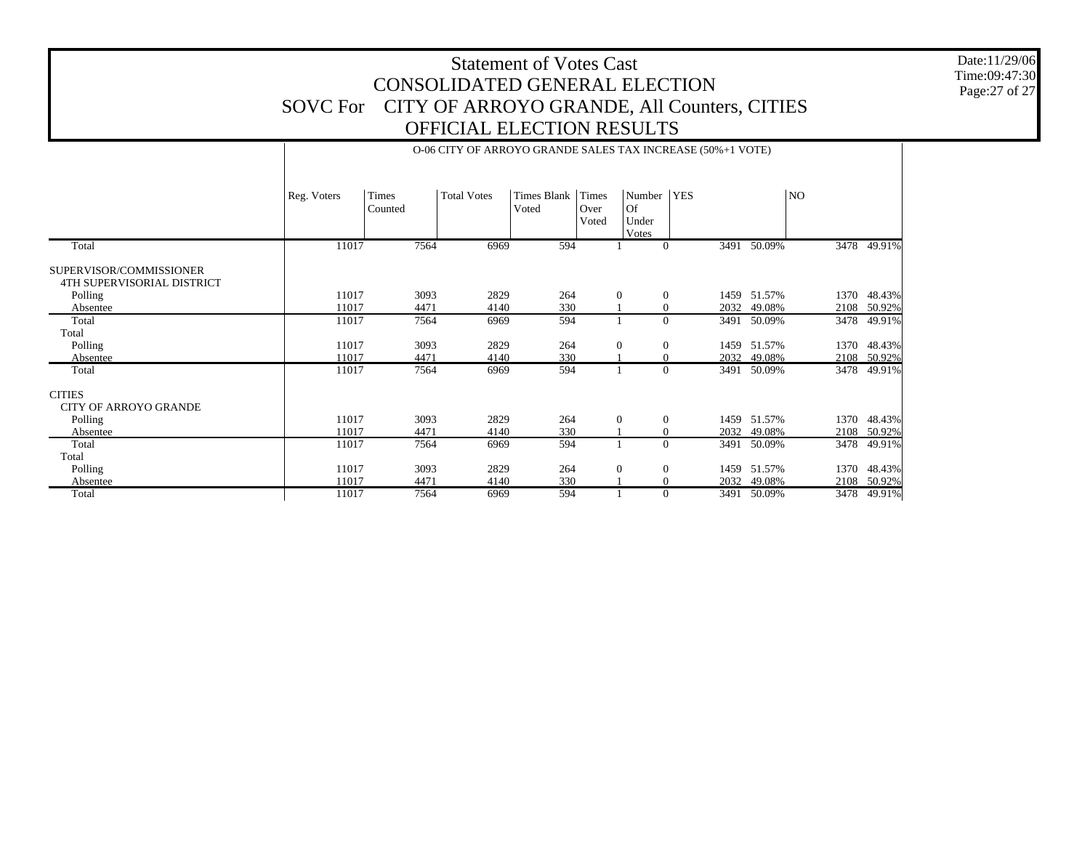Date:11/29/06 Time:09:47:30 Page:27 of 27

|                                                       |             |                  | O-06 CITY OF ARROYO GRANDE SALES TAX INCREASE (50%+1 VOTE) |                             |                        |                                |            |                |      |             |
|-------------------------------------------------------|-------------|------------------|------------------------------------------------------------|-----------------------------|------------------------|--------------------------------|------------|----------------|------|-------------|
|                                                       | Reg. Voters | Times<br>Counted | <b>Total Votes</b>                                         | <b>Times Blank</b><br>Voted | Times<br>Over<br>Voted | Number<br>Of<br>Under<br>Votes | <b>YES</b> |                | NO.  |             |
| Total                                                 | 11017       | 7564             | 6969                                                       | 594                         |                        |                                | $\Omega$   | 3491 50.09%    |      | 3478 49.91% |
| SUPERVISOR/COMMISSIONER<br>4TH SUPERVISORIAL DISTRICT |             |                  |                                                            |                             |                        |                                |            |                |      |             |
| Polling                                               | 11017       | 3093             | 2829                                                       | 264                         |                        | $\mathbf{0}$<br>$\theta$       |            | 1459 51.57%    | 1370 | 48.43%      |
| Absentee                                              | 11017       | 4471             | 4140                                                       | 330                         |                        |                                | 2032       | 49.08%         |      | 2108 50.92% |
| Total                                                 | 11017       | 7564             | 6969                                                       | 594                         |                        | $\Omega$                       | 3491       | 50.09%         | 3478 | 49.91%      |
| Total                                                 |             |                  |                                                            |                             |                        |                                |            |                |      |             |
| Polling                                               | 11017       | 3093             | 2829                                                       | 264                         |                        | $\mathbf{0}$<br>$\theta$       |            | 51.57%<br>1459 | 1370 | 48.43%      |
| Absentee                                              | 11017       | 4471             | 4140                                                       | 330                         |                        |                                |            | 2032<br>49.08% |      | 2108 50.92% |
| Total                                                 | 11017       | 7564             | 6969                                                       | 594                         |                        |                                | $\Omega$   | 3491 50.09%    |      | 3478 49.91% |
| <b>CITIES</b><br>CITY OF ARROYO GRANDE                |             |                  |                                                            |                             |                        |                                |            |                |      |             |
| Polling                                               | 11017       | 3093             | 2829                                                       | 264                         |                        | $\mathbf{0}$<br>$\Omega$       |            | 1459 51.57%    | 1370 | 48.43%      |
| Absentee                                              | 11017       | 4471             | 4140                                                       | 330                         |                        |                                | 2032       | 49.08%         |      | 2108 50.92% |
| Total                                                 | 11017       | 7564             | 6969                                                       | 594                         |                        | $\Omega$                       | 3491       | 50.09%         | 3478 | 49.91%      |
| Total                                                 |             |                  |                                                            |                             |                        |                                |            |                |      |             |
| Polling                                               | 11017       | 3093             | 2829                                                       | 264                         |                        | $\mathbf{0}$<br>$\theta$       | 1459       | 51.57%         | 1370 | 48.43%      |
| Absentee                                              | 11017       | 4471             | 4140                                                       | 330                         |                        |                                | 2032       | 49.08%         |      | 2108 50.92% |
| Total                                                 | 11017       | 7564             | 6969                                                       | 594                         |                        | $\Omega$                       |            | 3491 50.09%    |      | 3478 49.91% |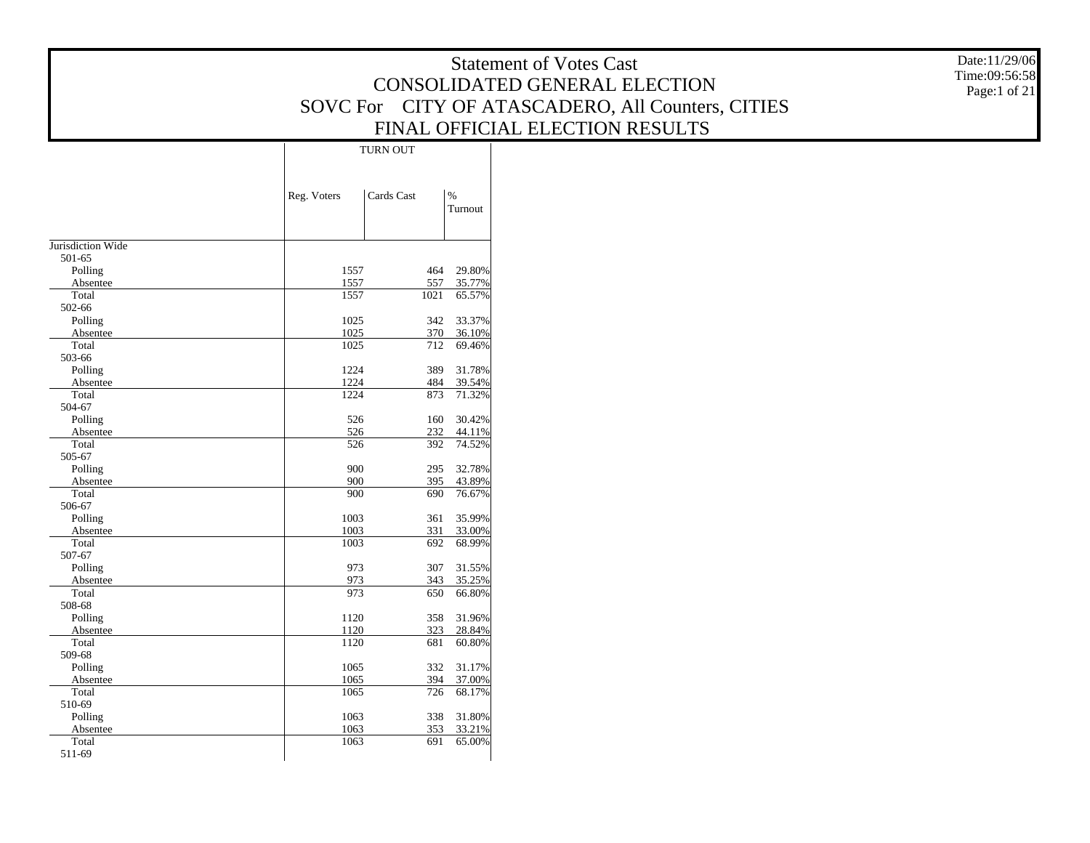|                             |              |                 |                  | <b>Statement of Votes Cast</b>                    | Date:11/29/06 |
|-----------------------------|--------------|-----------------|------------------|---------------------------------------------------|---------------|
|                             |              |                 |                  | CONSOLIDATED GENERAL ELECTION                     | Time:09:56:58 |
|                             |              |                 |                  |                                                   | Page:1 of 21  |
|                             |              |                 |                  | SOVC For CITY OF ATASCADERO, All Counters, CITIES |               |
|                             |              |                 |                  | FINAL OFFICIAL ELECTION RESULTS                   |               |
|                             |              | <b>TURN OUT</b> |                  |                                                   |               |
|                             |              |                 |                  |                                                   |               |
|                             |              |                 |                  |                                                   |               |
|                             | Reg. Voters  | Cards Cast      | $\%$             |                                                   |               |
|                             |              |                 | Turnout          |                                                   |               |
|                             |              |                 |                  |                                                   |               |
| Jurisdiction Wide<br>501-65 |              |                 |                  |                                                   |               |
| Polling                     | 1557         | 464             | 29.80%           |                                                   |               |
| Absentee                    | 1557         | 557             | 35.77%           |                                                   |               |
| Total                       | 1557         | 1021            | 65.57%           |                                                   |               |
| 502-66                      |              |                 |                  |                                                   |               |
| Polling                     | 1025         | 342             | 33.37%           |                                                   |               |
| Absentee                    | 1025         | 370             | 36.10%           |                                                   |               |
| Total<br>503-66             | 1025         | 712             | 69.46%           |                                                   |               |
| Polling                     | 1224         | 389             | 31.78%           |                                                   |               |
| Absentee                    | 1224         | 484             | 39.54%           |                                                   |               |
| Total                       | 1224         | 873             | 71.32%           |                                                   |               |
| 504-67                      |              |                 |                  |                                                   |               |
| Polling                     | 526          | 160             | 30.42%           |                                                   |               |
| Absentee                    | 526          | 232             | 44.11%           |                                                   |               |
| Total                       | 526          | 392             | 74.52%           |                                                   |               |
| 505-67                      | 900          | 295             | 32.78%           |                                                   |               |
| Polling<br>Absentee         | 900          | 395             | 43.89%           |                                                   |               |
| Total                       | 900          | 690             | 76.67%           |                                                   |               |
| 506-67                      |              |                 |                  |                                                   |               |
| Polling                     | 1003         | 361             | 35.99%           |                                                   |               |
| Absentee                    | 1003         | 331             | 33.00%           |                                                   |               |
| Total                       | 1003         | 692             | 68.99%           |                                                   |               |
| 507-67<br>Polling           | 973          | 307             | 31.55%           |                                                   |               |
| Absentee                    | 973          | 343             | 35.25%           |                                                   |               |
| Total                       | 973          | 650             | 66.80%           |                                                   |               |
| 508-68                      |              |                 |                  |                                                   |               |
| Polling                     | 1120         | 358             | 31.96%           |                                                   |               |
| Absentee                    | 1120         | 323             | 28.84%           |                                                   |               |
| Total                       | 1120         | 681             | 60.80%           |                                                   |               |
| 509-68                      |              |                 |                  |                                                   |               |
| Polling<br>Absentee         | 1065<br>1065 | 332<br>394      | 31.17%<br>37.00% |                                                   |               |
| Total                       | 1065         | 726             | 68.17%           |                                                   |               |
| 510-69                      |              |                 |                  |                                                   |               |
| Polling                     | 1063         |                 | 338 31.80%       |                                                   |               |
| Absentee                    | 1063         | 353             | 33.21%           |                                                   |               |
| Total                       | 1063         | 691             | 65.00%           |                                                   |               |
| 511-69                      |              |                 |                  |                                                   |               |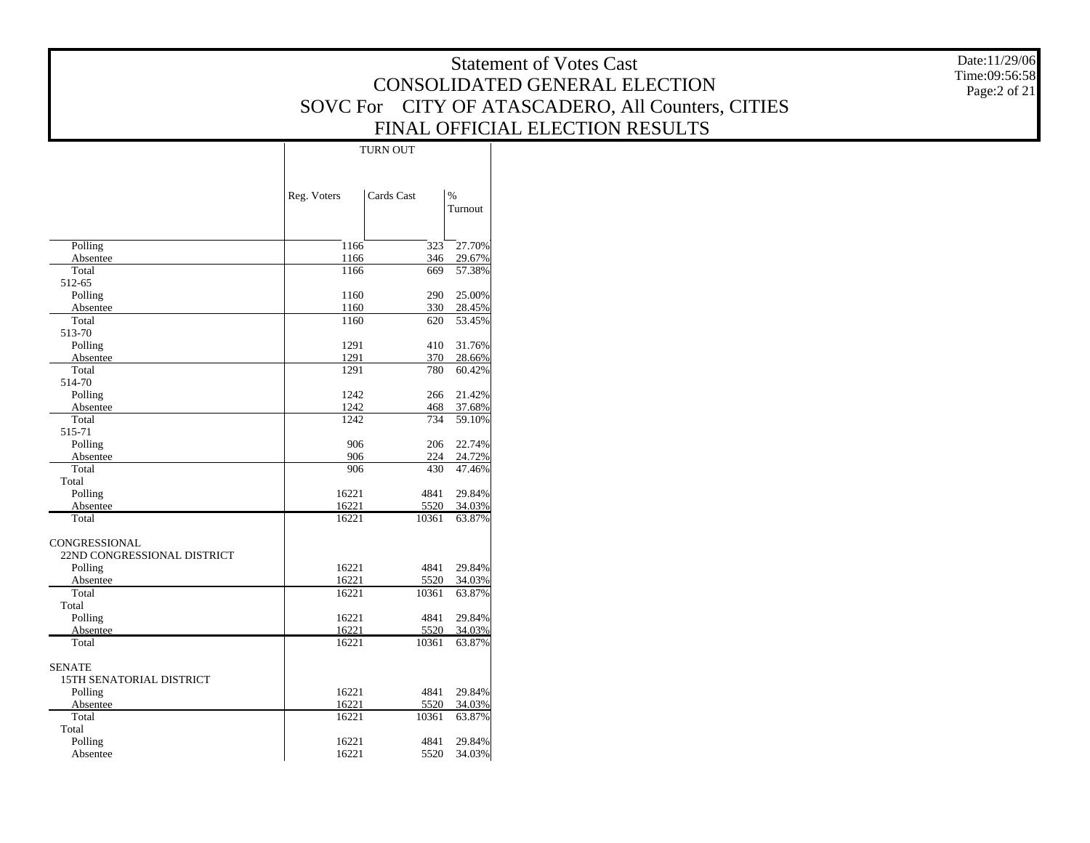Date:11/29/06 Time:09:56:58 Page:2 of 21

|                             |             | <b>TURN OUT</b> |                          |
|-----------------------------|-------------|-----------------|--------------------------|
|                             |             |                 |                          |
|                             | Reg. Voters | Cards Cast      | $\frac{9}{6}$<br>Turnout |
|                             |             |                 |                          |
| Polling                     | 1166        | 323             | 27.70%                   |
| Absentee                    | 1166        | 346             | 29.67%                   |
| Total                       | 1166        | 669             | 57.38%                   |
| 512-65                      |             |                 |                          |
| Polling                     | 1160        | 290             | 25.00%                   |
| Absentee                    | 1160        | 330             | 28.45%                   |
| Total                       | 1160        | 620             | 53.45%                   |
| 513-70                      |             |                 |                          |
| Polling                     | 1291        | 410             | 31.76%                   |
| Absentee                    | 1291        | 370             | 28.66%                   |
| Total                       | 1291        | 780             | 60.42%                   |
| 514-70                      |             |                 |                          |
| Polling                     | 1242        | 266             | 21.42%                   |
| Absentee                    | 1242        | 468             | 37.68%                   |
| Total                       | 1242        | 734             | 59.10%                   |
| 515-71                      |             |                 |                          |
| Polling                     | 906         | 206             | 22.74%                   |
| Absentee<br>Total           | 906<br>906  | 224<br>430      | 24.72%<br>47.46%         |
| Total                       |             |                 |                          |
| Polling                     | 16221       | 4841            | 29.84%                   |
| Absentee                    | 16221       | 5520            | 34.03%                   |
| Total                       | 16221       | 10361           | 63.87%                   |
| <b>CONGRESSIONAL</b>        |             |                 |                          |
| 22ND CONGRESSIONAL DISTRICT |             |                 |                          |
| Polling                     | 16221       | 4841            | 29.84%                   |
| Absentee                    | 16221       | 5520            | 34.03%                   |
| Total                       | 16221       | 10361           | 63.87%                   |
| Total                       |             |                 |                          |
| Polling                     | 16221       | 4841            | 29.84%                   |
| Absentee                    | 16221       | 5520            | 34.03%                   |
| Total                       | 16221       | 10361           | 63.87%                   |
| <b>SENATE</b>               |             |                 |                          |
| 15TH SENATORIAL DISTRICT    |             |                 |                          |
| Polling                     | 16221       | 4841            | 29.84%                   |
| Absentee                    | 16221       | 5520            | 34.03%                   |
| Total                       | 16221       | 10361           | 63.87%                   |
| Total                       |             |                 |                          |
| Polling                     | 16221       | 4841            | 29.84%                   |
| Absentee                    | 16221       | 5520            | 34.03%                   |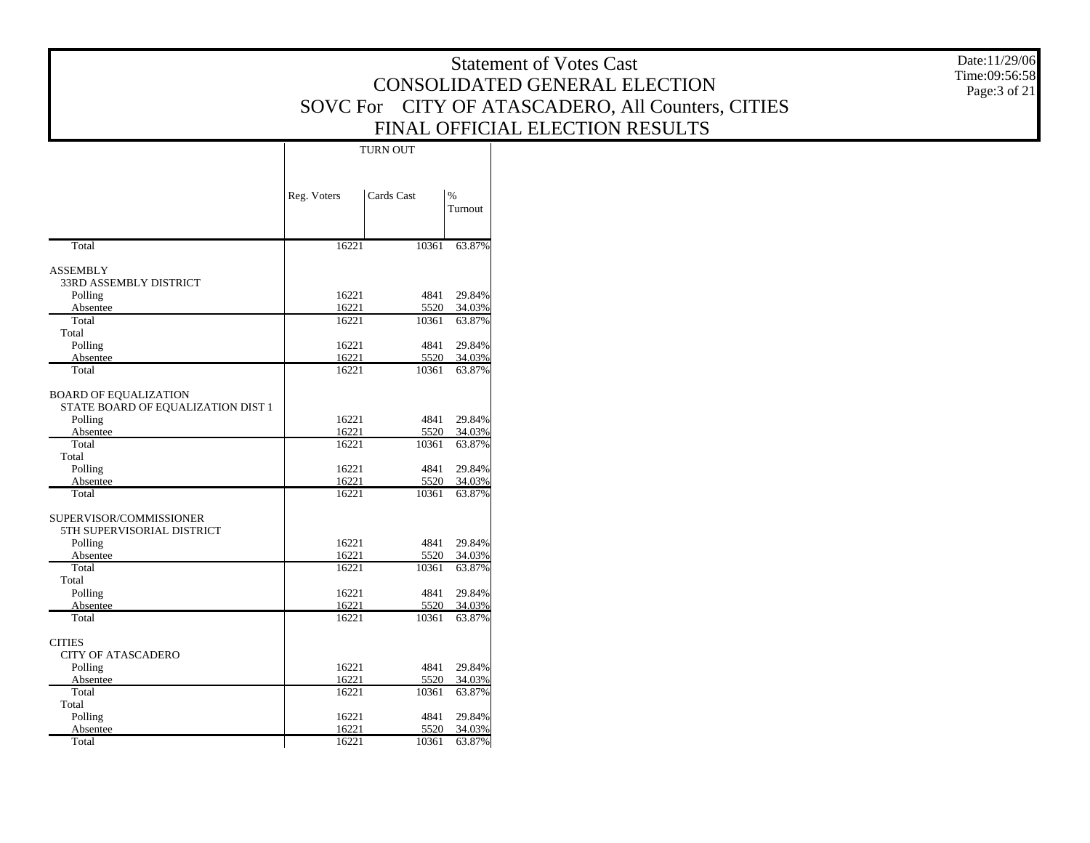|                                      |                |                 |                            | <b>Statement of Votes Cast</b>                    | Date:11/29/06                 |
|--------------------------------------|----------------|-----------------|----------------------------|---------------------------------------------------|-------------------------------|
|                                      |                |                 |                            | CONSOLIDATED GENERAL ELECTION                     | Time:09:56:58<br>Page:3 of 21 |
|                                      |                |                 |                            | SOVC For CITY OF ATASCADERO, All Counters, CITIES |                               |
|                                      |                |                 |                            | FINAL OFFICIAL ELECTION RESULTS                   |                               |
|                                      |                |                 |                            |                                                   |                               |
|                                      |                | <b>TURN OUT</b> |                            |                                                   |                               |
|                                      |                |                 |                            |                                                   |                               |
|                                      | Reg. Voters    | Cards Cast      | $\%$                       |                                                   |                               |
|                                      |                |                 | Turnout                    |                                                   |                               |
| Total                                | 16221          |                 | 10361 63.87%               |                                                   |                               |
| <b>ASSEMBLY</b>                      |                |                 |                            |                                                   |                               |
| 33RD ASSEMBLY DISTRICT               |                |                 |                            |                                                   |                               |
| Polling                              | 16221          |                 | 4841 29.84%                |                                                   |                               |
| Absentee                             | 16221          | 5520            | 34.03%                     |                                                   |                               |
| Total<br>Total                       | 16221          | 10361           | 63.87%                     |                                                   |                               |
| Polling                              | 16221          | 4841            | 29.84%                     |                                                   |                               |
| Absentee                             | 16221          | 5520            | 34.03%                     |                                                   |                               |
| Total                                | 16221          | 10361           | 63.87%                     |                                                   |                               |
| <b>BOARD OF EQUALIZATION</b>         |                |                 |                            |                                                   |                               |
| STATE BOARD OF EQUALIZATION DIST 1   |                |                 |                            |                                                   |                               |
| Polling                              | 16221          |                 | 4841 29.84%                |                                                   |                               |
| Absentee<br>Total                    | 16221<br>16221 | 5520<br>10361   | 34.03%<br>63.87%           |                                                   |                               |
| Total                                |                |                 |                            |                                                   |                               |
| Polling                              | 16221          |                 | 4841 29.84%                |                                                   |                               |
| Absentee<br>Total                    | 16221<br>16221 | 5520            | 34.03%<br>10361 63.87%     |                                                   |                               |
|                                      |                |                 |                            |                                                   |                               |
| SUPERVISOR/COMMISSIONER              |                |                 |                            |                                                   |                               |
| 5TH SUPERVISORIAL DISTRICT           |                |                 |                            |                                                   |                               |
| Polling<br>Absentee                  | 16221<br>16221 | 5520            | 4841 29.84%<br>34.03%      |                                                   |                               |
| Total                                | 16221          | 10361           | 63.87%                     |                                                   |                               |
| Total                                |                |                 |                            |                                                   |                               |
| Polling                              | 16221          |                 | 4841 29.84%                |                                                   |                               |
| Absentee<br>Total                    | 16221<br>16221 | 5520<br>10361   | 34.03%<br>63.87%           |                                                   |                               |
|                                      |                |                 |                            |                                                   |                               |
| <b>CITIES</b>                        |                |                 |                            |                                                   |                               |
| <b>CITY OF ATASCADERO</b><br>Polling | 16221          |                 | 4841 29.84%                |                                                   |                               |
| Absentee                             | 16221          | 5520            | 34.03%                     |                                                   |                               |
| Total                                | 16221          | 10361           | 63.87%                     |                                                   |                               |
| Total                                |                |                 |                            |                                                   |                               |
| Polling<br>Absentee                  | 16221<br>16221 |                 | 4841 29.84%<br>5520 34.03% |                                                   |                               |
| Total                                | 16221          |                 | 10361 63.87%               |                                                   |                               |
|                                      |                |                 |                            |                                                   |                               |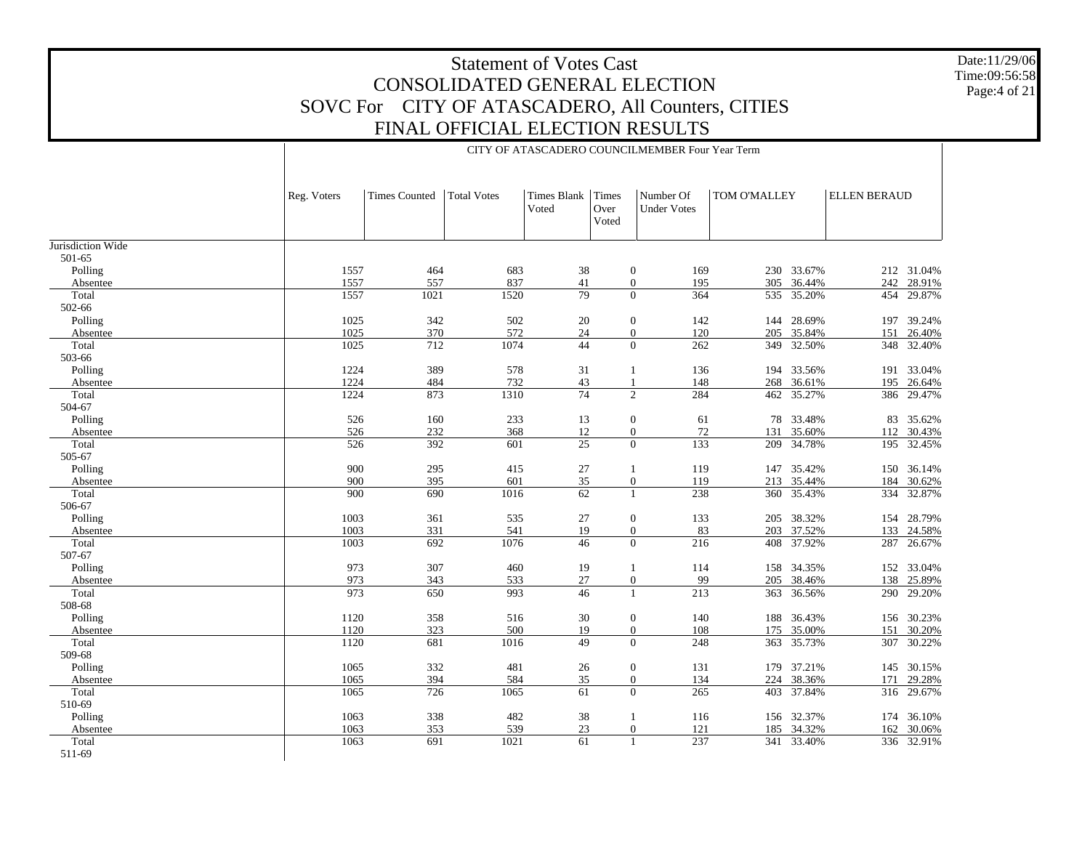CITY OF ATASCADERO COUNCILMEMBER Four Year Term

Date:11/29/06 Time:09:56:58 Page:4 of 21

|                   | Reg. Voters | <b>Times Counted</b> | <b>Total Votes</b> | <b>Times Blank</b><br>Voted | Times<br>Over<br>Voted | Number Of<br><b>Under Votes</b>  | TOM O'MALLEY |            | <b>ELLEN BERAUD</b> |            |
|-------------------|-------------|----------------------|--------------------|-----------------------------|------------------------|----------------------------------|--------------|------------|---------------------|------------|
| Jurisdiction Wide |             |                      |                    |                             |                        |                                  |              |            |                     |            |
| 501-65            |             |                      |                    |                             |                        |                                  |              |            |                     |            |
| Polling           | 1557        | 464                  | 683                | 38                          |                        | $\boldsymbol{0}$<br>169          |              | 230 33.67% |                     | 212 31.04% |
| Absentee          | 1557        | 557                  | 837                | 41                          |                        | $\boldsymbol{0}$<br>195          |              | 305 36.44% |                     | 242 28.91% |
| Total             | 1557        | 1021                 | 1520               | 79                          |                        | $\overline{0}$<br>364            |              | 535 35.20% |                     | 454 29.87% |
| 502-66            |             |                      |                    |                             |                        |                                  |              |            |                     |            |
| Polling           | 1025        | 342                  | 502                | 20                          |                        | $\boldsymbol{0}$<br>142          |              | 144 28.69% | 197                 | 39.24%     |
| Absentee          | 1025        | 370                  | 572                | 24                          |                        | $\boldsymbol{0}$<br>120          |              | 205 35.84% | 151                 | 26.40%     |
| Total             | 1025        | 712                  | 1074               | 44                          |                        | $\overline{0}$<br>262            |              | 349 32.50% |                     | 348 32.40% |
| 503-66            |             |                      |                    |                             |                        |                                  |              |            |                     |            |
| Polling           | 1224        | 389                  | 578                | 31                          |                        | 136<br>1                         |              | 194 33.56% |                     | 191 33.04% |
| Absentee          | 1224        | 484                  | 732                | 43                          |                        | 148<br>$\mathbf{1}$              |              | 268 36.61% |                     | 195 26.64% |
| Total             | 1224        | 873                  | 1310               | $\overline{74}$             |                        | $\overline{2}$<br>284            |              | 462 35.27% |                     | 386 29.47% |
| 504-67            |             |                      |                    |                             |                        |                                  |              |            |                     |            |
| Polling           | 526         | 160                  | 233                | 13                          |                        | $\boldsymbol{0}$<br>61           |              | 78 33.48%  |                     | 83 35.62%  |
| Absentee          | 526         | 232                  | 368                | 12                          |                        | $\boldsymbol{0}$<br>$72\,$       | 131          | 35.60%     |                     | 112 30.43% |
| Total             | 526         | 392                  | 601                | $\overline{25}$             |                        | $\overline{0}$<br>133            | 209          | 34.78%     | 195                 | 32.45%     |
| 505-67            |             |                      |                    |                             |                        |                                  |              |            |                     |            |
| Polling           | 900         | 295                  | 415                | 27                          |                        | 119<br>1                         | 147          | 35.42%     |                     | 150 36.14% |
| Absentee          | 900         | 395                  | 601                | 35                          |                        | $\boldsymbol{0}$<br>119          |              | 213 35.44% | 184                 | 30.62%     |
| Total             | 900         | 690                  | 1016               | 62                          |                        | 238                              |              | 360 35.43% | 334                 | 32.87%     |
| 506-67            |             |                      |                    |                             |                        |                                  |              |            |                     |            |
| Polling           | 1003        | 361                  | 535                | 27                          |                        | 133<br>$\mathbf{0}$              |              | 205 38.32% |                     | 154 28.79% |
| Absentee          | 1003        | 331                  | 541                | 19                          |                        | $\boldsymbol{0}$<br>83           |              | 203 37.52% |                     | 133 24.58% |
| Total             | 1003        | 692                  | 1076               | 46                          |                        | $\Omega$<br>216                  | 408          | 37.92%     | 287                 | 26.67%     |
| 507-67            |             |                      |                    |                             |                        |                                  |              |            |                     |            |
| Polling           | 973         | 307                  | 460                | 19                          |                        | 114<br>-1                        |              | 158 34.35% |                     | 152 33.04% |
| Absentee          | 973         | 343                  | 533                | $27\,$                      |                        | $\boldsymbol{0}$<br>99           |              | 205 38.46% | 138                 | 25.89%     |
| Total             | 973         | 650                  | 993                | $\overline{46}$             |                        | $\overline{213}$<br>$\mathbf{1}$ | 363          | 36.56%     | 290                 | 29.20%     |
| 508-68            |             |                      |                    |                             |                        |                                  |              |            |                     |            |
| Polling           | 1120        | 358                  | 516                | 30                          |                        | $\boldsymbol{0}$<br>140          |              | 188 36.43% |                     | 156 30.23% |
| Absentee          | 1120        | 323                  | 500                | 19                          |                        | $\boldsymbol{0}$<br>108          | 175          | 35.00%     | 151                 | 30.20%     |
| Total             | 1120        | 681                  | 1016               | 49                          |                        | $\overline{0}$<br>248            |              | 363 35.73% | 307                 | 30.22%     |
| 509-68            |             |                      |                    |                             |                        |                                  |              |            |                     |            |
| Polling           | 1065        | 332                  | 481                | 26                          |                        | $\mathbf{0}$<br>131              |              | 179 37.21% |                     | 145 30.15% |
| Absentee          | 1065        | 394                  | 584                | 35                          |                        | $\boldsymbol{0}$<br>134          |              | 224 38.36% | 171                 | 29.28%     |
| Total             | 1065        | 726                  | 1065               | 61                          |                        | $\overline{0}$<br>265            |              | 403 37.84% |                     | 316 29.67% |
| 510-69            |             |                      |                    |                             |                        |                                  |              |            |                     |            |
| Polling           | 1063        | 338                  | 482                | 38                          |                        | 116<br>1                         |              | 156 32.37% |                     | 174 36.10% |
| Absentee          | 1063        | 353                  | 539                | 23                          |                        | $\boldsymbol{0}$<br>121          | 185          | 34.32%     |                     | 162 30.06% |
| Total             | 1063        | 691                  | 1021               | 61                          |                        | 237                              |              | 341 33.40% |                     | 336 32.91% |
| 511-69            |             |                      |                    |                             |                        |                                  |              |            |                     |            |
|                   |             |                      |                    |                             |                        |                                  |              |            |                     |            |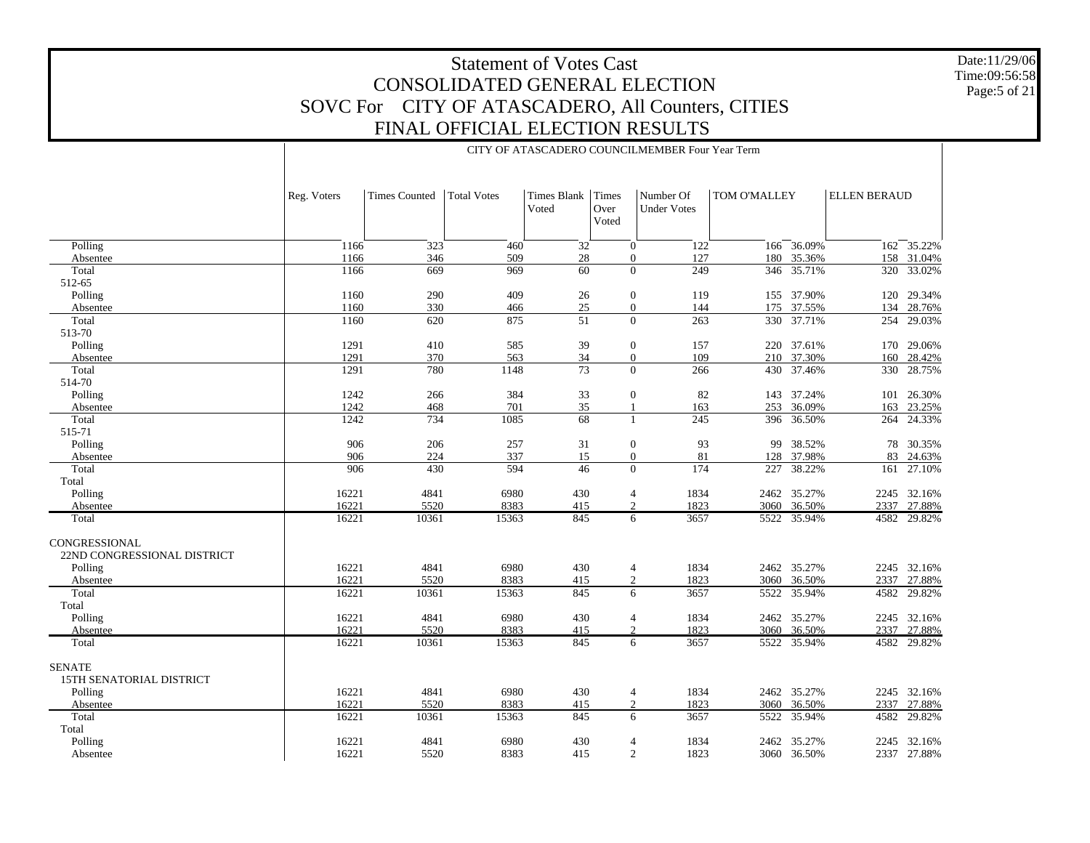CITY OF ATASCADERO COUNCILMEMBER Four Year Term

Date:11/29/06 Time:09:56:58 Page:5 of 21

|                                              | Reg. Voters    | <b>Times Counted</b> | <b>Total Votes</b> | Times Blank<br>Voted | Times<br>Over<br>Voted | Number Of<br><b>Under Votes</b>                  | TOM O'MALLEY |                       | <b>ELLEN BERAUD</b> |                            |
|----------------------------------------------|----------------|----------------------|--------------------|----------------------|------------------------|--------------------------------------------------|--------------|-----------------------|---------------------|----------------------------|
| Polling                                      | 1166           | 323                  | 460                | 32                   |                        | $\overline{0}$<br>122                            |              | 166 36.09%            |                     | $162 - 35.22%$             |
| Absentee<br>Total                            | 1166<br>1166   | 346<br>669           | 509<br>969         | 28<br>60             |                        | $\boldsymbol{0}$<br>127<br>$\overline{0}$<br>249 | 180<br>346   | 35.36%                | 158<br>320          | 31.04%<br>33.02%           |
| 512-65                                       |                |                      |                    |                      |                        |                                                  |              | 35.71%                |                     |                            |
| Polling                                      | 1160           | 290                  | 409                | $26\,$               |                        | $\boldsymbol{0}$<br>119                          |              | 155 37.90%            |                     | 120 29.34%                 |
| Absentee                                     | 1160           | 330                  | 466                | $25\,$               |                        | $\overline{0}$<br>144                            | 175          | 37.55%                | 134                 | 28.76%                     |
| Total                                        | 1160           | 620                  | 875                | 51                   |                        | $\overline{0}$<br>263                            |              | 330 37.71%            | 254                 | 29.03%                     |
| 513-70                                       |                |                      |                    |                      |                        |                                                  |              |                       |                     |                            |
| Polling                                      | 1291           | 410                  | 585                | 39                   |                        | $\boldsymbol{0}$<br>157                          |              | 220 37.61%            |                     | 170 29.06%                 |
| Absentee                                     | 1291           | 370                  | 563                | 34                   |                        | 109<br>$\boldsymbol{0}$                          |              | 210 37.30%            | 160                 | 28.42%                     |
| Total                                        | 1291           | 780                  | 1148               | $\overline{73}$      |                        | $\overline{0}$<br>266                            | 430          | 37.46%                | 330                 | 28.75%                     |
| 514-70                                       |                |                      |                    |                      |                        |                                                  |              |                       |                     |                            |
| Polling                                      | 1242           | 266                  | 384                | 33                   |                        | $\boldsymbol{0}$<br>82                           | 143          | 37.24%                | 101                 | 26.30%                     |
| Absentee                                     | 1242           | 468                  | 701                | 35                   |                        | 163<br>$\overline{1}$                            | 253          | 36.09%                | 163                 | 23.25%                     |
| Total                                        | 1242           | 734                  | 1085               | 68                   |                        | 245<br>1                                         |              | 396 36.50%            | 264                 | 24.33%                     |
| 515-71                                       |                |                      |                    |                      |                        |                                                  |              |                       |                     |                            |
| Polling                                      | 906            | 206                  | 257                | 31                   |                        | 93<br>$\boldsymbol{0}$                           | 99           | 38.52%                | 78                  | 30.35%                     |
| Absentee                                     | 906            | 224                  | 337                | 15                   |                        | $\boldsymbol{0}$<br>81                           | 128          | 37.98%                | 83                  | 24.63%                     |
| Total                                        | 906            | 430                  | 594                | 46                   |                        | $\Omega$<br>174                                  | 227          | 38.22%                | 161                 | 27.10%                     |
| Total                                        |                |                      |                    |                      |                        |                                                  |              |                       |                     |                            |
| Polling                                      | 16221          | 4841                 | 6980               | 430                  |                        | 1834<br>$\overline{4}$                           | 2462         | 35.27%                |                     | 2245 32.16%                |
| Absentee                                     | 16221<br>16221 | 5520<br>10361        | 8383<br>15363      | 415<br>845           |                        | $\overline{2}$<br>1823<br>3657                   | 3060         | 36.50%<br>5522 35.94% |                     | 2337 27.88%<br>4582 29.82% |
| Total                                        |                |                      |                    |                      |                        | 6                                                |              |                       |                     |                            |
| CONGRESSIONAL<br>22ND CONGRESSIONAL DISTRICT |                |                      |                    |                      |                        |                                                  |              |                       |                     |                            |
| Polling                                      | 16221          | 4841                 | 6980               | 430                  |                        | 1834<br>4                                        |              | 2462 35.27%           |                     | 2245 32.16%                |
| Absentee                                     | 16221          | 5520                 | 8383               | 415                  |                        | 2<br>1823                                        | 3060         | 36.50%                | 2337                | 27.88%                     |
| Total<br>Total                               | 16221          | 10361                | 15363              | 845                  |                        | 6<br>3657                                        | 5522         | 35.94%                | 4582                | 29.82%                     |
| Polling                                      | 16221          | 4841                 | 6980               | 430                  |                        | 1834<br>4                                        |              | 2462 35.27%           |                     | 2245 32.16%                |
| Absentee                                     | 16221          | 5520                 | 8383               | 415                  |                        | $\overline{2}$<br>1823                           | 3060         | 36.50%                | 2337                | 27.88%                     |
| Total                                        | 16221          | 10361                | 15363              | 845                  |                        | 3657<br>6                                        | 5522         | 35.94%                | 4582                | 29.82%                     |
|                                              |                |                      |                    |                      |                        |                                                  |              |                       |                     |                            |
| <b>SENATE</b><br>15TH SENATORIAL DISTRICT    |                |                      |                    |                      |                        |                                                  |              |                       |                     |                            |
| Polling                                      | 16221          | 4841                 | 6980               | 430                  |                        | 1834<br>$\overline{4}$                           |              | 2462 35.27%           |                     | 2245 32.16%                |
| Absentee                                     | 16221          | 5520                 | 8383               | 415                  |                        | $\mathbf{2}$<br>1823                             | 3060         | 36.50%                | 2337                | 27.88%                     |
| Total                                        | 16221          | 10361                | 15363              | 845                  |                        | 6<br>3657                                        | 5522         | 35.94%                | 4582                | 29.82%                     |
| Total                                        |                |                      |                    |                      |                        |                                                  |              |                       |                     |                            |
| Polling                                      | 16221          | 4841                 | 6980               | 430                  |                        | 1834<br>$\overline{4}$                           | 2462         | 35.27%                |                     | 2245 32.16%                |
| Absentee                                     | 16221          | 5520                 | 8383               | 415                  |                        | $\overline{2}$<br>1823                           |              | 3060 36.50%           |                     | 2337 27.88%                |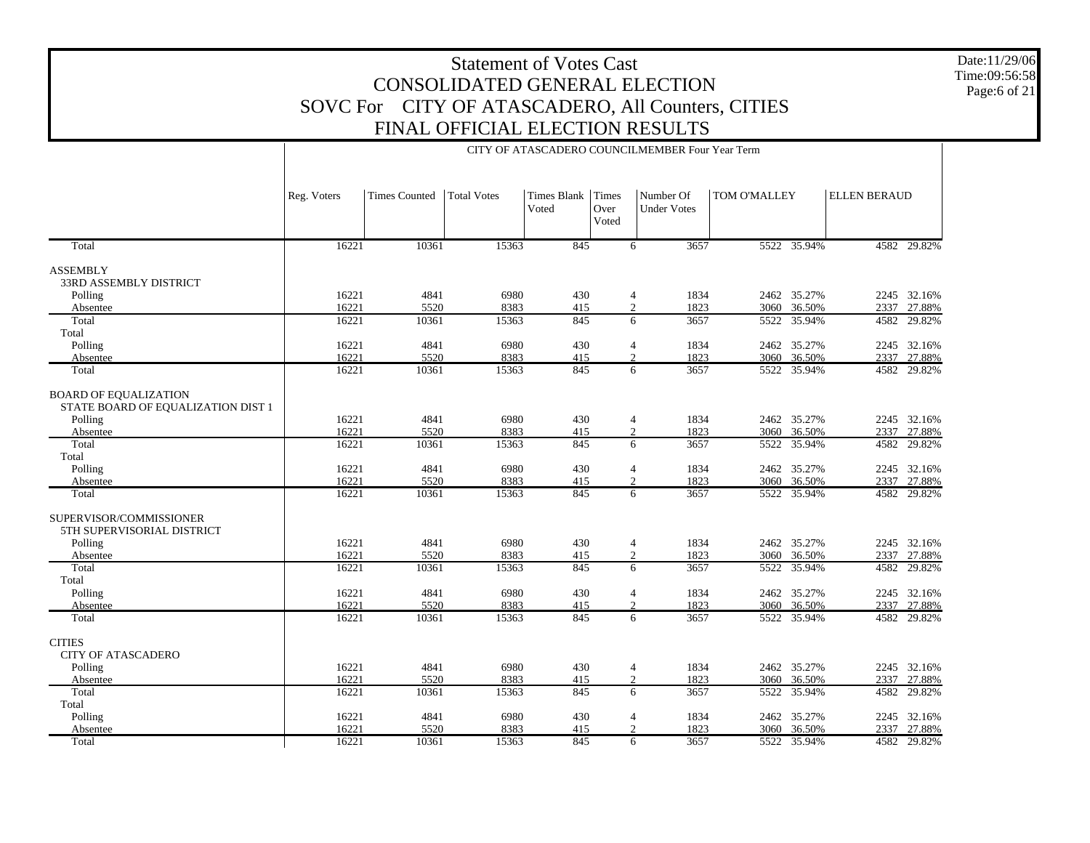Date:11/29/06 Time:09:56:58 Page:6 of 21

|                                                                    |                |                      |                    |                      |                                            | CITY OF ATASCADERO COUNCILMEMBER Four Year Term |                   |                       |                     |                       |
|--------------------------------------------------------------------|----------------|----------------------|--------------------|----------------------|--------------------------------------------|-------------------------------------------------|-------------------|-----------------------|---------------------|-----------------------|
|                                                                    | Reg. Voters    | <b>Times Counted</b> | <b>Total Votes</b> | Times Blank<br>Voted | Times<br>Over<br>Voted                     | Number Of<br><b>Under Votes</b>                 | TOM O'MALLEY      |                       | <b>ELLEN BERAUD</b> |                       |
| Total                                                              | 16221          | 10361                | 15363              | 845                  | 6                                          | 3657                                            |                   | 5522 35.94%           |                     | 4582 29.82%           |
| ASSEMBLY<br><b>33RD ASSEMBLY DISTRICT</b>                          |                | 4841                 |                    |                      |                                            |                                                 |                   |                       |                     | 2245 32.16%           |
| Polling<br>Absentee                                                | 16221<br>16221 | 5520                 | 6980<br>8383       | 430<br>415           | $\overline{4}$<br>$\overline{2}$           | 1834<br>1823                                    | 3060              | 2462 35.27%<br>36.50% | 2337                | 27.88%                |
| Total<br>Total                                                     | 16221          | 10361                | 15363              | 845                  | 6                                          | 3657                                            | 5522              | 35.94%                | 4582                | 29.82%                |
| Polling<br>Absentee                                                | 16221<br>16221 | 4841<br>5520         | 6980<br>8383       | 430<br>415           | 4<br>$\overline{c}$                        | 1834<br>1823                                    | 3060              | 2462 35.27%<br>36.50% | 2337                | 2245 32.16%<br>27.88% |
| Total                                                              | 16221          | 10361                | 15363              | 845                  | 6                                          | 3657                                            | $\overline{5522}$ | 35.94%                | 4582                | 29.82%                |
| <b>BOARD OF EQUALIZATION</b><br>STATE BOARD OF EQUALIZATION DIST 1 |                |                      |                    |                      |                                            |                                                 |                   |                       |                     |                       |
| Polling                                                            | 16221          | 4841                 | 6980               | 430                  | $\overline{4}$                             | 1834                                            |                   | 2462 35.27%           |                     | 2245 32.16%           |
| Absentee                                                           | 16221          | 5520                 | 8383               | 415                  | 2                                          | 1823                                            | 3060              | 36.50%                | 2337                | 27.88%                |
| Total<br>Total                                                     | 16221          | 10361                | 15363              | 845                  | 6                                          | 3657                                            | 5522              | 35.94%                | 4582                | 29.82%                |
| Polling                                                            | 16221<br>16221 | 4841<br>5520         | 6980<br>8383       | 430                  | $\overline{\mathcal{L}}$<br>$\overline{2}$ | 1834<br>1823                                    | 2462              | 35.27%<br>36.50%      |                     | 2245 32.16%           |
| Absentee<br>Total                                                  | 16221          | 10361                | 15363              | 415<br>845           | 6                                          | 3657                                            | 3060<br>5522      | 35.94%                | 2337<br>4582        | 27.88%<br>29.82%      |
| SUPERVISOR/COMMISSIONER<br>5TH SUPERVISORIAL DISTRICT              |                |                      |                    |                      |                                            |                                                 |                   |                       |                     |                       |
| Polling                                                            | 16221          | 4841                 | 6980               | 430                  | 4                                          | 1834                                            |                   | 2462 35.27%           |                     | 2245 32.16%           |
| Absentee                                                           | 16221          | 5520                 | 8383               | 415                  | $\mathfrak{2}$                             | 1823                                            | 3060              | 36.50%                | 2337                | 27.88%                |
| Total<br>Total                                                     | 16221          | 10361                | 15363              | 845                  | 6                                          | 3657                                            | 5522              | 35.94%                | 4582                | 29.82%                |
| Polling                                                            | 16221          | 4841                 | 6980               | 430                  | 4                                          | 1834                                            | 2462              | 35.27%                |                     | 2245 32.16%           |
| Absentee                                                           | 16221          | 5520                 | 8383               | 415                  | $\overline{2}$                             | 1823                                            | 3060              | 36.50%                |                     | 2337 27.88%           |
| Total                                                              | 16221          | 10361                | 15363              | 845                  | 6                                          | 3657                                            |                   | 5522 35.94%           |                     | 4582 29.82%           |
| <b>CITIES</b><br><b>CITY OF ATASCADERO</b>                         |                |                      |                    |                      |                                            |                                                 |                   |                       |                     |                       |
| Polling                                                            | 16221          | 4841                 | 6980               | 430                  | 4                                          | 1834                                            |                   | 2462 35.27%           |                     | 2245 32.16%           |
| Absentee                                                           | 16221          | 5520                 | 8383               | 415                  | $\overline{2}$                             | 1823                                            | 3060              | 36.50%                | 2337                | 27.88%                |
| Total                                                              | 16221          | 10361                | 15363              | 845                  | 6                                          | 3657                                            | 5522              | 35.94%                | 4582                | 29.82%                |
| Total                                                              |                |                      |                    |                      |                                            |                                                 |                   |                       |                     |                       |
| Polling                                                            | 16221          | 4841                 | 6980               | 430                  | 4                                          | 1834                                            |                   | 2462 35.27%           |                     | 2245 32.16%           |
| Absentee                                                           | 16221          | 5520                 | 8383               | 415                  | 2                                          | 1823                                            | 3060              | 36.50%                | 2337                | 27.88%                |
| Total                                                              | 16221          | 10361                | 15363              | 845                  | 6                                          | 3657                                            | 5522              | 35.94%                |                     | 4582 29.82%           |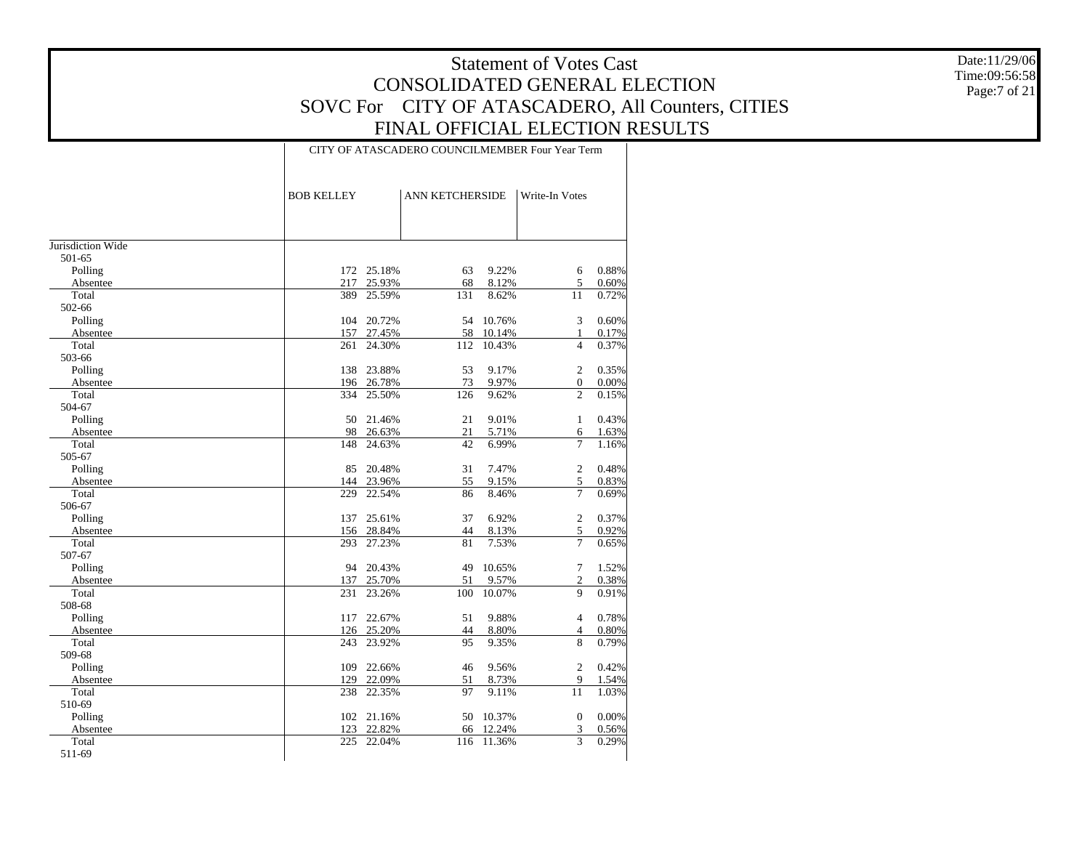Date:11/29/06 Time:09:56:58 Page:7 of 21

#### CITY OF ATASCADERO COUNCILMEMBER Four Year Term

| <b>BOB KELLEY</b> |                                                                                                    |                                                                                                                                                                                                    |                                                                                                  | Write-In Votes                                                                                                                                                                                        |                                                                                                                                                                                                                   |
|-------------------|----------------------------------------------------------------------------------------------------|----------------------------------------------------------------------------------------------------------------------------------------------------------------------------------------------------|--------------------------------------------------------------------------------------------------|-------------------------------------------------------------------------------------------------------------------------------------------------------------------------------------------------------|-------------------------------------------------------------------------------------------------------------------------------------------------------------------------------------------------------------------|
|                   |                                                                                                    |                                                                                                                                                                                                    |                                                                                                  |                                                                                                                                                                                                       |                                                                                                                                                                                                                   |
|                   |                                                                                                    |                                                                                                                                                                                                    |                                                                                                  |                                                                                                                                                                                                       |                                                                                                                                                                                                                   |
|                   |                                                                                                    |                                                                                                                                                                                                    |                                                                                                  |                                                                                                                                                                                                       |                                                                                                                                                                                                                   |
|                   |                                                                                                    |                                                                                                                                                                                                    |                                                                                                  |                                                                                                                                                                                                       |                                                                                                                                                                                                                   |
|                   |                                                                                                    |                                                                                                                                                                                                    |                                                                                                  |                                                                                                                                                                                                       | 0.88%                                                                                                                                                                                                             |
|                   |                                                                                                    |                                                                                                                                                                                                    |                                                                                                  |                                                                                                                                                                                                       | 0.60%                                                                                                                                                                                                             |
|                   |                                                                                                    |                                                                                                                                                                                                    |                                                                                                  |                                                                                                                                                                                                       | 0.72%                                                                                                                                                                                                             |
|                   |                                                                                                    |                                                                                                                                                                                                    |                                                                                                  |                                                                                                                                                                                                       |                                                                                                                                                                                                                   |
|                   |                                                                                                    |                                                                                                                                                                                                    |                                                                                                  |                                                                                                                                                                                                       | 0.60%                                                                                                                                                                                                             |
|                   |                                                                                                    |                                                                                                                                                                                                    |                                                                                                  |                                                                                                                                                                                                       | 0.17%                                                                                                                                                                                                             |
|                   |                                                                                                    |                                                                                                                                                                                                    |                                                                                                  |                                                                                                                                                                                                       | 0.37%                                                                                                                                                                                                             |
|                   |                                                                                                    |                                                                                                                                                                                                    |                                                                                                  |                                                                                                                                                                                                       |                                                                                                                                                                                                                   |
|                   |                                                                                                    |                                                                                                                                                                                                    |                                                                                                  |                                                                                                                                                                                                       | 0.35%                                                                                                                                                                                                             |
|                   |                                                                                                    |                                                                                                                                                                                                    |                                                                                                  |                                                                                                                                                                                                       | $0.00\%$                                                                                                                                                                                                          |
|                   |                                                                                                    |                                                                                                                                                                                                    |                                                                                                  |                                                                                                                                                                                                       | 0.15%                                                                                                                                                                                                             |
|                   |                                                                                                    |                                                                                                                                                                                                    |                                                                                                  |                                                                                                                                                                                                       |                                                                                                                                                                                                                   |
|                   |                                                                                                    |                                                                                                                                                                                                    |                                                                                                  |                                                                                                                                                                                                       | 0.43%                                                                                                                                                                                                             |
|                   |                                                                                                    |                                                                                                                                                                                                    |                                                                                                  |                                                                                                                                                                                                       | 1.63%                                                                                                                                                                                                             |
|                   |                                                                                                    |                                                                                                                                                                                                    |                                                                                                  |                                                                                                                                                                                                       | 1.16%                                                                                                                                                                                                             |
|                   |                                                                                                    |                                                                                                                                                                                                    |                                                                                                  |                                                                                                                                                                                                       |                                                                                                                                                                                                                   |
|                   |                                                                                                    |                                                                                                                                                                                                    |                                                                                                  |                                                                                                                                                                                                       | 0.48%                                                                                                                                                                                                             |
|                   |                                                                                                    |                                                                                                                                                                                                    |                                                                                                  |                                                                                                                                                                                                       | 0.83%                                                                                                                                                                                                             |
|                   |                                                                                                    |                                                                                                                                                                                                    |                                                                                                  |                                                                                                                                                                                                       | 0.69%                                                                                                                                                                                                             |
|                   |                                                                                                    |                                                                                                                                                                                                    |                                                                                                  |                                                                                                                                                                                                       |                                                                                                                                                                                                                   |
| 137               | 25.61%                                                                                             | 37                                                                                                                                                                                                 |                                                                                                  |                                                                                                                                                                                                       | 0.37%                                                                                                                                                                                                             |
| 156               |                                                                                                    | 44                                                                                                                                                                                                 |                                                                                                  |                                                                                                                                                                                                       | 0.92%                                                                                                                                                                                                             |
| 293               |                                                                                                    | 81                                                                                                                                                                                                 |                                                                                                  |                                                                                                                                                                                                       | 0.65%                                                                                                                                                                                                             |
|                   |                                                                                                    |                                                                                                                                                                                                    |                                                                                                  |                                                                                                                                                                                                       |                                                                                                                                                                                                                   |
| 94                | 20.43%                                                                                             | 49                                                                                                                                                                                                 | 10.65%                                                                                           | $\tau$                                                                                                                                                                                                | 1.52%                                                                                                                                                                                                             |
| 137               | 25.70%                                                                                             | 51                                                                                                                                                                                                 | 9.57%                                                                                            | $\overline{c}$                                                                                                                                                                                        | 0.38%                                                                                                                                                                                                             |
|                   |                                                                                                    |                                                                                                                                                                                                    |                                                                                                  |                                                                                                                                                                                                       | 0.91%                                                                                                                                                                                                             |
|                   |                                                                                                    |                                                                                                                                                                                                    |                                                                                                  |                                                                                                                                                                                                       |                                                                                                                                                                                                                   |
| 117               | 22.67%                                                                                             | 51                                                                                                                                                                                                 | 9.88%                                                                                            | $\overline{4}$                                                                                                                                                                                        | 0.78%                                                                                                                                                                                                             |
| 126               | 25.20%                                                                                             | 44                                                                                                                                                                                                 | 8.80%                                                                                            | 4                                                                                                                                                                                                     | 0.80%                                                                                                                                                                                                             |
| 243               | 23.92%                                                                                             | 95                                                                                                                                                                                                 | 9.35%                                                                                            | 8                                                                                                                                                                                                     | 0.79%                                                                                                                                                                                                             |
|                   |                                                                                                    |                                                                                                                                                                                                    |                                                                                                  |                                                                                                                                                                                                       |                                                                                                                                                                                                                   |
| 109               | 22.66%                                                                                             | 46                                                                                                                                                                                                 | 9.56%                                                                                            | $\overline{2}$                                                                                                                                                                                        | 0.42%                                                                                                                                                                                                             |
| 129               | 22.09%                                                                                             | 51                                                                                                                                                                                                 | 8.73%                                                                                            | 9                                                                                                                                                                                                     | 1.54%                                                                                                                                                                                                             |
| 238               | 22.35%                                                                                             | 97                                                                                                                                                                                                 | 9.11%                                                                                            | 11                                                                                                                                                                                                    | 1.03%                                                                                                                                                                                                             |
|                   |                                                                                                    |                                                                                                                                                                                                    |                                                                                                  |                                                                                                                                                                                                       |                                                                                                                                                                                                                   |
|                   |                                                                                                    | 50                                                                                                                                                                                                 | 10.37%                                                                                           | $\mathbf{0}$                                                                                                                                                                                          | 0.00%                                                                                                                                                                                                             |
| 123               | 22.82%                                                                                             | 66                                                                                                                                                                                                 | 12.24%                                                                                           | 3                                                                                                                                                                                                     | 0.56%                                                                                                                                                                                                             |
| 225               | 22.04%                                                                                             | 116                                                                                                                                                                                                | 11.36%                                                                                           | 3                                                                                                                                                                                                     | 0.29%                                                                                                                                                                                                             |
|                   |                                                                                                    |                                                                                                                                                                                                    |                                                                                                  |                                                                                                                                                                                                       |                                                                                                                                                                                                                   |
|                   | 172<br>217<br>389<br>104<br>157<br>261<br>138<br>334<br>50<br>98<br>148<br>85<br>144<br>229<br>231 | 25.18%<br>25.93%<br>25.59%<br>20.72%<br>27.45%<br>24.30%<br>23.88%<br>196 26.78%<br>25.50%<br>21.46%<br>26.63%<br>24.63%<br>20.48%<br>23.96%<br>22.54%<br>28.84%<br>27.23%<br>23.26%<br>102 21.16% | 63<br>68<br>131<br>54<br>58<br>112<br>53<br>73<br>126<br>21<br>21<br>42<br>31<br>55<br>86<br>100 | <b>ANN KETCHERSIDE</b><br>9.22%<br>8.12%<br>8.62%<br>10.76%<br>10.14%<br>10.43%<br>9.17%<br>9.97%<br>9.62%<br>9.01%<br>5.71%<br>6.99%<br>7.47%<br>9.15%<br>8.46%<br>6.92%<br>8.13%<br>7.53%<br>10.07% | 6<br>5<br>11<br>3<br>1<br>$\overline{4}$<br>$\overline{2}$<br>$\boldsymbol{0}$<br>$\overline{2}$<br>$\mathbf{1}$<br>6<br>$\overline{7}$<br>2<br>5<br>$\overline{7}$<br>$\overline{2}$<br>5<br>$\overline{7}$<br>9 |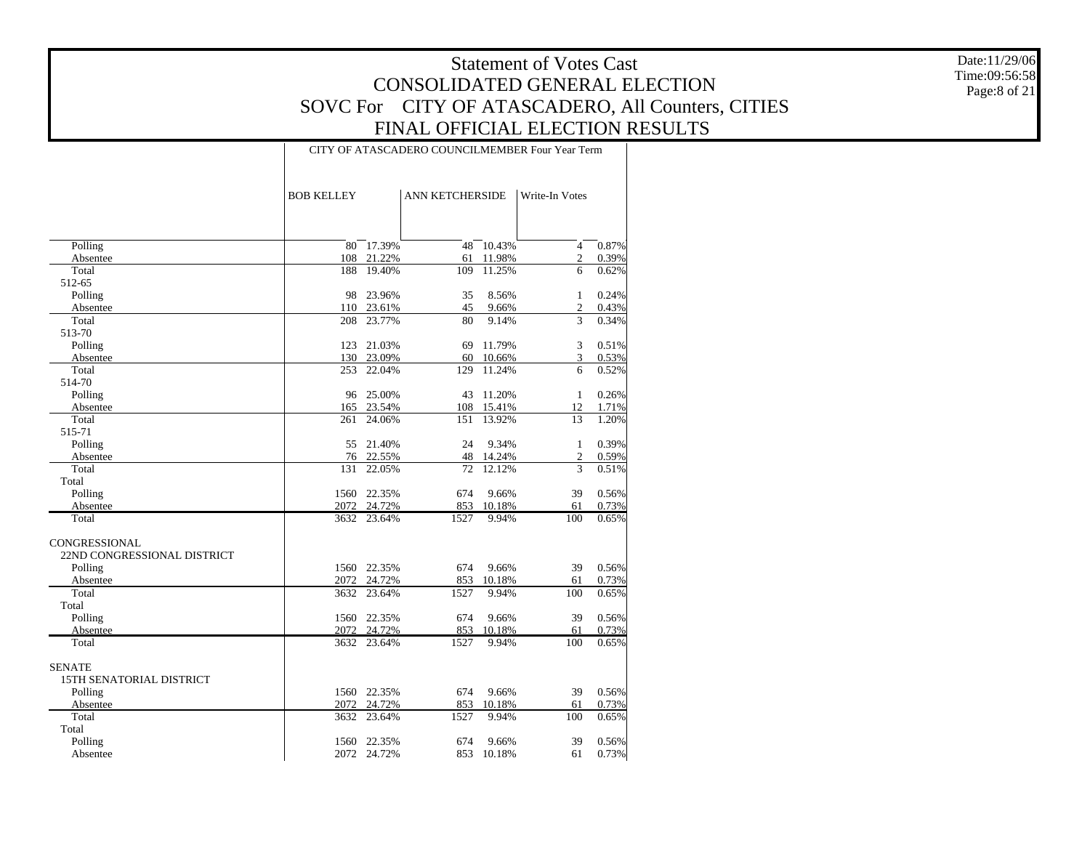Date:11/29/06 Time:09:56:58 Page:8 of 21

#### CITY OF ATASCADERO COUNCILMEMBER Four Year Term

|                             | <b>BOB KELLEY</b> |                  | <b>ANN KETCHERSIDE</b> |                  | Write-In Votes         |                |
|-----------------------------|-------------------|------------------|------------------------|------------------|------------------------|----------------|
|                             |                   |                  |                        |                  |                        |                |
| Polling                     | 80                | 17.39%           | 48                     | 10.43%           | $\overline{4}$         | 0.87%          |
| Absentee                    | 108               | 21.22%           | 61                     | 11.98%           | $\overline{2}$         | 0.39%          |
| Total                       | 188               | 19.40%           | 109                    | 11.25%           | 6                      | 0.62%          |
| 512-65                      |                   |                  |                        |                  |                        |                |
| Polling                     | 98                | 23.96%           | 35                     | 8.56%            | 1                      | 0.24%          |
| Absentee                    | 110               | 23.61%           | 45                     | 9.66%            | $\overline{2}$         | 0.43%          |
| Total                       | 208               | 23.77%           | 80                     | 9.14%            | 3                      | 0.34%          |
| 513-70                      |                   |                  |                        |                  |                        |                |
| Polling                     | 123               | 21.03%           | 69                     | 11.79%           | 3                      | 0.51%          |
| Absentee<br>Total           | 130               | 23.09%<br>22.04% | 60                     | 10.66%<br>11.24% | 3                      | 0.53%<br>0.52% |
| 514-70                      | 253               |                  | 129                    |                  | 6                      |                |
| Polling                     | 96                | 25.00%           | 43                     | 11.20%           | $\mathbf{1}$           | 0.26%          |
| Absentee                    | 165               | 23.54%           | 108                    | 15.41%           | 12                     | 1.71%          |
| Total                       | 261               | 24.06%           | 151                    | 13.92%           | 13                     | 1.20%          |
| 515-71                      |                   |                  |                        |                  |                        |                |
| Polling                     | 55                | 21.40%           | 24                     | 9.34%            | $\mathbf{1}$           | 0.39%          |
| Absentee                    | 76                | 22.55%           | 48                     | 14.24%           | $\overline{2}$         | 0.59%          |
| Total                       | 131               | 22.05%           | 72                     | 12.12%           | 3                      | 0.51%          |
| Total                       |                   |                  |                        |                  |                        |                |
| Polling                     | 1560              | 22.35%           | 674                    | 9.66%            | 39                     | 0.56%          |
| Absentee                    | 2072              | 24.72%           | 853                    | 10.18%           | 61                     | 0.73%          |
| Total                       | 3632              | 23.64%           | 1527                   | 9.94%            | 100                    | 0.65%          |
| CONGRESSIONAL               |                   |                  |                        |                  |                        |                |
| 22ND CONGRESSIONAL DISTRICT |                   |                  |                        |                  |                        |                |
| Polling                     | 1560              | 22.35%           | 674                    | 9.66%            | 39                     | 0.56%          |
| Absentee                    | 2072              | 24.72%           | 853                    | 10.18%           | 61                     | 0.73%          |
| Total                       | 3632              | 23.64%           | 1527                   | 9.94%            | 100                    | 0.65%          |
| Total                       |                   |                  |                        |                  |                        |                |
| Polling                     | 1560              | 22.35%           | 674                    | 9.66%            | 39                     | 0.56%          |
| Absentee<br>Total           | 2072              | 24.72%           | 853<br>1527            | 10.18%           | 61<br>$\overline{100}$ | 0.73%<br>0.65% |
|                             | 3632              | 23.64%           |                        | 9.94%            |                        |                |
| <b>SENATE</b>               |                   |                  |                        |                  |                        |                |
| 15TH SENATORIAL DISTRICT    |                   |                  |                        |                  |                        |                |
| Polling                     | 1560              | 22.35%           | 674                    | 9.66%            | 39                     | 0.56%          |
| Absentee                    | 2072              | 24.72%           | 853                    | 10.18%           | 61                     | 0.73%          |
| Total                       | 3632              | 23.64%           | 1527                   | 9.94%            | 100                    | 0.65%          |
| Total                       |                   |                  |                        |                  |                        |                |
| Polling                     | 1560              | 22.35%           | 674                    | 9.66%            | 39                     | 0.56%          |
| Absentee                    |                   | 2072 24.72%      | 853                    | 10.18%           | 61                     | 0.73%          |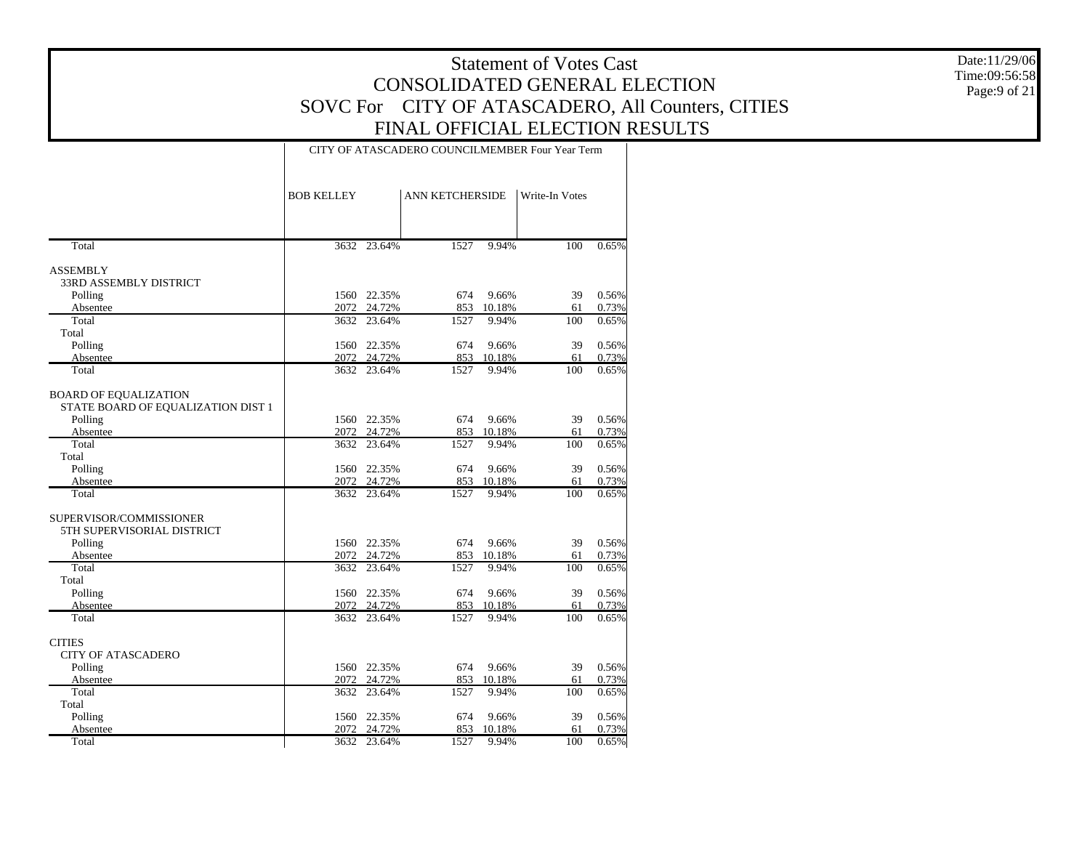Date:11/29/06 Time:09:56:58 Page:9 of 21

#### CITY OF ATASCADERO COUNCILMEMBER Four Year Term

| Total<br>3632 23.64%<br>1527<br>9.94%<br>100<br>0.65%<br><b>ASSEMBLY</b><br>33RD ASSEMBLY DISTRICT<br>1560 22.35%<br>9.66%<br>39<br>Polling<br>674<br>Absentee<br>24.72%<br>853<br>61<br>2072<br>10.18%<br>Total<br>9.94%<br>3632<br>23.64%<br>1527<br>100<br>Total<br>Polling<br>22.35%<br>674<br>9.66%<br>39<br>1560<br>24.72%<br>853<br>10.18%<br>61<br>2072<br>Absentee<br>Total<br>3632 23.64%<br>1527<br>9.94%<br>100<br><b>BOARD OF EQUALIZATION</b><br>STATE BOARD OF EQUALIZATION DIST 1<br>Polling<br>1560 22.35%<br>9.66%<br>39<br>674<br>2072 24.72%<br>853<br>Absentee<br>10.18%<br>61<br>Total<br>3632 23.64%<br>9.94%<br>100<br>1527<br>Total<br>Polling<br>9.66%<br>39<br>1560 22.35%<br>674<br>853<br>Absentee<br>2072<br>24.72%<br>10.18%<br>61<br>Total<br>$\overline{100}$<br>3632 23.64%<br>1527<br>9.94%<br>SUPERVISOR/COMMISSIONER<br>5TH SUPERVISORIAL DISTRICT<br>1560 22.35%<br>9.66%<br>39<br>0.56%<br>Polling<br>674<br>853<br>Absentee<br>2072<br>24.72%<br>10.18%<br>61<br>0.73%<br>Total<br>23.64%<br>9.94%<br>0.65%<br>3632<br>1527<br>100<br>Total<br>9.66%<br>39<br>0.56%<br>Polling<br>1560 22.35%<br>674<br>24.72%<br>853<br>10.18%<br>61<br>0.73%<br>Absentee<br>2072<br>Total<br>3632 23.64%<br>1527<br>9.94%<br>100<br><b>CITIES</b><br><b>CITY OF ATASCADERO</b><br>1560 22.35%<br>674<br>9.66%<br>39<br>0.56%<br>Polling<br>24.72%<br>853<br>10.18%<br>2072<br>61<br>0.73%<br>Absentee<br>Total<br>9.94%<br>100<br>3632 23.64%<br>1527<br>0.65%<br>Total<br>Polling<br>22.35%<br>9.66%<br>39<br>0.56%<br>1560<br>674 | <b>BOB KELLEY</b> | <b>ANN KETCHERSIDE</b> | Write-In Votes |       |
|---------------------------------------------------------------------------------------------------------------------------------------------------------------------------------------------------------------------------------------------------------------------------------------------------------------------------------------------------------------------------------------------------------------------------------------------------------------------------------------------------------------------------------------------------------------------------------------------------------------------------------------------------------------------------------------------------------------------------------------------------------------------------------------------------------------------------------------------------------------------------------------------------------------------------------------------------------------------------------------------------------------------------------------------------------------------------------------------------------------------------------------------------------------------------------------------------------------------------------------------------------------------------------------------------------------------------------------------------------------------------------------------------------------------------------------------------------------------------------------------------------------------------------------------------------------|-------------------|------------------------|----------------|-------|
|                                                                                                                                                                                                                                                                                                                                                                                                                                                                                                                                                                                                                                                                                                                                                                                                                                                                                                                                                                                                                                                                                                                                                                                                                                                                                                                                                                                                                                                                                                                                                               |                   |                        |                |       |
|                                                                                                                                                                                                                                                                                                                                                                                                                                                                                                                                                                                                                                                                                                                                                                                                                                                                                                                                                                                                                                                                                                                                                                                                                                                                                                                                                                                                                                                                                                                                                               |                   |                        |                |       |
|                                                                                                                                                                                                                                                                                                                                                                                                                                                                                                                                                                                                                                                                                                                                                                                                                                                                                                                                                                                                                                                                                                                                                                                                                                                                                                                                                                                                                                                                                                                                                               |                   |                        |                |       |
|                                                                                                                                                                                                                                                                                                                                                                                                                                                                                                                                                                                                                                                                                                                                                                                                                                                                                                                                                                                                                                                                                                                                                                                                                                                                                                                                                                                                                                                                                                                                                               |                   |                        |                |       |
|                                                                                                                                                                                                                                                                                                                                                                                                                                                                                                                                                                                                                                                                                                                                                                                                                                                                                                                                                                                                                                                                                                                                                                                                                                                                                                                                                                                                                                                                                                                                                               |                   |                        |                | 0.56% |
|                                                                                                                                                                                                                                                                                                                                                                                                                                                                                                                                                                                                                                                                                                                                                                                                                                                                                                                                                                                                                                                                                                                                                                                                                                                                                                                                                                                                                                                                                                                                                               |                   |                        |                | 0.73% |
|                                                                                                                                                                                                                                                                                                                                                                                                                                                                                                                                                                                                                                                                                                                                                                                                                                                                                                                                                                                                                                                                                                                                                                                                                                                                                                                                                                                                                                                                                                                                                               |                   |                        |                | 0.65% |
|                                                                                                                                                                                                                                                                                                                                                                                                                                                                                                                                                                                                                                                                                                                                                                                                                                                                                                                                                                                                                                                                                                                                                                                                                                                                                                                                                                                                                                                                                                                                                               |                   |                        |                |       |
|                                                                                                                                                                                                                                                                                                                                                                                                                                                                                                                                                                                                                                                                                                                                                                                                                                                                                                                                                                                                                                                                                                                                                                                                                                                                                                                                                                                                                                                                                                                                                               |                   |                        |                | 0.56% |
|                                                                                                                                                                                                                                                                                                                                                                                                                                                                                                                                                                                                                                                                                                                                                                                                                                                                                                                                                                                                                                                                                                                                                                                                                                                                                                                                                                                                                                                                                                                                                               |                   |                        |                | 0.73% |
|                                                                                                                                                                                                                                                                                                                                                                                                                                                                                                                                                                                                                                                                                                                                                                                                                                                                                                                                                                                                                                                                                                                                                                                                                                                                                                                                                                                                                                                                                                                                                               |                   |                        |                | 0.65% |
|                                                                                                                                                                                                                                                                                                                                                                                                                                                                                                                                                                                                                                                                                                                                                                                                                                                                                                                                                                                                                                                                                                                                                                                                                                                                                                                                                                                                                                                                                                                                                               |                   |                        |                |       |
|                                                                                                                                                                                                                                                                                                                                                                                                                                                                                                                                                                                                                                                                                                                                                                                                                                                                                                                                                                                                                                                                                                                                                                                                                                                                                                                                                                                                                                                                                                                                                               |                   |                        |                | 0.56% |
|                                                                                                                                                                                                                                                                                                                                                                                                                                                                                                                                                                                                                                                                                                                                                                                                                                                                                                                                                                                                                                                                                                                                                                                                                                                                                                                                                                                                                                                                                                                                                               |                   |                        |                | 0.73% |
|                                                                                                                                                                                                                                                                                                                                                                                                                                                                                                                                                                                                                                                                                                                                                                                                                                                                                                                                                                                                                                                                                                                                                                                                                                                                                                                                                                                                                                                                                                                                                               |                   |                        |                | 0.65% |
|                                                                                                                                                                                                                                                                                                                                                                                                                                                                                                                                                                                                                                                                                                                                                                                                                                                                                                                                                                                                                                                                                                                                                                                                                                                                                                                                                                                                                                                                                                                                                               |                   |                        |                |       |
|                                                                                                                                                                                                                                                                                                                                                                                                                                                                                                                                                                                                                                                                                                                                                                                                                                                                                                                                                                                                                                                                                                                                                                                                                                                                                                                                                                                                                                                                                                                                                               |                   |                        |                | 0.56% |
|                                                                                                                                                                                                                                                                                                                                                                                                                                                                                                                                                                                                                                                                                                                                                                                                                                                                                                                                                                                                                                                                                                                                                                                                                                                                                                                                                                                                                                                                                                                                                               |                   |                        |                | 0.73% |
|                                                                                                                                                                                                                                                                                                                                                                                                                                                                                                                                                                                                                                                                                                                                                                                                                                                                                                                                                                                                                                                                                                                                                                                                                                                                                                                                                                                                                                                                                                                                                               |                   |                        |                | 0.65% |
|                                                                                                                                                                                                                                                                                                                                                                                                                                                                                                                                                                                                                                                                                                                                                                                                                                                                                                                                                                                                                                                                                                                                                                                                                                                                                                                                                                                                                                                                                                                                                               |                   |                        |                |       |
|                                                                                                                                                                                                                                                                                                                                                                                                                                                                                                                                                                                                                                                                                                                                                                                                                                                                                                                                                                                                                                                                                                                                                                                                                                                                                                                                                                                                                                                                                                                                                               |                   |                        |                |       |
|                                                                                                                                                                                                                                                                                                                                                                                                                                                                                                                                                                                                                                                                                                                                                                                                                                                                                                                                                                                                                                                                                                                                                                                                                                                                                                                                                                                                                                                                                                                                                               |                   |                        |                |       |
|                                                                                                                                                                                                                                                                                                                                                                                                                                                                                                                                                                                                                                                                                                                                                                                                                                                                                                                                                                                                                                                                                                                                                                                                                                                                                                                                                                                                                                                                                                                                                               |                   |                        |                |       |
|                                                                                                                                                                                                                                                                                                                                                                                                                                                                                                                                                                                                                                                                                                                                                                                                                                                                                                                                                                                                                                                                                                                                                                                                                                                                                                                                                                                                                                                                                                                                                               |                   |                        |                |       |
|                                                                                                                                                                                                                                                                                                                                                                                                                                                                                                                                                                                                                                                                                                                                                                                                                                                                                                                                                                                                                                                                                                                                                                                                                                                                                                                                                                                                                                                                                                                                                               |                   |                        |                |       |
|                                                                                                                                                                                                                                                                                                                                                                                                                                                                                                                                                                                                                                                                                                                                                                                                                                                                                                                                                                                                                                                                                                                                                                                                                                                                                                                                                                                                                                                                                                                                                               |                   |                        |                |       |
|                                                                                                                                                                                                                                                                                                                                                                                                                                                                                                                                                                                                                                                                                                                                                                                                                                                                                                                                                                                                                                                                                                                                                                                                                                                                                                                                                                                                                                                                                                                                                               |                   |                        |                | 0.65% |
|                                                                                                                                                                                                                                                                                                                                                                                                                                                                                                                                                                                                                                                                                                                                                                                                                                                                                                                                                                                                                                                                                                                                                                                                                                                                                                                                                                                                                                                                                                                                                               |                   |                        |                |       |
|                                                                                                                                                                                                                                                                                                                                                                                                                                                                                                                                                                                                                                                                                                                                                                                                                                                                                                                                                                                                                                                                                                                                                                                                                                                                                                                                                                                                                                                                                                                                                               |                   |                        |                |       |
|                                                                                                                                                                                                                                                                                                                                                                                                                                                                                                                                                                                                                                                                                                                                                                                                                                                                                                                                                                                                                                                                                                                                                                                                                                                                                                                                                                                                                                                                                                                                                               |                   |                        |                |       |
|                                                                                                                                                                                                                                                                                                                                                                                                                                                                                                                                                                                                                                                                                                                                                                                                                                                                                                                                                                                                                                                                                                                                                                                                                                                                                                                                                                                                                                                                                                                                                               |                   |                        |                |       |
|                                                                                                                                                                                                                                                                                                                                                                                                                                                                                                                                                                                                                                                                                                                                                                                                                                                                                                                                                                                                                                                                                                                                                                                                                                                                                                                                                                                                                                                                                                                                                               |                   |                        |                |       |
|                                                                                                                                                                                                                                                                                                                                                                                                                                                                                                                                                                                                                                                                                                                                                                                                                                                                                                                                                                                                                                                                                                                                                                                                                                                                                                                                                                                                                                                                                                                                                               |                   |                        |                |       |
|                                                                                                                                                                                                                                                                                                                                                                                                                                                                                                                                                                                                                                                                                                                                                                                                                                                                                                                                                                                                                                                                                                                                                                                                                                                                                                                                                                                                                                                                                                                                                               |                   |                        |                |       |
| 2072<br>24.72%<br>853<br>10.18%<br>61<br>Absentee                                                                                                                                                                                                                                                                                                                                                                                                                                                                                                                                                                                                                                                                                                                                                                                                                                                                                                                                                                                                                                                                                                                                                                                                                                                                                                                                                                                                                                                                                                             |                   |                        |                | 0.73% |
| Total<br>3632 23.64%<br>9.94%<br>100<br>1527                                                                                                                                                                                                                                                                                                                                                                                                                                                                                                                                                                                                                                                                                                                                                                                                                                                                                                                                                                                                                                                                                                                                                                                                                                                                                                                                                                                                                                                                                                                  |                   |                        |                | 0.65% |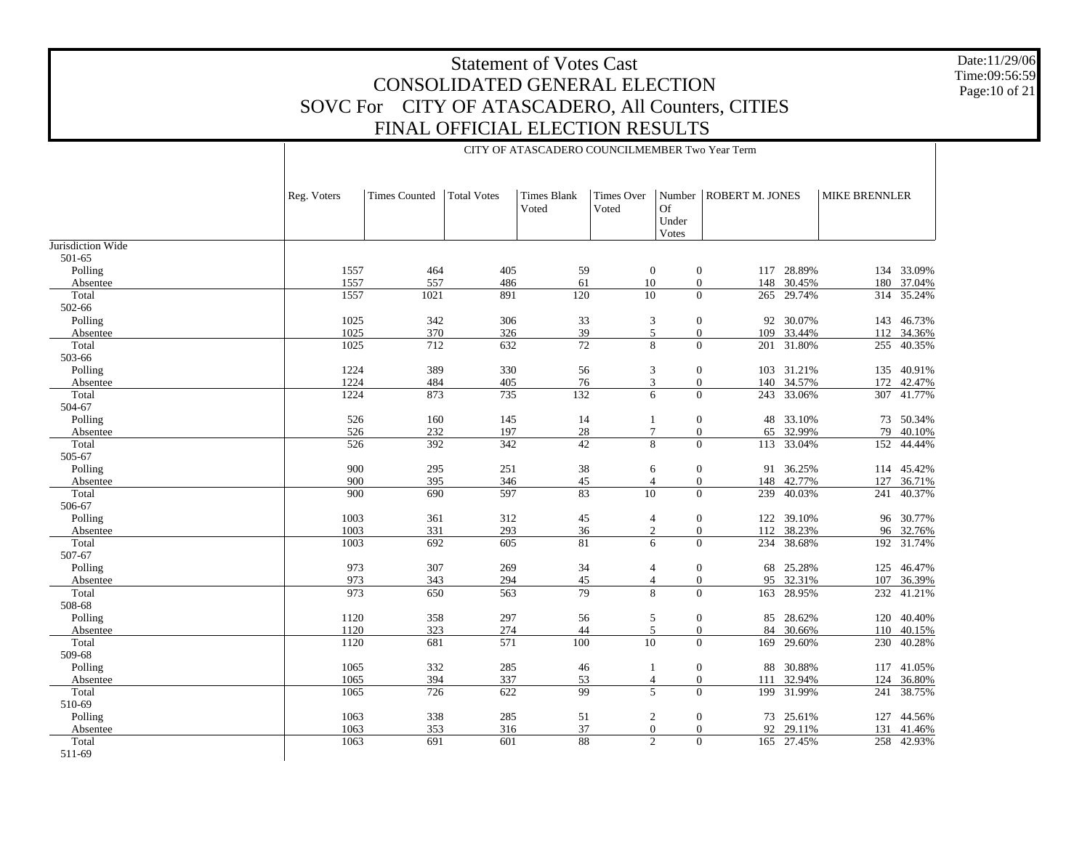Date:11/29/06 Time:09:56:59 Page:10 of 21

|                   |                  |                      |                    | CITY OF ATASCADERO COUNCILMEMBER Two Year Term |                            |                             |                          |            |                      |            |
|-------------------|------------------|----------------------|--------------------|------------------------------------------------|----------------------------|-----------------------------|--------------------------|------------|----------------------|------------|
|                   | Reg. Voters      | <b>Times Counted</b> | <b>Total Votes</b> | Times Blank<br>Voted                           | <b>Times Over</b><br>Voted | <b>Of</b><br>Under<br>Votes | Number   ROBERT M. JONES |            | <b>MIKE BRENNLER</b> |            |
| Jurisdiction Wide |                  |                      |                    |                                                |                            |                             |                          |            |                      |            |
| 501-65            |                  |                      |                    |                                                |                            |                             |                          |            |                      |            |
| Polling           | 1557             | 464                  | 405                | 59                                             | $\mathbf{0}$               | $\mathbf{0}$                |                          | 117 28.89% |                      | 134 33.09% |
| Absentee          | 1557             | 557                  | 486                | 61                                             | 10                         | $\boldsymbol{0}$            | 148                      | 30.45%     | 180                  | 37.04%     |
| Total             | 1557             | 1021                 | 891                | 120                                            | 10                         | $\Omega$                    | 265                      | 29.74%     | 314                  | 35.24%     |
| 502-66            |                  |                      |                    |                                                |                            |                             |                          |            |                      |            |
| Polling           | 1025             | 342                  | 306                | 33                                             | $\mathfrak{Z}$             | $\boldsymbol{0}$            | 92                       | 30.07%     | 143                  | 46.73%     |
| Absentee          | 1025             | 370                  | 326                | 39                                             | 5                          | $\boldsymbol{0}$            | 109                      | 33.44%     | 112                  | 34.36%     |
| Total             | 1025             | 712                  | 632                | 72                                             | 8                          | $\Omega$                    | 201                      | 31.80%     | 255                  | 40.35%     |
| 503-66            |                  |                      |                    |                                                |                            |                             |                          |            |                      |            |
| Polling           | 1224             | 389                  | 330                | 56                                             | 3                          | $\boldsymbol{0}$            |                          | 103 31.21% | 135                  | 40.91%     |
| Absentee          | 1224             | 484                  | 405                | 76                                             | 3                          | $\mathbf{0}$                |                          | 140 34.57% | 172                  | 42.47%     |
| Total             | 1224             | 873                  | 735                | 132                                            | 6                          | $\Omega$                    |                          | 243 33.06% | 307                  | 41.77%     |
| 504-67            |                  |                      |                    |                                                |                            |                             |                          |            |                      |            |
| Polling           | 526              | 160                  | 145                | 14                                             | 1                          | $\boldsymbol{0}$            | 48                       | 33.10%     | 73                   | 50.34%     |
| Absentee          | 526              | 232                  | 197                | 28                                             | $\overline{7}$             | $\boldsymbol{0}$            | 65                       | 32.99%     | 79                   | 40.10%     |
| Total             | $\overline{526}$ | 392                  | 342                | $\overline{42}$                                | $\overline{8}$             | $\theta$                    | $\overline{113}$         | 33.04%     | $\overline{152}$     | 44.44%     |
| 505-67            |                  |                      |                    |                                                |                            |                             |                          |            |                      |            |
| Polling           | 900              | 295                  | 251                | 38                                             | 6                          | $\boldsymbol{0}$            | 91                       | 36.25%     | 114                  | 45.42%     |
| Absentee          | 900              | 395                  | 346                | 45                                             | $\overline{4}$             | $\mathbf{0}$                |                          | 148 42.77% | 127                  | 36.71%     |
| Total             | 900              | 690                  | 597                | 83                                             | $\overline{10}$            | $\Omega$                    | 239                      | 40.03%     | 241                  | 40.37%     |
| 506-67            |                  |                      |                    |                                                |                            |                             |                          |            |                      |            |
| Polling           | 1003             | 361                  | 312                | 45                                             | $\overline{4}$             | $\boldsymbol{0}$            | 122                      | 39.10%     | 96                   | 30.77%     |
| Absentee          | 1003             | 331                  | 293                | 36                                             | $\overline{2}$             | $\boldsymbol{0}$            | 112                      | 38.23%     |                      | 96 32.76%  |
| Total             | 1003             | 692                  | 605                | 81                                             | 6                          | $\Omega$                    | 234                      | 38.68%     | 192                  | 31.74%     |
| 507-67            |                  |                      |                    |                                                |                            |                             |                          |            |                      |            |
| Polling           | 973              | 307                  | 269                | 34                                             | $\overline{4}$             | $\boldsymbol{0}$            | 68                       | 25.28%     | 125                  | 46.47%     |
| Absentee          | 973              | 343                  | 294                | 45                                             | $\overline{\mathcal{L}}$   | $\boldsymbol{0}$            | 95                       | 32.31%     | 107                  | 36.39%     |
| Total             | 973              | 650                  | 563                | 79                                             | 8                          | $\Omega$                    | 163                      | 28.95%     | 232                  | 41.21%     |
| 508-68            |                  |                      |                    |                                                |                            |                             |                          |            |                      |            |
| Polling           | 1120             | 358                  | 297                | 56                                             | 5                          | $\boldsymbol{0}$            |                          | 85 28.62%  | 120                  | 40.40%     |
| Absentee          | 1120             | 323                  | 274                | 44                                             | $\sqrt{5}$                 | $\mathbf{0}$                | 84                       | 30.66%     | 110                  | 40.15%     |
| Total             | 1120             | 681                  | 571                | 100                                            | $\overline{10}$            | $\Omega$                    | 169                      | 29.60%     | 230                  | 40.28%     |
| 509-68            |                  |                      |                    |                                                |                            |                             |                          |            |                      |            |
| Polling           | 1065             | 332                  | 285                | 46                                             | 1                          | $\mathbf{0}$                | 88                       | 30.88%     |                      | 117 41.05% |
| Absentee          | 1065             | 394                  | 337                | 53                                             | $\overline{4}$             | $\boldsymbol{0}$            | 111                      | 32.94%     | 124                  | 36.80%     |
| Total             | 1065             | $\overline{726}$     | 622                | 99                                             | $\overline{5}$             | $\Omega$                    |                          | 199 31.99% | 241                  | 38.75%     |
| 510-69            |                  |                      |                    |                                                |                            |                             |                          |            |                      |            |
| Polling           | 1063             | 338                  | 285                | 51                                             | $\overline{c}$             | $\mathbf{0}$                |                          | 73 25.61%  | 127                  | 44.56%     |
| Absentee          | 1063             | 353                  | 316                | 37                                             | $\boldsymbol{0}$           | $\mathbf{0}$                | 92                       | 29.11%     | 131                  | 41.46%     |
| Total             | 1063             | 691                  | 601                | 88                                             | $\overline{c}$             | $\theta$                    |                          | 165 27.45% | 258                  | 42.93%     |
| 511-69            |                  |                      |                    |                                                |                            |                             |                          |            |                      |            |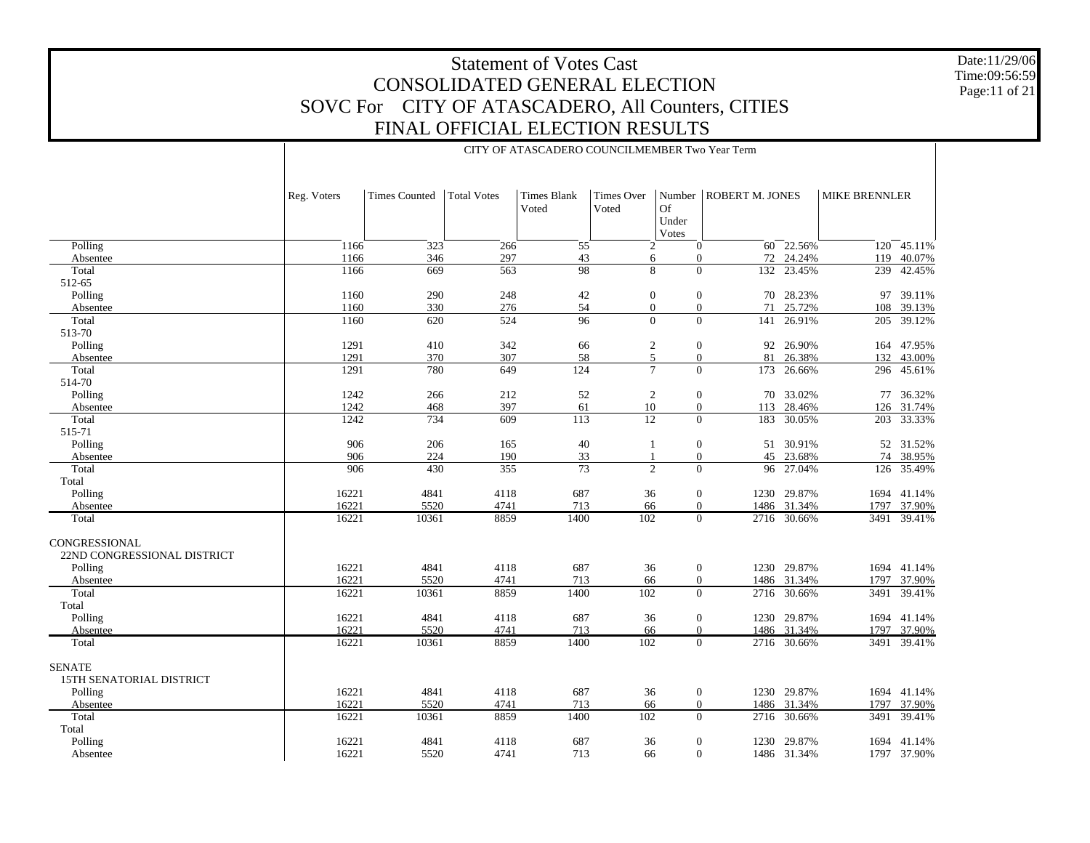Date:11/29/06 Time:09:56:59 Page:11 of 21

|                                              |             |                      |                    | CITY OF ATASCADERO COUNCILMEMBER Two Year Term |                     |                                |                        |             |                      |             |
|----------------------------------------------|-------------|----------------------|--------------------|------------------------------------------------|---------------------|--------------------------------|------------------------|-------------|----------------------|-------------|
|                                              | Reg. Voters | <b>Times Counted</b> | <b>Total Votes</b> | <b>Times Blank</b><br>Voted                    | Times Over<br>Voted | Number<br>Of<br>Under<br>Votes | <b>ROBERT M. JONES</b> |             | <b>MIKE BRENNLER</b> |             |
| Polling                                      | 1166        | 323                  | 266                | 55                                             | 2                   | $\overline{0}$                 | 60                     | 22.56%      |                      | 120 45.11%  |
| Absentee                                     | 1166        | 346                  | 297                | 43                                             | 6                   | $\theta$                       | 72                     | 24.24%      | 119                  | 40.07%      |
| Total                                        | 1166        | 669                  | $\overline{563}$   | $\overline{98}$                                | 8                   | $\Omega$                       | 132                    | 23.45%      | 239                  | 42.45%      |
| 512-65                                       |             |                      |                    |                                                |                     |                                |                        |             |                      |             |
| Polling                                      | 1160        | 290                  | 248                | 42                                             | $\mathbf{0}$        | $\boldsymbol{0}$               |                        | 70 28.23%   |                      | 97 39.11%   |
| Absentee                                     | 1160        | 330                  | 276                | 54                                             | $\mathbf{0}$        | $\overline{0}$                 | 71                     | 25.72%      | 108                  | 39.13%      |
| Total                                        | 1160        | 620                  | 524                | $\overline{96}$                                | $\mathbf{0}$        | $\overline{0}$                 |                        | 141 26.91%  |                      | 205 39.12%  |
| 513-70                                       |             |                      |                    |                                                |                     |                                |                        |             |                      |             |
| Polling                                      | 1291        | 410                  | 342                | 66                                             | $\overline{2}$      | $\boldsymbol{0}$               |                        | 92 26.90%   |                      | 164 47.95%  |
| Absentee                                     | 1291        | 370                  | 307                | 58                                             | 5                   | $\overline{0}$                 | 81                     | 26.38%      |                      | 132 43.00%  |
| Total                                        | 1291        | 780                  | 649                | 124                                            | $\tau$              | $\Omega$                       |                        | 173 26.66%  |                      | 296 45.61%  |
| 514-70                                       |             |                      |                    |                                                |                     |                                |                        |             |                      |             |
| Polling                                      | 1242        | 266                  | 212                | 52                                             | $\overline{2}$      | $\overline{0}$                 |                        | 70 33.02%   |                      | 77 36.32%   |
| Absentee                                     | 1242        | 468                  | 397                | 61                                             | 10                  | $\overline{0}$                 | 113                    | 28.46%      |                      | 126 31.74%  |
| Total                                        | 1242        | 734                  | 609                | $\overline{113}$                               | $\overline{12}$     | $\Omega$                       | 183                    | 30.05%      |                      | 203 33.33%  |
| 515-71                                       |             |                      |                    |                                                |                     |                                |                        |             |                      |             |
| Polling                                      | 906         | 206                  | 165                | $40\,$                                         | $\mathbf{1}$        | $\boldsymbol{0}$               |                        | 51 30.91%   |                      | 52 31.52%   |
| Absentee                                     | 906         | 224                  | 190                | 33                                             | $\mathbf{1}$        | $\overline{0}$                 | 45                     | 23.68%      | 74                   | 38.95%      |
| Total                                        | 906         | 430                  | 355                | 73                                             | $\overline{c}$      | $\Omega$                       | 96                     | 27.04%      |                      | 126 35.49%  |
| Total                                        |             |                      |                    |                                                |                     |                                |                        |             |                      |             |
| Polling                                      | 16221       | 4841                 | 4118               | 687                                            | 36                  | $\overline{0}$                 |                        | 1230 29.87% |                      | 1694 41.14% |
| Absentee                                     | 16221       | 5520                 | 4741               | 713                                            | 66                  | $\overline{0}$                 |                        | 1486 31.34% | 1797                 | 37.90%      |
| Total                                        | 16221       | 10361                | 8859               | 1400                                           | 102                 | $\overline{0}$                 |                        | 2716 30.66% |                      | 3491 39.41% |
| CONGRESSIONAL<br>22ND CONGRESSIONAL DISTRICT |             |                      |                    |                                                |                     |                                |                        |             |                      |             |
| Polling                                      | 16221       | 4841                 | 4118               | 687                                            | 36                  | $\overline{0}$                 |                        | 1230 29.87% |                      | 1694 41.14% |
| Absentee                                     | 16221       | 5520                 | 4741               | 713                                            | 66                  | $\mathbf{0}$                   | 1486                   | 31.34%      | 1797                 | 37.90%      |
| Total                                        | 16221       | 10361                | 8859               | 1400                                           | 102                 | $\overline{0}$                 |                        | 2716 30.66% | 3491                 | 39.41%      |
| Total                                        |             |                      |                    |                                                |                     |                                |                        |             |                      |             |
| Polling                                      | 16221       | 4841                 | 4118               | 687                                            | 36                  | $\boldsymbol{0}$               |                        | 1230 29.87% |                      | 1694 41.14% |
| Absentee                                     | 16221       | 5520                 | 4741               | 713                                            | 66                  | $\mathbf{0}$                   |                        | 1486 31.34% | 1797                 | 37.90%      |
| Total                                        | 16221       | 10361                | 8859               | 1400                                           | 102                 | $\overline{0}$                 |                        | 2716 30.66% |                      | 3491 39.41% |
| <b>SENATE</b><br>15TH SENATORIAL DISTRICT    |             |                      |                    |                                                |                     |                                |                        |             |                      |             |
| Polling                                      | 16221       | 4841                 | 4118               | 687                                            | 36                  | $\overline{0}$                 |                        | 1230 29.87% |                      | 1694 41.14% |
| Absentee                                     | 16221       | 5520                 | 4741               | 713                                            | 66                  | $\theta$                       |                        | 1486 31.34% | 1797                 | 37.90%      |
| Total                                        | 16221       | 10361                | 8859               | 1400                                           | 102                 | $\overline{0}$                 | 2716                   | 30.66%      | 3491                 | 39.41%      |
| Total                                        |             |                      |                    |                                                |                     |                                |                        |             |                      |             |
| Polling                                      | 16221       | 4841                 | 4118               | 687                                            | 36                  | $\mathbf{0}$                   | 1230                   | 29.87%      |                      | 1694 41.14% |
| Absentee                                     | 16221       | 5520                 | 4741               | 713                                            | 66                  | $\overline{0}$                 |                        | 1486 31.34% |                      | 1797 37.90% |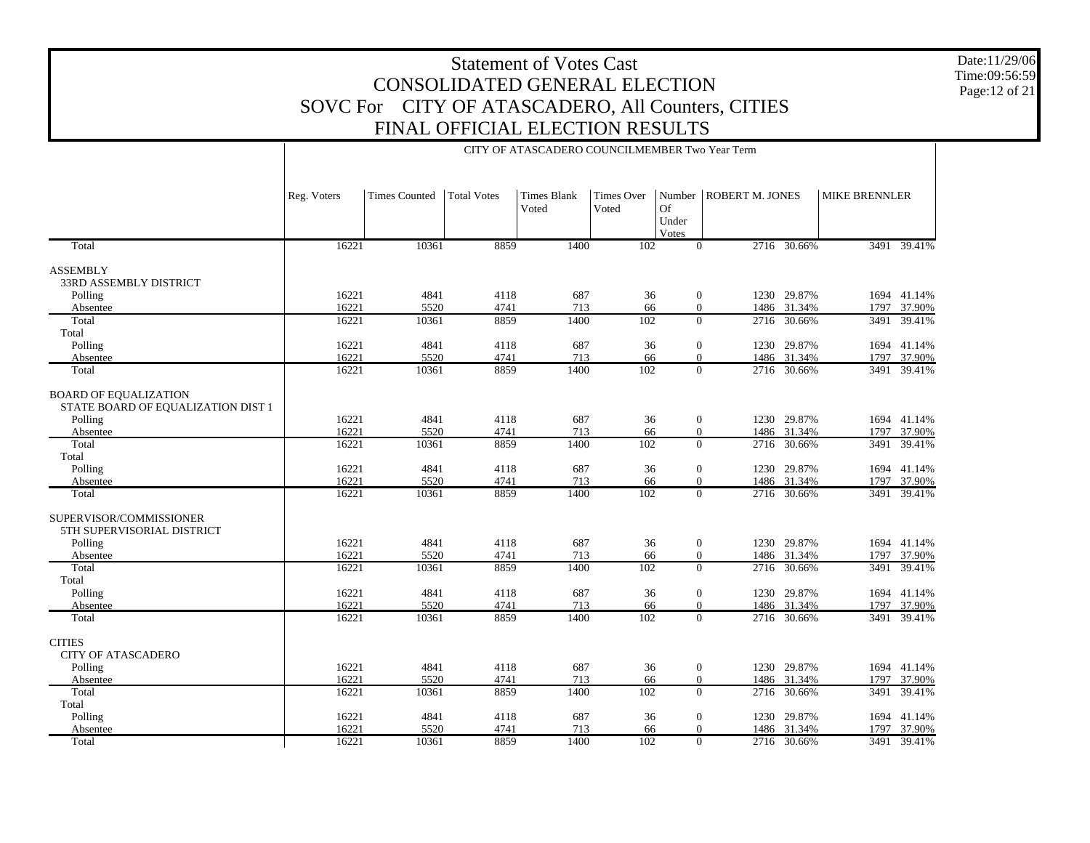Date:11/29/06 Time:09:56:59 Page:12 of 21

|                                                                    |             |                      |                    | CITY OF ATASCADERO COUNCILMEMBER Two Year Term |                            |                                |                 |             |                      |             |
|--------------------------------------------------------------------|-------------|----------------------|--------------------|------------------------------------------------|----------------------------|--------------------------------|-----------------|-------------|----------------------|-------------|
|                                                                    | Reg. Voters | <b>Times Counted</b> | <b>Total Votes</b> | <b>Times Blank</b><br>Voted                    | <b>Times Over</b><br>Voted | Number<br>Of<br>Under<br>Votes | ROBERT M. JONES |             | <b>MIKE BRENNLER</b> |             |
| Total                                                              | 16221       | 10361                | 8859               | 1400                                           | $\overline{102}$           | $\overline{0}$                 |                 | 2716 30.66% |                      | 3491 39.41% |
| <b>ASSEMBLY</b><br>33RD ASSEMBLY DISTRICT                          |             |                      |                    |                                                |                            |                                |                 |             |                      |             |
| Polling                                                            | 16221       | 4841                 | 4118               | 687                                            | 36                         | $\boldsymbol{0}$               |                 | 1230 29.87% |                      | 1694 41.14% |
| Absentee                                                           | 16221       | 5520                 | 4741               | 713                                            | 66                         | $\mathbf{0}$                   |                 | 1486 31.34% | 1797                 | 37.90%      |
| Total                                                              | 16221       | 10361                | 8859               | 1400                                           | 102                        | $\Omega$                       |                 | 2716 30.66% | 3491                 | 39.41%      |
| Total                                                              |             |                      |                    |                                                |                            |                                |                 |             |                      |             |
| Polling                                                            | 16221       | 4841                 | 4118               | 687                                            | 36                         | $\boldsymbol{0}$               |                 | 1230 29.87% |                      | 1694 41.14% |
| Absentee                                                           | 16221       | 5520                 | 4741               | 713                                            | 66                         | $\boldsymbol{0}$               |                 | 1486 31.34% | 1797                 | 37.90%      |
| Total                                                              | 16221       | 10361                | 8859               | 1400                                           | 102                        | $\Omega$                       | 2716            | 30.66%      | 3491                 | 39.41%      |
| <b>BOARD OF EQUALIZATION</b><br>STATE BOARD OF EQUALIZATION DIST 1 |             |                      |                    |                                                |                            |                                |                 |             |                      |             |
| Polling                                                            | 16221       | 4841                 | 4118               | 687                                            | 36                         | $\mathbf{0}$                   |                 | 1230 29.87% |                      | 1694 41.14% |
| Absentee                                                           | 16221       | 5520                 | 4741               | 713                                            | 66                         | $\mathbf{0}$                   |                 | 1486 31.34% | 1797                 | 37.90%      |
| Total                                                              | 16221       | 10361                | 8859               | 1400                                           | 102                        | $\overline{0}$                 |                 | 2716 30.66% | 3491                 | 39.41%      |
| Total<br>Polling                                                   | 16221       | 4841                 | 4118               | 687                                            | 36                         | $\mathbf{0}$                   |                 | 1230 29.87% |                      | 1694 41.14% |
| Absentee                                                           | 16221       | 5520                 | 4741               | 713                                            | 66                         | $\mathbf{0}$                   |                 | 1486 31.34% | 1797                 | 37.90%      |
| Total                                                              | 16221       | 10361                | 8859               | 1400                                           | 102                        | $\theta$                       |                 | 2716 30.66% |                      | 3491 39.41% |
| SUPERVISOR/COMMISSIONER<br>5TH SUPERVISORIAL DISTRICT              |             |                      |                    |                                                |                            |                                |                 |             |                      |             |
| Polling                                                            | 16221       | 4841                 | 4118               | 687                                            | 36                         | $\mathbf{0}$                   |                 | 1230 29.87% |                      | 1694 41.14% |
| Absentee                                                           | 16221       | 5520                 | 4741               | 713                                            | 66                         | $\overline{0}$                 |                 | 1486 31.34% | 1797                 | 37.90%      |
| Total<br>Total                                                     | 16221       | 10361                | 8859               | 1400                                           | 102                        | $\overline{0}$                 |                 | 2716 30.66% | 3491                 | 39.41%      |
| Polling                                                            | 16221       | 4841                 | 4118               | 687                                            | 36                         | $\mathbf{0}$                   |                 | 1230 29.87% |                      | 1694 41.14% |
| Absentee                                                           | 16221       | 5520                 | 4741               | 713                                            | 66                         | $\boldsymbol{0}$               |                 | 1486 31.34% |                      | 1797 37.90% |
| Total                                                              | 16221       | 10361                | 8859               | 1400                                           | 102                        | $\Omega$                       |                 | 2716 30.66% | 3491                 | 39.41%      |
|                                                                    |             |                      |                    |                                                |                            |                                |                 |             |                      |             |
| <b>CITIES</b><br><b>CITY OF ATASCADERO</b>                         |             |                      |                    |                                                |                            |                                |                 |             |                      |             |
| Polling                                                            | 16221       | 4841                 | 4118               | 687                                            | 36                         | $\boldsymbol{0}$               |                 | 1230 29.87% |                      | 1694 41.14% |
| Absentee                                                           | 16221       | 5520                 | 4741               | 713                                            | 66                         | $\mathbf{0}$                   |                 | 1486 31.34% | 1797                 | 37.90%      |
| Total                                                              | 16221       | 10361                | 8859               | 1400                                           | 102                        | $\overline{0}$                 | 2716            | 30.66%      | 3491                 | 39.41%      |
| Total                                                              |             |                      |                    |                                                |                            |                                |                 |             |                      |             |
| Polling                                                            | 16221       | 4841                 | 4118               | 687                                            | 36                         | $\boldsymbol{0}$               |                 | 1230 29.87% |                      | 1694 41.14% |
| Absentee                                                           | 16221       | 5520                 | 4741               | 713                                            | 66                         | $\mathbf{0}$                   |                 | 1486 31.34% | 1797                 | 37.90%      |
| Total                                                              | 16221       | 10361                | 8859               | 1400                                           | 102                        | $\overline{0}$                 |                 | 2716 30.66% | 3491                 | 39.41%      |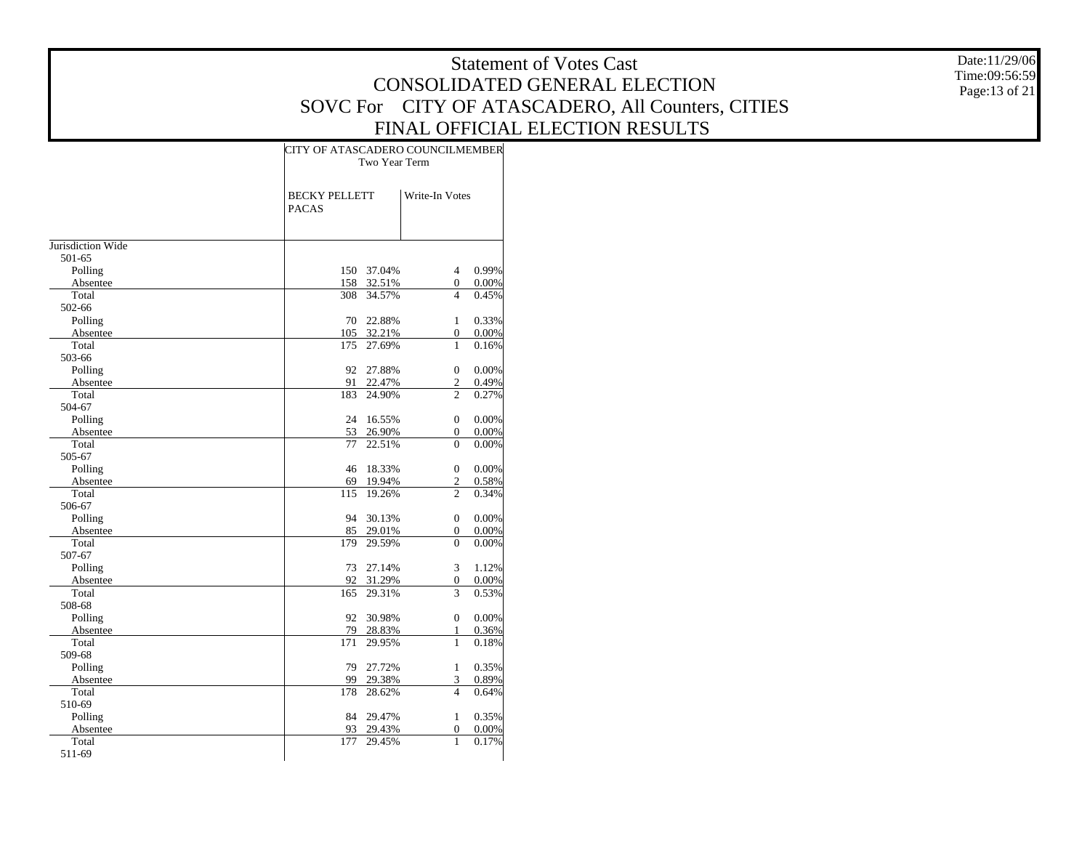Date:11/29/06 Time:09:56:59 Page:13 of 21

|                   |                                      | CITY OF ATASCADERO COUNCILMEMBER |                  |       |  |  |  |  |  |  |  |
|-------------------|--------------------------------------|----------------------------------|------------------|-------|--|--|--|--|--|--|--|
|                   |                                      | Two Year Term                    |                  |       |  |  |  |  |  |  |  |
|                   |                                      |                                  |                  |       |  |  |  |  |  |  |  |
|                   | <b>BECKY PELLETT</b><br><b>PACAS</b> |                                  | Write-In Votes   |       |  |  |  |  |  |  |  |
|                   |                                      |                                  |                  |       |  |  |  |  |  |  |  |
| Jurisdiction Wide |                                      |                                  |                  |       |  |  |  |  |  |  |  |
| 501-65            |                                      |                                  |                  |       |  |  |  |  |  |  |  |
| Polling           | 150                                  | 37.04%                           | 4                | 0.99% |  |  |  |  |  |  |  |
| Absentee          | 158                                  | 32.51%                           | 0                | 0.00% |  |  |  |  |  |  |  |
| Total             | 308                                  | 34.57%                           | 4                | 0.45% |  |  |  |  |  |  |  |
| 502-66            |                                      |                                  |                  |       |  |  |  |  |  |  |  |
| Polling           | 70                                   | 22.88%                           | $\mathbf{1}$     | 0.33% |  |  |  |  |  |  |  |
| Absentee          | 105                                  | 32.21%                           | 0                | 0.00% |  |  |  |  |  |  |  |
| Total             | 175                                  | 27.69%                           | 1                | 0.16% |  |  |  |  |  |  |  |
| 503-66            |                                      |                                  |                  |       |  |  |  |  |  |  |  |
| Polling           | 92                                   | 27.88%                           | $\mathbf{0}$     | 0.00% |  |  |  |  |  |  |  |
| Absentee          | 91                                   | 22.47%                           | $\overline{c}$   | 0.49% |  |  |  |  |  |  |  |
| Total             | 183                                  | 24.90%                           | $\overline{c}$   | 0.27% |  |  |  |  |  |  |  |
| 504-67            |                                      |                                  |                  |       |  |  |  |  |  |  |  |
| Polling           | 24                                   | 16.55%                           | $\boldsymbol{0}$ | 0.00% |  |  |  |  |  |  |  |
| Absentee          | 53                                   | 26.90%                           | 0                | 0.00% |  |  |  |  |  |  |  |
| Total             | 77                                   | 22.51%                           | $\overline{0}$   | 0.00% |  |  |  |  |  |  |  |
| 505-67            |                                      |                                  |                  |       |  |  |  |  |  |  |  |
| Polling           | 46                                   | 18.33%                           | $\boldsymbol{0}$ | 0.00% |  |  |  |  |  |  |  |
| Absentee          | 69                                   | 19.94%                           | $\overline{c}$   | 0.58% |  |  |  |  |  |  |  |
| Total             | 115                                  | 19.26%                           | $\overline{c}$   | 0.34% |  |  |  |  |  |  |  |
| 506-67            |                                      |                                  |                  |       |  |  |  |  |  |  |  |
| Polling           | 94                                   | 30.13%                           | $\boldsymbol{0}$ | 0.00% |  |  |  |  |  |  |  |
| Absentee          | 85                                   | 29.01%                           | $\overline{0}$   | 0.00% |  |  |  |  |  |  |  |
| Total             | 179                                  | 29.59%                           | $\theta$         | 0.00% |  |  |  |  |  |  |  |
| 507-67            |                                      |                                  |                  |       |  |  |  |  |  |  |  |
| Polling           | 73                                   | 27.14%                           | 3                | 1.12% |  |  |  |  |  |  |  |
| Absentee          | 92                                   | 31.29%                           | $\overline{0}$   | 0.00% |  |  |  |  |  |  |  |
| Total             | 165                                  | 29.31%                           | 3                | 0.53% |  |  |  |  |  |  |  |
| 508-68            |                                      |                                  |                  |       |  |  |  |  |  |  |  |
| Polling           | 92                                   | 30.98%                           | $\mathbf{0}$     | 0.00% |  |  |  |  |  |  |  |
| Absentee          | 79                                   | 28.83%                           | $\mathbf{1}$     | 0.36% |  |  |  |  |  |  |  |
| Total             | 171                                  | 29.95%                           | 1                | 0.18% |  |  |  |  |  |  |  |
| 509-68            |                                      |                                  |                  |       |  |  |  |  |  |  |  |
| Polling           | 79                                   | 27.72%                           | $\mathbf{1}$     | 0.35% |  |  |  |  |  |  |  |
| Absentee          | 99                                   | 29.38%                           | 3                | 0.89% |  |  |  |  |  |  |  |
| Total             | 178                                  | 28.62%                           | 4                | 0.64% |  |  |  |  |  |  |  |
| 510-69            |                                      |                                  |                  |       |  |  |  |  |  |  |  |
| Polling           | 84                                   | 29.47%                           | $\mathbf{1}$     | 0.35% |  |  |  |  |  |  |  |
| Absentee          | 93                                   | 29.43%                           | $\mathbf{0}$     | 0.00% |  |  |  |  |  |  |  |
| Total             | 177                                  | 29.45%                           | $\mathbf{1}$     | 0.17% |  |  |  |  |  |  |  |
| 511-69            |                                      |                                  |                  |       |  |  |  |  |  |  |  |
|                   |                                      |                                  |                  |       |  |  |  |  |  |  |  |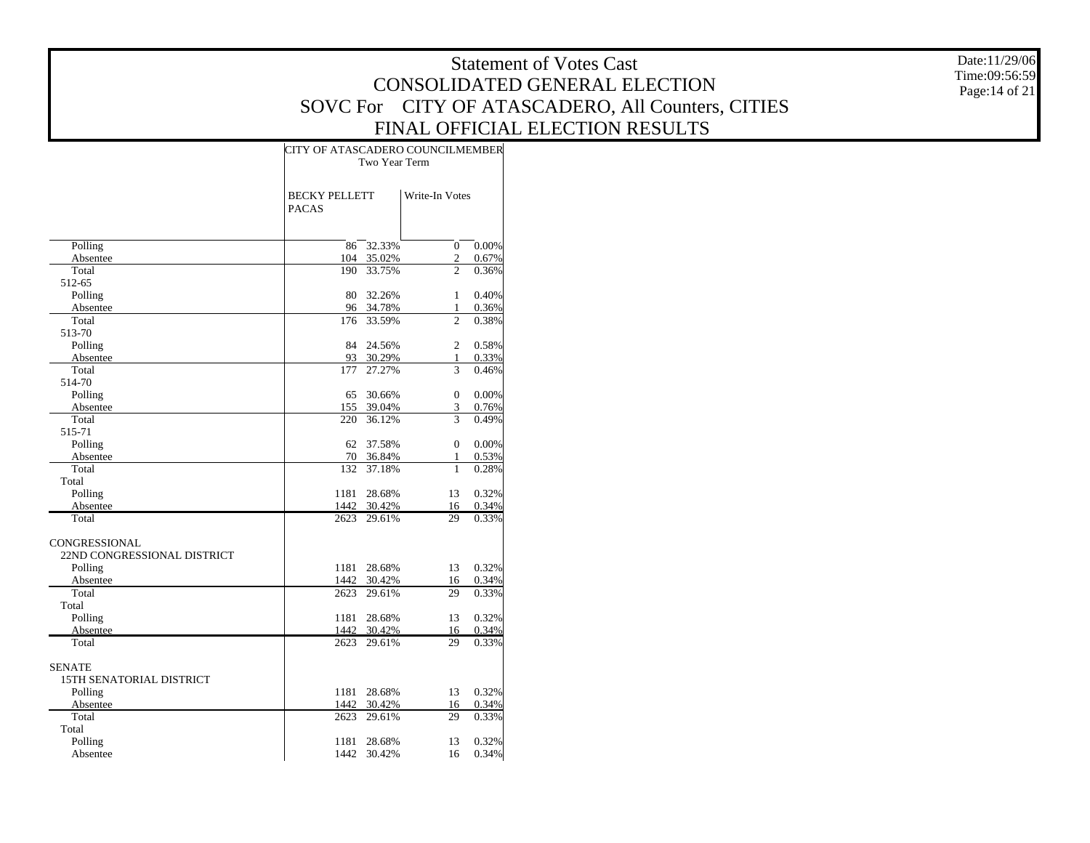Date:11/29/06 Time:09:56:59 Page:14 of 21

|                                 | CITY OF ATASCADERO COUNCILMEMBER     |                  |                              |                |  |  |  |  |  |  |
|---------------------------------|--------------------------------------|------------------|------------------------------|----------------|--|--|--|--|--|--|
|                                 | Two Year Term                        |                  |                              |                |  |  |  |  |  |  |
|                                 |                                      |                  |                              |                |  |  |  |  |  |  |
|                                 | <b>BECKY PELLETT</b><br><b>PACAS</b> |                  | Write-In Votes               |                |  |  |  |  |  |  |
|                                 |                                      |                  |                              |                |  |  |  |  |  |  |
|                                 |                                      |                  |                              |                |  |  |  |  |  |  |
| Polling                         | 86                                   | 32.33%           | $\mathbf{0}$                 | 0.00%          |  |  |  |  |  |  |
| Absentee                        | 104                                  | 35.02%           | $\overline{c}$               | $0.67\%$       |  |  |  |  |  |  |
| Total                           | 190                                  | 33.75%           | $\overline{c}$               | 0.36%          |  |  |  |  |  |  |
| 512-65                          |                                      |                  |                              |                |  |  |  |  |  |  |
| Polling                         | 80                                   | 32.26%           | $\mathbf{1}$                 | 0.40%          |  |  |  |  |  |  |
| Absentee                        | 96                                   | 34.78%           | 1<br>$\overline{c}$          | $0.36\%$       |  |  |  |  |  |  |
| Total                           | 176                                  | 33.59%           |                              | 0.38%          |  |  |  |  |  |  |
| 513-70                          |                                      |                  |                              |                |  |  |  |  |  |  |
| Polling                         | 84                                   | 24.56%           | $\overline{c}$               | 0.58%          |  |  |  |  |  |  |
| Absentee                        | 93                                   | 30.29%           | 1                            | 0.33%          |  |  |  |  |  |  |
| Total                           | 177                                  | 27.27%           | 3                            | 0.46%          |  |  |  |  |  |  |
| 514-70                          |                                      |                  |                              |                |  |  |  |  |  |  |
| Polling                         | 65                                   | 30.66%           | $\mathbf{0}$                 | 0.00%          |  |  |  |  |  |  |
| Absentee                        | 155                                  | 39.04%           | 3<br>3                       | 0.76%          |  |  |  |  |  |  |
| Total                           | 220                                  | 36.12%           |                              | 0.49%          |  |  |  |  |  |  |
| 515-71                          |                                      |                  |                              |                |  |  |  |  |  |  |
| Polling                         | 62                                   | 37.58%           | $\mathbf{0}$                 | $0.00\%$       |  |  |  |  |  |  |
| Absentee<br>Total               | 70<br>132                            | 36.84%           | $\mathbf{1}$<br>$\mathbf{1}$ | 0.53%          |  |  |  |  |  |  |
|                                 |                                      | 37.18%           |                              | 0.28%          |  |  |  |  |  |  |
| Total                           |                                      |                  |                              |                |  |  |  |  |  |  |
| Polling                         | 1181                                 | 28.68%           | 13                           | 0.32%          |  |  |  |  |  |  |
| Absentee<br>Total               | 1442                                 | 30.42%<br>29.61% | 16<br>29                     | 0.34%<br>0.33% |  |  |  |  |  |  |
|                                 | 2623                                 |                  |                              |                |  |  |  |  |  |  |
| CONGRESSIONAL                   |                                      |                  |                              |                |  |  |  |  |  |  |
| 22ND CONGRESSIONAL DISTRICT     |                                      |                  |                              |                |  |  |  |  |  |  |
| Polling                         | 1181                                 | 28.68%           | 13                           | 0.32%          |  |  |  |  |  |  |
| Absentee                        | 1442                                 | 30.42%           | 16                           | 0.34%          |  |  |  |  |  |  |
| Total                           | 2623                                 | 29.61%           | 29                           | 0.33%          |  |  |  |  |  |  |
| Total                           |                                      |                  |                              |                |  |  |  |  |  |  |
| Polling                         | 1181                                 | 28.68%           | 13                           | 0.32%          |  |  |  |  |  |  |
| Absentee                        | 1442                                 | 30.42%           | 16                           | 0.34%          |  |  |  |  |  |  |
| Total                           | 2623                                 | 29.61%           | 29                           | 0.33%          |  |  |  |  |  |  |
|                                 |                                      |                  |                              |                |  |  |  |  |  |  |
| <b>SENATE</b>                   |                                      |                  |                              |                |  |  |  |  |  |  |
| <b>15TH SENATORIAL DISTRICT</b> |                                      |                  |                              |                |  |  |  |  |  |  |
| Polling                         | 1181                                 | 28.68%           | 13                           | 0.32%          |  |  |  |  |  |  |
| Absentee                        | 1442                                 | 30.42%           | 16                           | 0.34%          |  |  |  |  |  |  |
| Total                           | 2623                                 | 29.61%           | 29                           | 0.33%          |  |  |  |  |  |  |
| Total                           |                                      |                  |                              |                |  |  |  |  |  |  |
| Polling                         | 1181                                 | 28.68%           | 13                           | 0.32%          |  |  |  |  |  |  |
| Absentee                        | 1442                                 | 30.42%           | 16                           | 0.34%          |  |  |  |  |  |  |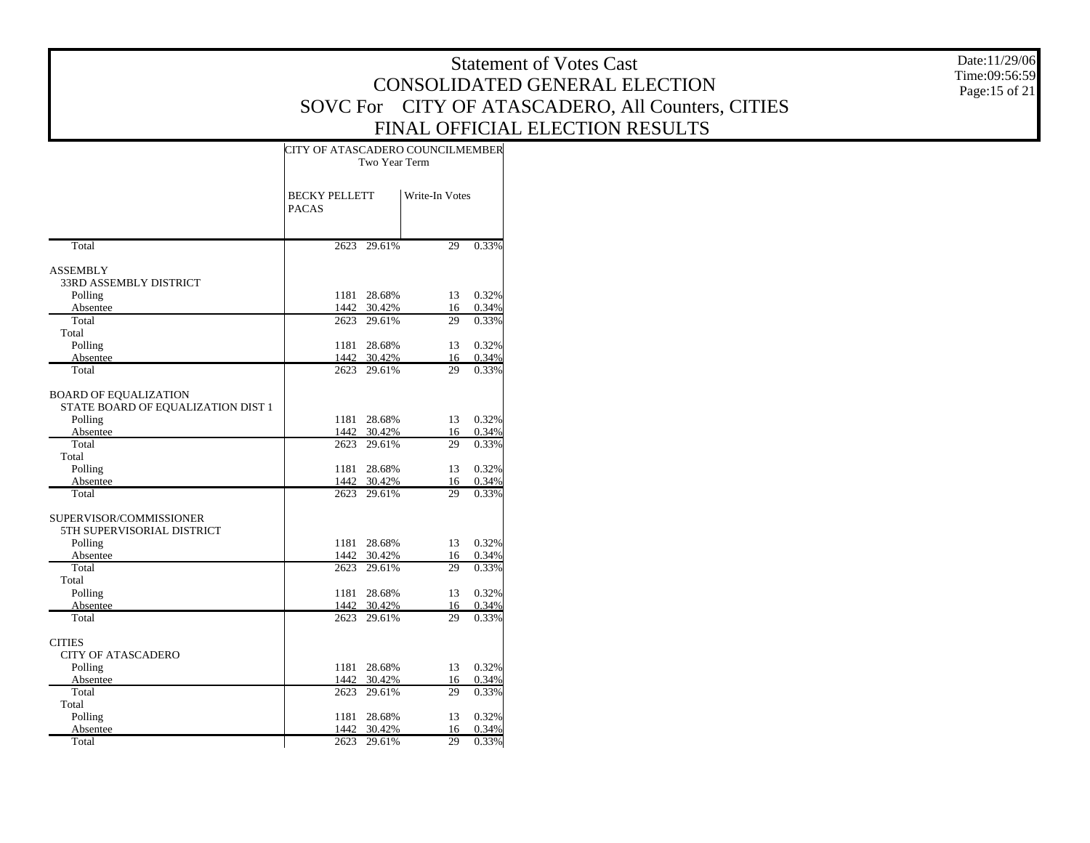Date:11/29/06 Time:09:56:59 Page:15 of 21

|                                    | CITY OF ATASCADERO COUNCILMEMBER     | Two Year Term |                |       |
|------------------------------------|--------------------------------------|---------------|----------------|-------|
|                                    | <b>BECKY PELLETT</b><br><b>PACAS</b> |               | Write-In Votes |       |
| Total                              | 2623                                 | 29.61%        | 29             | 0.33% |
| <b>ASSEMBLY</b>                    |                                      |               |                |       |
| 33RD ASSEMBLY DISTRICT             |                                      |               |                |       |
| Polling                            | 1181                                 | 28.68%        | 13             | 0.32% |
| Absentee                           | 1442                                 | 30.42%        | 16             | 0.34% |
| Total                              | 2623                                 | 29.61%        | 29             | 0.33% |
| Total                              |                                      |               |                |       |
| Polling                            | 1181                                 | 28.68%        | 13             | 0.32% |
| Absentee                           | 1442                                 | 30.42%        | 16             | 0.34% |
| Total                              | 2623                                 | 29.61%        | 29             | 0.33% |
| <b>BOARD OF EQUALIZATION</b>       |                                      |               |                |       |
| STATE BOARD OF EQUALIZATION DIST 1 |                                      |               |                |       |
| Polling                            | 1181                                 | 28.68%        | 13             | 0.32% |
| Absentee                           | 1442                                 | 30.42%        | 16             | 0.34% |
| Total                              | 2623                                 | 29.61%        | 29             | 0.33% |
| Total                              |                                      |               |                |       |
| Polling                            | 1181                                 | 28.68%        | 13             | 0.32% |
| Absentee                           |                                      | 1442 30.42%   | 16             | 0.34% |
| Total                              | 2623                                 | 29.61%        | 29             | 0.33% |
| SUPERVISOR/COMMISSIONER            |                                      |               |                |       |
| 5TH SUPERVISORIAL DISTRICT         |                                      |               |                |       |
| Polling                            | 1181                                 | 28.68%        | 13             | 0.32% |
| Absentee                           |                                      | 1442 30.42%   | 16             | 0.34% |
| Total                              | 2623                                 | 29.61%        | 29             | 0.33% |
| Total                              |                                      |               |                |       |
| Polling                            | 1181                                 | 28.68%        | 13             | 0.32% |
| Absentee                           | 1442                                 | 30.42%        | 16             | 0.34% |
| Total                              |                                      | 2623 29.61%   | 29             | 0.33% |
| <b>CITIES</b>                      |                                      |               |                |       |
| <b>CITY OF ATASCADERO</b>          |                                      |               |                |       |
| Polling                            | 1181                                 | 28.68%        | 13             | 0.32% |
| Absentee                           | 1442                                 | 30.42%        | 16             | 0.34% |
| Total                              | 2623                                 | 29.61%        | 29             | 0.33% |
| Total                              |                                      |               |                |       |
| Polling                            | 1181                                 | 28.68%        | 13             | 0.32% |
| Absentee                           | 1442                                 | 30.42%        | 16             | 0.34% |
| Total                              | 2623                                 | 29.61%        | 29             | 0.33% |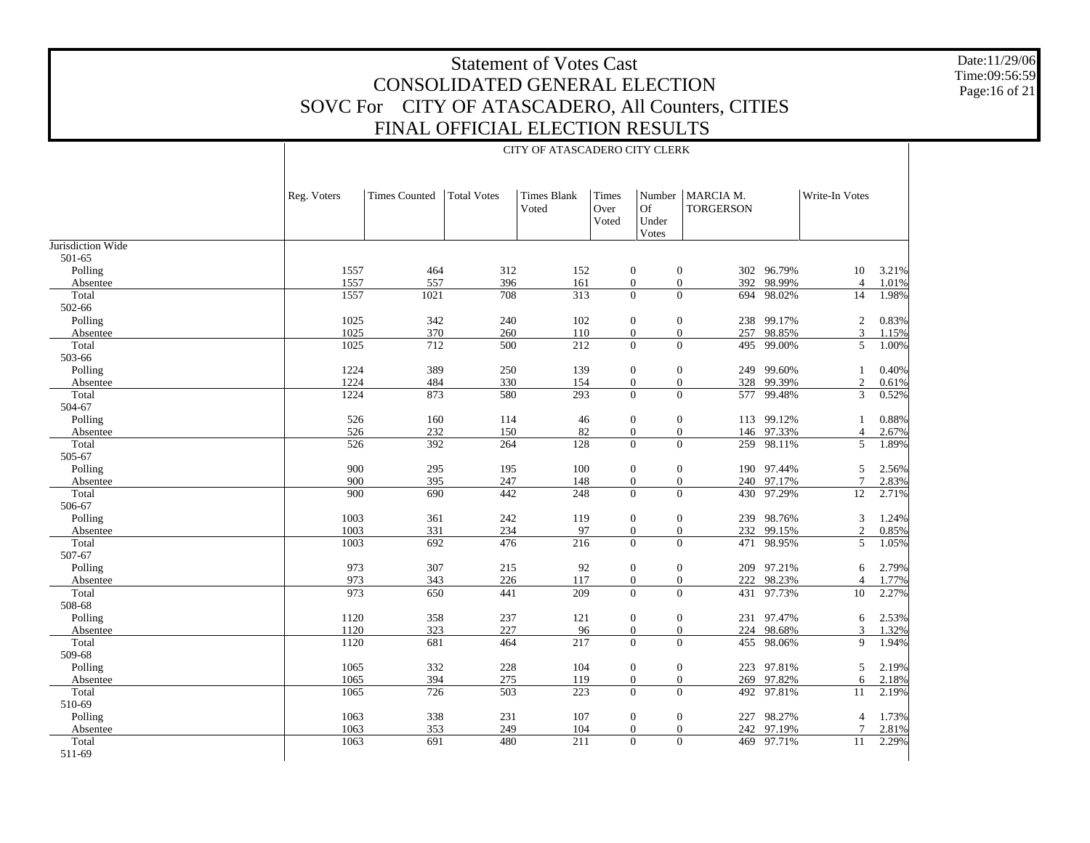Date:11/29/06 Time:09:56:59 Page:16 of 21

#### CITY OF ATASCADERO CITY CLERK

| 501-65<br>1557<br>Polling<br>464<br>312<br>152<br>$\boldsymbol{0}$<br>$\mathbf{0}$<br>302 96.79%<br>3.21%<br>10<br>1557<br>557<br>396<br>161<br>$\boldsymbol{0}$<br>$\boldsymbol{0}$<br>392<br>98.99%<br>1.01%<br>Absentee<br>$\overline{4}$<br>$\overline{313}$<br>$\overline{0}$<br>$\mathbf{0}$<br>1557<br>708<br>98.02%<br>1.98%<br>Total<br>1021<br>694<br>14<br>502-66<br>1025<br>342<br>240<br>102<br>$\boldsymbol{0}$<br>$\boldsymbol{0}$<br>238 99.17%<br>0.83%<br>Polling<br>$\overline{c}$<br>1025<br>370<br>260<br>$\boldsymbol{0}$<br>$\boldsymbol{0}$<br>98.85%<br>3<br>1.15%<br>110<br>257<br>Absentee<br>1025<br>712<br>500<br>212<br>$\mathbf{0}$<br>$\overline{0}$<br>495<br>99.00%<br>5<br>1.00%<br>Total<br>503-66<br>1224<br>389<br>250<br>$\boldsymbol{0}$<br>Polling<br>139<br>$\boldsymbol{0}$<br>249<br>99.60%<br>0.40%<br>1<br>330<br>$\boldsymbol{0}$<br>1224<br>484<br>$\overline{0}$<br>328 99.39%<br>154<br>$\overline{2}$<br>0.61%<br>Absentee<br>873<br>$\overline{0}$<br>$\overline{0}$<br>1224<br>580<br>293<br>99.48%<br>0.52%<br>Total<br>577<br>3<br>504-67<br>Polling<br>526<br>160<br>114<br>$\boldsymbol{0}$<br>$\mathbf{0}$<br>99.12%<br>0.88%<br>46<br>113<br>526<br>232<br>150<br>82<br>$\boldsymbol{0}$<br>$\boldsymbol{0}$<br>97.33%<br>Absentee<br>146<br>$\overline{4}$<br>264<br>128<br>$\mathbf{0}$<br>$\mathbf{0}$<br>5<br>1.89%<br>Total<br>526<br>392<br>259<br>98.11%<br>505-67<br>900<br>Polling<br>295<br>195<br>100<br>$\mathbf{0}$<br>$\mathbf{0}$<br>190 97.44%<br>5<br>395<br>247<br>900<br>148<br>$\boldsymbol{0}$<br>$\boldsymbol{0}$<br>240 97.17%<br>Absentee<br>7<br>$\overline{0}$<br>900<br>442<br>248<br>$\overline{0}$<br>97.29%<br>12<br>Total<br>690<br>430<br>506-67<br>1003<br>242<br>98.76%<br>Polling<br>361<br>119<br>$\boldsymbol{0}$<br>$\boldsymbol{0}$<br>239<br>3<br>1003<br>331<br>234<br>97<br>$\boldsymbol{0}$<br>$\boldsymbol{0}$<br>232<br>99.15%<br>$\overline{c}$<br>Absentee<br>0.85%<br>$\Omega$<br>1003<br>476<br>216<br>$\Omega$<br>98.95%<br>1.05%<br>Total<br>692<br>471<br>5<br>507-67<br>973<br>307<br>215<br>92<br>$\boldsymbol{0}$<br>$\boldsymbol{0}$<br>209<br>97.21%<br>Polling<br>6<br>973<br>343<br>226<br>$\boldsymbol{0}$<br>$\boldsymbol{0}$<br>98.23%<br>117<br>222<br>Absentee<br>$\overline{4}$<br>973<br>209<br>$\Omega$<br>$\Omega$<br>2.27%<br>Total<br>650<br>441<br>431 97.73%<br>10<br>508-68<br>$\boldsymbol{0}$<br>1120<br>358<br>237<br>121<br>$\boldsymbol{0}$<br>231<br>97.47%<br>Polling<br>6<br>1120<br>323<br>227<br>96<br>$\boldsymbol{0}$<br>$\boldsymbol{0}$<br>98.68%<br>224<br>3<br>1.32%<br>Absentee<br>681<br>464<br>217<br>$\theta$<br>$\theta$<br>98.06%<br>9<br>1.94%<br>Total<br>1120<br>455<br>509-68<br>332<br>Polling<br>1065<br>228<br>104<br>$\boldsymbol{0}$<br>$\boldsymbol{0}$<br>223<br>97.81%<br>5<br>2.19%<br>1065<br>394<br>275<br>$\boldsymbol{0}$<br>269<br>97.82%<br>2.18%<br>119<br>$\boldsymbol{0}$<br>Absentee<br>6<br>$\overline{0}$<br>503<br>$\overline{223}$<br>$\overline{0}$<br>97.81%<br>Total<br>1065<br>726<br>492<br>2.19%<br>11<br>510-69<br>1063<br>338<br>231<br>$\boldsymbol{0}$<br>Polling<br>107<br>$\boldsymbol{0}$<br>227 98.27%<br>1.73%<br>$\overline{4}$<br>1063<br>353<br>$\boldsymbol{0}$<br>97.19%<br>2.81%<br>249<br>104<br>$\boldsymbol{0}$<br>242<br>Absentee<br>7<br>$\overline{211}$<br>$\Omega$<br>$\theta$<br>97.71%<br>2.29%<br>Total<br>1063<br>691<br>480<br>469<br>11 |                   | Reg. Voters | <b>Times Counted</b> | <b>Total Votes</b> | <b>Times Blank</b><br>Voted | Times<br>Over<br>Voted | <b>Of</b><br>Under<br><b>Votes</b> | Number   MARCIA M.<br><b>TORGERSON</b> | Write-In Votes |       |
|-----------------------------------------------------------------------------------------------------------------------------------------------------------------------------------------------------------------------------------------------------------------------------------------------------------------------------------------------------------------------------------------------------------------------------------------------------------------------------------------------------------------------------------------------------------------------------------------------------------------------------------------------------------------------------------------------------------------------------------------------------------------------------------------------------------------------------------------------------------------------------------------------------------------------------------------------------------------------------------------------------------------------------------------------------------------------------------------------------------------------------------------------------------------------------------------------------------------------------------------------------------------------------------------------------------------------------------------------------------------------------------------------------------------------------------------------------------------------------------------------------------------------------------------------------------------------------------------------------------------------------------------------------------------------------------------------------------------------------------------------------------------------------------------------------------------------------------------------------------------------------------------------------------------------------------------------------------------------------------------------------------------------------------------------------------------------------------------------------------------------------------------------------------------------------------------------------------------------------------------------------------------------------------------------------------------------------------------------------------------------------------------------------------------------------------------------------------------------------------------------------------------------------------------------------------------------------------------------------------------------------------------------------------------------------------------------------------------------------------------------------------------------------------------------------------------------------------------------------------------------------------------------------------------------------------------------------------------------------------------------------------------------------------------------------------------------------------------------------------------------------------------------------------------------------------------------------------------------------------------------------------------------------------------------------------------------------------------------------------------------------------------------------------------------------------------------------------------|-------------------|-------------|----------------------|--------------------|-----------------------------|------------------------|------------------------------------|----------------------------------------|----------------|-------|
|                                                                                                                                                                                                                                                                                                                                                                                                                                                                                                                                                                                                                                                                                                                                                                                                                                                                                                                                                                                                                                                                                                                                                                                                                                                                                                                                                                                                                                                                                                                                                                                                                                                                                                                                                                                                                                                                                                                                                                                                                                                                                                                                                                                                                                                                                                                                                                                                                                                                                                                                                                                                                                                                                                                                                                                                                                                                                                                                                                                                                                                                                                                                                                                                                                                                                                                                                                                                                                                                 | Jurisdiction Wide |             |                      |                    |                             |                        |                                    |                                        |                |       |
|                                                                                                                                                                                                                                                                                                                                                                                                                                                                                                                                                                                                                                                                                                                                                                                                                                                                                                                                                                                                                                                                                                                                                                                                                                                                                                                                                                                                                                                                                                                                                                                                                                                                                                                                                                                                                                                                                                                                                                                                                                                                                                                                                                                                                                                                                                                                                                                                                                                                                                                                                                                                                                                                                                                                                                                                                                                                                                                                                                                                                                                                                                                                                                                                                                                                                                                                                                                                                                                                 |                   |             |                      |                    |                             |                        |                                    |                                        |                |       |
|                                                                                                                                                                                                                                                                                                                                                                                                                                                                                                                                                                                                                                                                                                                                                                                                                                                                                                                                                                                                                                                                                                                                                                                                                                                                                                                                                                                                                                                                                                                                                                                                                                                                                                                                                                                                                                                                                                                                                                                                                                                                                                                                                                                                                                                                                                                                                                                                                                                                                                                                                                                                                                                                                                                                                                                                                                                                                                                                                                                                                                                                                                                                                                                                                                                                                                                                                                                                                                                                 |                   |             |                      |                    |                             |                        |                                    |                                        |                |       |
|                                                                                                                                                                                                                                                                                                                                                                                                                                                                                                                                                                                                                                                                                                                                                                                                                                                                                                                                                                                                                                                                                                                                                                                                                                                                                                                                                                                                                                                                                                                                                                                                                                                                                                                                                                                                                                                                                                                                                                                                                                                                                                                                                                                                                                                                                                                                                                                                                                                                                                                                                                                                                                                                                                                                                                                                                                                                                                                                                                                                                                                                                                                                                                                                                                                                                                                                                                                                                                                                 |                   |             |                      |                    |                             |                        |                                    |                                        |                |       |
|                                                                                                                                                                                                                                                                                                                                                                                                                                                                                                                                                                                                                                                                                                                                                                                                                                                                                                                                                                                                                                                                                                                                                                                                                                                                                                                                                                                                                                                                                                                                                                                                                                                                                                                                                                                                                                                                                                                                                                                                                                                                                                                                                                                                                                                                                                                                                                                                                                                                                                                                                                                                                                                                                                                                                                                                                                                                                                                                                                                                                                                                                                                                                                                                                                                                                                                                                                                                                                                                 |                   |             |                      |                    |                             |                        |                                    |                                        |                |       |
|                                                                                                                                                                                                                                                                                                                                                                                                                                                                                                                                                                                                                                                                                                                                                                                                                                                                                                                                                                                                                                                                                                                                                                                                                                                                                                                                                                                                                                                                                                                                                                                                                                                                                                                                                                                                                                                                                                                                                                                                                                                                                                                                                                                                                                                                                                                                                                                                                                                                                                                                                                                                                                                                                                                                                                                                                                                                                                                                                                                                                                                                                                                                                                                                                                                                                                                                                                                                                                                                 |                   |             |                      |                    |                             |                        |                                    |                                        |                |       |
|                                                                                                                                                                                                                                                                                                                                                                                                                                                                                                                                                                                                                                                                                                                                                                                                                                                                                                                                                                                                                                                                                                                                                                                                                                                                                                                                                                                                                                                                                                                                                                                                                                                                                                                                                                                                                                                                                                                                                                                                                                                                                                                                                                                                                                                                                                                                                                                                                                                                                                                                                                                                                                                                                                                                                                                                                                                                                                                                                                                                                                                                                                                                                                                                                                                                                                                                                                                                                                                                 |                   |             |                      |                    |                             |                        |                                    |                                        |                |       |
|                                                                                                                                                                                                                                                                                                                                                                                                                                                                                                                                                                                                                                                                                                                                                                                                                                                                                                                                                                                                                                                                                                                                                                                                                                                                                                                                                                                                                                                                                                                                                                                                                                                                                                                                                                                                                                                                                                                                                                                                                                                                                                                                                                                                                                                                                                                                                                                                                                                                                                                                                                                                                                                                                                                                                                                                                                                                                                                                                                                                                                                                                                                                                                                                                                                                                                                                                                                                                                                                 |                   |             |                      |                    |                             |                        |                                    |                                        |                |       |
|                                                                                                                                                                                                                                                                                                                                                                                                                                                                                                                                                                                                                                                                                                                                                                                                                                                                                                                                                                                                                                                                                                                                                                                                                                                                                                                                                                                                                                                                                                                                                                                                                                                                                                                                                                                                                                                                                                                                                                                                                                                                                                                                                                                                                                                                                                                                                                                                                                                                                                                                                                                                                                                                                                                                                                                                                                                                                                                                                                                                                                                                                                                                                                                                                                                                                                                                                                                                                                                                 |                   |             |                      |                    |                             |                        |                                    |                                        |                |       |
|                                                                                                                                                                                                                                                                                                                                                                                                                                                                                                                                                                                                                                                                                                                                                                                                                                                                                                                                                                                                                                                                                                                                                                                                                                                                                                                                                                                                                                                                                                                                                                                                                                                                                                                                                                                                                                                                                                                                                                                                                                                                                                                                                                                                                                                                                                                                                                                                                                                                                                                                                                                                                                                                                                                                                                                                                                                                                                                                                                                                                                                                                                                                                                                                                                                                                                                                                                                                                                                                 |                   |             |                      |                    |                             |                        |                                    |                                        |                |       |
|                                                                                                                                                                                                                                                                                                                                                                                                                                                                                                                                                                                                                                                                                                                                                                                                                                                                                                                                                                                                                                                                                                                                                                                                                                                                                                                                                                                                                                                                                                                                                                                                                                                                                                                                                                                                                                                                                                                                                                                                                                                                                                                                                                                                                                                                                                                                                                                                                                                                                                                                                                                                                                                                                                                                                                                                                                                                                                                                                                                                                                                                                                                                                                                                                                                                                                                                                                                                                                                                 |                   |             |                      |                    |                             |                        |                                    |                                        |                |       |
|                                                                                                                                                                                                                                                                                                                                                                                                                                                                                                                                                                                                                                                                                                                                                                                                                                                                                                                                                                                                                                                                                                                                                                                                                                                                                                                                                                                                                                                                                                                                                                                                                                                                                                                                                                                                                                                                                                                                                                                                                                                                                                                                                                                                                                                                                                                                                                                                                                                                                                                                                                                                                                                                                                                                                                                                                                                                                                                                                                                                                                                                                                                                                                                                                                                                                                                                                                                                                                                                 |                   |             |                      |                    |                             |                        |                                    |                                        |                |       |
|                                                                                                                                                                                                                                                                                                                                                                                                                                                                                                                                                                                                                                                                                                                                                                                                                                                                                                                                                                                                                                                                                                                                                                                                                                                                                                                                                                                                                                                                                                                                                                                                                                                                                                                                                                                                                                                                                                                                                                                                                                                                                                                                                                                                                                                                                                                                                                                                                                                                                                                                                                                                                                                                                                                                                                                                                                                                                                                                                                                                                                                                                                                                                                                                                                                                                                                                                                                                                                                                 |                   |             |                      |                    |                             |                        |                                    |                                        |                |       |
|                                                                                                                                                                                                                                                                                                                                                                                                                                                                                                                                                                                                                                                                                                                                                                                                                                                                                                                                                                                                                                                                                                                                                                                                                                                                                                                                                                                                                                                                                                                                                                                                                                                                                                                                                                                                                                                                                                                                                                                                                                                                                                                                                                                                                                                                                                                                                                                                                                                                                                                                                                                                                                                                                                                                                                                                                                                                                                                                                                                                                                                                                                                                                                                                                                                                                                                                                                                                                                                                 |                   |             |                      |                    |                             |                        |                                    |                                        |                |       |
|                                                                                                                                                                                                                                                                                                                                                                                                                                                                                                                                                                                                                                                                                                                                                                                                                                                                                                                                                                                                                                                                                                                                                                                                                                                                                                                                                                                                                                                                                                                                                                                                                                                                                                                                                                                                                                                                                                                                                                                                                                                                                                                                                                                                                                                                                                                                                                                                                                                                                                                                                                                                                                                                                                                                                                                                                                                                                                                                                                                                                                                                                                                                                                                                                                                                                                                                                                                                                                                                 |                   |             |                      |                    |                             |                        |                                    |                                        |                |       |
|                                                                                                                                                                                                                                                                                                                                                                                                                                                                                                                                                                                                                                                                                                                                                                                                                                                                                                                                                                                                                                                                                                                                                                                                                                                                                                                                                                                                                                                                                                                                                                                                                                                                                                                                                                                                                                                                                                                                                                                                                                                                                                                                                                                                                                                                                                                                                                                                                                                                                                                                                                                                                                                                                                                                                                                                                                                                                                                                                                                                                                                                                                                                                                                                                                                                                                                                                                                                                                                                 |                   |             |                      |                    |                             |                        |                                    |                                        |                | 2.67% |
|                                                                                                                                                                                                                                                                                                                                                                                                                                                                                                                                                                                                                                                                                                                                                                                                                                                                                                                                                                                                                                                                                                                                                                                                                                                                                                                                                                                                                                                                                                                                                                                                                                                                                                                                                                                                                                                                                                                                                                                                                                                                                                                                                                                                                                                                                                                                                                                                                                                                                                                                                                                                                                                                                                                                                                                                                                                                                                                                                                                                                                                                                                                                                                                                                                                                                                                                                                                                                                                                 |                   |             |                      |                    |                             |                        |                                    |                                        |                |       |
|                                                                                                                                                                                                                                                                                                                                                                                                                                                                                                                                                                                                                                                                                                                                                                                                                                                                                                                                                                                                                                                                                                                                                                                                                                                                                                                                                                                                                                                                                                                                                                                                                                                                                                                                                                                                                                                                                                                                                                                                                                                                                                                                                                                                                                                                                                                                                                                                                                                                                                                                                                                                                                                                                                                                                                                                                                                                                                                                                                                                                                                                                                                                                                                                                                                                                                                                                                                                                                                                 |                   |             |                      |                    |                             |                        |                                    |                                        |                |       |
|                                                                                                                                                                                                                                                                                                                                                                                                                                                                                                                                                                                                                                                                                                                                                                                                                                                                                                                                                                                                                                                                                                                                                                                                                                                                                                                                                                                                                                                                                                                                                                                                                                                                                                                                                                                                                                                                                                                                                                                                                                                                                                                                                                                                                                                                                                                                                                                                                                                                                                                                                                                                                                                                                                                                                                                                                                                                                                                                                                                                                                                                                                                                                                                                                                                                                                                                                                                                                                                                 |                   |             |                      |                    |                             |                        |                                    |                                        |                | 2.56% |
|                                                                                                                                                                                                                                                                                                                                                                                                                                                                                                                                                                                                                                                                                                                                                                                                                                                                                                                                                                                                                                                                                                                                                                                                                                                                                                                                                                                                                                                                                                                                                                                                                                                                                                                                                                                                                                                                                                                                                                                                                                                                                                                                                                                                                                                                                                                                                                                                                                                                                                                                                                                                                                                                                                                                                                                                                                                                                                                                                                                                                                                                                                                                                                                                                                                                                                                                                                                                                                                                 |                   |             |                      |                    |                             |                        |                                    |                                        |                | 2.83% |
|                                                                                                                                                                                                                                                                                                                                                                                                                                                                                                                                                                                                                                                                                                                                                                                                                                                                                                                                                                                                                                                                                                                                                                                                                                                                                                                                                                                                                                                                                                                                                                                                                                                                                                                                                                                                                                                                                                                                                                                                                                                                                                                                                                                                                                                                                                                                                                                                                                                                                                                                                                                                                                                                                                                                                                                                                                                                                                                                                                                                                                                                                                                                                                                                                                                                                                                                                                                                                                                                 |                   |             |                      |                    |                             |                        |                                    |                                        |                | 2.71% |
|                                                                                                                                                                                                                                                                                                                                                                                                                                                                                                                                                                                                                                                                                                                                                                                                                                                                                                                                                                                                                                                                                                                                                                                                                                                                                                                                                                                                                                                                                                                                                                                                                                                                                                                                                                                                                                                                                                                                                                                                                                                                                                                                                                                                                                                                                                                                                                                                                                                                                                                                                                                                                                                                                                                                                                                                                                                                                                                                                                                                                                                                                                                                                                                                                                                                                                                                                                                                                                                                 |                   |             |                      |                    |                             |                        |                                    |                                        |                |       |
|                                                                                                                                                                                                                                                                                                                                                                                                                                                                                                                                                                                                                                                                                                                                                                                                                                                                                                                                                                                                                                                                                                                                                                                                                                                                                                                                                                                                                                                                                                                                                                                                                                                                                                                                                                                                                                                                                                                                                                                                                                                                                                                                                                                                                                                                                                                                                                                                                                                                                                                                                                                                                                                                                                                                                                                                                                                                                                                                                                                                                                                                                                                                                                                                                                                                                                                                                                                                                                                                 |                   |             |                      |                    |                             |                        |                                    |                                        |                | 1.24% |
|                                                                                                                                                                                                                                                                                                                                                                                                                                                                                                                                                                                                                                                                                                                                                                                                                                                                                                                                                                                                                                                                                                                                                                                                                                                                                                                                                                                                                                                                                                                                                                                                                                                                                                                                                                                                                                                                                                                                                                                                                                                                                                                                                                                                                                                                                                                                                                                                                                                                                                                                                                                                                                                                                                                                                                                                                                                                                                                                                                                                                                                                                                                                                                                                                                                                                                                                                                                                                                                                 |                   |             |                      |                    |                             |                        |                                    |                                        |                |       |
|                                                                                                                                                                                                                                                                                                                                                                                                                                                                                                                                                                                                                                                                                                                                                                                                                                                                                                                                                                                                                                                                                                                                                                                                                                                                                                                                                                                                                                                                                                                                                                                                                                                                                                                                                                                                                                                                                                                                                                                                                                                                                                                                                                                                                                                                                                                                                                                                                                                                                                                                                                                                                                                                                                                                                                                                                                                                                                                                                                                                                                                                                                                                                                                                                                                                                                                                                                                                                                                                 |                   |             |                      |                    |                             |                        |                                    |                                        |                |       |
|                                                                                                                                                                                                                                                                                                                                                                                                                                                                                                                                                                                                                                                                                                                                                                                                                                                                                                                                                                                                                                                                                                                                                                                                                                                                                                                                                                                                                                                                                                                                                                                                                                                                                                                                                                                                                                                                                                                                                                                                                                                                                                                                                                                                                                                                                                                                                                                                                                                                                                                                                                                                                                                                                                                                                                                                                                                                                                                                                                                                                                                                                                                                                                                                                                                                                                                                                                                                                                                                 |                   |             |                      |                    |                             |                        |                                    |                                        |                |       |
|                                                                                                                                                                                                                                                                                                                                                                                                                                                                                                                                                                                                                                                                                                                                                                                                                                                                                                                                                                                                                                                                                                                                                                                                                                                                                                                                                                                                                                                                                                                                                                                                                                                                                                                                                                                                                                                                                                                                                                                                                                                                                                                                                                                                                                                                                                                                                                                                                                                                                                                                                                                                                                                                                                                                                                                                                                                                                                                                                                                                                                                                                                                                                                                                                                                                                                                                                                                                                                                                 |                   |             |                      |                    |                             |                        |                                    |                                        |                | 2.79% |
|                                                                                                                                                                                                                                                                                                                                                                                                                                                                                                                                                                                                                                                                                                                                                                                                                                                                                                                                                                                                                                                                                                                                                                                                                                                                                                                                                                                                                                                                                                                                                                                                                                                                                                                                                                                                                                                                                                                                                                                                                                                                                                                                                                                                                                                                                                                                                                                                                                                                                                                                                                                                                                                                                                                                                                                                                                                                                                                                                                                                                                                                                                                                                                                                                                                                                                                                                                                                                                                                 |                   |             |                      |                    |                             |                        |                                    |                                        |                | 1.77% |
|                                                                                                                                                                                                                                                                                                                                                                                                                                                                                                                                                                                                                                                                                                                                                                                                                                                                                                                                                                                                                                                                                                                                                                                                                                                                                                                                                                                                                                                                                                                                                                                                                                                                                                                                                                                                                                                                                                                                                                                                                                                                                                                                                                                                                                                                                                                                                                                                                                                                                                                                                                                                                                                                                                                                                                                                                                                                                                                                                                                                                                                                                                                                                                                                                                                                                                                                                                                                                                                                 |                   |             |                      |                    |                             |                        |                                    |                                        |                |       |
|                                                                                                                                                                                                                                                                                                                                                                                                                                                                                                                                                                                                                                                                                                                                                                                                                                                                                                                                                                                                                                                                                                                                                                                                                                                                                                                                                                                                                                                                                                                                                                                                                                                                                                                                                                                                                                                                                                                                                                                                                                                                                                                                                                                                                                                                                                                                                                                                                                                                                                                                                                                                                                                                                                                                                                                                                                                                                                                                                                                                                                                                                                                                                                                                                                                                                                                                                                                                                                                                 |                   |             |                      |                    |                             |                        |                                    |                                        |                |       |
|                                                                                                                                                                                                                                                                                                                                                                                                                                                                                                                                                                                                                                                                                                                                                                                                                                                                                                                                                                                                                                                                                                                                                                                                                                                                                                                                                                                                                                                                                                                                                                                                                                                                                                                                                                                                                                                                                                                                                                                                                                                                                                                                                                                                                                                                                                                                                                                                                                                                                                                                                                                                                                                                                                                                                                                                                                                                                                                                                                                                                                                                                                                                                                                                                                                                                                                                                                                                                                                                 |                   |             |                      |                    |                             |                        |                                    |                                        |                | 2.53% |
|                                                                                                                                                                                                                                                                                                                                                                                                                                                                                                                                                                                                                                                                                                                                                                                                                                                                                                                                                                                                                                                                                                                                                                                                                                                                                                                                                                                                                                                                                                                                                                                                                                                                                                                                                                                                                                                                                                                                                                                                                                                                                                                                                                                                                                                                                                                                                                                                                                                                                                                                                                                                                                                                                                                                                                                                                                                                                                                                                                                                                                                                                                                                                                                                                                                                                                                                                                                                                                                                 |                   |             |                      |                    |                             |                        |                                    |                                        |                |       |
|                                                                                                                                                                                                                                                                                                                                                                                                                                                                                                                                                                                                                                                                                                                                                                                                                                                                                                                                                                                                                                                                                                                                                                                                                                                                                                                                                                                                                                                                                                                                                                                                                                                                                                                                                                                                                                                                                                                                                                                                                                                                                                                                                                                                                                                                                                                                                                                                                                                                                                                                                                                                                                                                                                                                                                                                                                                                                                                                                                                                                                                                                                                                                                                                                                                                                                                                                                                                                                                                 |                   |             |                      |                    |                             |                        |                                    |                                        |                |       |
|                                                                                                                                                                                                                                                                                                                                                                                                                                                                                                                                                                                                                                                                                                                                                                                                                                                                                                                                                                                                                                                                                                                                                                                                                                                                                                                                                                                                                                                                                                                                                                                                                                                                                                                                                                                                                                                                                                                                                                                                                                                                                                                                                                                                                                                                                                                                                                                                                                                                                                                                                                                                                                                                                                                                                                                                                                                                                                                                                                                                                                                                                                                                                                                                                                                                                                                                                                                                                                                                 |                   |             |                      |                    |                             |                        |                                    |                                        |                |       |
|                                                                                                                                                                                                                                                                                                                                                                                                                                                                                                                                                                                                                                                                                                                                                                                                                                                                                                                                                                                                                                                                                                                                                                                                                                                                                                                                                                                                                                                                                                                                                                                                                                                                                                                                                                                                                                                                                                                                                                                                                                                                                                                                                                                                                                                                                                                                                                                                                                                                                                                                                                                                                                                                                                                                                                                                                                                                                                                                                                                                                                                                                                                                                                                                                                                                                                                                                                                                                                                                 |                   |             |                      |                    |                             |                        |                                    |                                        |                |       |
|                                                                                                                                                                                                                                                                                                                                                                                                                                                                                                                                                                                                                                                                                                                                                                                                                                                                                                                                                                                                                                                                                                                                                                                                                                                                                                                                                                                                                                                                                                                                                                                                                                                                                                                                                                                                                                                                                                                                                                                                                                                                                                                                                                                                                                                                                                                                                                                                                                                                                                                                                                                                                                                                                                                                                                                                                                                                                                                                                                                                                                                                                                                                                                                                                                                                                                                                                                                                                                                                 |                   |             |                      |                    |                             |                        |                                    |                                        |                |       |
|                                                                                                                                                                                                                                                                                                                                                                                                                                                                                                                                                                                                                                                                                                                                                                                                                                                                                                                                                                                                                                                                                                                                                                                                                                                                                                                                                                                                                                                                                                                                                                                                                                                                                                                                                                                                                                                                                                                                                                                                                                                                                                                                                                                                                                                                                                                                                                                                                                                                                                                                                                                                                                                                                                                                                                                                                                                                                                                                                                                                                                                                                                                                                                                                                                                                                                                                                                                                                                                                 |                   |             |                      |                    |                             |                        |                                    |                                        |                |       |
|                                                                                                                                                                                                                                                                                                                                                                                                                                                                                                                                                                                                                                                                                                                                                                                                                                                                                                                                                                                                                                                                                                                                                                                                                                                                                                                                                                                                                                                                                                                                                                                                                                                                                                                                                                                                                                                                                                                                                                                                                                                                                                                                                                                                                                                                                                                                                                                                                                                                                                                                                                                                                                                                                                                                                                                                                                                                                                                                                                                                                                                                                                                                                                                                                                                                                                                                                                                                                                                                 |                   |             |                      |                    |                             |                        |                                    |                                        |                |       |
|                                                                                                                                                                                                                                                                                                                                                                                                                                                                                                                                                                                                                                                                                                                                                                                                                                                                                                                                                                                                                                                                                                                                                                                                                                                                                                                                                                                                                                                                                                                                                                                                                                                                                                                                                                                                                                                                                                                                                                                                                                                                                                                                                                                                                                                                                                                                                                                                                                                                                                                                                                                                                                                                                                                                                                                                                                                                                                                                                                                                                                                                                                                                                                                                                                                                                                                                                                                                                                                                 |                   |             |                      |                    |                             |                        |                                    |                                        |                |       |
|                                                                                                                                                                                                                                                                                                                                                                                                                                                                                                                                                                                                                                                                                                                                                                                                                                                                                                                                                                                                                                                                                                                                                                                                                                                                                                                                                                                                                                                                                                                                                                                                                                                                                                                                                                                                                                                                                                                                                                                                                                                                                                                                                                                                                                                                                                                                                                                                                                                                                                                                                                                                                                                                                                                                                                                                                                                                                                                                                                                                                                                                                                                                                                                                                                                                                                                                                                                                                                                                 |                   |             |                      |                    |                             |                        |                                    |                                        |                |       |
|                                                                                                                                                                                                                                                                                                                                                                                                                                                                                                                                                                                                                                                                                                                                                                                                                                                                                                                                                                                                                                                                                                                                                                                                                                                                                                                                                                                                                                                                                                                                                                                                                                                                                                                                                                                                                                                                                                                                                                                                                                                                                                                                                                                                                                                                                                                                                                                                                                                                                                                                                                                                                                                                                                                                                                                                                                                                                                                                                                                                                                                                                                                                                                                                                                                                                                                                                                                                                                                                 |                   |             |                      |                    |                             |                        |                                    |                                        |                |       |
|                                                                                                                                                                                                                                                                                                                                                                                                                                                                                                                                                                                                                                                                                                                                                                                                                                                                                                                                                                                                                                                                                                                                                                                                                                                                                                                                                                                                                                                                                                                                                                                                                                                                                                                                                                                                                                                                                                                                                                                                                                                                                                                                                                                                                                                                                                                                                                                                                                                                                                                                                                                                                                                                                                                                                                                                                                                                                                                                                                                                                                                                                                                                                                                                                                                                                                                                                                                                                                                                 | 511-69            |             |                      |                    |                             |                        |                                    |                                        |                |       |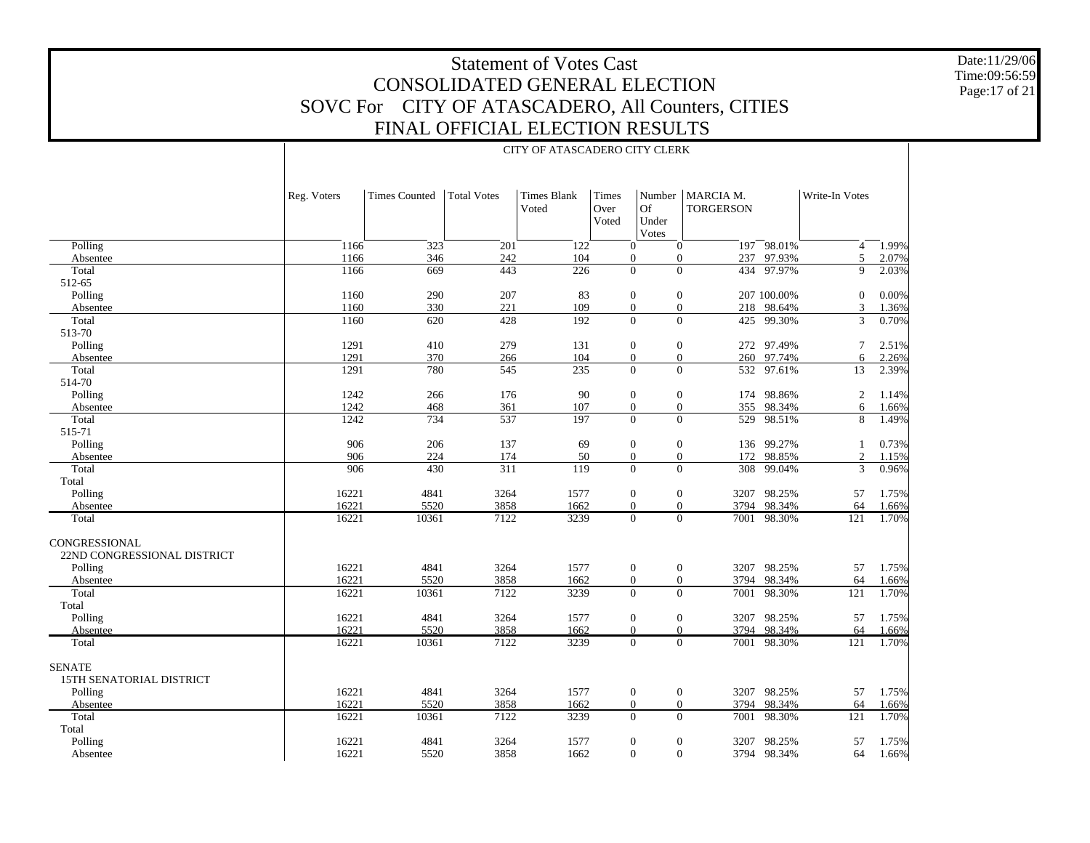Date:11/29/06 Time:09:56:59 Page:17 of 21

#### CITY OF ATASCADERO CITY CLERK

|                                              | Reg. Voters | <b>Times Counted</b> | <b>Total Votes</b> | <b>Times Blank</b><br>Voted | Times<br>Over<br>Voted | <b>Of</b><br>Under<br>Votes                                    | Number   MARCIA M.<br><b>TORGERSON</b> |             | Write-In Votes |       |
|----------------------------------------------|-------------|----------------------|--------------------|-----------------------------|------------------------|----------------------------------------------------------------|----------------------------------------|-------------|----------------|-------|
| Polling                                      | 1166        | 323                  | 201                | 122                         |                        | $\overline{0}$<br>$\mathbf{0}$                                 |                                        | 197 98.01%  | $\overline{4}$ | 1.99% |
| Absentee                                     | 1166        | 346                  | 242                | 104                         |                        | $\boldsymbol{0}$<br>$\mathbf{0}$                               | 237                                    | 97.93%      | 5              | 2.07% |
| Total                                        | 1166        | 669                  | 443                | $\overline{226}$            |                        | $\overline{0}$<br>$\overline{0}$                               |                                        | 434 97.97%  | 9              | 2.03% |
| 512-65                                       |             |                      |                    |                             |                        |                                                                |                                        |             |                |       |
| Polling                                      | 1160        | 290                  | 207                | 83                          |                        | $\boldsymbol{0}$<br>$\mathbf{0}$                               |                                        | 207 100.00% | $\mathbf{0}$   | 0.00% |
| Absentee                                     | 1160        | 330                  | 221                | 109                         |                        | $\overline{0}$<br>$\overline{0}$                               |                                        | 218 98.64%  | 3              | 1.36% |
| Total                                        | 1160        | 620                  | 428                | 192                         |                        | $\overline{0}$<br>$\boldsymbol{0}$                             | 425                                    | 99.30%      | 3              | 0.70% |
| 513-70                                       |             |                      |                    |                             |                        |                                                                |                                        |             |                |       |
| Polling                                      | 1291        | 410                  | 279                | 131                         |                        | $\boldsymbol{0}$<br>$\mathbf{0}$                               |                                        | 272 97.49%  | 7              | 2.51% |
| Absentee                                     | 1291        | 370                  | 266                | 104                         |                        | $\boldsymbol{0}$<br>$\boldsymbol{0}$                           | 260                                    | 97.74%      | 6              | 2.26% |
| Total                                        | 1291        | 780                  | 545                | 235                         |                        | $\Omega$<br>$\Omega$                                           |                                        | 532 97.61%  | 13             | 2.39% |
| 514-70                                       |             |                      |                    |                             |                        |                                                                |                                        |             |                |       |
| Polling                                      | 1242        | 266                  | 176                | 90                          |                        | $\boldsymbol{0}$<br>$\mathbf{0}$                               | 174                                    | 98.86%      | 2              | 1.14% |
| Absentee                                     | 1242        | 468                  | 361                | 107                         |                        | $\overline{0}$<br>$\overline{0}$                               | 355                                    | 98.34%      | 6              | 1.66% |
| Total                                        | 1242        | 734                  | 537                | 197                         |                        | $\overline{0}$<br>$\Omega$                                     | 529                                    | 98.51%      | 8              | 1.49% |
| 515-71                                       |             |                      |                    |                             |                        |                                                                |                                        |             |                |       |
| Polling                                      | 906         | 206                  | 137                | 69                          |                        | $\boldsymbol{0}$<br>$\mathbf{0}$                               | 136                                    | 99.27%      | 1              | 0.73% |
| Absentee                                     | 906         | 224                  | 174                | 50                          |                        | $\boldsymbol{0}$<br>$\mathbf{0}$                               |                                        | 172 98.85%  | 2              | 1.15% |
| Total                                        | 906         | 430                  | $\overline{311}$   | 119                         |                        | $\Omega$<br>$\Omega$                                           |                                        | 308 99.04%  | 3              | 0.96% |
| Total                                        |             |                      |                    |                             |                        |                                                                |                                        |             |                |       |
| Polling                                      | 16221       | 4841                 | 3264               | 1577                        |                        | $\boldsymbol{0}$<br>$\mathbf{0}$                               |                                        | 3207 98.25% | 57             | 1.75% |
| Absentee                                     | 16221       | 5520                 | 3858               | 1662                        |                        | $\theta$<br>$\overline{0}$<br>$\overline{0}$<br>$\overline{0}$ | 3794                                   | 98.34%      | 64             | 1.66% |
| Total                                        | 16221       | 10361                | 7122               | 3239                        |                        |                                                                | 7001                                   | 98.30%      | 121            | 1.70% |
| CONGRESSIONAL<br>22ND CONGRESSIONAL DISTRICT |             |                      |                    |                             |                        |                                                                |                                        |             |                |       |
| Polling                                      | 16221       | 4841                 | 3264               | 1577                        |                        | $\boldsymbol{0}$<br>$\mathbf{0}$                               |                                        | 3207 98.25% | 57             | 1.75% |
| Absentee                                     | 16221       | 5520                 | 3858               | 1662                        |                        | $\boldsymbol{0}$<br>$\mathbf{0}$                               | 3794                                   | 98.34%      | 64             | 1.66% |
| Total                                        | 16221       | 10361                | 7122               | 3239                        |                        | $\overline{0}$<br>$\overline{0}$                               | 7001                                   | 98.30%      | 121            | 1.70% |
| Total                                        |             |                      |                    |                             |                        |                                                                |                                        |             |                |       |
| Polling                                      | 16221       | 4841                 | 3264               | 1577                        |                        | $\boldsymbol{0}$<br>$\mathbf{0}$                               |                                        | 3207 98.25% | 57             | 1.75% |
| Absentee                                     | 16221       | 5520                 | 3858               | 1662                        |                        | $\overline{0}$<br>$\overline{0}$                               | 3794                                   | 98.34%      | 64             | 1.66% |
| Total                                        | 16221       | 10361                | 7122               | 3239                        |                        | $\overline{0}$<br>$\mathbf{0}$                                 | 7001                                   | 98.30%      | 121            | 1.70% |
| <b>SENATE</b><br>15TH SENATORIAL DISTRICT    |             |                      |                    |                             |                        |                                                                |                                        |             |                |       |
| Polling                                      | 16221       | 4841                 | 3264               | 1577                        |                        | $\boldsymbol{0}$<br>$\boldsymbol{0}$                           | 3207                                   | 98.25%      | 57             | 1.75% |
| Absentee                                     | 16221       | 5520                 | 3858               | 1662                        |                        | $\overline{0}$<br>$\mathbf{0}$                                 | 3794                                   | 98.34%      | 64             | 1.66% |
| Total                                        | 16221       | 10361                | 7122               | 3239                        |                        | $\mathbf{0}$<br>$\mathbf{0}$                                   | 7001                                   | 98.30%      | 121            | 1.70% |
| Total                                        |             |                      |                    |                             |                        |                                                                |                                        |             |                |       |
| Polling                                      | 16221       | 4841                 | 3264               | 1577                        |                        | $\overline{0}$<br>$\mathbf{0}$                                 | 3207                                   | 98.25%      | 57             | 1.75% |
| Absentee                                     | 16221       | 5520                 | 3858               | 1662                        |                        | $\overline{0}$<br>$\overline{0}$                               |                                        | 3794 98.34% | 64             | 1.66% |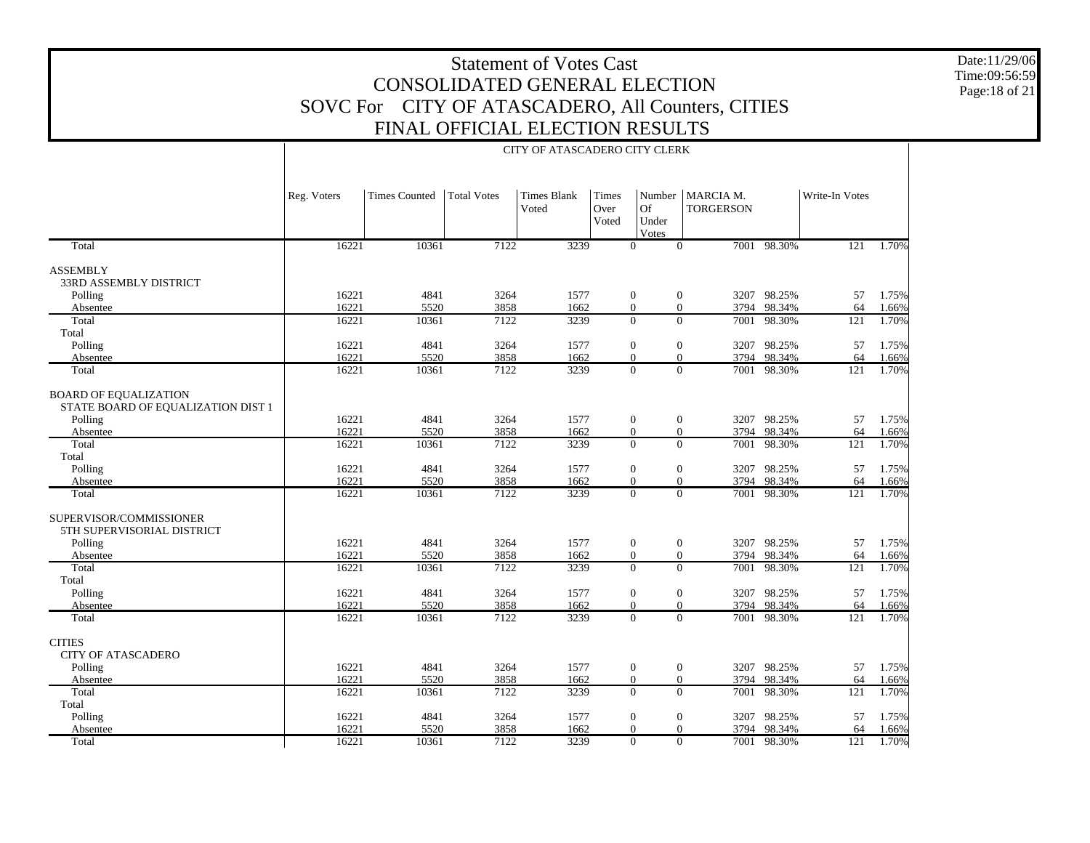CITY OF ATASCADERO CITY CLERK

Date:11/29/06Time:09:56:59Page:18 of 21

#### TotalASSEMBLY 33RD ASSEMBLY DISTRICT Polling Absentee Total Total Polling Absentee TotalBOARD OF EQUALIZATION STATE BOARD OF EQUALIZATION DIST 1 Polling Absentee Total Total Polling Absentee TotalSUPERVISOR/COMMISSIONER 5TH SUPERVISORIAL DISTRICT Polling Absentee Total Total Polling Absentee TotalCITIES CITY OF ATASCADERO Polling Absentee Total Total Polling Absentee TotalReg. Voters | Times Counted | Total Votes | Times Blank VotedTimes Over VotedNumber MARCIA M. Of Under Votes**TORGERSON** Write-In Votes16221 10361 7122 3239 0 0 7001 98.30% 121 1.70% 16221 4841 3264 1577 0 0 3207 98.25% 57 1.75% 16221 5520 3858 1662 0 0 3794 98.34% 64 1.66% 16221 10361 7122 3239 0 0 7001 98.30%98.30% 121 1.70% 16221 4841 3264 1577 0 0 3207 98.25% 57 1.75% 16221 5520 3858 1662 0 0 3794 98.34%98.34% 64 1.66%<br>98.30% 121 1.70% 16221 10361 7122 3239 0 0 7001 98.30%98.30% 121 1.70% 16221 4841 3264 1577 0 0 3207 98.25% 57 1.75% 16221 5520 3858 1662 0 0 3794 98.34% 64 1.66% 16221 10361 7122 3239 0 0 7001 98.30%98.30% 121 1.70% 16221 4841 3264 1577 0 0 3207 98.25% 57 1.75% 16221 5520 3858 1662 0 0 3794 98.34% 64 1.66% 16221 10361 7122 3239 0 0 7001 98.30%98.30% 121 1.70% 16221 4841 3264 1577 0 0 3207 98.25% 57 1.75% 16221 5520 3858 1662 0 0 3794 98.34% 64 1.66% 16221 10361 7122 3239 0 0 7001 98.30%98.30% 121 1.70% 16221 4841 3264 1577 0 0 3207 98.25% 57 1.75% 16221 5520 3858 1662 0 0 3794 98.34% 64 1.66% 16221 10361 7122 3239 0 0 7001 98.30%98.30% 121 1.70% 16221 4841 3264 1577 0 0 3207 98.25% 57 1.75% 16221 5520 3858 1662 0 0 3794 98.34% 64 1.66% 16221 10361 7122 3239 0 0 7001 98.30%98.30% 121 1.70% 16221 4841 3264 1577 0 0 3207 98.25% 57 1.75% 16221 5520 3858 1662 0 0 3794 98.34% 64 1.66% 16221 10361 7122 3239 0 0 7001 98.30%121 1.70%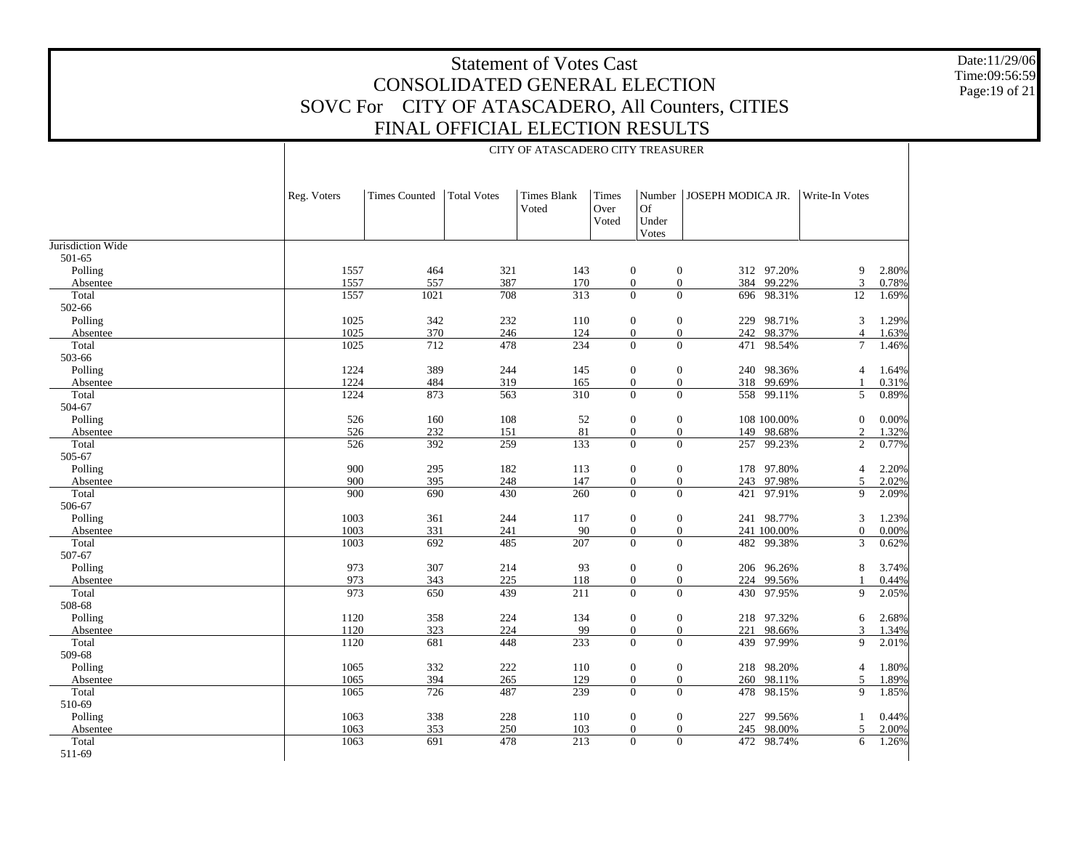CITY OF ATASCADERO CITY TREASURER

Date:11/29/06 Time:09:56:59 Page:19 of 21

|                   | Reg. Voters  | <b>Times Counted</b> | <b>Total Votes</b> | <b>Times Blank</b><br>Voted | Times<br>Over<br>Voted | Number<br><b>Of</b><br>Under<br>Votes | JOSEPH MODICA JR.                   |                  | Write-In Votes   |       |
|-------------------|--------------|----------------------|--------------------|-----------------------------|------------------------|---------------------------------------|-------------------------------------|------------------|------------------|-------|
| Jurisdiction Wide |              |                      |                    |                             |                        |                                       |                                     |                  |                  |       |
| 501-65            |              |                      |                    |                             |                        |                                       |                                     |                  |                  |       |
| Polling           | 1557         | 464                  | 321                | 143                         |                        | $\boldsymbol{0}$<br>$\mathbf{0}$      |                                     | 312 97.20%       | 9                | 2.80% |
| Absentee          | 1557         | 557                  | 387                | 170                         |                        | $\overline{0}$                        | $\overline{0}$                      | 384 99.22%       | 3                | 0.78% |
| Total             | 1557         | 1021                 | 708                | 313                         |                        | $\Omega$                              | $\Omega$                            | 696 98.31%       | 12               | 1.69% |
| 502-66            |              |                      |                    |                             |                        |                                       |                                     |                  |                  |       |
| Polling           | 1025         | 342                  | 232                | 110                         |                        | $\mathbf{0}$<br>$\boldsymbol{0}$      | 229                                 | 98.71%           | 3                | 1.29% |
| Absentee          | 1025         | 370                  | 246                | 124                         |                        | $\overline{0}$<br>$\overline{0}$      |                                     | 242 98.37%       | $\overline{4}$   | 1.63% |
| Total             | 1025         | 712                  | 478                | 234                         |                        | $\Omega$<br>$\Omega$                  |                                     | 471 98.54%       | $\tau$           | 1.46% |
| 503-66            |              |                      |                    |                             |                        |                                       |                                     |                  |                  |       |
| Polling           | 1224         | 389                  | 244                | 145                         |                        | $\mathbf{0}$<br>$\mathbf{0}$          |                                     | 240 98.36%       | $\overline{4}$   | 1.64% |
| Absentee          | 1224         | 484                  | 319                | 165                         |                        | $\overline{0}$<br>$\mathbf{0}$        |                                     | 318 99.69%       |                  | 0.31% |
| Total             | 1224         | 873                  | 563                | 310                         |                        | $\Omega$<br>$\Omega$                  |                                     | 558 99.11%       | 5                | 0.89% |
| 504-67            |              |                      |                    |                             |                        |                                       |                                     |                  |                  |       |
| Polling           | 526          | 160                  | 108                | 52                          |                        | $\mathbf{0}$<br>$\mathbf{0}$          |                                     | 108 100.00%      | $\boldsymbol{0}$ | 0.00% |
| Absentee          | 526          | 232                  | 151                | 81                          |                        | $\mathbf{0}$<br>$\mathbf{0}$          |                                     | 149 98.68%       | $\overline{c}$   | 1.32% |
| Total             | 526          | 392                  | 259                | 133                         |                        | $\theta$                              | $\overline{0}$<br>257               | 99.23%           | $\overline{2}$   | 0.77% |
| 505-67            |              |                      |                    |                             |                        |                                       |                                     |                  |                  |       |
| Polling           | 900          | 295                  | 182                | 113                         |                        | $\mathbf{0}$<br>$\mathbf{0}$          | 178                                 | 97.80%           | $\overline{4}$   | 2.20% |
| Absentee          | 900          | 395                  | 248                | 147                         |                        | $\overline{0}$<br>$\overline{0}$      | 243                                 | 97.98%           | 5                | 2.02% |
| Total             | 900          | 690                  | 430                | 260                         |                        | $\theta$                              | $\overline{0}$<br>421               | 97.91%           | 9                | 2.09% |
| 506-67            |              |                      |                    |                             |                        |                                       |                                     |                  |                  |       |
| Polling           | 1003         | 361                  | 244                | 117                         |                        | $\mathbf{0}$<br>$\mathbf{0}$          |                                     | 241 98.77%       | 3                | 1.23% |
| Absentee          | 1003         | 331                  | 241                | 90                          |                        | $\mathbf{0}$                          | $\boldsymbol{0}$                    | 241 100.00%      | $\boldsymbol{0}$ | 0.00% |
| Total             | 1003         | 692                  | 485                | $\overline{207}$            |                        | $\Omega$                              | $\overline{0}$<br>482               | 99.38%           | 3                | 0.62% |
| 507-67            |              |                      |                    |                             |                        |                                       |                                     |                  |                  |       |
| Polling           | 973          | 307                  | 214                | 93                          |                        | $\mathbf{0}$<br>$\mathbf{0}$          |                                     | 206 96.26%       | 8                | 3.74% |
| Absentee          | 973          | 343                  | 225                | 118                         |                        | $\mathbf{0}$<br>$\overline{0}$        |                                     | 224 99.56%       |                  | 0.44% |
| Total             | 973          | 650                  | 439                | 211                         |                        | $\Omega$<br>$\overline{0}$            |                                     | 430 97.95%       | 9                | 2.05% |
| 508-68            |              |                      |                    |                             |                        |                                       |                                     |                  |                  |       |
| Polling           | 1120         | 358                  | 224                | 134                         |                        | $\mathbf{0}$<br>$\mathbf{0}$          |                                     | 218 97.32%       | 6                | 2.68% |
| Absentee          | 1120         | 323                  | 224                | 99                          |                        | $\overline{0}$<br>$\overline{0}$      | 221                                 | 98.66%           | $\overline{3}$   | 1.34% |
| Total             | 1120         | 681                  | 448                | 233                         |                        | $\Omega$<br>$\overline{0}$            |                                     | 439 97.99%       | 9                | 2.01% |
| 509-68            |              |                      |                    |                             |                        |                                       |                                     |                  |                  |       |
| Polling           | 1065         | 332                  | $222\,$            | 110                         |                        | $\mathbf{0}$<br>$\mathbf{0}$          |                                     | 218 98.20%       | $\overline{4}$   | 1.80% |
| Absentee          | 1065         | 394                  | 265                | 129                         |                        | $\overline{0}$<br>$\mathbf{0}$        | 260                                 | 98.11%           | 5                | 1.89% |
| Total             | 1065         | 726                  | 487                | 239                         |                        | $\Omega$                              | $\Omega$                            | 478 98.15%       | 9                |       |
|                   |              |                      |                    |                             |                        |                                       |                                     |                  |                  | 1.85% |
| 510-69            | 1063         |                      |                    |                             |                        |                                       |                                     | 99.56%           |                  |       |
| Polling           |              | 338                  | 228                | 110                         |                        | $\overline{0}$<br>$\boldsymbol{0}$    | 227                                 |                  | $\mathbf{1}$     | 0.44% |
| Absentee          | 1063<br>1063 | 353<br>691           | 250<br>478         | 103<br>213                  |                        | $\mathbf{0}$<br>$\Omega$              | $\boldsymbol{0}$<br>245<br>$\Omega$ | 98.00%<br>98.74% | 5                | 2.00% |
| Total             |              |                      |                    |                             |                        |                                       | 472                                 |                  | 6                | 1.26% |
| 511-69            |              |                      |                    |                             |                        |                                       |                                     |                  |                  |       |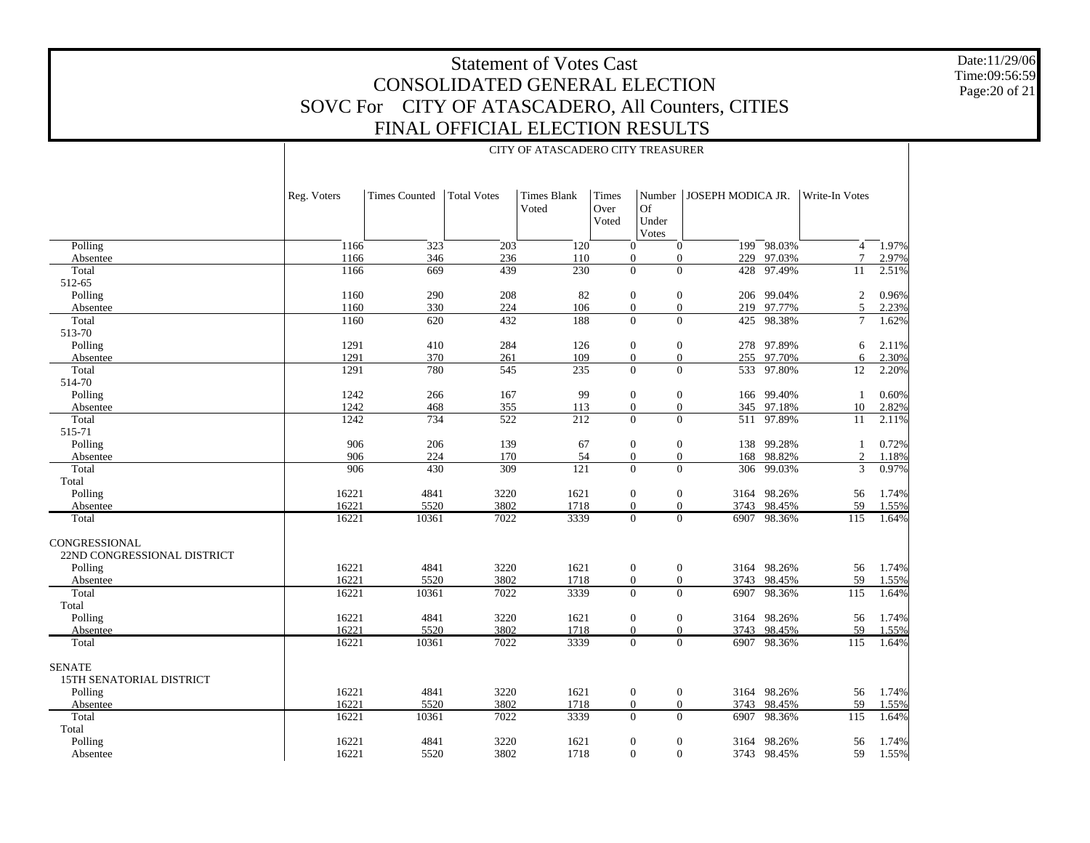Date:11/29/06Time:09:56:59Page:20 of 21

56 1.74%

59 1.55%

59 1.55%

98.36% 115 1.64%

56 1.74%

#### Polling Absentee Polling Absentee Polling Absentee Polling Absentee Polling Absentee Polling Absentee CONGRESSIONAL 22ND CONGRESSIONAL DISTRICT Polling Absentee Polling Absentee 15TH SENATORIAL DISTRICTReg. Voters | Times Counted | Total Votes | Times Blank VotedTimes Over VotedNumber JOSEPH MODICA JR.Of Under Votes Write-In Votes1166 323 203 120 0 0 199 98.03% $\frac{4}{7}$  1.97% 1166346 236 110 0 0 229 97.03% 7 2.97% 1166 669 439 230 0 0 428 97.49% 11 2.51% 1160 $\begin{array}{ccccccc} 0 & 290 & 208 & 82 & 0 & 0 & 206 & 99.04\% \end{array}$  2 0.96% 1160 330 224 106 0 0 219 97.77% 5 2.23% 1160 620 432 188 0 0 425 98.38% 7 1.62% 1291 410 284 126 0 0 278 97.89% 6 2.11% 1291 370 261 109 0 0 255 97.70% 6 2.30% 1291 780 545 235 0 0 533 97.80%97.80% 12 2.20% 1242 266 167 99 0 0 166 99.40% 1 0.60% 1242 468 355 113 0 0 345 97.18% 10 2.82% 1242 734 522 212 0 0 511 97.89% 11 2.11% 906 206 139 67 0 0 138 99.28% 1 0.72% 906 224 170 54 0 0 168 98.82% 2 1.18% 906 430 309 121 0 0 306 99.03% 3 0.97% 16221 4841 3220 1621 0 0 3164 98.26% 56 1.74% 16221 5520 3802 1718 0 0 3743 98.45% 59 1.55% 16221 10361 7022 3339 0 0 6907 98.36%98.36% 115 1.64% 16221 4841 3220 1621 0 0 3164 98.26% 56 1.74% 16221 5520 3802 1718 0 0 3743 98.45% 59 1.55% 16221 10361 7022 3339 0 0 6907 98.36%98.36% 115 1.64% 16221 4841 3220 1621 0 0 3164 98.26% 56 1.74% 16221 5520 3802 1718 0 0 3743 98.45%98.45% 59 1.55%<br>98.36% 115 1.64% 16221 10361 7022 3339 0 0 6907 98.36%98.36% 115 1.64%

SENATE

 Polling Absentee Total Total Polling Absentee

Total

 TotalTotal

 Total512-65

 Total513-70

 Total 514-70

> Total515-71

 TotalTotal

Total

16221 4841 3220 1621 0 0 3164 98.26%162215520 3802 1718 0 0 3743 98.45%

16221

16221

16221

#### CITY OF ATASCADERO CITY TREASURER

10361 7022 3339 0 0 6907 98.36%

4841 3220 1621 0 0 3164 98.26%

5520 3802 1718 0 0 3743 98.45%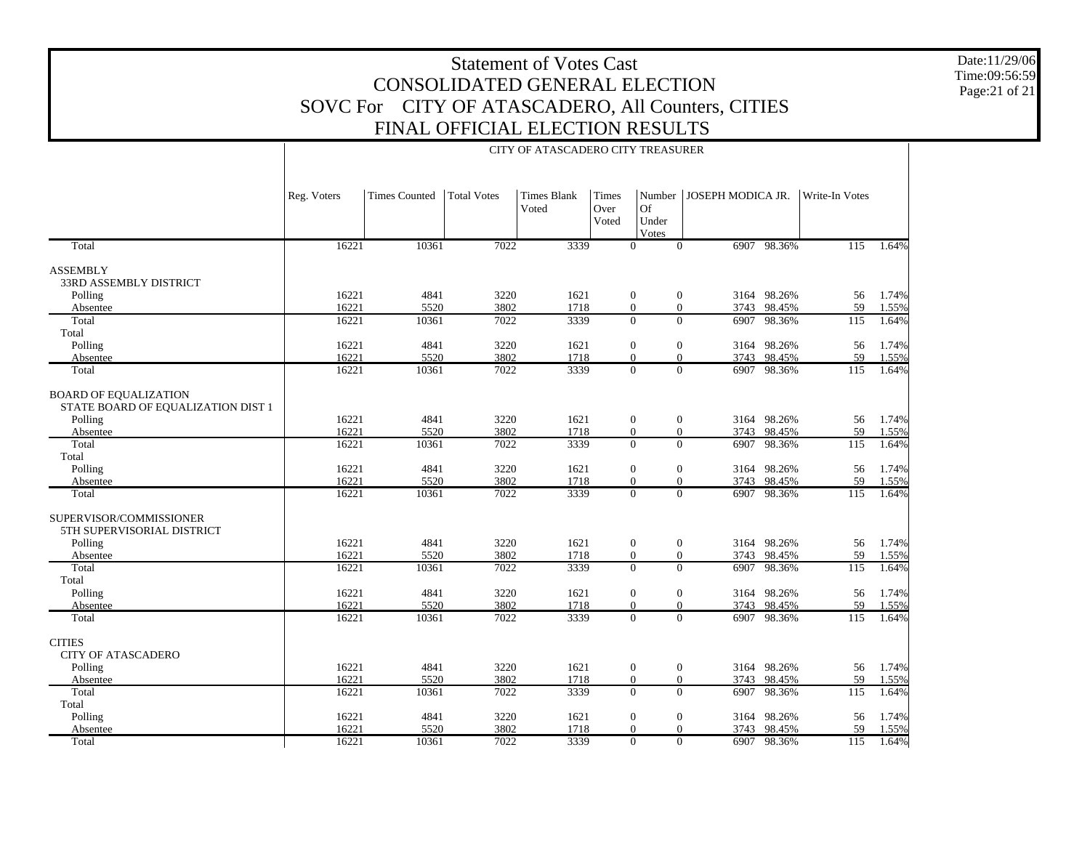Date:11/29/06 Time:09:56:59 Page:21 of 21

|                                                                    | Reg. Voters    | <b>Times Counted</b> | <b>Total Votes</b> | <b>Times Blank</b><br>Voted | Times<br>Over<br>Voted | Number<br><b>Of</b><br>Under<br>Votes                    | JOSEPH MODICA JR. |                            | Write-In Votes   |                |
|--------------------------------------------------------------------|----------------|----------------------|--------------------|-----------------------------|------------------------|----------------------------------------------------------|-------------------|----------------------------|------------------|----------------|
| Total                                                              | 16221          | 10361                | 7022               | 3339                        |                        | $\Omega$<br>$\Omega$                                     |                   | 6907 98.36%                | $\overline{115}$ | 1.64%          |
| <b>ASSEMBLY</b><br>33RD ASSEMBLY DISTRICT                          |                |                      |                    |                             |                        |                                                          |                   |                            |                  |                |
| Polling                                                            | 16221          | 4841                 | 3220               | 1621                        |                        | $\boldsymbol{0}$<br>$\mathbf{0}$                         |                   | 3164 98.26%                | 56               | 1.74%          |
| Absentee                                                           | 16221          | 5520                 | 3802               | 1718                        |                        | $\boldsymbol{0}$<br>$\overline{0}$                       |                   | 3743 98.45%                | 59               | 1.55%          |
| Total<br>Total                                                     | 16221          | 10361                | 7022               | 3339                        |                        | $\overline{0}$<br>$\overline{0}$                         | 6907              | 98.36%                     | 115              | 1.64%          |
| Polling                                                            | 16221          | 4841                 | 3220               | 1621                        |                        | $\theta$<br>$\boldsymbol{0}$                             |                   | 3164 98.26%                | 56               | 1.74%          |
| Absentee                                                           | 16221          | 5520                 | 3802               | 1718                        |                        | $\Omega$<br>$\Omega$                                     |                   | 3743 98.45%                | 59               | 1.55%          |
| Total                                                              | 16221          | 10361                | 7022               | 3339                        |                        | $\overline{0}$                                           | $\overline{0}$    | 6907 98.36%                | 115              | 1.64%          |
| <b>BOARD OF EQUALIZATION</b><br>STATE BOARD OF EQUALIZATION DIST 1 |                |                      |                    |                             |                        |                                                          |                   |                            |                  |                |
| Polling                                                            | 16221          | 4841                 | 3220               | 1621                        |                        | $\boldsymbol{0}$<br>$\mathbf{0}$                         |                   | 3164 98.26%                | 56               | 1.74%          |
| Absentee                                                           | 16221          | 5520                 | 3802               | 1718                        |                        | $\overline{0}$<br>$\overline{0}$                         | 3743              | 98.45%                     | 59               | 1.55%          |
| Total                                                              | 16221          | 10361                | 7022               | 3339                        |                        | $\Omega$<br>$\Omega$                                     |                   | 6907 98.36%                | 115              | 1.64%          |
| Total<br>Polling                                                   | 16221          | 4841                 | 3220               | 1621                        |                        | $\boldsymbol{0}$<br>$\mathbf{0}$                         |                   | 3164 98.26%                | 56               | 1.74%          |
| Absentee                                                           | 16221          | 5520                 | 3802               | 1718                        |                        | $\overline{0}$<br>$\overline{0}$                         | 3743              | 98.45%                     | 59               | 1.55%          |
| Total                                                              | 16221          | 10361                | 7022               | 3339                        |                        | $\Omega$<br>$\Omega$                                     |                   | 6907 98.36%                | 115              | 1.64%          |
| SUPERVISOR/COMMISSIONER<br>5TH SUPERVISORIAL DISTRICT              |                |                      |                    |                             |                        |                                                          |                   |                            |                  |                |
| Polling                                                            | 16221          | 4841                 | 3220               | 1621                        |                        | $\mathbf{0}$<br>$\boldsymbol{0}$                         |                   | 3164 98.26%                | 56               | 1.74%          |
| Absentee                                                           | 16221          | 5520                 | 3802               | 1718                        |                        | $\overline{0}$<br>$\overline{0}$<br>$\Omega$<br>$\Omega$ |                   | 3743 98.45%                | 59               | 1.55%          |
| Total<br>Total                                                     | 16221          | 10361                | 7022               | 3339                        |                        |                                                          |                   | 6907 98.36%                | 115              | 1.64%          |
| Polling                                                            | 16221          | 4841                 | 3220               | 1621                        |                        | $\boldsymbol{0}$<br>$\mathbf{0}$                         |                   | 3164 98.26%                | 56               | 1.74%          |
| Absentee                                                           | 16221          | 5520                 | 3802               | 1718                        |                        | $\mathbf{0}$<br>$\overline{0}$                           | 3743              | 98.45%                     | 59               | 1.55%          |
| Total                                                              | 16221          | 10361                | 7022               | 3339                        |                        | $\overline{0}$<br>$\Omega$                               |                   | 6907 98.36%                | 115              | 1.64%          |
| <b>CITIES</b><br><b>CITY OF ATASCADERO</b>                         |                |                      |                    |                             |                        |                                                          |                   |                            |                  |                |
| Polling                                                            | 16221          | 4841                 | 3220               | 1621                        |                        | $\boldsymbol{0}$<br>$\mathbf{0}$                         |                   | 3164 98.26%                | 56               | 1.74%          |
| Absentee                                                           | 16221          | 5520                 | 3802               | 1718                        |                        | $\overline{0}$<br>$\overline{0}$                         |                   | 3743 98.45%                | 59               | 1.55%          |
| Total                                                              | 16221          | 10361                | 7022               | 3339                        |                        | $\Omega$<br>$\Omega$                                     | 6907              | 98.36%                     | 115              | 1.64%          |
| Total                                                              |                |                      |                    |                             |                        |                                                          |                   |                            |                  |                |
| Polling<br>Absentee                                                | 16221<br>16221 | 4841<br>5520         | 3220<br>3802       | 1621<br>1718                |                        | $\mathbf{0}$<br>$\boldsymbol{0}$<br>$\Omega$<br>$\Omega$ |                   | 3164 98.26%<br>3743 98.45% | 56<br>59         | 1.74%<br>1.55% |
| Total                                                              | 16221          | 10361                | 7022               | 3339                        |                        | $\overline{0}$<br>$\overline{0}$                         |                   | 6907 98.36%                | $\overline{115}$ | 1.64%          |
|                                                                    |                |                      |                    |                             |                        |                                                          |                   |                            |                  |                |

#### CITY OF ATASCADERO CITY TREASURER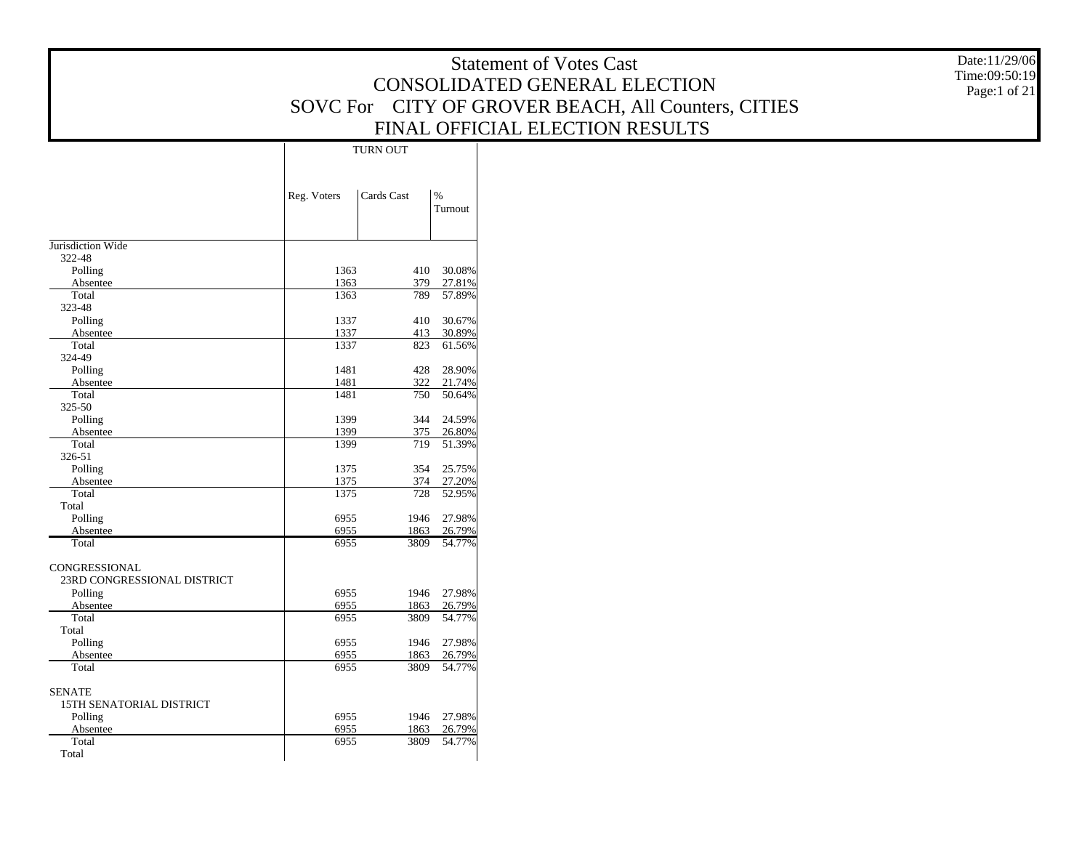|                                     |              |                 |                  | <b>Statement of Votes Cast</b>                      | Date:11/29/06 |
|-------------------------------------|--------------|-----------------|------------------|-----------------------------------------------------|---------------|
|                                     |              |                 |                  | CONSOLIDATED GENERAL ELECTION                       | Time:09:50:19 |
|                                     |              |                 |                  |                                                     | Page:1 of 21  |
|                                     |              |                 |                  | SOVC For CITY OF GROVER BEACH, All Counters, CITIES |               |
|                                     |              |                 |                  | FINAL OFFICIAL ELECTION RESULTS                     |               |
|                                     |              | <b>TURN OUT</b> |                  |                                                     |               |
|                                     |              |                 |                  |                                                     |               |
|                                     |              |                 |                  |                                                     |               |
|                                     | Reg. Voters  | Cards Cast      | $\%$             |                                                     |               |
|                                     |              |                 | Turnout          |                                                     |               |
|                                     |              |                 |                  |                                                     |               |
| Jurisdiction Wide<br>322-48         |              |                 |                  |                                                     |               |
| Polling                             | 1363         | 410             | 30.08%           |                                                     |               |
| Absentee                            | 1363         | 379             | 27.81%           |                                                     |               |
| Total                               | 1363         | 789             | 57.89%           |                                                     |               |
| 323-48                              |              |                 |                  |                                                     |               |
| Polling                             | 1337         | 410             | 30.67%           |                                                     |               |
| Absentee<br>Total                   | 1337<br>1337 | 413<br>823      | 30.89%<br>61.56% |                                                     |               |
| 324-49                              |              |                 |                  |                                                     |               |
| Polling                             | 1481         | 428             | 28.90%           |                                                     |               |
| Absentee                            | 1481         | 322             | 21.74%           |                                                     |               |
| Total                               | 1481         | 750             | 50.64%           |                                                     |               |
| 325-50                              |              |                 |                  |                                                     |               |
| Polling                             | 1399         | 344             | 24.59%           |                                                     |               |
| Absentee                            | 1399         | 375             | 26.80%           |                                                     |               |
| Total<br>326-51                     | 1399         | 719             | 51.39%           |                                                     |               |
| Polling                             | 1375         | 354             | 25.75%           |                                                     |               |
| Absentee                            | 1375         | 374             | 27.20%           |                                                     |               |
| Total                               | 1375         | 728             | 52.95%           |                                                     |               |
| Total                               |              |                 |                  |                                                     |               |
| Polling                             | 6955         | 1946            | 27.98%           |                                                     |               |
| Absentee                            | 6955         | 1863            | 26.79%           |                                                     |               |
| Total                               | 6955         | 3809            | 54.77%           |                                                     |               |
| CONGRESSIONAL                       |              |                 |                  |                                                     |               |
| 23RD CONGRESSIONAL DISTRICT         |              |                 |                  |                                                     |               |
| Polling                             | 6955         |                 | 1946 27.98%      |                                                     |               |
| Absentee                            | 6955         | 1863            | 26.79%           |                                                     |               |
| Total                               | 6955         | 3809            | 54.77%           |                                                     |               |
| Total                               |              |                 |                  |                                                     |               |
| Polling                             | 6955         | 1946            | 27.98%           |                                                     |               |
| Absentee<br>Total                   | 6955<br>6955 | 1863<br>3809    | 26.79%<br>54.77% |                                                     |               |
|                                     |              |                 |                  |                                                     |               |
| <b>SENATE</b>                       |              |                 |                  |                                                     |               |
| 15TH SENATORIAL DISTRICT<br>Polling | 6955         |                 | 1946 27.98%      |                                                     |               |
| Absentee                            | 6955         | 1863            | 26.79%           |                                                     |               |
| Total                               | 6955         | 3809            | 54.77%           |                                                     |               |
| Total                               |              |                 |                  |                                                     |               |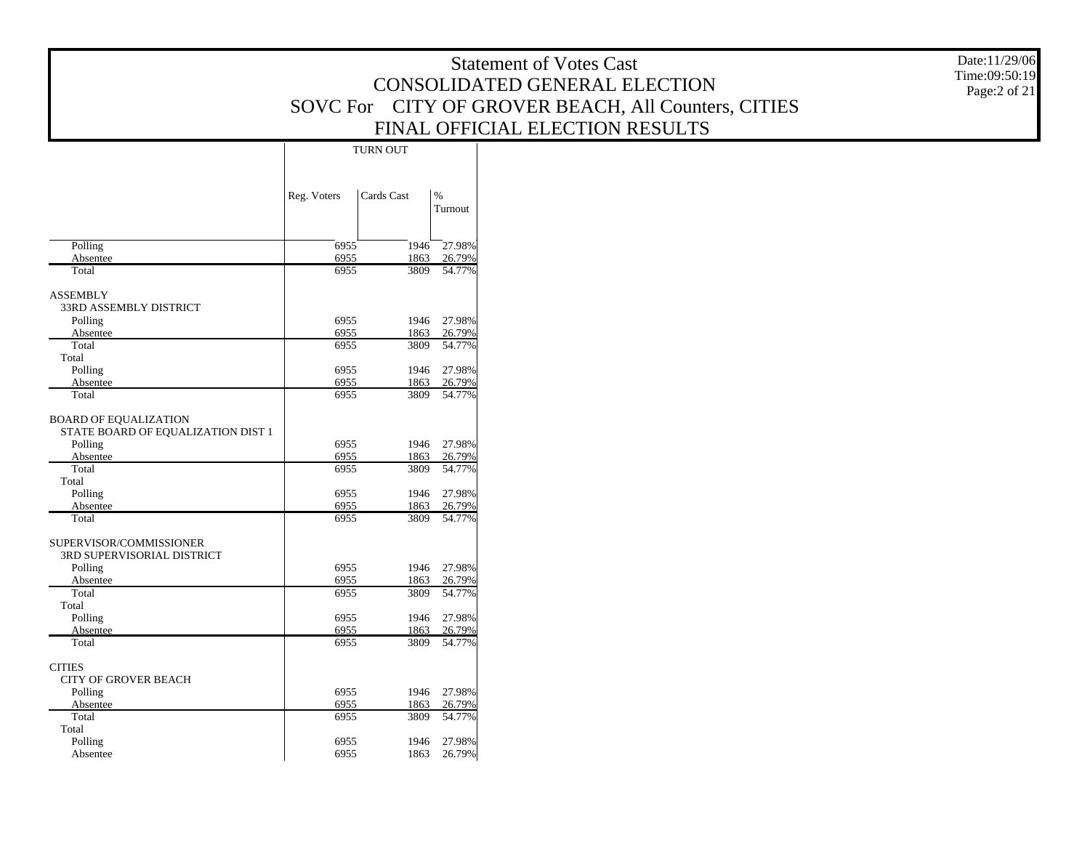Date:11/29/06 Time:09:50:19 Page:2 of 21

|                                                                    |              | TURN OUT     |                          |
|--------------------------------------------------------------------|--------------|--------------|--------------------------|
|                                                                    | Reg. Voters  | Cards Cast   | $\frac{9}{6}$<br>Turnout |
| Polling                                                            | 6955         | 1946         | 27.98%                   |
| Absentee                                                           | 6955         | 1863         | 26.79%                   |
| Total                                                              | 6955         | 3809         | 54.77%                   |
| <b>ASSEMBLY</b><br>33RD ASSEMBLY DISTRICT                          |              |              |                          |
| Polling                                                            | 6955         | 1946         | 27.98%                   |
| Absentee                                                           | 6955         | 1863         | 26.79%                   |
| Total<br>Total                                                     | 6955         | 3809         | 54.77%                   |
| Polling                                                            | 6955         | 1946         | 27.98%                   |
| Absentee                                                           | 6955         | 1863         | 26.79%                   |
| Total                                                              | 6955         | 3809         | 54.77%                   |
| <b>BOARD OF EQUALIZATION</b><br>STATE BOARD OF EQUALIZATION DIST 1 |              |              |                          |
| Polling                                                            | 6955         | 1946         | 27.98%                   |
| Absentee                                                           | 6955         | 1863         | 26.79%                   |
| Total                                                              | 6955         | 3809         | 54.77%                   |
| Total                                                              |              |              |                          |
| Polling                                                            | 6955         | 1946         | 27.98%                   |
| Absentee<br>Total                                                  | 6955<br>6955 | 1863<br>3809 | 26.79%<br>54.77%         |
| SUPERVISOR/COMMISSIONER<br>3RD SUPERVISORIAL DISTRICT              |              |              |                          |
| Polling                                                            | 6955         | 1946         | 27.98%                   |
| Absentee                                                           | 6955         | 1863         | 26.79%                   |
| Total<br>Total                                                     | 6955         | 3809         | 54.77%                   |
| Polling                                                            | 6955         | 1946         | 27.98%                   |
| Absentee                                                           | 6955         | 1863         | 26.79%                   |
| Total                                                              | 6955         | 3809         | 54.77%                   |
| <b>CITIES</b><br><b>CITY OF GROVER BEACH</b>                       |              |              |                          |
| Polling                                                            | 6955         | 1946         | 27.98%                   |
| Absentee<br>Total                                                  | 6955<br>6955 | 1863<br>3809 | 26.79%<br>54.77%         |
| Total                                                              |              |              |                          |
| Polling                                                            | 6955         | 1946         | 27.98%                   |
| Absentee                                                           | 6955         | 1863         | 26.79%                   |
|                                                                    |              |              |                          |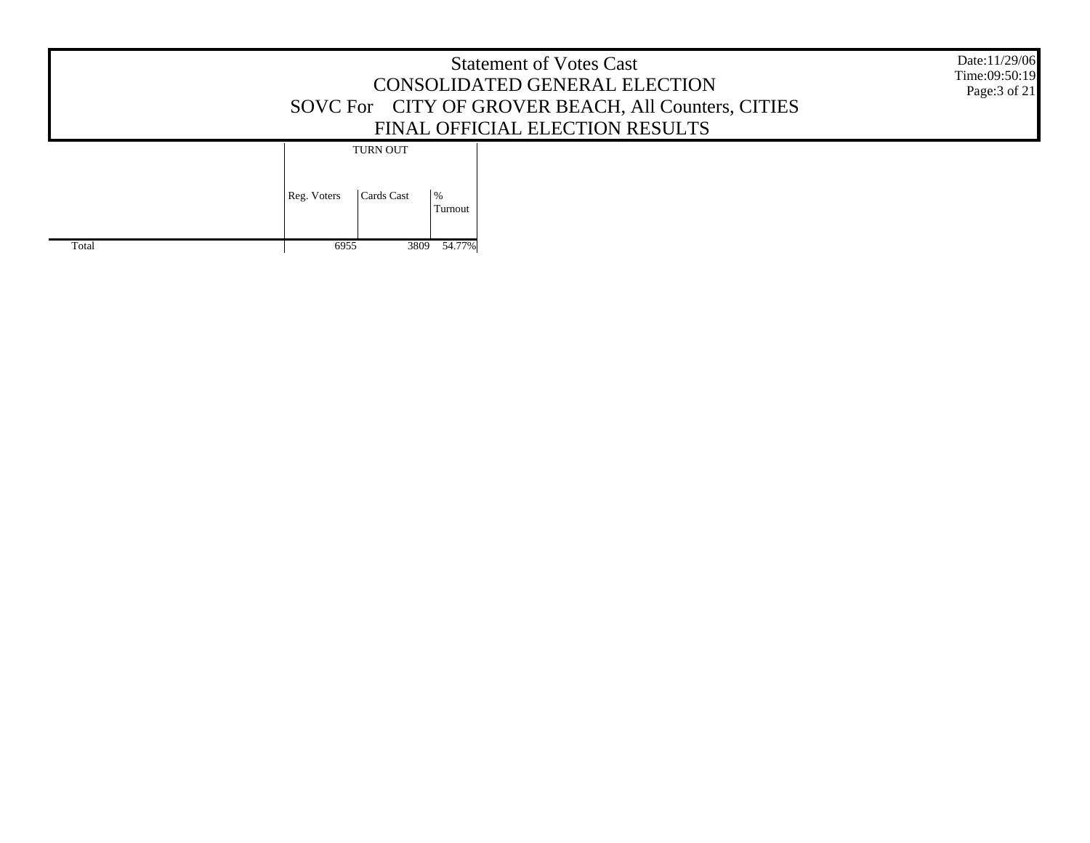|       | Date:11/29/06<br>Time:09:50:19<br>Page: 3 of 21                 |  |
|-------|-----------------------------------------------------------------|--|
|       | <b>TURN OUT</b><br>Cards Cast<br>$\%$<br>Reg. Voters<br>Turnout |  |
| Total | 3809 54.77%<br>6955                                             |  |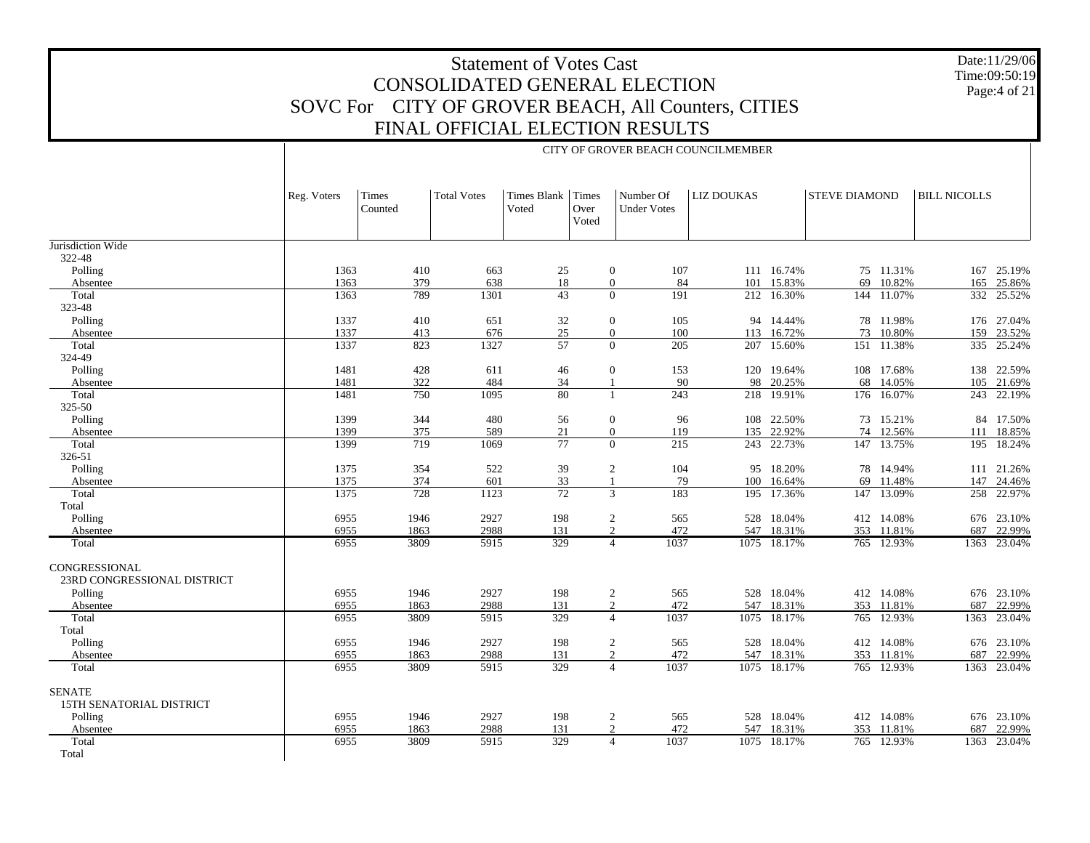Date:11/29/06 Time:09:50:19 Page:4 of 21

|                                                     |             | CITY OF GROVER BEACH COUNCILMEMBER |                    |                            |               |                                 |      |                   |             |                      |            |                     |             |  |
|-----------------------------------------------------|-------------|------------------------------------|--------------------|----------------------------|---------------|---------------------------------|------|-------------------|-------------|----------------------|------------|---------------------|-------------|--|
|                                                     | Reg. Voters | Times<br>Counted                   | <b>Total Votes</b> | Times Blank Times<br>Voted | Over<br>Voted | Number Of<br><b>Under Votes</b> |      | <b>LIZ DOUKAS</b> |             | <b>STEVE DIAMOND</b> |            | <b>BILL NICOLLS</b> |             |  |
| Jurisdiction Wide                                   |             |                                    |                    |                            |               |                                 |      |                   |             |                      |            |                     |             |  |
| 322-48                                              |             |                                    |                    |                            |               |                                 |      |                   |             |                      |            |                     |             |  |
| Polling                                             | 1363        | 410                                | 663                | 25                         |               | $\boldsymbol{0}$                | 107  |                   | 111 16.74%  |                      | 75 11.31%  |                     | 167 25.19%  |  |
| Absentee                                            | 1363        | 379                                | 638                | 18                         |               | $\boldsymbol{0}$                | 84   |                   | 101 15.83%  | 69                   | 10.82%     |                     | 165 25.86%  |  |
| Total                                               | 1363        | 789                                | 1301               | 43                         |               | $\Omega$                        | 191  |                   | 212 16.30%  |                      | 144 11.07% |                     | 332 25.52%  |  |
| 323-48                                              |             |                                    |                    |                            |               |                                 |      |                   |             |                      |            |                     |             |  |
| Polling                                             | 1337        | 410                                | 651                | $32\,$                     |               | $\boldsymbol{0}$                | 105  |                   | 94 14.44%   |                      | 78 11.98%  |                     | 176 27.04%  |  |
| Absentee                                            | 1337        | 413                                | 676                | 25                         |               | $\boldsymbol{0}$                | 100  |                   | 113 16.72%  |                      | 73 10.80%  |                     | 159 23.52%  |  |
| Total                                               | 1337        | 823                                | 1327               | 57                         |               | $\theta$                        | 205  |                   | 207 15.60%  |                      | 151 11.38% |                     | 335 25.24%  |  |
| 324-49                                              |             |                                    |                    |                            |               |                                 |      |                   |             |                      |            |                     |             |  |
| Polling                                             | 1481        | 428                                | 611                | 46                         |               | $\boldsymbol{0}$                | 153  |                   | 120 19.64%  |                      | 108 17.68% |                     | 138 22.59%  |  |
| Absentee                                            | 1481        | 322                                | 484                | 34                         |               | $\mathbf{1}$                    | 90   |                   | 98 20.25%   |                      | 68 14.05%  |                     | 105 21.69%  |  |
| Total                                               | 1481        | 750                                | 1095               | 80                         |               | $\mathbf{1}$                    | 243  |                   | 218 19.91%  |                      | 176 16.07% |                     | 243 22.19%  |  |
| 325-50                                              |             |                                    |                    |                            |               |                                 |      |                   |             |                      |            |                     |             |  |
| Polling                                             | 1399        | 344                                | 480                | 56                         |               | $\boldsymbol{0}$                | 96   |                   | 108 22.50%  |                      | 73 15.21%  |                     | 84 17.50%   |  |
| Absentee                                            | 1399        | 375                                | 589                | 21                         |               | $\boldsymbol{0}$                | 119  |                   | 135 22.92%  |                      | 74 12.56%  | 111                 | 18.85%      |  |
| Total                                               | 1399        | 719                                | 1069               | 77                         |               | $\theta$                        | 215  |                   | 243 22.73%  |                      | 147 13.75% |                     | 195 18.24%  |  |
| 326-51                                              |             |                                    |                    |                            |               |                                 |      |                   |             |                      |            |                     |             |  |
| Polling                                             | 1375        | 354                                | 522                | 39                         |               | $\overline{2}$                  | 104  |                   | 95 18.20%   |                      | 78 14.94%  |                     | 111 21.26%  |  |
| Absentee                                            | 1375        | 374                                | 601                | 33                         |               | $\mathbf{1}$                    | 79   | 100               | 16.64%      | 69                   | 11.48%     |                     | 147 24.46%  |  |
| Total                                               | 1375        | 728                                | 1123               | 72                         |               | 3                               | 183  |                   | 195 17.36%  |                      | 147 13.09% |                     | 258 22.97%  |  |
| Total                                               |             |                                    |                    |                            |               |                                 |      |                   |             |                      |            |                     |             |  |
| Polling                                             | 6955        | 1946                               | 2927               | 198                        |               | $\overline{c}$                  | 565  |                   | 528 18.04%  |                      | 412 14.08% |                     | 676 23.10%  |  |
| Absentee                                            | 6955        | 1863                               | 2988               | 131                        |               | $\overline{2}$                  | 472  |                   | 547 18.31%  |                      | 353 11.81% |                     | 687 22.99%  |  |
| Total                                               | 6955        | 3809                               | 5915               | 329                        |               | $\overline{4}$                  | 1037 |                   | 1075 18.17% |                      | 765 12.93% |                     | 1363 23.04% |  |
| <b>CONGRESSIONAL</b><br>23RD CONGRESSIONAL DISTRICT |             |                                    |                    |                            |               |                                 |      |                   |             |                      |            |                     |             |  |
| Polling                                             | 6955        | 1946                               | 2927               | 198                        |               | $\overline{2}$                  | 565  |                   | 528 18.04%  |                      | 412 14.08% |                     | 676 23.10%  |  |
| Absentee                                            | 6955        | 1863                               | 2988               | 131                        |               | $\overline{2}$                  | 472  |                   | 547 18.31%  |                      | 353 11.81% |                     | 687 22.99%  |  |
| Total                                               | 6955        | 3809                               | 5915               | 329                        |               | $\overline{4}$                  | 1037 |                   | 1075 18.17% |                      | 765 12.93% | 1363                | 23.04%      |  |
| Total                                               |             |                                    |                    |                            |               |                                 |      |                   |             |                      |            |                     |             |  |
| Polling                                             | 6955        | 1946                               | 2927               | 198                        |               | $\overline{2}$                  | 565  |                   | 528 18.04%  |                      | 412 14.08% |                     | 676 23.10%  |  |
| Absentee                                            | 6955        | 1863                               | 2988               | 131                        |               | $\mathfrak{D}$                  | 472  | 547               | 18.31%      | 353                  | 11.81%     | 687                 | 22.99%      |  |
| Total                                               | 6955        | 3809                               | 5915               | 329                        |               | $\overline{4}$                  | 1037 |                   | 1075 18.17% |                      | 765 12.93% |                     | 1363 23.04% |  |
| <b>SENATE</b><br><b>15TH SENATORIAL DISTRICT</b>    |             |                                    |                    |                            |               |                                 |      |                   |             |                      |            |                     |             |  |
| Polling                                             | 6955        | 1946                               | 2927               | 198                        |               | $\overline{2}$                  | 565  |                   | 528 18.04%  |                      | 412 14.08% |                     | 676 23.10%  |  |
| Absentee                                            | 6955        | 1863                               | 2988               | 131                        |               | $\overline{2}$                  | 472  |                   | 547 18.31%  |                      | 353 11.81% |                     | 687 22.99%  |  |
| Total<br>Total                                      | 6955        | 3809                               | 5915               | 329                        |               | $\overline{4}$                  | 1037 |                   | 1075 18.17% |                      | 765 12.93% |                     | 1363 23.04% |  |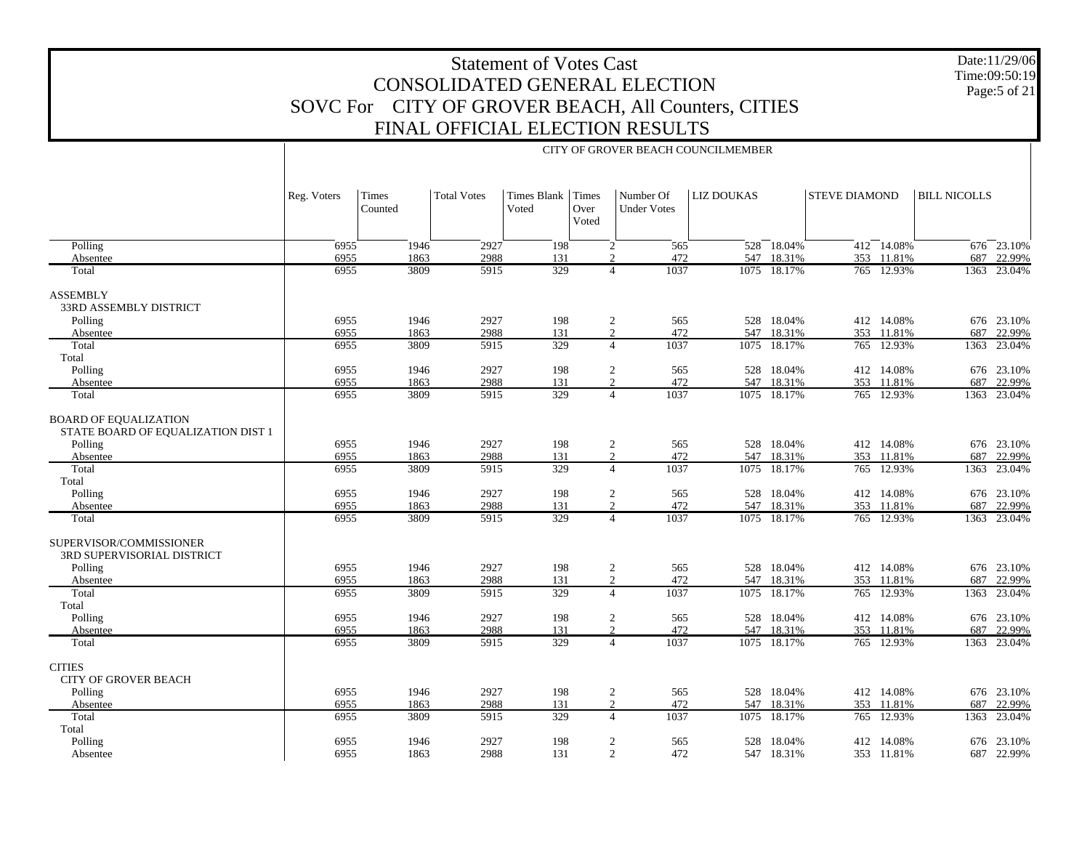Date:11/29/06 Time:09:50:19 Page:5 of 21

|                                                                    |              |                  |                    |                            |               |                                                 | CITY OF GROVER BEACH COUNCILMEMBER |                       |                      |                          |                     |                       |
|--------------------------------------------------------------------|--------------|------------------|--------------------|----------------------------|---------------|-------------------------------------------------|------------------------------------|-----------------------|----------------------|--------------------------|---------------------|-----------------------|
|                                                                    | Reg. Voters  | Times<br>Counted | <b>Total Votes</b> | Times Blank Times<br>Voted | Over<br>Voted | Number Of<br><b>Under Votes</b>                 | <b>LIZ DOUKAS</b>                  |                       | <b>STEVE DIAMOND</b> |                          | <b>BILL NICOLLS</b> |                       |
| Polling                                                            | 6955         | 1946             | 2927               | 198                        |               | 565<br>$\overline{2}$                           |                                    | $528 - 18.04%$        |                      | $412 - 14.08\%$          |                     | $676 - 23.10%$        |
| Absentee<br>Total                                                  | 6955<br>6955 | 1863<br>3809     | 2988<br>5915       | 131<br>329                 |               | $\mathcal{D}$<br>472<br>1037<br>$\overline{4}$  | 547                                | 18.31%<br>1075 18.17% |                      | 353 11.81%<br>765 12.93% | 687                 | 22.99%<br>1363 23.04% |
|                                                                    |              |                  |                    |                            |               |                                                 |                                    |                       |                      |                          |                     |                       |
| <b>ASSEMBLY</b><br>33RD ASSEMBLY DISTRICT                          | 6955         |                  | 2927               |                            |               |                                                 |                                    | 528 18.04%            |                      | 412 14.08%               |                     | 676 23.10%            |
| Polling<br>Absentee                                                | 6955         | 1946<br>1863     | 2988               | 198<br>131                 |               | $\overline{c}$<br>565<br>$\overline{2}$<br>472  |                                    | 547 18.31%            |                      | 353 11.81%               | 687                 | 22.99%                |
| Total                                                              | 6955         | 3809             | 5915               | 329                        |               | $\overline{4}$<br>1037                          |                                    | 1075 18.17%           |                      | 765 12.93%               |                     | 1363 23.04%           |
| Total                                                              |              |                  |                    |                            |               |                                                 |                                    |                       |                      |                          |                     |                       |
| Polling                                                            | 6955         | 1946             | 2927               | 198                        |               | $\overline{c}$<br>565                           |                                    | 528 18.04%            |                      | 412 14.08%               |                     | 676 23.10%            |
| Absentee                                                           | 6955         | 1863             | 2988               | 131                        |               | 2<br>472                                        |                                    | 547 18.31%            |                      | 353 11.81%               | 687                 | 22.99%                |
| Total                                                              | 6955         | 3809             | 5915               | 329                        |               | 1037<br>$\overline{4}$                          |                                    | 1075 18.17%           |                      | 765 12.93%               | 1363                | 23.04%                |
| <b>BOARD OF EQUALIZATION</b><br>STATE BOARD OF EQUALIZATION DIST 1 |              |                  |                    |                            |               |                                                 |                                    |                       |                      |                          |                     |                       |
| Polling                                                            | 6955         | 1946             | 2927               | 198                        |               | $\overline{c}$<br>565                           |                                    | 528 18.04%            |                      | 412 14.08%               |                     | 676 23.10%            |
| Absentee                                                           | 6955         | 1863             | 2988               | 131                        |               | $\overline{2}$<br>472                           |                                    | 547 18.31%            |                      | 353 11.81%               | 687                 | 22.99%                |
| Total                                                              | 6955         | 3809             | 5915               | 329                        |               | 1037<br>$\overline{4}$                          |                                    | 1075 18.17%           |                      | 765 12.93%               | 1363                | 23.04%                |
| Total<br>Polling                                                   | 6955         | 1946             | 2927               | 198                        |               | $\overline{c}$<br>565                           |                                    | 528 18.04%            |                      | 412 14.08%               |                     | 676 23.10%            |
| Absentee                                                           | 6955         | 1863             | 2988               | 131                        |               | $\overline{2}$<br>472                           |                                    | 547 18.31%            |                      | 353 11.81%               |                     | 687 22.99%            |
| Total                                                              | 6955         | 3809             | 5915               | 329                        |               | 1037<br>$\overline{4}$                          |                                    | 1075 18.17%           |                      | 765 12.93%               |                     | 1363 23.04%           |
| SUPERVISOR/COMMISSIONER<br>3RD SUPERVISORIAL DISTRICT              |              |                  |                    |                            |               |                                                 |                                    |                       |                      |                          |                     |                       |
| Polling                                                            | 6955         | 1946             | 2927               | 198                        |               | $\overline{c}$<br>565                           |                                    | 528 18.04%            |                      | 412 14.08%               |                     | 676 23.10%            |
| Absentee                                                           | 6955         | 1863             | 2988               | 131                        |               | $\overline{2}$<br>472                           |                                    | 547 18.31%            |                      | 353 11.81%               |                     | 687 22.99%            |
| Total                                                              | 6955         | 3809             | 5915               | 329                        |               | 1037<br>$\overline{4}$                          | 1075                               | 18.17%                |                      | 765 12.93%               | 1363                | 23.04%                |
| Total<br>Polling                                                   | 6955         | 1946             | 2927               | 198                        |               | $\overline{2}$<br>565                           |                                    | 528 18.04%            |                      | 412 14.08%               |                     | 676 23.10%            |
| Absentee                                                           | 6955         | 1863             | 2988               | 131                        |               | 2<br>472                                        | 547                                | 18.31%                |                      | 353 11.81%               |                     | 687 22.99%            |
| Total                                                              | 6955         | 3809             | 5915               | 329                        |               | 1037<br>$\overline{4}$                          |                                    | 1075 18.17%           |                      | 765 12.93%               |                     | 1363 23.04%           |
| <b>CITIES</b><br><b>CITY OF GROVER BEACH</b>                       |              |                  |                    |                            |               |                                                 |                                    |                       |                      |                          |                     |                       |
| Polling                                                            | 6955         | 1946             | 2927               | 198                        |               | $\sqrt{2}$<br>565                               |                                    | 528 18.04%            |                      | 412 14.08%               |                     | 676 23.10%            |
| Absentee<br>Total                                                  | 6955<br>6955 | 1863<br>3809     | 2988<br>5915       | 131<br>329                 |               | $\overline{2}$<br>472<br>1037<br>$\overline{4}$ | 547<br>1075                        | 18.31%<br>18.17%      |                      | 353 11.81%<br>765 12.93% | 687                 | 22.99%<br>23.04%      |
| Total                                                              |              |                  |                    |                            |               |                                                 |                                    |                       |                      |                          | 1363                |                       |
| Polling                                                            | 6955         | 1946             | 2927               | 198                        |               | 2<br>565                                        | 528                                | 18.04%                |                      | 412 14.08%               |                     | 676 23.10%            |
| Absentee                                                           | 6955         | 1863             | 2988               | 131                        |               | $\overline{2}$<br>472                           |                                    | 547 18.31%            |                      | 353 11.81%               |                     | 687 22.99%            |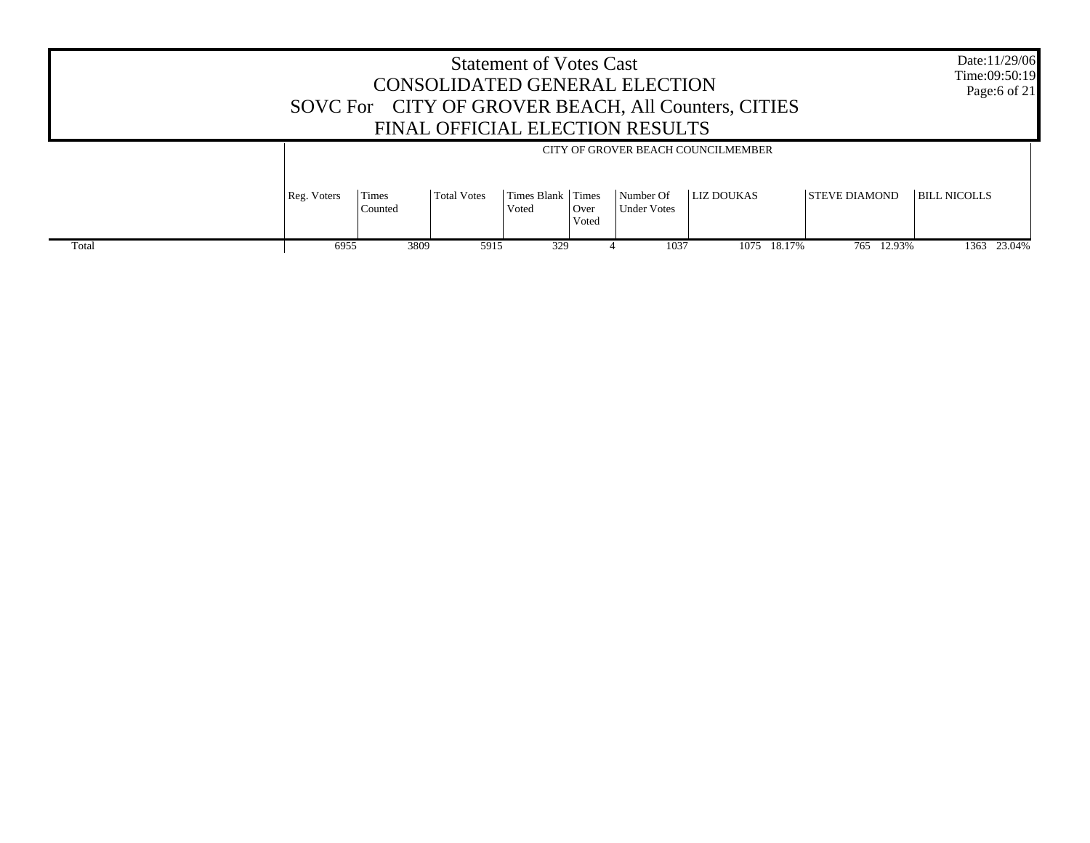|       |             |                  |             | <b>Statement of Votes Cast</b> |               | CONSOLIDATED GENERAL ELECTION<br>FINAL OFFICIAL ELECTION RESULTS | SOVC For CITY OF GROVER BEACH, All Counters, CITIES     |                      | Date:11/29/06<br>Time:09:50:19<br>Page:6 of 21 |
|-------|-------------|------------------|-------------|--------------------------------|---------------|------------------------------------------------------------------|---------------------------------------------------------|----------------------|------------------------------------------------|
|       | Reg. Voters | Times<br>Counted | Total Votes | Times Blank Times<br>Voted     | Over<br>Voted | Number Of<br><b>Under Votes</b>                                  | CITY OF GROVER BEACH COUNCILMEMBER<br><b>LIZ DOUKAS</b> | <b>STEVE DIAMOND</b> | BILL NICOLLS                                   |
| Total | 6955        | 3809             | 5915        | 329                            |               | 1037                                                             | 18.17%<br>1075                                          | 765 12.93%           | 1363 23.04%                                    |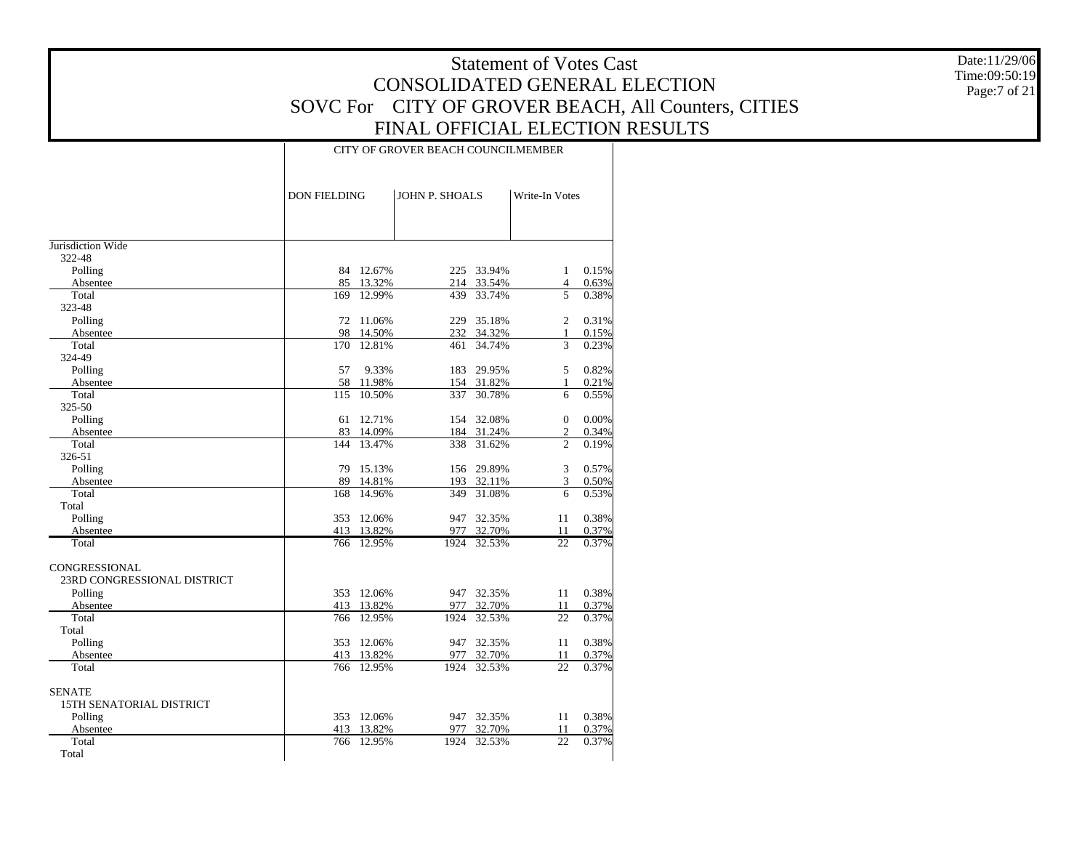Date:11/29/06 Time:09:50:19 Page:7 of 21

#### CITY OF GROVER BEACH COUNCILMEMBER

|                                 | <b>DON FIELDING</b> |            | <b>JOHN P. SHOALS</b> |            | Write-In Votes |       |
|---------------------------------|---------------------|------------|-----------------------|------------|----------------|-------|
|                                 |                     |            |                       |            |                |       |
| Jurisdiction Wide               |                     |            |                       |            |                |       |
| 322-48                          |                     |            |                       |            |                |       |
| Polling                         |                     | 84 12.67%  |                       | 225 33.94% | $\mathbf{1}$   | 0.15% |
| Absentee                        |                     | 85 13.32%  | 214                   | 33.54%     | 4              | 0.63% |
| Total                           | 169                 | 12.99%     | 439                   | 33.74%     | 5              | 0.38% |
| 323-48                          |                     |            |                       |            |                |       |
| Polling                         | 72                  | 11.06%     | 229                   | 35.18%     | $\overline{2}$ | 0.31% |
| Absentee                        | 98                  | 14.50%     | 232                   | 34.32%     | $\mathbf{1}$   | 0.15% |
| Total                           | 170                 | 12.81%     | 461                   | 34.74%     | 3              | 0.23% |
| 324-49                          |                     |            |                       |            |                |       |
| Polling                         | 57                  | 9.33%      | 183                   | 29.95%     | 5              | 0.82% |
| Absentee                        | 58                  | 11.98%     | 154                   | 31.82%     | 1              | 0.21% |
| Total                           | 115                 | 10.50%     | 337                   | 30.78%     | 6              | 0.55% |
| 325-50                          |                     |            |                       |            |                |       |
| Polling                         | 61                  | 12.71%     | 154                   | 32.08%     | $\Omega$       | 0.00% |
| Absentee                        |                     | 83 14.09%  |                       | 184 31.24% | $\mathfrak{2}$ | 0.34% |
| Total                           | 144                 | 13.47%     | 338                   | 31.62%     | $\overline{c}$ | 0.19% |
| 326-51                          |                     |            |                       |            |                |       |
| Polling                         | 79                  | 15.13%     |                       | 156 29.89% | 3              | 0.57% |
| Absentee                        | 89                  | 14.81%     | 193                   | 32.11%     | 3              | 0.50% |
| Total                           | 168                 | 14.96%     | 349                   | 31.08%     | 6              | 0.53% |
| Total                           |                     |            |                       |            |                |       |
| Polling                         | 353                 | 12.06%     | 947                   | 32.35%     | 11             | 0.38% |
| Absentee                        | 413                 | 13.82%     | 977                   | 32.70%     | 11             | 0.37% |
| Total                           | 766                 | 12.95%     | 1924                  | 32.53%     | 22             | 0.37% |
| CONGRESSIONAL                   |                     |            |                       |            |                |       |
| 23RD CONGRESSIONAL DISTRICT     |                     |            |                       |            |                |       |
| Polling                         |                     | 353 12.06% | 947                   | 32.35%     | 11             | 0.38% |
| Absentee                        |                     | 413 13.82% | 977                   | 32.70%     | 11             | 0.37% |
| Total                           | 766                 | 12.95%     | 1924                  | 32.53%     | 22             | 0.37% |
| Total                           |                     |            |                       |            |                |       |
| Polling                         | 353                 | 12.06%     | 947                   | 32.35%     | 11             | 0.38% |
| Absentee                        | 413                 | 13.82%     | 977                   | 32.70%     | 11             | 0.37% |
| Total                           | 766                 | 12.95%     | 1924                  | 32.53%     | 22             | 0.37% |
| <b>SENATE</b>                   |                     |            |                       |            |                |       |
| <b>15TH SENATORIAL DISTRICT</b> |                     |            |                       |            |                |       |
| Polling                         |                     | 353 12.06% | 947                   | 32.35%     | 11             | 0.38% |
| Absentee                        | 413                 | 13.82%     | 977                   | 32.70%     | 11             | 0.37% |
| Total                           | 766                 | 12.95%     | 1924                  | 32.53%     | 22             | 0.37% |
| Total                           |                     |            |                       |            |                |       |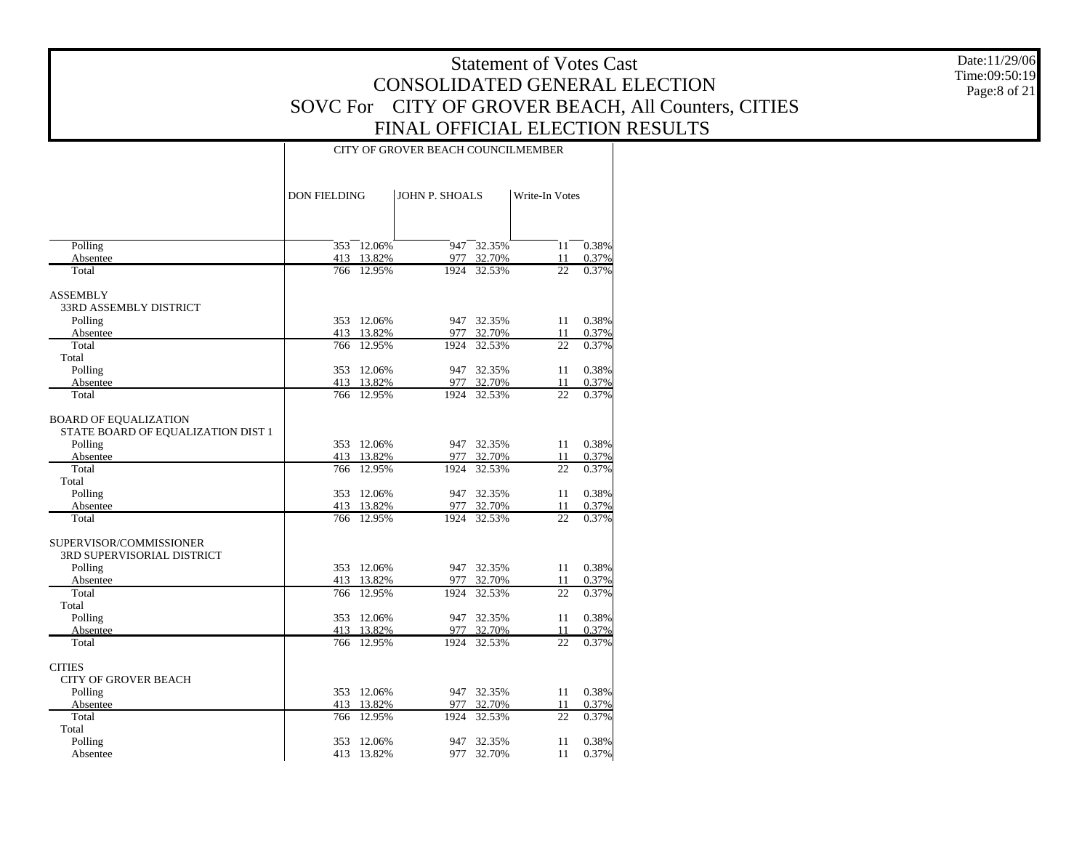Date:11/29/06 Time:09:50:19 Page:8 of 21

#### CITY OF GROVER BEACH COUNCILMEMBER

|                                    | <b>DON FIELDING</b> |            | <b>JOHN P. SHOALS</b> |            | Write-In Votes  |       |
|------------------------------------|---------------------|------------|-----------------------|------------|-----------------|-------|
|                                    |                     |            |                       |            |                 |       |
| Polling                            | 353                 | 12.06%     | 947                   | 32.35%     | 11              | 0.38% |
| Absentee                           |                     | 413 13.82% | 977                   | 32.70%     | 11              | 0.37% |
| Total                              |                     | 766 12.95% | 1924                  | 32.53%     | 22              | 0.37% |
| <b>ASSEMBLY</b>                    |                     |            |                       |            |                 |       |
| 33RD ASSEMBLY DISTRICT             |                     |            |                       |            |                 |       |
| Polling                            |                     | 353 12.06% |                       | 947 32.35% | 11              | 0.38% |
| Absentee                           |                     | 413 13.82% | 977                   | 32.70%     | 11              | 0.37% |
| Total                              |                     | 766 12.95% | 1924                  | 32.53%     | 22              | 0.37% |
| Total                              |                     |            |                       |            |                 |       |
| Polling                            | 353                 | 12.06%     | 947                   | 32.35%     | 11              | 0.38% |
| Absentee                           |                     | 413 13.82% | 977                   | 32.70%     | 11              | 0.37% |
| Total                              |                     | 766 12.95% | 1924                  | 32.53%     | 22              | 0.37% |
| <b>BOARD OF EQUALIZATION</b>       |                     |            |                       |            |                 |       |
| STATE BOARD OF EQUALIZATION DIST 1 |                     |            |                       |            |                 |       |
| Polling                            |                     | 353 12.06% |                       | 947 32.35% | 11              | 0.38% |
| Absentee                           |                     | 413 13.82% |                       | 977 32.70% | 11              | 0.37% |
| Total                              | 766                 | 12.95%     | 1924                  | 32.53%     | 22              | 0.37% |
| Total                              |                     |            |                       |            |                 |       |
| Polling                            | 353                 | 12.06%     | 947                   | 32.35%     | 11              | 0.38% |
| Absentee                           |                     | 413 13.82% | 977                   | 32.70%     | 11              | 0.37% |
| Total                              |                     | 766 12.95% | 1924                  | 32.53%     | $\overline{22}$ | 0.37% |
| SUPERVISOR/COMMISSIONER            |                     |            |                       |            |                 |       |
| 3RD SUPERVISORIAL DISTRICT         |                     |            |                       |            |                 |       |
| Polling                            |                     | 353 12.06% |                       | 947 32.35% | 11              | 0.38% |
| Absentee                           |                     | 413 13.82% |                       | 977 32.70% | 11              | 0.37% |
| Total                              | 766                 | 12.95%     | 1924                  | 32.53%     | 22              | 0.37% |
| Total                              |                     |            |                       |            |                 |       |
| Polling                            | 353                 | 12.06%     | 947                   | 32.35%     | 11              | 0.38% |
| Absentee                           |                     | 413 13.82% | 977                   | 32.70%     | 11              | 0.37% |
| Total                              |                     | 766 12.95% | 1924                  | 32.53%     | $\overline{22}$ | 0.37% |
| <b>CITIES</b>                      |                     |            |                       |            |                 |       |
| <b>CITY OF GROVER BEACH</b>        |                     |            |                       |            |                 |       |
| Polling                            |                     | 353 12.06% |                       | 947 32.35% | 11              | 0.38% |
| Absentee                           |                     | 413 13.82% | 977                   | 32.70%     | 11              | 0.37% |
| Total                              | 766                 | 12.95%     | 1924                  | 32.53%     | 22              | 0.37% |
| Total                              |                     |            |                       |            |                 |       |
| Polling                            | 353                 | 12.06%     | 947                   | 32.35%     | 11              | 0.38% |
| Absentee                           |                     | 413 13.82% |                       | 977 32.70% | 11              | 0.37% |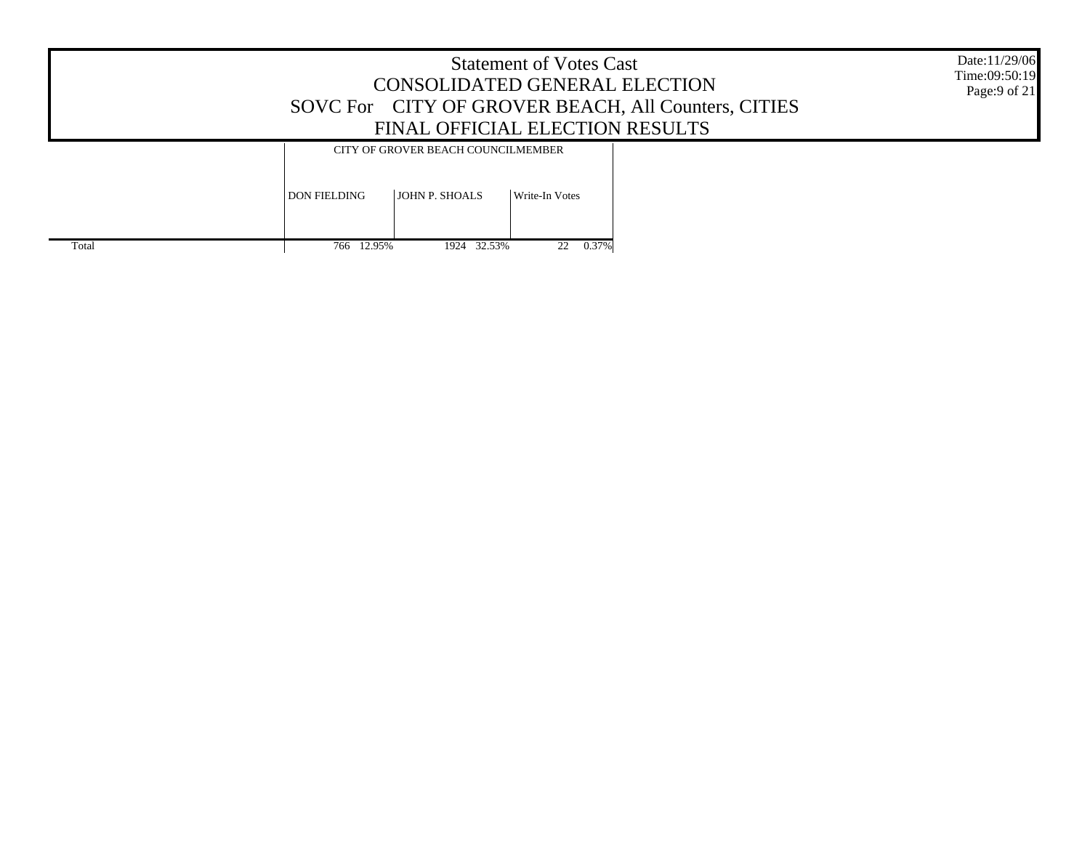|       | Date:11/29/06<br>Time:09:50:19<br>Page:9 of 21 |                                    |                |  |  |
|-------|------------------------------------------------|------------------------------------|----------------|--|--|
|       |                                                | CITY OF GROVER BEACH COUNCILMEMBER |                |  |  |
|       | <b>DON FIELDING</b>                            | <b>JOHN P. SHOALS</b>              | Write-In Votes |  |  |
| Total | 766 12.95%                                     | 1924 32.53%                        | 0.37%<br>22    |  |  |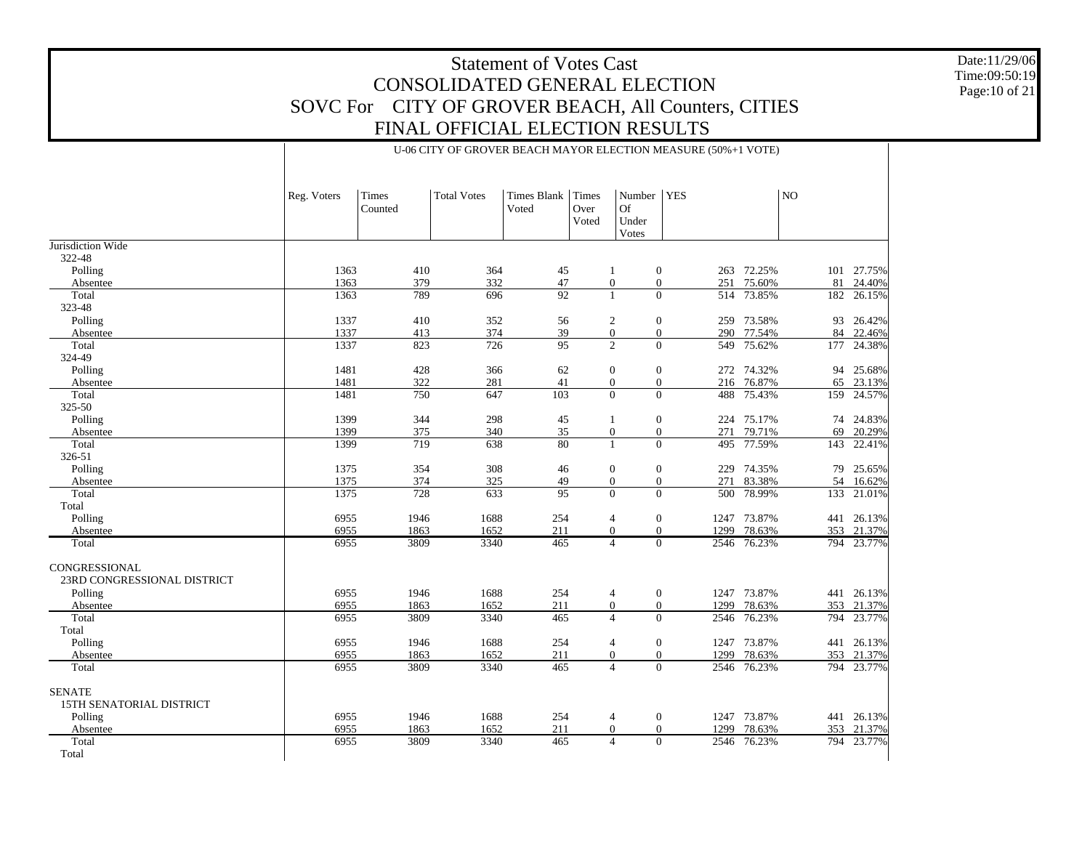Date:11/29/06 Time:09:50:19 Page:10 of 21

| Reg. Voters | Times<br>Counted | <b>Total Votes</b> | Times Blank Times<br>Voted | Over<br>Voted | Number   YES <br>Of<br>Under<br>Votes | NO. |
|-------------|------------------|--------------------|----------------------------|---------------|---------------------------------------|-----|

|                             |      | Counted |      | Voted | Over  | <b>U</b> t       |                          |             |     |            |
|-----------------------------|------|---------|------|-------|-------|------------------|--------------------------|-------------|-----|------------|
|                             |      |         |      |       | Voted | Under            |                          |             |     |            |
|                             |      |         |      |       |       | Votes            |                          |             |     |            |
| Jurisdiction Wide           |      |         |      |       |       |                  |                          |             |     |            |
| 322-48                      |      |         |      |       |       |                  |                          |             |     |            |
| Polling                     | 1363 | 410     | 364  | 45    |       | 1                | $\boldsymbol{0}$         | 263 72.25%  |     | 101 27.75% |
| Absentee                    | 1363 | 379     | 332  | 47    |       | $\mathbf{0}$     | $\mathbf{0}$<br>251      | 75.60%      |     | 81 24.40%  |
| Total                       | 1363 | 789     | 696  | 92    |       | $\mathbf{1}$     | $\mathbf{0}$             | 514 73.85%  | 182 | 26.15%     |
| 323-48                      |      |         |      |       |       |                  |                          |             |     |            |
| Polling                     | 1337 | 410     | 352  | 56    |       | 2                | $\mathbf{0}$             | 259 73.58%  |     | 93 26.42%  |
| Absentee                    | 1337 | 413     | 374  | 39    |       | $\boldsymbol{0}$ | $\mathbf{0}$<br>290      | 77.54%      |     | 84 22.46%  |
| Total                       | 1337 | 823     | 726  | 95    |       | $\overline{2}$   | $\Omega$                 | 549 75.62%  | 177 | 24.38%     |
| 324-49                      |      |         |      |       |       |                  |                          |             |     |            |
| Polling                     | 1481 | 428     | 366  | 62    |       | $\mathbf{0}$     | $\mathbf{0}$             | 272 74.32%  | 94  | 25.68%     |
| Absentee                    | 1481 | 322     | 281  | 41    |       | $\mathbf{0}$     | $\mathbf{0}$             | 216 76.87%  | 65  | 23.13%     |
| Total                       | 1481 | 750     | 647  | 103   |       | $\Omega$         | $\Omega$                 | 488 75.43%  |     | 159 24.57% |
| 325-50                      |      |         |      |       |       |                  |                          |             |     |            |
| Polling                     | 1399 | 344     | 298  | 45    |       | 1                | $\mathbf{0}$             | 224 75.17%  |     | 74 24.83%  |
| Absentee                    | 1399 | 375     | 340  | 35    |       | $\boldsymbol{0}$ | $\mathbf{0}$<br>271      | 79.71%      | 69  | 20.29%     |
| Total                       | 1399 | 719     | 638  | 80    |       | $\mathbf{1}$     | $\Omega$<br>495          | 77.59%      | 143 | 22.41%     |
| 326-51                      |      |         |      |       |       |                  |                          |             |     |            |
| Polling                     | 1375 | 354     | 308  | 46    |       | $\boldsymbol{0}$ | $\mathbf{0}$             | 229 74.35%  | 79  | 25.65%     |
| Absentee                    | 1375 | 374     | 325  | 49    |       | $\overline{0}$   | $\mathbf{0}$<br>271      | 83.38%      |     | 54 16.62%  |
| Total                       | 1375 | 728     | 633  | 95    |       | $\Omega$         | $\Omega$                 | 500 78.99%  | 133 | 21.01%     |
| Total                       |      |         |      |       |       |                  |                          |             |     |            |
| Polling                     | 6955 | 1946    | 1688 | 254   |       | $\overline{4}$   | $\boldsymbol{0}$<br>1247 | 73.87%      | 441 | 26.13%     |
| Absentee                    | 6955 | 1863    | 1652 | 211   |       | $\overline{0}$   | $\Omega$<br>1299         | 78.63%      |     | 353 21.37% |
| Total                       | 6955 | 3809    | 3340 | 465   |       | $\overline{4}$   | $\Omega$                 | 2546 76.23% |     | 794 23.77% |
| <b>CONGRESSIONAL</b>        |      |         |      |       |       |                  |                          |             |     |            |
| 23RD CONGRESSIONAL DISTRICT |      |         |      |       |       |                  |                          |             |     |            |
| Polling                     | 6955 | 1946    | 1688 | 254   |       | 4                | $\mathbf{0}$             | 1247 73.87% | 441 | 26.13%     |
| Absentee                    | 6955 | 1863    | 1652 | 211   |       | $\overline{0}$   | $\Omega$                 | 1299 78.63% |     | 353 21.37% |
| Total                       | 6955 | 3809    | 3340 | 465   |       | $\overline{4}$   | $\Omega$<br>2546         | 76.23%      | 794 | 23.77%     |
| Total                       |      |         |      |       |       |                  |                          |             |     |            |
| Polling                     | 6955 | 1946    | 1688 | 254   |       | $\overline{4}$   | $\overline{0}$           | 1247 73.87% |     | 441 26.13% |
| Absentee                    | 6955 | 1863    | 1652 | 211   |       | $\overline{0}$   | $\mathbf{0}$<br>1299     | 78.63%      |     | 353 21.37% |
| Total                       | 6955 | 3809    | 3340 | 465   |       | $\overline{4}$   | $\Omega$<br>2546         | 76.23%      |     | 794 23.77% |
| <b>SENATE</b>               |      |         |      |       |       |                  |                          |             |     |            |
| 15TH SENATORIAL DISTRICT    |      |         |      |       |       |                  |                          |             |     |            |
| Polling                     | 6955 | 1946    | 1688 | 254   |       | $\overline{4}$   | $\mathbf{0}$             | 1247 73.87% |     | 441 26.13% |
| Absentee                    | 6955 | 1863    | 1652 | 211   |       | $\mathbf{0}$     | $\mathbf{0}$<br>1299     | 78.63%      |     | 353 21.37% |
| Total                       | 6955 | 3809    | 3340 | 465   |       | $\overline{4}$   | $\mathbf{0}$<br>2546     | 76.23%      |     | 794 23.77% |
| Total                       |      |         |      |       |       |                  |                          |             |     |            |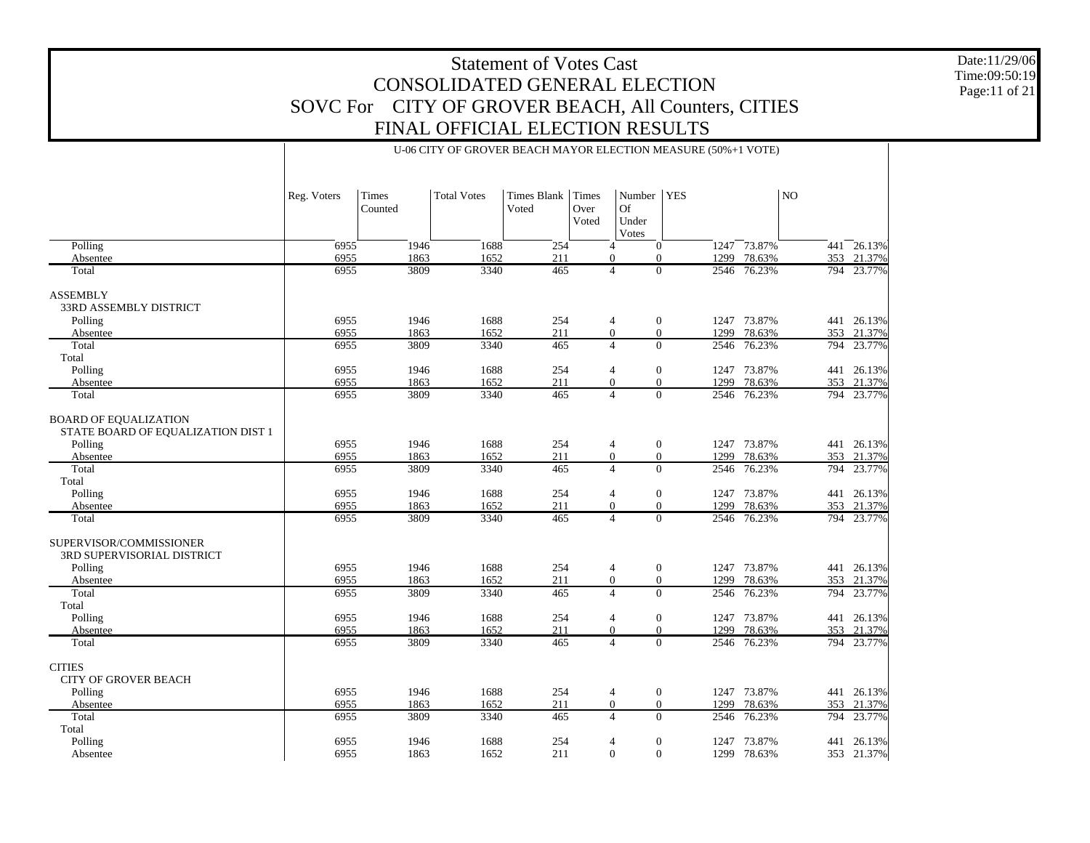Date:11/29/06 Time:09:50:19 Page:11 of 21

|                                                                    | U-06 CITY OF GROVER BEACH MAYOR ELECTION MEASURE (50%+1 VOTE) |         |                    |                    |               |                             |                          |             |                |                |  |
|--------------------------------------------------------------------|---------------------------------------------------------------|---------|--------------------|--------------------|---------------|-----------------------------|--------------------------|-------------|----------------|----------------|--|
|                                                                    | Reg. Voters                                                   | Times   | <b>Total Votes</b> | <b>Times Blank</b> | <b>Times</b>  | Number                      | <b>YES</b>               |             | N <sub>O</sub> |                |  |
|                                                                    |                                                               | Counted |                    | Voted              | Over<br>Voted | <b>Of</b><br>Under<br>Votes |                          |             |                |                |  |
| Polling                                                            | 6955                                                          | 1946    | 1688               | $\overline{254}$   |               | $\overline{4}$              | $\mathbf{0}$             | 1247 73.87% |                | $441 - 26.13%$ |  |
| Absentee                                                           | 6955                                                          | 1863    | 1652               | 211                |               | $\overline{0}$              | $\mathbf{0}$             | 1299 78.63% |                | 353 21.37%     |  |
| Total                                                              | 6955                                                          | 3809    | 3340               | 465                |               | $\overline{4}$              | $\Omega$                 | 2546 76.23% |                | 794 23.77%     |  |
| <b>ASSEMBLY</b>                                                    |                                                               |         |                    |                    |               |                             |                          |             |                |                |  |
| 33RD ASSEMBLY DISTRICT                                             |                                                               |         |                    |                    |               |                             |                          |             |                |                |  |
| Polling                                                            | 6955                                                          | 1946    | 1688               | 254                |               | 4                           | $\boldsymbol{0}$         | 1247 73.87% |                | 441 26.13%     |  |
| Absentee                                                           | 6955                                                          | 1863    | 1652               | 211                |               | $\mathbf{0}$                | $\mathbf{0}$             | 1299 78.63% |                | 353 21.37%     |  |
| Total                                                              | 6955                                                          | 3809    | 3340               | 465                |               | $\overline{4}$              | $\Omega$<br>2546         | 76.23%      |                | 794 23.77%     |  |
| Total                                                              |                                                               |         |                    |                    |               |                             |                          |             |                |                |  |
| Polling                                                            | 6955                                                          | 1946    | 1688               | 254                |               | 4                           | $\overline{0}$           | 1247 73.87% |                | 441 26.13%     |  |
| Absentee                                                           | 6955                                                          | 1863    | 1652               | 211                |               | $\mathbf{0}$                | $\overline{0}$           | 1299 78.63% |                | 353 21.37%     |  |
| Total                                                              | 6955                                                          | 3809    | 3340               | 465                |               | $\overline{4}$              | 2546<br>$\Omega$         | 76.23%      |                | 794 23.77%     |  |
|                                                                    |                                                               |         |                    |                    |               |                             |                          |             |                |                |  |
| <b>BOARD OF EQUALIZATION</b><br>STATE BOARD OF EQUALIZATION DIST 1 |                                                               |         |                    |                    |               |                             |                          |             |                |                |  |
| Polling                                                            | 6955                                                          | 1946    | 1688               | 254                |               | 4                           | $\boldsymbol{0}$         | 1247 73.87% |                | 441 26.13%     |  |
| Absentee                                                           | 6955                                                          | 1863    | 1652               | 211                |               | $\overline{0}$              | $\boldsymbol{0}$         | 1299 78.63% |                | 353 21.37%     |  |
| Total                                                              | 6955                                                          | 3809    | 3340               | 465                |               | $\overline{4}$              | $\overline{0}$<br>2546   | 76.23%      | 794            | 23.77%         |  |
| Total                                                              |                                                               |         |                    |                    |               |                             |                          |             |                |                |  |
| Polling                                                            | 6955                                                          | 1946    | 1688               | 254                |               | $\overline{4}$              | $\mathbf{0}$             | 1247 73.87% |                | 441 26.13%     |  |
| Absentee                                                           | 6955                                                          | 1863    | 1652               | 211                |               | $\overline{0}$              | $\mathbf{0}$             | 1299 78.63% | 353            | 21.37%         |  |
| Total                                                              | 6955                                                          | 3809    | 3340               | 465                |               | $\overline{4}$              | $\overline{0}$<br>2546   | 76.23%      |                | 794 23.77%     |  |
|                                                                    |                                                               |         |                    |                    |               |                             |                          |             |                |                |  |
| SUPERVISOR/COMMISSIONER                                            |                                                               |         |                    |                    |               |                             |                          |             |                |                |  |
| 3RD SUPERVISORIAL DISTRICT                                         |                                                               |         |                    |                    |               |                             |                          |             |                |                |  |
| Polling                                                            | 6955                                                          | 1946    | 1688               | 254                |               | 4                           | $\boldsymbol{0}$         | 1247 73.87% |                | 441 26.13%     |  |
| Absentee                                                           | 6955                                                          | 1863    | 1652               | 211                |               | $\boldsymbol{0}$            | $\boldsymbol{0}$         | 1299 78.63% |                | 353 21.37%     |  |
| Total                                                              | 6955                                                          | 3809    | 3340               | 465                |               | $\overline{4}$              | $\Omega$<br>2546         | 76.23%      |                | 794 23.77%     |  |
| Total                                                              |                                                               |         |                    |                    |               |                             |                          |             |                |                |  |
| Polling                                                            | 6955                                                          | 1946    | 1688               | 254                |               | 4                           | $\overline{0}$           | 1247 73.87% |                | 441 26.13%     |  |
| Absentee                                                           | 6955                                                          | 1863    | 1652               | 211                |               | $\mathbf{0}$                | $\boldsymbol{0}$<br>1299 | 78.63%      | 353            | 21.37%         |  |
| Total                                                              | 6955                                                          | 3809    | 3340               | 465                |               | $\overline{4}$              | $\Omega$<br>2546         | 76.23%      |                | 794 23.77%     |  |
| <b>CITIES</b>                                                      |                                                               |         |                    |                    |               |                             |                          |             |                |                |  |
| <b>CITY OF GROVER BEACH</b>                                        |                                                               |         |                    |                    |               |                             |                          |             |                |                |  |
| Polling                                                            | 6955                                                          | 1946    | 1688               | 254                |               | $\overline{4}$              | $\boldsymbol{0}$         | 1247 73.87% |                | 441 26.13%     |  |
| Absentee                                                           | 6955                                                          | 1863    | 1652               | 211                |               | $\boldsymbol{0}$            | $\boldsymbol{0}$         | 1299 78.63% |                | 353 21.37%     |  |
| Total                                                              | 6955                                                          | 3809    | 3340               | 465                |               | $\overline{4}$              | $\mathbf{0}$<br>2546     | 76.23%      | 794            | 23.77%         |  |
| Total                                                              |                                                               |         |                    |                    |               |                             |                          |             |                |                |  |
| Polling                                                            | 6955                                                          | 1946    | 1688               | 254                |               | 4                           | $\boldsymbol{0}$         | 1247 73.87% |                | 441 26.13%     |  |
| Absentee                                                           | 6955                                                          | 1863    | 1652               | 211                |               | $\overline{0}$              | $\mathbf{0}$             | 1299 78.63% |                | 353 21.37%     |  |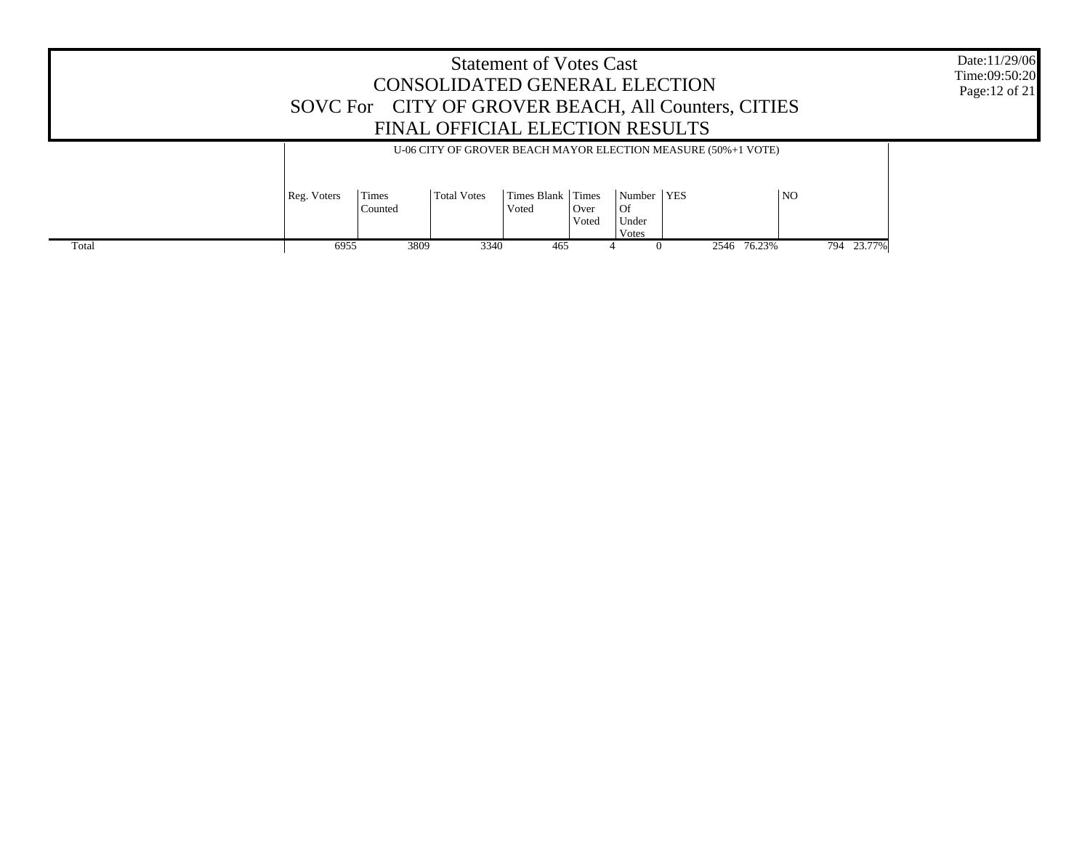| <b>Statement of Votes Cast</b><br>CONSOLIDATED GENERAL ELECTION<br>SOVC For CITY OF GROVER BEACH, All Counters, CITIES<br>FINAL OFFICIAL ELECTION RESULTS |                                                                                                                                                                                                                              |      |      |     |  |              |             |  |            | Date:11/29/06<br>Time:09:50:20<br>Page: 12 of 21 |
|-----------------------------------------------------------------------------------------------------------------------------------------------------------|------------------------------------------------------------------------------------------------------------------------------------------------------------------------------------------------------------------------------|------|------|-----|--|--------------|-------------|--|------------|--------------------------------------------------|
|                                                                                                                                                           | U-06 CITY OF GROVER BEACH MAYOR ELECTION MEASURE (50%+1 VOTE)<br>Number   YES<br>N <sub>O</sub><br>Times Blank Times<br>Reg. Voters<br>Times<br>Total Votes<br>  Of<br>Counted<br>  Over<br>Voted<br>Under<br>Voted<br>Votes |      |      |     |  |              |             |  |            |                                                  |
| Total                                                                                                                                                     | 6955                                                                                                                                                                                                                         | 3809 | 3340 | 465 |  | $\mathbf{U}$ | 2546 76.23% |  | 794 23.77% |                                                  |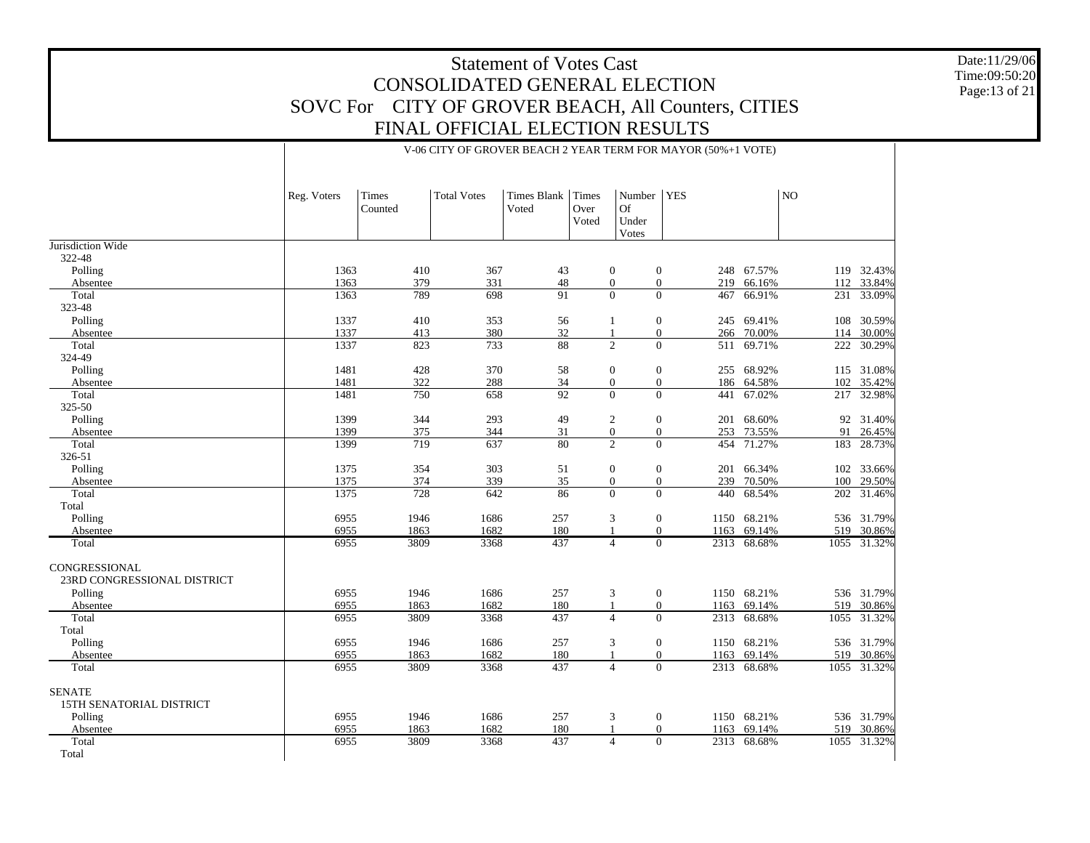V-06 CITY OF GROVER BEACH 2 YEAR TERM FOR MAYOR (50%+1 VOTE)

Date:11/29/06 Time:09:50:20 Page:13 of 21

|                                                      | Reg. Voters | Times<br>Counted | <b>Total Votes</b> | Times Blank<br>Voted | Times<br>Over<br>Voted     | Number<br>Of<br>Under<br>Votes | <b>YES</b>     |             | N <sub>O</sub> |             |
|------------------------------------------------------|-------------|------------------|--------------------|----------------------|----------------------------|--------------------------------|----------------|-------------|----------------|-------------|
| Jurisdiction Wide                                    |             |                  |                    |                      |                            |                                |                |             |                |             |
| 322-48                                               |             |                  |                    |                      |                            |                                |                |             |                |             |
| Polling                                              | 1363        | 410              | 367                | 43                   | $\boldsymbol{0}$           | $\boldsymbol{0}$               |                | 248 67.57%  |                | 119 32.43%  |
| Absentee                                             | 1363        | 379              | 331                | 48                   | $\overline{0}$<br>$\Omega$ | $\mathbf{0}$                   | 219            | 66.16%      | 112            | 33.84%      |
| Total                                                | 1363        | 789              | 698                | 91                   |                            | $\Omega$                       | 467            | 66.91%      |                | 231 33.09%  |
| 323-48                                               | 1337        | 410              | 353                |                      | $\mathbf{1}$               | $\mathbf{0}$                   |                | 245 69.41%  | 108            | 30.59%      |
| Polling<br>Absentee                                  | 1337        | 413              | 380                | 56<br>32             | $\mathbf{1}$               | $\mathbf{0}$                   |                | 266 70.00%  | 114            | 30.00%      |
| Total                                                | 1337        | 823              | 733                | 88                   | $\overline{2}$             | $\Omega$                       |                | 511 69.71%  | 222            | 30.29%      |
| 324-49                                               |             |                  |                    |                      |                            |                                |                |             |                |             |
| Polling                                              | 1481        | 428              | 370                | 58                   | $\boldsymbol{0}$           | $\boldsymbol{0}$               |                | 255 68.92%  |                | 115 31.08%  |
| Absentee                                             | 1481        | 322              | 288                | 34                   | $\boldsymbol{0}$           | $\boldsymbol{0}$               |                | 186 64.58%  | 102            | 35.42%      |
| Total                                                | 1481        | 750              | 658                | $\overline{92}$      | $\theta$                   | $\Omega$                       | 441            | 67.02%      | 217            | 32.98%      |
| 325-50                                               |             |                  |                    |                      |                            |                                |                |             |                |             |
| Polling                                              | 1399        | 344              | 293                | 49                   | $\overline{c}$             | $\mathbf{0}$                   | 201            | 68.60%      |                | 92 31.40%   |
| Absentee                                             | 1399        | 375              | 344                | 31                   | $\boldsymbol{0}$           | $\boldsymbol{0}$               |                | 253 73.55%  | 91             | 26.45%      |
| Total                                                | 1399        | 719              | 637                | 80                   | $\overline{2}$             | $\Omega$                       | 454            | 71.27%      | 183            | 28.73%      |
| 326-51                                               |             |                  |                    |                      |                            |                                |                |             |                |             |
| Polling                                              | 1375        | 354              | 303                | 51                   | $\boldsymbol{0}$           | $\boldsymbol{0}$               | 201            | 66.34%      | 102            | 33.66%      |
| Absentee                                             | 1375        | 374              | 339                | 35                   | $\boldsymbol{0}$           | $\boldsymbol{0}$               |                | 239 70.50%  | 100            | 29.50%      |
| Total                                                | 1375        | 728              | 642                | 86                   | $\theta$                   | $\mathbf{0}$                   | 440            | 68.54%      | 202            | 31.46%      |
| Total                                                |             |                  |                    |                      |                            |                                |                |             |                |             |
| Polling                                              | 6955        | 1946             | 1686               | 257                  | 3                          | $\boldsymbol{0}$               |                | 1150 68.21% |                | 536 31.79%  |
| Absentee                                             | 6955        | 1863             | 1682               | 180                  |                            | $\mathbf{0}$                   | 1163           | 69.14%      | 519            | 30.86%      |
| Total                                                | 6955        | 3809             | 3368               | 437                  | $\overline{4}$             |                                | $\overline{0}$ | 2313 68.68% | 1055           | 31.32%      |
| CONGRESSIONAL<br>23RD CONGRESSIONAL DISTRICT         |             |                  |                    |                      |                            |                                |                |             |                |             |
| Polling                                              | 6955        | 1946             | 1686               | 257                  | 3                          | $\boldsymbol{0}$               |                | 1150 68.21% |                | 536 31.79%  |
| Absentee                                             | 6955        | 1863             | 1682               | 180                  | $\mathbf{1}$               | $\boldsymbol{0}$               | 1163           | 69.14%      | 519            | 30.86%      |
| Total                                                | 6955        | 3809             | 3368               | 437                  | $\overline{4}$             | $\Omega$                       |                | 2313 68.68% |                | 1055 31.32% |
| Total                                                |             |                  |                    |                      |                            |                                |                |             |                |             |
| Polling                                              | 6955        | 1946             | 1686               | 257                  | 3                          | $\mathbf{0}$                   |                | 1150 68.21% |                | 536 31.79%  |
| Absentee                                             | 6955        | 1863             | 1682               | 180                  |                            | $\boldsymbol{0}$               | 1163           | 69.14%      | 519            | 30.86%      |
| Total                                                | 6955        | 3809             | 3368               | 437                  | $\overline{4}$             | $\mathbf{0}$                   |                | 2313 68.68% |                | 1055 31.32% |
| <b>SENATE</b><br>15TH SENATORIAL DISTRICT<br>Polling | 6955        | 1946             | 1686               | 257                  | 3                          | $\mathbf{0}$                   |                | 1150 68.21% |                | 536 31.79%  |
| Absentee                                             | 6955        | 1863             | 1682               | 180                  |                            | $\mathbf{0}$                   | 1163           | 69.14%      | 519            | 30.86%      |
| Total                                                | 6955        | 3809             | 3368               | 437                  | $\overline{4}$             | $\Omega$                       | 2313           | 68.68%      | 1055           | 31.32%      |
| Total                                                |             |                  |                    |                      |                            |                                |                |             |                |             |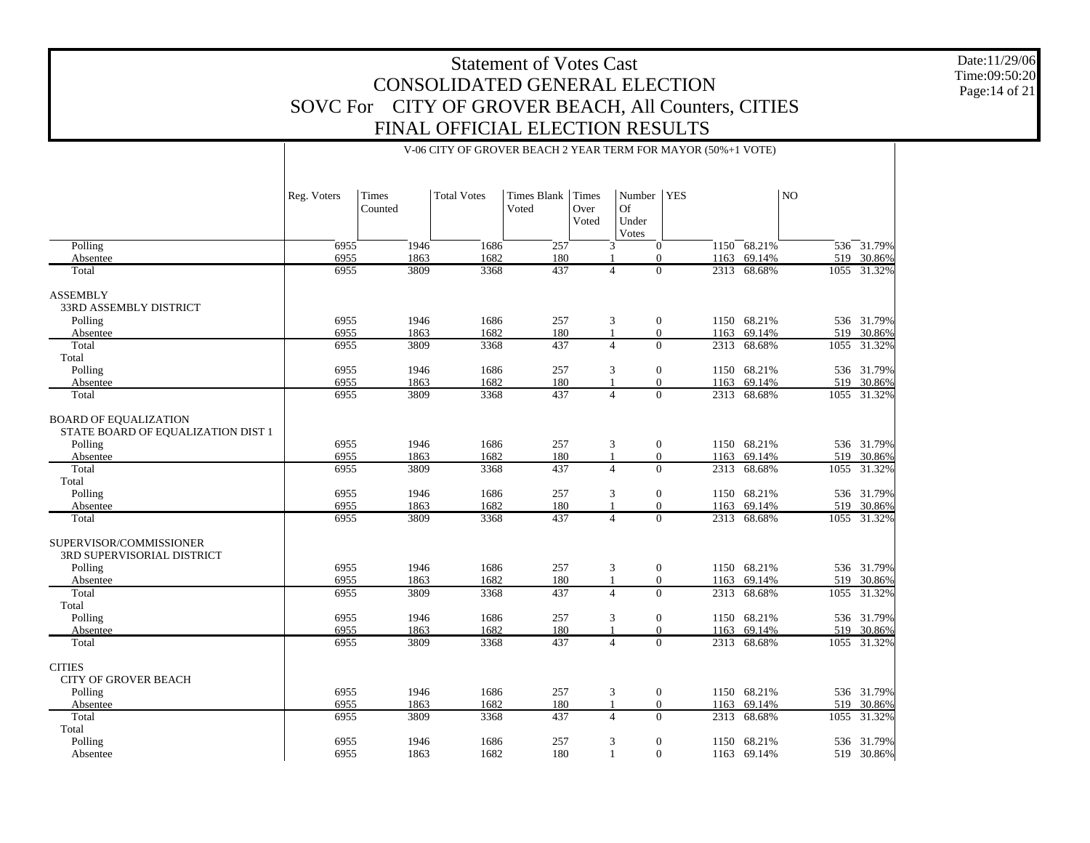Date:11/29/06 Time:09:50:20 Page:14 of 21

|                                                                    |             |         |                    |             |               |                      | V-06 CITY OF GROVER BEACH 2 YEAR TERM FOR MAYOR (50%+1 VOTE) |                 |      |             |
|--------------------------------------------------------------------|-------------|---------|--------------------|-------------|---------------|----------------------|--------------------------------------------------------------|-----------------|------|-------------|
|                                                                    | Reg. Voters | Times   | <b>Total Votes</b> | Times Blank | Times         | Number               | <b>YES</b>                                                   |                 | NO.  |             |
|                                                                    |             | Counted |                    | Voted       | Over<br>Voted | Of<br>Under<br>Votes |                                                              |                 |      |             |
| Polling                                                            | 6955        | 1946    | 1686               | 257         |               | 3                    | $\overline{0}$                                               | $1150 - 68.21%$ |      | 536 31.79%  |
| Absentee                                                           | 6955        | 1863    | 1682               | 180         |               |                      | $\Omega$<br>1163                                             | 69.14%          |      | 519 30.86%  |
| Total                                                              | 6955        | 3809    | 3368               | 437         |               | $\overline{4}$       | $\Omega$                                                     | 2313 68.68%     | 1055 | 31.32%      |
| <b>ASSEMBLY</b>                                                    |             |         |                    |             |               |                      |                                                              |                 |      |             |
| 33RD ASSEMBLY DISTRICT                                             |             |         |                    |             |               |                      |                                                              |                 |      |             |
| Polling                                                            | 6955        | 1946    | 1686               | 257         |               | 3                    | $\mathbf{0}$                                                 | 1150 68.21%     |      | 536 31.79%  |
| Absentee                                                           | 6955        | 1863    | 1682               | 180         | $\mathbf{1}$  |                      | $\mathbf{0}$<br>1163                                         | 69.14%          | 519  | 30.86%      |
| Total                                                              | 6955        | 3809    | 3368               | 437         |               | $\overline{4}$       | $\theta$<br>2313                                             | 68.68%          | 1055 | 31.32%      |
| Total                                                              |             |         |                    |             |               |                      |                                                              |                 |      |             |
|                                                                    |             |         |                    |             |               |                      |                                                              |                 |      |             |
| Polling                                                            | 6955        | 1946    | 1686               | 257         |               | 3                    | $\mathbf{0}$                                                 | 1150 68.21%     |      | 536 31.79%  |
| Absentee                                                           | 6955        | 1863    | 1682               | 180<br>437  |               | $\overline{4}$       | $\theta$<br>1163<br>$\theta$                                 | 69.14%          | 519  | 30.86%      |
| Total                                                              | 6955        | 3809    | 3368               |             |               |                      |                                                              | 2313 68.68%     | 1055 | 31.32%      |
| <b>BOARD OF EQUALIZATION</b><br>STATE BOARD OF EQUALIZATION DIST 1 |             |         |                    |             |               |                      |                                                              |                 |      |             |
| Polling                                                            | 6955        | 1946    | 1686               | 257         |               | 3                    | $\mathbf{0}$                                                 | 1150 68.21%     |      | 536 31.79%  |
| Absentee                                                           | 6955        | 1863    | 1682               | 180         |               |                      | $\mathbf{0}$<br>1163                                         | 69.14%          | 519  | 30.86%      |
| Total                                                              | 6955        | 3809    | 3368               | 437         |               | $\overline{4}$       | $\Omega$<br>2313                                             | 68.68%          | 1055 | 31.32%      |
| Total                                                              |             |         |                    |             |               |                      |                                                              |                 |      |             |
| Polling                                                            | 6955        | 1946    | 1686               | 257         |               | 3                    | $\mathbf{0}$                                                 | 1150 68.21%     |      | 536 31.79%  |
| Absentee                                                           | 6955        | 1863    | 1682               | 180         |               |                      | $\Omega$<br>1163                                             | 69.14%          | 519  | 30.86%      |
| Total                                                              | 6955        | 3809    | 3368               | 437         |               | $\overline{4}$       | $\theta$                                                     | 2313 68.68%     | 1055 | 31.32%      |
| SUPERVISOR/COMMISSIONER<br>3RD SUPERVISORIAL DISTRICT              |             |         |                    |             |               |                      |                                                              |                 |      |             |
| Polling                                                            | 6955        | 1946    | 1686               | 257         |               | 3                    | $\mathbf{0}$                                                 | 1150 68.21%     |      | 536 31.79%  |
| Absentee                                                           | 6955        | 1863    | 1682               | 180         |               |                      | $\theta$<br>1163                                             | 69.14%          | 519  | 30.86%      |
| Total                                                              | 6955        | 3809    | 3368               | 437         |               | $\overline{4}$       | $\theta$<br>2313                                             | 68.68%          |      | 1055 31.32% |
| Total                                                              |             |         |                    |             |               |                      |                                                              |                 |      |             |
| Polling                                                            | 6955        | 1946    | 1686               | 257         |               | 3                    | $\mathbf{0}$<br>1150                                         | 68.21%          |      | 536 31.79%  |
| Absentee                                                           | 6955        | 1863    | 1682               | 180         |               |                      | $\theta$<br>1163                                             | 69.14%          |      | 519 30.86%  |
| Total                                                              | 6955        | 3809    | 3368               | 437         |               | $\overline{4}$       | $\Omega$                                                     | 2313 68.68%     |      | 1055 31.32% |
| <b>CITIES</b>                                                      |             |         |                    |             |               |                      |                                                              |                 |      |             |
| <b>CITY OF GROVER BEACH</b>                                        |             |         |                    |             |               |                      |                                                              |                 |      |             |
| Polling                                                            | 6955        | 1946    | 1686               | 257         |               | 3                    | $\mathbf{0}$                                                 | 1150 68.21%     |      | 536 31.79%  |
| Absentee                                                           | 6955        | 1863    | 1682               | 180         |               |                      | $\theta$                                                     | 69.14%          | 519  | 30.86%      |
| Total                                                              | 6955        | 3809    | 3368               | 437         |               | $\overline{4}$       | 1163<br>$\Omega$<br>2313                                     | 68.68%          | 1055 | 31.32%      |
|                                                                    |             |         |                    |             |               |                      |                                                              |                 |      |             |
| Total<br>Polling                                                   | 6955        | 1946    | 1686               |             |               | 3                    |                                                              |                 |      | 536 31.79%  |
|                                                                    |             |         |                    | 257         |               | $\mathbf{1}$         | $\mathbf{0}$<br>1150<br>$\Omega$                             | 68.21%          |      |             |
| Absentee                                                           | 6955        | 1863    | 1682               | 180         |               |                      | 1163                                                         | 69.14%          |      | 519 30.86%  |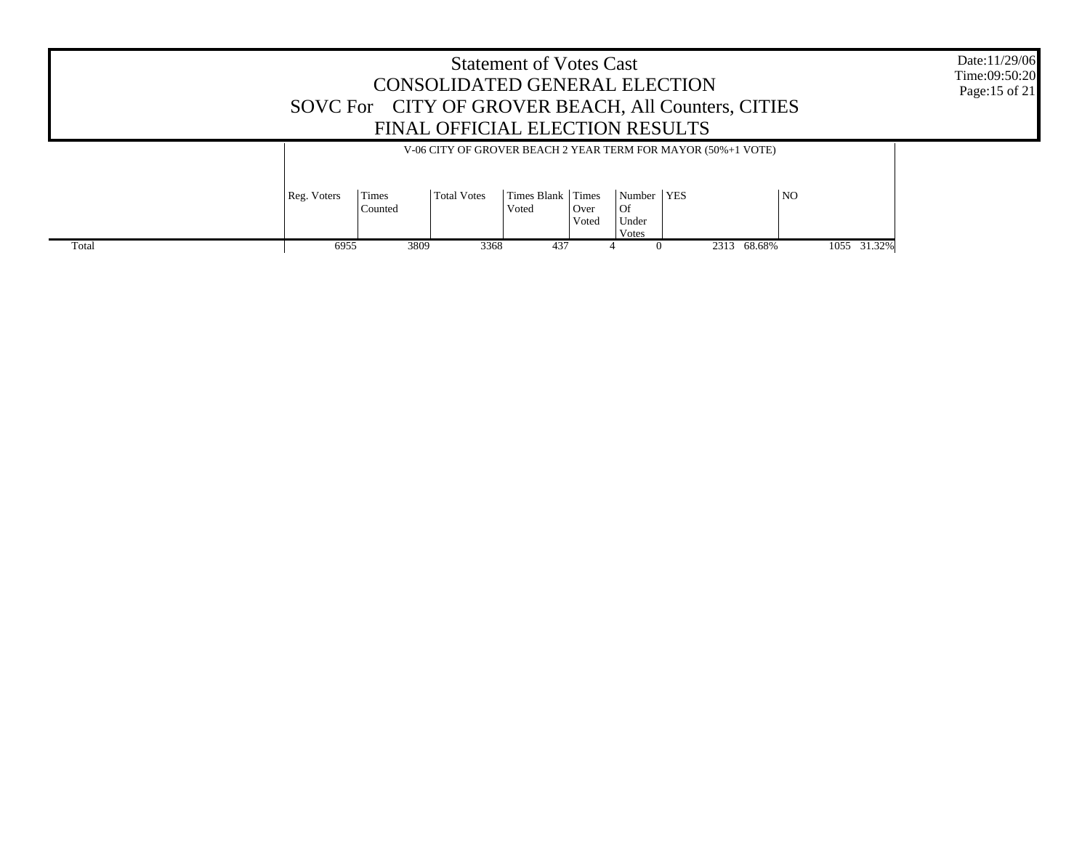|       |                                                                                                                                                                                                                               | CONSOLIDATED GENERAL ELECTION<br>SOVC For CITY OF GROVER BEACH, All Counters, CITIES<br>FINAL OFFICIAL ELECTION RESULTS | <b>Statement of Votes Cast</b> |  |  |             |             | Date:11/29/06<br>Time:09:50:20<br>Page:15 of 21 |
|-------|-------------------------------------------------------------------------------------------------------------------------------------------------------------------------------------------------------------------------------|-------------------------------------------------------------------------------------------------------------------------|--------------------------------|--|--|-------------|-------------|-------------------------------------------------|
|       | V-06 CITY OF GROVER BEACH 2 YEAR TERM FOR MAYOR (50%+1 VOTE)<br>Times Blank Times<br>Number   YES<br><b>NO</b><br>Times<br>Reg. Voters<br><b>Total Votes</b><br>l Of<br>Counted<br>  Over<br>Voted<br>Voted<br>Under<br>Votes |                                                                                                                         |                                |  |  |             |             |                                                 |
| Total | 6955                                                                                                                                                                                                                          | 3809                                                                                                                    | 3368<br>437                    |  |  | 2313 68.68% | 1055 31.32% |                                                 |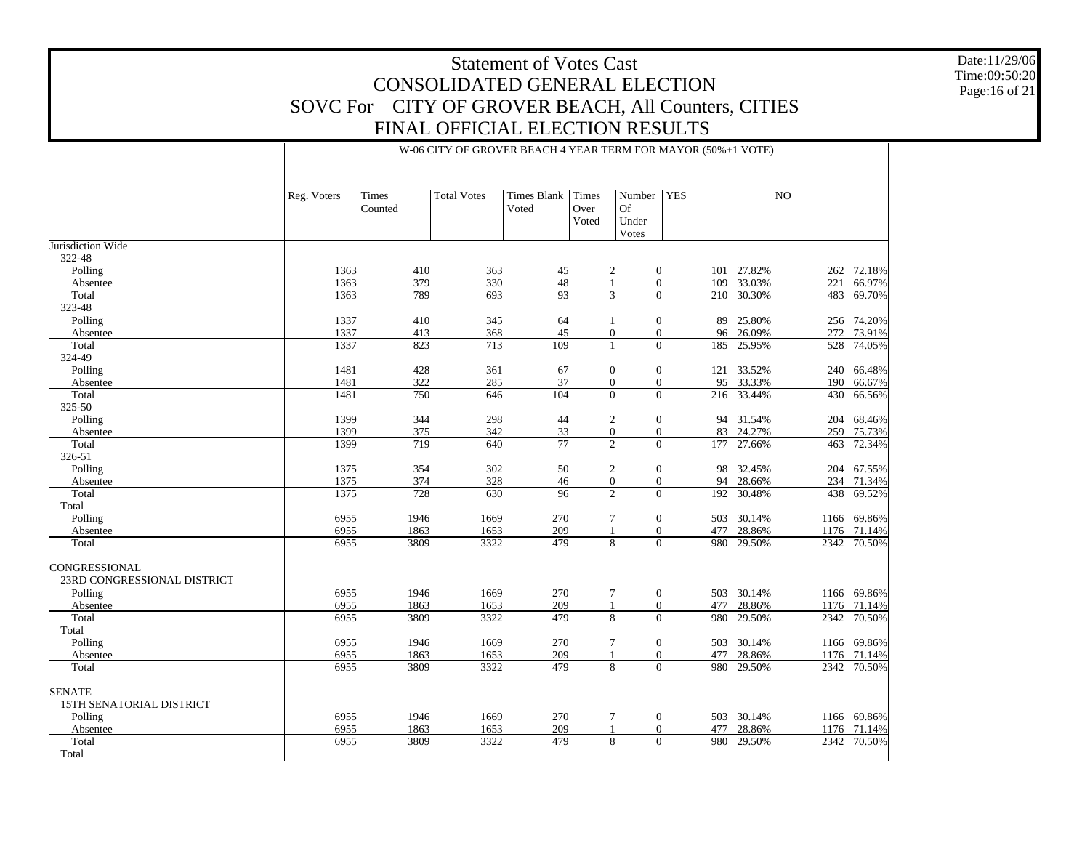Date:11/29/06Time:09:50:20 Page:16 of 21

|                             | Reg. Voters       | Times<br>Counted | <b>Total Votes</b> | <b>Times Blank</b><br>Voted | <b>Times</b><br>Over<br>Voted | Number<br><b>Of</b><br>Under<br>Votes | <b>YES</b>              |            | N <sub>O</sub> |             |
|-----------------------------|-------------------|------------------|--------------------|-----------------------------|-------------------------------|---------------------------------------|-------------------------|------------|----------------|-------------|
| Jurisdiction Wide           |                   |                  |                    |                             |                               |                                       |                         |            |                |             |
| 322-48                      |                   |                  |                    |                             |                               |                                       |                         |            |                |             |
| Polling                     | 1363              | 410              | 363                | 45                          |                               | $\overline{c}$                        | $\mathbf{0}$            | 101 27.82% |                | 262 72.18%  |
| Absentee                    | 1363              | 379              | 330                | $48\,$                      |                               | 1                                     | $\mathbf{0}$<br>109     | 33.03%     | 221            | 66.97%      |
| Total                       | 1363              | 789              | 693                | $\overline{93}$             |                               | 3                                     | $\overline{0}$<br>210   | 30.30%     | 483            | 69.70%      |
| 323-48                      |                   |                  |                    |                             |                               |                                       |                         |            |                |             |
| Polling                     | 1337              | 410              | 345                | 64                          |                               | 1                                     | $\mathbf{0}$<br>89      | 25.80%     |                | 256 74.20%  |
| Absentee                    | 1337              | 413              | 368                | 45                          |                               | $\boldsymbol{0}$                      | $\mathbf{0}$<br>96      | 26.09%     | 272            | 73.91%      |
| Total                       | 1337              | 823              | 713                | 109                         |                               | $\mathbf{1}$                          | $\overline{0}$<br>185   | 25.95%     | 528            | 74.05%      |
| 324-49                      |                   |                  |                    |                             |                               |                                       |                         |            |                |             |
| Polling                     | 1481              | 428              | 361                | 67                          |                               | $\boldsymbol{0}$                      | $\boldsymbol{0}$<br>121 | 33.52%     | 240            | 66.48%      |
| Absentee                    | 1481              | 322              | 285                | 37                          |                               | $\boldsymbol{0}$                      | $\mathbf{0}$<br>95      | 33.33%     | 190            | 66.67%      |
| Total                       | 1481              | 750              | 646                | 104                         |                               | $\overline{0}$                        | $\overline{0}$          | 216 33.44% | 430            | 66.56%      |
| 325-50                      |                   |                  |                    |                             |                               |                                       |                         |            |                |             |
| Polling                     | 1399              | 344              | 298                | 44                          |                               | $\sqrt{2}$                            | $\mathbf{0}$            | 94 31.54%  | 204            | 68.46%      |
| Absentee                    | 1399              | 375              | 342                | 33                          |                               | $\boldsymbol{0}$                      | $\mathbf{0}$<br>83      | 24.27%     | 259            | 75.73%      |
| Total                       | 1399              | 719              | 640                | 77                          |                               | 2                                     | $\overline{0}$<br>177   | 27.66%     | 463            | 72.34%      |
| 326-51                      |                   |                  |                    |                             |                               |                                       |                         |            |                |             |
| Polling                     | 1375              | 354              | 302                | 50                          |                               | $\overline{c}$                        | $\mathbf{0}$<br>98      | 32.45%     | 204            | 67.55%      |
| Absentee                    | 1375              | 374              | 328                | 46                          |                               | $\mathbf{0}$                          | 94<br>$\overline{0}$    | 28.66%     | 234            | 71.34%      |
| Total                       | 1375              | 728              | 630                | 96                          |                               | 2                                     | $\Omega$<br>192         | 30.48%     | 438            | 69.52%      |
| Total                       |                   |                  |                    |                             |                               |                                       |                         |            |                |             |
| Polling                     | 6955              | 1946             | 1669               | 270                         |                               | $\tau$                                | $\mathbf{0}$<br>503     | 30.14%     |                | 1166 69.86% |
| Absentee                    | 6955              | 1863             | 1653               | 209                         |                               | $\mathbf{1}$                          | $\mathbf{0}$<br>477     | 28.86%     | 1176           | 71.14%      |
| Total                       | 6955              | 3809             | 3322               | 479                         |                               | $\overline{8}$                        | $\overline{0}$<br>980   | 29.50%     | 2342           | 70.50%      |
| CONGRESSIONAL               |                   |                  |                    |                             |                               |                                       |                         |            |                |             |
| 23RD CONGRESSIONAL DISTRICT |                   |                  |                    |                             |                               |                                       |                         |            |                |             |
| Polling                     | 6955              | 1946             | 1669               | 270                         |                               | $\tau$                                | $\boldsymbol{0}$<br>503 | 30.14%     |                | 1166 69.86% |
| Absentee                    | 6955              | 1863             | 1653               | 209                         |                               | 1                                     | $\overline{0}$<br>477   | 28.86%     |                | 1176 71.14% |
| Total                       | 6955              | 3809             | 3322               | 479                         |                               | 8                                     | $\overline{0}$<br>980   | 29.50%     | 2342           | 70.50%      |
| Total                       |                   |                  |                    |                             |                               |                                       |                         |            |                |             |
| Polling                     | 6955              | 1946             | 1669               | 270                         |                               | $\tau$                                | $\mathbf{0}$<br>503     | 30.14%     |                | 1166 69.86% |
| Absentee                    | 6955              | 1863             | 1653               | 209                         |                               | $\mathbf{1}$                          | $\mathbf{0}$<br>477     | 28.86%     |                | 1176 71.14% |
| Total                       | $695\overline{5}$ | 3809             | 3322               | 479                         |                               | 8                                     | $\overline{0}$<br>980   | 29.50%     | 2342           | 70.50%      |
| <b>SENATE</b>               |                   |                  |                    |                             |                               |                                       |                         |            |                |             |

6955

6955

6955

#### W-06 CITY OF GROVER BEACH 4 YEAR TERM FOR MAYOR (50%+1 VOTE)

1946 1669 270 7 0 503 30.14%

1863 1653 209 1 0 477 28.86%

3809 3322 479 8 0 980 29.50%

1166 69.86%

1176 71.14%

2342 70.50%

 Absentee TotalTotal

Polling

15TH SENATORIAL DISTRICT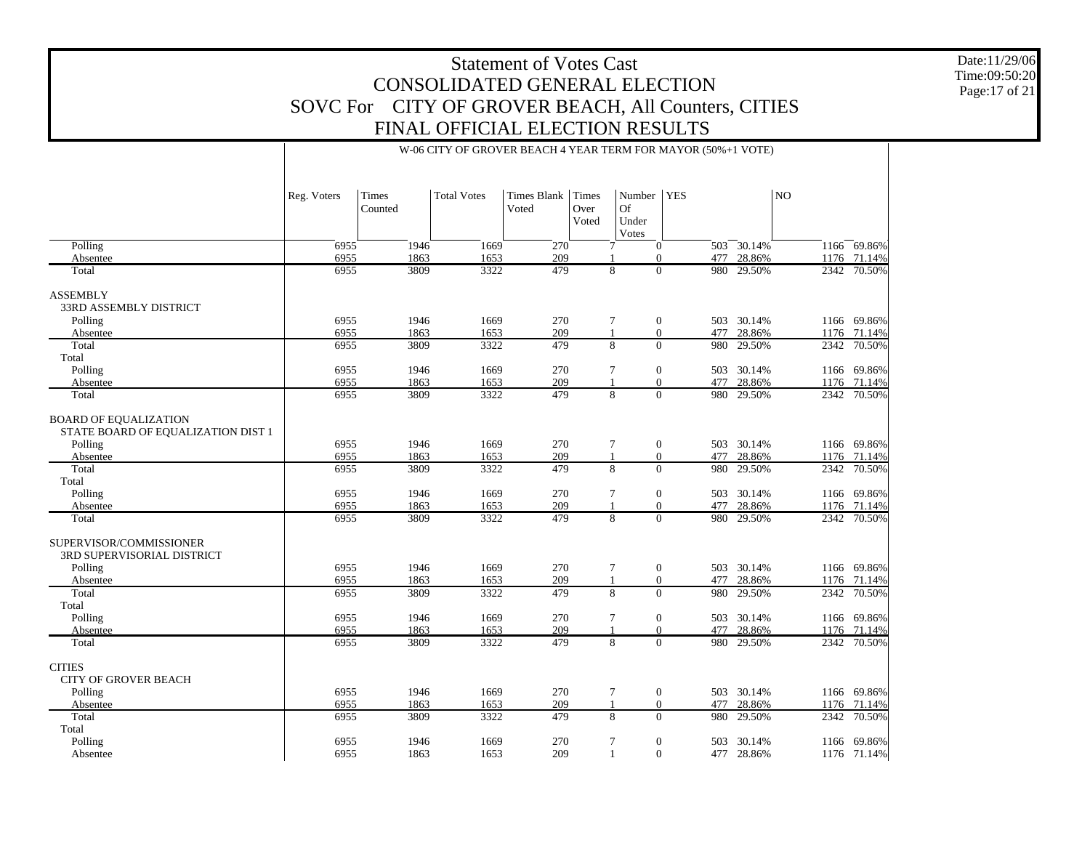Date:11/29/06 Time:09:50:20 Page:17 of 21

|                                                                    | W-06 CITY OF GROVER BEACH 4 YEAR TERM FOR MAYOR (50%+1 VOTE) |                  |                    |                             |                               |                                       |                                              |                  |                |                       |
|--------------------------------------------------------------------|--------------------------------------------------------------|------------------|--------------------|-----------------------------|-------------------------------|---------------------------------------|----------------------------------------------|------------------|----------------|-----------------------|
|                                                                    |                                                              |                  |                    |                             |                               |                                       |                                              |                  |                |                       |
|                                                                    | Reg. Voters                                                  | Times<br>Counted | <b>Total Votes</b> | <b>Times Blank</b><br>Voted | <b>Times</b><br>Over<br>Voted | Number<br><b>Of</b><br>Under<br>Votes | <b>YES</b>                                   |                  | N <sub>O</sub> |                       |
| Polling                                                            | 6955                                                         | 1946             | 1669               | $\overline{270}$            |                               | 7                                     | $\mathbf{0}$                                 | $503 - 30.14%$   |                | 1166 69.86%           |
| Absentee                                                           | 6955                                                         | 1863             | 1653               | 209                         |                               |                                       | $\mathbf{0}$                                 | 477 28.86%       |                | 1176 71.14%           |
| Total                                                              | 6955                                                         | 3809             | 3322               | 479                         |                               | 8                                     | $\Omega$<br>980                              | 29.50%           |                | 2342 70.50%           |
| <b>ASSEMBLY</b>                                                    |                                                              |                  |                    |                             |                               |                                       |                                              |                  |                |                       |
| 33RD ASSEMBLY DISTRICT                                             |                                                              |                  |                    |                             |                               |                                       |                                              |                  |                |                       |
| Polling                                                            | 6955                                                         | 1946             | 1669               | 270                         |                               | 7                                     | $\boldsymbol{0}$                             | 503 30.14%       |                | 1166 69.86%           |
| Absentee                                                           | 6955                                                         | 1863             | 1653               | 209                         |                               | 1                                     | $\overline{0}$<br>477                        | 28.86%           |                | 1176 71.14%           |
| Total                                                              | 6955                                                         | 3809             | 3322               | 479                         |                               | 8                                     | $\overline{0}$<br>980                        | 29.50%           |                | 2342 70.50%           |
| Total                                                              |                                                              |                  |                    |                             |                               |                                       |                                              |                  |                |                       |
| Polling                                                            | 6955                                                         | 1946             | 1669               | 270                         |                               | 7                                     | $\overline{0}$                               | 503 30.14%       |                | 1166 69.86%           |
| Absentee                                                           | 6955                                                         | 1863             | 1653               | 209                         |                               |                                       | $\overline{0}$<br>477                        | 28.86%           |                | 1176 71.14%           |
| Total                                                              | 6955                                                         | 3809             | 3322               | 479                         |                               | 8                                     | $\mathbf{0}$<br>980                          | 29.50%           |                | 2342 70.50%           |
| <b>BOARD OF EQUALIZATION</b><br>STATE BOARD OF EQUALIZATION DIST 1 |                                                              |                  |                    |                             |                               |                                       |                                              |                  |                |                       |
| Polling                                                            | 6955                                                         | 1946             | 1669               | 270                         |                               | 7                                     | $\boldsymbol{0}$                             | 503 30.14%       |                | 1166 69.86%           |
| Absentee                                                           | 6955                                                         | 1863             | 1653               | 209                         |                               | $\mathbf{1}$                          | $\mathbf{0}$<br>477                          | 28.86%           | 1176           | 71.14%                |
| Total                                                              | 6955                                                         | 3809             | 3322               | 479                         |                               | $\overline{8}$                        | $\Omega$<br>980                              | 29.50%           | 2342           | 70.50%                |
| Total                                                              |                                                              |                  |                    |                             |                               |                                       |                                              |                  |                |                       |
| Polling                                                            | 6955                                                         | 1946             | 1669               | 270                         |                               |                                       |                                              | 503 30.14%       |                | 1166 69.86%           |
|                                                                    |                                                              |                  |                    |                             |                               | $\tau$                                | $\mathbf{0}$                                 |                  |                |                       |
| Absentee<br>Total                                                  | 6955<br>6955                                                 | 1863<br>3809     | 1653<br>3322       | 209<br>479                  |                               | $\overline{8}$                        | $\mathbf{0}$<br>477<br>$\overline{0}$<br>980 | 28.86%<br>29.50% | 1176           | 71.14%<br>2342 70.50% |
|                                                                    |                                                              |                  |                    |                             |                               |                                       |                                              |                  |                |                       |
| SUPERVISOR/COMMISSIONER<br>3RD SUPERVISORIAL DISTRICT              |                                                              |                  |                    |                             |                               |                                       |                                              |                  |                |                       |
| Polling                                                            | 6955                                                         | 1946             | 1669               | 270                         |                               | 7                                     | $\mathbf{0}$                                 | 503 30.14%       |                | 1166 69.86%           |
| Absentee                                                           | 6955                                                         | 1863             | 1653               | 209                         |                               | $\mathbf{1}$                          | $\boldsymbol{0}$<br>477                      | 28.86%           |                | 1176 71.14%           |
| Total                                                              | 6955                                                         | 3809             | 3322               | 479                         |                               | 8                                     | $\Omega$<br>980                              | 29.50%           |                | 2342 70.50%           |
| Total                                                              |                                                              |                  |                    |                             |                               |                                       |                                              |                  |                |                       |
| Polling                                                            | 6955                                                         | 1946             | 1669               | 270                         |                               | $\tau$                                | $\overline{0}$<br>503                        | 30.14%           |                | 1166 69.86%           |
| Absentee                                                           | 6955                                                         | 1863             | 1653               | 209                         |                               |                                       | $\boldsymbol{0}$<br>477                      | 28.86%           |                | 1176 71.14%           |
| Total                                                              | 6955                                                         | 3809             | 3322               | 479                         |                               | 8                                     | $\Omega$<br>980                              | 29.50%           |                | 2342 70.50%           |
| <b>CITIES</b>                                                      |                                                              |                  |                    |                             |                               |                                       |                                              |                  |                |                       |
| <b>CITY OF GROVER BEACH</b>                                        |                                                              |                  |                    |                             |                               |                                       |                                              |                  |                |                       |
| Polling                                                            | 6955                                                         | 1946             | 1669               | 270                         |                               | 7                                     | $\boldsymbol{0}$                             | 503 30.14%       |                | 1166 69.86%           |
| Absentee                                                           | 6955                                                         | 1863             | 1653               | 209                         |                               | $\mathbf{1}$                          | $\boldsymbol{0}$<br>477                      | 28.86%           | 1176           | 71.14%                |
| Total                                                              | 6955                                                         | 3809             | 3322               | 479                         |                               | 8                                     | $\mathbf{0}$<br>980                          | 29.50%           | 2342           | 70.50%                |
| Total                                                              |                                                              |                  |                    |                             |                               |                                       |                                              |                  |                |                       |
| Polling                                                            | 6955                                                         | 1946             | 1669               | 270                         |                               | 7                                     | $\boldsymbol{0}$<br>503                      | 30.14%           |                | 1166 69.86%           |
| Absentee                                                           | 6955                                                         | 1863             | 1653               | 209                         |                               | 1                                     | $\mathbf{0}$                                 | 477 28.86%       |                | 1176 71.14%           |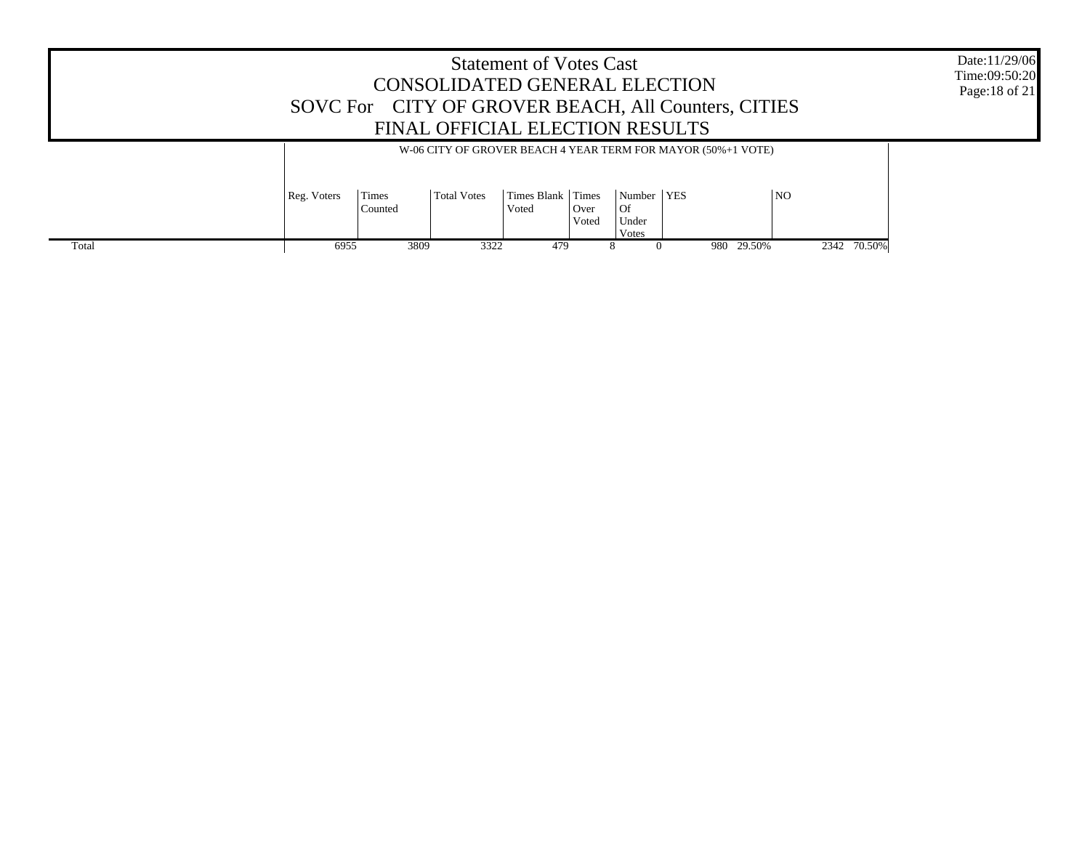|       |                                                                                                                                                                                                                               | SOVC For CITY OF GROVER BEACH, All Counters, CITIES | CONSOLIDATED GENERAL ELECTION<br>FINAL OFFICIAL ELECTION RESULTS | <b>Statement of Votes Cast</b> |  |  |  |            |             | Date:11/29/06<br>Time:09:50:20<br>Page: 18 of 21 |
|-------|-------------------------------------------------------------------------------------------------------------------------------------------------------------------------------------------------------------------------------|-----------------------------------------------------|------------------------------------------------------------------|--------------------------------|--|--|--|------------|-------------|--------------------------------------------------|
|       | W-06 CITY OF GROVER BEACH 4 YEAR TERM FOR MAYOR (50%+1 VOTE)<br>Times Blank Times<br><b>NO</b><br>Number   YES<br>Reg. Voters<br>Times<br><b>Total Votes</b><br>  Of<br>Counted<br>  Over<br>Voted<br>Under<br>Voted<br>Votes |                                                     |                                                                  |                                |  |  |  |            |             |                                                  |
| Total | 6955                                                                                                                                                                                                                          | 3809                                                | 3322                                                             | 479                            |  |  |  | 980 29.50% | 2342 70.50% |                                                  |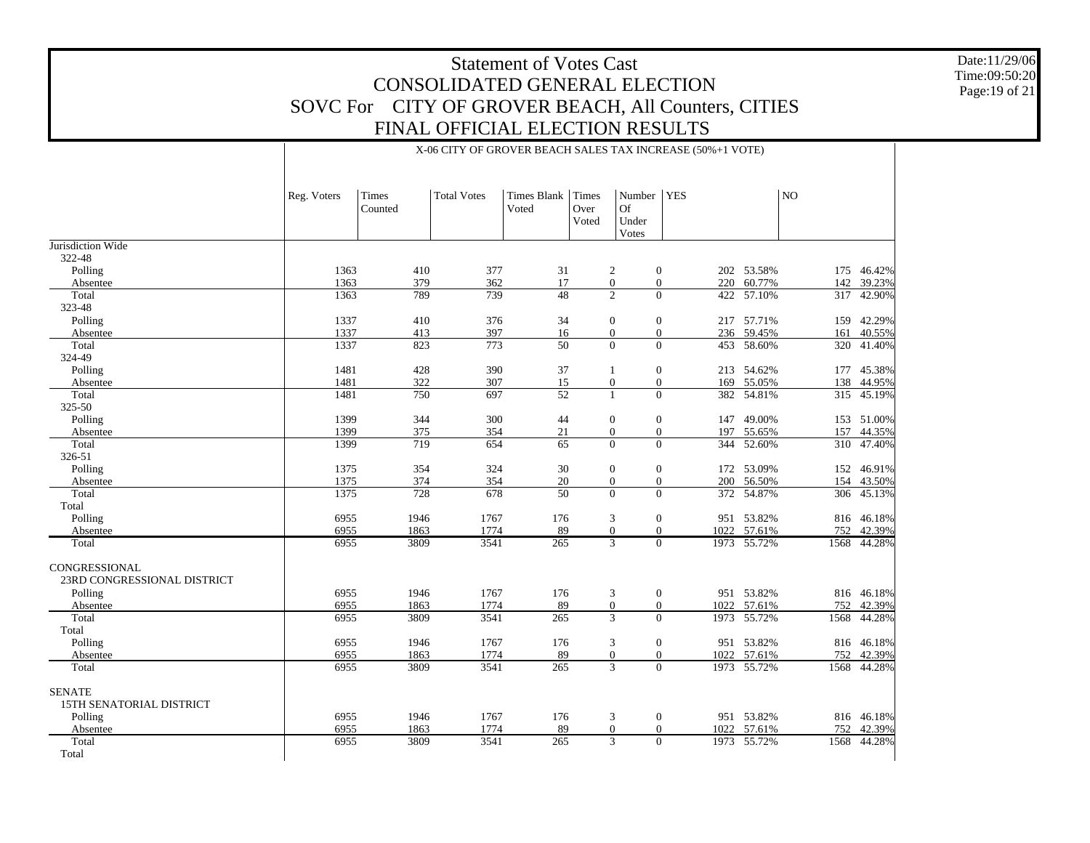X-06 CITY OF GROVER BEACH SALES TAX INCREASE (50%+1 VOTE)

1946 1767 176 3 0 951 53.82%

3809 3541 265 3 0 1973 55.72%

1863 1774 89 0 0 1022 57.61%

Date:11/29/06 Time:09:50:20 Page:19 of 21

816 46.18%

1568 44.28%

752 42.39%

|                             | Reg. Voters | Times<br>Counted | <b>Total Votes</b> | Times Blank<br>Voted | Times<br>Over<br>Voted | Number<br><b>Of</b><br>Under<br>Votes | <b>YES</b>              |             | NO   |            |
|-----------------------------|-------------|------------------|--------------------|----------------------|------------------------|---------------------------------------|-------------------------|-------------|------|------------|
| Jurisdiction Wide           |             |                  |                    |                      |                        |                                       |                         |             |      |            |
| 322-48                      |             |                  |                    |                      |                        |                                       |                         |             |      |            |
| Polling                     | 1363        | 410              | 377                | 31                   |                        | 2                                     | $\boldsymbol{0}$        | 202 53.58%  |      | 175 46.42% |
| Absentee                    | 1363        | 379              | 362                | 17                   |                        | $\boldsymbol{0}$                      | $\boldsymbol{0}$        | 220 60.77%  | 142  | 39.23%     |
| Total                       | 1363        | 789              | 739                | 48                   |                        | 2                                     | $\overline{0}$          | 422 57.10%  | 317  | 42.90%     |
| 323-48                      |             |                  |                    |                      |                        |                                       |                         |             |      |            |
| Polling                     | 1337        | 410              | 376                | 34                   |                        | $\mathbf{0}$                          | $\boldsymbol{0}$        | 217 57.71%  | 159  | 42.29%     |
| Absentee                    | 1337        | 413              | 397                | 16                   |                        | $\overline{0}$                        | $\overline{0}$          | 236 59.45%  | 161  | 40.55%     |
| Total                       | 1337        | 823              | 773                | 50                   |                        | $\overline{0}$                        | $\overline{0}$          | 453 58.60%  | 320  | 41.40%     |
| 324-49                      |             |                  |                    |                      |                        |                                       |                         |             |      |            |
| Polling                     | 1481        | 428              | 390                | 37                   |                        |                                       | $\mathbf{0}$            | 213 54.62%  | 177  | 45.38%     |
| Absentee                    | 1481        | 322              | 307                | 15                   |                        | $\boldsymbol{0}$                      | $\mathbf{0}$            | 169 55.05%  | 138  | 44.95%     |
| Total                       | 1481        | 750              | 697                | 52                   |                        | $\mathbf{1}$                          | $\Omega$                | 382 54.81%  | 315  | 45.19%     |
| 325-50                      |             |                  |                    |                      |                        |                                       |                         |             |      |            |
| Polling                     | 1399        | 344              | 300                | 44                   |                        | $\mathbf{0}$                          | $\boldsymbol{0}$<br>147 | 49.00%      | 153  | 51.00%     |
| Absentee                    | 1399        | 375              | 354                | $21\,$               |                        | $\mathbf{0}$                          | $\mathbf{0}$            | 197 55.65%  | 157  | 44.35%     |
| Total                       | 1399        | 719              | 654                | 65                   |                        | $\overline{0}$                        | $\overline{0}$          | 344 52.60%  |      | 310 47.40% |
| 326-51                      |             |                  |                    |                      |                        |                                       |                         |             |      |            |
| Polling                     | 1375        | 354              | 324                | 30                   |                        | $\mathbf{0}$                          | $\mathbf{0}$            | 172 53.09%  | 152  | 46.91%     |
| Absentee                    | 1375        | 374              | 354                | 20                   |                        | $\mathbf{0}$                          | $\boldsymbol{0}$        | 200 56.50%  | 154  | 43.50%     |
| Total                       | 1375        | 728              | 678                | 50                   |                        | $\Omega$                              | $\Omega$                | 372 54.87%  | 306  | 45.13%     |
| Total                       |             |                  |                    |                      |                        |                                       |                         |             |      |            |
| Polling                     | 6955        | 1946             | 1767               | 176                  |                        | 3                                     | $\mathbf{0}$            | 951 53.82%  |      | 816 46.18% |
| Absentee                    | 6955        | 1863             | 1774               | 89                   |                        | $\overline{0}$                        | $\mathbf{0}$            | 1022 57.61% | 752  | 42.39%     |
| Total                       | 6955        | 3809             | 3541               | 265                  |                        | $\overline{3}$                        | $\Omega$                | 1973 55.72% | 1568 | 44.28%     |
| CONGRESSIONAL               |             |                  |                    |                      |                        |                                       |                         |             |      |            |
| 23RD CONGRESSIONAL DISTRICT |             |                  |                    |                      |                        |                                       |                         |             |      |            |
| Polling                     | 6955        | 1946             | 1767               | 176                  |                        | 3                                     | $\boldsymbol{0}$        | 951 53.82%  |      | 816 46.18% |
| Absentee                    | 6955        | 1863             | 1774               | 89                   |                        | $\mathbf{0}$                          | $\mathbf{0}$            | 1022 57.61% | 752  | 42.39%     |
| Total                       | 6955        | 3809             | 3541               | 265                  |                        | 3                                     | $\Omega$                | 1973 55.72% | 1568 | 44.28%     |
| Total                       |             |                  |                    |                      |                        |                                       |                         |             |      |            |
| Polling                     | 6955        | 1946             | 1767               | 176                  |                        | 3                                     | $\mathbf{0}$            | 951 53.82%  |      | 816 46.18% |
| Absentee                    | 6955        | 1863             | 1774               | 89                   |                        | $\mathbf{0}$                          | $\boldsymbol{0}$        | 1022 57.61% | 752  | 42.39%     |
| Total                       | 6955        | 3809             | 3541               | $\overline{265}$     |                        | $\overline{3}$                        | $\Omega$                | 1973 55.72% | 1568 | 44.28%     |
| <b>SENATE</b>               |             |                  |                    |                      |                        |                                       |                         |             |      |            |

6955

6955

6955

 Polling Absentee TotalTotal

15TH SENATORIAL DISTRICT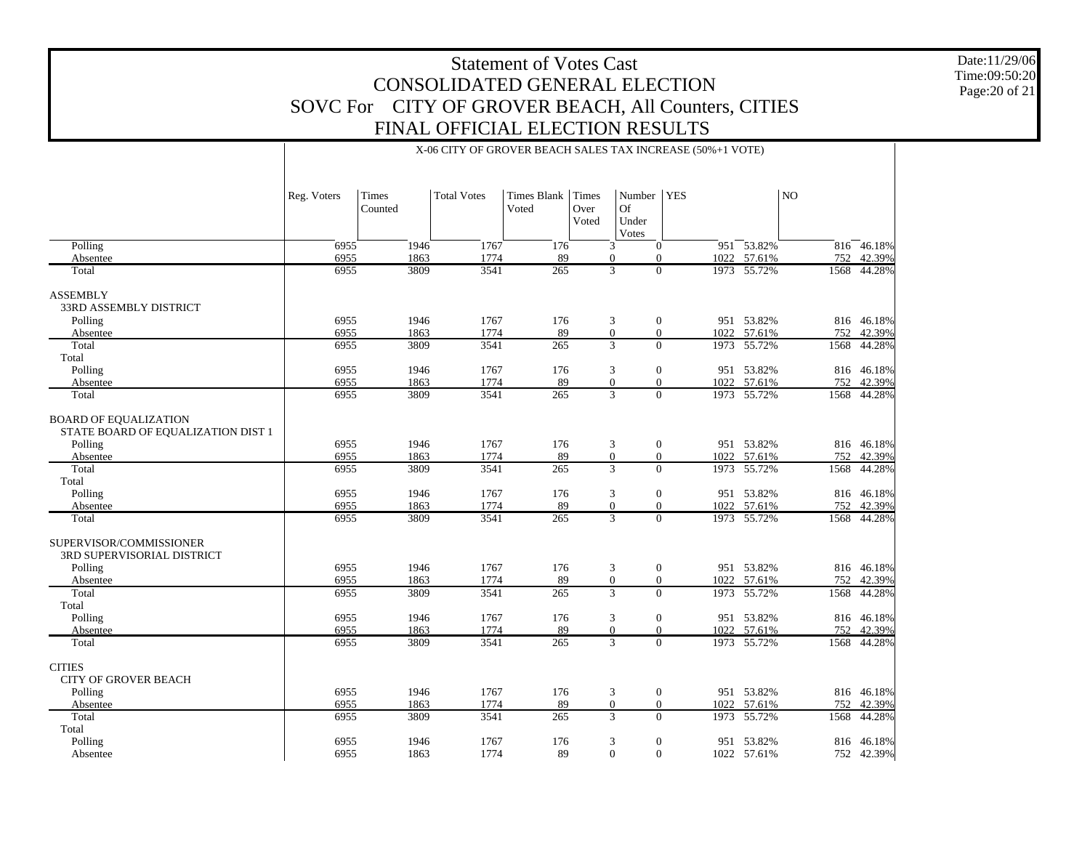Date:11/29/06 Time:09:50:20 Page:20 of 21

|                                                       |             |              |                    |             |                  |                             | X-06 CITY OF GROVER BEACH SALES TAX INCREASE (50%+1 VOTE) |                 |                |            |
|-------------------------------------------------------|-------------|--------------|--------------------|-------------|------------------|-----------------------------|-----------------------------------------------------------|-----------------|----------------|------------|
|                                                       | Reg. Voters | Times        | <b>Total Votes</b> | Times Blank | Times            | Number                      | <b>YES</b>                                                |                 | N <sub>O</sub> |            |
|                                                       |             | Counted      |                    | Voted       | Over<br>Voted    | <b>Of</b><br>Under<br>Votes |                                                           |                 |                |            |
| Polling                                               | 6955        | 1946         | 1767               | 176         |                  | 3                           | $\mathbf{0}$                                              | $951 - 53.82\%$ |                | 816 46.18% |
| Absentee                                              | 6955        | 1863         | 1774               | 89          | $\boldsymbol{0}$ | $\theta$                    | 1022                                                      | 57.61%          | 752            | 42.39%     |
| Total                                                 | 6955        | 3809         | 3541               | 265         | 3                |                             | $\mathbf{0}$                                              | 1973 55.72%     | 1568           | 44.28%     |
| <b>ASSEMBLY</b><br>33RD ASSEMBLY DISTRICT             |             |              |                    |             |                  |                             |                                                           |                 |                |            |
| Polling                                               | 6955        | 1946         | 1767               | 176         | 3                |                             | $\mathbf{0}$                                              | 951 53.82%      |                | 816 46.18% |
| Absentee                                              | 6955        | 1863         | 1774               | 89          | $\boldsymbol{0}$ | $\mathbf{0}$                | 1022                                                      | 57.61%          | 752            | 42.39%     |
| Total                                                 | 6955        | 3809         | 3541               | 265         | 3                |                             | $\Omega$<br>1973                                          | 55.72%          | 1568           | 44.28%     |
| Total                                                 |             |              |                    |             |                  |                             |                                                           |                 |                |            |
| Polling                                               | 6955        | 1946         | 1767               | 176         | 3                | $\mathbf{0}$                |                                                           | 951 53.82%      |                | 816 46.18% |
|                                                       | 6955        |              | 1774               | 89          | $\boldsymbol{0}$ | $\mathbf{0}$                | 1022                                                      | 57.61%          | 752            | 42.39%     |
| Absentee<br>Total                                     | 6955        | 1863<br>3809 | 3541               | 265         | 3                |                             | $\Omega$                                                  | 1973 55.72%     | 1568           | 44.28%     |
| <b>BOARD OF EQUALIZATION</b>                          |             |              |                    |             |                  |                             |                                                           |                 |                |            |
| STATE BOARD OF EQUALIZATION DIST 1                    |             |              |                    |             |                  |                             |                                                           |                 |                |            |
| Polling                                               | 6955        | 1946         | 1767               | 176         | 3                |                             | $\mathbf{0}$                                              | 951 53.82%      |                | 816 46.18% |
| Absentee                                              | 6955        | 1863         | 1774               | 89          | $\boldsymbol{0}$ | $\theta$                    | 1022                                                      | 57.61%          | 752            | 42.39%     |
| Total                                                 | 6955        | 3809         | 3541               | 265         | 3                |                             | $\Omega$<br>1973                                          | 55.72%          | 1568           | 44.28%     |
| Total                                                 |             |              |                    |             |                  |                             |                                                           |                 |                |            |
| Polling                                               | 6955        | 1946         | 1767               | 176         | 3                | $\mathbf{0}$                |                                                           | 951 53.82%      |                | 816 46.18% |
| Absentee                                              | 6955        | 1863         | 1774               | 89          | $\boldsymbol{0}$ | $\theta$                    | 1022                                                      | 57.61%          | 752            | 42.39%     |
| Total                                                 | 6955        | 3809         | 3541               | 265         | 3                |                             | $\mathbf{0}$                                              | 1973 55.72%     | 1568           | 44.28%     |
| SUPERVISOR/COMMISSIONER<br>3RD SUPERVISORIAL DISTRICT |             |              |                    |             |                  |                             |                                                           |                 |                |            |
| Polling                                               | 6955        | 1946         | 1767               | 176         | 3                |                             | $\overline{0}$                                            | 951 53.82%      |                | 816 46.18% |
| Absentee                                              | 6955        | 1863         | 1774               | 89          | $\boldsymbol{0}$ | $\mathbf{0}$                | 1022                                                      | 57.61%          | 752            | 42.39%     |
| Total                                                 | 6955        | 3809         | 3541               | 265         | 3                |                             | $\Omega$<br>1973                                          | 55.72%          | 1568           | 44.28%     |
| Total                                                 |             |              |                    |             |                  |                             |                                                           |                 |                |            |
| Polling                                               | 6955        | 1946         | 1767               | 176         | 3                | $\mathbf{0}$                |                                                           | 951 53.82%      |                | 816 46.18% |
| Absentee                                              | 6955        | 1863         | 1774               | 89          | $\boldsymbol{0}$ | $\theta$                    | 1022                                                      | 57.61%          | 752            | 42.39%     |
| Total                                                 | 6955        | 3809         | 3541               | 265         | 3                |                             | $\Omega$                                                  | 1973 55.72%     | 1568           | 44.28%     |
| <b>CITIES</b>                                         |             |              |                    |             |                  |                             |                                                           |                 |                |            |
| <b>CITY OF GROVER BEACH</b>                           |             |              |                    |             |                  |                             |                                                           |                 |                |            |
| Polling                                               | 6955        | 1946         | 1767               | 176         | 3                |                             | $\boldsymbol{0}$                                          | 951 53.82%      |                | 816 46.18% |
| Absentee                                              | 6955        | 1863         | 1774               | 89          | $\mathbf{0}$     | $\mathbf{0}$                | 1022                                                      | 57.61%          | 752            | 42.39%     |
| Total                                                 | 6955        | 3809         | 3541               | 265         | 3                |                             | $\Omega$<br>1973                                          | 55.72%          | 1568           | 44.28%     |
| Total                                                 |             |              |                    |             |                  |                             |                                                           |                 |                |            |
| Polling                                               | 6955        | 1946         | 1767               | 176         | 3                | $\mathbf{0}$                |                                                           | 951 53.82%      |                | 816 46.18% |
| Absentee                                              | 6955        | 1863         | 1774               | 89          | $\Omega$         | $\Omega$                    |                                                           | 1022 57.61%     |                | 752 42.39% |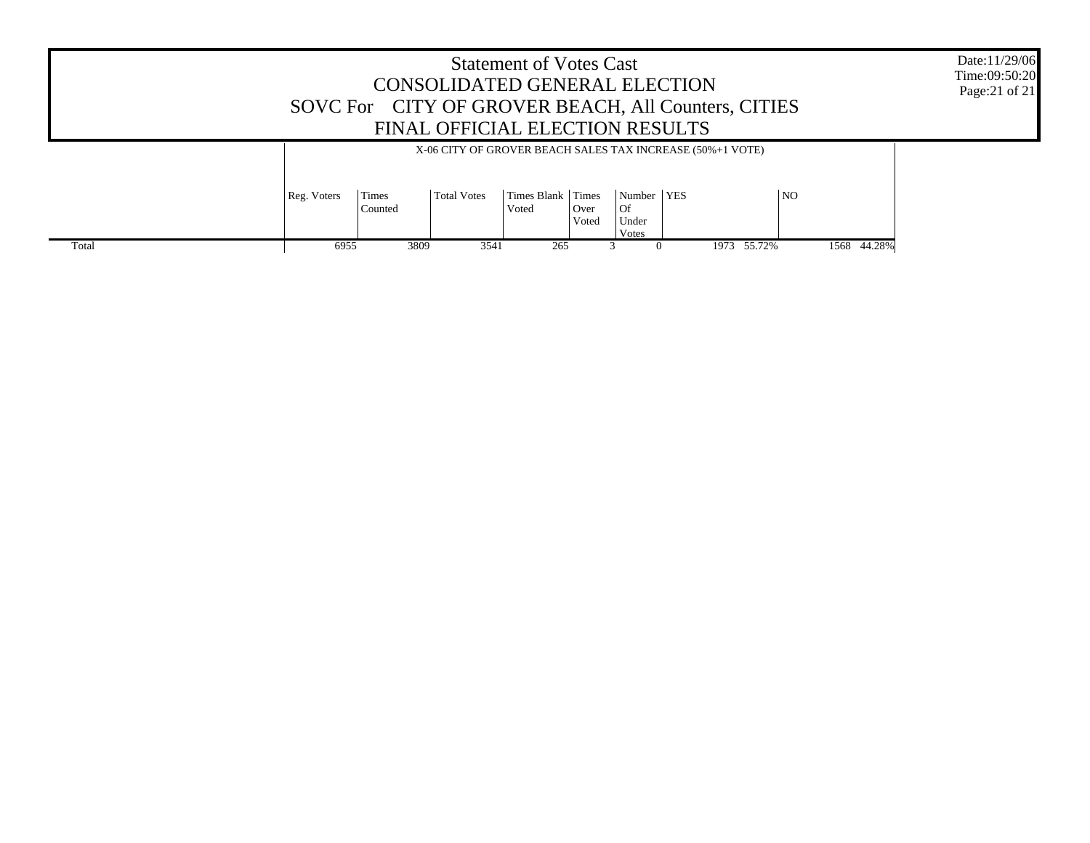|       |                                                                                                                                                                                                                            |      | CONSOLIDATED GENERAL ELECTION<br>FINAL OFFICIAL ELECTION RESULTS | <b>Statement of Votes Cast</b> |  |  | SOVC For CITY OF GROVER BEACH, All Counters, CITIES |  |             | Date:11/29/06<br>Time:09:50:20<br>Page: 21 of 21 |
|-------|----------------------------------------------------------------------------------------------------------------------------------------------------------------------------------------------------------------------------|------|------------------------------------------------------------------|--------------------------------|--|--|-----------------------------------------------------|--|-------------|--------------------------------------------------|
|       | X-06 CITY OF GROVER BEACH SALES TAX INCREASE (50%+1 VOTE)<br>Times Blank Times<br>Number   YES<br><b>NO</b><br>Reg. Voters<br>Times<br><b>Total Votes</b><br>l Of<br>Counted<br>  Over<br>Voted<br>Voted<br>Under<br>Votes |      |                                                                  |                                |  |  |                                                     |  |             |                                                  |
| Total | 6955                                                                                                                                                                                                                       | 3809 | 3541                                                             | 265                            |  |  | 1973 55.72%                                         |  | 1568 44.28% |                                                  |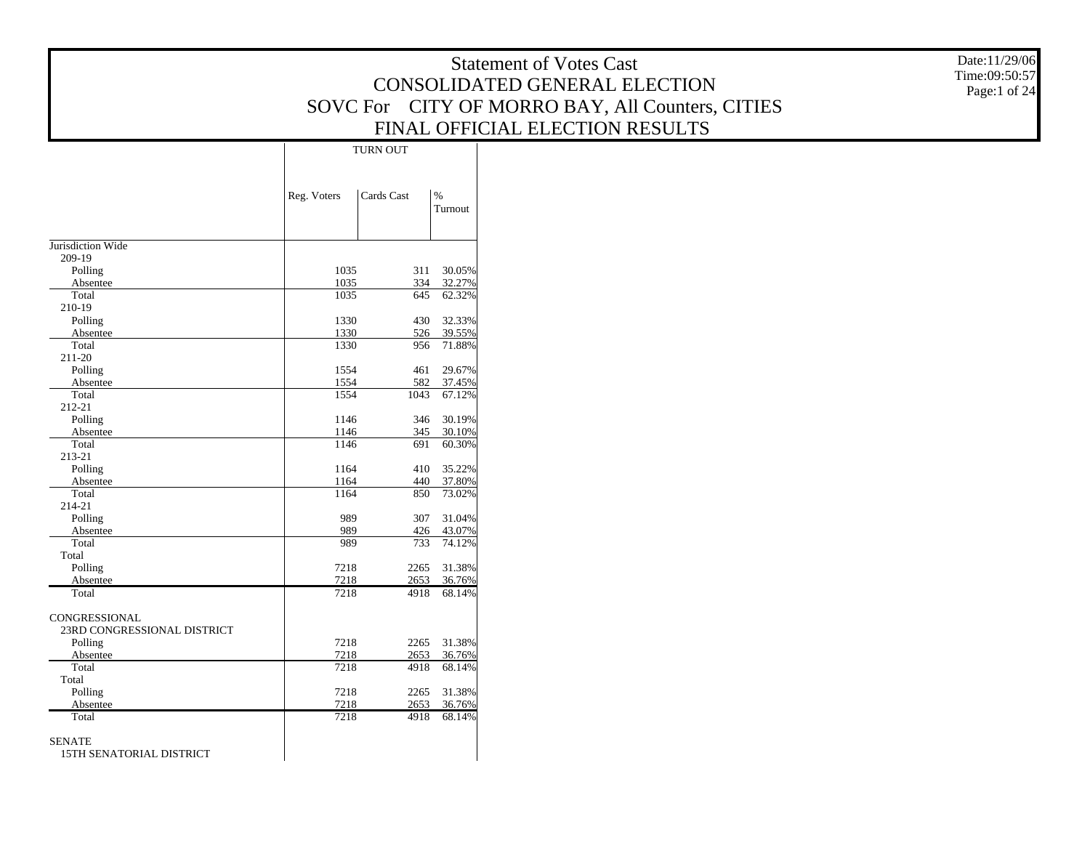|                             |              |              |                  | <b>Statement of Votes Cast</b>                   | Date:11/29/06                 |
|-----------------------------|--------------|--------------|------------------|--------------------------------------------------|-------------------------------|
|                             |              |              |                  | CONSOLIDATED GENERAL ELECTION                    | Time:09:50:57<br>Page:1 of 24 |
|                             |              |              |                  | SOVC For CITY OF MORRO BAY, All Counters, CITIES |                               |
|                             |              |              |                  |                                                  |                               |
|                             |              |              |                  | FINAL OFFICIAL ELECTION RESULTS                  |                               |
|                             |              | TURN OUT     |                  |                                                  |                               |
|                             |              |              |                  |                                                  |                               |
|                             |              |              |                  |                                                  |                               |
|                             | Reg. Voters  | Cards Cast   | $\%$<br>Turnout  |                                                  |                               |
|                             |              |              |                  |                                                  |                               |
|                             |              |              |                  |                                                  |                               |
| Jurisdiction Wide           |              |              |                  |                                                  |                               |
| 209-19<br>Polling           | 1035         |              | 311 30.05%       |                                                  |                               |
| Absentee                    | 1035         | 334          | 32.27%           |                                                  |                               |
| Total                       | 1035         | 645          | 62.32%           |                                                  |                               |
| 210-19                      |              |              |                  |                                                  |                               |
| Polling                     | 1330         | 430          | 32.33%           |                                                  |                               |
| Absentee                    | 1330         | 526          | 39.55%           |                                                  |                               |
| Total                       | 1330         | 956          | 71.88%           |                                                  |                               |
| 211-20                      |              |              |                  |                                                  |                               |
| Polling                     | 1554         | 461          | 29.67%           |                                                  |                               |
| Absentee<br>Total           | 1554<br>1554 | 582<br>1043  | 37.45%<br>67.12% |                                                  |                               |
| 212-21                      |              |              |                  |                                                  |                               |
| Polling                     | 1146         | 346          | 30.19%           |                                                  |                               |
| Absentee                    | 1146         | 345          | 30.10%           |                                                  |                               |
| Total                       | 1146         | 691          | 60.30%           |                                                  |                               |
| 213-21                      |              |              |                  |                                                  |                               |
| Polling                     | 1164         | 410          | 35.22%           |                                                  |                               |
| Absentee<br>Total           | 1164<br>1164 | 440<br>850   | 37.80%<br>73.02% |                                                  |                               |
| 214-21                      |              |              |                  |                                                  |                               |
| Polling                     | 989          |              | 307 31.04%       |                                                  |                               |
| Absentee                    | 989          | 426          | 43.07%           |                                                  |                               |
| Total                       | 989          | 733          | 74.12%           |                                                  |                               |
| Total                       |              |              |                  |                                                  |                               |
| Polling                     | 7218         | 2265         | 31.38%           |                                                  |                               |
| Absentee                    | 7218         | 2653         | 36.76%           |                                                  |                               |
| Total                       | 7218         | 4918         | 68.14%           |                                                  |                               |
| CONGRESSIONAL               |              |              |                  |                                                  |                               |
| 23RD CONGRESSIONAL DISTRICT |              |              |                  |                                                  |                               |
| Polling                     | 7218         |              | 2265 31.38%      |                                                  |                               |
| Absentee                    | 7218         | 2653         | 36.76%           |                                                  |                               |
| Total                       | 7218         | 4918         | 68.14%           |                                                  |                               |
| Total                       |              |              |                  |                                                  |                               |
| Polling                     | 7218         | 2265         | 31.38%           |                                                  |                               |
| Absentee<br>Total           | 7218<br>7218 | 2653<br>4918 | 36.76%<br>68.14% |                                                  |                               |
|                             |              |              |                  |                                                  |                               |
| <b>SENATE</b>               |              |              |                  |                                                  |                               |
| 15TH SENATORIAL DISTRICT    |              |              |                  |                                                  |                               |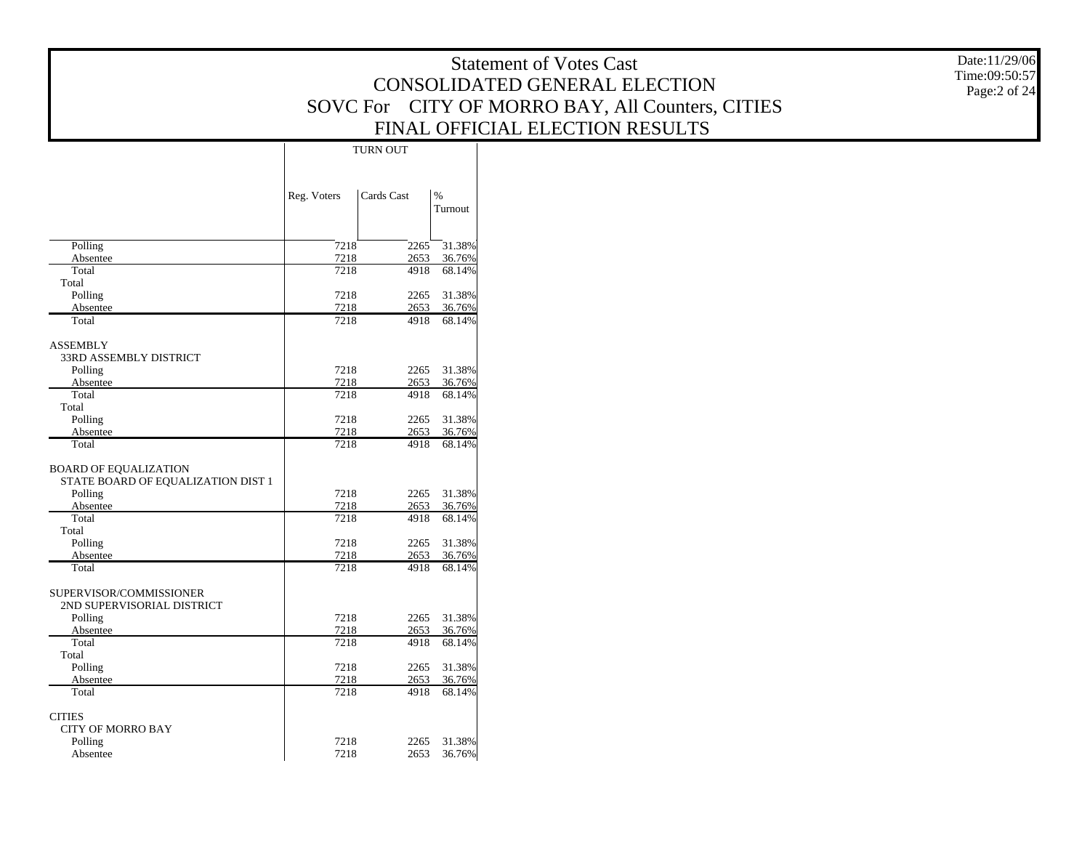Date:11/29/06 Time:09:50:57 Page:2 of 24

|                                                                               |              | <b>TURN OUT</b> |                          |
|-------------------------------------------------------------------------------|--------------|-----------------|--------------------------|
|                                                                               | Reg. Voters  | Cards Cast      | $\frac{9}{6}$<br>Turnout |
| Polling                                                                       | 7218         | 2265            | 31.38%                   |
| Absentee                                                                      | 7218         | 2653            | 36.76%                   |
| Total                                                                         | 7218         | 4918            | 68.14%                   |
| Total                                                                         |              |                 |                          |
| Polling                                                                       | 7218         | 2265            | 31.38%                   |
| Absentee                                                                      | 7218         | 2653            | 36.76%                   |
| Total                                                                         | 7218         | 4918            | 68.14%                   |
| <b>ASSEMBLY</b>                                                               |              |                 |                          |
| <b>33RD ASSEMBLY DISTRICT</b>                                                 |              |                 |                          |
| Polling                                                                       | 7218         | 2265            | 31.38%                   |
| Absentee                                                                      | 7218         | 2653            | 36.76%                   |
| Total                                                                         | 7218         | 4918            | 68.14%                   |
| Total                                                                         |              |                 |                          |
| Polling                                                                       | 7218         | 2265            | 31.38%                   |
| Absentee                                                                      | 7218         | 2653            | 36.76%                   |
| Total                                                                         | 7218         | 4918            | 68.14%                   |
| <b>BOARD OF EQUALIZATION</b><br>STATE BOARD OF EQUALIZATION DIST 1<br>Polling | 7218         | 2265            | 31.38%                   |
| Absentee                                                                      | 7218         | 2653            | 36.76%                   |
| Total                                                                         | 7218         | 4918            | 68.14%                   |
| Total                                                                         |              |                 |                          |
| Polling                                                                       | 7218         | 2265            | 31.38%                   |
| Absentee<br>Total                                                             | 7218<br>7218 | 2653<br>4918    | 36.76%<br>68.14%         |
|                                                                               |              |                 |                          |
| SUPERVISOR/COMMISSIONER<br>2ND SUPERVISORIAL DISTRICT                         |              |                 |                          |
| Polling                                                                       | 7218         | 2265            | 31.38%                   |
| Absentee<br>Total                                                             | 7218<br>7218 | 2653<br>4918    | 36.76%                   |
| Total                                                                         |              |                 | 68.14%                   |
| Polling                                                                       | 7218         | 2265            | 31.38%                   |
| Absentee                                                                      | 7218         | 2653            | 36.76%                   |
| Total                                                                         | 7218         | 4918            | 68.14%                   |
| CITIES                                                                        |              |                 |                          |
| <b>CITY OF MORRO BAY</b>                                                      |              |                 |                          |
| Polling                                                                       | 7218         | 2265            | 31.38%                   |
| Absentee                                                                      | 7218         | 2653            | 36.76%                   |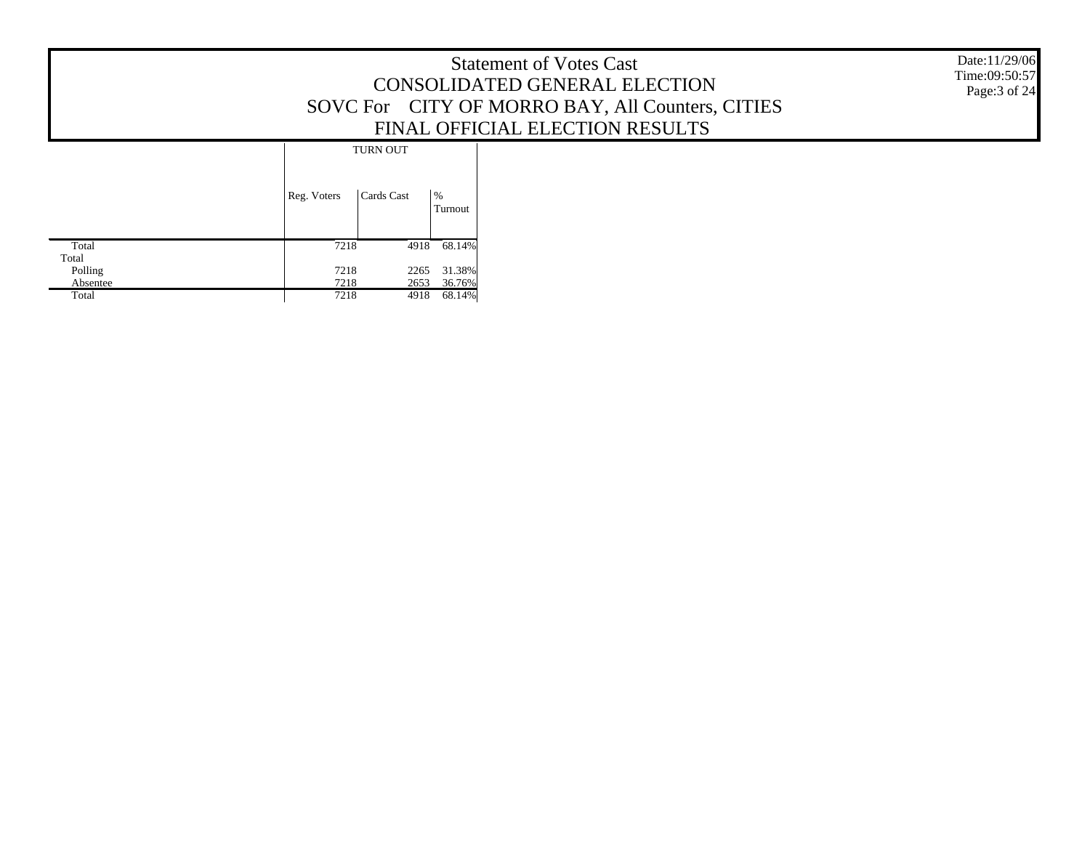Date:11/29/06 Time:09:50:57 Page:3 of 24

|          |             | <b>TURN OUT</b> |              |
|----------|-------------|-----------------|--------------|
|          | Reg. Voters | Cards Cast      | %<br>Turnout |
| Total    | 7218        | 4918            | 68.14%       |
| Total    |             |                 |              |
| Polling  | 7218        | 2265            | 31.38%       |
| Absentee | 7218        | 2653            | 36.76%       |
| Total    | 7218        | 4918            | 68.14%       |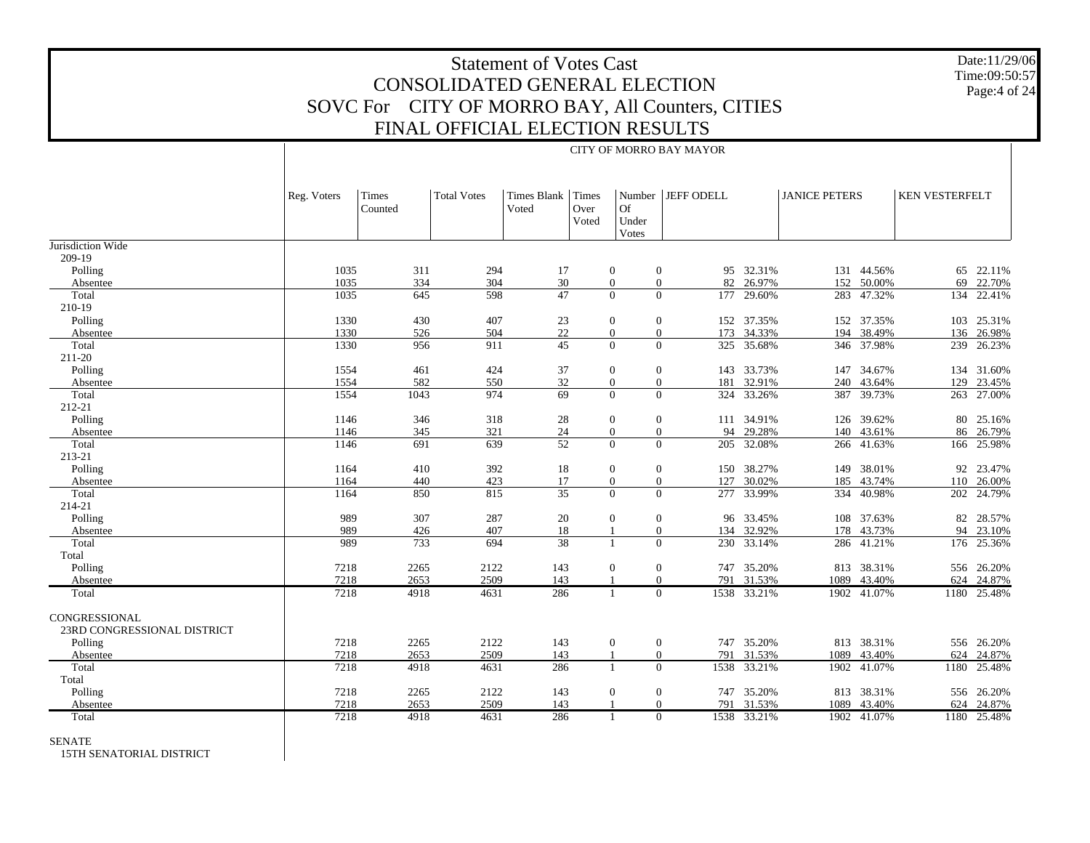Date:11/29/06 Time:09:50:57Page:4 of 24

|                             |             | CITY OF MORRO BAY MAYOR |                    |                      |               |                  |                  |                   |             |                      |             |                       |             |
|-----------------------------|-------------|-------------------------|--------------------|----------------------|---------------|------------------|------------------|-------------------|-------------|----------------------|-------------|-----------------------|-------------|
|                             | Reg. Voters | Times<br>Counted        | <b>Total Votes</b> | Times Blank<br>Voted | Times<br>Over | <b>Of</b>        |                  | Number JEFF ODELL |             | <b>JANICE PETERS</b> |             | <b>KEN VESTERFELT</b> |             |
|                             |             |                         |                    |                      | Voted         | Under<br>Votes   |                  |                   |             |                      |             |                       |             |
| Jurisdiction Wide           |             |                         |                    |                      |               |                  |                  |                   |             |                      |             |                       |             |
| 209-19                      |             |                         |                    |                      |               |                  |                  |                   |             |                      |             |                       |             |
| Polling                     | 1035        | 311                     | 294                | 17                   |               | $\mathbf{0}$     | $\boldsymbol{0}$ |                   | 95 32.31%   |                      | 131 44.56%  |                       | 65 22.11%   |
| Absentee                    | 1035        | 334                     | 304                | 30                   |               | $\mathbf{0}$     | $\mathbf{0}$     |                   | 82 26.97%   |                      | 152 50.00%  |                       | 69 22.70%   |
| Total                       | 1035        | 645                     | 598                | 47                   |               | $\Omega$         | $\Omega$         | 177               | 29.60%      |                      | 283 47.32%  | 134                   | 22.41%      |
| 210-19                      |             |                         |                    |                      |               |                  |                  |                   |             |                      |             |                       |             |
| Polling                     | 1330        | 430                     | 407                | 23                   |               | $\mathbf{0}$     | $\mathbf{0}$     |                   | 152 37.35%  |                      | 152 37.35%  | 103                   | 25.31%      |
| Absentee                    | 1330        | 526                     | 504                | 22                   |               | $\overline{0}$   | $\mathbf{0}$     |                   | 173 34.33%  |                      | 194 38.49%  | 136                   | 26.98%      |
| Total                       | 1330        | 956                     | 911                | $\overline{45}$      |               | $\Omega$         | $\Omega$         |                   | 325 35.68%  |                      | 346 37.98%  | 239                   | 26.23%      |
| 211-20                      |             |                         |                    |                      |               |                  |                  |                   |             |                      |             |                       |             |
| Polling                     | 1554        | 461                     | 424                | 37                   |               | $\mathbf{0}$     | $\mathbf{0}$     |                   | 143 33.73%  |                      | 147 34.67%  |                       | 134 31.60%  |
| Absentee                    | 1554        | 582                     | 550                | 32                   |               | $\mathbf{0}$     | $\boldsymbol{0}$ |                   | 181 32.91%  |                      | 240 43.64%  | 129                   | 23.45%      |
| Total                       | 1554        | 1043                    | 974                | 69                   |               | $\Omega$         | $\Omega$         |                   | 324 33.26%  |                      | 387 39.73%  |                       | 263 27.00%  |
| 212-21                      |             |                         |                    |                      |               |                  |                  |                   |             |                      |             |                       |             |
| Polling                     | 1146        | 346                     | 318                | 28                   |               | $\boldsymbol{0}$ | $\mathbf{0}$     |                   | 111 34.91%  |                      | 126 39.62%  |                       | 80 25.16%   |
| Absentee                    | 1146        | 345                     | 321                | $24\,$               |               | $\overline{0}$   | $\mathbf{0}$     |                   | 94 29.28%   |                      | 140 43.61%  |                       | 86 26.79%   |
| Total                       | 1146        | $\overline{691}$        | 639                | $\overline{52}$      |               | $\Omega$         | $\Omega$         |                   | 205 32.08%  |                      | 266 41.63%  |                       | 166 25.98%  |
| 213-21                      |             |                         |                    |                      |               |                  |                  |                   |             |                      |             |                       |             |
| Polling                     | 1164        | 410                     | 392                | 18                   |               | $\mathbf{0}$     | $\mathbf{0}$     |                   | 150 38.27%  |                      | 149 38.01%  |                       | 92 23.47%   |
| Absentee                    | 1164        | 440                     | 423                | 17                   |               | $\overline{0}$   | $\mathbf{0}$     |                   | 127 30.02%  |                      | 185 43.74%  | 110                   | 26.00%      |
| Total                       | 1164        | 850                     | 815                | $\overline{35}$      |               | $\Omega$         | $\Omega$         |                   | 277 33.99%  |                      | 334 40.98%  | 202                   | 24.79%      |
| 214-21                      |             |                         |                    |                      |               |                  |                  |                   |             |                      |             |                       |             |
| Polling                     | 989         | 307                     | 287                | 20                   |               | $\overline{0}$   | $\mathbf{0}$     |                   | 96 33.45%   |                      | 108 37.63%  |                       | 82 28.57%   |
| Absentee                    | 989         | 426                     | 407                | 18                   |               |                  | $\mathbf{0}$     |                   | 134 32.92%  |                      | 178 43.73%  |                       | 94 23.10%   |
| Total                       | 989         | 733                     | 694                | $\overline{38}$      |               |                  | $\Omega$         |                   | 230 33.14%  |                      | 286 41.21%  |                       | 176 25.36%  |
| Total                       |             |                         |                    |                      |               |                  |                  |                   |             |                      |             |                       |             |
| Polling                     | 7218        | 2265                    | 2122               | 143                  |               | $\mathbf{0}$     | $\mathbf{0}$     |                   | 747 35.20%  |                      | 813 38.31%  |                       | 556 26.20%  |
| Absentee                    | 7218        | 2653                    | 2509               | 143                  |               |                  | $\Omega$         |                   | 791 31.53%  | 1089                 | 43.40%      |                       | 624 24.87%  |
| Total                       | 7218        | 4918                    | 4631               | 286                  |               | $\mathbf{1}$     | $\Omega$         |                   | 1538 33.21% |                      | 1902 41.07% |                       | 1180 25.48% |
| CONGRESSIONAL               |             |                         |                    |                      |               |                  |                  |                   |             |                      |             |                       |             |
| 23RD CONGRESSIONAL DISTRICT |             |                         |                    |                      |               |                  |                  |                   |             |                      |             |                       |             |
| Polling                     | 7218        | 2265                    | 2122               | 143                  |               | $\mathbf{0}$     | $\mathbf{0}$     |                   | 747 35.20%  |                      | 813 38.31%  |                       | 556 26.20%  |
| Absentee                    | 7218        | 2653                    | 2509               | 143                  |               |                  | $\mathbf{0}$     |                   | 791 31.53%  | 1089                 | 43.40%      |                       | 624 24.87%  |
| Total                       | 7218        | 4918                    | 4631               | 286                  |               | $\mathbf{1}$     | $\Omega$         |                   | 1538 33.21% |                      | 1902 41.07% |                       | 1180 25.48% |
| Total                       |             |                         |                    |                      |               |                  |                  |                   |             |                      |             |                       |             |
| Polling                     | 7218        | 2265                    | 2122               | 143                  |               | $\mathbf{0}$     | $\mathbf{0}$     |                   | 747 35.20%  |                      | 813 38.31%  |                       | 556 26.20%  |
| Absentee                    | 7218        | 2653                    | 2509               | 143                  |               |                  | $\mathbf{0}$     |                   | 791 31.53%  | 1089                 | 43.40%      |                       | 624 24.87%  |
| Total                       | 7218        | 4918                    | 4631               | 286                  |               |                  | $\Omega$         |                   | 1538 33.21% |                      | 1902 41.07% |                       | 1180 25.48% |
|                             |             |                         |                    |                      |               |                  |                  |                   |             |                      |             |                       |             |

SENATE

15TH SENATORIAL DISTRICT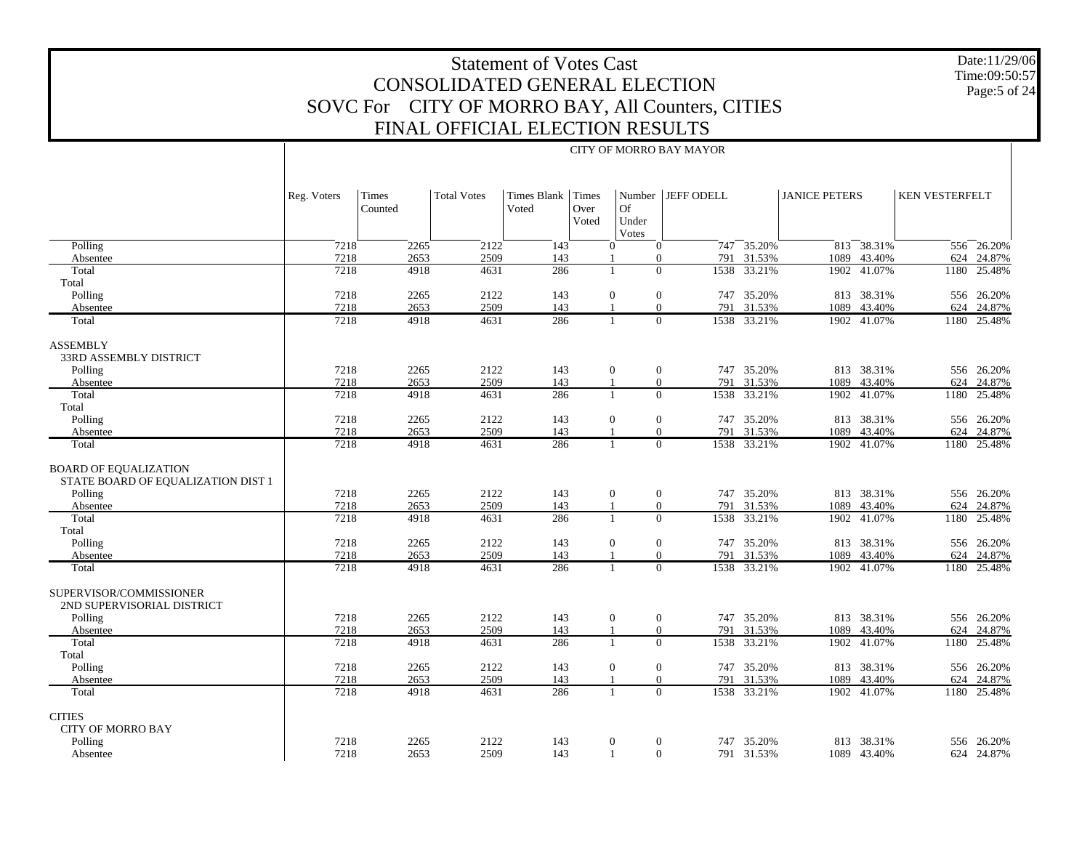Date:11/29/06 Time:09:50:57 Page:5 of 24

|                                                                    |             |                  |                    |                      |                        |                      | CITY OF MORRO BAY MAYOR |                |                      |                 |                |             |
|--------------------------------------------------------------------|-------------|------------------|--------------------|----------------------|------------------------|----------------------|-------------------------|----------------|----------------------|-----------------|----------------|-------------|
|                                                                    | Reg. Voters | Times<br>Counted | <b>Total Votes</b> | Times Blank<br>Voted | Times<br>Over<br>Voted | Of<br>Under<br>Votes | Number   JEFF ODELL     |                | <b>JANICE PETERS</b> |                 | KEN VESTERFELT |             |
| Polling                                                            | 7218        | 2265             | 2122               | 143                  |                        | $\theta$             | $\overline{0}$          | $747 - 35.20%$ |                      | $813 - 38.31\%$ |                | 556 26.20%  |
| Absentee                                                           | 7218        | 2653             | 2509               | 143                  |                        |                      | $\overline{0}$          | 791 31.53%     | 1089                 | 43.40%          | 624            | 24.87%      |
| Total                                                              | 7218        | 4918             | 4631               | 286                  |                        | $\overline{1}$       | $\Omega$<br>1538        | 33.21%         |                      | 1902 41.07%     | 1180           | 25.48%      |
| Total                                                              |             |                  |                    |                      |                        |                      |                         |                |                      |                 |                |             |
| Polling                                                            | 7218        | 2265             | 2122               | 143                  |                        | $\mathbf{0}$         | $\mathbf{0}$            | 747 35.20%     |                      | 813 38.31%      |                | 556 26.20%  |
| Absentee                                                           | 7218        | 2653             | 2509               | 143                  |                        |                      | $\theta$                | 791 31.53%     | 1089                 | 43.40%          | 624            | 24.87%      |
| Total                                                              | 7218        | 4918             | 4631               | 286                  |                        | $\overline{1}$       | $\overline{0}$          | 1538 33.21%    |                      | 1902 41.07%     |                | 1180 25.48% |
| <b>ASSEMBLY</b><br><b>33RD ASSEMBLY DISTRICT</b>                   |             |                  |                    |                      |                        |                      |                         |                |                      |                 |                |             |
| Polling                                                            | 7218        | 2265             | 2122               | 143                  |                        | $\mathbf{0}$         | $\mathbf{0}$            | 747 35.20%     |                      | 813 38.31%      |                | 556 26.20%  |
| Absentee                                                           | 7218        | 2653             | 2509               | 143                  |                        | $\overline{1}$       | $\overline{0}$          | 791 31.53%     | 1089                 | 43.40%          | 624            | 24.87%      |
| Total                                                              | 7218        | 4918             | 4631               | 286                  |                        | $\overline{1}$       | $\overline{0}$<br>1538  | 33.21%         | 1902                 | 41.07%          | 1180           | 25.48%      |
| Total                                                              |             |                  |                    |                      |                        |                      |                         |                |                      |                 |                |             |
| Polling                                                            | 7218        | 2265             | 2122               | 143                  |                        | $\mathbf{0}$         | $\mathbf{0}$            | 747 35.20%     |                      | 813 38.31%      |                | 556 26.20%  |
| Absentee                                                           | 7218        | 2653             | 2509               | 143                  |                        |                      | 791<br>$\overline{0}$   | 31.53%         | 1089                 | 43.40%          | 624            | 24.87%      |
| Total                                                              | 7218        | 4918             | 4631               | 286                  |                        | -1                   | $\overline{0}$<br>1538  | 33.21%         |                      | 1902 41.07%     |                | 1180 25.48% |
| <b>BOARD OF EQUALIZATION</b><br>STATE BOARD OF EQUALIZATION DIST 1 |             |                  |                    |                      |                        |                      |                         |                |                      |                 |                |             |
| Polling                                                            | 7218        | 2265             | 2122               | 143                  |                        | $\mathbf{0}$         | $\mathbf{0}$            | 747 35.20%     |                      | 813 38.31%      |                | 556 26.20%  |
| Absentee                                                           | 7218        | 2653             | 2509               | 143                  |                        |                      | $\overline{0}$<br>791   | 31.53%         |                      | 1089 43.40%     | 624            | 24.87%      |
| Total<br>Total                                                     | 7218        | 4918             | 4631               | 286                  |                        | $\overline{1}$       | $\theta$<br>1538        | 33.21%         |                      | 1902 41.07%     | 1180           | 25.48%      |
| Polling                                                            | 7218        | 2265             | 2122               | 143                  |                        | $\mathbf{0}$         | $\mathbf{0}$            | 747 35.20%     |                      | 813 38.31%      |                | 556 26.20%  |
| Absentee                                                           | 7218        | 2653             | 2509               | 143                  |                        |                      | $\overline{0}$<br>791   | 31.53%         | 1089                 | 43.40%          | 624            | 24.87%      |
| Total                                                              | 7218        | 4918             | 4631               | 286                  |                        |                      | $\theta$                | 1538 33.21%    |                      | 1902 41.07%     |                | 1180 25.48% |
| SUPERVISOR/COMMISSIONER<br>2ND SUPERVISORIAL DISTRICT              |             |                  |                    |                      |                        |                      |                         |                |                      |                 |                |             |
| Polling                                                            | 7218        | 2265             | 2122               | 143                  |                        | $\mathbf{0}$         | $\mathbf{0}$            | 747 35.20%     |                      | 813 38.31%      |                | 556 26.20%  |
| Absentee                                                           | 7218        | 2653             | 2509               | 143                  |                        |                      | $\overline{0}$<br>791   | 31.53%         | 1089                 | 43.40%          | 624            | 24.87%      |
| Total<br>Total                                                     | 7218        | 4918             | 4631               | 286                  |                        | $\overline{1}$       | $\Omega$<br>1538        | 33.21%         | 1902                 | 41.07%          | 1180           | 25.48%      |
| Polling                                                            | 7218        | 2265             | 2122               | 143                  |                        | $\mathbf{0}$         | $\mathbf{0}$            | 747 35.20%     |                      | 813 38.31%      |                | 556 26.20%  |
| Absentee                                                           | 7218        | 2653             | 2509               | 143                  |                        |                      | $\overline{0}$<br>791   | 31.53%         | 1089                 | 43.40%          | 624            | 24.87%      |
| Total                                                              | 7218        | 4918             | 4631               | 286                  |                        | $\overline{1}$       | $\overline{0}$          | 1538 33.21%    |                      | 1902 41.07%     |                | 1180 25.48% |
| <b>CITIES</b><br><b>CITY OF MORRO BAY</b>                          |             |                  |                    |                      |                        |                      |                         |                |                      |                 |                |             |
| Polling                                                            | 7218        | 2265             | 2122               | 143                  |                        | $\mathbf{0}$         | $\boldsymbol{0}$        | 747 35.20%     |                      | 813 38.31%      | 556            | 26.20%      |
| Absentee                                                           | 7218        | 2653             | 2509               | 143                  |                        | -1                   | $\mathbf{0}$            | 791 31.53%     |                      | 1089 43.40%     | 624            | 24.87%      |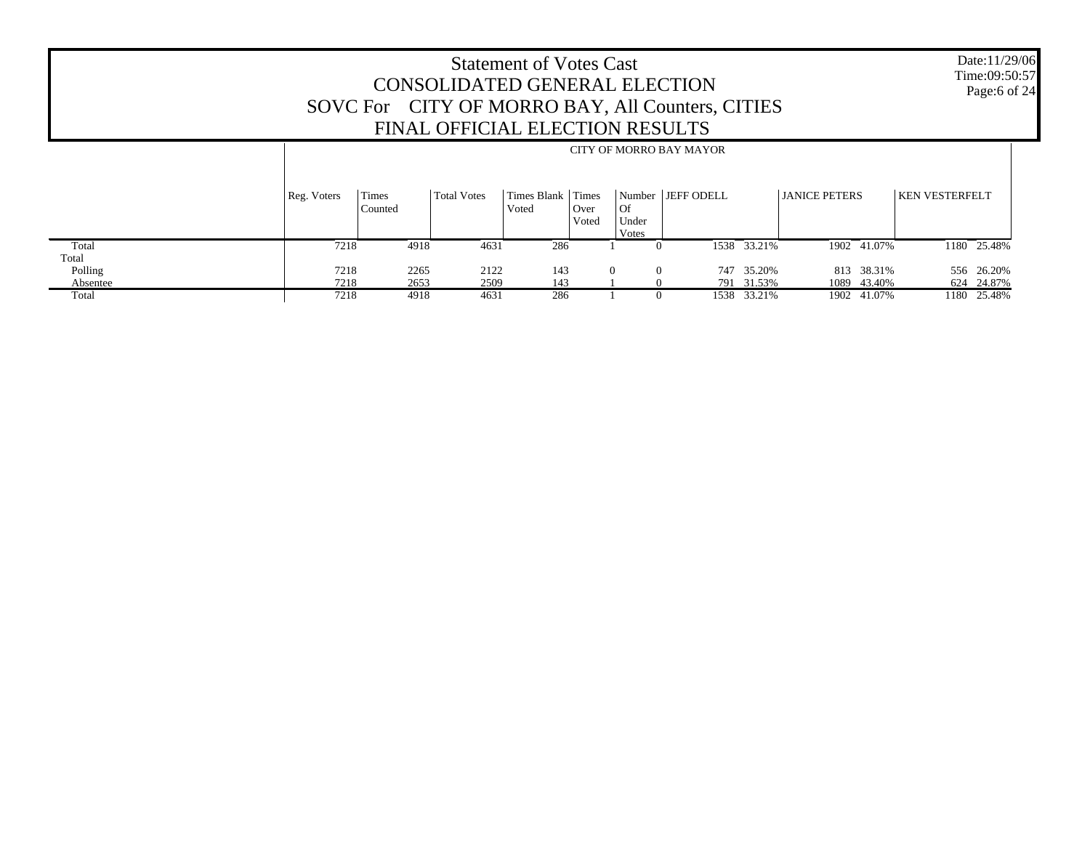Date:11/29/06 Time:09:50:57 Page:6 of 24

|          |             | CITY OF MORRO BAY MAYOR |                    |                      |                        |                      |                     |             |                      |  |                       |             |
|----------|-------------|-------------------------|--------------------|----------------------|------------------------|----------------------|---------------------|-------------|----------------------|--|-----------------------|-------------|
|          | Reg. Voters | Times<br>Counted        | <b>Total Votes</b> | Times Blank<br>Voted | Times<br>Over<br>Voted | Of<br>Under<br>Votes | Number   JEFF ODELL |             | <b>JANICE PETERS</b> |  | <b>KEN VESTERFELT</b> |             |
| Total    | 7218        | 4918                    | 4631               | 286                  |                        |                      |                     | 1538 33.21% | 1902 41.07%          |  |                       | 1180 25.48% |
| Total    |             |                         |                    |                      |                        |                      |                     |             |                      |  |                       |             |
| Polling  | 7218        | 2265                    | 2122               | 143                  |                        | $\Omega$<br>$\Omega$ |                     | 747 35.20%  | 813 38.31%           |  |                       | 556 26.20%  |
| Absentee | 7218        | 2653                    | 2509               | 143                  |                        |                      |                     | 791 31.53%  | 1089 43.40%          |  |                       | 624 24.87%  |
| Total    | 7218        | 4918                    | 4631               | 286                  |                        |                      |                     | 1538 33.21% | 1902 41.07%          |  |                       | 1180 25.48% |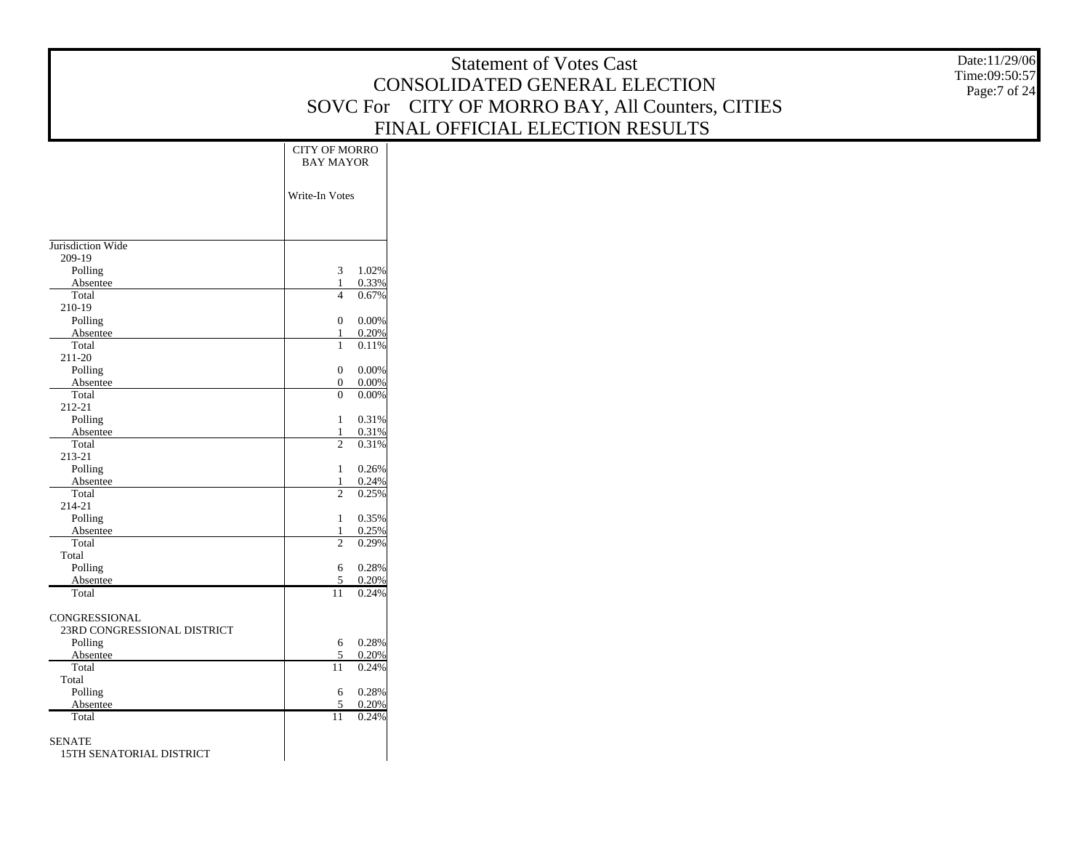|                             |                                                | <b>Statement of Votes Cast</b>                   | Date:11/29/06<br>Time:09:50:57 |
|-----------------------------|------------------------------------------------|--------------------------------------------------|--------------------------------|
|                             |                                                | CONSOLIDATED GENERAL ELECTION                    | Page:7 of 24                   |
|                             |                                                | SOVC For CITY OF MORRO BAY, All Counters, CITIES |                                |
|                             |                                                | FINAL OFFICIAL ELECTION RESULTS                  |                                |
|                             | CITY OF MORRO                                  |                                                  |                                |
|                             | <b>BAY MAYOR</b>                               |                                                  |                                |
|                             |                                                |                                                  |                                |
|                             | Write-In Votes                                 |                                                  |                                |
|                             |                                                |                                                  |                                |
|                             |                                                |                                                  |                                |
| Jurisdiction Wide           |                                                |                                                  |                                |
| 209-19                      |                                                |                                                  |                                |
| Polling<br>Absentee         | 3<br>1.02%<br>0.33%<br>$\mathbf{1}$            |                                                  |                                |
| Total                       | 0.67%<br>$\overline{4}$                        |                                                  |                                |
| 210-19                      |                                                |                                                  |                                |
| Polling                     | 0.00%<br>$\mathbf{0}$                          |                                                  |                                |
| Absentee<br>Total           | 0.20%<br>$\mathbf{1}$<br>0.11%<br>$\mathbf{1}$ |                                                  |                                |
| 211-20                      |                                                |                                                  |                                |
| Polling                     | 0.00%<br>$\mathbf{0}$                          |                                                  |                                |
| Absentee<br>Total           | $\mathbf{0}$<br>0.00%<br>$\mathbf{0}$<br>0.00% |                                                  |                                |
| 212-21                      |                                                |                                                  |                                |
| Polling                     | 0.31%<br>$\mathbf{1}$                          |                                                  |                                |
| Absentee                    | 0.31%<br>$\mathbf{1}$                          |                                                  |                                |
| Total<br>213-21             | $\overline{2}$<br>0.31%                        |                                                  |                                |
| Polling                     | 0.26%<br>1                                     |                                                  |                                |
| Absentee                    | 0.24%<br>$\mathbf{1}$                          |                                                  |                                |
| Total<br>214-21             | $\overline{2}$<br>0.25%                        |                                                  |                                |
| Polling                     | 0.35%<br>$\mathbf{1}$                          |                                                  |                                |
| Absentee                    | 0.25%<br>$\mathbf{1}$                          |                                                  |                                |
| Total                       | 2<br>0.29%                                     |                                                  |                                |
| Total<br>Polling            | 0.28%<br>6                                     |                                                  |                                |
| Absentee                    | $\overline{5}$<br>0.20%                        |                                                  |                                |
| Total                       | 0.24%<br>11                                    |                                                  |                                |
| CONGRESSIONAL               |                                                |                                                  |                                |
| 23RD CONGRESSIONAL DISTRICT |                                                |                                                  |                                |
| Polling                     | 0.28%<br>6                                     |                                                  |                                |
| Absentee<br>Total           | 5<br>0.20%<br>11                               |                                                  |                                |
| Total                       | 0.24%                                          |                                                  |                                |
| Polling                     | 0.28%<br>6                                     |                                                  |                                |
| Absentee                    | 5<br>0.20%                                     |                                                  |                                |
| Total                       | 0.24%<br>11                                    |                                                  |                                |
| <b>SENATE</b>               |                                                |                                                  |                                |
| 15TH SENATORIAL DISTRICT    |                                                |                                                  |                                |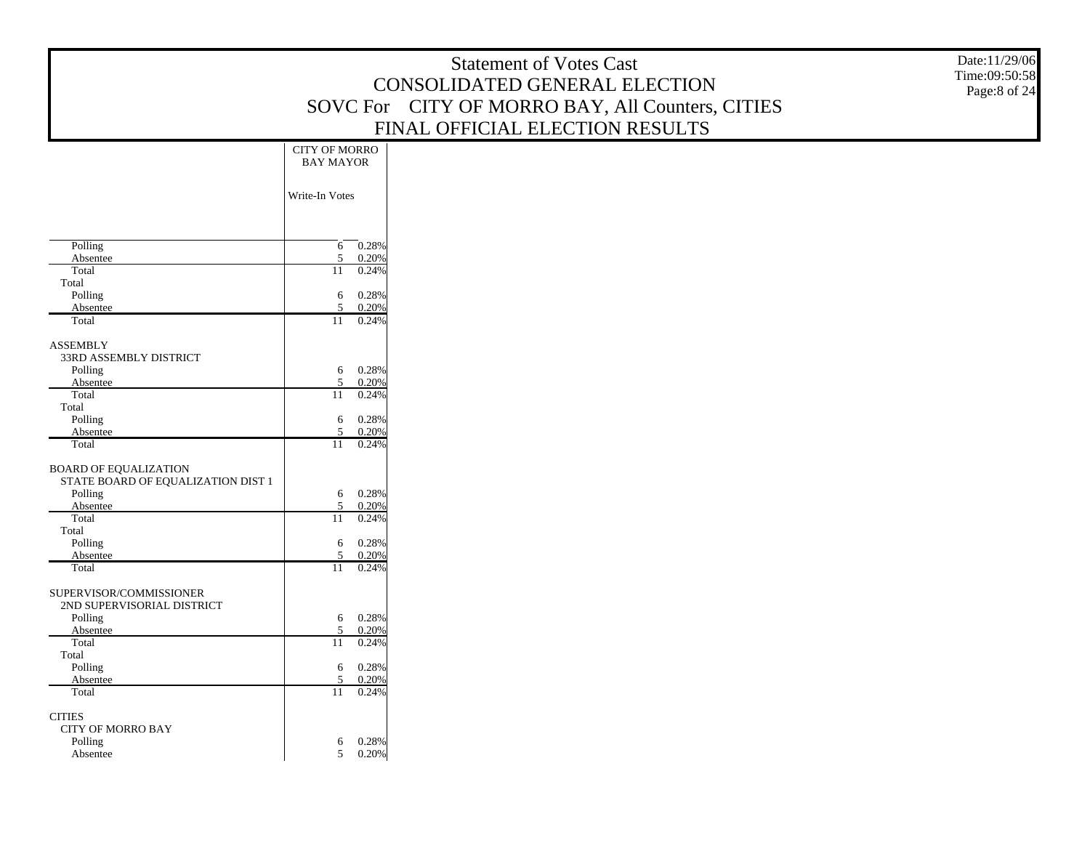|                                               |                                          | <b>Statement of Votes Cast</b>                   | Date:11/29/06<br>Time:09:50:58 |
|-----------------------------------------------|------------------------------------------|--------------------------------------------------|--------------------------------|
|                                               |                                          | CONSOLIDATED GENERAL ELECTION                    | Page:8 of 24                   |
|                                               |                                          | SOVC For CITY OF MORRO BAY, All Counters, CITIES |                                |
|                                               |                                          | FINAL OFFICIAL ELECTION RESULTS                  |                                |
|                                               | CITY OF MORRO<br><b>BAY MAYOR</b>        |                                                  |                                |
|                                               |                                          |                                                  |                                |
|                                               | Write-In Votes                           |                                                  |                                |
|                                               |                                          |                                                  |                                |
| Polling<br>Absentee                           | $\boxed{0.28\%}$<br>6<br>0.20%<br>5      |                                                  |                                |
| Total                                         | 0.24%<br>11                              |                                                  |                                |
| Total<br>Polling                              | 0.28%<br>6                               |                                                  |                                |
| Absentee<br>Total                             | 0.20%<br>$\overline{5}$<br>0.24%<br>11   |                                                  |                                |
| <b>ASSEMBLY</b>                               |                                          |                                                  |                                |
| 33RD ASSEMBLY DISTRICT<br>Polling             | 0.28%<br>6                               |                                                  |                                |
| Absentee<br>Total                             | 0.20%<br>5<br>0.24%                      |                                                  |                                |
| Total                                         | 11                                       |                                                  |                                |
| Polling<br>Absentee                           | 0.28%<br>6<br>0.20%<br>$\overline{5}$    |                                                  |                                |
| Total                                         | 0.24%<br>11                              |                                                  |                                |
| <b>BOARD OF EQUALIZATION</b>                  |                                          |                                                  |                                |
| STATE BOARD OF EQUALIZATION DIST 1<br>Polling | 0.28%<br>6                               |                                                  |                                |
| Absentee<br>Total                             | 0.20%<br>5<br>0.24%<br>11                |                                                  |                                |
| Total                                         |                                          |                                                  |                                |
| Polling<br>Absentee                           | 0.28%<br>6<br>0.20%<br>$\overline{5}$    |                                                  |                                |
| Total                                         | 0.24%<br>11                              |                                                  |                                |
| SUPERVISOR/COMMISSIONER                       |                                          |                                                  |                                |
| 2ND SUPERVISORIAL DISTRICT<br>Polling         | 0.28%<br>6                               |                                                  |                                |
| Absentee<br>Total                             | 0.20%<br>5<br>0.24%<br>11                |                                                  |                                |
| Total                                         |                                          |                                                  |                                |
| Polling<br>Absentee                           | 6<br>$0.28\%$<br>$\overline{5}$<br>0.20% |                                                  |                                |
| Total                                         | 0.24%<br>11                              |                                                  |                                |
| $\rm CITIES$                                  |                                          |                                                  |                                |
| CITY OF MORRO BAY<br>Polling                  | 0.28%<br>6                               |                                                  |                                |
| Absentee                                      | $0.20\%$<br>$5^{\circ}$                  |                                                  |                                |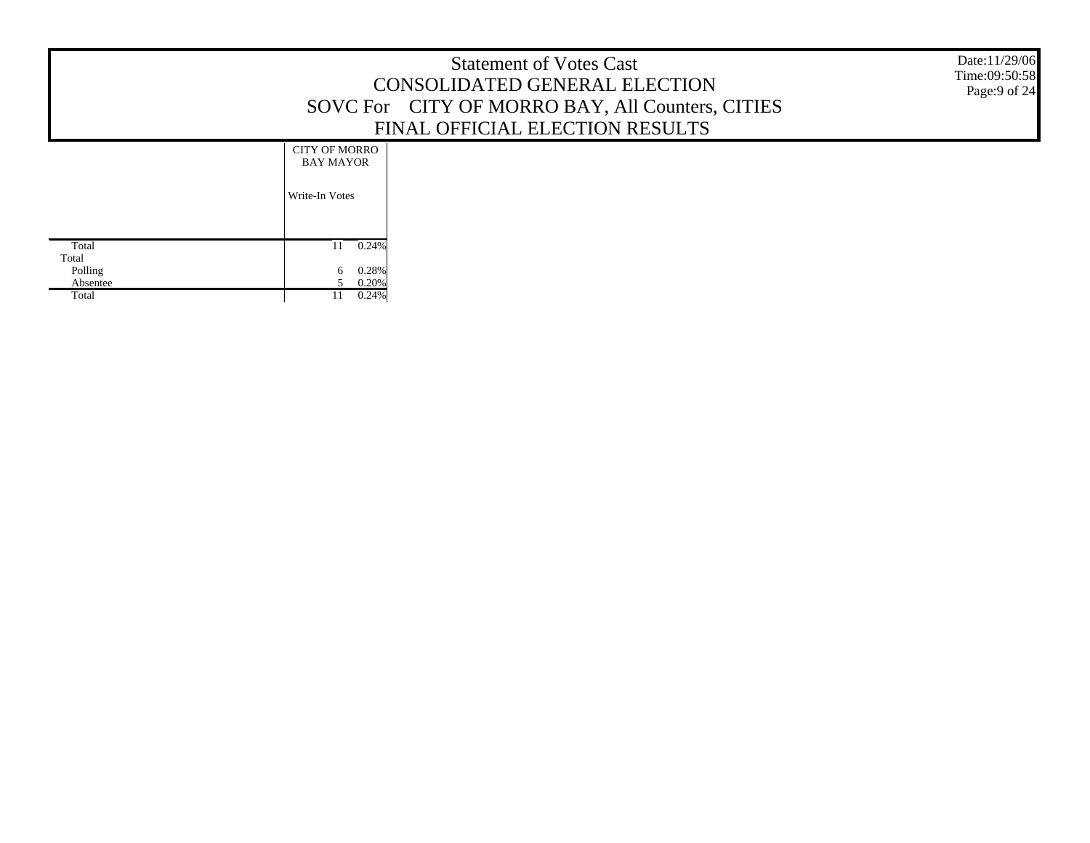|                                                |                                                            | <b>Statement of Votes Cast</b><br>CONSOLIDATED GENERAL ELECTION<br>SOVC For CITY OF MORRO BAY, All Counters, CITIES<br>FINAL OFFICIAL ELECTION RESULTS | Date:11/29/06<br>Time:09:50:58<br>Page:9 of 24 |
|------------------------------------------------|------------------------------------------------------------|--------------------------------------------------------------------------------------------------------------------------------------------------------|------------------------------------------------|
|                                                | <b>CITY OF MORRO</b><br><b>BAY MAYOR</b><br>Write-In Votes |                                                                                                                                                        |                                                |
| Total<br>Total<br>Polling<br>Absentee<br>Total | $0.24\%$<br>11<br>0.28%<br>0.20%<br>0.24%                  |                                                                                                                                                        |                                                |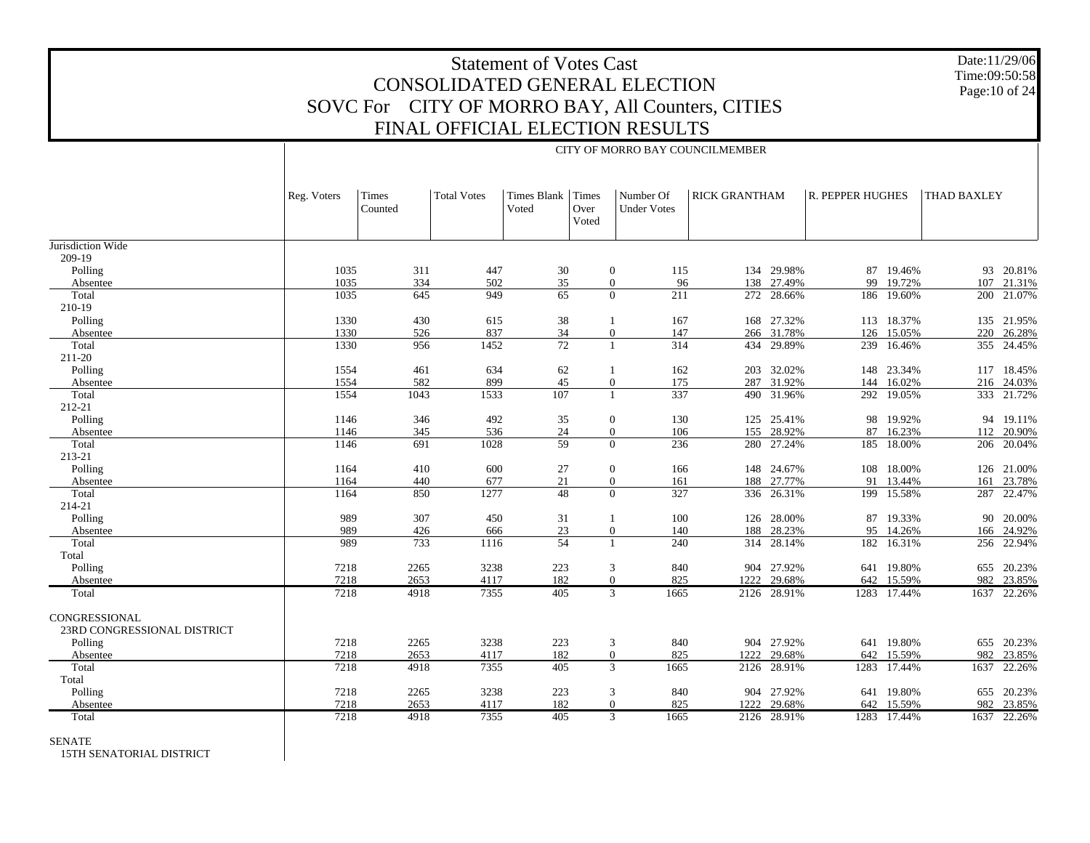CITY OF MORRO BAY COUNCILMEMBER

Date:11/29/06 Time:09:50:58 Page:10 of 24

|                             | Reg. Voters | Times<br>Counted | Total Votes | <b>Times Blank</b><br>Voted | Times<br>Over<br>Voted | Number Of<br><b>Under Votes</b> | <b>RICK GRANTHAM</b> |             | R. PEPPER HUGHES |             | THAD BAXLEY |             |
|-----------------------------|-------------|------------------|-------------|-----------------------------|------------------------|---------------------------------|----------------------|-------------|------------------|-------------|-------------|-------------|
| Jurisdiction Wide           |             |                  |             |                             |                        |                                 |                      |             |                  |             |             |             |
| 209-19                      |             |                  |             |                             |                        |                                 |                      |             |                  |             |             |             |
| Polling                     | 1035        | 311              | 447         | 30                          |                        | $\overline{0}$<br>115           | 134                  | 29.98%      | 87               | 19.46%      | 93          | 20.81%      |
| Absentee                    | 1035        | 334              | 502         | 35                          |                        | $\overline{0}$                  | 96<br>138            | 27.49%      | 99               | 19.72%      | 107         | 21.31%      |
| Total                       | 1035        | 645              | 949         | $\overline{65}$             |                        | 211<br>$\Omega$                 |                      | 272 28.66%  |                  | 186 19.60%  |             | 200 21.07%  |
| 210-19                      |             |                  |             |                             |                        |                                 |                      |             |                  |             |             |             |
| Polling                     | 1330        | 430              | 615         | 38                          |                        | 167                             |                      | 168 27.32%  |                  | 113 18.37%  |             | 135 21.95%  |
| Absentee                    | 1330        | 526              | 837         | 34                          |                        | 147<br>$\overline{0}$           | 266                  | 31.78%      | 126              | 15.05%      | 220         | 26.28%      |
| Total                       | 1330        | 956              | 1452        | $\overline{72}$             |                        | 314<br>$\mathbf{1}$             | 434                  | 29.89%      |                  | 239 16.46%  |             | 355 24.45%  |
| 211-20                      |             |                  |             |                             |                        |                                 |                      |             |                  |             |             |             |
| Polling                     | 1554        | 461              | 634         | 62                          |                        | 162<br>-1                       | 203                  | 32.02%      |                  | 148 23.34%  |             | 117 18.45%  |
| Absentee                    | 1554        | 582              | 899         | 45                          |                        | $\overline{0}$<br>175           |                      | 287 31.92%  | 144              | 16.02%      |             | 216 24.03%  |
| Total                       | 1554        | 1043             | 1533        | 107                         |                        | 337<br>$\overline{1}$           |                      | 490 31.96%  |                  | 292 19.05%  |             | 333 21.72%  |
| 212-21                      |             |                  |             |                             |                        |                                 |                      |             |                  |             |             |             |
| Polling                     | 1146        | 346              | 492         | 35                          |                        | 130<br>$\overline{0}$           | 125                  | 25.41%      | 98               | 19.92%      |             | 94 19.11%   |
| Absentee                    | 1146        | 345              | 536         | 24                          |                        | 106<br>$\overline{0}$           |                      | 155 28.92%  | 87               | 16.23%      | 112         | 20.90%      |
| Total                       | 1146        | 691              | 1028        | 59                          |                        | 236<br>$\Omega$                 | 280                  | 27.24%      |                  | 185 18.00%  | 206         | 20.04%      |
| 213-21                      |             |                  |             |                             |                        |                                 |                      |             |                  |             |             |             |
| Polling                     | 1164        | 410              | 600         | 27                          |                        | 166<br>$\overline{0}$           |                      | 148 24.67%  |                  | 108 18.00%  |             | 126 21.00%  |
| Absentee                    | 1164        | 440              | 677         | 21                          |                        | $\overline{0}$<br>161           | 188                  | 27.77%      | 91               | 13.44%      | 161         | 23.78%      |
| Total                       | 1164        | 850              | 1277        | $\overline{48}$             |                        | $\Omega$<br>327                 |                      | 336 26.31%  |                  | 199 15.58%  | 287         | 22.47%      |
| 214-21                      |             |                  |             |                             |                        |                                 |                      |             |                  |             |             |             |
| Polling                     | 989         | 307              | 450         | 31                          |                        | 100<br>$\overline{1}$           | 126                  | 28.00%      | 87               | 19.33%      | 90          | 20.00%      |
| Absentee                    | 989         | 426              | 666         | 23                          |                        | $\overline{0}$<br>140           | 188                  | 28.23%      | 95               | 14.26%      | 166         | 24.92%      |
| Total                       | 989         | 733              | 1116        | 54                          |                        | 240<br>$\mathbf{1}$             |                      | 314 28.14%  |                  | 182 16.31%  | 256         | 22.94%      |
| Total                       |             |                  |             |                             |                        |                                 |                      |             |                  |             |             |             |
| Polling                     | 7218        | 2265             | 3238        | 223                         |                        | 840<br>3                        |                      | 904 27.92%  |                  | 641 19.80%  |             | 655 20.23%  |
| Absentee                    | 7218        | 2653             | 4117        | 182                         |                        | 825<br>$\Omega$                 | 1222                 | 29.68%      | 642              | 15.59%      | 982         | 23.85%      |
| Total                       | 7218        | 4918             | 7355        | 405                         |                        | 3<br>1665                       |                      | 2126 28.91% |                  | 1283 17.44% | 1637        | 22.26%      |
|                             |             |                  |             |                             |                        |                                 |                      |             |                  |             |             |             |
| CONGRESSIONAL               |             |                  |             |                             |                        |                                 |                      |             |                  |             |             |             |
| 23RD CONGRESSIONAL DISTRICT |             |                  |             |                             |                        |                                 |                      |             |                  |             |             |             |
| Polling                     | 7218        | 2265             | 3238        | 223                         |                        | 840<br>$\mathbf{3}$             |                      | 904 27.92%  |                  | 641 19.80%  |             | 655 20.23%  |
| Absentee                    | 7218        | 2653             | 4117        | 182                         |                        | $\overline{0}$<br>825           | 1222                 | 29.68%      | 642              | 15.59%      | 982         | 23.85%      |
| Total                       | 7218        | 4918             | 7355        | 405                         |                        | 3<br>1665                       | 2126                 | 28.91%      | 1283             | 17.44%      | 1637        | 22.26%      |
| Total                       |             |                  |             |                             |                        |                                 |                      |             |                  |             |             |             |
| Polling                     | 7218        | 2265             | 3238        | 223                         |                        | 840<br>3                        | 904                  | 27.92%      | 641              | 19.80%      | 655         | 20.23%      |
| Absentee                    | 7218        | 2653             | 4117        | 182                         |                        | 825<br>$\overline{0}$           | 1222                 | 29.68%      | 642              | 15.59%      |             | 982 23.85%  |
| Total                       | 7218        | 4918             | 7355        | 405                         |                        | $\mathfrak{Z}$<br>1665          | 2126                 | 28.91%      |                  | 1283 17.44% |             | 1637 22.26% |

SENATE

15TH SENATORIAL DISTRICT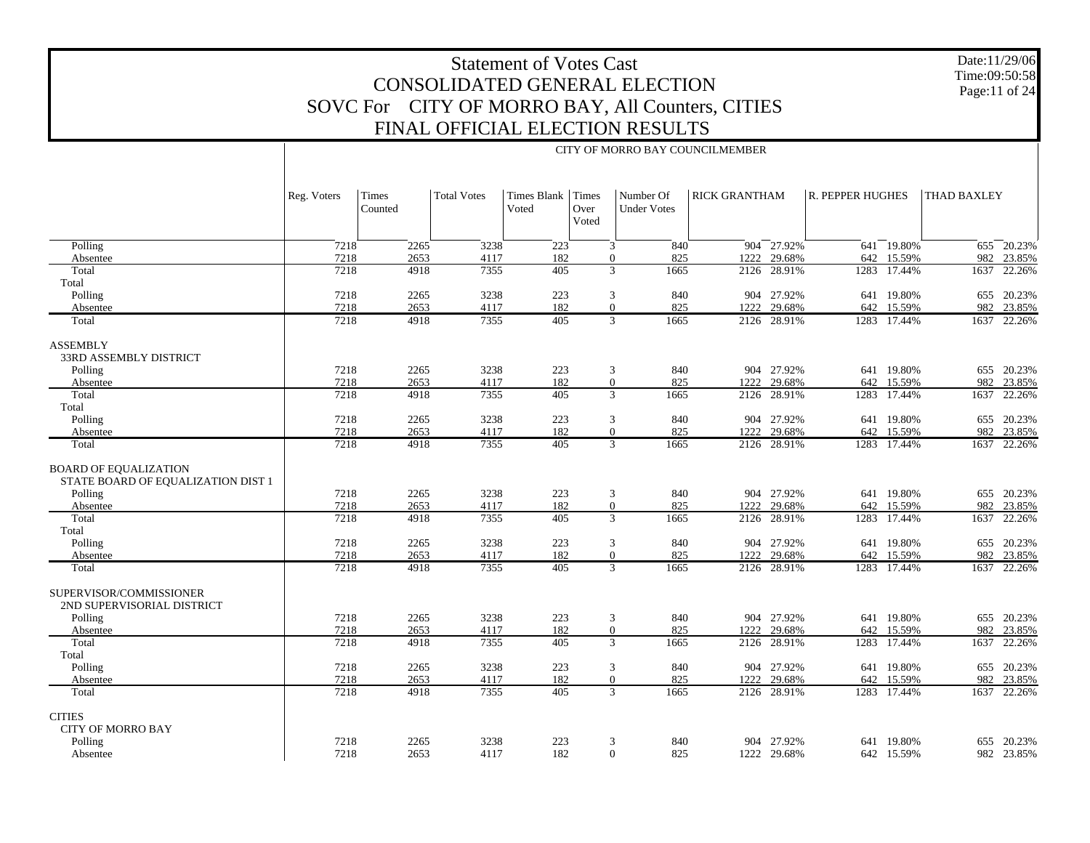Date:11/29/06 Time:09:50:58 Page:11 of 24

|                                                                    |             |                  |                    |                      |                        | CITY OF MORRO BAY COUNCILMEMBER |                      |                 |                  |             |                    |             |
|--------------------------------------------------------------------|-------------|------------------|--------------------|----------------------|------------------------|---------------------------------|----------------------|-----------------|------------------|-------------|--------------------|-------------|
|                                                                    | Reg. Voters | Times<br>Counted | <b>Total Votes</b> | Times Blank<br>Voted | Times<br>Over<br>Voted | Number Of<br><b>Under Votes</b> | <b>RICK GRANTHAM</b> |                 | R. PEPPER HUGHES |             | <b>THAD BAXLEY</b> |             |
| Polling                                                            | 7218        | 2265             | 3238               | 223                  |                        | 3<br>840                        |                      | $904 - 27.92\%$ |                  | 641 19.80%  |                    | 655 20.23%  |
| Absentee                                                           | 7218        | 2653             | 4117               | 182                  |                        | $\boldsymbol{0}$<br>825         | 1222                 | 29.68%          | 642              | 15.59%      | 982                | 23.85%      |
| Total                                                              | 7218        | 4918             | 7355               | 405                  |                        | 3<br>1665                       | 2126                 | 28.91%          |                  | 1283 17.44% |                    | 1637 22.26% |
| Total                                                              |             |                  |                    |                      |                        |                                 |                      |                 |                  |             |                    |             |
| Polling                                                            | 7218        | 2265             | 3238               | 223                  |                        | 3<br>840                        |                      | 904 27.92%      |                  | 641 19.80%  |                    | 655 20.23%  |
| Absentee                                                           | 7218        | 2653             | 4117               | 182                  |                        | $\boldsymbol{0}$<br>825         | 1222                 | 29.68%          | 642              | 15.59%      | 982                | 23.85%      |
| Total                                                              | 7218        | 4918             | 7355               | 405                  |                        | 3<br>1665                       | 2126                 | 28.91%          |                  | 1283 17.44% |                    | 1637 22.26% |
| <b>ASSEMBLY</b><br>33RD ASSEMBLY DISTRICT                          |             |                  |                    |                      |                        |                                 |                      |                 |                  |             |                    |             |
| Polling                                                            | 7218        | 2265             | 3238               | 223                  |                        | 3<br>840                        |                      | 904 27.92%      |                  | 641 19.80%  |                    | 655 20.23%  |
| Absentee                                                           | 7218        | 2653             | 4117               | 182                  |                        | $\boldsymbol{0}$<br>825         | 1222                 | 29.68%          | 642              | 15.59%      | 982                | 23.85%      |
| Total                                                              | 7218        | 4918             | 7355               | 405                  |                        | 3<br>1665                       | 2126                 | 28.91%          | 1283             | 17.44%      | 1637               | 22.26%      |
| Total                                                              |             |                  |                    |                      |                        |                                 |                      |                 |                  |             |                    |             |
| Polling                                                            | 7218        | 2265             | 3238               | 223                  |                        | 3<br>840                        |                      | 904 27.92%      |                  | 641 19.80%  |                    | 655 20.23%  |
| Absentee                                                           | 7218        | 2653             | 4117               | 182                  |                        | $\boldsymbol{0}$<br>825         | 1222                 | 29.68%          | 642              | 15.59%      | 982                | 23.85%      |
| Total                                                              | 7218        | 4918             | 7355               | 405                  |                        | 3<br>1665                       | 2126                 | 28.91%          |                  | 1283 17.44% |                    | 1637 22.26% |
| <b>BOARD OF EQUALIZATION</b><br>STATE BOARD OF EQUALIZATION DIST 1 |             |                  |                    |                      |                        |                                 |                      |                 |                  |             |                    |             |
| Polling                                                            | 7218        | 2265             | 3238               | 223                  |                        | 3<br>840                        |                      | 904 27.92%      |                  | 641 19.80%  |                    | 655 20.23%  |
| Absentee                                                           | 7218        | 2653             | 4117               | 182                  |                        | $\boldsymbol{0}$<br>825         | 1222                 | 29.68%          | 642              | 15.59%      | 982                | 23.85%      |
| Total                                                              | 7218        | 4918             | 7355               | 405                  |                        | 3<br>1665                       | 2126                 | 28.91%          |                  | 1283 17.44% |                    | 1637 22.26% |
| Total                                                              |             |                  |                    |                      |                        |                                 |                      |                 |                  |             |                    |             |
| Polling                                                            | 7218        | 2265             | 3238               | 223                  |                        | 3<br>840                        |                      | 904 27.92%      |                  | 641 19.80%  |                    | 655 20.23%  |
| Absentee                                                           | 7218        | 2653             | 4117               | 182                  |                        | $\boldsymbol{0}$<br>825         | 1222                 | 29.68%          | 642              | 15.59%      | 982                | 23.85%      |
| Total                                                              | 7218        | 4918             | 7355               | 405                  |                        | 3<br>1665                       | 2126                 | 28.91%          |                  | 1283 17.44% |                    | 1637 22.26% |
| SUPERVISOR/COMMISSIONER<br>2ND SUPERVISORIAL DISTRICT              |             |                  |                    |                      |                        |                                 |                      |                 |                  |             |                    |             |
| Polling                                                            | 7218        | 2265             | 3238               | 223                  |                        | 3<br>840                        |                      | 904 27.92%      |                  | 641 19.80%  |                    | 655 20.23%  |
| Absentee                                                           | 7218        | 2653             | 4117               | 182                  |                        | $\boldsymbol{0}$<br>825         | 1222                 | 29.68%          | 642              | 15.59%      | 982                | 23.85%      |
| Total                                                              | 7218        | 4918             | 7355               | 405                  |                        | 3<br>1665                       | 2126                 | 28.91%          | 1283             | 17.44%      | 1637               | 22.26%      |
| Total                                                              |             |                  |                    |                      |                        |                                 |                      |                 |                  |             |                    |             |
| Polling                                                            | 7218        | 2265             | 3238               | 223                  |                        | 840<br>3                        |                      | 904 27.92%      |                  | 641 19.80%  |                    | 655 20.23%  |
| Absentee                                                           | 7218        | 2653             | 4117               | 182                  |                        | $\boldsymbol{0}$<br>825         | 1222                 | 29.68%          | 642              | 15.59%      | 982                | 23.85%      |
| Total                                                              | 7218        | 4918             | 7355               | 405                  |                        | 3<br>1665                       | 2126                 | 28.91%          |                  | 1283 17.44% |                    | 1637 22.26% |
| <b>CITIES</b>                                                      |             |                  |                    |                      |                        |                                 |                      |                 |                  |             |                    |             |
| <b>CITY OF MORRO BAY</b>                                           |             |                  |                    |                      |                        |                                 |                      |                 |                  |             |                    |             |
| Polling                                                            | 7218        | 2265             | 3238               | 223                  |                        | 3<br>840                        | 904                  | 27.92%          |                  | 641 19.80%  |                    | 655 20.23%  |
| Absentee                                                           | 7218        | 2653             | 4117               | 182                  |                        | $\boldsymbol{0}$<br>825         |                      | 1222 29.68%     |                  | 642 15.59%  |                    | 982 23.85%  |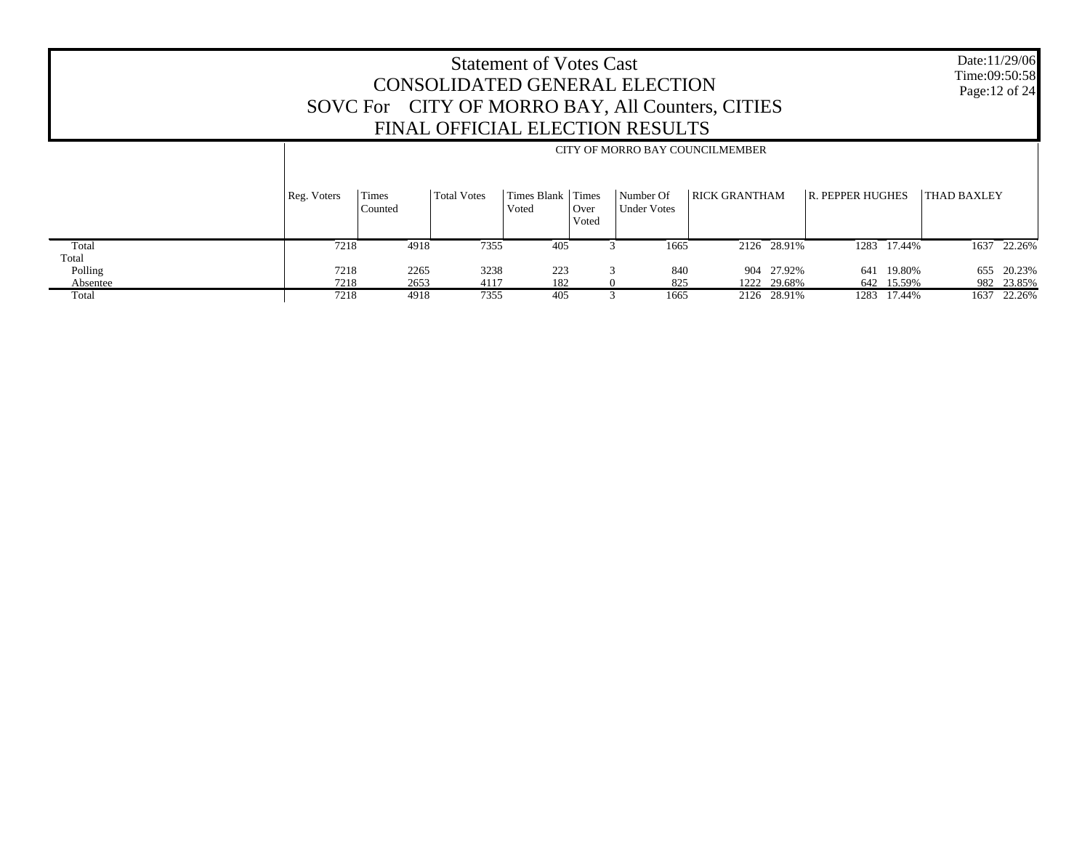Date:11/29/06 Time:09:50:58 Page:12 of 24

|          |             | CITY OF MORRO BAY COUNCILMEMBER |                    |                            |               |                                 |                      |             |                         |             |             |             |
|----------|-------------|---------------------------------|--------------------|----------------------------|---------------|---------------------------------|----------------------|-------------|-------------------------|-------------|-------------|-------------|
|          | Reg. Voters | Times<br>Counted                | <b>Total Votes</b> | Times Blank Times<br>Voted | Over<br>Voted | Number Of<br><b>Under Votes</b> | <b>RICK GRANTHAM</b> |             | <b>R. PEPPER HUGHES</b> |             | THAD BAXLEY |             |
| Total    | 7218        | 4918                            | 7355               | 405                        |               | 1665                            |                      | 2126 28.91% |                         | 1283 17.44% |             | 1637 22.26% |
| Total    |             |                                 |                    |                            |               |                                 |                      |             |                         |             |             |             |
| Polling  | 7218        | 2265                            | 3238               | 223                        |               | 840                             |                      | 904 27.92%  |                         | 641 19.80%  | 655         | 20.23%      |
| Absentee | 7218        | 2653                            | 4117               | 182                        |               | 825                             | 1222                 | 29.68%      |                         | 642 15.59%  |             | 982 23.85%  |
| Total    | 7218        | 4918                            | 7355               | 405                        |               | 1665                            |                      | 2126 28.91% | 1283                    | 17.44%      | 1637        | 22.26%      |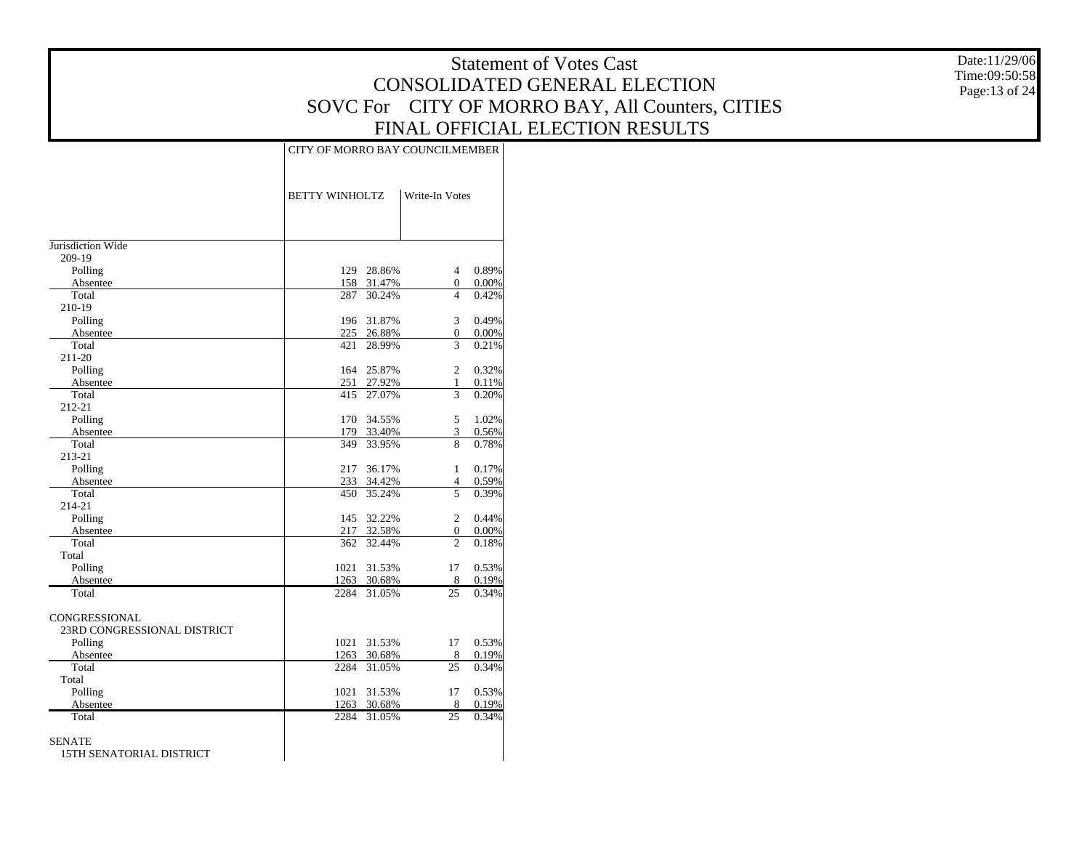CITY OF MORRO BAY COUNCILMEMBER

Date:11/29/06 Time:09:50:58 Page:13 of 24

|                             | <b>BETTY WINHOLTZ</b> |             | Write-In Votes |       |
|-----------------------------|-----------------------|-------------|----------------|-------|
| Jurisdiction Wide           |                       |             |                |       |
| 209-19                      |                       |             |                |       |
| Polling                     |                       | 129 28.86%  | $\overline{4}$ | 0.89% |
| Absentee                    |                       | 158 31.47%  | $\overline{0}$ | 0.00% |
| Total                       | 287                   | 30.24%      | $\overline{4}$ | 0.42% |
| 210-19                      |                       |             |                |       |
| Polling                     | 196                   | 31.87%      | 3              | 0.49% |
| Absentee                    |                       | 225 26.88%  | $\mathbf{0}$   | 0.00% |
| Total                       | 421                   | 28.99%      | 3              | 0.21% |
| 211-20                      |                       |             |                |       |
| Polling                     | 164                   | 25.87%      | $\overline{c}$ | 0.32% |
| Absentee                    | 251                   | 27.92%      | 1              | 0.11% |
| Total                       | 415                   | 27.07%      | 3              | 0.20% |
| 212-21                      |                       |             |                |       |
| Polling                     | 170                   | 34.55%      | 5              | 1.02% |
| Absentee                    |                       | 179 33.40%  | 3              | 0.56% |
| Total                       | 349                   | 33.95%      | 8              | 0.78% |
| 213-21                      |                       |             |                |       |
| Polling                     | 217                   | 36.17%      | 1              | 0.17% |
| Absentee                    |                       | 233 34.42%  | 4              | 0.59% |
| Total                       | 450                   | 35.24%      | 5              | 0.39% |
| 214-21                      |                       |             |                |       |
| Polling                     |                       | 145 32.22%  | $\overline{c}$ | 0.44% |
| Absentee                    |                       | 217 32.58%  | $\mathbf{0}$   | 0.00% |
| Total                       | 362                   | 32.44%      | $\overline{c}$ | 0.18% |
| Total                       |                       |             |                |       |
| Polling                     | 1021                  | 31.53%      | 17             | 0.53% |
| Absentee                    |                       | 1263 30.68% | 8              | 0.19% |
| Total                       | 2284                  | 31.05%      | 25             | 0.34% |
| CONGRESSIONAL               |                       |             |                |       |
| 23RD CONGRESSIONAL DISTRICT |                       |             |                |       |
| Polling                     | 1021                  | 31.53%      | 17             | 0.53% |
| Absentee                    | 1263                  | 30.68%      | 8              | 0.19% |
| Total                       | 2284                  | 31.05%      | 25             | 0.34% |
| Total                       |                       |             |                |       |
| Polling                     | 1021                  | 31.53%      | 17             | 0.53% |
| Absentee                    | 1263                  | 30.68%      | 8              | 0.19% |
| Total                       | 2284                  | 31.05%      | 25             | 0.34% |
|                             |                       |             |                |       |
| SENATE                      |                       |             |                |       |
| 15TH SENATORIAL DISTRICT    |                       |             |                |       |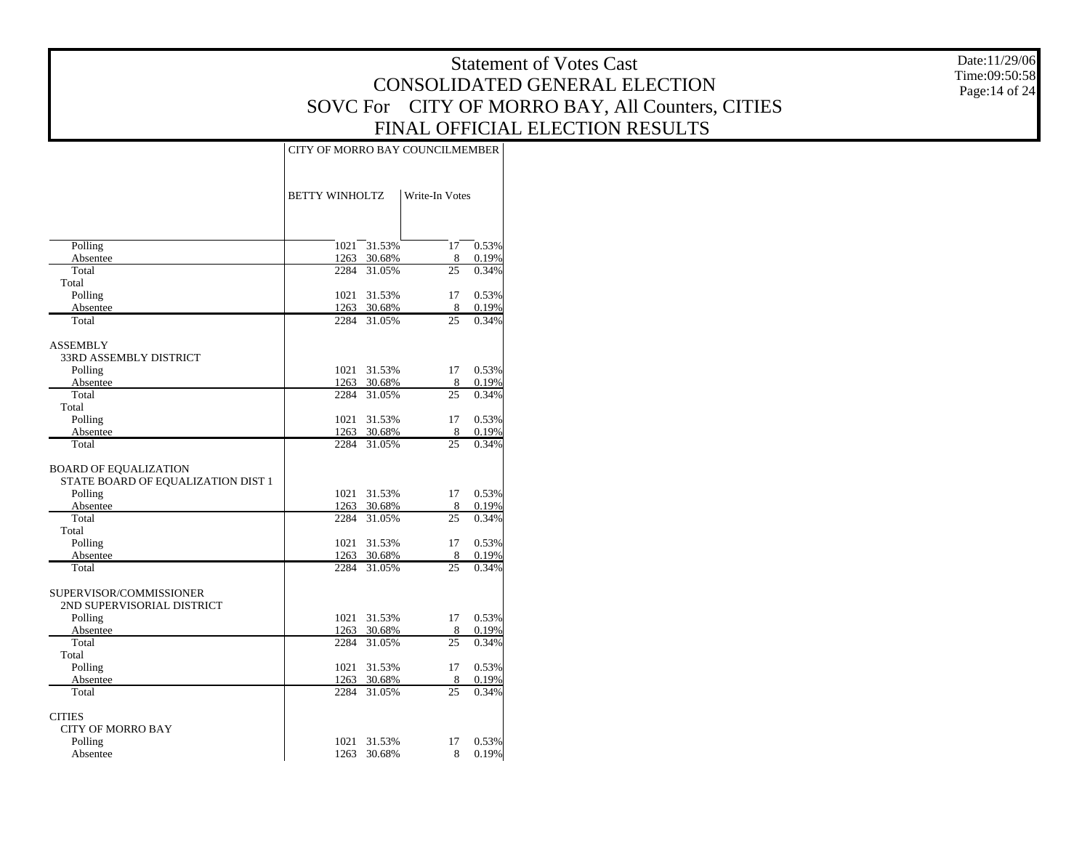Date:11/29/06 Time:09:50:58 Page:14 of 24

|                                               | CITY OF MORRO BAY COUNCILMEMBER |                       |                |                |
|-----------------------------------------------|---------------------------------|-----------------------|----------------|----------------|
|                                               | <b>BETTY WINHOLTZ</b>           |                       | Write-In Votes |                |
|                                               |                                 |                       |                |                |
| Polling                                       | 1021                            | 31.53%                | 17             | 0.53%          |
| Absentee                                      | 1263                            | 30.68%                | 8              | 0.19%          |
| Total                                         | 2284                            | 31.05%                | 25             | 0.34%          |
| Total                                         |                                 |                       |                |                |
| Polling                                       | 1021                            | 31.53%                | 17<br>8        | 0.53%          |
| Absentee<br>Total                             | 2284                            | 1263 30.68%<br>31.05% | 25             | 0.19%<br>0.34% |
| <b>ASSEMBLY</b>                               |                                 |                       |                |                |
| 33RD ASSEMBLY DISTRICT                        |                                 |                       |                |                |
| Polling                                       |                                 | 1021 31.53%           | 17             | 0.53%          |
| Absentee                                      |                                 | 1263 30.68%           | 8              | 0.19%          |
| Total                                         |                                 | 2284 31.05%           | 25             | 0.34%          |
| Total                                         |                                 |                       |                |                |
| Polling                                       | 1021                            | 31.53%                | 17             | 0.53%          |
| Absentee                                      |                                 | 1263 30.68%           | 8              | 0.19%          |
| Total                                         |                                 | 2284 31.05%           | 25             | 0.34%          |
|                                               |                                 |                       |                |                |
| BOARD OF EQUALIZATION                         |                                 |                       |                |                |
| STATE BOARD OF EQUALIZATION DIST 1<br>Polling | 1021                            | 31.53%                | 17             | 0.53%          |
| Absentee                                      | 1263                            | 30.68%                | 8              | 0.19%          |
| Total                                         | 2284                            | 31.05%                | 25             | 0.34%          |
| Total                                         |                                 |                       |                |                |
| Polling                                       |                                 | 1021 31.53%           | 17             | 0.53%          |
| Absentee                                      |                                 | 1263 30.68%           | 8              | 0.19%          |
| Total                                         | 2284                            | 31.05%                | 25             | 0.34%          |
|                                               |                                 |                       |                |                |
| SUPERVISOR/COMMISSIONER                       |                                 |                       |                |                |
| 2ND SUPERVISORIAL DISTRICT                    |                                 |                       |                |                |
| Polling                                       |                                 | 1021 31.53%           | 17             | 0.53%          |
| Absentee                                      | 1263                            | 30.68%                | 8              | 0.19%          |
| Total                                         |                                 | 2284 31.05%           | 25             | 0.34%          |
| Total                                         |                                 |                       |                |                |
| Polling                                       | 1263                            | 1021 31.53%           | 17<br>8        | 0.53%<br>0.19% |
| Absentee<br>Total                             | 2284                            | 30.68%<br>31.05%      | 25             | 0.34%          |
|                                               |                                 |                       |                |                |
| <b>CITIES</b>                                 |                                 |                       |                |                |
| <b>CITY OF MORRO BAY</b>                      |                                 |                       |                |                |
| Polling                                       | 1021                            | 31.53%                | 17             | 0.53%          |
| Absentee                                      | 1263                            | 30.68%                | 8              | 0.19%          |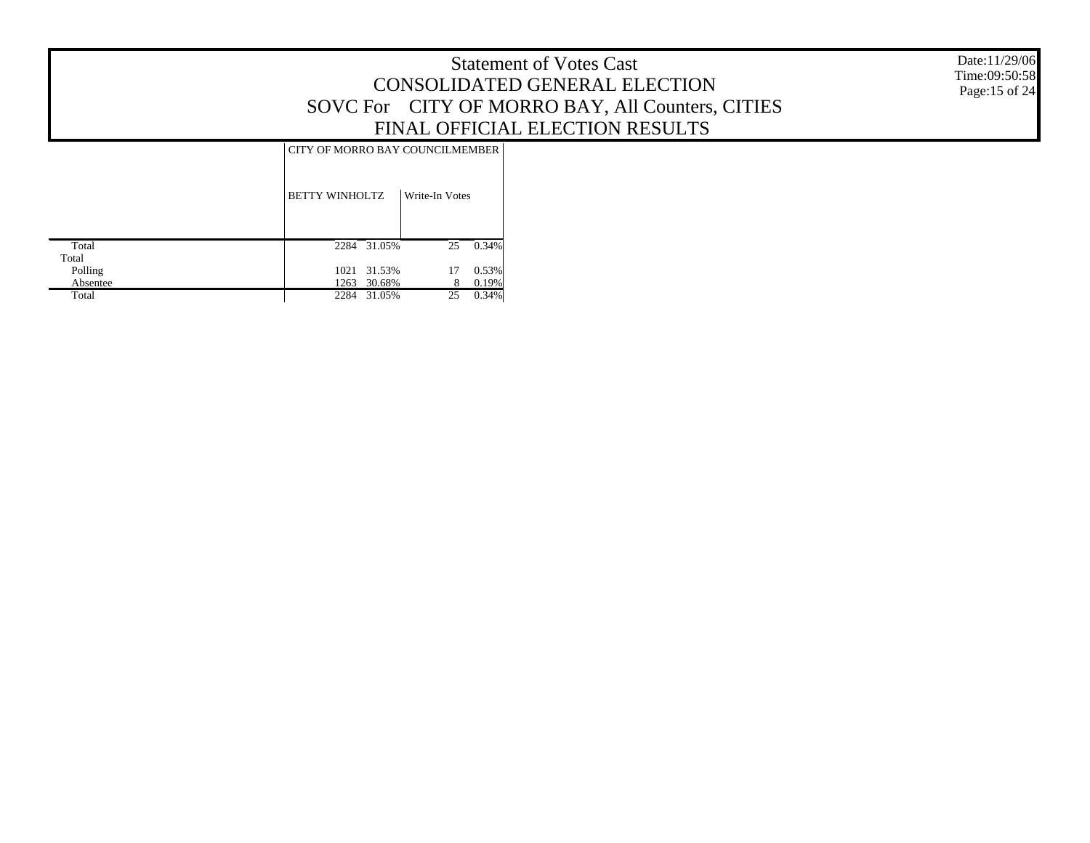Date:11/29/06 Time:09:50:58 Page:15 of 24

# CITY OF MORRO BAY COUNCILMEMBER

|          | <b>BETTY WINHOLTZ</b> | Write-In Votes |       |
|----------|-----------------------|----------------|-------|
| Total    | 31.05%<br>2284        | 25             | 0.34% |
| Total    |                       |                |       |
| Polling  | 1021 31.53%           | 17             | 0.53% |
| Absentee | 30.68%<br>1263        | 8              | 0.19% |
| Total    | 2284<br>31.05%        | 25             | 0.34% |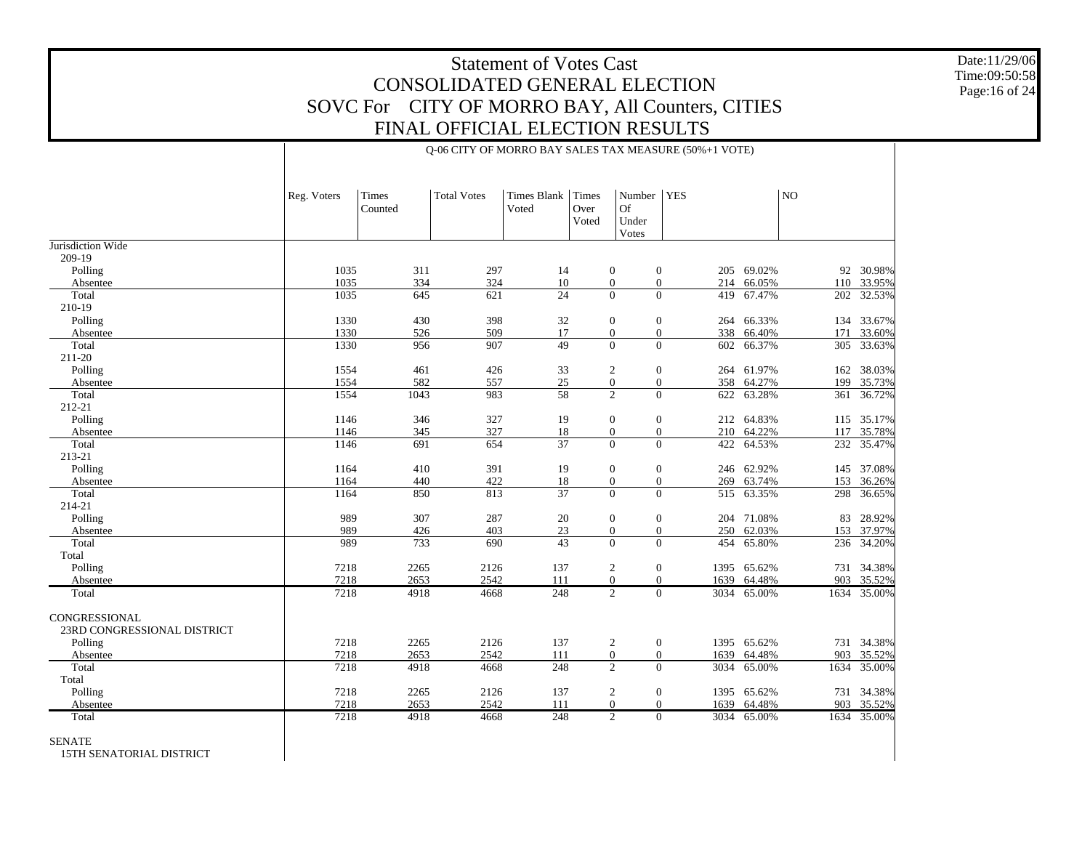Q-06 CITY OF MORRO BAY SALES TAX MEASURE (50%+1 VOTE)

Date:11/29/06 Time:09:50:58 Page:16 of 24

| 1035<br>1035<br>1035<br>1330<br>1330<br>1330<br>1554 | 311<br>334<br>645<br>430<br>526 | 297<br>324<br>621                                                                                         | 14<br>10<br>24                                                                                         |                                                                                                        | $\mathbf{0}$                                                                             | $\overline{0}$                                                                                                                                                                                                                             | 205 69.02%                                                                                                                                                                                                                                                         |                                                                                                                                                                                      |                                                                                           |
|------------------------------------------------------|---------------------------------|-----------------------------------------------------------------------------------------------------------|--------------------------------------------------------------------------------------------------------|--------------------------------------------------------------------------------------------------------|------------------------------------------------------------------------------------------|--------------------------------------------------------------------------------------------------------------------------------------------------------------------------------------------------------------------------------------------|--------------------------------------------------------------------------------------------------------------------------------------------------------------------------------------------------------------------------------------------------------------------|--------------------------------------------------------------------------------------------------------------------------------------------------------------------------------------|-------------------------------------------------------------------------------------------|
|                                                      |                                 |                                                                                                           |                                                                                                        |                                                                                                        |                                                                                          |                                                                                                                                                                                                                                            |                                                                                                                                                                                                                                                                    |                                                                                                                                                                                      |                                                                                           |
|                                                      |                                 |                                                                                                           |                                                                                                        |                                                                                                        |                                                                                          |                                                                                                                                                                                                                                            |                                                                                                                                                                                                                                                                    |                                                                                                                                                                                      |                                                                                           |
|                                                      |                                 |                                                                                                           |                                                                                                        |                                                                                                        |                                                                                          |                                                                                                                                                                                                                                            |                                                                                                                                                                                                                                                                    |                                                                                                                                                                                      | 92 30.98%                                                                                 |
|                                                      |                                 |                                                                                                           |                                                                                                        |                                                                                                        | $\mathbf{0}$                                                                             | $\boldsymbol{0}$                                                                                                                                                                                                                           | 214 66.05%                                                                                                                                                                                                                                                         | 110                                                                                                                                                                                  | 33.95%                                                                                    |
|                                                      |                                 |                                                                                                           |                                                                                                        |                                                                                                        | $\Omega$                                                                                 | $\overline{0}$                                                                                                                                                                                                                             | 419 67.47%                                                                                                                                                                                                                                                         | 202                                                                                                                                                                                  | 32.53%                                                                                    |
|                                                      |                                 | 398                                                                                                       | 32                                                                                                     |                                                                                                        | $\overline{0}$                                                                           | $\overline{0}$                                                                                                                                                                                                                             |                                                                                                                                                                                                                                                                    |                                                                                                                                                                                      | 134 33.67%                                                                                |
|                                                      |                                 | 509                                                                                                       | 17                                                                                                     |                                                                                                        | $\overline{0}$                                                                           | $\overline{0}$                                                                                                                                                                                                                             | 264 66.33%<br>338 66.40%                                                                                                                                                                                                                                           | 171                                                                                                                                                                                  | 33.60%                                                                                    |
|                                                      | 956                             | 907                                                                                                       | $\overline{49}$                                                                                        |                                                                                                        | $\overline{0}$                                                                           | $\overline{0}$<br>602                                                                                                                                                                                                                      | 66.37%                                                                                                                                                                                                                                                             | 305                                                                                                                                                                                  | 33.63%                                                                                    |
|                                                      |                                 |                                                                                                           |                                                                                                        |                                                                                                        |                                                                                          |                                                                                                                                                                                                                                            |                                                                                                                                                                                                                                                                    |                                                                                                                                                                                      |                                                                                           |
|                                                      | 461                             | 426                                                                                                       | 33                                                                                                     |                                                                                                        | $\overline{c}$                                                                           | $\mathbf{0}$                                                                                                                                                                                                                               | 264 61.97%                                                                                                                                                                                                                                                         | 162                                                                                                                                                                                  | 38.03%                                                                                    |
| 1554                                                 | 582                             | 557                                                                                                       | 25                                                                                                     |                                                                                                        | $\overline{0}$                                                                           | $\overline{0}$                                                                                                                                                                                                                             | 358 64.27%                                                                                                                                                                                                                                                         | 199                                                                                                                                                                                  | 35.73%                                                                                    |
| 1554                                                 | 1043                            | 983                                                                                                       | 58                                                                                                     |                                                                                                        | $\overline{2}$                                                                           | $\overline{0}$<br>622                                                                                                                                                                                                                      | 63.28%                                                                                                                                                                                                                                                             | 361                                                                                                                                                                                  | 36.72%                                                                                    |
|                                                      |                                 |                                                                                                           |                                                                                                        |                                                                                                        |                                                                                          |                                                                                                                                                                                                                                            |                                                                                                                                                                                                                                                                    |                                                                                                                                                                                      |                                                                                           |
| 1146                                                 | 346                             | 327                                                                                                       | 19                                                                                                     |                                                                                                        | $\mathbf{0}$                                                                             | $\mathbf{0}$                                                                                                                                                                                                                               | 212 64.83%                                                                                                                                                                                                                                                         |                                                                                                                                                                                      | 115 35.17%                                                                                |
| 1146                                                 | 345                             | 327                                                                                                       | 18                                                                                                     |                                                                                                        | $\overline{0}$                                                                           | $\mathbf{0}$                                                                                                                                                                                                                               | 210 64.22%                                                                                                                                                                                                                                                         | 117                                                                                                                                                                                  | 35.78%                                                                                    |
| 1146                                                 | 691                             | 654                                                                                                       | $\overline{37}$                                                                                        |                                                                                                        | $\Omega$                                                                                 | $\Omega$                                                                                                                                                                                                                                   | 422 64.53%                                                                                                                                                                                                                                                         |                                                                                                                                                                                      | 232 35.47%                                                                                |
|                                                      |                                 |                                                                                                           |                                                                                                        |                                                                                                        |                                                                                          |                                                                                                                                                                                                                                            |                                                                                                                                                                                                                                                                    |                                                                                                                                                                                      |                                                                                           |
|                                                      |                                 |                                                                                                           |                                                                                                        |                                                                                                        |                                                                                          |                                                                                                                                                                                                                                            |                                                                                                                                                                                                                                                                    |                                                                                                                                                                                      | 37.08%                                                                                    |
|                                                      |                                 |                                                                                                           |                                                                                                        |                                                                                                        |                                                                                          |                                                                                                                                                                                                                                            |                                                                                                                                                                                                                                                                    |                                                                                                                                                                                      | 36.26%                                                                                    |
|                                                      |                                 |                                                                                                           |                                                                                                        |                                                                                                        |                                                                                          |                                                                                                                                                                                                                                            |                                                                                                                                                                                                                                                                    |                                                                                                                                                                                      | 36.65%                                                                                    |
|                                                      |                                 |                                                                                                           |                                                                                                        |                                                                                                        |                                                                                          |                                                                                                                                                                                                                                            |                                                                                                                                                                                                                                                                    |                                                                                                                                                                                      |                                                                                           |
|                                                      |                                 |                                                                                                           |                                                                                                        |                                                                                                        |                                                                                          |                                                                                                                                                                                                                                            |                                                                                                                                                                                                                                                                    | 83                                                                                                                                                                                   | 28.92%                                                                                    |
|                                                      |                                 |                                                                                                           |                                                                                                        |                                                                                                        |                                                                                          |                                                                                                                                                                                                                                            |                                                                                                                                                                                                                                                                    |                                                                                                                                                                                      | 37.97%                                                                                    |
|                                                      |                                 |                                                                                                           |                                                                                                        |                                                                                                        |                                                                                          |                                                                                                                                                                                                                                            |                                                                                                                                                                                                                                                                    |                                                                                                                                                                                      | 34.20%                                                                                    |
|                                                      |                                 |                                                                                                           |                                                                                                        |                                                                                                        |                                                                                          |                                                                                                                                                                                                                                            |                                                                                                                                                                                                                                                                    |                                                                                                                                                                                      |                                                                                           |
|                                                      |                                 |                                                                                                           |                                                                                                        |                                                                                                        |                                                                                          |                                                                                                                                                                                                                                            |                                                                                                                                                                                                                                                                    |                                                                                                                                                                                      | 34.38%                                                                                    |
|                                                      |                                 |                                                                                                           |                                                                                                        |                                                                                                        |                                                                                          |                                                                                                                                                                                                                                            |                                                                                                                                                                                                                                                                    |                                                                                                                                                                                      | 35.52%                                                                                    |
|                                                      |                                 |                                                                                                           |                                                                                                        |                                                                                                        |                                                                                          |                                                                                                                                                                                                                                            |                                                                                                                                                                                                                                                                    |                                                                                                                                                                                      |                                                                                           |
|                                                      |                                 |                                                                                                           |                                                                                                        |                                                                                                        |                                                                                          |                                                                                                                                                                                                                                            |                                                                                                                                                                                                                                                                    |                                                                                                                                                                                      |                                                                                           |
|                                                      |                                 |                                                                                                           |                                                                                                        |                                                                                                        |                                                                                          |                                                                                                                                                                                                                                            |                                                                                                                                                                                                                                                                    |                                                                                                                                                                                      |                                                                                           |
|                                                      |                                 |                                                                                                           |                                                                                                        |                                                                                                        |                                                                                          |                                                                                                                                                                                                                                            |                                                                                                                                                                                                                                                                    |                                                                                                                                                                                      | 731 34.38%                                                                                |
|                                                      |                                 |                                                                                                           |                                                                                                        |                                                                                                        |                                                                                          |                                                                                                                                                                                                                                            |                                                                                                                                                                                                                                                                    |                                                                                                                                                                                      | 35.52%                                                                                    |
|                                                      |                                 |                                                                                                           |                                                                                                        |                                                                                                        |                                                                                          |                                                                                                                                                                                                                                            |                                                                                                                                                                                                                                                                    |                                                                                                                                                                                      | 35.00%                                                                                    |
|                                                      |                                 |                                                                                                           |                                                                                                        |                                                                                                        |                                                                                          |                                                                                                                                                                                                                                            |                                                                                                                                                                                                                                                                    |                                                                                                                                                                                      |                                                                                           |
|                                                      |                                 |                                                                                                           |                                                                                                        |                                                                                                        |                                                                                          |                                                                                                                                                                                                                                            |                                                                                                                                                                                                                                                                    |                                                                                                                                                                                      | 34.38%                                                                                    |
|                                                      | 4918                            | 4668                                                                                                      |                                                                                                        |                                                                                                        |                                                                                          |                                                                                                                                                                                                                                            |                                                                                                                                                                                                                                                                    |                                                                                                                                                                                      | 35.52%                                                                                    |
|                                                      | 7218                            | 1164<br>1164<br>1164<br>989<br>989<br>989<br>7218<br>7218<br>7218<br>7218<br>7218<br>7218<br>7218<br>7218 | 410<br>440<br>850<br>307<br>426<br>733<br>2265<br>2653<br>4918<br>2265<br>2653<br>4918<br>2265<br>2653 | 391<br>422<br>813<br>287<br>403<br>690<br>2126<br>2542<br>4668<br>2126<br>2542<br>4668<br>2126<br>2542 | 19<br>18<br>37<br>20<br>23<br>43<br>137<br>111<br>248<br>137<br>111<br>248<br>137<br>111 | $\mathbf{0}$<br>$\overline{0}$<br>$\Omega$<br>$\mathbf{0}$<br>$\boldsymbol{0}$<br>$\Omega$<br>$\overline{c}$<br>$\boldsymbol{0}$<br>$\overline{2}$<br>$\overline{c}$<br>$\mathbf{0}$<br>$\overline{2}$<br>$\overline{c}$<br>$\overline{0}$ | $\mathbf{0}$<br>$\overline{0}$<br>$\Omega$<br>$\boldsymbol{0}$<br>$\mathbf{0}$<br>$\Omega$<br>$\mathbf{0}$<br>$\overline{0}$<br>1639<br>$\overline{0}$<br>$\mathbf{0}$<br>$\mathbf{0}$<br>1639<br>$\overline{0}$<br>3034<br>$\mathbf{0}$<br>$\overline{0}$<br>1639 | 246 62.92%<br>269 63.74%<br>515 63.35%<br>204 71.08%<br>250 62.03%<br>454 65.80%<br>1395 65.62%<br>64.48%<br>3034 65.00%<br>1395 65.62%<br>64.48%<br>65.00%<br>1395 65.62%<br>64.48% | 145<br>153<br>298<br>153<br>236<br>731<br>903<br>1634 35.00%<br>903<br>1634<br>731<br>903 |

SENATE

15TH SENATORIAL DISTRICT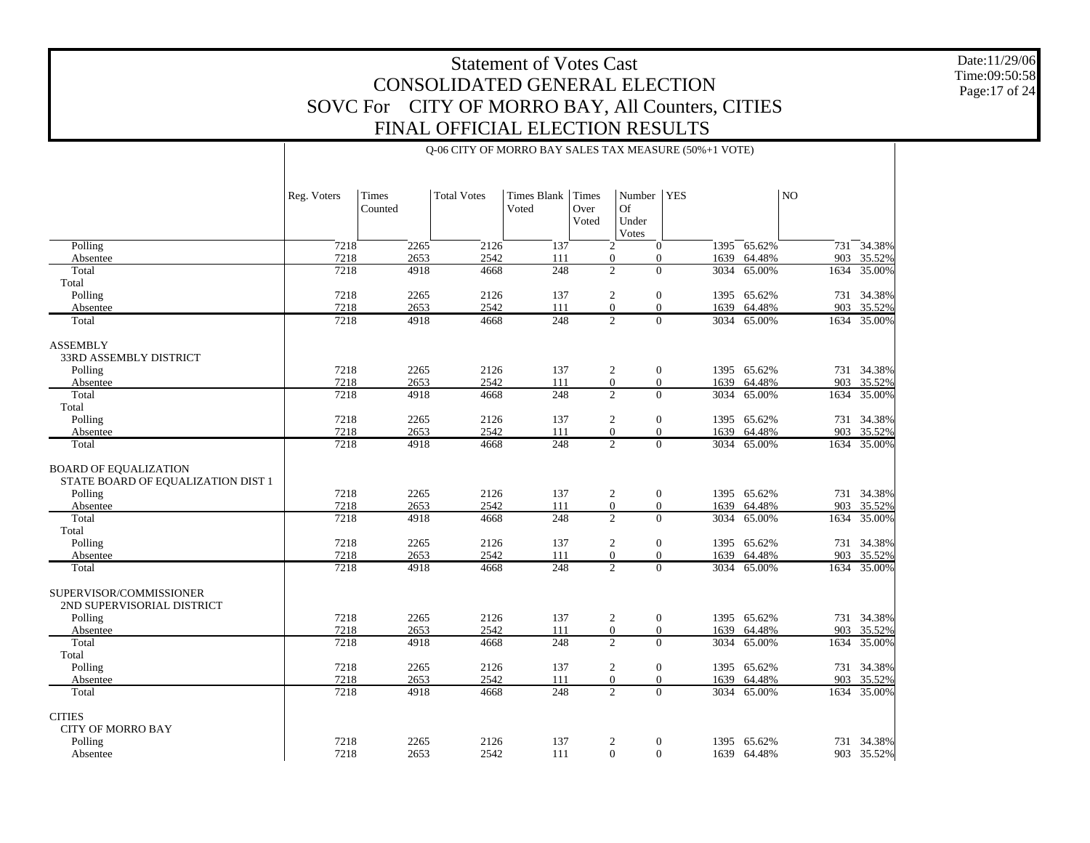Q-06 CITY OF MORRO BAY SALES TAX MEASURE (50%+1 VOTE)

Date:11/29/06 Time:09:50:58 Page:17 of 24

|                                                                    | Reg. Voters | Times<br>Counted | <b>Total Votes</b> | <b>Times Blank</b><br>Voted | Times<br>Over<br>Voted | Number<br><b>Of</b><br>Under<br>Votes | <b>YES</b>             |                  | NO.  |             |
|--------------------------------------------------------------------|-------------|------------------|--------------------|-----------------------------|------------------------|---------------------------------------|------------------------|------------------|------|-------------|
| Polling                                                            | 7218        | 2265             | 2126               | 137                         |                        | 2                                     | $\overline{0}$         | $1395 - 65.62\%$ | 731  | 34.38%      |
| Absentee                                                           | 7218        | 2653             | 2542               | 111                         |                        | $\overline{0}$                        | $\mathbf{0}$           | 1639 64.48%      |      | 903 35.52%  |
| Total                                                              | 7218        | 4918             | 4668               | 248                         |                        | $\overline{2}$                        | $\mathbf{0}$<br>3034   | 65.00%           | 1634 | 35.00%      |
| Total                                                              |             |                  |                    |                             |                        |                                       |                        |                  |      |             |
| Polling                                                            | 7218        | 2265             | 2126               | 137                         |                        | $\overline{2}$                        | $\mathbf{0}$           | 1395 65.62%      |      | 731 34.38%  |
| Absentee                                                           | 7218        | 2653             | 2542               | 111                         |                        | $\overline{0}$                        | $\overline{0}$<br>1639 | 64.48%           | 903  | 35.52%      |
| Total                                                              | 7218        | 4918             | 4668               | 248                         |                        | $\overline{2}$                        | $\overline{0}$         | 3034 65.00%      |      | 1634 35.00% |
| <b>ASSEMBLY</b><br>33RD ASSEMBLY DISTRICT                          |             |                  |                    |                             |                        |                                       |                        |                  |      |             |
| Polling                                                            | 7218        | 2265             | 2126               | 137                         |                        | 2                                     | $\overline{0}$         | 1395 65.62%      |      | 731 34.38%  |
| Absentee                                                           | 7218        | 2653             | 2542               | 111                         |                        | $\boldsymbol{0}$                      | $\mathbf{0}$<br>1639   | 64.48%           | 903  | 35.52%      |
| Total                                                              | 7218        | 4918             | 4668               | 248                         |                        | $\overline{2}$                        | $\overline{0}$         | 3034 65.00%      | 1634 | 35.00%      |
| Total                                                              |             |                  |                    |                             |                        |                                       |                        |                  |      |             |
| Polling                                                            | 7218        | 2265             | 2126               | 137                         |                        | 2                                     | $\overline{0}$         | 1395 65.62%      |      | 731 34.38%  |
| Absentee                                                           | 7218        | 2653             | 2542               | 111                         |                        | $\overline{0}$                        | $\overline{0}$<br>1639 | 64.48%           | 903  | 35.52%      |
| Total                                                              | 7218        | 4918             | 4668               | 248                         |                        | $\overline{2}$                        | $\Omega$<br>3034       | 65.00%           | 1634 | 35.00%      |
| <b>BOARD OF EQUALIZATION</b><br>STATE BOARD OF EQUALIZATION DIST 1 |             |                  |                    |                             |                        |                                       |                        |                  |      |             |
| Polling                                                            | 7218        | 2265             | 2126               | 137                         |                        | $\boldsymbol{2}$                      | $\boldsymbol{0}$       | 1395 65.62%      | 731  | 34.38%      |
| Absentee                                                           | 7218        | 2653             | 2542               | 111                         |                        | $\mathbf{0}$                          | $\mathbf{0}$<br>1639   | 64.48%           | 903  | 35.52%      |
| Total<br>Total                                                     | 7218        | 4918             | 4668               | 248                         |                        | $\overline{c}$                        | $\theta$               | 3034 65.00%      | 1634 | 35.00%      |
|                                                                    | 7218        | 2265             | 2126               | 137                         |                        |                                       | $\overline{0}$<br>1395 | 65.62%           | 731  | 34.38%      |
| Polling<br>Absentee                                                | 7218        | 2653             | 2542               | 111                         |                        | 2<br>$\overline{0}$                   | $\overline{0}$<br>1639 | 64.48%           | 903  | 35.52%      |
| Total                                                              | 7218        | 4918             | 4668               | 248                         |                        | $\overline{2}$                        | $\overline{0}$         | 3034 65.00%      |      | 1634 35.00% |
| SUPERVISOR/COMMISSIONER<br>2ND SUPERVISORIAL DISTRICT              |             |                  |                    |                             |                        |                                       |                        |                  |      |             |
| Polling                                                            | 7218        | 2265             | 2126               | 137                         |                        | 2                                     | $\boldsymbol{0}$       | 1395 65.62%      |      | 731 34.38%  |
| Absentee                                                           | 7218        | 2653             | 2542               | 111                         |                        | $\mathbf{0}$                          | $\mathbf{0}$<br>1639   | 64.48%           | 903  | 35.52%      |
| Total                                                              | 7218        | 4918             | 4668               | 248                         |                        | $\overline{2}$                        | $\overline{0}$<br>3034 | 65.00%           | 1634 | 35.00%      |
| Total                                                              |             |                  |                    |                             |                        |                                       |                        |                  |      |             |
| Polling                                                            | 7218        | 2265             | 2126               | 137                         |                        | $\overline{c}$                        | $\boldsymbol{0}$       | 1395 65.62%      |      | 731 34.38%  |
| Absentee                                                           | 7218        | 2653             | 2542               | 111                         |                        | $\overline{0}$                        | $\overline{0}$<br>1639 | 64.48%           | 903  | 35.52%      |
| Total                                                              | 7218        | 4918             | 4668               | 248                         |                        | $\overline{2}$                        | $\Omega$               | 3034 65.00%      |      | 1634 35.00% |
| <b>CITIES</b><br><b>CITY OF MORRO BAY</b>                          |             |                  |                    |                             |                        |                                       |                        |                  |      |             |
| Polling                                                            | 7218        | 2265             | 2126               | 137                         |                        | 2                                     | $\mathbf{0}$           | 1395 65.62%      |      | 731 34.38%  |
| Absentee                                                           | 7218        | 2653             | 2542               | 111                         |                        | $\overline{0}$                        | $\mathbf{0}$           | 1639 64.48%      |      | 903 35.52%  |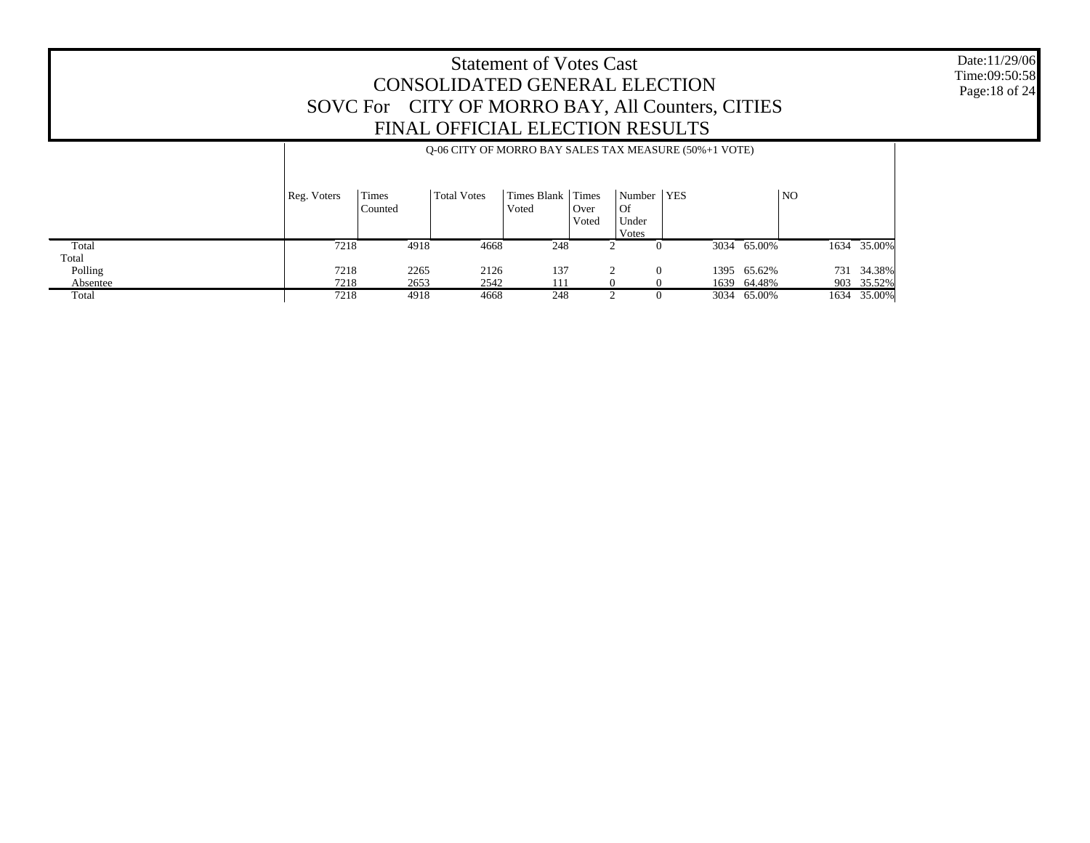Date:11/29/06 Time:09:50:58 Page:18 of 24

|          |             | O-06 CITY OF MORRO BAY SALES TAX MEASURE (50%+1 VOTE) |                    |                        |                        |                                      |  |             |                |             |  |  |
|----------|-------------|-------------------------------------------------------|--------------------|------------------------|------------------------|--------------------------------------|--|-------------|----------------|-------------|--|--|
|          | Reg. Voters | Times<br>Counted                                      | <b>Total Votes</b> | Times Blank  <br>Voted | Times<br>Over<br>Voted | Number   YES<br>Of<br>Under<br>Votes |  |             | N <sub>O</sub> |             |  |  |
| Total    | 7218        | 4918                                                  | 4668               | 248                    |                        |                                      |  | 3034 65.00% |                | 1634 35.00% |  |  |
| Total    |             |                                                       |                    |                        |                        |                                      |  |             |                |             |  |  |
| Polling  | 7218        | 2265                                                  | 2126               | 137                    |                        | $\Omega$                             |  | 1395 65.62% |                | 731 34.38%  |  |  |
| Absentee | 7218        | 2653                                                  | 2542               | .11                    |                        |                                      |  | 1639 64.48% |                | 903 35.52%  |  |  |
| Total    | 7218        | 4918                                                  | 4668               | 248                    |                        |                                      |  | 3034 65.00% |                | 1634 35.00% |  |  |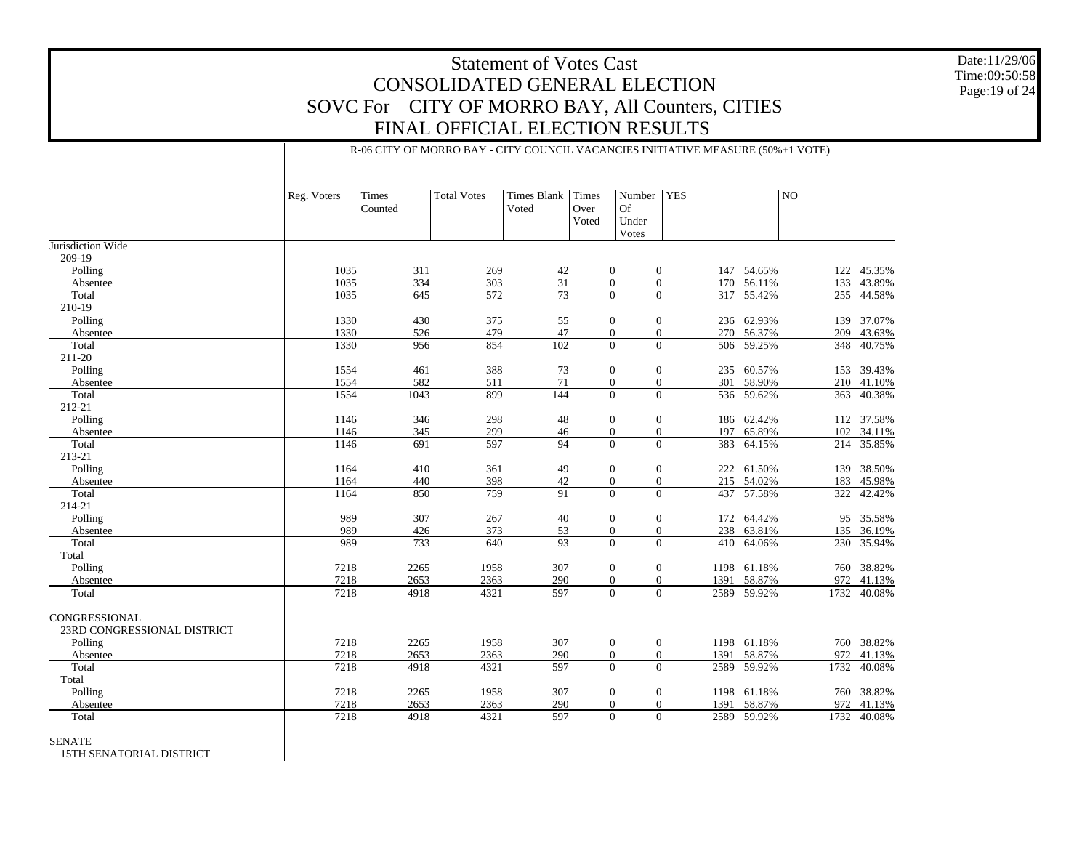#### Date:11/29/06 Time:09:50:58 Page:19 of 24

### Statement of Votes Cast CONSOLIDATED GENERAL ELECTION SOVC For CITY OF MORRO BAY, All Counters, CITIES FINAL OFFICIAL ELECTION RESULTS

#### R-06 CITY OF MORRO BAY - CITY COUNCIL VACANCIES INITIATIVE MEASURE (50%+1 VOTE)

|                                              | Reg. Voters | Times<br>Counted | <b>Total Votes</b> | <b>Times Blank</b><br>Voted | Times<br>Over<br>Voted | Number<br><b>Of</b><br>Under<br>Votes | <b>YES</b> |             | NO   |            |
|----------------------------------------------|-------------|------------------|--------------------|-----------------------------|------------------------|---------------------------------------|------------|-------------|------|------------|
| Jurisdiction Wide                            |             |                  |                    |                             |                        |                                       |            |             |      |            |
| 209-19                                       |             |                  |                    |                             |                        |                                       |            |             |      |            |
| Polling                                      | 1035        | 311              | 269                | 42                          |                        | $\mathbf{0}$<br>$\mathbf{0}$          |            | 147 54.65%  |      | 122 45.35% |
| Absentee                                     | 1035        | 334              | 303                | 31                          |                        | $\mathbf{0}$<br>$\boldsymbol{0}$      |            | 170 56.11%  | 133  | 43.89%     |
| Total                                        | 1035        | 645              | 572                | 73                          |                        | $\theta$<br>$\Omega$                  | 317        | 55.42%      | 255  | 44.58%     |
| 210-19                                       |             |                  |                    |                             |                        |                                       |            |             |      |            |
| Polling                                      | 1330        | 430              | 375                | 55                          |                        | $\mathbf{0}$<br>$\theta$              | 236        | 62.93%      | 139  | 37.07%     |
| Absentee                                     | 1330        | 526              | 479                | 47                          |                        | $\theta$<br>$\overline{0}$            |            | 270 56.37%  | 209  | 43.63%     |
| Total                                        | 1330        | 956              | 854                | 102                         |                        | $\mathbf{0}$<br>$\overline{0}$        |            | 506 59.25%  | 348  | 40.75%     |
| 211-20                                       |             |                  |                    |                             |                        |                                       |            |             |      |            |
| Polling                                      | 1554        | 461              | 388                | 73                          |                        | $\mathbf{0}$<br>$\boldsymbol{0}$      |            | 235 60.57%  |      | 153 39.43% |
| Absentee                                     | 1554        | 582              | 511                | 71                          |                        | $\boldsymbol{0}$<br>$\boldsymbol{0}$  | 301        | 58.90%      |      | 210 41.10% |
| Total                                        | 1554        | 1043             | 899                | 144                         |                        | $\theta$<br>$\mathbf{0}$              | 536        | 59.62%      | 363  | 40.38%     |
| 212-21                                       |             |                  |                    |                             |                        |                                       |            |             |      |            |
| Polling                                      | 1146        | 346              | 298                | 48                          |                        | $\mathbf{0}$<br>$\mathbf{0}$          | 186        | 62.42%      | 112  | 37.58%     |
| Absentee                                     | 1146        | 345              | 299                | 46                          |                        | $\boldsymbol{0}$<br>$\mathbf{0}$      | 197        | 65.89%      | 102  | 34.11%     |
| Total                                        | 1146        | 691              | 597                | 94                          |                        | $\Omega$<br>$\Omega$                  | 383        | 64.15%      | 214  | 35.85%     |
| 213-21                                       |             |                  |                    |                             |                        |                                       |            |             |      |            |
| Polling                                      | 1164        | 410              | 361                | 49                          |                        | $\mathbf{0}$<br>$\mathbf{0}$          | 222        | 61.50%      | 139  | 38.50%     |
| Absentee                                     | 1164        | 440              | 398                | 42                          |                        | $\boldsymbol{0}$<br>$\overline{0}$    |            | 215 54.02%  | 183  | 45.98%     |
| Total                                        | 1164        | 850              | 759                | 91                          |                        | $\theta$<br>$\Omega$                  | 437        | 57.58%      | 322  | 42.42%     |
| 214-21                                       |             |                  |                    |                             |                        |                                       |            |             |      |            |
| Polling                                      | 989         | 307              | 267                | 40                          |                        | $\boldsymbol{0}$<br>$\mathbf{0}$      | 172        | 64.42%      | 95   | 35.58%     |
| Absentee                                     | 989         | 426              | 373                | 53                          |                        | $\boldsymbol{0}$<br>$\mathbf{0}$      | 238        | 63.81%      | 135  | 36.19%     |
| Total                                        | 989         | 733              | 640                | 93                          |                        | $\overline{0}$<br>$\mathbf{0}$        | 410        | 64.06%      | 230  | 35.94%     |
| Total                                        |             |                  |                    |                             |                        |                                       |            |             |      |            |
| Polling                                      | 7218        | 2265             | 1958               | 307                         |                        | $\mathbf{0}$<br>$\mathbf{0}$          |            | 1198 61.18% |      | 760 38.82% |
| Absentee                                     | 7218        | 2653             | 2363               | 290                         |                        | $\mathbf{0}$<br>$\Omega$              | 1391       | 58.87%      | 972  | 41.13%     |
| Total                                        | 7218        | 4918             | 4321               | 597                         |                        | $\Omega$<br>$\Omega$                  |            | 2589 59.92% | 1732 | 40.08%     |
|                                              |             |                  |                    |                             |                        |                                       |            |             |      |            |
| CONGRESSIONAL<br>23RD CONGRESSIONAL DISTRICT |             |                  |                    |                             |                        |                                       |            |             |      |            |
| Polling                                      | 7218        | 2265             | 1958               | 307                         |                        | $\mathbf{0}$<br>$\mathbf{0}$          | 1198       | 61.18%      | 760  | 38.82%     |
| Absentee                                     | 7218        | 2653             | 2363               | 290                         |                        | $\mathbf{0}$<br>$\mathbf{0}$          | 1391       | 58.87%      | 972  | 41.13%     |
| Total                                        | 7218        | 4918             | 4321               | 597                         |                        | $\theta$<br>$\overline{0}$            | 2589       | 59.92%      | 1732 | 40.08%     |
| Total                                        |             |                  |                    |                             |                        |                                       |            |             |      |            |
| Polling                                      | 7218        | 2265             | 1958               | 307                         |                        | $\mathbf{0}$<br>$\mathbf{0}$          | 1198       | 61.18%      |      | 760 38.82% |
| Absentee                                     | 7218        | 2653             | 2363               | 290                         |                        | $\mathbf{0}$<br>$\mathbf{0}$          | 1391       | 58.87%      | 972  | 41.13%     |
| Total                                        | 7218        | 4918             | 4321               | 597                         |                        | $\Omega$<br>$\Omega$                  |            | 2589 59.92% | 1732 | 40.08%     |
| <b>SENATE</b>                                |             |                  |                    |                             |                        |                                       |            |             |      |            |

15TH SENATORIAL DISTRICT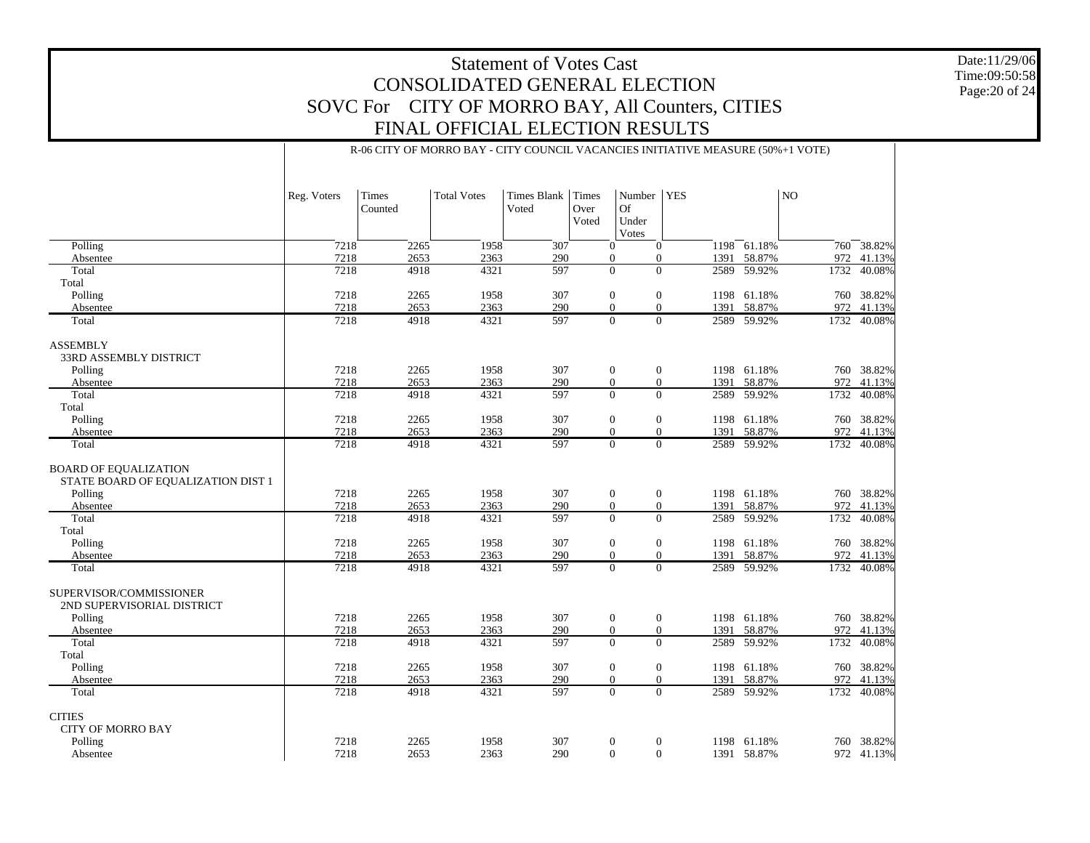R-06 CITY OF MORRO BAY - CITY COUNCIL VACANCIES INITIATIVE MEASURE (50%+1 VOTE)

Date:11/29/06 Time:09:50:58 Page:20 of 24

|                                                                    | Reg. Voters | Times<br>Counted | <b>Total Votes</b> | <b>Times Blank</b><br>Voted | Times<br>Over<br>Voted | Number<br><b>Of</b><br>Under<br>Votes | <b>YES</b> |      |               | N <sub>O</sub> |             |
|--------------------------------------------------------------------|-------------|------------------|--------------------|-----------------------------|------------------------|---------------------------------------|------------|------|---------------|----------------|-------------|
| Polling                                                            | 7218        | 2265             | 1958               | 307                         | $\mathbf{0}$           | $\mathbf{0}$                          |            |      | $1198$ 61.18% |                | 760 38.82%  |
| Absentee                                                           | 7218        | 2653             | 2363               | 290                         | $\overline{0}$         | $\mathbf{0}$                          |            | 1391 | 58.87%        | 972            | 41.13%      |
| Total                                                              | 7218        | 4918             | 4321               | 597                         | $\mathbf{0}$           | $\mathbf{0}$                          |            | 2589 | 59.92%        |                | 1732 40.08% |
| Total                                                              |             |                  |                    |                             |                        |                                       |            |      |               |                |             |
| Polling                                                            | 7218        | 2265             | 1958               | 307                         | $\mathbf{0}$           | $\overline{0}$                        |            |      | 1198 61.18%   |                | 760 38.82%  |
| Absentee                                                           | 7218        | 2653             | 2363               | 290                         | $\mathbf{0}$           | $\theta$                              |            | 1391 | 58.87%        | 972            | 41.13%      |
| Total                                                              | 7218        | 4918             | 4321               | 597                         | $\Omega$               | $\Omega$                              |            |      | 2589 59.92%   | 1732           | 40.08%      |
| <b>ASSEMBLY</b><br>33RD ASSEMBLY DISTRICT                          |             |                  |                    |                             |                        |                                       |            |      |               |                |             |
| Polling                                                            | 7218        | 2265             | 1958               | 307                         | $\mathbf{0}$           | $\mathbf{0}$                          |            |      | 1198 61.18%   |                | 760 38.82%  |
| Absentee                                                           | 7218        | 2653             | 2363               | 290                         | $\theta$               | $\mathbf{0}$                          |            | 1391 | 58.87%        |                | 972 41.13%  |
| Total                                                              | 7218        | 4918             | 4321               | 597                         | $\Omega$               | $\Omega$                              |            | 2589 | 59.92%        | 1732           | 40.08%      |
| Total                                                              |             |                  |                    |                             |                        |                                       |            |      |               |                |             |
| Polling                                                            | 7218        | 2265             | 1958               | 307                         | $\mathbf{0}$           | $\mathbf{0}$                          |            | 1198 | 61.18%        |                | 760 38.82%  |
| Absentee                                                           | 7218        | 2653             | 2363               | 290                         | $\theta$               | $\mathbf{0}$                          |            | 1391 | 58.87%        | 972            | 41.13%      |
| Total                                                              | 7218        | 4918             | 4321               | 597                         | $\theta$               | $\mathbf{0}$                          |            | 2589 | 59.92%        |                | 1732 40.08% |
| <b>BOARD OF EQUALIZATION</b><br>STATE BOARD OF EQUALIZATION DIST 1 |             |                  |                    |                             |                        |                                       |            |      |               |                |             |
| Polling                                                            | 7218        | 2265             | 1958               | 307                         | $\mathbf{0}$           | $\mathbf{0}$                          |            |      | 1198 61.18%   |                | 760 38.82%  |
| Absentee                                                           | 7218        | 2653             | 2363               | 290                         | $\mathbf{0}$           | $\overline{0}$                        |            | 1391 | 58.87%        | 972            | 41.13%      |
| Total<br>Total                                                     | 7218        | 4918             | 4321               | 597                         | $\Omega$               | $\Omega$                              |            | 2589 | 59.92%        | 1732           | 40.08%      |
| Polling                                                            | 7218        | 2265             | 1958               | 307                         | $\mathbf{0}$           | $\mathbf{0}$                          |            | 1198 | 61.18%        |                | 760 38.82%  |
| Absentee                                                           | 7218        | 2653             | 2363               | 290                         | $\Omega$               | $\Omega$                              |            | 1391 | 58.87%        | 972            | 41.13%      |
| Total                                                              | 7218        | 4918             | 4321               | 597                         | $\overline{0}$         | $\Omega$                              |            | 2589 | 59.92%        |                | 1732 40.08% |
| SUPERVISOR/COMMISSIONER<br>2ND SUPERVISORIAL DISTRICT              |             |                  |                    |                             |                        |                                       |            |      |               |                |             |
| Polling                                                            | 7218        | 2265             | 1958               | 307                         | $\boldsymbol{0}$       | $\overline{0}$                        |            |      | 1198 61.18%   |                | 760 38.82%  |
| Absentee                                                           | 7218        | 2653             | 2363               | 290                         | $\theta$               | $\boldsymbol{0}$                      |            | 1391 | 58.87%        | 972            | 41.13%      |
| Total                                                              | 7218        | 4918             | 4321               | 597                         | $\Omega$               | $\Omega$                              |            | 2589 | 59.92%        | 1732           | 40.08%      |
| Total                                                              |             |                  |                    |                             |                        |                                       |            |      |               |                |             |
| Polling                                                            | 7218        | 2265             | 1958               | 307                         | $\boldsymbol{0}$       | $\boldsymbol{0}$                      |            |      | 1198 61.18%   |                | 760 38.82%  |
| Absentee                                                           | 7218        | 2653             | 2363               | 290                         | $\theta$               | $\mathbf{0}$                          |            | 1391 | 58.87%        | 972            | 41.13%      |
| Total                                                              | 7218        | 4918             | 4321               | 597                         | $\Omega$               | $\Omega$                              |            | 2589 | 59.92%        |                | 1732 40.08% |
| <b>CITIES</b><br><b>CITY OF MORRO BAY</b>                          |             |                  |                    |                             |                        |                                       |            |      |               |                |             |
| Polling                                                            | 7218        | 2265             | 1958               | 307                         | $\mathbf{0}$           | $\mathbf{0}$                          |            |      | 1198 61.18%   |                | 760 38.82%  |
| Absentee                                                           | 7218        | 2653             | 2363               | 290                         | $\mathbf{0}$           | $\overline{0}$                        |            |      | 1391 58.87%   |                | 972 41.13%  |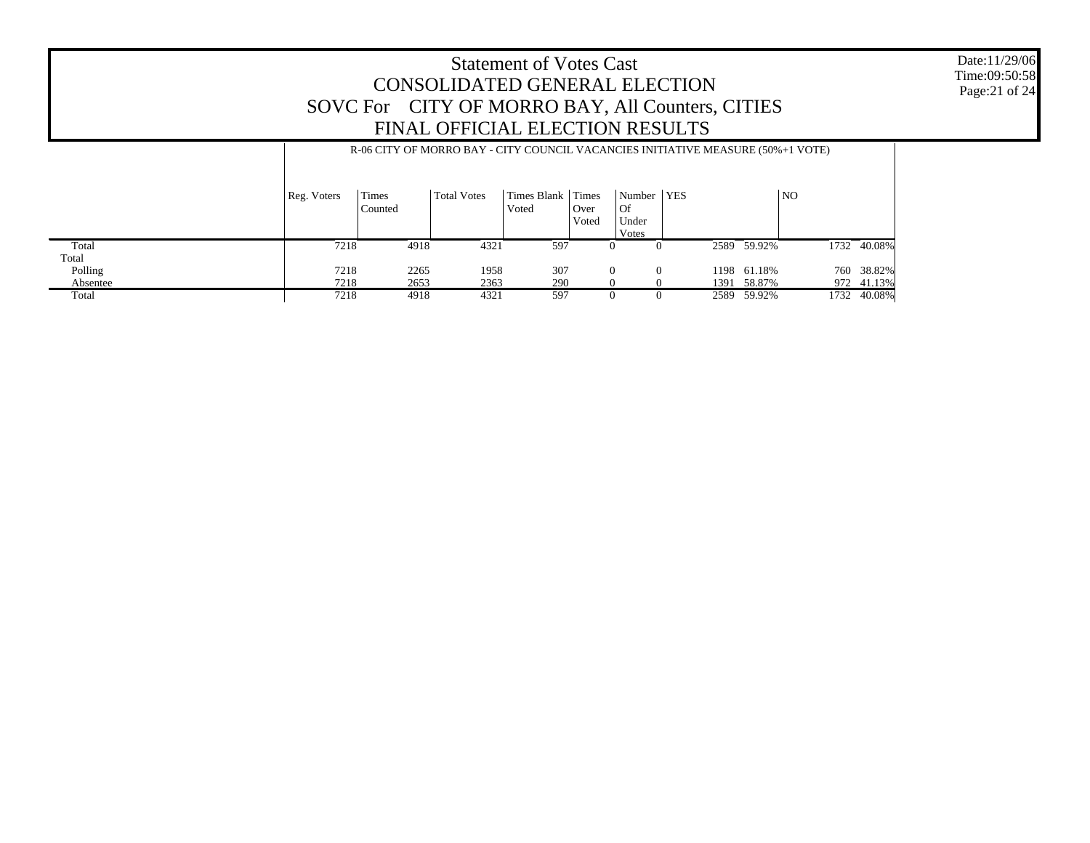#### Date:11/29/06 Time:09:50:58 Page:21 of 24

## Statement of Votes Cast CONSOLIDATED GENERAL ELECTION SOVC For CITY OF MORRO BAY, All Counters, CITIES FINAL OFFICIAL ELECTION RESULTS

|          | R-06 CITY OF MORRO BAY - CITY COUNCIL VACANCIES INITIATIVE MEASURE (50%+1 VOTE) |                         |                    |                      |                        |                             |  |      |             |           |            |
|----------|---------------------------------------------------------------------------------|-------------------------|--------------------|----------------------|------------------------|-----------------------------|--|------|-------------|-----------|------------|
|          | Reg. Voters                                                                     | <b>Times</b><br>Counted | <b>Total Votes</b> | Times Blank<br>Voted | Times<br>Over<br>Voted | Number   YES<br>Of<br>Under |  |      |             | <b>NO</b> |            |
|          |                                                                                 |                         |                    |                      |                        | Votes                       |  |      |             |           |            |
| Total    | 7218                                                                            | 4918                    | 4321               | 597                  |                        | $\theta$                    |  |      | 2589 59.92% | 1732      | 40.08%     |
| Total    |                                                                                 |                         |                    |                      |                        |                             |  |      |             |           |            |
| Polling  | 7218                                                                            | 2265                    | 1958               | 307                  | $\Omega$               | $\Omega$                    |  |      | 1198 61.18% | 760       | 38.82%     |
| Absentee | 7218                                                                            | 2653                    | 2363               | 290                  |                        |                             |  | 1391 | 58.87%      |           | 972 41.13% |
| Total    | 7218                                                                            | 4918                    | 4321               | 597                  | $\overline{0}$         | $\Omega$                    |  |      | 2589 59.92% | 1732      | 40.08%     |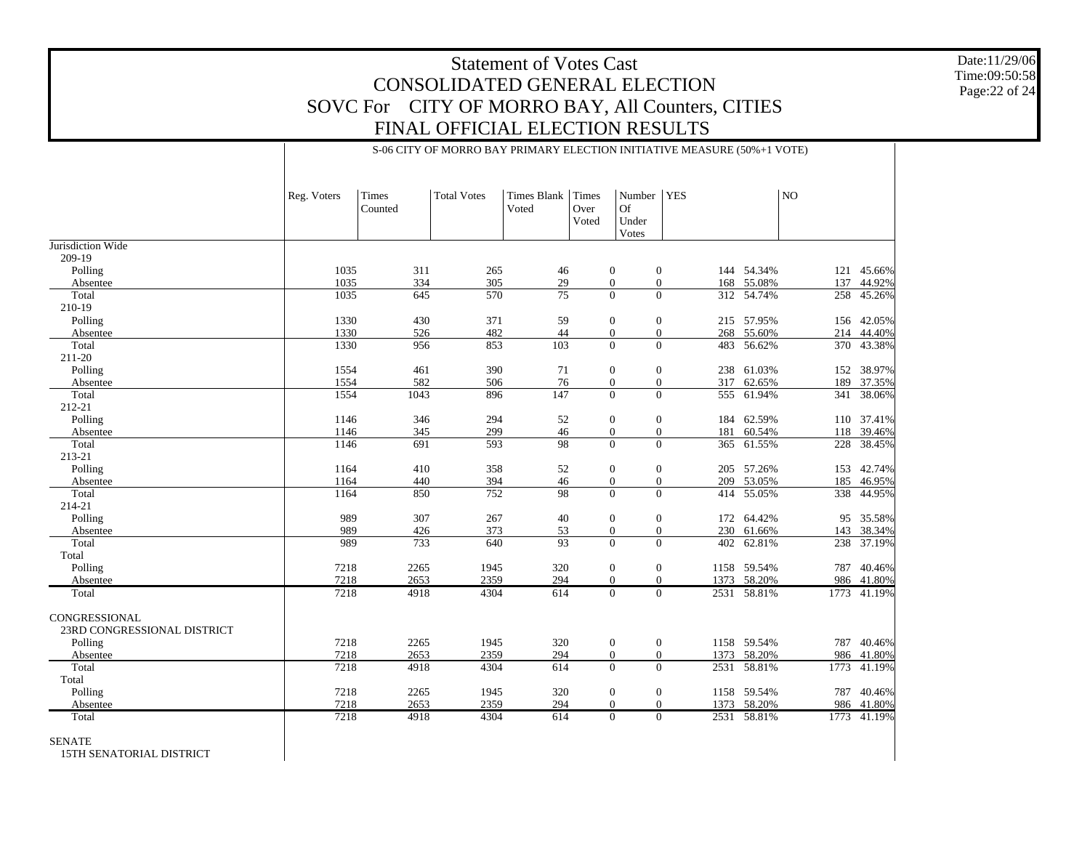S-06 CITY OF MORRO BAY PRIMARY ELECTION INITIATIVE MEASURE (50%+1 VOTE)

Date:11/29/06 Time:09:50:58 Page:22 of 24

|                             | Reg. Voters  | Times<br>Counted | <b>Total Votes</b> | <b>Times Blank</b><br>Voted | <b>Times</b><br>Over<br>Voted | Number<br><b>Of</b><br>Under<br>Votes | <b>YES</b>                              |             | NO   |            |
|-----------------------------|--------------|------------------|--------------------|-----------------------------|-------------------------------|---------------------------------------|-----------------------------------------|-------------|------|------------|
| Jurisdiction Wide           |              |                  |                    |                             |                               |                                       |                                         |             |      |            |
| 209-19                      |              |                  |                    |                             |                               |                                       |                                         |             |      |            |
| Polling                     | 1035         | 311              | 265                | 46                          |                               | $\mathbf{0}$                          | $\overline{0}$                          | 144 54.34%  |      | 121 45.66% |
| Absentee                    | 1035         | 334              | 305                | 29                          |                               | $\boldsymbol{0}$                      | $\mathbf{0}$                            | 168 55.08%  | 137  | 44.92%     |
| Total                       | 1035         | 645              | 570                | 75                          |                               | $\Omega$                              | $\Omega$                                | 312 54.74%  | 258  | 45.26%     |
| 210-19                      |              |                  |                    |                             |                               |                                       |                                         |             |      |            |
| Polling                     | 1330         | 430              | 371                | 59                          |                               | $\mathbf{0}$                          | $\boldsymbol{0}$                        | 215 57.95%  | 156  | 42.05%     |
| Absentee                    | 1330         | 526              | 482                | 44                          |                               | $\overline{0}$                        | $\overline{0}$                          | 268 55.60%  | 214  | 44.40%     |
| Total                       | 1330         | 956              | 853                | 103                         |                               | $\overline{0}$                        | $\overline{0}$<br>483                   | 56.62%      | 370  | 43.38%     |
| 211-20                      |              |                  |                    |                             |                               |                                       |                                         |             |      |            |
| Polling                     | 1554         | 461              | 390                | 71                          |                               | $\mathbf{0}$                          | $\mathbf{0}$                            | 238 61.03%  | 152  | 38.97%     |
| Absentee<br>Total           | 1554<br>1554 | 582<br>1043      | 506<br>896         | 76<br>147                   |                               | $\mathbf{0}$<br>$\overline{0}$        | $\overline{0}$<br>317<br>$\overline{0}$ | 62.65%      | 189  | 37.35%     |
| 212-21                      |              |                  |                    |                             |                               |                                       |                                         | 555 61.94%  |      | 341 38.06% |
| Polling                     | 1146         | 346              | 294                | 52                          |                               | $\mathbf{0}$                          | $\mathbf{0}$                            | 184 62.59%  |      | 110 37.41% |
| Absentee                    | 1146         | 345              | 299                | 46                          |                               | $\boldsymbol{0}$                      | $\overline{0}$<br>181                   | 60.54%      | 118  | 39.46%     |
| Total                       | 1146         | $\overline{691}$ | 593                | 98                          |                               | $\Omega$                              | $\Omega$                                | 365 61.55%  | 228  | 38.45%     |
| 213-21                      |              |                  |                    |                             |                               |                                       |                                         |             |      |            |
| Polling                     | 1164         | 410              | 358                | 52                          |                               | $\mathbf{0}$                          | $\overline{0}$                          | 205 57.26%  | 153  | 42.74%     |
| Absentee                    | 1164         | 440              | 394                | 46                          |                               | $\mathbf{0}$                          | $\boldsymbol{0}$                        | 209 53.05%  | 185  | 46.95%     |
| Total                       | 1164         | 850              | 752                | 98                          |                               | $\Omega$                              | $\Omega$                                | 414 55.05%  | 338  | 44.95%     |
| 214-21                      |              |                  |                    |                             |                               |                                       |                                         |             |      |            |
| Polling                     | 989          | 307              | 267                | 40                          |                               | $\mathbf{0}$                          | $\mathbf{0}$                            | 172 64.42%  |      | 95 35.58%  |
| Absentee                    | 989          | 426              | 373                | 53                          |                               | $\overline{0}$                        | $\mathbf{0}$                            | 230 61.66%  |      | 143 38.34% |
| Total                       | 989          | 733              | 640                | 93                          |                               | $\overline{0}$                        | $\overline{0}$                          | 402 62.81%  | 238  | 37.19%     |
| Total                       |              |                  |                    |                             |                               |                                       |                                         |             |      |            |
| Polling                     | 7218         | 2265             | 1945               | 320                         |                               | $\overline{0}$                        | $\overline{0}$                          | 1158 59.54% | 787  | 40.46%     |
| Absentee                    | 7218         | 2653             | 2359               | 294                         |                               | $\overline{0}$                        | $\overline{0}$                          | 1373 58.20% | 986  | 41.80%     |
| Total                       | 7218         | 4918             | 4304               | 614                         |                               | $\overline{0}$                        | $\overline{0}$                          | 2531 58.81% | 1773 | 41.19%     |
| CONGRESSIONAL               |              |                  |                    |                             |                               |                                       |                                         |             |      |            |
| 23RD CONGRESSIONAL DISTRICT |              |                  |                    |                             |                               |                                       |                                         |             |      |            |
| Polling                     | 7218         | 2265             | 1945               | 320                         |                               | $\mathbf{0}$                          | $\boldsymbol{0}$                        | 1158 59.54% | 787  | 40.46%     |
| Absentee                    | 7218         | 2653             | 2359               | 294                         |                               | $\overline{0}$                        | $\mathbf{0}$                            | 1373 58.20% |      | 986 41.80% |
| Total                       | 7218         | 4918             | 4304               | 614                         |                               | $\overline{0}$                        | $\overline{0}$<br>2531                  | 58.81%      | 1773 | 41.19%     |
| Total                       |              |                  |                    |                             |                               |                                       |                                         |             |      |            |
| Polling                     | 7218         | 2265             | 1945               | 320                         |                               | $\boldsymbol{0}$                      | $\mathbf{0}$                            | 1158 59.54% | 787  | 40.46%     |
| Absentee                    | 7218         | 2653             | 2359               | 294                         |                               | $\overline{0}$                        | $\overline{0}$                          | 1373 58.20% |      | 986 41.80% |
| Total                       | 7218         | 4918             | 4304               | 614                         |                               | $\overline{0}$                        | $\overline{0}$                          | 2531 58.81% | 1773 | 41.19%     |
|                             |              |                  |                    |                             |                               |                                       |                                         |             |      |            |

#### SENATE

15TH SENATORIAL DISTRICT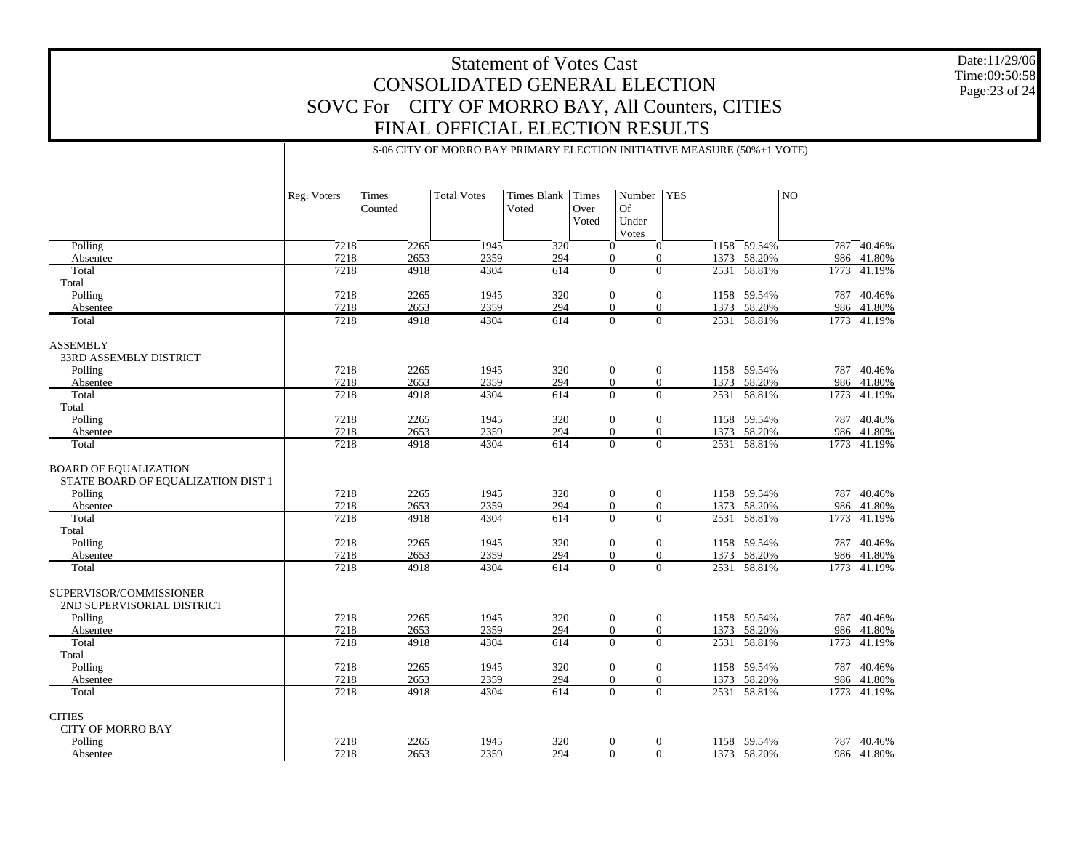S-06 CITY OF MORRO BAY PRIMARY ELECTION INITIATIVE MEASURE (50%+1 VOTE)

Date:11/29/06 Time:09:50:58 Page:23 of 24

|                                                                    | Reg. Voters | Times<br>Counted | <b>Total Votes</b> | Times Blank<br>Voted | Times<br>Over<br>Voted | Number<br><b>Of</b><br>Under<br>Votes | <b>YES</b>     |      |             | NO.  |             |  |
|--------------------------------------------------------------------|-------------|------------------|--------------------|----------------------|------------------------|---------------------------------------|----------------|------|-------------|------|-------------|--|
| Polling                                                            | 7218        | 2265             | 1945               | 320                  | $\Omega$               | $\overline{0}$                        |                |      | 1158 59.54% | 787  | 40.46%      |  |
| Absentee                                                           | 7218        | 2653             | 2359               | 294                  |                        | $\overline{0}$                        | $\overline{0}$ | 1373 | 58.20%      | 986  | 41.80%      |  |
| Total                                                              | 7218        | 4918             | 4304               | 614                  |                        | $\overline{0}$                        | $\overline{0}$ | 2531 | 58.81%      | 1773 | 41.19%      |  |
| Total                                                              |             |                  |                    |                      |                        |                                       |                |      |             |      |             |  |
| Polling                                                            | 7218        | 2265             | 1945               | 320                  | $\boldsymbol{0}$       | $\mathbf{0}$                          |                |      | 1158 59.54% |      | 787 40.46%  |  |
| Absentee                                                           | 7218        | 2653             | 2359               | 294                  |                        | $\overline{0}$                        | $\overline{0}$ | 1373 | 58.20%      | 986  | 41.80%      |  |
| Total                                                              | 7218        | 4918             | 4304               | 614                  |                        | $\overline{0}$                        | $\overline{0}$ |      | 2531 58.81% | 1773 | 41.19%      |  |
| <b>ASSEMBLY</b><br>33RD ASSEMBLY DISTRICT                          |             |                  |                    |                      |                        |                                       |                |      |             |      |             |  |
| Polling                                                            | 7218        | 2265             | 1945               | 320                  | $\theta$               | $\mathbf{0}$                          |                |      | 1158 59.54% | 787  | 40.46%      |  |
| Absentee                                                           | 7218        | 2653             | 2359               | 294                  |                        | $\overline{0}$                        | $\Omega$       | 1373 | 58.20%      | 986  | 41.80%      |  |
| Total                                                              | 7218        | 4918             | 4304               | 614                  |                        | $\Omega$                              | $\Omega$       |      | 2531 58.81% | 1773 | 41.19%      |  |
| Total                                                              |             |                  |                    |                      |                        |                                       |                |      |             |      |             |  |
| Polling                                                            | 7218        | 2265             | 1945               | 320                  | $\theta$               |                                       | $\mathbf{0}$   |      | 1158 59.54% | 787  | 40.46%      |  |
| Absentee                                                           | 7218        | 2653             | 2359               | 294                  |                        | $\Omega$                              | $\Omega$       | 1373 | 58.20%      |      | 986 41.80%  |  |
| Total                                                              | 7218        | 4918             | 4304               | 614                  |                        | $\Omega$                              | $\overline{0}$ |      | 2531 58.81% | 1773 | 41.19%      |  |
| <b>BOARD OF EQUALIZATION</b><br>STATE BOARD OF EQUALIZATION DIST 1 |             |                  |                    |                      |                        |                                       |                |      |             |      |             |  |
| Polling                                                            | 7218        | 2265             | 1945               | 320                  | $\mathbf{0}$           |                                       | $\mathbf{0}$   |      | 1158 59.54% | 787  | 40.46%      |  |
| Absentee                                                           | 7218        | 2653             | 2359               | 294                  |                        | $\overline{0}$                        | $\overline{0}$ |      | 1373 58.20% | 986  | 41.80%      |  |
| Total                                                              | 7218        | 4918             | 4304               | 614                  |                        | $\theta$                              | $\Omega$       |      | 2531 58.81% | 1773 | 41.19%      |  |
| Total                                                              |             |                  |                    |                      |                        |                                       |                |      |             |      |             |  |
| Polling                                                            | 7218        | 2265             | 1945               | 320                  | $\theta$               |                                       | $\overline{0}$ |      | 1158 59.54% | 787  | 40.46%      |  |
| Absentee                                                           | 7218        | 2653             | 2359               | 294                  |                        | $\Omega$<br>$\Omega$                  |                |      | 1373 58.20% | 986  | 41.80%      |  |
| Total                                                              | 7218        | 4918             | 4304               | 614                  |                        | $\Omega$                              | $\Omega$       |      | 2531 58.81% |      | 1773 41.19% |  |
| SUPERVISOR/COMMISSIONER<br>2ND SUPERVISORIAL DISTRICT              |             |                  |                    |                      |                        |                                       |                |      |             |      |             |  |
| Polling                                                            | 7218        | 2265             | 1945               | 320                  | $\mathbf{0}$           | $\mathbf{0}$                          |                |      | 1158 59.54% | 787  | 40.46%      |  |
| Absentee                                                           | 7218        | 2653             | 2359               | 294                  | $\theta$               |                                       | $\overline{0}$ | 1373 | 58.20%      | 986  | 41.80%      |  |
| Total                                                              | 7218        | 4918             | 4304               | 614                  | $\mathbf{0}$           |                                       | $\overline{0}$ |      | 2531 58.81% | 1773 | 41.19%      |  |
| Total                                                              |             |                  |                    |                      |                        |                                       |                |      |             |      |             |  |
| Polling                                                            | 7218        | 2265             | 1945               | 320                  | $\boldsymbol{0}$       | $\boldsymbol{0}$                      |                |      | 1158 59.54% | 787  | 40.46%      |  |
| Absentee                                                           | 7218        | 2653             | 2359               | 294                  | $\theta$               | $\overline{0}$                        |                | 1373 | 58.20%      | 986  | 41.80%      |  |
| Total                                                              | 7218        | 4918             | 4304               | 614                  | $\Omega$               | $\mathbf{0}$                          |                |      | 2531 58.81% |      | 1773 41.19% |  |
| <b>CITIES</b><br><b>CITY OF MORRO BAY</b>                          |             |                  |                    |                      |                        |                                       |                |      |             |      |             |  |
| Polling                                                            | 7218        | 2265             | 1945               | 320                  | $\theta$               | $\mathbf{0}$                          |                |      | 1158 59.54% | 787  | 40.46%      |  |
| Absentee                                                           | 7218        | 2653             | 2359               | 294                  |                        | $\Omega$                              | $\Omega$       |      | 1373 58.20% |      | 986 41.80%  |  |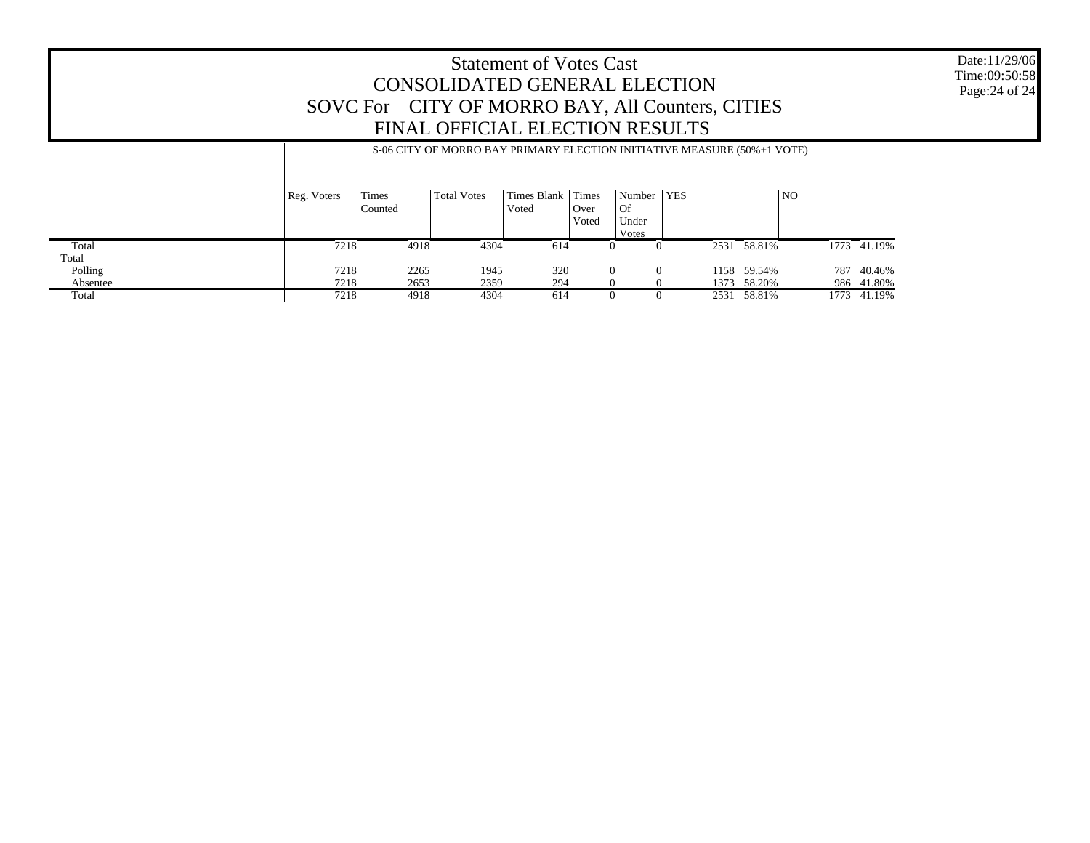#### Date:11/29/06 Time:09:50:58 Page:24 of 24

### Statement of Votes Cast CONSOLIDATED GENERAL ELECTION SOVC For CITY OF MORRO BAY, All Counters, CITIES FINAL OFFICIAL ELECTION RESULTS

|          | S-06 CITY OF MORRO BAY PRIMARY ELECTION INITIATIVE MEASURE (50%+1 VOTE) |                  |                    |                        |                        |                                      |      |             |                |             |  |  |
|----------|-------------------------------------------------------------------------|------------------|--------------------|------------------------|------------------------|--------------------------------------|------|-------------|----------------|-------------|--|--|
|          | Reg. Voters                                                             | Times<br>Counted | <b>Total Votes</b> | Times Blank  <br>Voted | Times<br>Over<br>Voted | Number   YES<br>Of<br>Under<br>Votes |      |             | N <sub>O</sub> |             |  |  |
| Total    | 7218                                                                    | 4918             | 4304               | 614                    | $\theta$               | $\theta$                             |      | 2531 58.81% |                | 1773 41.19% |  |  |
| Total    |                                                                         |                  |                    |                        |                        |                                      |      |             |                |             |  |  |
| Polling  | 7218                                                                    | 2265             | 1945               | 320                    | $\Omega$               | $\Omega$                             | 1158 | 59.54%      | 787            | 40.46%      |  |  |
| Absentee | 7218                                                                    | 2653             | 2359               | 294                    |                        |                                      | 1373 | 58.20%      |                | 986 41.80%  |  |  |
| Total    | 7218                                                                    | 4918             | 4304               | 614                    | $\mathbf{U}$           | 0                                    | 2531 | 58.81%      |                | 1773 41.19% |  |  |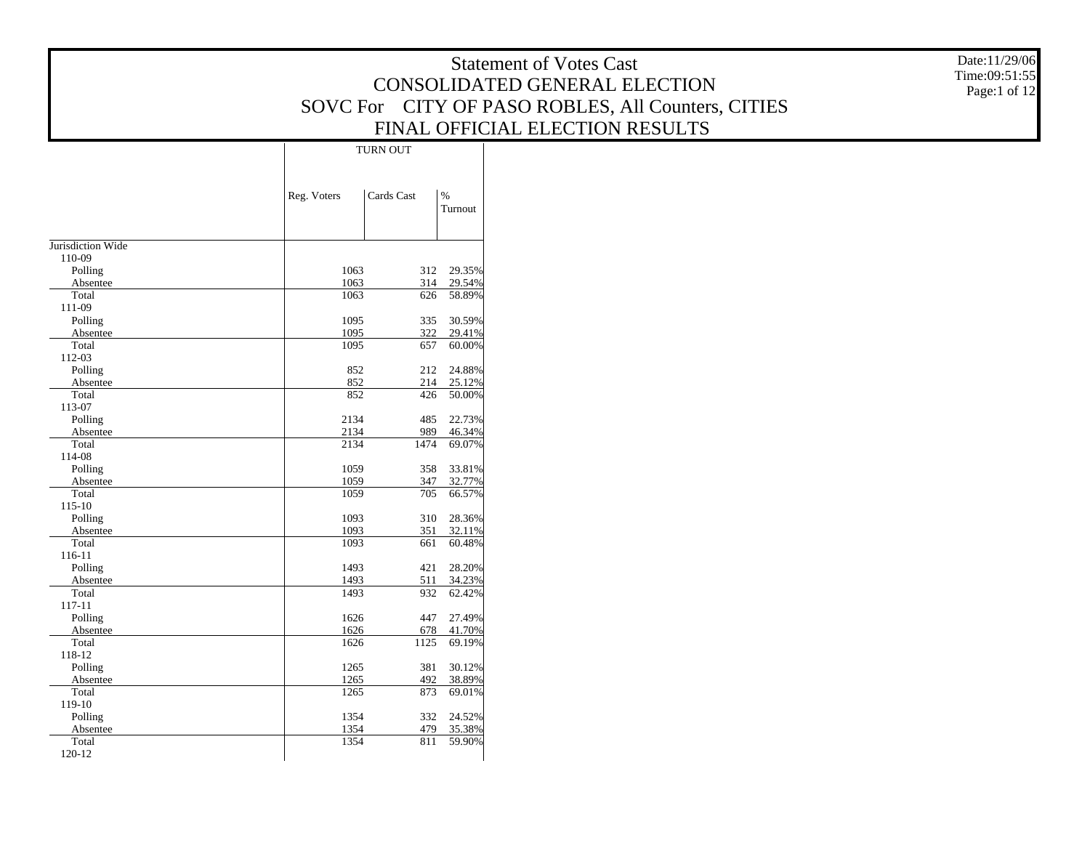|                     |              |                                 | <b>Statement of Votes Cast</b>                     | Date:11/29/06 |
|---------------------|--------------|---------------------------------|----------------------------------------------------|---------------|
|                     |              |                                 | CONSOLIDATED GENERAL ELECTION                      | Time:09:51:55 |
|                     |              |                                 |                                                    | Page:1 of 12  |
|                     |              |                                 | SOVC For CITY OF PASO ROBLES, All Counters, CITIES |               |
|                     |              |                                 | FINAL OFFICIAL ELECTION RESULTS                    |               |
|                     |              | <b>TURN OUT</b>                 |                                                    |               |
|                     |              |                                 |                                                    |               |
|                     |              |                                 |                                                    |               |
|                     | Reg. Voters  | Cards Cast<br>$\%$              |                                                    |               |
|                     |              | Turnout                         |                                                    |               |
|                     |              |                                 |                                                    |               |
| Jurisdiction Wide   |              |                                 |                                                    |               |
| 110-09<br>Polling   | 1063         | 312 29.35%                      |                                                    |               |
| Absentee            | 1063         | 314<br>29.54%                   |                                                    |               |
| Total               | 1063         | 58.89%<br>626                   |                                                    |               |
| 111-09              |              |                                 |                                                    |               |
| Polling             | 1095         | 335<br>30.59%                   |                                                    |               |
| Absentee            | 1095         | 322<br>29.41%                   |                                                    |               |
| Total<br>112-03     | 1095         | 60.00%<br>657                   |                                                    |               |
| Polling             | 852          | 24.88%<br>212                   |                                                    |               |
| Absentee            | 852          | 214<br>25.12%                   |                                                    |               |
| Total               | 852          | 426<br>50.00%                   |                                                    |               |
| 113-07              |              |                                 |                                                    |               |
| Polling             | 2134         | 485<br>22.73%                   |                                                    |               |
| Absentee            | 2134<br>2134 | 989<br>46.34%<br>69.07%<br>1474 |                                                    |               |
| Total<br>114-08     |              |                                 |                                                    |               |
| Polling             | 1059         | 358<br>33.81%                   |                                                    |               |
| Absentee            | 1059         | 347<br>32.77%                   |                                                    |               |
| Total               | 1059         | 66.57%<br>705                   |                                                    |               |
| 115-10              |              |                                 |                                                    |               |
| Polling<br>Absentee | 1093<br>1093 | 310<br>28.36%<br>351<br>32.11%  |                                                    |               |
| Total               | 1093         | 60.48%<br>661                   |                                                    |               |
| $116 - 11$          |              |                                 |                                                    |               |
| Polling             | 1493         | 421<br>28.20%                   |                                                    |               |
| Absentee            | 1493         | 34.23%<br>511                   |                                                    |               |
| Total               | 1493         | 932<br>62.42%                   |                                                    |               |
| 117-11<br>Polling   | 1626         | 447<br>27.49%                   |                                                    |               |
| Absentee            | 1626         | 678<br>41.70%                   |                                                    |               |
| Total               | 1626         | 1125<br>69.19%                  |                                                    |               |
| 118-12              |              |                                 |                                                    |               |
| Polling             | 1265         | 381<br>30.12%                   |                                                    |               |
| Absentee            | 1265         | 492<br>38.89%                   |                                                    |               |
| Total<br>119-10     | 1265         | 873<br>69.01%                   |                                                    |               |
| Polling             | 1354         | 332 24.52%                      |                                                    |               |
| Absentee            | 1354         | 479<br>35.38%                   |                                                    |               |
| Total               | 1354         | 59.90%<br>811                   |                                                    |               |
| 120-12              |              |                                 |                                                    |               |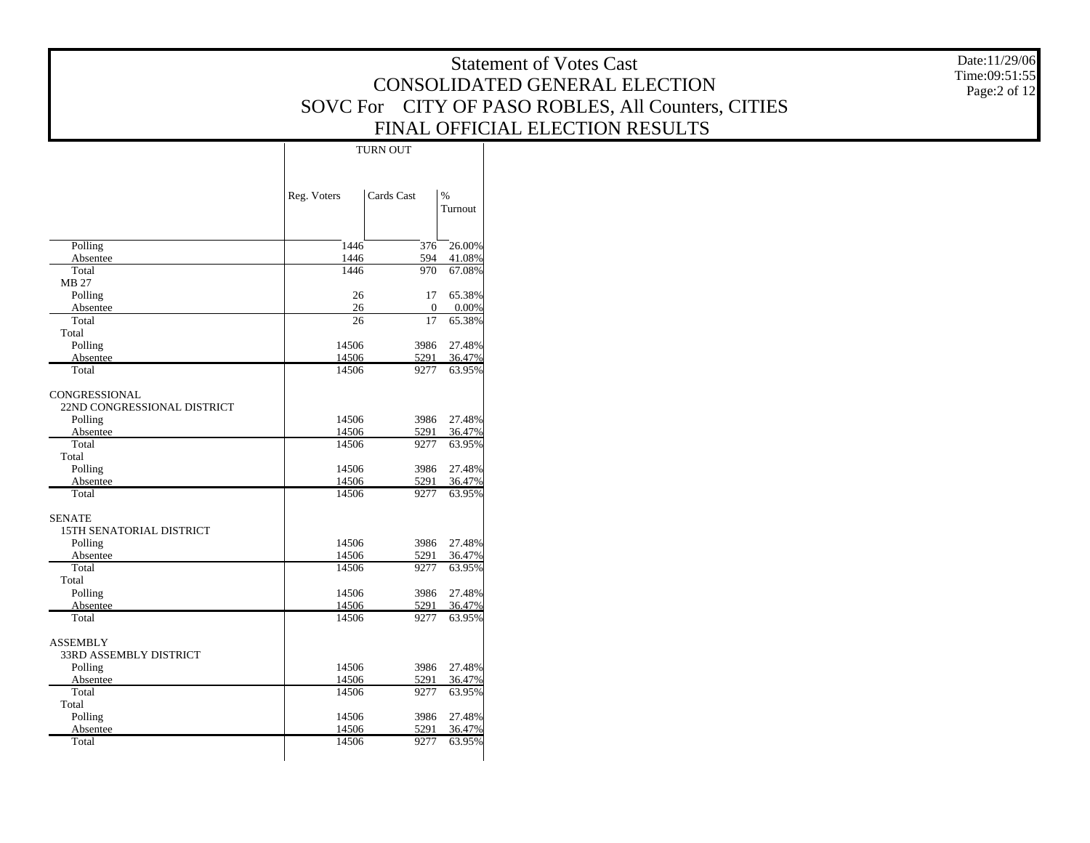Date:11/29/06 Time:09:51:55 Page:2 of 12

|                               |             | <b>TURN OUT</b> |                          |  |
|-------------------------------|-------------|-----------------|--------------------------|--|
|                               | Reg. Voters | Cards Cast      | $\frac{9}{6}$<br>Turnout |  |
|                               | 1446        | 376             |                          |  |
| Polling<br>Absentee           | 1446        | 594             | 26.00%<br>41.08%         |  |
| Total                         | 1446        | 970             | 67.08%                   |  |
| <b>MB 27</b>                  |             |                 |                          |  |
| Polling                       | 26          | 17              | 65.38%                   |  |
| Absentee                      | 26          | $\mathbf{0}$    | 0.00%                    |  |
| Total                         | 26          | 17              | 65.38%                   |  |
| Total                         |             |                 |                          |  |
| Polling                       | 14506       | 3986            | 27.48%                   |  |
| Absentee                      | 14506       | 5291            | 36.47%                   |  |
| Total                         | 14506       | 9277            | 63.95%                   |  |
|                               |             |                 |                          |  |
| CONGRESSIONAL                 |             |                 |                          |  |
| 22ND CONGRESSIONAL DISTRICT   |             |                 |                          |  |
| Polling                       | 14506       | 3986            | 27.48%                   |  |
| Absentee                      | 14506       | 5291            | 36.47%                   |  |
| Total                         | 14506       | 9277            | 63.95%                   |  |
| Total                         |             |                 |                          |  |
| Polling                       | 14506       | 3986            | 27.48%                   |  |
| Absentee                      | 14506       | 5291            | 36.47%                   |  |
| Total                         | 14506       | 9277            | 63.95%                   |  |
| <b>SENATE</b>                 |             |                 |                          |  |
| 15TH SENATORIAL DISTRICT      |             |                 |                          |  |
| Polling                       | 14506       | 3986            | 27.48%                   |  |
| Absentee                      | 14506       | 5291            | 36.47%                   |  |
| Total                         | 14506       | 9277            | 63.95%                   |  |
| Total                         |             |                 |                          |  |
| Polling                       | 14506       | 3986            | 27.48%                   |  |
| Absentee                      | 14506       | 5291            | 36.47%                   |  |
| Total                         | 14506       | 9277            | 63.95%                   |  |
|                               |             |                 |                          |  |
| <b>ASSEMBLY</b>               |             |                 |                          |  |
| <b>33RD ASSEMBLY DISTRICT</b> |             |                 |                          |  |
| Polling                       | 14506       | 3986            | 27.48%                   |  |
| Absentee                      | 14506       | 5291            | 36.47%                   |  |
| Total                         | 14506       | 9277            | 63.95%                   |  |
| Total                         |             |                 |                          |  |
| Polling                       | 14506       | 3986            | 27.48%                   |  |
| Absentee                      | 14506       | 5291            | 36.47%                   |  |
| Total                         | 14506       | 9277            | 63.95%                   |  |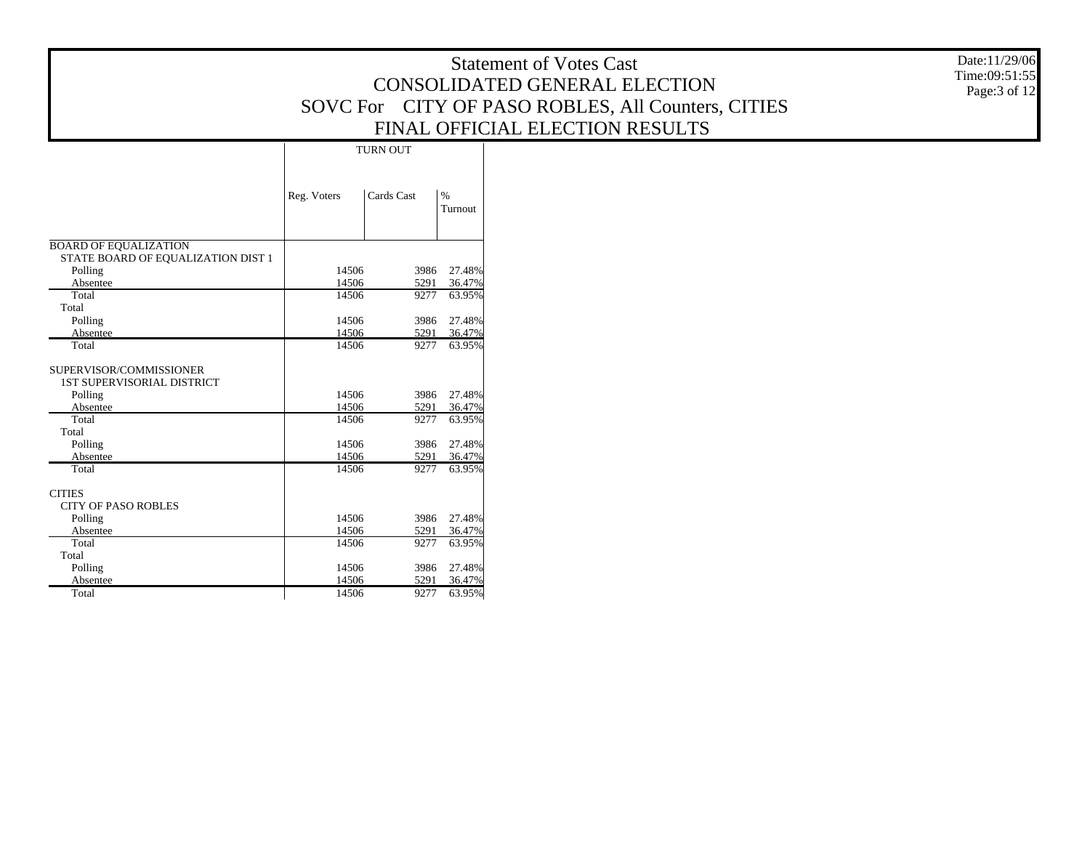|                                    |                |                 |                  | <b>Statement of Votes Cast</b>                     | Date:11/29/06<br>Time:09:51:55 |
|------------------------------------|----------------|-----------------|------------------|----------------------------------------------------|--------------------------------|
|                                    |                |                 |                  | CONSOLIDATED GENERAL ELECTION                      | Page:3 of 12                   |
|                                    |                |                 |                  | SOVC For CITY OF PASO ROBLES, All Counters, CITIES |                                |
|                                    |                |                 |                  | FINAL OFFICIAL ELECTION RESULTS                    |                                |
|                                    |                |                 |                  |                                                    |                                |
|                                    |                | <b>TURN OUT</b> |                  |                                                    |                                |
|                                    |                |                 |                  |                                                    |                                |
|                                    | Reg. Voters    | Cards Cast      | $\%$             |                                                    |                                |
|                                    |                |                 | Turnout          |                                                    |                                |
|                                    |                |                 |                  |                                                    |                                |
| <b>BOARD OF EQUALIZATION</b>       |                |                 |                  |                                                    |                                |
| STATE BOARD OF EQUALIZATION DIST 1 | 14506          |                 | 3986 27.48%      |                                                    |                                |
| Polling<br>Absentee                | 14506          | 5291            | 36.47%           |                                                    |                                |
| Total                              | 14506          | 9277            | 63.95%           |                                                    |                                |
| Total                              |                |                 |                  |                                                    |                                |
| Polling                            | 14506          | 3986            | 27.48%           |                                                    |                                |
| Absentee                           | 14506          | 5291            | 36.47%           |                                                    |                                |
| Total                              | 14506          | 9277            | 63.95%           |                                                    |                                |
| SUPERVISOR/COMMISSIONER            |                |                 |                  |                                                    |                                |
| <b>1ST SUPERVISORIAL DISTRICT</b>  |                |                 |                  |                                                    |                                |
| Polling                            | 14506          |                 | 3986 27.48%      |                                                    |                                |
| Absentee                           | 14506          | 5291            | 36.47%           |                                                    |                                |
| Total                              | 14506          | 9277            | 63.95%           |                                                    |                                |
| Total                              |                |                 |                  |                                                    |                                |
| Polling                            | 14506          | 3986            | 27.48%           |                                                    |                                |
| Absentee<br>Total                  | 14506<br>14506 | 5291<br>9277    | 36.47%<br>63.95% |                                                    |                                |
|                                    |                |                 |                  |                                                    |                                |
| <b>CITIES</b>                      |                |                 |                  |                                                    |                                |
| <b>CITY OF PASO ROBLES</b>         |                |                 |                  |                                                    |                                |
| Polling                            | 14506          | 3986            | 27.48%           |                                                    |                                |
| Absentee                           | 14506          | 5291            | 36.47%           |                                                    |                                |
| Total                              | 14506          | 9277            | 63.95%           |                                                    |                                |
| Total                              |                |                 |                  |                                                    |                                |
| Polling<br>Absentee                | 14506<br>14506 | 3986<br>5291    | 27.48%<br>36.47% |                                                    |                                |
| Total                              | 14506          | 9277            | 63.95%           |                                                    |                                |
|                                    |                |                 |                  |                                                    |                                |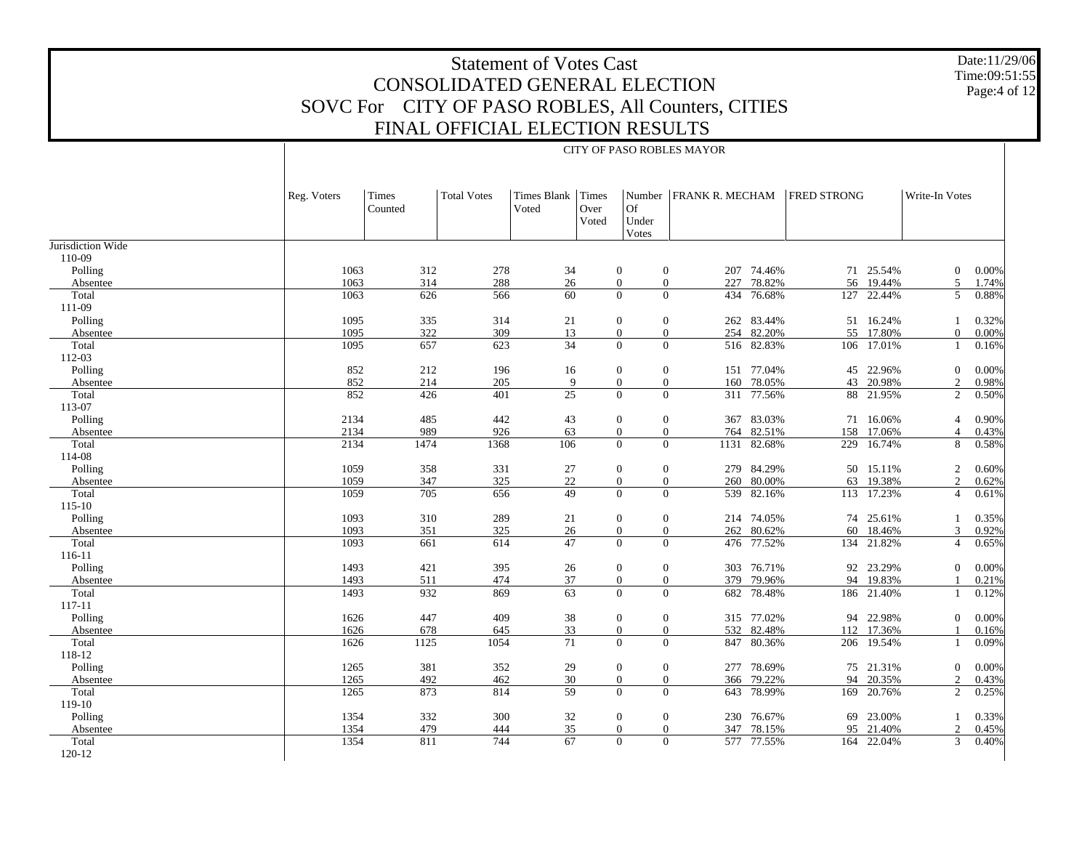Date:11/29/06 Time:09:51:55 Page:4 of 12

|                   | CITY OF PASO ROBLES MAYOR |                  |                    |                            |               |                      |                          |            |                    |            |                |       |
|-------------------|---------------------------|------------------|--------------------|----------------------------|---------------|----------------------|--------------------------|------------|--------------------|------------|----------------|-------|
|                   | Reg. Voters               | Times<br>Counted | <b>Total Votes</b> | Times Blank Times<br>Voted | Over<br>Voted | Of<br>Under<br>Votes | Number   FRANK R. MECHAM |            | <b>FRED STRONG</b> |            | Write-In Votes |       |
| Jurisdiction Wide |                           |                  |                    |                            |               |                      |                          |            |                    |            |                |       |
| 110-09            |                           |                  |                    |                            |               |                      |                          |            |                    |            |                |       |
| Polling           | 1063                      | 312              | 278                | 34                         |               | $\boldsymbol{0}$     | $\boldsymbol{0}$<br>207  | 74.46%     |                    | 71 25.54%  | $\mathbf{0}$   | 0.00% |
| Absentee          | 1063                      | 314              | 288                | 26                         |               | $\overline{0}$       | $\boldsymbol{0}$<br>227  | 78.82%     | 56                 | 19.44%     | 5              | 1.74% |
| Total             | 1063                      | 626              | 566                | 60                         |               | $\overline{0}$       | $\overline{0}$<br>434    | 76.68%     | 127                | 22.44%     | 5              | 0.88% |
| 111-09            |                           |                  |                    |                            |               |                      |                          |            |                    |            |                |       |
| Polling           | 1095                      | 335              | 314                | 21                         |               | $\boldsymbol{0}$     | $\mathbf{0}$<br>262      | 83.44%     |                    | 51 16.24%  | 1              | 0.32% |
| Absentee          | 1095                      | 322              | 309                | 13                         |               | $\overline{0}$       | $\mathbf{0}$<br>254      | 82.20%     | 55                 | 17.80%     | $\overline{0}$ | 0.00% |
| Total             | 1095                      | 657              | 623                | 34                         |               | $\overline{0}$       | $\boldsymbol{0}$         | 516 82.83% |                    | 106 17.01% | 1              | 0.16% |
| 112-03            |                           |                  |                    |                            |               |                      |                          |            |                    |            |                |       |
| Polling           | 852                       | 212              | 196                | 16                         |               | $\mathbf{0}$         | $\mathbf{0}$             | 151 77.04% |                    | 45 22.96%  | $\mathbf{0}$   | 0.00% |
| Absentee          | 852                       | 214              | 205                | 9                          |               | $\overline{0}$       | $\overline{0}$<br>160    | 78.05%     | 43                 | 20.98%     | 2              | 0.98% |
| Total             | 852                       | 426              | 401                | $\overline{25}$            |               | $\overline{0}$       | $\theta$                 | 311 77.56% |                    | 88 21.95%  | 2              | 0.50% |
| 113-07            |                           |                  |                    |                            |               |                      |                          |            |                    |            |                |       |
| Polling           | 2134                      | 485              | 442                | 43                         |               | $\mathbf{0}$         | $\mathbf{0}$<br>367      | 83.03%     |                    | 71 16.06%  | $\overline{4}$ | 0.90% |
| Absentee          | 2134                      | 989              | 926                | 63                         |               | $\overline{0}$       | $\boldsymbol{0}$<br>764  | 82.51%     | 158                | 17.06%     | $\overline{4}$ | 0.43% |
| Total             | 2134                      | 1474             | 1368               | 106                        |               | $\overline{0}$       | $\theta$<br>1131         | 82.68%     |                    | 229 16.74% | 8              | 0.58% |
| 114-08            |                           |                  |                    |                            |               |                      |                          |            |                    |            |                |       |
| Polling           | 1059                      | 358              | 331                | 27                         |               | $\mathbf{0}$         | $\mathbf{0}$             | 279 84.29% |                    | 50 15.11%  | $\overline{2}$ | 0.60% |
| Absentee          | 1059                      | 347              | 325                | 22                         |               | $\mathbf{0}$         | $\boldsymbol{0}$<br>260  | 80.00%     | 63                 | 19.38%     | $\overline{c}$ | 0.62% |
| Total             | 1059                      | 705              | 656                | 49                         |               | $\Omega$             | $\Omega$<br>539          | 82.16%     |                    | 113 17.23% | $\overline{4}$ | 0.61% |
| $115 - 10$        |                           |                  |                    |                            |               |                      |                          |            |                    |            |                |       |
| Polling           | 1093                      | 310              | 289                | 21                         |               | $\boldsymbol{0}$     | $\mathbf{0}$             | 214 74.05% |                    | 74 25.61%  | $\mathbf{1}$   | 0.35% |
| Absentee          | 1093                      | 351              | 325                | $26\,$                     |               | $\overline{0}$       | $\mathbf{0}$<br>262      | 80.62%     | 60                 | 18.46%     | 3              | 0.92% |
| Total             | 1093                      | 661              | 614                | 47                         |               | $\overline{0}$       | $\theta$                 | 476 77.52% |                    | 134 21.82% | $\overline{4}$ | 0.65% |
| 116-11            |                           |                  |                    |                            |               |                      |                          |            |                    |            |                |       |
| Polling           | 1493                      | 421              | 395                | $26\,$                     |               | $\overline{0}$       | $\mathbf{0}$             | 303 76.71% |                    | 92 23.29%  | $\Omega$       | 0.00% |
| Absentee          | 1493                      | 511              | 474                | 37                         |               | $\overline{0}$       | $\boldsymbol{0}$<br>379  | 79.96%     | 94                 | 19.83%     |                | 0.21% |
| Total             | 1493                      | 932              | 869                | 63                         |               | $\overline{0}$       | $\Omega$                 | 682 78.48% |                    | 186 21.40% | $\mathbf{1}$   | 0.12% |
| 117-11            |                           |                  |                    |                            |               |                      |                          |            |                    |            |                |       |
| Polling           | 1626                      | 447              | 409                | 38                         |               | $\mathbf{0}$         | $\mathbf{0}$             | 315 77.02% |                    | 94 22.98%  | $\mathbf{0}$   | 0.00% |
| Absentee          | 1626                      | 678              | 645                | 33                         |               | $\overline{0}$       | 532<br>$\theta$          | 82.48%     | 112                | 17.36%     |                | 0.16% |
| Total             | 1626                      | 1125             | 1054               | 71                         |               | $\overline{0}$       | $\Omega$<br>847          | 80.36%     |                    | 206 19.54% | $\mathbf{1}$   | 0.09% |
| 118-12            |                           |                  |                    |                            |               |                      |                          |            |                    |            |                |       |
| Polling           | 1265                      | 381              | 352                | 29                         |               | $\mathbf{0}$         | $\mathbf{0}$<br>277      | 78.69%     |                    | 75 21.31%  | $\mathbf{0}$   | 0.00% |
| Absentee          | 1265                      | 492              | 462                | 30                         |               | $\overline{0}$       | $\boldsymbol{0}$<br>366  | 79.22%     | 94                 | 20.35%     | 2              | 0.43% |
| Total             | 1265                      | 873              | 814                | 59                         |               | $\Omega$             | $\overline{0}$<br>643    | 78.99%     | 169                | 20.76%     | $\overline{2}$ | 0.25% |
| 119-10            |                           |                  |                    |                            |               |                      |                          |            |                    |            |                |       |
| Polling           | 1354                      | 332              | 300                | 32                         |               | $\mathbf{0}$         | $\mathbf{0}$<br>230      | 76.67%     |                    | 69 23.00%  | 1              | 0.33% |
| Absentee          | 1354                      | 479              | 444                | 35                         |               | $\overline{0}$       | 347<br>$\boldsymbol{0}$  | 78.15%     | 95                 | 21.40%     | 2              | 0.45% |
| Total             | 1354                      | 811              | 744                | 67                         |               | $\overline{0}$       | $\mathbf{0}$             | 577 77.55% | 164                | 22.04%     | 3              | 0.40% |
| 120-12            |                           |                  |                    |                            |               |                      |                          |            |                    |            |                |       |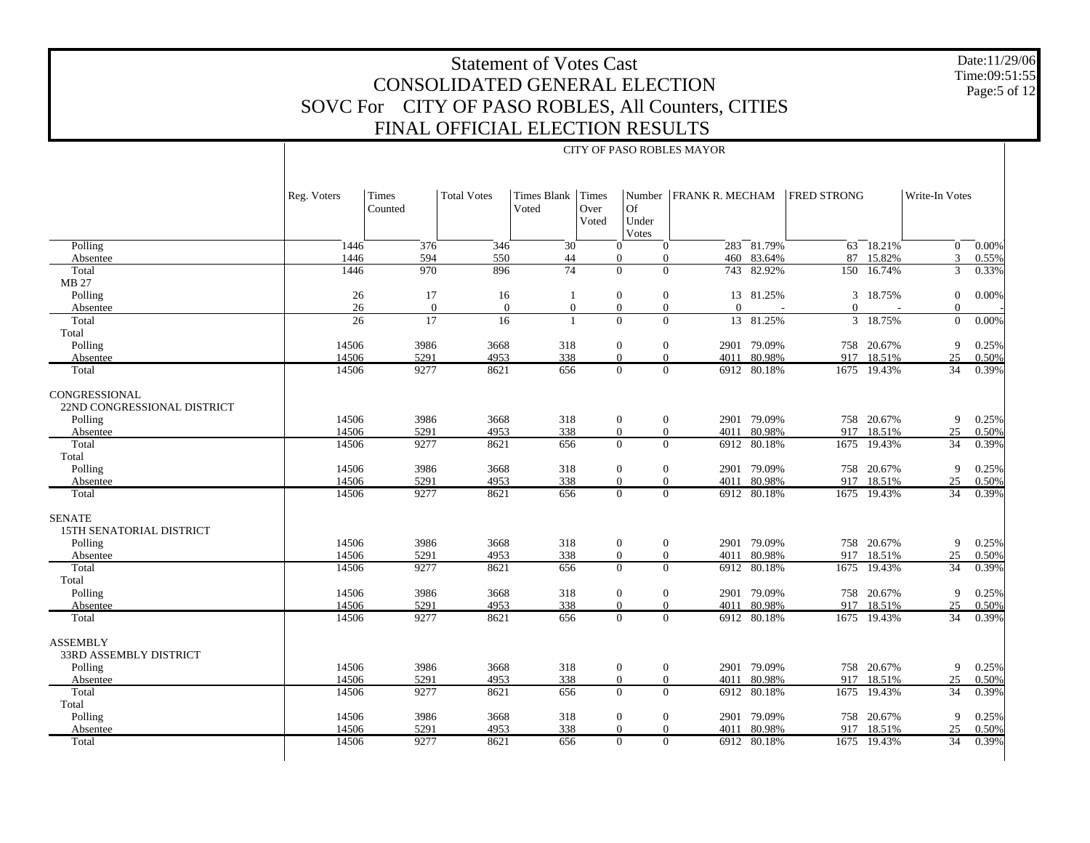Date:11/29/06 Time:09:51:55 Page:5 of 12

|                                                      | Reg. Voters           | Times<br>Counted | <b>Total Votes</b> | Times Blank Times<br>Voted | Over<br>Voted | Of<br>Under<br>Votes                               | Number   FRANK R. MECHAM |                | <b>FRED STRONG</b> |                  | Write-In Votes   |                |
|------------------------------------------------------|-----------------------|------------------|--------------------|----------------------------|---------------|----------------------------------------------------|--------------------------|----------------|--------------------|------------------|------------------|----------------|
| Polling                                              | 1446                  | 376              | 346                | 30                         |               | $\mathbf{0}$<br>$\Omega$                           |                          | $283 - 81.79%$ |                    | $63 - 18.21\%$   | $\overline{0}$   | 0.00%          |
| Absentee                                             | 1446                  | 594              | 550                | 44                         |               | $\mathbf{0}$<br>$\overline{0}$                     | 460                      | 83.64%         | 87                 | 15.82%           | 3                | 0.55%          |
| Total                                                | 1446                  | 970              | 896                | $\overline{74}$            |               | $\overline{0}$<br>$\overline{0}$                   | 743                      | 82.92%         | 150                | 16.74%           | 3                | 0.33%          |
| MB 27                                                |                       |                  |                    |                            |               |                                                    |                          |                |                    |                  |                  |                |
| Polling                                              | 26                    | 17               | 16                 | $\overline{1}$             |               | $\boldsymbol{0}$<br>$\mathbf{0}$                   |                          | 13 81.25%      |                    | 3 18.75%         | $\boldsymbol{0}$ | $0.00\%$       |
| Absentee                                             | 26<br>$\overline{26}$ | $\mathbf{0}$     | $\theta$           | $\overline{0}$             |               | $\overline{0}$<br>$\overline{0}$                   | $\Omega$                 |                | $\Omega$           |                  | $\Omega$         |                |
| Total                                                |                       | $\overline{17}$  | 16                 | $\overline{1}$             |               | $\overline{0}$<br>$\mathbf{0}$                     |                          | 13 81.25%      |                    | 3 18.75%         | $\mathbf{0}$     | 0.00%          |
| Total<br>Polling                                     | 14506                 | 3986             | 3668               | 318                        |               | $\boldsymbol{0}$<br>$\boldsymbol{0}$               |                          | 2901 79.09%    |                    | 758 20.67%       | 9                | 0.25%          |
| Absentee                                             | 14506                 | 5291             | 4953               | 338                        |               | $\overline{0}$<br>$\overline{0}$                   | 4011                     | 80.98%         | 917                | 18.51%           | 25               | 0.50%          |
| Total                                                | 14506                 | 9277             | 8621               | 656                        |               | $\Omega$<br>$\theta$                               | 6912                     | 80.18%         | 1675               | 19.43%           | 34               | 0.39%          |
| CONGRESSIONAL<br>22ND CONGRESSIONAL DISTRICT         |                       |                  |                    |                            |               |                                                    |                          |                |                    |                  |                  |                |
| Polling                                              | 14506                 | 3986             | 3668               | 318                        |               | $\mathbf{0}$<br>$\boldsymbol{0}$                   | 2901                     | 79.09%         |                    | 758 20.67%       | 9                | 0.25%          |
| Absentee                                             | 14506                 | 5291<br>9277     | 4953               | 338                        |               | $\overline{0}$<br>$\overline{0}$<br>$\overline{0}$ | 4011                     | 80.98%         | 917                | 18.51%           | 25               | 0.50%          |
| Total<br>Total                                       | 14506                 |                  | 8621               | 656                        |               | $\overline{0}$                                     | 6912                     | 80.18%         | 1675               | 19.43%           | 34               | 0.39%          |
| Polling                                              | 14506                 | 3986             | 3668               | 318                        |               | $\boldsymbol{0}$<br>$\mathbf{0}$                   | 2901                     | 79.09%         |                    | 758 20.67%       | 9                | 0.25%          |
| Absentee                                             | 14506                 | 5291             | 4953               | 338                        |               | $\mathbf{0}$<br>$\overline{0}$                     | 4011                     | 80.98%         | 917                | 18.51%           | 25               | 0.50%          |
| Total                                                | 14506                 | 9277             | 8621               | 656                        |               | $\overline{0}$<br>$\overline{0}$                   | 6912                     | 80.18%         | 1675               | 19.43%           | 34               | 0.39%          |
| <b>SENATE</b><br>15TH SENATORIAL DISTRICT<br>Polling | 14506                 | 3986             | 3668               | 318                        |               | $\boldsymbol{0}$<br>$\mathbf{0}$                   | 2901                     | 79.09%         |                    | 758 20.67%       | 9                | 0.25%          |
| Absentee                                             | 14506                 | 5291             | 4953               | 338                        |               | $\overline{0}$<br>$\overline{0}$<br>$\overline{0}$ | 4011                     | 80.98%         | 917                | 18.51%           | 25               | 0.50%          |
| Total<br>Total                                       | 14506                 | 9277             | 8621               | 656                        |               | $\overline{0}$                                     | 6912                     | 80.18%         | 1675               | 19.43%           | 34               | 0.39%          |
| Polling                                              | 14506                 | 3986             | 3668               | 318                        |               | $\boldsymbol{0}$<br>$\mathbf{0}$                   |                          | 2901 79.09%    |                    | 758 20.67%       | 9                | 0.25%          |
| Absentee                                             | 14506                 | 5291             | 4953               | 338                        |               | $\overline{0}$<br>$\overline{0}$                   | 4011                     | 80.98%         | 917                | 18.51%           | 25               | 0.50%          |
| Total                                                | 14506                 | 9277             | 8621               | 656                        |               | $\overline{0}$<br>$\overline{0}$                   |                          | 6912 80.18%    |                    | 1675 19.43%      | $\overline{34}$  | 0.39%          |
| <b>ASSEMBLY</b><br><b>33RD ASSEMBLY DISTRICT</b>     |                       |                  |                    |                            |               |                                                    |                          |                |                    |                  |                  |                |
| Polling                                              | 14506                 | 3986             | 3668               | 318                        |               | $\boldsymbol{0}$<br>$\boldsymbol{0}$               |                          | 2901 79.09%    |                    | 758 20.67%       | 9                | 0.25%          |
| Absentee<br>Total                                    | 14506<br>14506        | 5291<br>9277     | 4953               | 338                        |               | $\overline{0}$<br>$\overline{0}$<br>$\overline{0}$ | 4011                     | 80.98%         | 917                | 18.51%<br>19.43% | 25<br>34         | 0.50%<br>0.39% |
| Total                                                |                       |                  | 8621               | 656                        |               | $\overline{0}$                                     | 6912                     | 80.18%         | 1675               |                  |                  |                |
| Polling                                              | 14506                 | 3986             | 3668               | 318                        |               | $\boldsymbol{0}$<br>$\mathbf{0}$                   |                          | 2901 79.09%    |                    | 758 20.67%       | 9                | 0.25%          |
| Absentee                                             | 14506                 | 5291             | 4953               | 338                        |               | $\overline{0}$<br>$\theta$                         | 4011                     | 80.98%         | 917                | 18.51%           | 25               | 0.50%          |
| Total                                                | 14506                 | 9277             | 8621               | 656                        |               | $\Omega$<br>$\Omega$                               |                          | 6912 80.18%    | 1675               | 19.43%           | $\overline{34}$  | 0.39%          |
|                                                      |                       |                  |                    |                            |               |                                                    |                          |                |                    |                  |                  |                |

#### CITY OF PASO ROBLES MAYOR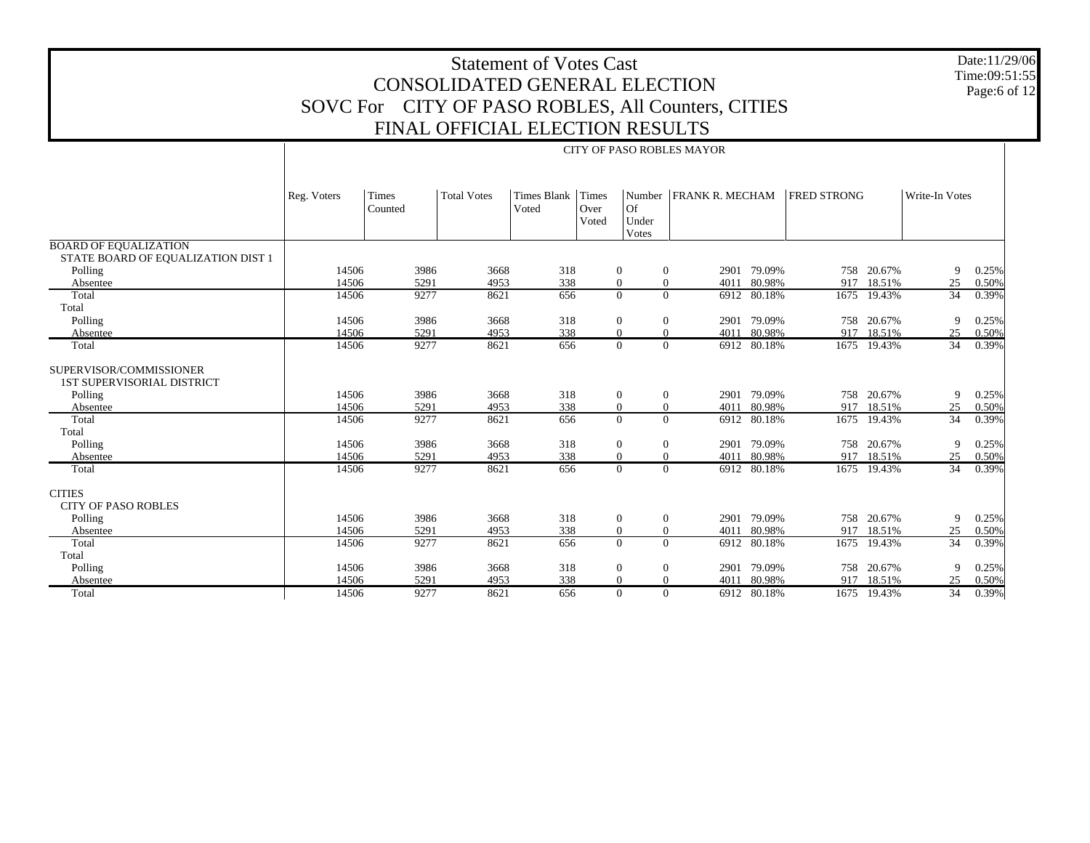Date:11/29/06 Time:09:51:55 Page:6 of 12

|                                                                         | <b>CITY OF PASO ROBLES MAYOR</b> |                  |                    |                             |                        |                                      |                          |             |                    |             |                 |       |
|-------------------------------------------------------------------------|----------------------------------|------------------|--------------------|-----------------------------|------------------------|--------------------------------------|--------------------------|-------------|--------------------|-------------|-----------------|-------|
|                                                                         | Reg. Voters                      | Times<br>Counted | <b>Total Votes</b> | <b>Times Blank</b><br>Voted | Times<br>Over<br>Voted | Of<br>Under<br>Votes                 | Number   FRANK R. MECHAM |             | <b>FRED STRONG</b> |             | Write-In Votes  |       |
| <b>BOARD OF EQUALIZATION</b>                                            |                                  |                  |                    |                             |                        |                                      |                          |             |                    |             |                 |       |
| STATE BOARD OF EQUALIZATION DIST 1<br>Polling                           | 14506                            | 3986             | 3668               | 318                         |                        | $\boldsymbol{0}$<br>$\boldsymbol{0}$ |                          | 2901 79.09% |                    | 758 20.67%  | 9               | 0.25% |
| Absentee                                                                | 14506                            | 5291             | 4953               | 338                         |                        | $\boldsymbol{0}$<br>$\overline{0}$   | 4011                     | 80.98%      | 917                | 18.51%      | 25              | 0.50% |
| Total                                                                   | 14506                            | 9277             | 8621               | 656                         |                        | $\overline{0}$<br>$\Omega$           | 6912                     | 80.18%      |                    | 1675 19.43% | 34              | 0.39% |
| Total                                                                   |                                  |                  |                    |                             |                        |                                      |                          |             |                    |             |                 |       |
| Polling                                                                 | 14506                            | 3986             | 3668               | 318                         |                        | $\mathbf{0}$<br>$\boldsymbol{0}$     |                          | 2901 79.09% |                    | 758 20.67%  | 9               | 0.25% |
| Absentee                                                                | 14506                            | 5291             | 4953               | 338                         |                        | $\overline{0}$<br>$\theta$           | 4011                     | 80.98%      | 917                | 18.51%      | 25              | 0.50% |
| Total                                                                   | 14506                            | 9277             | 8621               | 656                         |                        | $\overline{0}$<br>$\overline{0}$     | 6912                     | 80.18%      |                    | 1675 19.43% | 34              | 0.39% |
| SUPERVISOR/COMMISSIONER<br><b>1ST SUPERVISORIAL DISTRICT</b><br>Polling | 14506                            | 3986             | 3668               | 318                         |                        | $\boldsymbol{0}$<br>$\overline{0}$   |                          | 2901 79.09% |                    | 758 20.67%  | 9               | 0.25% |
| Absentee                                                                | 14506                            | 5291             | 4953               | 338                         |                        | $\boldsymbol{0}$<br>$\mathbf{0}$     | 4011                     | 80.98%      | 917                | 18.51%      | 25              | 0.50% |
| Total                                                                   | 14506                            | 9277             | 8621               | 656                         |                        | $\overline{0}$<br>$\Omega$           | 6912                     | 80.18%      |                    | 1675 19.43% | 34              | 0.39% |
| Total                                                                   |                                  |                  |                    |                             |                        |                                      |                          |             |                    |             |                 |       |
| Polling                                                                 | 14506                            | 3986             | 3668               | 318                         |                        | $\mathbf{0}$<br>$\boldsymbol{0}$     |                          | 2901 79.09% |                    | 758 20.67%  | 9               | 0.25% |
| Absentee                                                                | 14506                            | 5291             | 4953               | 338                         |                        | $\overline{0}$<br>$\mathbf{0}$       | 4011                     | 80.98%      | 917                | 18.51%      | 25              | 0.50% |
| Total                                                                   | 14506                            | 9277             | 8621               | 656                         |                        | $\overline{0}$<br>$\Omega$           |                          | 6912 80.18% |                    | 1675 19.43% | 34              | 0.39% |
| <b>CITIES</b><br><b>CITY OF PASO ROBLES</b>                             |                                  |                  |                    |                             |                        |                                      |                          |             |                    |             |                 |       |
| Polling                                                                 | 14506                            | 3986             | 3668               | 318                         |                        | $\mathbf{0}$<br>$\overline{0}$       |                          | 2901 79.09% |                    | 758 20.67%  | 9               | 0.25% |
| Absentee                                                                | 14506                            | 5291             | 4953               | 338                         |                        | $\boldsymbol{0}$<br>$\mathbf{0}$     | 4011                     | 80.98%      | 917                | 18.51%      | 25              | 0.50% |
| Total                                                                   | 14506                            | 9277             | 8621               | 656                         |                        | $\overline{0}$<br>$\theta$           | 6912                     | 80.18%      |                    | 1675 19.43% | 34              | 0.39% |
| Total                                                                   |                                  |                  |                    |                             |                        |                                      |                          |             |                    |             |                 |       |
| Polling                                                                 | 14506                            | 3986             | 3668               | 318                         |                        | $\boldsymbol{0}$<br>$\overline{0}$   |                          | 2901 79.09% |                    | 758 20.67%  | 9               | 0.25% |
| Absentee                                                                | 14506                            | 5291             | 4953               | 338                         |                        | $\overline{0}$<br>$\mathbf{0}$       | 4011                     | 80.98%      | 917                | 18.51%      | 25              | 0.50% |
| Total                                                                   | 14506                            | 9277             | 8621               | 656                         |                        | $\overline{0}$<br>$\overline{0}$     |                          | 6912 80.18% |                    | 1675 19.43% | $\overline{34}$ | 0.39% |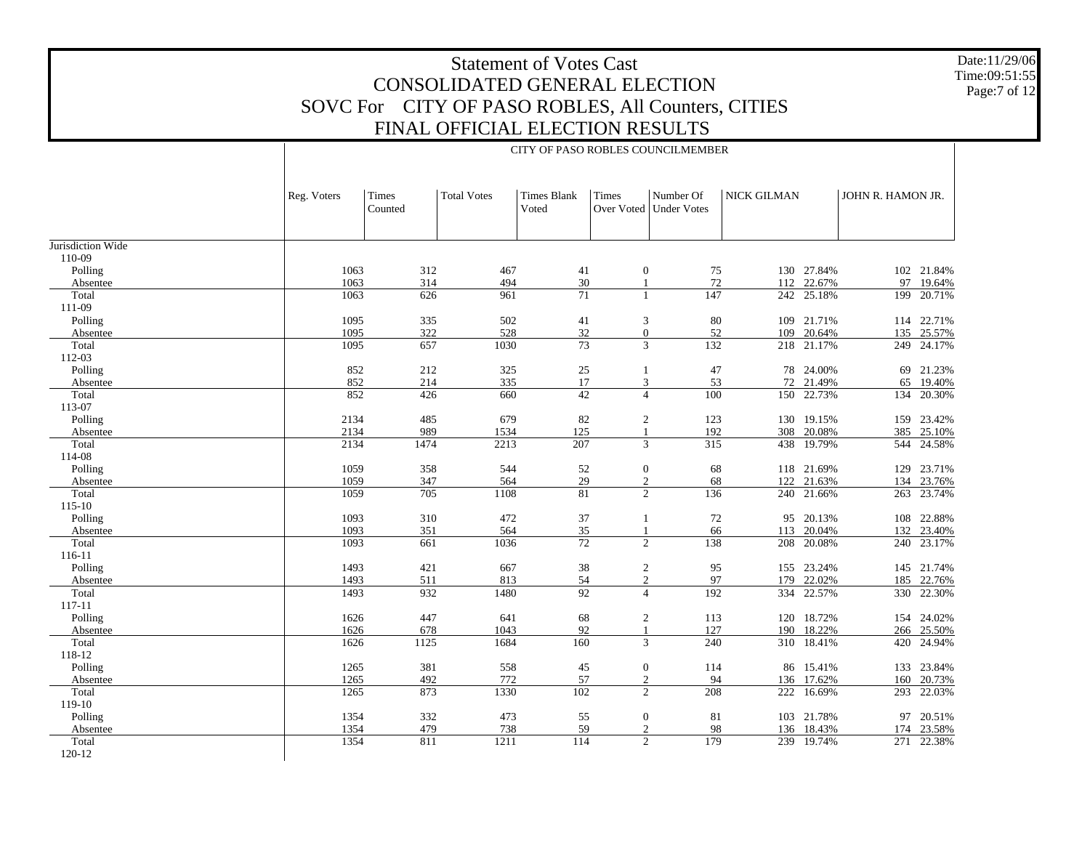Date:11/29/06 Time:09:51:55 Page:7 of 12

|                     | CITY OF PASO ROBLES COUNCILMEMBER |                  |                    |                      |                                |                                       |             |                          |                   |                     |  |
|---------------------|-----------------------------------|------------------|--------------------|----------------------|--------------------------------|---------------------------------------|-------------|--------------------------|-------------------|---------------------|--|
|                     | Reg. Voters                       | Times<br>Counted | <b>Total Votes</b> | Times Blank<br>Voted | <b>Times</b>                   | Number Of<br>Over Voted   Under Votes | NICK GILMAN |                          | JOHN R. HAMON JR. |                     |  |
| Jurisdiction Wide   |                                   |                  |                    |                      |                                |                                       |             |                          |                   |                     |  |
| 110-09              |                                   |                  |                    |                      |                                |                                       |             |                          |                   |                     |  |
| Polling             | 1063                              | 312              | 467                | 41                   | $\overline{0}$                 | 75                                    |             | 130 27.84%               |                   | 102 21.84%          |  |
| Absentee            | 1063                              | 314              | 494                | 30                   | $\mathbf{1}$                   | 72                                    | 112         | 22.67%                   | 97                | 19.64%              |  |
| Total               | 1063                              | 626              | 961                | $\overline{71}$      | $\mathbf{1}$                   | 147                                   | 242         | 25.18%                   | 199               | 20.71%              |  |
| 111-09              |                                   |                  |                    |                      |                                |                                       |             |                          |                   |                     |  |
| Polling             | 1095                              | 335              | 502                | 41                   | 3                              | 80                                    |             | 109 21.71%               |                   | 114 22.71%          |  |
| Absentee            | 1095                              | 322              | 528                | 32                   | $\mathbf{0}$                   | 52                                    | 109         | 20.64%                   | 135               | 25.57%              |  |
| Total               | 1095                              | 657              | 1030               | $\overline{73}$      | $\overline{3}$                 | 132                                   | 218         | 21.17%                   | 249               | 24.17%              |  |
| 112-03              |                                   |                  |                    |                      |                                |                                       |             |                          |                   |                     |  |
| Polling             | 852<br>852                        | 212              | 325                | $25\,$<br>17         | -1                             | 47                                    | 72          | 78 24.00%                |                   | 69 21.23%           |  |
| Absentee<br>Total   | 852                               | 214<br>426       | 335<br>660         | 42                   | 3<br>$\overline{4}$            | 53<br>100                             |             | 21.49%<br>150 22.73%     | 65<br>134         | 19.40%<br>20.30%    |  |
| 113-07              |                                   |                  |                    |                      |                                |                                       |             |                          |                   |                     |  |
| Polling             | 2134                              | 485              | 679                | 82                   | 2                              | 123                                   |             | 130 19.15%               |                   | 159 23.42%          |  |
| Absentee            | 2134                              | 989              | 1534               | 125                  | $\mathbf{1}$                   | 192                                   | 308         | 20.08%                   | 385               | 25.10%              |  |
| Total               | 2134                              | 1474             | 2213               | 207                  | $\overline{3}$                 | 315                                   | 438         | 19.79%                   |                   | 544 24.58%          |  |
| 114-08              |                                   |                  |                    |                      |                                |                                       |             |                          |                   |                     |  |
| Polling             | 1059                              | 358              | 544                | 52                   | $\boldsymbol{0}$               | 68                                    |             | 118 21.69%               | 129               | 23.71%              |  |
| Absentee            | 1059                              | 347              | 564                | 29                   | 2                              | 68                                    | 122         | 21.63%                   | 134               | 23.76%              |  |
| Total               | 1059                              | 705              | 1108               | 81                   | 2                              | 136                                   |             | 240 21.66%               |                   | 263 23.74%          |  |
| $115 - 10$          |                                   |                  |                    |                      |                                |                                       |             |                          |                   |                     |  |
| Polling             | 1093                              | 310              | 472                | 37                   | 1                              | 72                                    |             | 95 20.13%                |                   | 108 22.88%          |  |
| Absentee            | 1093                              | 351              | 564                | 35                   | $\mathbf{1}$                   | 66                                    | 113         | 20.04%                   | 132               | 23.40%              |  |
| Total               | 1093                              | 661              | 1036               | $\overline{72}$      | $\overline{2}$                 | 138                                   |             | 208 20.08%               |                   | 240 23.17%          |  |
| 116-11              |                                   |                  |                    |                      |                                |                                       |             |                          |                   |                     |  |
| Polling             | 1493                              | 421              | 667                | 38                   | 2                              | 95                                    |             | 155 23.24%               |                   | 145 21.74%          |  |
| Absentee            | 1493                              | 511              | 813                | 54                   | $\overline{2}$                 | 97                                    | 179         | 22.02%                   | 185               | 22.76%              |  |
| Total               | 1493                              | 932              | 1480               | 92                   | $\overline{4}$                 | 192                                   |             | 334 22.57%               |                   | 330 22.30%          |  |
| 117-11              |                                   |                  |                    |                      |                                |                                       |             |                          |                   |                     |  |
| Polling             | 1626                              | 447              | 641                | 68                   | 2                              | 113                                   |             | 120 18.72%               |                   | 154 24.02%          |  |
| Absentee            | 1626                              | 678              | 1043               | 92                   | -1                             | 127                                   | 190         | 18.22%                   | 266               | 25.50%              |  |
| Total               | 1626                              | 1125             | 1684               | 160                  | 3                              | 240                                   |             | 310 18.41%               |                   | 420 24.94%          |  |
| 118-12              |                                   |                  |                    |                      |                                |                                       |             |                          |                   |                     |  |
| Polling             | 1265                              | 381              | 558                | 45                   | $\mathbf{0}$                   | 114                                   |             | 86 15.41%                |                   | 133 23.84%          |  |
| Absentee            | 1265                              | 492              | 772                | 57                   | 2                              | 94                                    | 136         | 17.62%                   | 160               | 20.73%              |  |
| Total               | 1265                              | 873              | 1330               | 102                  | $\overline{2}$                 | 208                                   | 222         | 16.69%                   | 293               | 22.03%              |  |
| 119-10              |                                   |                  | 473                |                      |                                | 81                                    |             |                          |                   |                     |  |
| Polling<br>Absentee | 1354<br>1354                      | 332<br>479       |                    | 55<br>59             | $\mathbf{0}$<br>$\overline{2}$ |                                       |             | 103 21.78%<br>136 18.43% | 174               | 97 20.51%<br>23.58% |  |
| Total               | 1354                              | 811              | 738<br>1211        | 114                  | $\overline{2}$                 | 98<br>179                             |             | 239 19.74%               |                   | 271 22.38%          |  |
| 120-12              |                                   |                  |                    |                      |                                |                                       |             |                          |                   |                     |  |
|                     |                                   |                  |                    |                      |                                |                                       |             |                          |                   |                     |  |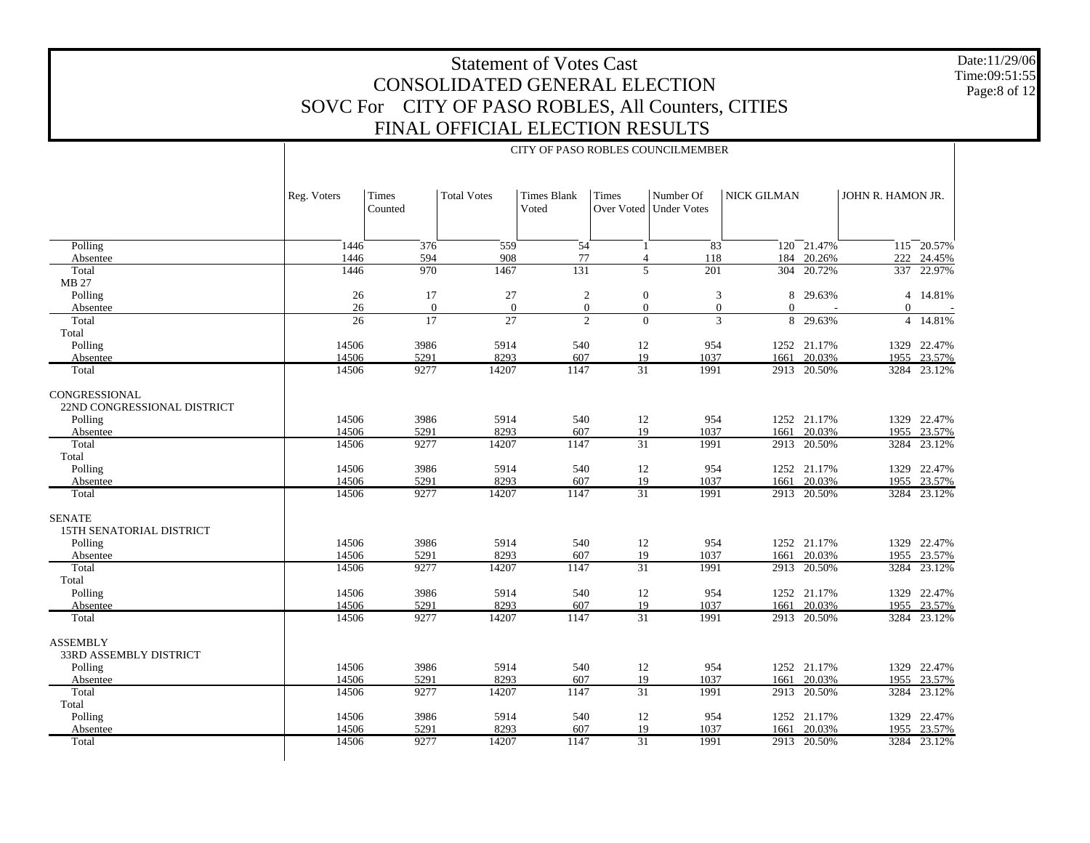Date:11/29/06 Time:09:51:55 Page:8 of 12

|                                                  | CITY OF PASO ROBLES COUNCILMEMBER |                             |                    |                                    |                     |                                 |             |             |                   |                          |  |  |
|--------------------------------------------------|-----------------------------------|-----------------------------|--------------------|------------------------------------|---------------------|---------------------------------|-------------|-------------|-------------------|--------------------------|--|--|
|                                                  | Reg. Voters                       | Times<br>Counted            | <b>Total Votes</b> | <b>Times Blank</b><br>Voted        | Times<br>Over Voted | Number Of<br><b>Under Votes</b> | NICK GILMAN |             | JOHN R. HAMON JR. |                          |  |  |
|                                                  | 1446                              | 376                         |                    | 54                                 | 1                   |                                 |             | 120 21.47%  |                   |                          |  |  |
| Polling                                          | 1446                              | 594                         | 559<br>908         | 77                                 |                     | $\overline{83}$<br>118          | 184         | 20.26%      | 222               | $115 - 20.57%$<br>24.45% |  |  |
| Absentee<br>Total                                | 1446                              | 970                         | 1467               | $\overline{131}$                   | $\overline{4}$<br>5 | $\overline{201}$                |             | 304 20.72%  | 337               | 22.97%                   |  |  |
| MB 27                                            |                                   |                             |                    |                                    |                     |                                 |             |             |                   |                          |  |  |
|                                                  | 26                                | 17                          | 27                 |                                    | $\theta$            |                                 |             | 8 29.63%    | $\overline{4}$    | 14.81%                   |  |  |
| Polling                                          | 26                                |                             | $\mathbf{0}$       | $\sqrt{2}$                         | $\overline{0}$      | 3                               |             |             |                   |                          |  |  |
| Absentee                                         |                                   | $\theta$<br>$\overline{17}$ | 27                 | $\boldsymbol{0}$<br>$\overline{2}$ | $\Omega$            | $\overline{0}$<br>3             | $\Omega$    |             | $\Omega$          |                          |  |  |
| Total                                            | 26                                |                             |                    |                                    |                     |                                 |             | 8 29.63%    | $\overline{4}$    | 14.81%                   |  |  |
| Total                                            |                                   |                             |                    |                                    |                     |                                 |             |             |                   |                          |  |  |
| Polling                                          | 14506                             | 3986                        | 5914               | 540                                | 12                  | 954                             |             | 1252 21.17% | 1329              | 22.47%                   |  |  |
| Absentee                                         | 14506                             | 5291                        | 8293               | 607                                | 19                  | 1037                            | 1661        | 20.03%      |                   | 1955 23.57%              |  |  |
| Total                                            | 14506                             | 9277                        | 14207              | 1147                               | $\overline{31}$     | 1991                            | 2913        | 20.50%      |                   | 3284 23.12%              |  |  |
| CONGRESSIONAL<br>22ND CONGRESSIONAL DISTRICT     |                                   |                             |                    |                                    |                     |                                 |             |             |                   |                          |  |  |
| Polling                                          | 14506                             | 3986                        | 5914               | 540                                | 12                  | 954                             |             | 1252 21.17% | 1329              | 22.47%                   |  |  |
| Absentee                                         | 14506                             | 5291                        | 8293               | 607                                | 19                  | 1037                            | 1661        | 20.03%      | 1955              | 23.57%                   |  |  |
| Total                                            | 14506                             | 9277                        | 14207              | 1147                               | $\overline{31}$     | 1991                            | 2913        | 20.50%      | 3284              | 23.12%                   |  |  |
| Total                                            |                                   |                             |                    |                                    |                     |                                 |             |             |                   |                          |  |  |
| Polling                                          | 14506                             | 3986                        | 5914               | 540                                | 12                  | 954                             |             | 1252 21.17% |                   | 1329 22.47%              |  |  |
| Absentee                                         | 14506                             | 5291                        | 8293               | 607                                | 19                  | 1037                            | 1661        | 20.03%      |                   | 1955 23.57%              |  |  |
| Total                                            | 14506                             | 9277                        | 14207              | 1147                               | $\overline{31}$     | 1991                            |             | 2913 20.50% |                   | 3284 23.12%              |  |  |
| <b>SENATE</b><br><b>15TH SENATORIAL DISTRICT</b> |                                   |                             |                    |                                    |                     |                                 |             |             |                   |                          |  |  |
| Polling                                          | 14506                             | 3986                        | 5914               | 540                                | 12                  | 954                             |             | 1252 21.17% |                   | 1329 22.47%              |  |  |
| Absentee                                         | 14506                             | 5291                        | 8293               | 607                                | 19                  | 1037                            | 1661        | 20.03%      | 1955              | 23.57%                   |  |  |
| Total<br>Total                                   | 14506                             | 9277                        | 14207              | 1147                               | $\overline{31}$     | 1991                            | 2913        | 20.50%      | 3284              | 23.12%                   |  |  |
| Polling                                          | 14506                             | 3986                        | 5914               | 540                                | 12                  | 954                             |             | 1252 21.17% |                   | 1329 22.47%              |  |  |
| Absentee                                         | 14506                             | 5291                        | 8293               | 607                                | 19                  | 1037                            | 1661        | 20.03%      | 1955              | 23.57%                   |  |  |
| Total                                            | 14506                             | 9277                        | 14207              | 1147                               | $\overline{31}$     | 1991                            | 2913        | 20.50%      | 3284              | 23.12%                   |  |  |
| <b>ASSEMBLY</b><br><b>33RD ASSEMBLY DISTRICT</b> |                                   |                             |                    |                                    |                     |                                 |             |             |                   |                          |  |  |
| Polling                                          | 14506                             | 3986                        | 5914               | 540                                | 12                  | 954                             |             | 1252 21.17% |                   | 1329 22.47%              |  |  |
| Absentee                                         | 14506                             | 5291                        | 8293               | 607                                | 19                  | 1037                            | 1661        | 20.03%      |                   | 1955 23.57%              |  |  |
| Total                                            | 14506                             | 9277                        | 14207              | 1147                               | $\overline{31}$     | 1991                            | 2913        | 20.50%      | 3284              | 23.12%                   |  |  |
| Total                                            |                                   |                             |                    |                                    |                     |                                 |             |             |                   |                          |  |  |
| Polling                                          | 14506                             | 3986                        | 5914               | 540                                | 12                  | 954                             |             | 1252 21.17% | 1329              | 22.47%                   |  |  |
| Absentee                                         | 14506                             | 5291                        | 8293               | 607                                | 19                  | 1037                            | 1661        | 20.03%      | 1955              | 23.57%                   |  |  |
| Total                                            | 14506                             | 9277                        | 14207              | 1147                               | $\overline{31}$     | 1991                            |             | 2913 20.50% |                   | 3284 23.12%              |  |  |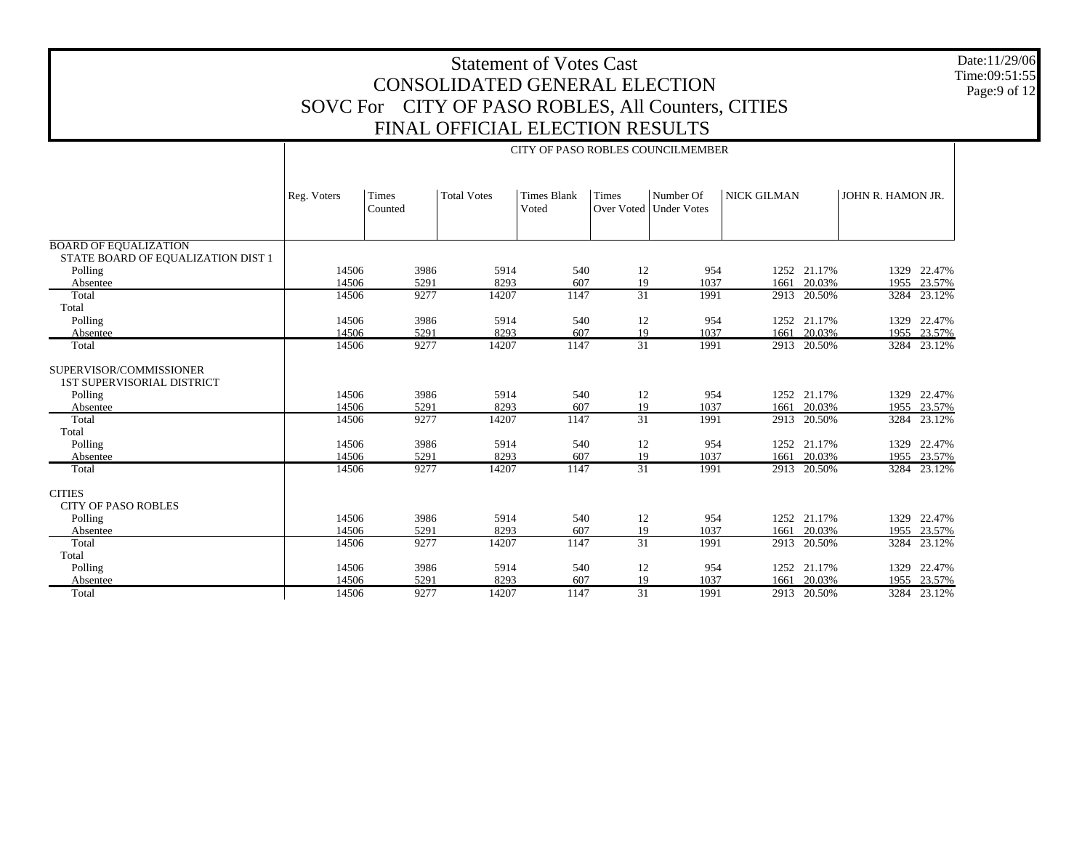Date:11/29/06 Time:09:51:55 Page:9 of 12

|                                                              | CITY OF PASO ROBLES COUNCILMEMBER |                                                                                                                                                                                   |               |             |                       |              |              |                  |      |                            |  |  |
|--------------------------------------------------------------|-----------------------------------|-----------------------------------------------------------------------------------------------------------------------------------------------------------------------------------|---------------|-------------|-----------------------|--------------|--------------|------------------|------|----------------------------|--|--|
|                                                              | Reg. Voters                       | <b>NICK GILMAN</b><br>Times<br><b>Total Votes</b><br><b>Times Blank</b><br><b>Times</b><br>Number Of<br>JOHN R. HAMON JR.<br>Voted<br>Over Voted<br>Counted<br><b>Under Votes</b> |               |             |                       |              |              |                  |      |                            |  |  |
|                                                              |                                   |                                                                                                                                                                                   |               |             |                       |              |              |                  |      |                            |  |  |
| <b>BOARD OF EQUALIZATION</b>                                 |                                   |                                                                                                                                                                                   |               |             |                       |              |              |                  |      |                            |  |  |
| STATE BOARD OF EQUALIZATION DIST 1<br>Polling                | 14506                             | 3986                                                                                                                                                                              | 5914          | 540         | 12                    | 954          |              | 1252 21.17%      |      | 1329 22.47%                |  |  |
| Absentee                                                     | 14506                             | 5291                                                                                                                                                                              | 8293          | 607         | 19                    | 1037         | 1661         | 20.03%           | 1955 | 23.57%                     |  |  |
| Total                                                        | 14506                             | 9277                                                                                                                                                                              | 14207         | 1147        | $\overline{31}$       | 1991         | 2913         | 20.50%           |      | 3284 23.12%                |  |  |
| Total                                                        |                                   |                                                                                                                                                                                   |               |             |                       |              |              |                  |      |                            |  |  |
| Polling                                                      | 14506                             | 3986                                                                                                                                                                              | 5914          | 540         | 12                    | 954          |              | 1252 21.17%      |      | 1329 22.47%                |  |  |
| Absentee<br>Total                                            | 14506<br>14506                    | 5291<br>9277                                                                                                                                                                      | 8293<br>14207 | 607<br>1147 | 19<br>$\overline{31}$ | 1037<br>1991 | 1661<br>2913 | 20.03%<br>20.50% |      | 1955 23.57%<br>3284 23.12% |  |  |
|                                                              |                                   |                                                                                                                                                                                   |               |             |                       |              |              |                  |      |                            |  |  |
| SUPERVISOR/COMMISSIONER<br><b>1ST SUPERVISORIAL DISTRICT</b> |                                   |                                                                                                                                                                                   |               |             |                       |              |              |                  |      |                            |  |  |
| Polling                                                      | 14506                             | 3986                                                                                                                                                                              | 5914          | 540         | 12                    | 954          |              | 1252 21.17%      |      | 1329 22.47%                |  |  |
| Absentee                                                     | 14506                             | 5291                                                                                                                                                                              | 8293          | 607         | 19                    | 1037         | 1661         | 20.03%           | 1955 | 23.57%                     |  |  |
| Total                                                        | 14506                             | 9277                                                                                                                                                                              | 14207         | 1147        | $\overline{31}$       | 1991         | 2913         | 20.50%           |      | 3284 23.12%                |  |  |
| Total                                                        |                                   |                                                                                                                                                                                   |               |             |                       |              |              |                  |      |                            |  |  |
| Polling                                                      | 14506                             | 3986                                                                                                                                                                              | 5914          | 540         | 12                    | 954          |              | 1252 21.17%      |      | 1329 22.47%                |  |  |
| Absentee<br>Total                                            | 14506<br>14506                    | 5291<br>9277                                                                                                                                                                      | 8293<br>14207 | 607<br>1147 | 19<br>$\overline{31}$ | 1037<br>1991 | 1661<br>2913 | 20.03%<br>20.50% |      | 1955 23.57%<br>3284 23.12% |  |  |
|                                                              |                                   |                                                                                                                                                                                   |               |             |                       |              |              |                  |      |                            |  |  |
| <b>CITIES</b><br><b>CITY OF PASO ROBLES</b>                  |                                   |                                                                                                                                                                                   |               |             |                       |              |              |                  |      |                            |  |  |
| Polling                                                      | 14506                             | 3986                                                                                                                                                                              | 5914          | 540         | 12                    | 954          |              | 1252 21.17%      |      | 1329 22.47%                |  |  |
| Absentee                                                     | 14506                             | 5291                                                                                                                                                                              | 8293          | 607         | 19                    | 1037         | 1661         | 20.03%           |      | 1955 23.57%                |  |  |
| Total                                                        | 14506                             | 9277                                                                                                                                                                              | 14207         | 1147        | $\overline{31}$       | 1991         | 2913         | 20.50%           | 3284 | 23.12%                     |  |  |
| Total                                                        |                                   |                                                                                                                                                                                   |               |             |                       |              |              |                  |      |                            |  |  |
| Polling                                                      | 14506                             | 3986                                                                                                                                                                              | 5914          | 540         | 12                    | 954          |              | 1252 21.17%      |      | 1329 22.47%                |  |  |
| Absentee                                                     | 14506                             | 5291                                                                                                                                                                              | 8293          | 607         | 19                    | 1037         | 1661         | 20.03%           |      | 1955 23.57%                |  |  |
| Total                                                        | 14506                             | 9277                                                                                                                                                                              | 14207         | 1147        | $\overline{31}$       | 1991         | 2913         | 20.50%           |      | 3284 23.12%                |  |  |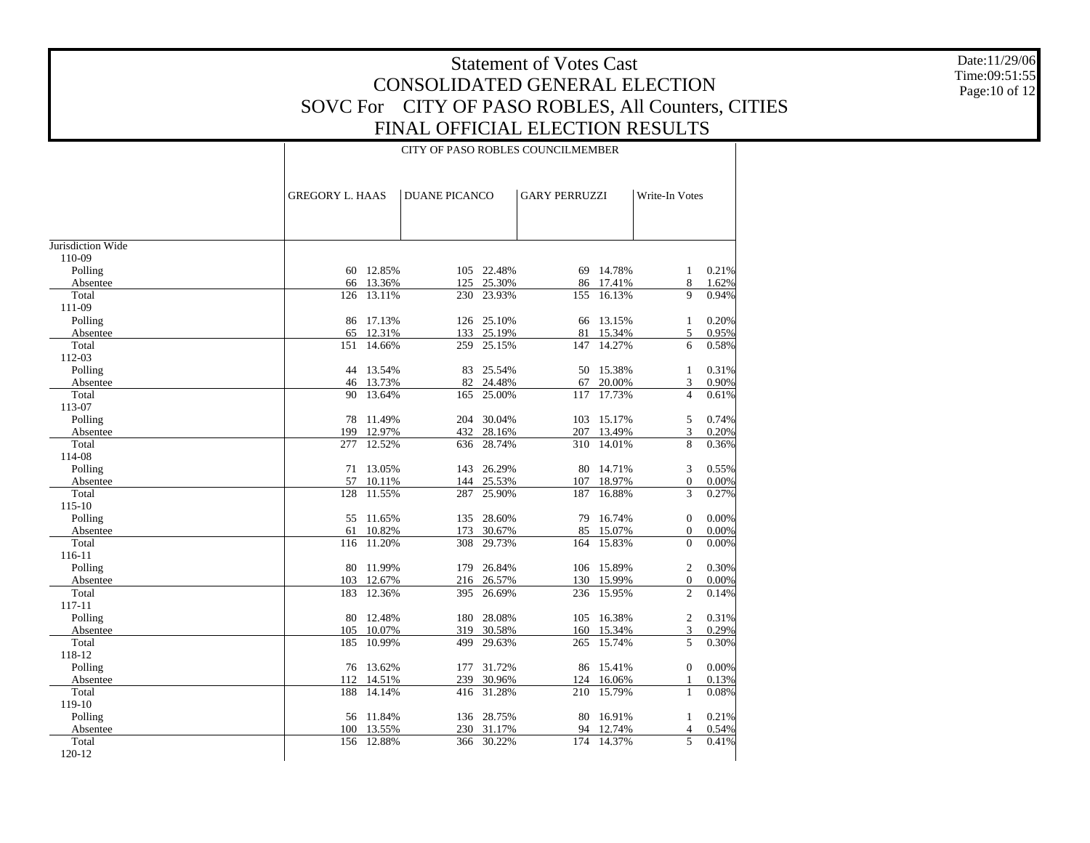Date:11/29/06 Time:09:51:55 Page:10 of 12

#### CITY OF PASO ROBLES COUNCILMEMBER

|                   | <b>GREGORY L. HAAS</b> |                  | <b>DUANE PICANCO</b> |            | <b>GARY PERRUZZI</b> |                  | Write-In Votes           |       |
|-------------------|------------------------|------------------|----------------------|------------|----------------------|------------------|--------------------------|-------|
|                   |                        |                  |                      |            |                      |                  |                          |       |
|                   |                        |                  |                      |            |                      |                  |                          |       |
| Jurisdiction Wide |                        |                  |                      |            |                      |                  |                          |       |
| 110-09            |                        |                  |                      |            |                      |                  |                          |       |
| Polling           |                        | 60 12.85%        |                      | 105 22.48% |                      | 69 14.78%        | 1                        | 0.21% |
| Absentee          | 66                     | 13.36%           | 125                  | 25.30%     | 86                   | 17.41%           | 8                        | 1.62% |
| Total             | 126                    | 13.11%           | 230                  | 23.93%     | 155                  | 16.13%           | 9                        | 0.94% |
| 111-09            |                        |                  |                      |            |                      |                  |                          |       |
| Polling           | 86                     | 17.13%           | 126                  | 25.10%     | 66                   | 13.15%           | 1                        | 0.20% |
| Absentee          | 65                     | 12.31%           | 133                  | 25.19%     | 81                   | 15.34%           | 5                        | 0.95% |
| Total             | 151                    | 14.66%           | 259                  | 25.15%     | 147                  | 14.27%           | 6                        | 0.58% |
| 112-03            |                        |                  |                      |            |                      |                  |                          |       |
| Polling           |                        | 44 13.54%        | 83                   | 25.54%     | 50                   | 15.38%           | 1                        | 0.31% |
| Absentee          |                        | 46 13.73%        | 82                   | 24.48%     | 67                   | 20.00%           | 3                        | 0.90% |
| Total             | 90                     | 13.64%           | 165                  | 25.00%     | 117                  | 17.73%           | $\overline{4}$           | 0.61% |
| 113-07            |                        |                  |                      |            |                      |                  |                          |       |
| Polling           | 78                     | 11.49%           | 204                  | 30.04%     | 103                  | 15.17%           | 5                        | 0.74% |
| Absentee          | 199                    | 12.97%           | 432                  | 28.16%     | 207                  | 13.49%           | 3                        | 0.20% |
| Total             | 277                    | 12.52%           | 636                  | 28.74%     | 310                  | 14.01%           | 8                        | 0.36% |
| 114-08            |                        |                  |                      |            |                      |                  |                          |       |
| Polling           |                        | 71 13.05%        | 143                  | 26.29%     | 80                   | 14.71%           | 3                        | 0.55% |
| Absentee          | 57                     | 10.11%           | 144                  | 25.53%     | 107                  | 18.97%           | $\mathbf{0}$             | 0.00% |
| Total             | 128                    | 11.55%           | 287                  | 25.90%     | 187                  | 16.88%           | $\overline{3}$           | 0.27% |
| 115-10            |                        |                  |                      | 28.60%     |                      | 16.74%           |                          | 0.00% |
| Polling           | 55<br>61               | 11.65%<br>10.82% | 135                  | 30.67%     | 79<br>85             |                  | $\Omega$                 | 0.00% |
| Absentee<br>Total | 116                    | 11.20%           | 173<br>308           | 29.73%     | 164                  | 15.07%<br>15.83% | $\mathbf{0}$<br>$\theta$ | 0.00% |
| 116-11            |                        |                  |                      |            |                      |                  |                          |       |
| Polling           | 80                     | 11.99%           | 179                  | 26.84%     | 106                  | 15.89%           | $\overline{2}$           | 0.30% |
| Absentee          | 103                    | 12.67%           | 216                  | 26.57%     | 130                  | 15.99%           | $\boldsymbol{0}$         | 0.00% |
| Total             | 183                    | 12.36%           | 395                  | 26.69%     | 236                  | 15.95%           | $\overline{c}$           | 0.14% |
| 117-11            |                        |                  |                      |            |                      |                  |                          |       |
| Polling           | 80                     | 12.48%           | 180                  | 28.08%     | 105                  | 16.38%           | $\mathfrak{2}$           | 0.31% |
| Absentee          | 105                    | 10.07%           | 319                  | 30.58%     | 160                  | 15.34%           | 3                        | 0.29% |
| Total             | 185                    | 10.99%           | 499                  | 29.63%     | 265                  | 15.74%           | 5                        | 0.30% |
| 118-12            |                        |                  |                      |            |                      |                  |                          |       |
| Polling           |                        | 76 13.62%        | 177                  | 31.72%     | 86                   | 15.41%           | $\Omega$                 | 0.00% |
| Absentee          | 112                    | 14.51%           | 239                  | 30.96%     | 124                  | 16.06%           | 1                        | 0.13% |
| Total             | 188                    | 14.14%           | 416                  | 31.28%     | 210                  | 15.79%           | $\mathbf{1}$             | 0.08% |
| 119-10            |                        |                  |                      |            |                      |                  |                          |       |
| Polling           |                        | 56 11.84%        | 136                  | 28.75%     | 80                   | 16.91%           | 1                        | 0.21% |
| Absentee          | 100                    | 13.55%           | 230                  | 31.17%     | 94                   | 12.74%           | $\overline{4}$           | 0.54% |
| Total             | 156                    | 12.88%           | 366                  | 30.22%     | 174                  | 14.37%           | 5                        | 0.41% |
| 120-12            |                        |                  |                      |            |                      |                  |                          |       |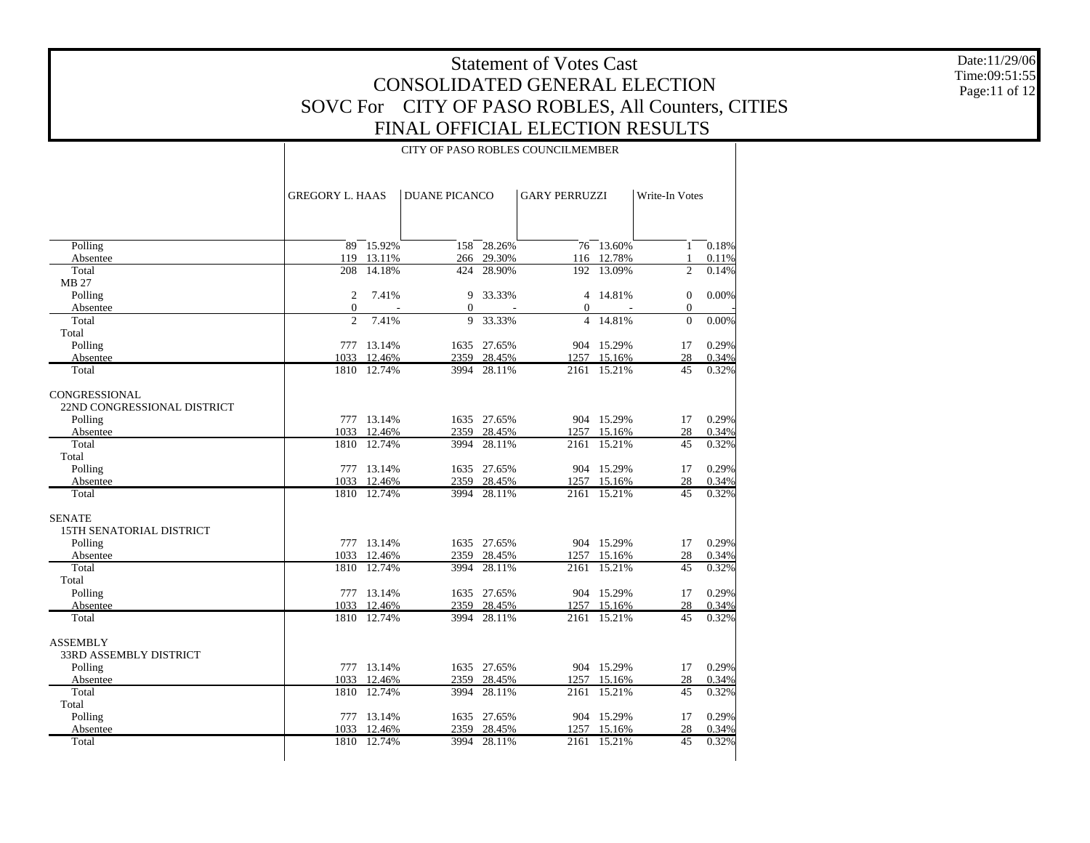Date:11/29/06 Time:09:51:55 Page:11 of 12

#### CITY OF PASO ROBLES COUNCILMEMBER

|                               | <b>GREGORY L. HAAS</b> |             | <b>DUANE PICANCO</b> |                | <b>GARY PERRUZZI</b> |                | Write-In Votes |       |
|-------------------------------|------------------------|-------------|----------------------|----------------|----------------------|----------------|----------------|-------|
|                               |                        |             |                      |                |                      |                |                |       |
| Polling                       |                        | 89 15.92%   | 158                  | 28.26%         |                      | $76 - 13.60\%$ | $\mathbf{1}$   | 0.18% |
| Absentee                      |                        | 119 13.11%  |                      | 266 29.30%     |                      | 116 12.78%     | 1              | 0.11% |
| Total                         | 208                    | 14.18%      | 424                  | 28.90%         | 192                  | 13.09%         | $\overline{c}$ | 0.14% |
| <b>MB 27</b>                  |                        |             |                      |                |                      |                |                |       |
| Polling                       | $\overline{2}$         | 7.41%       | 9                    | 33.33%         |                      | 4 14.81%       | $\mathbf{0}$   | 0.00% |
| Absentee                      | $\mathbf{0}$           | ÷.          | $\Omega$             | $\overline{a}$ | $\Omega$             | ÷.             | $\mathbf{0}$   |       |
| Total                         | $\overline{c}$         | 7.41%       | 9                    | 33.33%         | $\overline{4}$       | 14.81%         | $\mathbf{0}$   | 0.00% |
| Total                         |                        |             |                      |                |                      |                |                |       |
| Polling                       |                        | 777 13.14%  |                      | 1635 27.65%    |                      | 904 15.29%     | 17             | 0.29% |
| Absentee                      |                        | 1033 12.46% | 2359                 | 28.45%         |                      | 1257 15.16%    | 28             | 0.34% |
| Total                         |                        | 1810 12.74% | 3994                 | 28.11%         |                      | 2161 15.21%    | 45             | 0.32% |
| CONGRESSIONAL                 |                        |             |                      |                |                      |                |                |       |
| 22ND CONGRESSIONAL DISTRICT   |                        |             |                      |                |                      |                |                |       |
| Polling                       |                        | 777 13.14%  |                      | 1635 27.65%    |                      | 904 15.29%     | 17             | 0.29% |
| Absentee                      |                        | 1033 12.46% |                      | 2359 28.45%    |                      | 1257 15.16%    | 28             | 0.34% |
| Total                         | 1810                   | 12.74%      | 3994                 | 28.11%         | 2161                 | 15.21%         | 45             | 0.32% |
| Total                         |                        |             |                      |                |                      |                |                |       |
| Polling                       |                        | 777 13.14%  |                      | 1635 27.65%    |                      | 904 15.29%     | 17             | 0.29% |
| Absentee                      |                        | 1033 12.46% |                      | 2359 28.45%    |                      | 1257 15.16%    | 28             | 0.34% |
| Total                         |                        | 1810 12.74% | 3994                 | 28.11%         |                      | 2161 15.21%    | 45             | 0.32% |
| <b>SENATE</b>                 |                        |             |                      |                |                      |                |                |       |
| 15TH SENATORIAL DISTRICT      |                        |             |                      |                |                      |                |                |       |
| Polling                       |                        | 777 13.14%  |                      | 1635 27.65%    |                      | 904 15.29%     | 17             | 0.29% |
| Absentee                      |                        | 1033 12.46% |                      | 2359 28.45%    |                      | 1257 15.16%    | 28             | 0.34% |
| Total                         | 1810                   | 12.74%      | 3994                 | 28.11%         | 2161                 | 15.21%         | 45             | 0.32% |
| Total                         |                        |             |                      |                |                      |                |                |       |
| Polling                       |                        | 777 13.14%  |                      | 1635 27.65%    |                      | 904 15.29%     | 17             | 0.29% |
| Absentee                      |                        | 1033 12.46% | 2359                 | 28.45%         |                      | 1257 15.16%    | 28             | 0.34% |
| Total                         |                        | 1810 12.74% | 3994                 | 28.11%         |                      | 2161 15.21%    | 45             | 0.32% |
| <b>ASSEMBLY</b>               |                        |             |                      |                |                      |                |                |       |
| <b>33RD ASSEMBLY DISTRICT</b> |                        |             |                      |                |                      |                |                |       |
| Polling                       |                        | 777 13.14%  |                      | 1635 27.65%    |                      | 904 15.29%     | 17             | 0.29% |
| Absentee                      |                        | 1033 12.46% |                      | 2359 28.45%    |                      | 1257 15.16%    | 28             | 0.34% |
| Total                         |                        | 1810 12.74% | 3994                 | 28.11%         | 2161                 | 15.21%         | 45             | 0.32% |
| Total                         |                        |             |                      |                |                      |                |                |       |
| Polling                       |                        | 777 13.14%  |                      | 1635 27.65%    |                      | 904 15.29%     | 17             | 0.29% |
| Absentee                      |                        | 1033 12.46% |                      | 2359 28.45%    |                      | 1257 15.16%    | 28             | 0.34% |
| Total                         |                        | 1810 12.74% | 3994                 | 28.11%         | 2161                 | 15.21%         | 45             | 0.32% |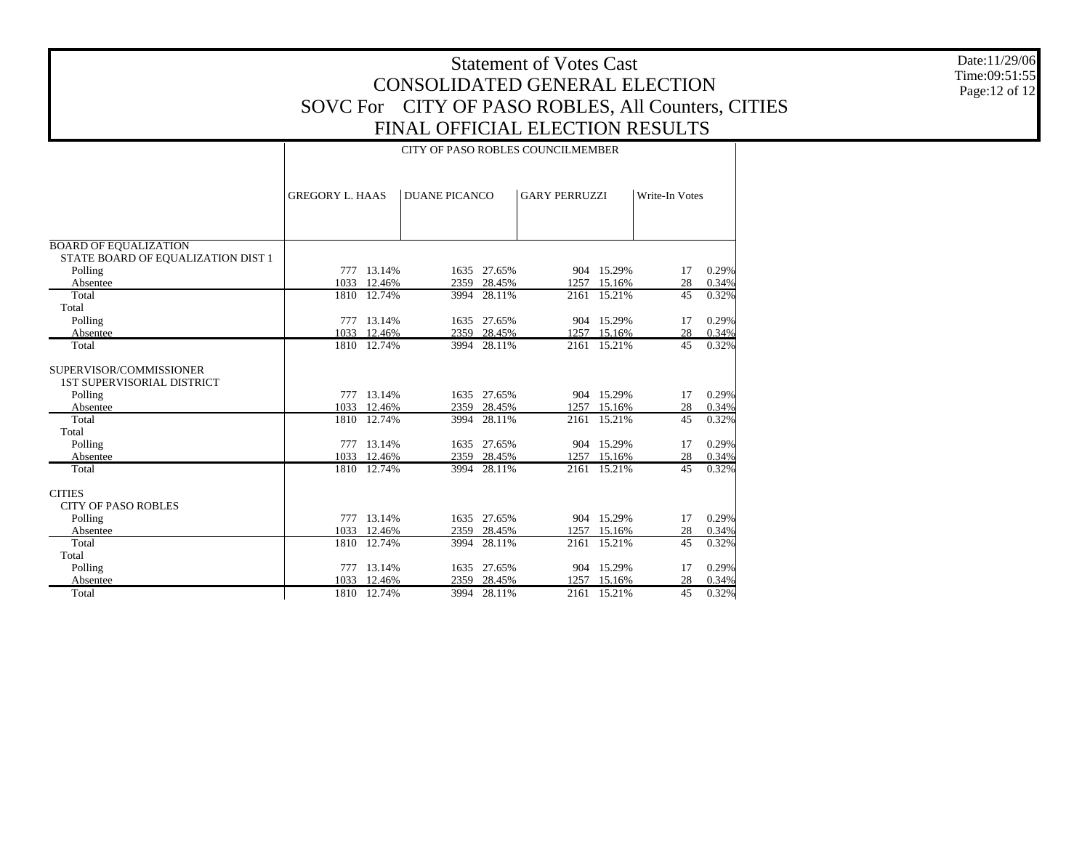|                                                                    |                        | Date:11/29/06<br>Time:09:51:55 |                                                    |                            |                      |                           |                |                |                |
|--------------------------------------------------------------------|------------------------|--------------------------------|----------------------------------------------------|----------------------------|----------------------|---------------------------|----------------|----------------|----------------|
|                                                                    |                        |                                | CONSOLIDATED GENERAL ELECTION                      |                            |                      |                           |                |                | Page: 12 of 12 |
|                                                                    |                        |                                | SOVC For CITY OF PASO ROBLES, All Counters, CITIES |                            |                      |                           |                |                |                |
|                                                                    |                        |                                | FINAL OFFICIAL ELECTION RESULTS                    |                            |                      |                           |                |                |                |
|                                                                    |                        |                                |                                                    |                            |                      |                           |                |                |                |
|                                                                    |                        |                                | CITY OF PASO ROBLES COUNCILMEMBER                  |                            |                      |                           |                |                |                |
|                                                                    |                        |                                |                                                    |                            |                      |                           |                |                |                |
|                                                                    | <b>GREGORY L. HAAS</b> |                                | <b>DUANE PICANCO</b>                               |                            | <b>GARY PERRUZZI</b> |                           | Write-In Votes |                |                |
|                                                                    |                        |                                |                                                    |                            |                      |                           |                |                |                |
|                                                                    |                        |                                |                                                    |                            |                      |                           |                |                |                |
|                                                                    |                        |                                |                                                    |                            |                      |                           |                |                |                |
| <b>BOARD OF EQUALIZATION</b><br>STATE BOARD OF EQUALIZATION DIST 1 |                        |                                |                                                    |                            |                      |                           |                |                |                |
| Polling                                                            |                        | 777 13.14%                     |                                                    | 1635 27.65%                |                      | 904 15.29%                | 17             | 0.29%          |                |
| Absentee                                                           | 1033                   | 12.46%                         |                                                    | 2359 28.45%                |                      | 1257 15.16%               | 28             | 0.34%          |                |
| Total                                                              |                        | 1810 12.74%                    |                                                    | 3994 28.11%                |                      | 2161 15.21%               | 45             | 0.32%          |                |
| Total                                                              |                        |                                |                                                    |                            |                      |                           |                |                |                |
| Polling                                                            |                        | 777 13.14%<br>1033 12.46%      |                                                    | 1635 27.65%<br>2359 28.45% |                      | 904 15.29%<br>1257 15.16% | 17<br>28       | 0.29%<br>0.34% |                |
| Absentee<br>Total                                                  |                        | 1810 12.74%                    |                                                    | 3994 28.11%                |                      | 2161 15.21%               | 45             | 0.32%          |                |
|                                                                    |                        |                                |                                                    |                            |                      |                           |                |                |                |
| SUPERVISOR/COMMISSIONER                                            |                        |                                |                                                    |                            |                      |                           |                |                |                |
| <b>1ST SUPERVISORIAL DISTRICT</b>                                  |                        |                                |                                                    |                            |                      |                           |                |                |                |
| Polling<br>Absentee                                                |                        | 777 13.14%<br>1033 12.46%      |                                                    | 1635 27.65%<br>2359 28.45% |                      | 904 15.29%<br>1257 15.16% | 17<br>28       | 0.29%<br>0.34% |                |
| Total                                                              |                        | 1810 12.74%                    |                                                    | 3994 28.11%                |                      | 2161 15.21%               | 45             | 0.32%          |                |
| Total                                                              |                        |                                |                                                    |                            |                      |                           |                |                |                |
| Polling                                                            |                        | 777 13.14%                     |                                                    | 1635 27.65%                |                      | 904 15.29%                | 17             | 0.29%          |                |
| Absentee                                                           | 1033                   | 12.46%                         |                                                    | 2359 28.45%                |                      | 1257 15.16%               | 28             | 0.34%          |                |
| Total                                                              |                        | 1810 12.74%                    |                                                    | 3994 28.11%                |                      | 2161 15.21%               |                | 45 0.32%       |                |
| <b>CITIES</b>                                                      |                        |                                |                                                    |                            |                      |                           |                |                |                |
| <b>CITY OF PASO ROBLES</b>                                         |                        |                                |                                                    |                            |                      |                           |                |                |                |
| Polling                                                            |                        | 777 13.14%                     |                                                    | 1635 27.65%                |                      | 904 15.29%                | 17             | 0.29%          |                |
| Absentee                                                           | 1033                   | 12.46%                         |                                                    | 2359 28.45%                |                      | 1257 15.16%               | 28             | 0.34%          |                |
| Total                                                              |                        | 1810 12.74%                    |                                                    | 3994 28.11%                |                      | 2161 15.21%               | 45             | 0.32%          |                |
| Total                                                              |                        |                                |                                                    |                            |                      |                           |                |                |                |
| Polling                                                            |                        | 777 13.14%                     |                                                    | 1635 27.65%                |                      | 904 15.29%                | 17             | 0.29%          |                |
| Absentee                                                           | 1033                   | 12.46%                         |                                                    | 2359 28.45%                |                      | 1257 15.16%               | 28             | 0.34%          |                |
| Total                                                              |                        | 1810 12.74%                    |                                                    | 3994 28.11%                |                      | 2161 15.21%               | 45             | $0.32\%$       |                |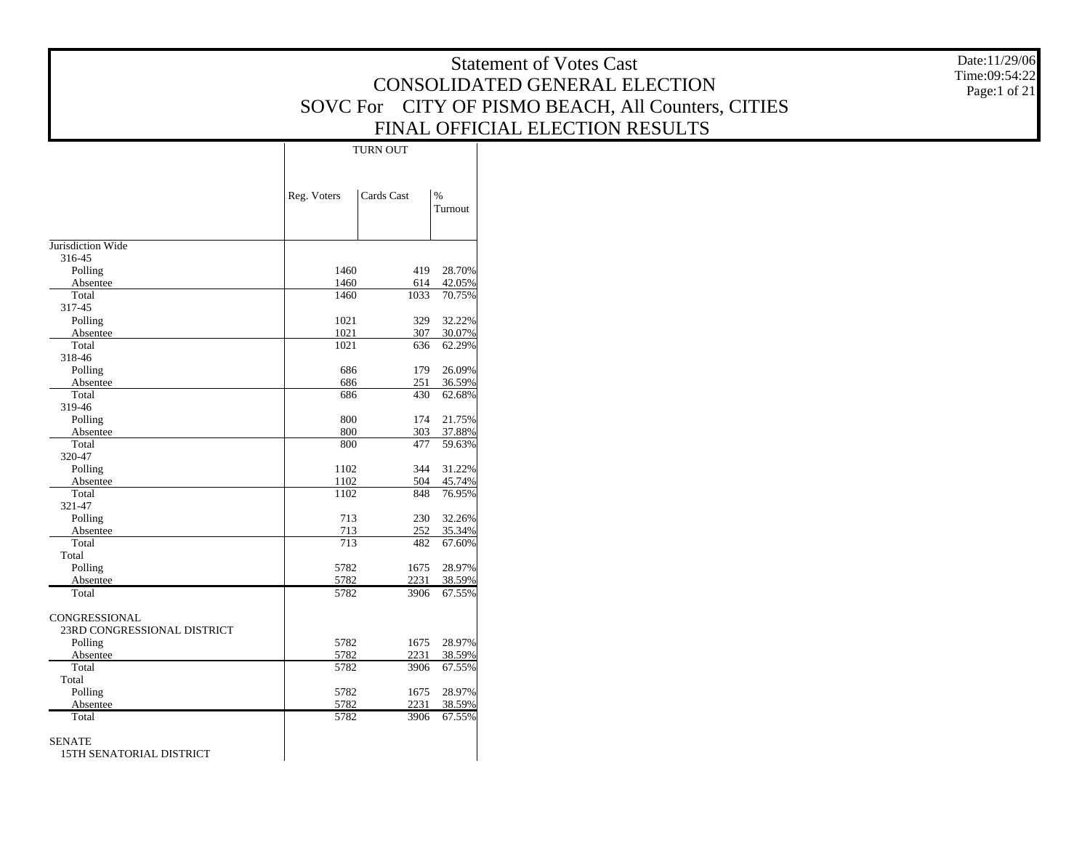|                                           | <b>Statement of Votes Cast</b><br>CONSOLIDATED GENERAL ELECTION |              |                  |                                                    |              |  |  |  |  |  |
|-------------------------------------------|-----------------------------------------------------------------|--------------|------------------|----------------------------------------------------|--------------|--|--|--|--|--|
|                                           |                                                                 |              |                  | SOVC For CITY OF PISMO BEACH, All Counters, CITIES | Page:1 of 21 |  |  |  |  |  |
|                                           |                                                                 |              |                  | FINAL OFFICIAL ELECTION RESULTS                    |              |  |  |  |  |  |
|                                           |                                                                 | TURN OUT     |                  |                                                    |              |  |  |  |  |  |
|                                           |                                                                 |              |                  |                                                    |              |  |  |  |  |  |
|                                           |                                                                 |              |                  |                                                    |              |  |  |  |  |  |
|                                           | Reg. Voters                                                     | Cards Cast   | $\%$             |                                                    |              |  |  |  |  |  |
|                                           |                                                                 |              | Turnout          |                                                    |              |  |  |  |  |  |
| Jurisdiction Wide                         |                                                                 |              |                  |                                                    |              |  |  |  |  |  |
| 316-45                                    |                                                                 |              |                  |                                                    |              |  |  |  |  |  |
| Polling                                   | 1460                                                            | 419          | 28.70%           |                                                    |              |  |  |  |  |  |
| Absentee                                  | 1460                                                            | 614          | 42.05%           |                                                    |              |  |  |  |  |  |
| Total                                     | 1460                                                            | 1033         | 70.75%           |                                                    |              |  |  |  |  |  |
| 317-45                                    |                                                                 |              |                  |                                                    |              |  |  |  |  |  |
| Polling                                   | 1021                                                            | 329          | 32.22%           |                                                    |              |  |  |  |  |  |
| Absentee                                  | 1021                                                            | 307          | 30.07%           |                                                    |              |  |  |  |  |  |
| Total<br>318-46                           | 1021                                                            | 636          | 62.29%           |                                                    |              |  |  |  |  |  |
| Polling                                   | 686                                                             | 179          | 26.09%           |                                                    |              |  |  |  |  |  |
| Absentee                                  | 686                                                             | 251          | 36.59%           |                                                    |              |  |  |  |  |  |
| Total                                     | 686                                                             | 430          | 62.68%           |                                                    |              |  |  |  |  |  |
| 319-46                                    |                                                                 |              |                  |                                                    |              |  |  |  |  |  |
| Polling                                   | 800                                                             | 174          | 21.75%           |                                                    |              |  |  |  |  |  |
| Absentee                                  | 800                                                             | 303          | 37.88%           |                                                    |              |  |  |  |  |  |
| Total                                     | 800                                                             | 477          | 59.63%           |                                                    |              |  |  |  |  |  |
| 320-47                                    |                                                                 |              |                  |                                                    |              |  |  |  |  |  |
| Polling                                   | 1102                                                            | 344          | 31.22%           |                                                    |              |  |  |  |  |  |
| Absentee<br>Total                         | 1102<br>1102                                                    | 504<br>848   | 45.74%<br>76.95% |                                                    |              |  |  |  |  |  |
| 321-47                                    |                                                                 |              |                  |                                                    |              |  |  |  |  |  |
| Polling                                   | 713                                                             | 230          | 32.26%           |                                                    |              |  |  |  |  |  |
| Absentee                                  | 713                                                             | 252          | 35.34%           |                                                    |              |  |  |  |  |  |
| Total                                     | 713                                                             | 482          | 67.60%           |                                                    |              |  |  |  |  |  |
| Total                                     |                                                                 |              |                  |                                                    |              |  |  |  |  |  |
| Polling                                   | 5782                                                            | 1675         | 28.97%           |                                                    |              |  |  |  |  |  |
| Absentee                                  | 5782                                                            | 2231         | 38.59%           |                                                    |              |  |  |  |  |  |
| Total                                     | 5782                                                            | 3906         | 67.55%           |                                                    |              |  |  |  |  |  |
| CONGRESSIONAL                             |                                                                 |              |                  |                                                    |              |  |  |  |  |  |
| 23RD CONGRESSIONAL DISTRICT               |                                                                 |              |                  |                                                    |              |  |  |  |  |  |
| Polling                                   | 5782                                                            | 1675         | 28.97%           |                                                    |              |  |  |  |  |  |
| Absentee                                  | 5782                                                            | 2231         | 38.59%           |                                                    |              |  |  |  |  |  |
| Total                                     | 5782                                                            | 3906         | 67.55%           |                                                    |              |  |  |  |  |  |
| Total                                     |                                                                 |              |                  |                                                    |              |  |  |  |  |  |
| Polling                                   | 5782                                                            | 1675         | 28.97%           |                                                    |              |  |  |  |  |  |
| Absentee                                  | 5782<br>5782                                                    | 2231<br>3906 | 38.59%<br>67.55% |                                                    |              |  |  |  |  |  |
| Total                                     |                                                                 |              |                  |                                                    |              |  |  |  |  |  |
| <b>SENATE</b><br>15TH SENATORIAL DISTRICT |                                                                 |              |                  |                                                    |              |  |  |  |  |  |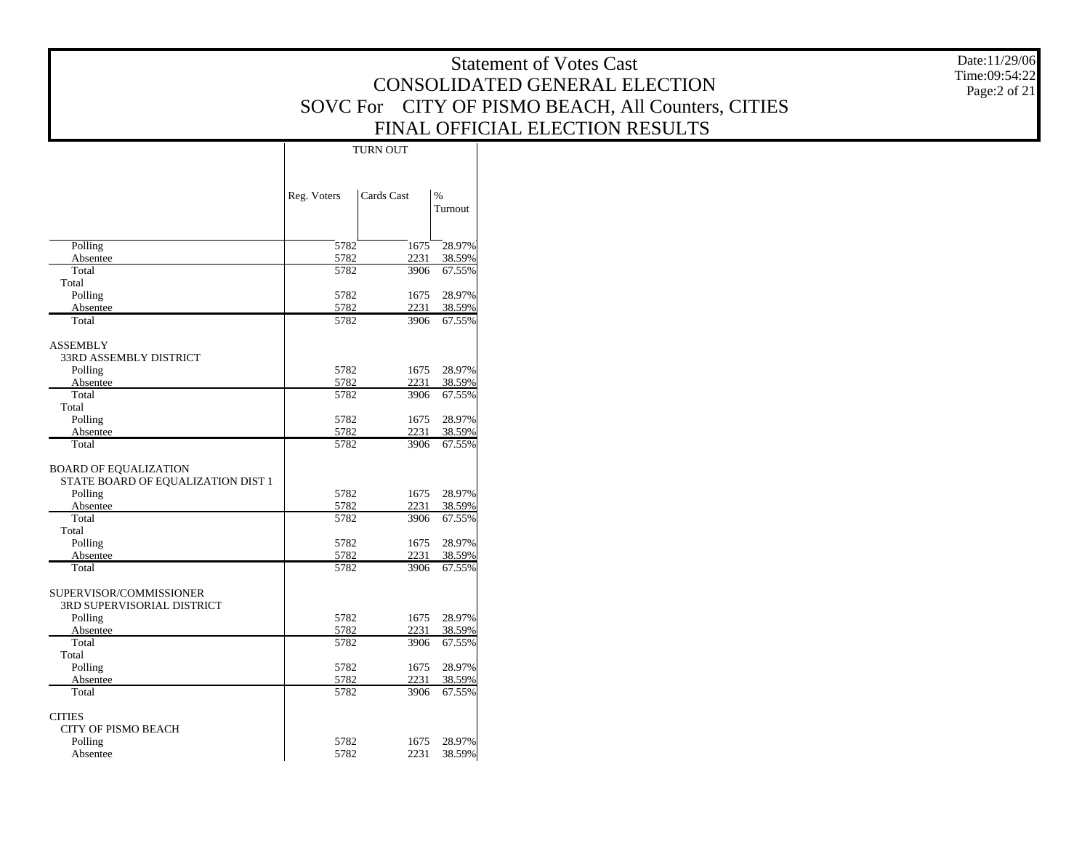|                                      | Date:11/29/06 |              |                       |                                                    |                               |
|--------------------------------------|---------------|--------------|-----------------------|----------------------------------------------------|-------------------------------|
|                                      |               |              |                       | CONSOLIDATED GENERAL ELECTION                      | Time:09:54:22<br>Page:2 of 21 |
|                                      |               |              |                       | SOVC For CITY OF PISMO BEACH, All Counters, CITIES |                               |
|                                      |               |              |                       | FINAL OFFICIAL ELECTION RESULTS                    |                               |
|                                      |               | TURN OUT     |                       |                                                    |                               |
|                                      |               |              |                       |                                                    |                               |
|                                      |               |              |                       |                                                    |                               |
|                                      | Reg. Voters   | Cards Cast   | $\%$<br>Turnout       |                                                    |                               |
|                                      |               |              |                       |                                                    |                               |
| Polling                              | 5782          | 1675         | 28.97%                |                                                    |                               |
| Absentee                             | 5782          | 2231         | 38.59%                |                                                    |                               |
| Total<br>Total                       | 5782          | 3906         | 67.55%                |                                                    |                               |
| Polling                              | 5782          | 1675         | 28.97%                |                                                    |                               |
| Absentee                             | 5782          | 2231         | 38.59%                |                                                    |                               |
| Total                                | 5782          | 3906         | 67.55%                |                                                    |                               |
| <b>ASSEMBLY</b>                      |               |              |                       |                                                    |                               |
| 33RD ASSEMBLY DISTRICT               |               |              |                       |                                                    |                               |
| Polling<br>Absentee                  | 5782<br>5782  | 2231         | 1675 28.97%<br>38.59% |                                                    |                               |
| Total                                | 5782          | 3906         | 67.55%                |                                                    |                               |
| Total                                |               |              |                       |                                                    |                               |
| Polling<br>Absentee                  | 5782<br>5782  | 1675<br>2231 | 28.97%<br>38.59%      |                                                    |                               |
| Total                                | 5782          | 3906         | 67.55%                |                                                    |                               |
| <b>BOARD OF EQUALIZATION</b>         |               |              |                       |                                                    |                               |
| STATE BOARD OF EQUALIZATION DIST 1   |               |              |                       |                                                    |                               |
| Polling                              | 5782          | 1675         | 28.97%                |                                                    |                               |
| Absentee                             | 5782          | 2231         | 38.59%                |                                                    |                               |
| Total<br>Total                       | 5782          | 3906         | 67.55%                |                                                    |                               |
| Polling                              | 5782          | 1675         | 28.97%                |                                                    |                               |
| Absentee                             | 5782          | 2231         | 38.59%                |                                                    |                               |
| Total                                | 5782          | 3906         | 67.55%                |                                                    |                               |
| SUPERVISOR/COMMISSIONER              |               |              |                       |                                                    |                               |
| 3RD SUPERVISORIAL DISTRICT           |               |              |                       |                                                    |                               |
| Polling<br>Absentee                  | 5782<br>5782  | 1675<br>2231 | 28.97%<br>38.59%      |                                                    |                               |
| Total                                | 5782          | 3906         | 67.55%                |                                                    |                               |
| Total                                |               |              |                       |                                                    |                               |
| Polling<br>Absentee                  | 5782<br>5782  | 1675<br>2231 | 28.97%<br>38.59%      |                                                    |                               |
| Total                                | 5782          | 3906         | 67.55%                |                                                    |                               |
|                                      |               |              |                       |                                                    |                               |
| <b>CITIES</b><br>CITY OF PISMO BEACH |               |              |                       |                                                    |                               |
| Polling                              | 5782          |              | 1675 28.97%           |                                                    |                               |
| Absentee                             | 5782          |              | 2231 38.59%           |                                                    |                               |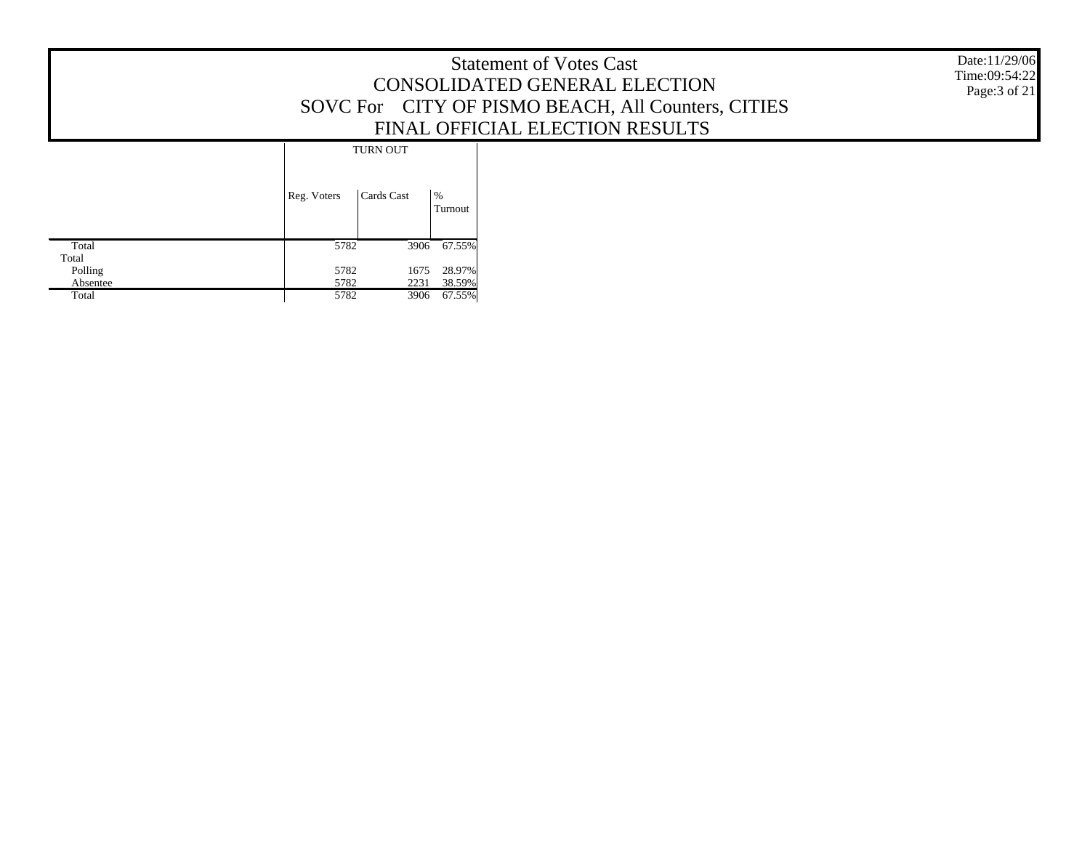| <b>Statement of Votes Cast</b>                     |
|----------------------------------------------------|
| CONSOLIDATED GENERAL ELECTION                      |
| SOVC For CITY OF PISMO BEACH, All Counters, CITIES |
| FINAL OFFICIAL ELECTION RESULTS                    |

Date:11/29/06 Time:09:54:22 Page:3 of 21

|          | <b>TURN OUT</b> |            |              |
|----------|-----------------|------------|--------------|
|          | Reg. Voters     | Cards Cast | %<br>Turnout |
| Total    | 5782            | 3906       | 67.55%       |
| Total    |                 |            |              |
| Polling  | 5782            | 1675       | 28.97%       |
| Absentee | 5782            | 2231       | 38.59%       |
| Total    | 5782            | 3906       | 67.55%       |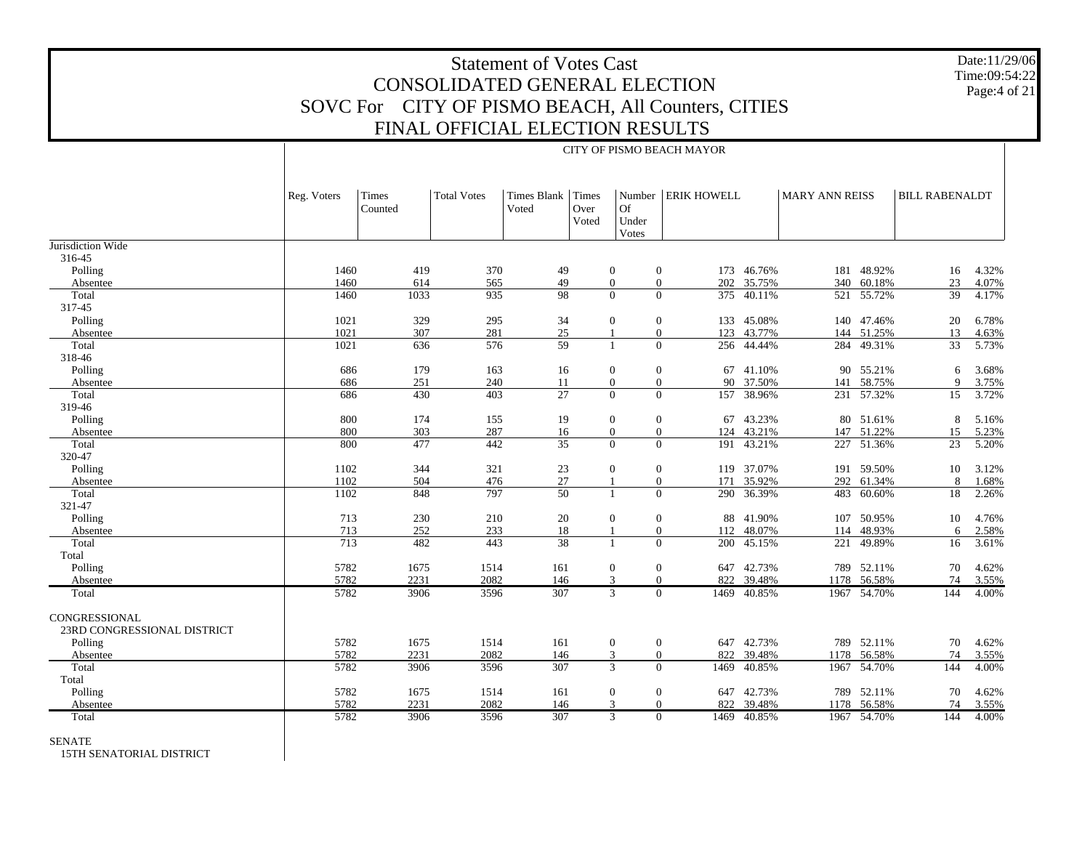Date:11/29/06 Time:09:54:22Page:4 of 21

|                                              |             | CITY OF PISMO BEACH MAYOR |                    |                            |               |                                       |                         |            |                       |             |                       |       |  |
|----------------------------------------------|-------------|---------------------------|--------------------|----------------------------|---------------|---------------------------------------|-------------------------|------------|-----------------------|-------------|-----------------------|-------|--|
|                                              | Reg. Voters | Times<br>Counted          | <b>Total Votes</b> | Times Blank Times<br>Voted | Over<br>Voted | Number<br><b>Of</b><br>Under<br>Votes | <b>ERIK HOWELL</b>      |            | <b>MARY ANN REISS</b> |             | <b>BILL RABENALDT</b> |       |  |
| Jurisdiction Wide                            |             |                           |                    |                            |               |                                       |                         |            |                       |             |                       |       |  |
| 316-45                                       |             |                           |                    |                            |               |                                       |                         |            |                       |             |                       |       |  |
| Polling                                      | 1460        | 419                       | 370                | 49                         |               | $\mathbf{0}$                          | $\boldsymbol{0}$<br>173 | 46.76%     | 181                   | 48.92%      | 16                    | 4.32% |  |
| Absentee                                     | 1460        | 614                       | 565                | 49                         |               | $\mathbf{0}$                          | $\overline{0}$<br>202   | 35.75%     | 340                   | 60.18%      | 23                    | 4.07% |  |
| Total                                        | 1460        | 1033                      | 935                | 98                         |               | $\Omega$                              | $\overline{0}$<br>375   | 40.11%     | 521                   | 55.72%      | 39                    | 4.17% |  |
| 317-45                                       |             |                           |                    |                            |               |                                       |                         |            |                       |             |                       |       |  |
| Polling                                      | 1021        | 329                       | 295                | 34                         |               | $\mathbf{0}$                          | $\mathbf{0}$            | 133 45.08% | 140                   | 47.46%      | 20                    | 6.78% |  |
| Absentee                                     | 1021        | 307                       | 281                | 25                         |               | -1                                    | $\overline{0}$<br>123   | 43.77%     |                       | 144 51.25%  | 13                    | 4.63% |  |
| Total                                        | 1021        | 636                       | 576                | $\overline{59}$            |               | $\mathbf{1}$                          | $\overline{0}$          | 256 44.44% |                       | 284 49.31%  | 33                    | 5.73% |  |
| 318-46                                       |             |                           |                    |                            |               |                                       |                         |            |                       |             |                       |       |  |
| Polling                                      | 686         | 179                       | 163                | 16                         |               | $\mathbf{0}$                          | $\mathbf{0}$            | 67 41.10%  |                       | 90 55.21%   | 6                     | 3.68% |  |
| Absentee                                     | 686         | 251                       | 240                | 11                         |               | $\mathbf{0}$                          | $\mathbf{0}$<br>90      | 37.50%     | 141                   | 58.75%      | 9                     | 3.75% |  |
| Total                                        | 686         | 430                       | 403                | 27                         |               | $\overline{0}$                        | $\overline{0}$          | 157 38.96% |                       | 231 57.32%  | 15                    | 3.72% |  |
| 319-46                                       |             |                           |                    |                            |               |                                       |                         |            |                       |             |                       |       |  |
| Polling                                      | 800         | 174                       | 155                | 19                         |               | $\mathbf{0}$                          | $\mathbf{0}$<br>67      | 43.23%     | 80                    | 51.61%      | 8                     | 5.16% |  |
| Absentee                                     | 800         | 303                       | 287                | 16                         |               | $\overline{0}$                        | $\theta$<br>124         | 43.21%     | 147                   | 51.22%      | 15                    | 5.23% |  |
| Total                                        | 800         | 477                       | 442                | 35                         |               | $\Omega$                              | $\Omega$<br>191         | 43.21%     |                       | 227 51.36%  | 23                    | 5.20% |  |
| 320-47                                       |             |                           |                    |                            |               |                                       |                         |            |                       |             |                       |       |  |
| Polling                                      | 1102        | 344                       | 321                | 23                         |               | $\boldsymbol{0}$                      | $\mathbf{0}$            | 119 37.07% | 191                   | 59.50%      | 10                    | 3.12% |  |
| Absentee                                     | 1102        | 504                       | 476                | $27\,$                     |               | $\mathbf{1}$                          | $\overline{0}$<br>171   | 35.92%     | 292                   | 61.34%      | 8                     | 1.68% |  |
| Total                                        | 1102        | 848                       | 797                | 50                         |               | $\mathbf{1}$                          | $\theta$<br>290         | 36.39%     |                       | 483 60.60%  | 18                    | 2.26% |  |
| 321-47                                       |             |                           |                    |                            |               |                                       |                         |            |                       |             |                       |       |  |
| Polling                                      | 713         | 230                       | 210                | 20                         |               | $\mathbf{0}$                          | $\mathbf{0}$<br>88      | 41.90%     | 107                   | 50.95%      | 10                    | 4.76% |  |
| Absentee                                     | 713         | 252                       | 233                | 18                         |               | $\mathbf{1}$                          | $\mathbf{0}$<br>112     | 48.07%     | 114                   | 48.93%      | 6                     | 2.58% |  |
| Total                                        | 713         | 482                       | 443                | $\overline{38}$            |               | $\mathbf{1}$                          | $\theta$<br>200         | 45.15%     | 221                   | 49.89%      | 16                    | 3.61% |  |
| Total                                        |             |                           |                    |                            |               |                                       |                         |            |                       |             |                       |       |  |
| Polling                                      | 5782        | 1675                      | 1514               | 161                        |               | $\boldsymbol{0}$                      | $\mathbf{0}$<br>647     | 42.73%     |                       | 789 52.11%  | 70                    | 4.62% |  |
| Absentee                                     | 5782        | 2231                      | 2082               | 146                        |               | $\mathfrak{Z}$                        | $\theta$<br>822         | 39.48%     |                       | 1178 56.58% | 74                    | 3.55% |  |
|                                              | 5782        | 3906                      | 3596               | 307                        |               | $\overline{3}$                        | $\overline{0}$<br>1469  | 40.85%     |                       | 1967 54.70% | 144                   | 4.00% |  |
| Total                                        |             |                           |                    |                            |               |                                       |                         |            |                       |             |                       |       |  |
| CONGRESSIONAL<br>23RD CONGRESSIONAL DISTRICT |             |                           |                    |                            |               |                                       |                         |            |                       |             |                       |       |  |
| Polling                                      | 5782        | 1675                      | 1514               | 161                        |               | $\mathbf{0}$                          | $\mathbf{0}$<br>647     | 42.73%     |                       | 789 52.11%  | 70                    | 4.62% |  |
| Absentee                                     | 5782        | 2231                      | 2082               | 146                        |               | 3                                     | $\overline{0}$<br>822   | 39.48%     |                       | 1178 56.58% | 74                    | 3.55% |  |
| Total                                        | 5782        | 3906                      | 3596               | 307                        |               | $\overline{3}$                        | $\Omega$<br>1469        | 40.85%     |                       | 1967 54.70% | 144                   | 4.00% |  |
| Total                                        |             |                           |                    |                            |               |                                       |                         |            |                       |             |                       |       |  |
| Polling                                      | 5782        | 1675                      | 1514               | 161                        |               | $\mathbf{0}$                          | $\mathbf{0}$            | 647 42.73% |                       | 789 52.11%  | 70                    | 4.62% |  |
| Absentee                                     | 5782        | 2231                      | 2082               | 146                        |               | 3                                     | $\Omega$<br>822         | 39.48%     | 1178                  | 56.58%      | 74                    | 3.55% |  |
| Total                                        | 5782        | 3906                      | 3596               | 307                        |               | $\overline{3}$                        | $\theta$<br>1469        | 40.85%     |                       | 1967 54.70% | 144                   | 4.00% |  |
|                                              |             |                           |                    |                            |               |                                       |                         |            |                       |             |                       |       |  |

#### SENATE

15TH SENATORIAL DISTRICT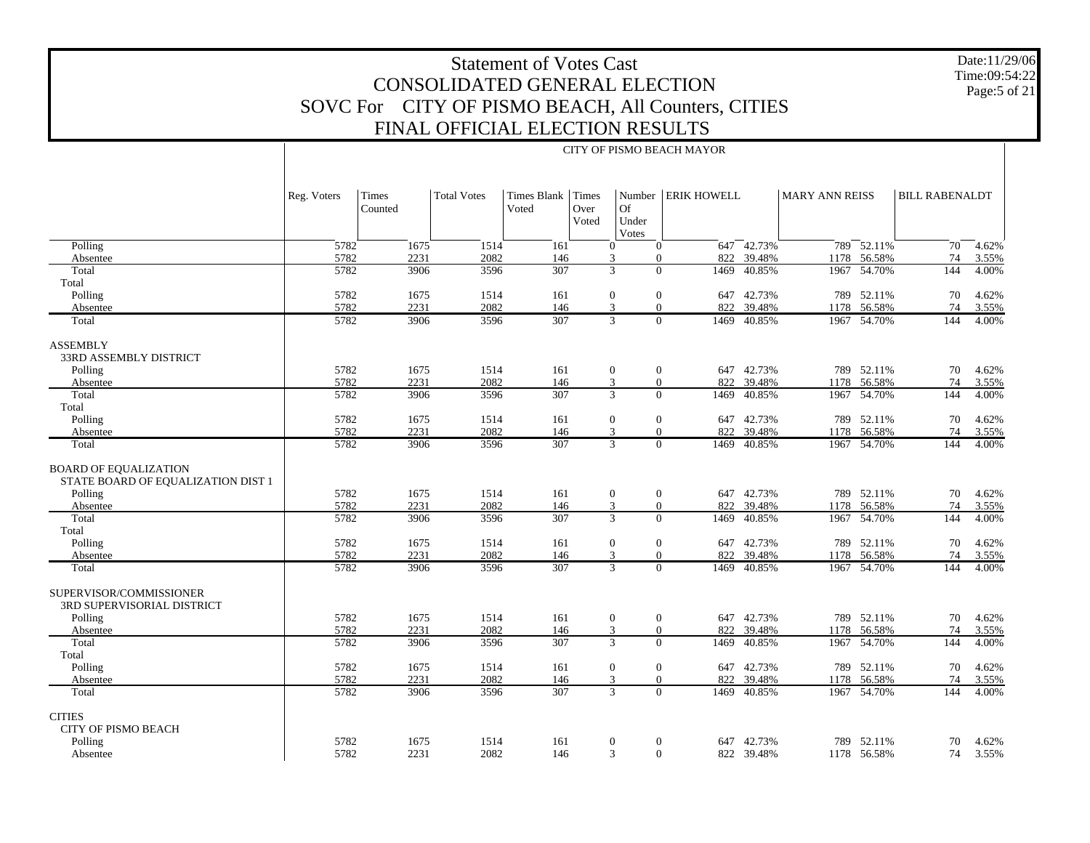Date:11/29/06 Time:09:54:22 Page:5 of 21

|                                                                    |             | CITY OF PISMO BEACH MAYOR |                    |                             |                        |                                    |                         |                |                       |                 |                       |       |  |
|--------------------------------------------------------------------|-------------|---------------------------|--------------------|-----------------------------|------------------------|------------------------------------|-------------------------|----------------|-----------------------|-----------------|-----------------------|-------|--|
|                                                                    | Reg. Voters | Times<br>Counted          | <b>Total Votes</b> | <b>Times Blank</b><br>Voted | Times<br>Over<br>Voted | Number<br>Of<br>Under<br>Votes     | <b>ERIK HOWELL</b>      |                | <b>MARY ANN REISS</b> |                 | <b>BILL RABENALDT</b> |       |  |
| Polling                                                            | 5782        | 1675                      | 1514               | 161                         |                        | $\theta$                           | $\mathbf{0}$            | $647 - 42.73%$ |                       | $789 - 52.11\%$ | 70                    | 4.62% |  |
| Absentee                                                           | 5782        | 2231                      | 2082               | 146                         |                        | 3                                  | 822<br>$\mathbf{0}$     | 39.48%         |                       | 1178 56.58%     | 74                    | 3.55% |  |
| Total                                                              | 5782        | 3906                      | 3596               | 307                         |                        | 3                                  | $\Omega$<br>1469        | 40.85%         | 1967                  | 54.70%          | 144                   | 4.00% |  |
| Total                                                              |             |                           |                    |                             |                        |                                    |                         |                |                       |                 |                       |       |  |
| Polling                                                            | 5782        | 1675                      | 1514               | 161                         |                        | $\boldsymbol{0}$                   | $\boldsymbol{0}$        | 647 42.73%     | 789                   | 52.11%          | 70                    | 4.62% |  |
| Absentee                                                           | 5782        | 2231                      | 2082               | 146                         |                        | 3                                  | 822<br>$\Omega$         | 39.48%         |                       | 1178 56.58%     | 74                    | 3.55% |  |
| Total                                                              | 5782        | 3906                      | 3596               | 307                         |                        | $\mathbf{3}$                       | $\Omega$<br>1469        | 40.85%         | 1967                  | 54.70%          | 144                   | 4.00% |  |
| <b>ASSEMBLY</b><br>33RD ASSEMBLY DISTRICT                          |             |                           |                    |                             |                        |                                    |                         |                |                       |                 |                       |       |  |
| Polling                                                            | 5782        | 1675                      | 1514               | 161                         |                        | $\mathbf{0}$                       | $\mathbf{0}$            | 647 42.73%     |                       | 789 52.11%      | 70                    | 4.62% |  |
| Absentee                                                           | 5782        | 2231                      | 2082               | 146                         |                        | 3                                  | 822<br>$\mathbf{0}$     | 39.48%         |                       | 1178 56.58%     | 74                    | 3.55% |  |
| Total                                                              | 5782        | 3906                      | 3596               | 307                         |                        | $\overline{3}$                     | $\overline{0}$<br>1469  | 40.85%         | 1967                  | 54.70%          | 144                   | 4.00% |  |
| Total                                                              |             |                           |                    |                             |                        |                                    |                         |                |                       |                 |                       |       |  |
| Polling                                                            | 5782        | 1675                      | 1514               | 161                         |                        | $\mathbf{0}$                       | $\mathbf{0}$            | 647 42.73%     |                       | 789 52.11%      | 70                    | 4.62% |  |
| Absentee                                                           | 5782        | 2231                      | 2082               | 146                         |                        | 3                                  | 822<br>$\mathbf{0}$     | 39.48%         |                       | 1178 56.58%     | 74                    | 3.55% |  |
| Total                                                              | 5782        | 3906                      | 3596               | 307                         |                        | $\overline{3}$                     | $\Omega$<br>1469        | 40.85%         |                       | 1967 54.70%     | 144                   | 4.00% |  |
| <b>BOARD OF EQUALIZATION</b><br>STATE BOARD OF EQUALIZATION DIST 1 |             |                           |                    |                             |                        |                                    |                         |                |                       |                 |                       |       |  |
| Polling                                                            | 5782        | 1675                      | 1514               | 161                         |                        | $\mathbf{0}$                       | $\mathbf{0}$            | 647 42.73%     |                       | 789 52.11%      | 70                    | 4.62% |  |
| Absentee                                                           | 5782        | 2231                      | 2082               | 146                         |                        | 3                                  | $\boldsymbol{0}$<br>822 | 39.48%         |                       | 1178 56.58%     | 74                    | 3.55% |  |
| Total                                                              | 5782        | 3906                      | 3596               | 307                         |                        | 3                                  | $\Omega$<br>1469        | 40.85%         |                       | 1967 54.70%     | 144                   | 4.00% |  |
| Total<br>Polling                                                   | 5782        | 1675                      | 1514               | 161                         |                        | $\mathbf{0}$                       | $\boldsymbol{0}$        | 647 42.73%     |                       | 789 52.11%      | 70                    | 4.62% |  |
| Absentee                                                           | 5782        | 2231                      | 2082               | 146                         |                        | 3                                  | $\mathbf{0}$<br>822     | 39.48%         |                       | 1178 56.58%     | 74                    | 3.55% |  |
| Total                                                              | 5782        | 3906                      | 3596               | 307                         |                        | 3                                  | $\mathbf{0}$            | 1469 40.85%    |                       | 1967 54.70%     | 144                   | 4.00% |  |
| SUPERVISOR/COMMISSIONER<br>3RD SUPERVISORIAL DISTRICT              |             |                           |                    |                             |                        |                                    |                         |                |                       |                 |                       |       |  |
| Polling                                                            | 5782        | 1675                      | 1514               | 161                         |                        | $\boldsymbol{0}$<br>$\overline{0}$ |                         | 647 42.73%     |                       | 789 52.11%      | 70                    | 4.62% |  |
| Absentee                                                           | 5782        | 2231                      | 2082               | 146                         |                        | 3                                  | $\mathbf{0}$<br>822     | 39.48%         | 1178                  | 56.58%          | 74                    | 3.55% |  |
| Total                                                              | 5782        | 3906                      | 3596               | 307                         |                        | 3                                  | $\overline{0}$<br>1469  | 40.85%         |                       | 1967 54.70%     | 144                   | 4.00% |  |
| Total                                                              |             |                           |                    |                             |                        |                                    |                         |                |                       |                 |                       |       |  |
| Polling                                                            | 5782        | 1675                      | 1514               | 161                         |                        | $\boldsymbol{0}$                   | $\boldsymbol{0}$        | 647 42.73%     |                       | 789 52.11%      | 70                    | 4.62% |  |
| Absentee                                                           | 5782        | 2231                      | 2082               | 146                         |                        | 3                                  | 822<br>$\mathbf{0}$     | 39.48%         | 1178                  | 56.58%          | 74                    | 3.55% |  |
| Total                                                              | 5782        | 3906                      | 3596               | 307                         |                        | $\overline{3}$                     | $\mathbf{0}$<br>1469    | 40.85%         | 1967                  | 54.70%          | 144                   | 4.00% |  |
| <b>CITIES</b><br><b>CITY OF PISMO BEACH</b>                        |             |                           |                    |                             |                        |                                    |                         |                |                       |                 |                       |       |  |
| Polling                                                            | 5782        | 1675                      | 1514               | 161                         |                        | $\mathbf{0}$                       | $\boldsymbol{0}$<br>647 | 42.73%         | 789                   | 52.11%          | 70                    | 4.62% |  |
| Absentee                                                           | 5782        | 2231                      | 2082               | 146                         |                        | 3                                  | $\overline{0}$          | 822 39.48%     |                       | 1178 56.58%     | 74                    | 3.55% |  |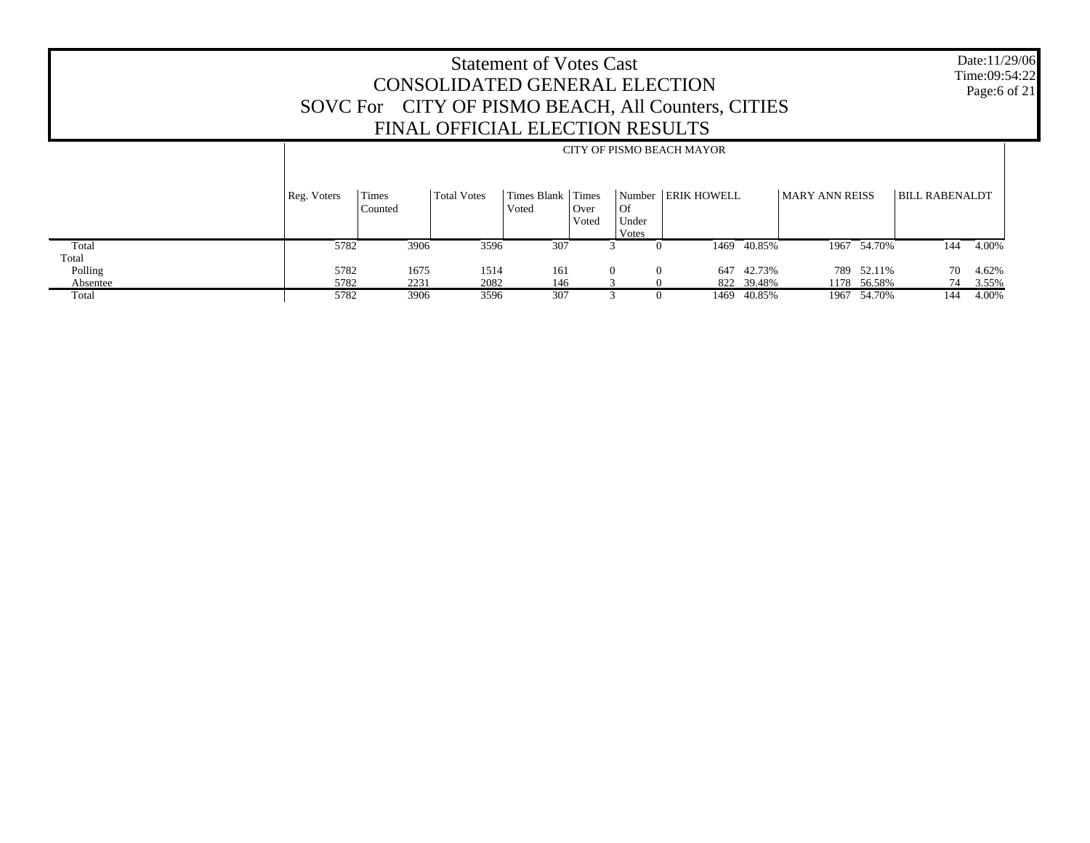Date:11/29/06 Time:09:54:22 Page:6 of 21

|          |             | CITY OF PISMO BEACH MAYOR |                    |                      |                        |                      |                      |             |                |             |                       |       |
|----------|-------------|---------------------------|--------------------|----------------------|------------------------|----------------------|----------------------|-------------|----------------|-------------|-----------------------|-------|
|          | Reg. Voters | Times<br>Counted          | <b>Total Votes</b> | Times Blank<br>Voted | Times<br>Over<br>Voted | Of<br>Under<br>Votes | Number   ERIK HOWELL |             | MARY ANN REISS |             | <b>BILL RABENALDT</b> |       |
| Total    | 5782        | 3906                      | 3596               | 307                  |                        |                      |                      | 1469 40.85% |                | 1967 54.70% | 144                   | 4.00% |
| Total    |             |                           |                    |                      |                        |                      |                      |             |                |             |                       |       |
| Polling  | 5782        | 1675                      | 1514               | 161                  | $\Omega$               | $\Omega$             |                      | 647 42.73%  |                | 789 52.11%  | 70                    | 4.62% |
| Absentee | 5782        | 2231                      | 2082               | 146                  |                        |                      |                      | 822 39.48%  |                | 1178 56.58% | 74                    | 3.55% |
| Total    | 5782        | 3906                      | 3596               | 307                  |                        |                      | 1469                 | 40.85%      |                | 1967 54.70% | 144                   | 4.00% |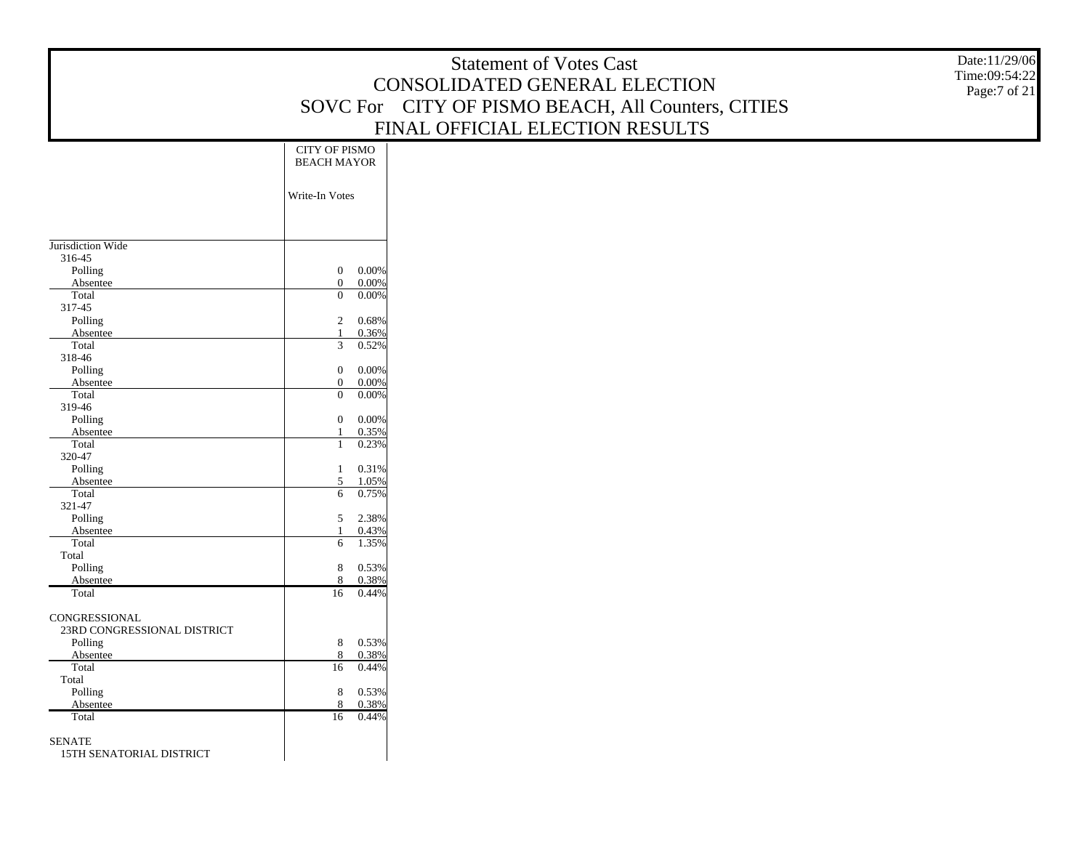|                             |                                     | <b>Statement of Votes Cast</b>                     | Date:11/29/06<br>Time:09:54:22 |
|-----------------------------|-------------------------------------|----------------------------------------------------|--------------------------------|
|                             |                                     | CONSOLIDATED GENERAL ELECTION                      | Page:7 of 21                   |
|                             |                                     | SOVC For CITY OF PISMO BEACH, All Counters, CITIES |                                |
|                             |                                     | FINAL OFFICIAL ELECTION RESULTS                    |                                |
|                             |                                     |                                                    |                                |
|                             | <b>CITY OF PISMO</b>                |                                                    |                                |
|                             | <b>BEACH MAYOR</b>                  |                                                    |                                |
|                             |                                     |                                                    |                                |
|                             | Write-In Votes                      |                                                    |                                |
|                             |                                     |                                                    |                                |
|                             |                                     |                                                    |                                |
| Jurisdiction Wide           |                                     |                                                    |                                |
| 316-45                      | $\boldsymbol{0}$                    |                                                    |                                |
| Polling<br>Absentee         | 0.00%<br>$\overline{0}$<br>0.00%    |                                                    |                                |
| Total                       | $\mathbf{0}$<br>0.00%               |                                                    |                                |
| 317-45                      |                                     |                                                    |                                |
| Polling                     | $\sqrt{2}$<br>0.68%                 |                                                    |                                |
| Absentee                    | 0.36%<br>$\mathbf{1}$               |                                                    |                                |
| Total                       | 0.52%<br>$\mathfrak{Z}$             |                                                    |                                |
| 318-46<br>Polling           | $\boldsymbol{0}$<br>0.00%           |                                                    |                                |
| Absentee                    | 0.00%<br>$\boldsymbol{0}$           |                                                    |                                |
| Total                       | $\mathbf{0}$<br>0.00%               |                                                    |                                |
| 319-46                      |                                     |                                                    |                                |
| Polling                     | $\mathbf{0}$<br>0.00%               |                                                    |                                |
| Absentee                    | 0.35%<br>$\mathbf{1}$               |                                                    |                                |
| Total<br>320-47             | 0.23%<br>$\mathbf{1}$               |                                                    |                                |
| Polling                     | 0.31%<br>$\mathbf{1}$               |                                                    |                                |
| Absentee                    | 5<br>1.05%                          |                                                    |                                |
| Total                       | 6<br>0.75%                          |                                                    |                                |
| 321-47                      |                                     |                                                    |                                |
| Polling                     | 5<br>2.38%                          |                                                    |                                |
| Absentee<br>Total           | 0.43%<br>$\mathbf{1}$<br>1.35%<br>6 |                                                    |                                |
| Total                       |                                     |                                                    |                                |
| Polling                     | $\,8\,$<br>0.53%                    |                                                    |                                |
| Absentee                    | 0.38%<br>8                          |                                                    |                                |
| Total                       | 0.44%<br>16                         |                                                    |                                |
| CONGRESSIONAL               |                                     |                                                    |                                |
| 23RD CONGRESSIONAL DISTRICT |                                     |                                                    |                                |
| Polling                     | $\,8\,$<br>0.53%                    |                                                    |                                |
| Absentee                    | 8<br>0.38%                          |                                                    |                                |
| Total                       | 16<br>0.44%                         |                                                    |                                |
| Total                       |                                     |                                                    |                                |
| Polling<br>Absentee         | 8<br>0.53%<br>0.38%<br>8            |                                                    |                                |
| Total                       | 16<br>0.44%                         |                                                    |                                |
|                             |                                     |                                                    |                                |
| <b>SENATE</b>               |                                     |                                                    |                                |
| 15TH SENATORIAL DISTRICT    |                                     |                                                    |                                |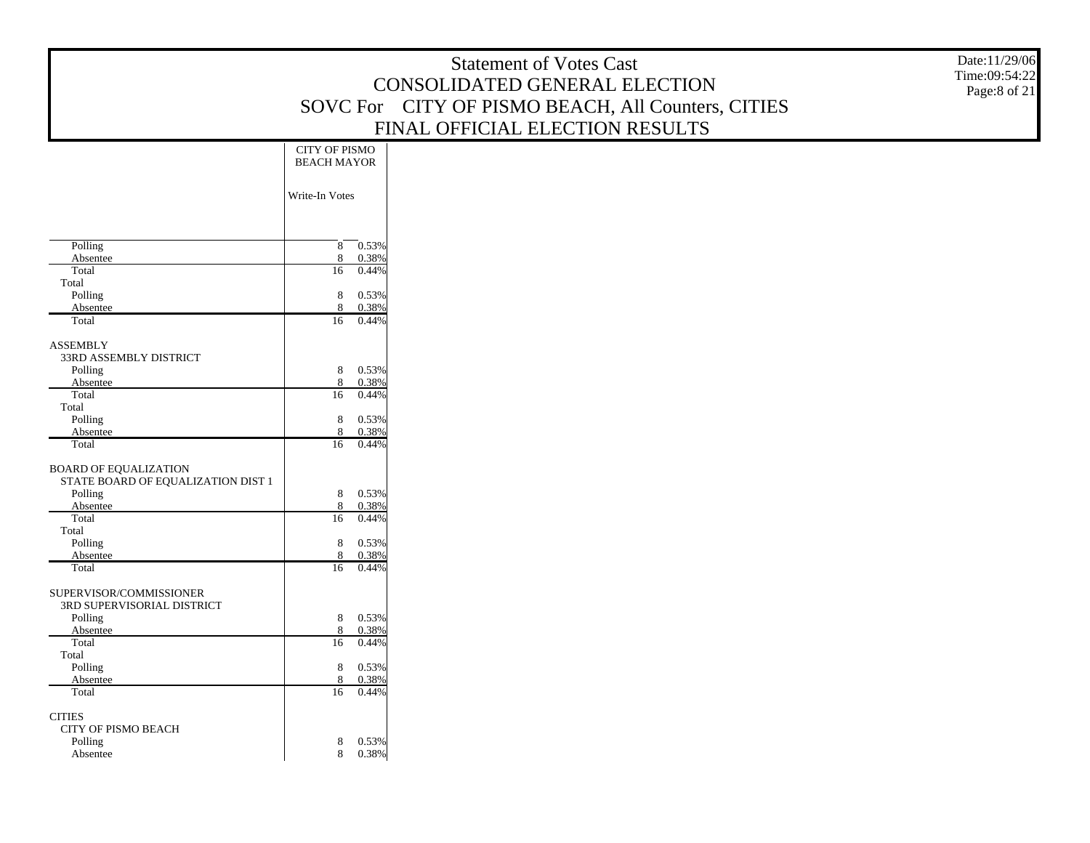|                                                                    |                                            | <b>Statement of Votes Cast</b><br>CONSOLIDATED GENERAL ELECTION<br>SOVC For CITY OF PISMO BEACH, All Counters, CITIES | Date:11/29/06<br>Time:09:54:22<br>Page:8 of 21 |
|--------------------------------------------------------------------|--------------------------------------------|-----------------------------------------------------------------------------------------------------------------------|------------------------------------------------|
|                                                                    |                                            | FINAL OFFICIAL ELECTION RESULTS                                                                                       |                                                |
|                                                                    | <b>CITY OF PISMO</b><br><b>BEACH MAYOR</b> |                                                                                                                       |                                                |
|                                                                    | Write-In Votes                             |                                                                                                                       |                                                |
| Polling<br>Absentee                                                | 8<br>0.53%<br>0.38%<br>8                   |                                                                                                                       |                                                |
| Total<br>Total                                                     | 16<br>0.44%                                |                                                                                                                       |                                                |
| Polling                                                            | 8<br>0.53%<br>8<br>0.38%                   |                                                                                                                       |                                                |
| Absentee<br>Total                                                  | $\overline{16}$<br>0.44%                   |                                                                                                                       |                                                |
| <b>ASSEMBLY</b><br>33RD ASSEMBLY DISTRICT                          |                                            |                                                                                                                       |                                                |
| Polling<br>Absentee                                                | 8<br>0.53%<br>0.38%<br>8                   |                                                                                                                       |                                                |
| Total<br>Total                                                     | 16<br>0.44%                                |                                                                                                                       |                                                |
| Polling<br>Absentee                                                | 8<br>0.53%<br>0.38%<br>8                   |                                                                                                                       |                                                |
| Total                                                              | 16<br>0.44%                                |                                                                                                                       |                                                |
| <b>BOARD OF EQUALIZATION</b><br>STATE BOARD OF EQUALIZATION DIST 1 |                                            |                                                                                                                       |                                                |
| Polling                                                            | $\,8\,$<br>0.53%                           |                                                                                                                       |                                                |
| Absentee<br>Total                                                  | 8<br>0.38%<br>0.44%<br>16                  |                                                                                                                       |                                                |
| Total<br>Polling                                                   | 8<br>0.53%                                 |                                                                                                                       |                                                |
| Absentee<br>Total                                                  | 0.38%<br>8<br>$\overline{16}$<br>0.44%     |                                                                                                                       |                                                |
|                                                                    |                                            |                                                                                                                       |                                                |
| SUPERVISOR/COMMISSIONER<br>3RD SUPERVISORIAL DISTRICT              |                                            |                                                                                                                       |                                                |
| Polling<br>Absentee                                                | 0.53%<br>8<br>8<br>0.38%                   |                                                                                                                       |                                                |
| Total                                                              | 0.44%<br>16                                |                                                                                                                       |                                                |
| Total<br>Polling                                                   | 8<br>0.53%                                 |                                                                                                                       |                                                |
| Absentee<br>Total                                                  | 0.38%<br>8<br>0.44%<br>16                  |                                                                                                                       |                                                |
| <b>CITIES</b>                                                      |                                            |                                                                                                                       |                                                |
| CITY OF PISMO BEACH                                                |                                            |                                                                                                                       |                                                |
| Polling<br>Absentee                                                | 8<br>0.53%<br>8<br>0.38%                   |                                                                                                                       |                                                |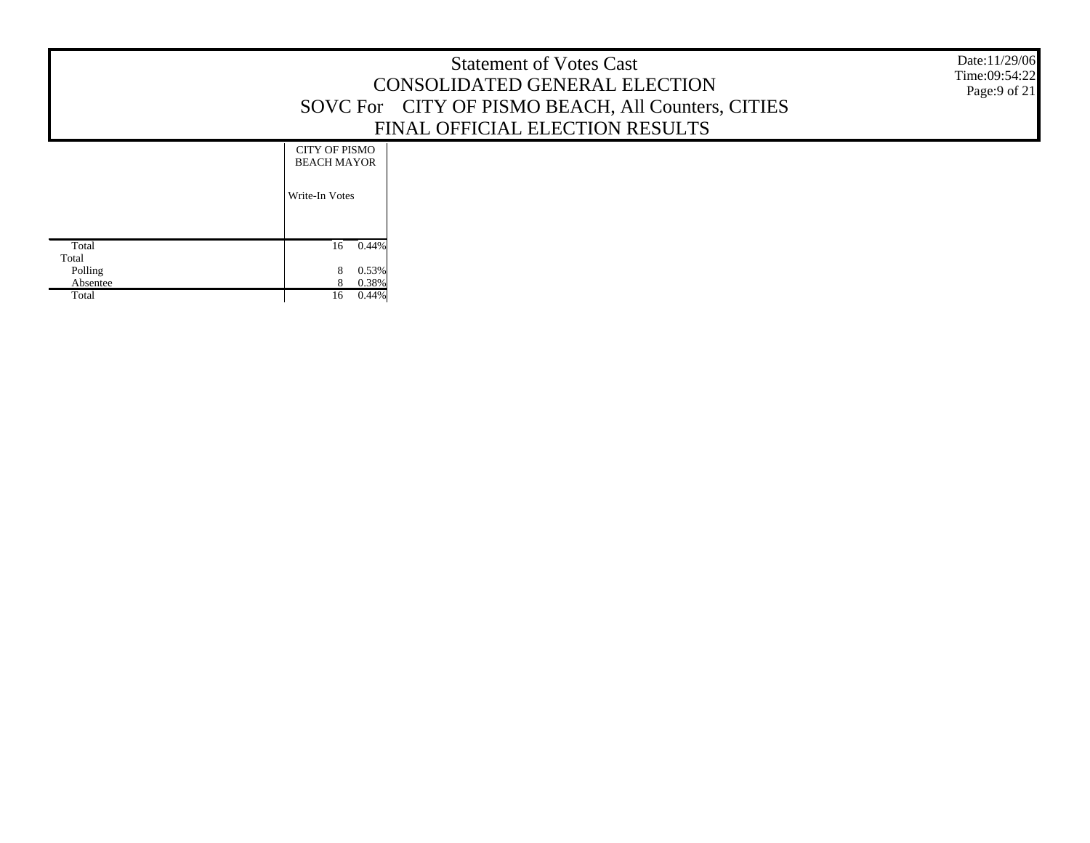|                                                |                                                              | <b>Statement of Votes Cast</b><br>CONSOLIDATED GENERAL ELECTION<br>SOVC For CITY OF PISMO BEACH, All Counters, CITIES<br>FINAL OFFICIAL ELECTION RESULTS | Date:11/29/06<br>Time:09:54:22<br>Page:9 of 21 |
|------------------------------------------------|--------------------------------------------------------------|----------------------------------------------------------------------------------------------------------------------------------------------------------|------------------------------------------------|
|                                                | <b>CITY OF PISMO</b><br><b>BEACH MAYOR</b><br>Write-In Votes |                                                                                                                                                          |                                                |
| Total<br>Total<br>Polling<br>Absentee<br>Total | $0.44\%$<br>16<br>0.53%<br>0.38%<br>16<br>0.44%              |                                                                                                                                                          |                                                |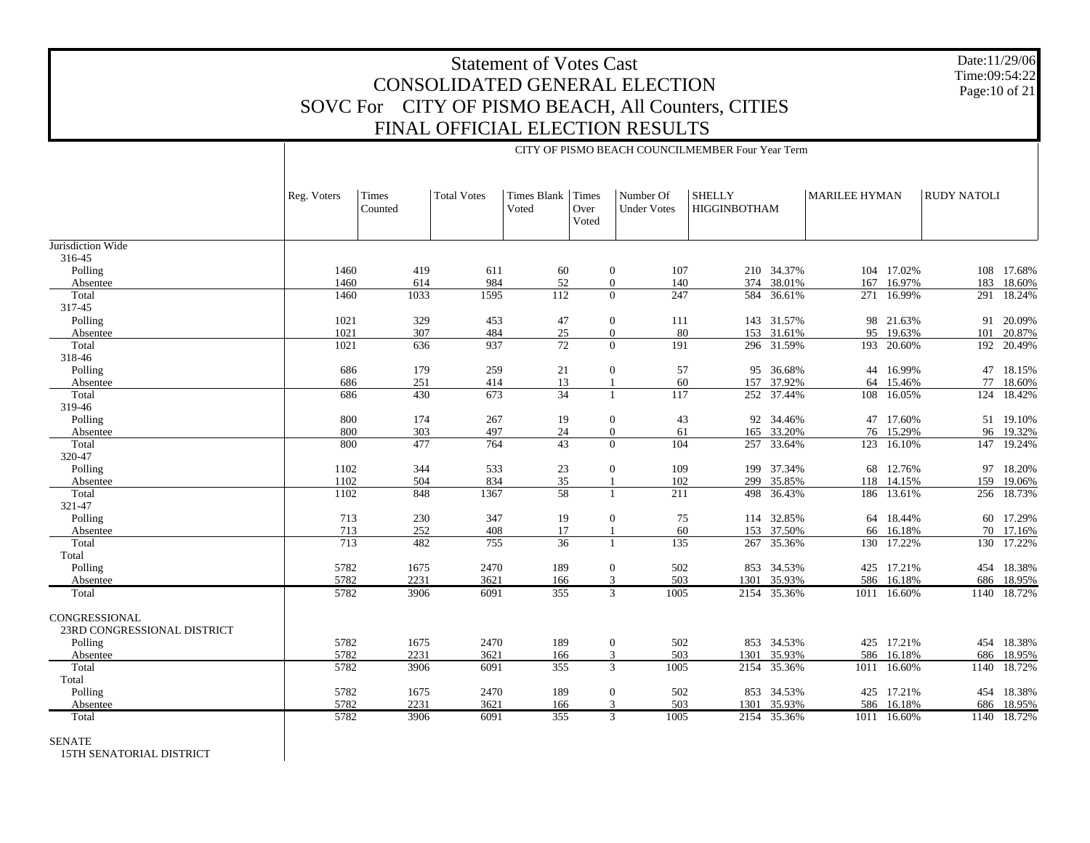Date:11/29/06Time:09:54:22Page:10 of 21

#### Jurisdiction Wide 316-45 Polling Absentee Total 317-45 Polling Absentee Total 318-46 Polling Absentee Total 319-46 Polling Absentee Total 320-47 Polling Absentee Total 321-47 Polling Absentee Total Total Polling Absentee TotalCONGRESSIONAL 23RD CONGRESSIONAL DISTRICT Polling Absentee Total Total Polling Absentee TotalReg. Voters | Times CountedTotal Votess | Times Blank | Times VotedOver VotedNumber Of Under VotesSHELLY HIGGINBOTHAM MARILEE HYMAN RUDY NATOLI CITY OF PISMO BEACH COUNCILMEMBER Four Year Term1460419 611 60 0 107 210 34.37% 104 17.02% 108 17.68% 1460 614 984 52 0 140 374 38.01% 167 16.97% 183 18.60% 1460 1033 1595 112 0 247 584 36.61% 271 16.99% 291 18.24% 1021329 453 47 0 111 143 31.57% 98 21.63% 91 20.09% 1021 307 484 25 0 80 153 31.61% 95 19.63% 101 20.87% 1021 636 937 72 0 191 296 31.59% 193 20.60% 192 20.49% 686 179 259 21 0 57 95 36.68% 44 16.99% 47 18.15% 686 251 414 13 1 60 157 37.92% 64 15.46% 77 18.60% 686430 673 34 1 117 252 37.44% 108 16.05% 124 18.42% 800174 267 19 0 43 92 34.46% 47 17.60% 51 19.10% 800 303 497 24 0 61 165 33.20% 76 15.29% 96 19.32% 800 477 764 43 0 104 257 33.64% 123 16.10% 147 19.24% 1102 344 533 23 0 109 199 37.34% 68 12.76% 97 18.20% 1102 504 834 35 1 102 299 35.85% 118 14.15% 159 19.06% 1102 848 1367 58 1 211 498 36.43% 186 13.61% 256 18.73% 713 230 347 19 0 75 114 32.85% 64 18.44% 60 17.29% 713 252 408 17 1 60 153 37.50% 66 16.18% 70 17.16% 713482 755 36 1 135 267 35.36% 130 17.22% 130 17.22% 5782 1675 2470 189 0 502 853 34.53% 425 17.21% 454 18.38% 5782 2231 3621 166 3 503 1301 35.93% 586 16.18% 686 18.95% 5782 3906 6091 355 3 1005 2154 35.36% 1011 16.60% 1140 18.72% 5782 1675 2470 189 0 502 853 34.53% 425 17.21% 454 18.38% 5782 2231 3621 166 3 503 1301 35.93% 586 16.18% 686 18.95% 5782 3906 6091 355 3 1005 2154 35.36% 1011 16.60% 1140 18.72% 5782 1675 2470 189 0 502 853 34.53% 425 17.21% 454 18.38% 5782 2231 3621 166 3 503 1301 35.93% 586 16.18% 686 18.95% 5782 3906 6091 355 3 1005 2154 35.36%1011 16.60% 1140 18.72%

SENATE

15TH SENATORIAL DISTRICT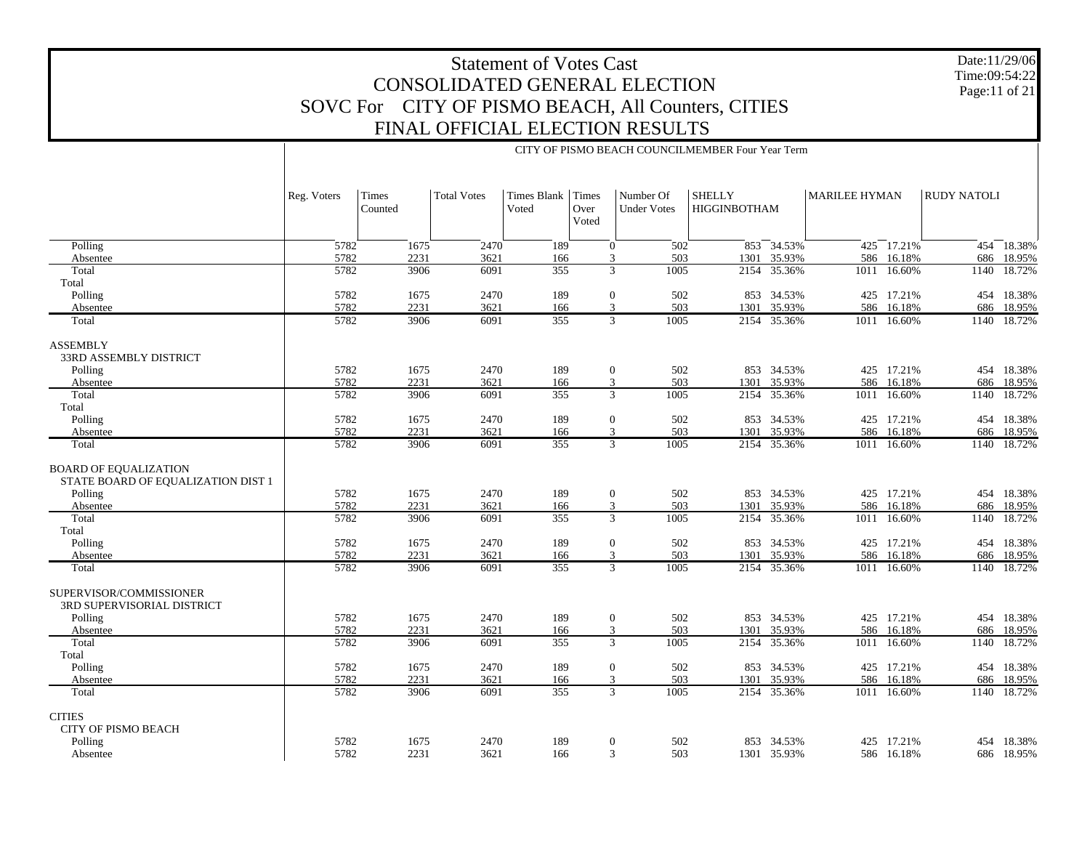Date:11/29/06 Time:09:54:22 Page:11 of 21

|                                                                    |             | CITY OF PISMO BEACH COUNCILMEMBER Four Year Term |                    |                      |                        |                                 |                                      |                |                      |                |                    |             |
|--------------------------------------------------------------------|-------------|--------------------------------------------------|--------------------|----------------------|------------------------|---------------------------------|--------------------------------------|----------------|----------------------|----------------|--------------------|-------------|
|                                                                    | Reg. Voters | Times<br>Counted                                 | <b>Total Votes</b> | Times Blank<br>Voted | Times<br>Over<br>Voted | Number Of<br><b>Under Votes</b> | <b>SHELLY</b><br><b>HIGGINBOTHAM</b> |                | <b>MARILEE HYMAN</b> |                | <b>RUDY NATOLI</b> |             |
| Polling                                                            | 5782        | 1675                                             | 2470               | 189                  |                        | 502<br>$\mathbf{0}$             |                                      | $853 - 34.53%$ |                      | $425 - 17.21%$ |                    | 454 18.38%  |
| Absentee                                                           | 5782        | 2231                                             | 3621               | 166                  |                        | 503<br>3                        | 1301                                 | 35.93%         |                      | 586 16.18%     |                    | 686 18.95%  |
| Total                                                              | 5782        | 3906                                             | 6091               | 355                  |                        | $\overline{3}$<br>1005          |                                      | 2154 35.36%    |                      | 1011 16.60%    | 1140               | 18.72%      |
| Total                                                              |             |                                                  |                    |                      |                        |                                 |                                      |                |                      |                |                    |             |
| Polling                                                            | 5782        | 1675                                             | 2470               | 189                  |                        | 502<br>$\mathbf{0}$             |                                      | 853 34.53%     |                      | 425 17.21%     |                    | 454 18.38%  |
| Absentee                                                           | 5782        | 2231                                             | 3621               | 166                  |                        | 3<br>503                        | 1301                                 | 35.93%         |                      | 586 16.18%     |                    | 686 18.95%  |
| Total                                                              | 5782        | 3906                                             | 6091               | 355                  |                        | 3<br>1005                       |                                      | 2154 35.36%    |                      | 1011 16.60%    |                    | 1140 18.72% |
| ASSEMBLY                                                           |             |                                                  |                    |                      |                        |                                 |                                      |                |                      |                |                    |             |
| 33RD ASSEMBLY DISTRICT                                             | 5782        | 1675                                             | 2470               | 189                  |                        | 502                             |                                      | 853 34.53%     |                      | 425 17.21%     |                    | 454 18.38%  |
| Polling<br>Absentee                                                | 5782        | 2231                                             | 3621               | 166                  |                        | $\boldsymbol{0}$<br>3<br>503    | 1301                                 | 35.93%         |                      | 586 16.18%     |                    | 686 18.95%  |
| Total                                                              | 5782        | 3906                                             | 6091               | 355                  |                        | $\overline{3}$<br>1005          | 2154                                 | 35.36%         | 1011                 | 16.60%         | 1140               | 18.72%      |
| Total                                                              |             |                                                  |                    |                      |                        |                                 |                                      |                |                      |                |                    |             |
| Polling                                                            | 5782        | 1675                                             | 2470               | 189                  |                        | $\boldsymbol{0}$<br>502         |                                      | 853 34.53%     |                      | 425 17.21%     |                    | 454 18.38%  |
| Absentee                                                           | 5782        | 2231                                             | 3621               | 166                  |                        | 503<br>3                        | 1301                                 | 35.93%         |                      | 586 16.18%     |                    | 686 18.95%  |
| Total                                                              | 5782        | 3906                                             | 6091               | 355                  |                        | 3<br>1005                       | 2154                                 | 35.36%         |                      | 1011 16.60%    |                    | 1140 18.72% |
| <b>BOARD OF EQUALIZATION</b><br>STATE BOARD OF EQUALIZATION DIST 1 |             |                                                  |                    |                      |                        |                                 |                                      |                |                      |                |                    |             |
| Polling                                                            | 5782        | 1675                                             | 2470               | 189                  |                        | 502<br>$\boldsymbol{0}$         |                                      | 853 34.53%     |                      | 425 17.21%     |                    | 454 18.38%  |
| Absentee                                                           | 5782        | 2231                                             | 3621               | 166                  |                        | 503<br>3                        | 1301                                 | 35.93%         |                      | 586 16.18%     | 686                | 18.95%      |
| Total                                                              | 5782        | 3906                                             | 6091               | 355                  |                        | 3<br>1005                       | 2154                                 | 35.36%         | 1011                 | 16.60%         | 1140               | 18.72%      |
| Total                                                              |             |                                                  |                    |                      |                        |                                 |                                      |                |                      |                |                    |             |
| Polling                                                            | 5782        | 1675                                             | 2470               | 189                  |                        | $\boldsymbol{0}$<br>502         |                                      | 853 34.53%     |                      | 425 17.21%     | 454                | 18.38%      |
| Absentee                                                           | 5782        | 2231                                             | 3621               | 166                  |                        | 3<br>503                        | 1301                                 | 35.93%         | 586                  | 16.18%         | 686                | 18.95%      |
| Total                                                              | 5782        | 3906                                             | 6091               | 355                  |                        | 3<br>1005                       |                                      | 2154 35.36%    |                      | 1011 16.60%    | 1140               | 18.72%      |
| SUPERVISOR/COMMISSIONER<br><b>3RD SUPERVISORIAL DISTRICT</b>       |             |                                                  |                    |                      |                        |                                 |                                      |                |                      |                |                    |             |
| Polling                                                            | 5782        | 1675                                             | 2470               | 189                  |                        | 502<br>$\overline{0}$           |                                      | 853 34.53%     |                      | 425 17.21%     |                    | 454 18.38%  |
| Absentee                                                           | 5782        | 2231                                             | 3621               | 166                  |                        | 3<br>503                        | 1301                                 | 35.93%         |                      | 586 16.18%     | 686                | 18.95%      |
| Total<br>Total                                                     | 5782        | 3906                                             | 6091               | 355                  |                        | 3<br>1005                       | 2154                                 | 35.36%         |                      | 1011 16.60%    | 1140               | 18.72%      |
| Polling                                                            | 5782        | 1675                                             | 2470               | 189                  |                        | $\boldsymbol{0}$<br>502         |                                      | 853 34.53%     |                      | 425 17.21%     |                    | 454 18.38%  |
| Absentee                                                           | 5782        | 2231                                             | 3621               | 166                  |                        | 3<br>503                        | 1301                                 | 35.93%         |                      | 586 16.18%     | 686                | 18.95%      |
| Total                                                              | 5782        | 3906                                             | 6091               | 355                  |                        | 3<br>1005                       |                                      | 2154 35.36%    |                      | 1011 16.60%    |                    | 1140 18.72% |
| <b>CITIES</b><br>CITY OF PISMO BEACH                               |             |                                                  |                    |                      |                        |                                 |                                      |                |                      |                |                    |             |
| Polling                                                            | 5782        | 1675                                             | 2470               | 189                  |                        | $\boldsymbol{0}$<br>502         |                                      | 853 34.53%     |                      | 425 17.21%     |                    | 454 18.38%  |
| Absentee                                                           | 5782        | 2231                                             | 3621               | 166                  |                        | 3<br>503                        |                                      | 1301 35.93%    |                      | 586 16.18%     |                    | 686 18.95%  |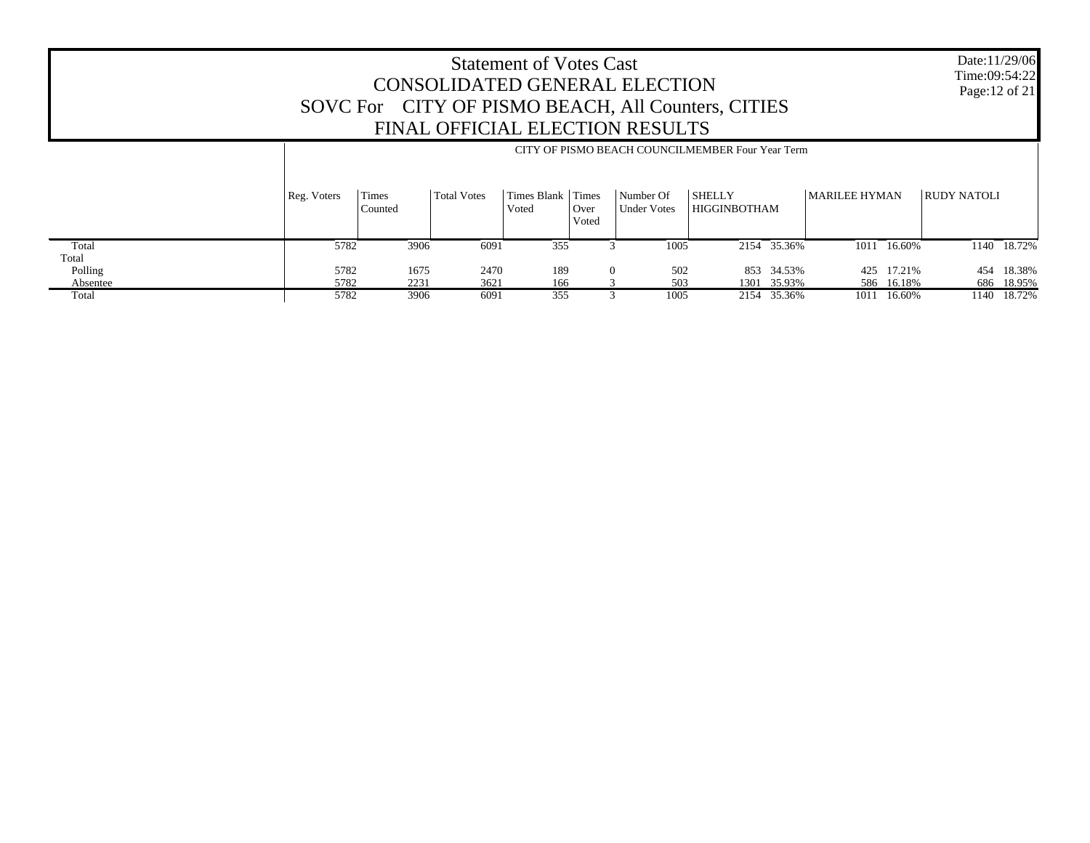Date:11/29/06 Time:09:54:22 Page:12 of 21

|          |             | CITY OF PISMO BEACH COUNCILMEMBER Four Year Term |             |                            |               |                                 |                               |             |               |            |                    |            |  |
|----------|-------------|--------------------------------------------------|-------------|----------------------------|---------------|---------------------------------|-------------------------------|-------------|---------------|------------|--------------------|------------|--|
|          | Reg. Voters | Times<br>Counted                                 | Total Votes | Times Blank Times<br>Voted | Over<br>Voted | Number Of<br><b>Under Votes</b> | <b>SHELLY</b><br>HIGGINBOTHAM |             | MARILEE HYMAN |            | <b>RUDY NATOLI</b> |            |  |
| Total    | 5782        | 3906                                             | 6091        | 355                        |               | 1005                            |                               | 2154 35.36% | 1011          | 16.60%     | 1140               | 18.72%     |  |
| Total    |             |                                                  |             |                            |               |                                 |                               |             |               |            |                    |            |  |
| Polling  | 5782        | 1675                                             | 2470        | 189                        |               | 502<br>$\Omega$                 |                               | 853 34.53%  |               | 425 17.21% | 454                | 18.38%     |  |
| Absentee | 5782        | 2231                                             | 3621        | 166                        |               | 503                             |                               | 1301 35.93% |               | 586 16.18% |                    | 686 18.95% |  |
| Total    | 5782        | 3906                                             | 6091        | 355                        |               | 1005                            |                               | 2154 35.36% | 1011          | 16.60%     | 1140               | 18.72%     |  |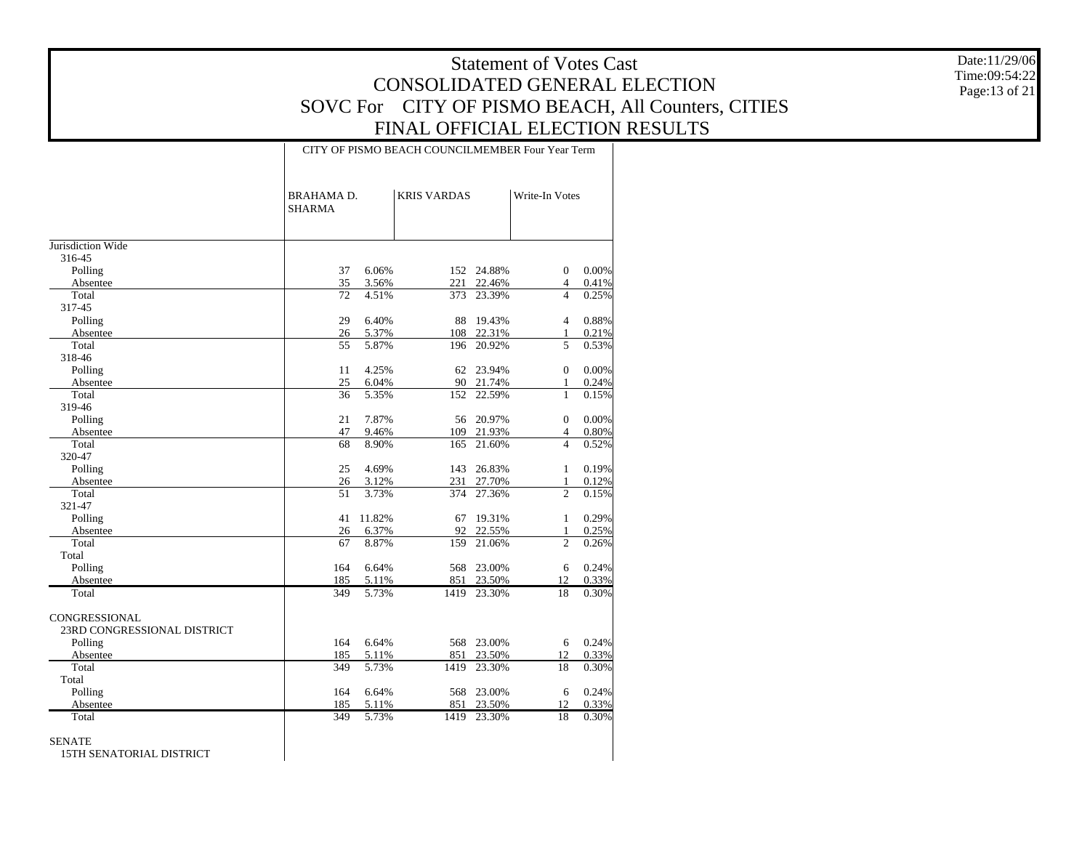Date:11/29/06 Time:09:54:22 Page:13 of 21

#### CITY OF PISMO BEACH COUNCILMEMBER Four Year Term

|                             | <b>BRAHAMA D.</b><br><b>SHARMA</b> |        | <b>KRIS VARDAS</b> |            | Write-In Votes |       |
|-----------------------------|------------------------------------|--------|--------------------|------------|----------------|-------|
| Jurisdiction Wide           |                                    |        |                    |            |                |       |
| 316-45                      |                                    |        |                    |            |                |       |
| Polling                     | 37                                 | 6.06%  | 152                | 24.88%     | $\mathbf{0}$   | 0.00% |
| Absentee                    | 35                                 | 3.56%  | 221                | 22.46%     | $\overline{4}$ | 0.41% |
| Total                       | 72                                 | 4.51%  | 373                | 23.39%     | $\overline{4}$ | 0.25% |
| 317-45                      |                                    |        |                    |            |                |       |
| Polling                     | 29                                 | 6.40%  | 88                 | 19.43%     | $\overline{4}$ | 0.88% |
| Absentee                    | 26                                 | 5.37%  | 108                | 22.31%     | $\mathbf{1}$   | 0.21% |
| Total                       | 55                                 | 5.87%  | 196                | 20.92%     | 5              | 0.53% |
| 318-46                      |                                    |        |                    |            |                |       |
| Polling                     | 11                                 | 4.25%  | 62                 | 23.94%     | $\Omega$       | 0.00% |
| Absentee                    | 25                                 | 6.04%  | 90                 | 21.74%     | $\mathbf{1}$   | 0.24% |
| Total                       | 36                                 | 5.35%  | 152                | 22.59%     | $\mathbf{1}$   | 0.15% |
| 319-46                      |                                    |        |                    |            |                |       |
| Polling                     | 21                                 | 7.87%  | 56                 | 20.97%     | $\mathbf{0}$   | 0.00% |
| Absentee                    | 47                                 | 9.46%  | 109                | 21.93%     | $\overline{4}$ | 0.80% |
| Total                       | 68                                 | 8.90%  | 165                | 21.60%     | $\overline{4}$ | 0.52% |
| 320-47                      |                                    |        |                    |            |                |       |
| Polling                     | 25                                 | 4.69%  | 143                | 26.83%     | $\mathbf{1}$   | 0.19% |
| Absentee                    | 26                                 | 3.12%  | 231                | 27.70%     | 1              | 0.12% |
| Total                       | 51                                 | 3.73%  | 374                | 27.36%     | $\overline{c}$ | 0.15% |
| 321-47                      |                                    |        |                    |            |                |       |
| Polling                     | 41                                 | 11.82% | 67                 | 19.31%     | $\mathbf{1}$   | 0.29% |
| Absentee                    | 26                                 | 6.37%  | 92                 | 22.55%     | $\mathbf{1}$   | 0.25% |
| Total                       | 67                                 | 8.87%  | 159                | 21.06%     | $\overline{c}$ | 0.26% |
| Total                       |                                    |        |                    |            |                |       |
| Polling                     | 164                                | 6.64%  | 568                | 23.00%     | 6              | 0.24% |
| Absentee                    | 185                                | 5.11%  | 851                | 23.50%     | 12             | 0.33% |
| Total                       | 349                                | 5.73%  | 1419               | 23.30%     | 18             | 0.30% |
| CONGRESSIONAL               |                                    |        |                    |            |                |       |
| 23RD CONGRESSIONAL DISTRICT |                                    |        |                    |            |                |       |
| Polling                     | 164                                | 6.64%  |                    | 568 23.00% | 6              | 0.24% |
| Absentee                    | 185                                | 5.11%  | 851                | 23.50%     | 12             | 0.33% |
| Total                       | 349                                | 5.73%  | 1419               | 23.30%     | 18             | 0.30% |
| Total                       |                                    |        |                    |            |                |       |
| Polling                     | 164                                | 6.64%  | 568                | 23.00%     | 6              | 0.24% |
| Absentee                    | 185                                | 5.11%  | 851                | 23.50%     | 12             | 0.33% |
| Total                       | 349                                | 5.73%  | 1419               | 23.30%     | 18             | 0.30% |
| <b>SENATE</b>               |                                    |        |                    |            |                |       |

15TH SENATORIAL DISTRICT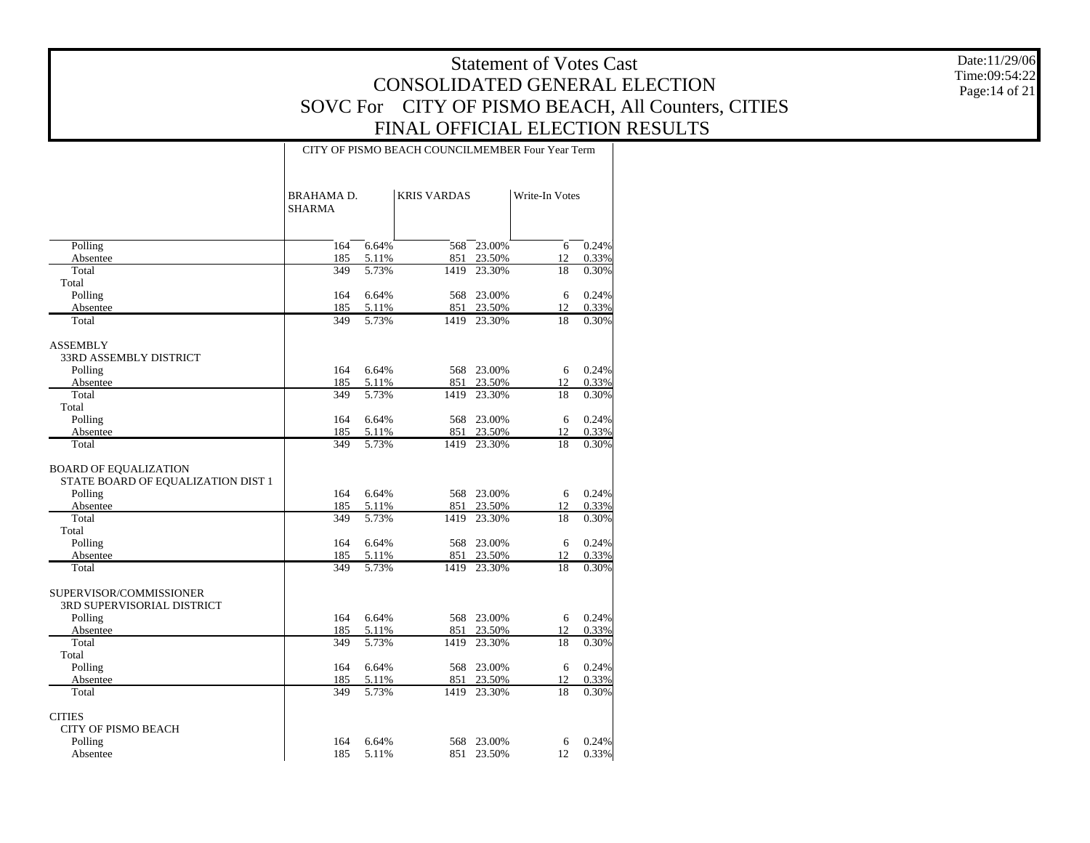Date:11/29/06 Time:09:54:22 Page:14 of 21

#### CITY OF PISMO BEACH COUNCILMEMBER Four Year Term

|                                                                    | <b>BRAHAMA D.</b><br><b>SHARMA</b> |                | <b>KRIS VARDAS</b> |                      | Write-In Votes |                |
|--------------------------------------------------------------------|------------------------------------|----------------|--------------------|----------------------|----------------|----------------|
| Polling                                                            | 164                                | 6.64%          | 568                | 23.00%               | 6              | 0.24%          |
| Absentee                                                           | 185                                | 5.11%          | 851                | 23.50%               | 12             | 0.33%          |
| Total                                                              | 349                                | 5.73%          | 1419               | 23.30%               | 18             | 0.30%          |
| Total                                                              |                                    |                |                    |                      |                |                |
| Polling                                                            | 164                                | 6.64%          | 568                | 23.00%               | 6              | 0.24%          |
| Absentee                                                           | 185                                | 5.11%          | 851                | 23.50%               | 12             | 0.33%          |
| Total                                                              | 349                                | 5.73%          | 1419               | 23.30%               | 18             | 0.30%          |
| <b>ASSEMBLY</b>                                                    |                                    |                |                    |                      |                |                |
| 33RD ASSEMBLY DISTRICT                                             |                                    |                |                    |                      |                |                |
| Polling                                                            | 164                                | 6.64%          |                    | 568 23.00%           | 6              | 0.24%          |
| Absentee                                                           | 185                                | 5.11%          | 851                | 23.50%               | 12             | 0.33%          |
| Total                                                              | 349                                | 5.73%          | 1419               | 23.30%               | 18             | 0.30%          |
| Total                                                              |                                    |                |                    |                      |                |                |
| Polling                                                            | 164                                | 6.64%          | 568                | 23.00%               | 6              | 0.24%          |
| Absentee                                                           | 185                                | 5.11%          | 851                | 23.50%               | 12             | 0.33%          |
| Total                                                              | 349                                | 5.73%          | 1419               | 23.30%               | 18             | 0.30%          |
| <b>BOARD OF EQUALIZATION</b><br>STATE BOARD OF EQUALIZATION DIST 1 |                                    |                |                    |                      |                |                |
| Polling                                                            | 164                                | 6.64%          |                    | 568 23.00%           | 6              | 0.24%          |
| Absentee                                                           | 185                                | 5.11%          | 851                | 23.50%               | 12             | 0.33%          |
| Total                                                              | 349                                | 5.73%          | 1419               | 23.30%               | 18             | 0.30%          |
| Total                                                              |                                    |                |                    |                      |                |                |
| Polling                                                            | 164                                | 6.64%          | 568                | 23.00%               | 6              | 0.24%          |
| Absentee<br>Total                                                  | 185<br>349                         | 5.11%<br>5.73% | 1419               | 851 23.50%<br>23.30% | 12<br>18       | 0.33%<br>0.30% |
|                                                                    |                                    |                |                    |                      |                |                |
| SUPERVISOR/COMMISSIONER<br>3RD SUPERVISORIAL DISTRICT              |                                    |                |                    |                      |                |                |
| Polling                                                            | 164                                | 6.64%          | 568                | 23.00%               | 6              | 0.24%          |
| Absentee                                                           | 185                                | 5.11%          | 851                | 23.50%               | 12             | 0.33%          |
| Total                                                              | 349                                | 5.73%          | 1419               | 23.30%               | 18             | 0.30%          |
| Total                                                              |                                    |                |                    |                      |                |                |
| Polling                                                            | 164                                | 6.64%          |                    | 568 23.00%           | 6              | 0.24%          |
| Absentee                                                           | 185                                | 5.11%          | 851                | 23.50%               | 12             | 0.33%          |
| Total                                                              | 349                                | 5.73%          | 1419               | 23.30%               | 18             | 0.30%          |
| <b>CITIES</b><br><b>CITY OF PISMO BEACH</b>                        |                                    |                |                    |                      |                |                |
| Polling                                                            | 164                                | 6.64%          | 568                | 23.00%               | 6              | 0.24%          |
| Absentee                                                           | 185                                | 5.11%          | 851                | 23.50%               | 12             | 0.33%          |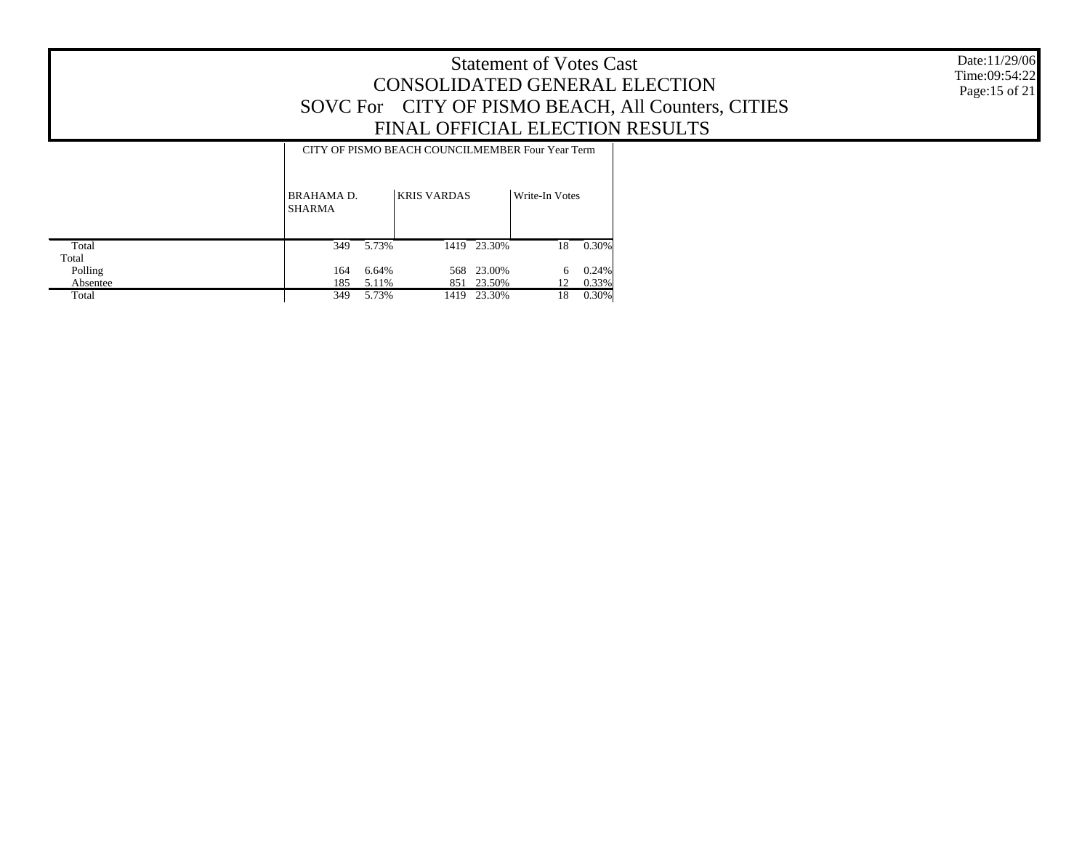Date:11/29/06 Time:09:54:22 Page:15 of 21

#### CITY OF PISMO BEACH COUNCILMEMBER Four Year Term

|          | BRAHAMA D.<br><b>SHARMA</b> |       | <b>KRIS VARDAS</b> |             | Write-In Votes |       |  |
|----------|-----------------------------|-------|--------------------|-------------|----------------|-------|--|
| Total    | 349                         | 5.73% |                    | 1419 23.30% | 18             | 0.30% |  |
| Total    |                             |       |                    |             |                |       |  |
| Polling  | 164                         | 6.64% |                    | 568 23.00%  | 6              | 0.24% |  |
| Absentee | 185                         | 5.11% |                    | 851 23.50%  | 12             | 0.33% |  |
| Total    | 349                         | 5.73% | 1419               | 23.30%      | 18             | 0.30% |  |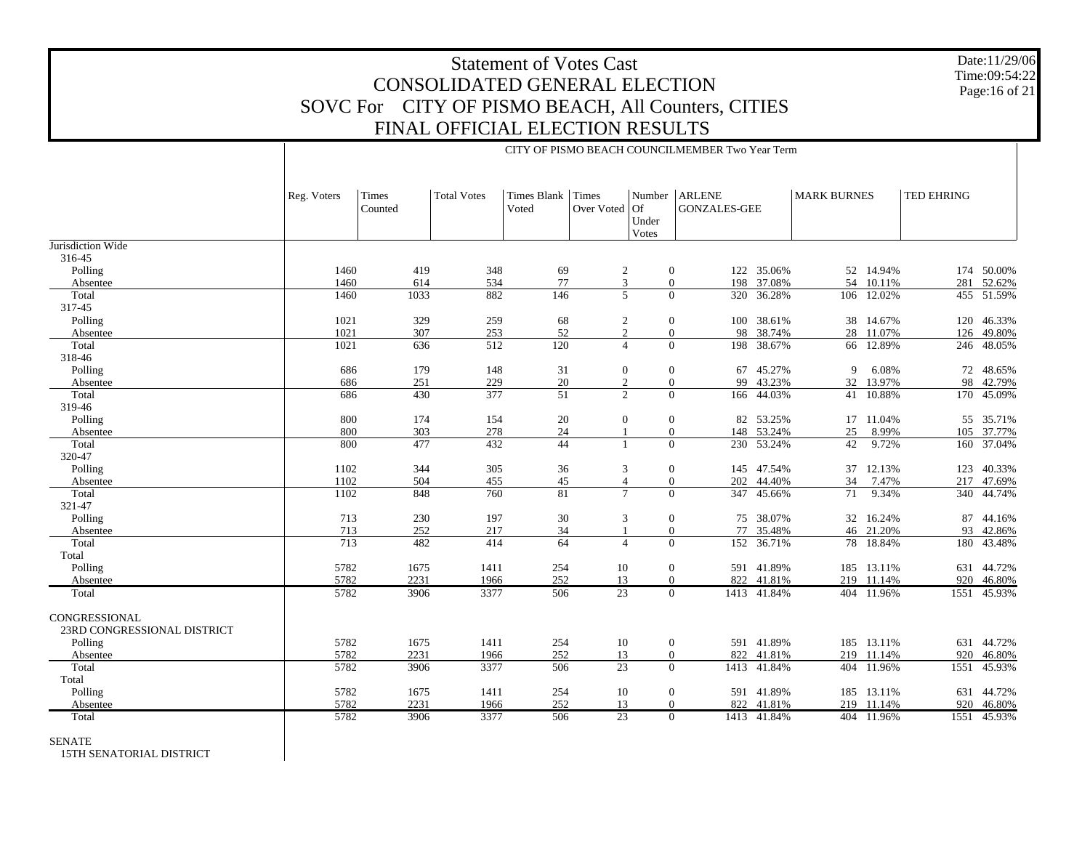Date:11/29/06 Time:09:54:22 Page:16 of 21

|                                              |             | CITY OF PISMO BEACH COUNCILMEMBER Two Year Term |                    |                            |                  |                                    |                                      |             |                    |            |            |             |  |
|----------------------------------------------|-------------|-------------------------------------------------|--------------------|----------------------------|------------------|------------------------------------|--------------------------------------|-------------|--------------------|------------|------------|-------------|--|
|                                              | Reg. Voters | Times<br>Counted                                | <b>Total Votes</b> | Times Blank Times<br>Voted | Over Voted       | Number<br>$ $ Of<br>Under<br>Votes | <b>ARLENE</b><br><b>GONZALES-GEE</b> |             | <b>MARK BURNES</b> |            | TED EHRING |             |  |
| Jurisdiction Wide                            |             |                                                 |                    |                            |                  |                                    |                                      |             |                    |            |            |             |  |
| 316-45                                       |             |                                                 |                    |                            |                  |                                    |                                      |             |                    |            |            |             |  |
| Polling                                      | 1460        | 419                                             | 348                | 69                         | $\overline{c}$   | $\boldsymbol{0}$                   | 122                                  | 35.06%      |                    | 52 14.94%  |            | 174 50.00%  |  |
| Absentee                                     | 1460        | 614                                             | 534                | 77                         | $\overline{3}$   | $\overline{0}$                     | 198                                  | 37.08%      | 54                 | 10.11%     | 281        | 52.62%      |  |
| Total                                        | 1460        | 1033                                            | 882                | 146                        | 5                | $\Omega$                           | 320                                  | 36.28%      |                    | 106 12.02% |            | 455 51.59%  |  |
| 317-45                                       |             |                                                 |                    |                            |                  |                                    |                                      |             |                    |            |            |             |  |
| Polling                                      | 1021        | 329                                             | 259                | 68                         | $\sqrt{2}$       | $\mathbf{0}$                       | 100                                  | 38.61%      |                    | 38 14.67%  | 120        | 46.33%      |  |
| Absentee                                     | 1021        | 307                                             | 253                | 52                         | $\overline{c}$   | $\mathbf{0}$                       | 98                                   | 38.74%      | 28                 | 11.07%     | 126        | 49.80%      |  |
| Total                                        | 1021        | 636                                             | 512                | $\overline{120}$           | $\overline{4}$   | $\mathbf{0}$                       | 198                                  | 38.67%      | 66                 | 12.89%     | 246        | 48.05%      |  |
| 318-46                                       |             |                                                 |                    |                            |                  |                                    |                                      |             |                    |            |            |             |  |
| Polling                                      | 686         | 179                                             | 148                | 31                         | $\boldsymbol{0}$ | $\mathbf{0}$                       | 67                                   | 45.27%      | 9                  | 6.08%      | 72         | 48.65%      |  |
| Absentee                                     | 686         | 251                                             | 229                | 20                         | 2                | $\overline{0}$                     | 99                                   | 43.23%      | 32                 | 13.97%     | 98         | 42.79%      |  |
| Total                                        | 686         | 430                                             | 377                | $\overline{51}$            | $\overline{c}$   | $\overline{0}$                     |                                      | 166 44.03%  |                    | 41 10.88%  |            | 170 45.09%  |  |
| 319-46                                       |             |                                                 |                    |                            |                  |                                    |                                      |             |                    |            |            |             |  |
| Polling                                      | 800         | 174                                             | 154                | 20                         | $\boldsymbol{0}$ | $\mathbf{0}$                       |                                      | 82 53.25%   |                    | 17 11.04%  |            | 55 35.71%   |  |
| Absentee                                     | 800         | 303                                             | 278                | $24\,$                     | 1                | $\overline{0}$                     |                                      | 148 53.24%  | $25\,$             | 8.99%      |            | 105 37.77%  |  |
| Total                                        | 800         | 477                                             | 432                | 44                         | $\mathbf{1}$     | $\overline{0}$                     |                                      | 230 53.24%  | 42                 | 9.72%      | 160        | 37.04%      |  |
| 320-47                                       |             |                                                 |                    |                            |                  |                                    |                                      |             |                    |            |            |             |  |
| Polling                                      | 1102        | 344                                             | 305                | 36                         | 3                | $\mathbf{0}$                       | 145                                  | 47.54%      | 37                 | 12.13%     | 123        | 40.33%      |  |
| Absentee                                     | 1102        | 504                                             | 455                | 45                         | $\overline{4}$   | $\mathbf{0}$                       | 202                                  | 44.40%      | 34                 | 7.47%      | 217        | 47.69%      |  |
| Total                                        | 1102        | 848                                             | 760                | 81                         | $\tau$           | $\Omega$                           | 347                                  | 45.66%      | 71                 | 9.34%      | 340        | 44.74%      |  |
| 321-47                                       |             |                                                 |                    |                            |                  |                                    |                                      |             |                    |            |            |             |  |
|                                              |             |                                                 |                    |                            |                  |                                    |                                      |             |                    |            |            | 44.16%      |  |
| Polling                                      | 713         | 230                                             | 197                | $30\,$                     | 3                | $\mathbf{0}$                       | 75                                   | 38.07%      |                    | 32 16.24%  | 87         |             |  |
| Absentee                                     | 713         | 252                                             | 217                | 34                         | $\mathbf{1}$     | $\overline{0}$                     | 77                                   | 35.48%      |                    | 46 21.20%  | 93         | 42.86%      |  |
| Total                                        | 713         | 482                                             | 414                | 64                         | $\overline{4}$   | $\overline{0}$                     | 152                                  | 36.71%      |                    | 78 18.84%  | 180        | 43.48%      |  |
| Total                                        |             |                                                 |                    |                            |                  |                                    |                                      |             |                    |            |            |             |  |
| Polling                                      | 5782        | 1675                                            | 1411               | 254                        | 10               | $\mathbf{0}$                       |                                      | 591 41.89%  |                    | 185 13.11% | 631        | 44.72%      |  |
| Absentee                                     | 5782        | 2231                                            | 1966               | 252                        | 13               | $\theta$                           |                                      | 822 41.81%  | 219                | 11.14%     | 920        | 46.80%      |  |
| Total                                        | 5782        | 3906                                            | 3377               | 506                        | 23               | $\overline{0}$                     |                                      | 1413 41.84% |                    | 404 11.96% | 1551       | 45.93%      |  |
| CONGRESSIONAL<br>23RD CONGRESSIONAL DISTRICT |             |                                                 |                    |                            |                  |                                    |                                      |             |                    |            |            |             |  |
| Polling                                      | 5782        | 1675                                            | 1411               | 254                        | 10               | $\overline{0}$                     |                                      | 591 41.89%  |                    | 185 13.11% |            | 631 44.72%  |  |
| Absentee                                     | 5782        | 2231                                            | 1966               | 252                        | 13               | $\Omega$                           | 822                                  | 41.81%      | 219                | 11.14%     | 920        | 46.80%      |  |
| Total                                        | 5782        | 3906                                            | 3377               | 506                        | $\overline{23}$  | $\overline{0}$                     | 1413                                 | 41.84%      | 404                | 11.96%     | 1551       | 45.93%      |  |
| Total                                        |             |                                                 |                    |                            |                  |                                    |                                      |             |                    |            |            |             |  |
|                                              | 5782        |                                                 |                    |                            |                  |                                    |                                      | 41.89%      |                    | 13.11%     | 631        | 44.72%      |  |
| Polling                                      |             | 1675                                            | 1411               | 254                        | 10               | $\mathbf{0}$                       | 591                                  |             | 185                |            |            |             |  |
| Absentee                                     | 5782        | 2231                                            | 1966               | 252                        | 13               | $\theta$                           | 822                                  | 41.81%      | 219                | 11.14%     | 920        | 46.80%      |  |
| Total                                        | 5782        | 3906                                            | 3377               | 506                        | $\overline{23}$  | $\Omega$                           |                                      | 1413 41.84% |                    | 404 11.96% |            | 1551 45.93% |  |

SENATE

15TH SENATORIAL DISTRICT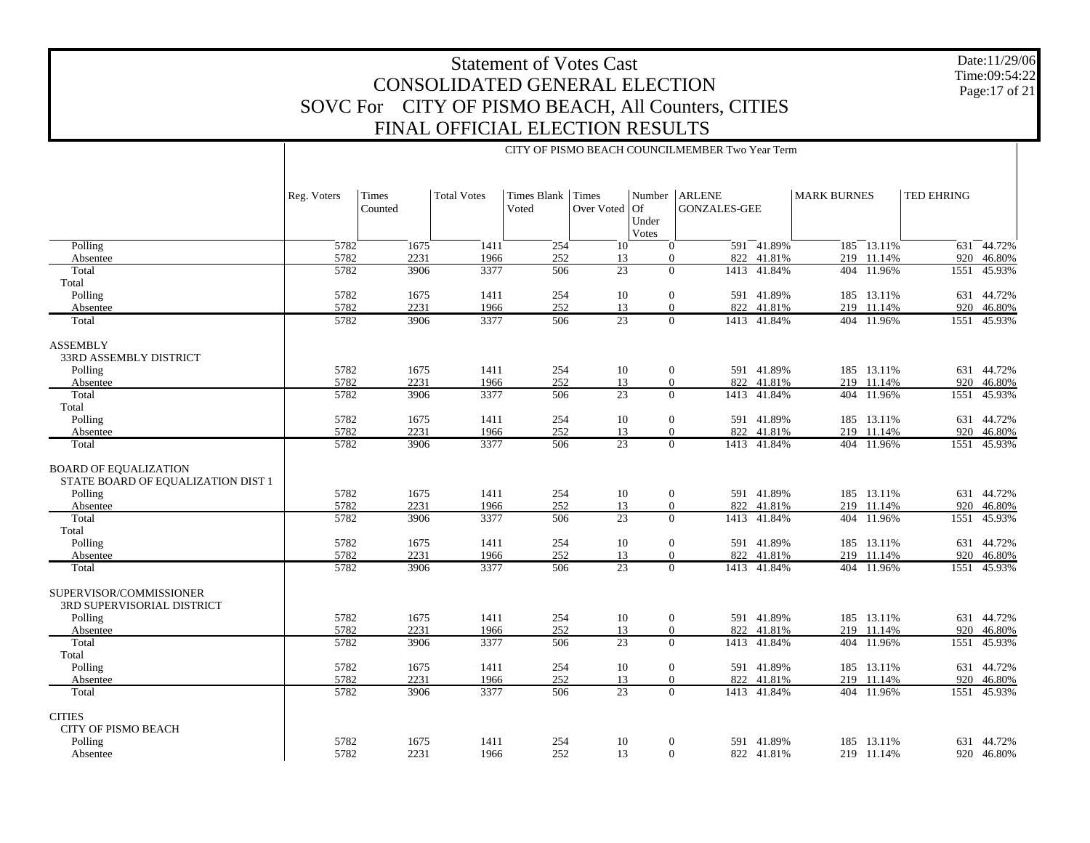Date:11/29/06 Time:09:54:22 Page:17 of 21

|                                               | CITY OF PISMO BEACH COUNCILMEMBER Two Year Term |                         |                    |                            |                       |                              |                                        |                       |                    |                      |                   |                  |
|-----------------------------------------------|-------------------------------------------------|-------------------------|--------------------|----------------------------|-----------------------|------------------------------|----------------------------------------|-----------------------|--------------------|----------------------|-------------------|------------------|
|                                               |                                                 |                         |                    |                            |                       |                              |                                        |                       |                    |                      |                   |                  |
|                                               |                                                 |                         |                    |                            |                       |                              |                                        |                       |                    |                      |                   |                  |
|                                               | Reg. Voters                                     | <b>Times</b><br>Counted | <b>Total Votes</b> | Times Blank Times<br>Voted | Over Voted            | $\overline{Of}$              | Number   ARLENE<br><b>GONZALES-GEE</b> |                       | <b>MARK BURNES</b> |                      | <b>TED EHRING</b> |                  |
|                                               |                                                 |                         |                    |                            |                       | Under                        |                                        |                       |                    |                      |                   |                  |
|                                               |                                                 |                         |                    |                            |                       | Votes                        |                                        |                       |                    |                      |                   |                  |
| Polling                                       | $\frac{1}{5782}$                                | 1675                    | 1411               | 254                        | 10                    | $\mathbf{0}$                 |                                        | 591 41.89%            |                    | $185 - 13.11\%$      |                   | 631 44.72%       |
| Absentee<br>Total                             | 5782<br>5782                                    | 2231<br>3906            | 1966<br>3377       | 252<br>506                 | 13<br>$\overline{23}$ | $\mathbf{0}$<br>$\mathbf{0}$ | 822                                    | 41.81%<br>1413 41.84% | 219                | 11.14%<br>404 11.96% | 920<br>1551       | 46.80%<br>45.93% |
| Total                                         |                                                 |                         |                    |                            |                       |                              |                                        |                       |                    |                      |                   |                  |
| Polling                                       | 5782                                            | 1675                    | 1411               | 254                        | 10                    | $\theta$                     |                                        | 591 41.89%            |                    | 185 13.11%           |                   | 631 44.72%       |
| Absentee                                      | 5782                                            | 2231                    | 1966               | 252                        | 13                    | $\boldsymbol{0}$             | 822                                    | 41.81%                |                    | 219 11.14%           | 920               | 46.80%           |
| Total                                         | 5782                                            | 3906                    | 3377               | 506                        | $\overline{23}$       | $\mathbf{0}$                 |                                        | 1413 41.84%           |                    | 404 11.96%           | 1551              | 45.93%           |
| <b>ASSEMBLY</b>                               |                                                 |                         |                    |                            |                       |                              |                                        |                       |                    |                      |                   |                  |
| <b>33RD ASSEMBLY DISTRICT</b>                 |                                                 |                         |                    |                            |                       |                              |                                        |                       |                    |                      |                   |                  |
| Polling                                       | 5782                                            | 1675                    | 1411               | 254                        | 10                    | $\mathbf{0}$                 |                                        | 591 41.89%            |                    | 185 13.11%           |                   | 631 44.72%       |
| Absentee                                      | 5782                                            | 2231                    | 1966               | 252                        | 13                    | $\mathbf{0}$                 | 822                                    | 41.81%                | 219                | 11.14%               | 920               | 46.80%           |
| Total                                         | 5782                                            | 3906                    | 3377               | 506                        | 23                    | $\overline{0}$               | 1413                                   | 41.84%                | 404                | 11.96%               | 1551              | 45.93%           |
| Total<br>Polling                              | 5782                                            | 1675                    | 1411               | 254                        | 10                    | $\boldsymbol{0}$             |                                        | 591 41.89%            |                    | 185 13.11%           |                   | 631 44.72%       |
| Absentee                                      | 5782                                            | 2231                    | 1966               | 252                        | 13                    | $\mathbf{0}$                 | 822                                    | 41.81%                | 219                | 11.14%               | 920               | 46.80%           |
| Total                                         | 5782                                            | 3906                    | 3377               | 506                        | $\overline{23}$       | $\overline{0}$               | 1413                                   | 41.84%                |                    | 404 11.96%           | 1551              | 45.93%           |
|                                               |                                                 |                         |                    |                            |                       |                              |                                        |                       |                    |                      |                   |                  |
| <b>BOARD OF EQUALIZATION</b>                  |                                                 |                         |                    |                            |                       |                              |                                        |                       |                    |                      |                   |                  |
| STATE BOARD OF EQUALIZATION DIST 1<br>Polling | 5782                                            | 1675                    | 1411               | 254                        | 10                    | $\boldsymbol{0}$             |                                        | 591 41.89%            |                    | 185 13.11%           |                   | 631 44.72%       |
| Absentee                                      | 5782                                            | 2231                    | 1966               | 252                        | 13                    | $\boldsymbol{0}$             | 822                                    | 41.81%                | 219                | 11.14%               | 920               | 46.80%           |
| Total                                         | 5782                                            | 3906                    | 3377               | 506                        | 23                    | $\Omega$                     | 1413                                   | 41.84%                | 404                | 11.96%               | 1551              | 45.93%           |
| Total                                         |                                                 |                         |                    |                            |                       |                              |                                        |                       |                    |                      |                   |                  |
| Polling                                       | 5782                                            | 1675                    | 1411               | 254                        | 10                    | $\mathbf{0}$                 |                                        | 591 41.89%            |                    | 185 13.11%           |                   | 631 44.72%       |
| Absentee                                      | 5782<br>5782                                    | 2231<br>3906            | 1966<br>3377       | 252<br>506                 | 13<br>23              | $\theta$<br>$\overline{0}$   | 822                                    | 41.81%<br>1413 41.84% |                    | 219 11.14%           | 920<br>1551       | 46.80%<br>45.93% |
| Total                                         |                                                 |                         |                    |                            |                       |                              |                                        |                       |                    | 404 11.96%           |                   |                  |
| SUPERVISOR/COMMISSIONER                       |                                                 |                         |                    |                            |                       |                              |                                        |                       |                    |                      |                   |                  |
| 3RD SUPERVISORIAL DISTRICT                    |                                                 |                         |                    |                            |                       |                              |                                        |                       |                    |                      |                   |                  |
| Polling                                       | 5782                                            | 1675                    | 1411               | 254                        | 10                    | $\boldsymbol{0}$             |                                        | 591 41.89%            |                    | 185 13.11%           |                   | 631 44.72%       |
| Absentee                                      | 5782                                            | 2231                    | 1966               | 252                        | 13                    | $\mathbf{0}$                 | 822                                    | 41.81%                | 219                | 11.14%               | 920               | 46.80%           |
| Total                                         | 5782                                            | 3906                    | 3377               | 506                        | $\overline{23}$       | $\Omega$                     |                                        | 1413 41.84%           |                    | 404 11.96%           | 1551              | 45.93%           |
| Total<br>Polling                              | 5782                                            | 1675                    | 1411               | 254                        | 10                    | $\mathbf{0}$                 |                                        | 591 41.89%            |                    | 185 13.11%           |                   | 631 44.72%       |
| Absentee                                      | 5782                                            | 2231                    | 1966               | 252                        | 13                    | $\boldsymbol{0}$             | 822                                    | 41.81%                | 219                | 11.14%               | 920               | 46.80%           |
| Total                                         | 5782                                            | 3906                    | 3377               | 506                        | 23                    | $\mathbf{0}$                 |                                        | 1413 41.84%           |                    | 404 11.96%           | 1551              | 45.93%           |
|                                               |                                                 |                         |                    |                            |                       |                              |                                        |                       |                    |                      |                   |                  |
| <b>CITIES</b><br><b>CITY OF PISMO BEACH</b>   |                                                 |                         |                    |                            |                       |                              |                                        |                       |                    |                      |                   |                  |
| Polling                                       | 5782                                            | 1675                    | 1411               | 254                        | 10                    | $\boldsymbol{0}$             | 591                                    | 41.89%                | 185                | 13.11%               | 631               | 44.72%           |
| Absentee                                      | 5782                                            | 2231                    | 1966               | 252                        | 13                    | $\mathbf{0}$                 |                                        | 822 41.81%            |                    | 219 11.14%           |                   | 920 46.80%       |
|                                               |                                                 |                         |                    |                            |                       |                              |                                        |                       |                    |                      |                   |                  |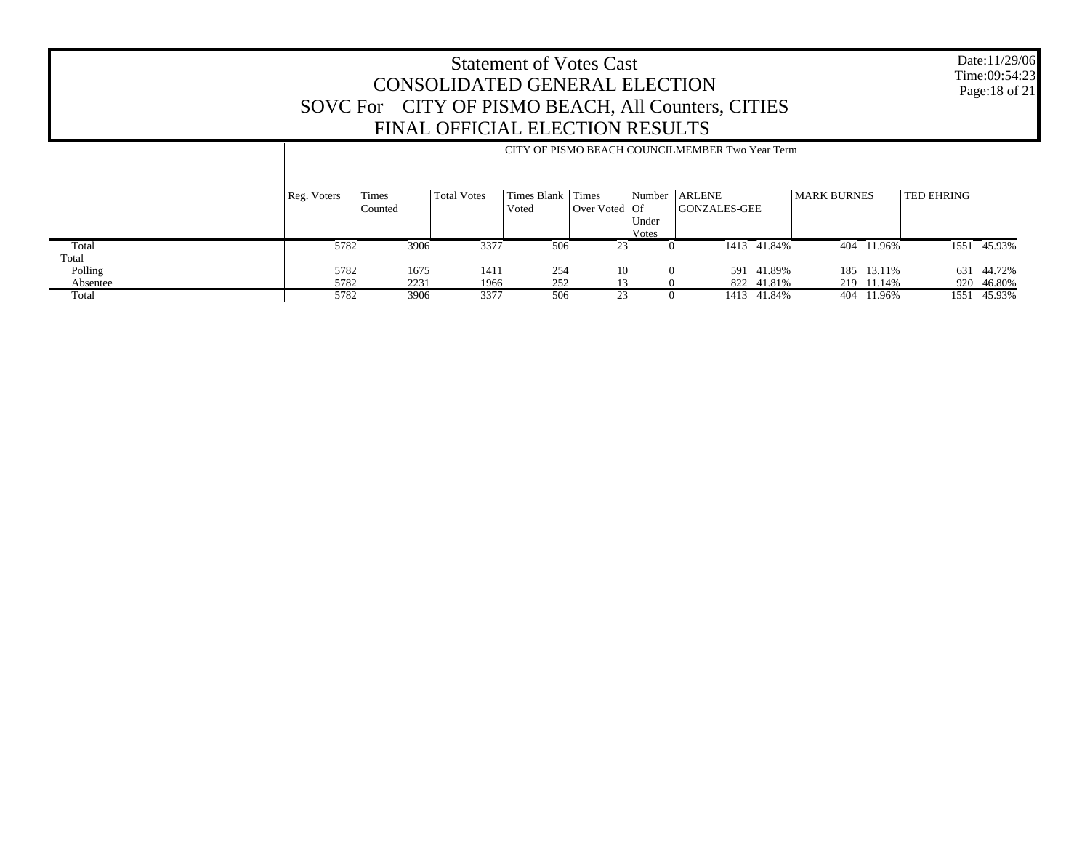Date:11/29/06 Time:09:54:23 Page:18 of 21

|          |             | CITY OF PISMO BEACH COUNCILMEMBER Two Year Term |             |                        |                                                                   |                          |                                      |             |                    |            |            |             |
|----------|-------------|-------------------------------------------------|-------------|------------------------|-------------------------------------------------------------------|--------------------------|--------------------------------------|-------------|--------------------|------------|------------|-------------|
|          | Reg. Voters | Times<br>Counted                                | Total Votes | Times Blank  <br>Voted | Times<br>$\sqrt{\frac{1}{100}}$ Over Voted $\sqrt{\frac{1}{100}}$ | Number<br>Under<br>Votes | <b>ARLENE</b><br><b>GONZALES-GEE</b> |             | <b>MARK BURNES</b> |            | TED EHRING |             |
| Total    | 5782        | 3906                                            | 3377        | 506                    | 23                                                                | $\theta$                 |                                      | 1413 41.84% |                    | 404 11.96% |            | 1551 45.93% |
| Total    |             |                                                 |             |                        |                                                                   |                          |                                      |             |                    |            |            |             |
| Polling  | 5782        | 1675                                            | 1411        | 254                    | 10                                                                | $\Omega$                 | 591                                  | 41.89%      | 185                | 13.11%     | 631        | 44.72%      |
| Absentee | 5782        | 2231                                            | 1966        | 252                    |                                                                   |                          |                                      | 822 41.81%  |                    | 219 11.14% |            | 920 46.80%  |
| Total    | 5782        | 3906                                            | 3377        | 506                    | 23                                                                | 0                        |                                      | 1413 41.84% | 404                | 11.96%     | 1551       | 45.93%      |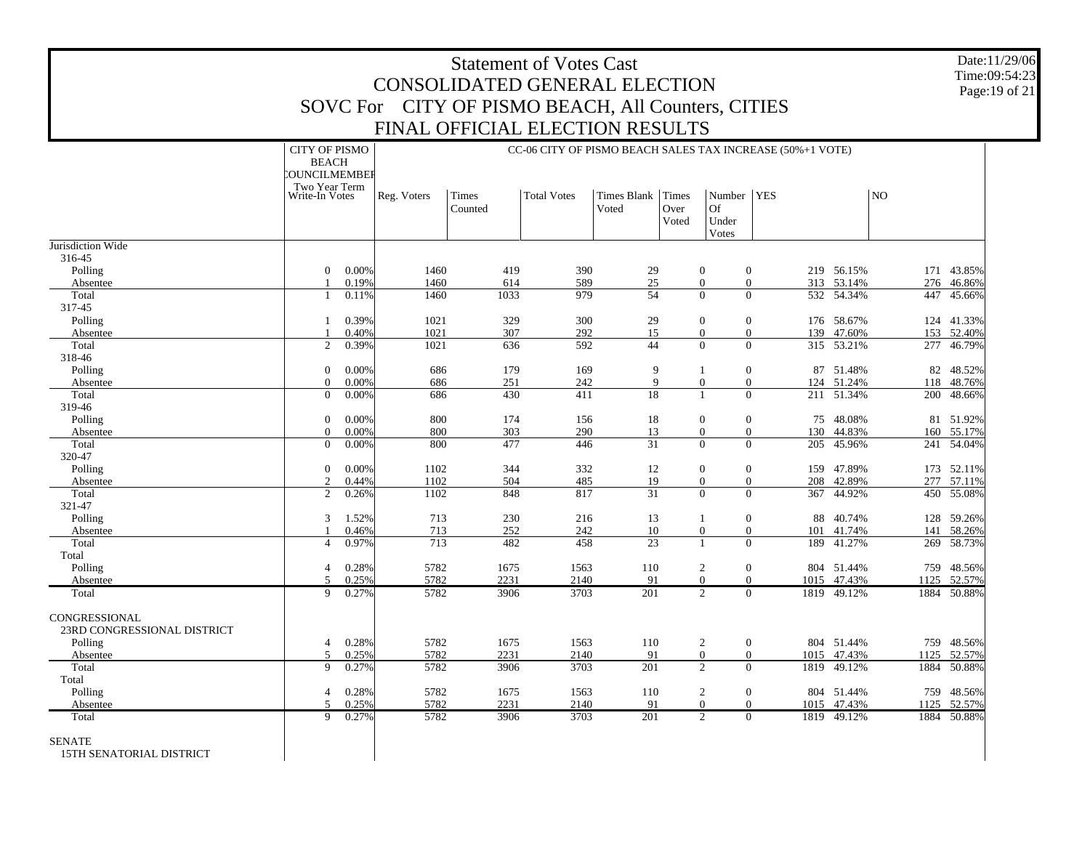| <b>Statement of Votes Cast</b><br>CONSOLIDATED GENERAL ELECTION<br>SOVC For CITY OF PISMO BEACH, All Counters, CITIES |                                                                                          |                |              |                                 |                                                                                 |                       |                        |                                             |                                  |      |                          |                |                          |
|-----------------------------------------------------------------------------------------------------------------------|------------------------------------------------------------------------------------------|----------------|--------------|---------------------------------|---------------------------------------------------------------------------------|-----------------------|------------------------|---------------------------------------------|----------------------------------|------|--------------------------|----------------|--------------------------|
|                                                                                                                       |                                                                                          |                |              | FINAL OFFICIAL ELECTION RESULTS |                                                                                 |                       |                        |                                             |                                  |      |                          |                |                          |
|                                                                                                                       |                                                                                          |                |              |                                 |                                                                                 |                       |                        |                                             |                                  |      |                          |                |                          |
|                                                                                                                       | <b>CITY OF PISMO</b><br><b>BEACH</b><br>COUNCILMEMBEF<br>Two Year Term<br>Write-In Votes |                | Reg. Voters  | Times<br>Counted                | CC-06 CITY OF PISMO BEACH SALES TAX INCREASE (50%+1 VOTE)<br><b>Total Votes</b> | Times Blank<br>Voted  | Times<br>Over<br>Voted | Number   YES<br><b>Of</b><br>Under<br>Votes |                                  |      |                          | N <sub>O</sub> |                          |
| Jurisdiction Wide                                                                                                     |                                                                                          |                |              |                                 |                                                                                 |                       |                        |                                             |                                  |      |                          |                |                          |
| 316-45<br>Polling<br>Absentee                                                                                         | $\Omega$<br>$\mathbf{1}$                                                                 | 0.00%<br>0.19% | 1460<br>1460 | 419<br>614                      | 390<br>589                                                                      | 29<br>$25\,$          |                        | $\mathbf{0}$<br>$\overline{0}$              | $\overline{0}$<br>$\overline{0}$ |      | 219 56.15%<br>313 53.14% |                | 171 43.85%<br>276 46.86% |
| Total<br>317-45                                                                                                       | 1                                                                                        | 0.11%          | 1460         | 1033                            | 979                                                                             | $\overline{54}$       |                        | $\theta$                                    | $\Omega$                         | 532  | 54.34%                   | 447            | 45.66%                   |
| Polling<br>Absentee                                                                                                   | $\mathbf{1}$<br>-1                                                                       | 0.39%<br>0.40% | 1021<br>1021 | 329<br>307                      | 300<br>292                                                                      | 29<br>15              |                        | $\mathbf{0}$<br>$\mathbf{0}$                | $\overline{0}$<br>$\overline{0}$ | 139  | 176 58.67%<br>47.60%     |                | 124 41.33%<br>153 52.40% |
| Total                                                                                                                 | $\overline{2}$                                                                           | 0.39%          | 1021         | 636                             | 592                                                                             | 44                    |                        | $\Omega$                                    | $\Omega$                         |      | 315 53.21%               |                | 277 46.79%               |
| 318-46<br>Polling<br>Absentee                                                                                         | $\boldsymbol{0}$<br>$\overline{0}$                                                       | 0.00%<br>0.00% | 686<br>686   | 179<br>251                      | 169<br>242                                                                      | 9<br>$\mathbf Q$      |                        | $\mathbf{1}$<br>$\overline{0}$              | $\boldsymbol{0}$<br>$\mathbf{0}$ | 87   | 51.48%<br>124 51.24%     |                | 82 48.52%<br>118 48.76%  |
| Total                                                                                                                 | $\overline{0}$                                                                           | 0.00%          | 686          | 430                             | 411                                                                             | 18                    |                        | $\mathbf{1}$                                | $\Omega$                         |      | 211 51.34%               |                | 200 48.66%               |
| 319-46                                                                                                                |                                                                                          |                |              |                                 |                                                                                 |                       |                        |                                             |                                  |      |                          |                |                          |
| Polling                                                                                                               | $\mathbf{0}$                                                                             | 0.00%          | 800          | 174                             | 156                                                                             | 18                    |                        | $\Omega$                                    | $\boldsymbol{0}$                 |      | 75 48.08%                |                | 81 51.92%                |
| Absentee<br>Total                                                                                                     | $\boldsymbol{0}$<br>$\overline{0}$                                                       | 0.00%<br>0.00% | 800<br>800   | 303<br>477                      | 290<br>446                                                                      | 13<br>31              |                        | $\boldsymbol{0}$<br>$\Omega$                | $\overline{0}$<br>$\Omega$       | 130  | 44.83%<br>205 45.96%     |                | 160 55.17%<br>241 54.04% |
| 320-47                                                                                                                |                                                                                          |                |              |                                 |                                                                                 |                       |                        |                                             |                                  |      |                          |                |                          |
| Polling                                                                                                               | $\mathbf{0}$                                                                             | 0.00%          | 1102         | 344                             | 332                                                                             | 12                    |                        | $\mathbf{0}$                                | $\overline{0}$                   |      | 159 47.89%               |                | 173 52.11%               |
| Absentee                                                                                                              | 2                                                                                        | 0.44%          | 1102         | 504                             | 485                                                                             | 19<br>$\overline{31}$ |                        | $\mathbf{0}$<br>$\Omega$                    | $\mathbf{0}$<br>$\Omega$         |      | 208 42.89%               |                | 277 57.11%               |
| Total<br>321-47                                                                                                       | 2                                                                                        | 0.26%          | 1102         | 848                             | 817                                                                             |                       |                        |                                             |                                  | 367  | 44.92%                   |                | 450 55.08%               |
| Polling                                                                                                               | 3                                                                                        | 1.52%          | 713          | 230                             | 216                                                                             | 13                    |                        | $\mathbf{1}$                                | $\boldsymbol{0}$                 |      | 88 40.74%                |                | 128 59.26%               |
| Absentee                                                                                                              | -1                                                                                       | 0.46%          | 713          | 252                             | 242                                                                             | 10                    |                        | $\mathbf{0}$                                | $\overline{0}$                   | 101  | 41.74%                   | 141            | 58.26%                   |
| Total<br>Total                                                                                                        | $\overline{4}$                                                                           | 0.97%          | 713          | 482                             | 458                                                                             | $\overline{23}$       |                        | $\mathbf{1}$                                | $\Omega$                         |      | 189 41.27%               |                | 269 58.73%               |
| Polling                                                                                                               | $\overline{4}$                                                                           | 0.28%          | 5782         | 1675                            | 1563                                                                            | 110                   |                        | $\overline{2}$                              | $\overline{0}$                   |      | 804 51.44%               |                | 759 48.56%               |
| Absentee                                                                                                              | $\leq$                                                                                   | 0.25%          | 5782         | 2231                            | 2140                                                                            | 91                    |                        | $\overline{0}$                              | $\overline{0}$                   |      | 1015 47.43%              | 1125           | 52.57%                   |
| Total                                                                                                                 | 9                                                                                        | 0.27%          | 5782         | 3906                            | 3703                                                                            | 201                   |                        | $\overline{2}$                              | $\Omega$                         |      | 1819 49.12%              |                | 1884 50.88%              |
| CONGRESSIONAL<br>23RD CONGRESSIONAL DISTRICT                                                                          |                                                                                          |                |              |                                 |                                                                                 |                       |                        |                                             |                                  |      |                          |                |                          |
| Polling                                                                                                               | $\overline{4}$                                                                           | 0.28%          | 5782         | 1675                            | 1563                                                                            | 110                   |                        | 2                                           | $\overline{0}$                   |      | 804 51.44%               |                | 759 48.56%               |
| Absentee                                                                                                              | 5                                                                                        | 0.25%          | 5782         | 2231                            | 2140                                                                            | 91<br>201             |                        | $\Omega$<br>$\overline{2}$                  | $\Omega$<br>$\Omega$             |      | 1015 47.43%              | 1125           | 52.57%                   |
| Total<br>Total                                                                                                        | 9                                                                                        | 0.27%          | 5782         | 3906                            | 3703                                                                            |                       |                        |                                             |                                  | 1819 | 49.12%                   | 1884           | 50.88%                   |
| Polling                                                                                                               | $\overline{4}$                                                                           | 0.28%          | 5782         | 1675                            | 1563                                                                            | 110                   |                        | 2                                           | $\overline{0}$                   |      | 804 51.44%               |                | 759 48.56%               |
| Absentee                                                                                                              | $\overline{5}$                                                                           | 0.25%          | 5782         | 2231                            | 2140                                                                            | 91                    |                        | $\overline{0}$                              | $\Omega$                         |      | 1015 47.43%              | 1125           | 52.57%                   |
| Total                                                                                                                 | 9                                                                                        | 0.27%          | 5782         | 3906                            | 3703                                                                            | 201                   |                        | $\overline{2}$                              | $\overline{0}$                   | 1819 | 49.12%                   |                | 1884 50.88%              |
| <b>SENATE</b><br>15TH SENATORIAL DISTRICT                                                                             |                                                                                          |                |              |                                 |                                                                                 |                       |                        |                                             |                                  |      |                          |                |                          |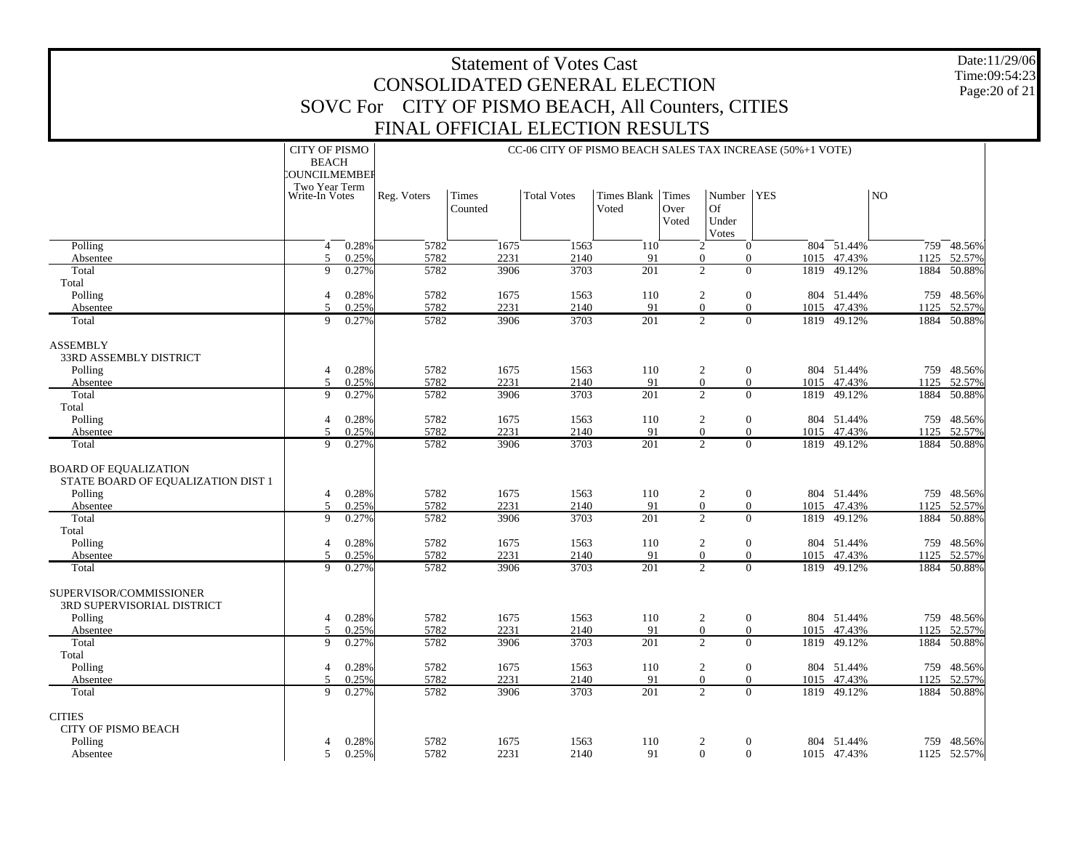| <b>Statement of Votes Cast</b><br>CONSOLIDATED GENERAL ELECTION    |                                            |                                                                                                                                                |              |                                                    |                                                           |                        |       |                                                              |  |              |                       |      | Date:11/29/06<br>Time:09:54:23 |  |  |
|--------------------------------------------------------------------|--------------------------------------------|------------------------------------------------------------------------------------------------------------------------------------------------|--------------|----------------------------------------------------|-----------------------------------------------------------|------------------------|-------|--------------------------------------------------------------|--|--------------|-----------------------|------|--------------------------------|--|--|
|                                                                    |                                            |                                                                                                                                                |              |                                                    |                                                           |                        |       |                                                              |  |              |                       |      | Page: 20 of 21                 |  |  |
|                                                                    |                                            |                                                                                                                                                |              | SOVC For CITY OF PISMO BEACH, All Counters, CITIES |                                                           |                        |       |                                                              |  |              |                       |      |                                |  |  |
|                                                                    |                                            |                                                                                                                                                |              | FINAL OFFICIAL ELECTION RESULTS                    |                                                           |                        |       |                                                              |  |              |                       |      |                                |  |  |
|                                                                    | <b>CITY OF PISMO</b>                       |                                                                                                                                                |              |                                                    | CC-06 CITY OF PISMO BEACH SALES TAX INCREASE (50%+1 VOTE) |                        |       |                                                              |  |              |                       |      |                                |  |  |
|                                                                    |                                            | <b>BEACH</b><br>COUNCILMEMBEE                                                                                                                  |              |                                                    |                                                           |                        |       |                                                              |  |              |                       |      |                                |  |  |
|                                                                    |                                            | Two Year Term<br>Number   YES<br>N <sub>O</sub><br><b>Total Votes</b><br>Times Blank<br>Times<br>Reg. Voters<br><b>Times</b><br>Write-In Votes |              |                                                    |                                                           |                        |       |                                                              |  |              |                       |      |                                |  |  |
|                                                                    |                                            |                                                                                                                                                |              | Counted                                            |                                                           | Voted                  | Over  | <b>Of</b>                                                    |  |              |                       |      |                                |  |  |
|                                                                    |                                            |                                                                                                                                                |              |                                                    |                                                           |                        | Voted | Under<br>Votes                                               |  |              |                       |      |                                |  |  |
| Polling                                                            | $\overline{4}$                             | 0.28%                                                                                                                                          | 5782         | 1675                                               | 1563                                                      | 110                    |       | $\overline{2}$<br>$\Omega$                                   |  |              | 804 51.44%            |      | 759 48.56%                     |  |  |
| Absentee<br>Total                                                  | 5<br>9                                     | 0.25%<br>0.27%                                                                                                                                 | 5782<br>5782 | 2231<br>3906                                       | 2140<br>3703                                              | 91<br>201              |       | $\mathbf{0}$<br>$\Omega$<br>$\overline{2}$<br>$\theta$       |  | 1015<br>1819 | 47.43%<br>49.12%      | 1125 | 52.57%<br>1884 50.88%          |  |  |
| Total                                                              |                                            |                                                                                                                                                |              |                                                    |                                                           |                        |       |                                                              |  |              |                       |      |                                |  |  |
| Polling                                                            | $\overline{4}$<br>$\overline{\mathcal{L}}$ | 0.28%                                                                                                                                          | 5782         | 1675                                               | 1563                                                      | 110                    |       | $\mathfrak{2}$<br>$\boldsymbol{0}$                           |  |              | 804 51.44%            |      | 759 48.56%                     |  |  |
| Absentee<br>Total                                                  | 9                                          | 0.25%<br>0.27%                                                                                                                                 | 5782<br>5782 | 2231<br>3906                                       | 2140<br>3703                                              | 91<br>$\overline{201}$ |       | $\mathbf{0}$<br>$\theta$<br>$\overline{2}$<br>$\overline{0}$ |  | 1015         | 47.43%<br>1819 49.12% |      | 1125 52.57%<br>1884 50.88%     |  |  |
|                                                                    |                                            |                                                                                                                                                |              |                                                    |                                                           |                        |       |                                                              |  |              |                       |      |                                |  |  |
| <b>ASSEMBLY</b><br>33RD ASSEMBLY DISTRICT                          |                                            |                                                                                                                                                |              |                                                    |                                                           |                        |       |                                                              |  |              |                       |      |                                |  |  |
| Polling                                                            | 4                                          | 0.28%                                                                                                                                          | 5782         | 1675                                               | 1563                                                      | 110                    |       | 2<br>$\theta$                                                |  |              | 804 51.44%            |      | 759 48.56%                     |  |  |
| Absentee                                                           | 5                                          | 0.25%                                                                                                                                          | 5782         | 2231                                               | 2140                                                      | 91                     |       | $\Omega$<br>$\Omega$                                         |  | 1015         | 47.43%                | 1125 | 52.57%                         |  |  |
| Total                                                              | 9                                          | 0.27%                                                                                                                                          | 5782         | 3906                                               | 3703                                                      | 201                    |       | $\overline{2}$<br>$\overline{0}$                             |  | 1819         | 49.12%                |      | 1884 50.88%                    |  |  |
| Total<br>Polling                                                   | $\overline{4}$                             | 0.28%                                                                                                                                          | 5782         | 1675                                               | 1563                                                      | 110                    |       | 2<br>$\mathbf{0}$                                            |  |              | 804 51.44%            |      | 759 48.56%                     |  |  |
| Absentee                                                           | $\overline{\phantom{0}}$                   | 0.25%                                                                                                                                          | 5782         | 2231                                               | 2140                                                      | 91                     |       | $\Omega$<br>$\Omega$                                         |  | 1015         | 47.43%                | 1125 | 52.57%                         |  |  |
| Total                                                              | 9                                          | 0.27%                                                                                                                                          | 5782         | 3906                                               | 3703                                                      | $\overline{201}$       |       | $\overline{2}$<br>$\overline{0}$                             |  |              | 1819 49.12%           |      | 1884 50.88%                    |  |  |
| <b>BOARD OF EQUALIZATION</b><br>STATE BOARD OF EQUALIZATION DIST 1 |                                            |                                                                                                                                                |              |                                                    |                                                           |                        |       |                                                              |  |              |                       |      |                                |  |  |
| Polling                                                            | 4                                          | 0.28%                                                                                                                                          | 5782         | 1675                                               | 1563                                                      | 110                    |       | 2<br>$\mathbf{0}$                                            |  |              | 804 51.44%            |      | 759 48.56%                     |  |  |
| Absentee                                                           | 5<br>9                                     | 0.25%                                                                                                                                          | 5782<br>5782 | 2231<br>3906                                       | 2140<br>3703                                              | 91<br>201              |       | $\mathbf{0}$<br>$\theta$<br>$\overline{c}$<br>$\Omega$       |  | 1015<br>1819 | 47.43%<br>49.12%      | 1125 | 52.57%                         |  |  |
| Total<br>Total                                                     |                                            | 0.27%                                                                                                                                          |              |                                                    |                                                           |                        |       |                                                              |  |              |                       |      | 1884 50.88%                    |  |  |
| Polling                                                            | $\overline{4}$                             | 0.28%                                                                                                                                          | 5782         | 1675                                               | 1563                                                      | 110                    |       | 2<br>$\boldsymbol{0}$                                        |  |              | 804 51.44%            |      | 759 48.56%                     |  |  |
| Absentee                                                           | 5                                          | 0.25%                                                                                                                                          | 5782         | 2231                                               | 2140                                                      | 91                     |       | $\overline{0}$<br>$\theta$<br>$\overline{c}$<br>$\Omega$     |  |              | 1015 47.43%           | 1125 | 52.57%                         |  |  |
| Total                                                              | 9                                          | 0.27%                                                                                                                                          | 5782         | 3906                                               | 3703                                                      | 201                    |       |                                                              |  | 1819         | 49.12%                |      | 1884 50.88%                    |  |  |
| SUPERVISOR/COMMISSIONER                                            |                                            |                                                                                                                                                |              |                                                    |                                                           |                        |       |                                                              |  |              |                       |      |                                |  |  |
| 3RD SUPERVISORIAL DISTRICT                                         |                                            | 0.28%                                                                                                                                          | 5782         |                                                    |                                                           | 110                    |       | $\theta$                                                     |  |              | 804 51.44%            |      | 759 48.56%                     |  |  |
| Polling<br>Absentee                                                | 4<br>$\overline{5}$                        | 0.25%                                                                                                                                          | 5782         | 1675<br>2231                                       | 1563<br>2140                                              | 91                     |       | 2<br>$\Omega$<br>$\Omega$                                    |  | 1015         | 47.43%                | 1125 | 52.57%                         |  |  |
| Total                                                              | 9                                          | 0.27%                                                                                                                                          | 5782         | 3906                                               | 3703                                                      | 201                    |       | $\overline{2}$<br>$\Omega$                                   |  | 1819         | 49.12%                |      | 1884 50.88%                    |  |  |
| Total                                                              |                                            |                                                                                                                                                |              |                                                    |                                                           |                        |       |                                                              |  |              |                       |      |                                |  |  |
| Polling<br>Absentee                                                | 4<br>$\overline{\phantom{0}}$              | 0.28%<br>0.25%                                                                                                                                 | 5782<br>5782 | 1675<br>2231                                       | 1563<br>2140                                              | 110<br>91              |       | 2<br>$\mathbf{0}$<br>$\Omega$<br>$\Omega$                    |  | 1015         | 804 51.44%<br>47.43%  | 1125 | 759 48.56%<br>52.57%           |  |  |
| Total                                                              | $\mathbf Q$                                | 0.27%                                                                                                                                          | 5782         | 3906                                               | 3703                                                      | 201                    |       | $\overline{2}$<br>$\overline{0}$                             |  |              | 1819 49.12%           |      | 1884 50.88%                    |  |  |
|                                                                    |                                            |                                                                                                                                                |              |                                                    |                                                           |                        |       |                                                              |  |              |                       |      |                                |  |  |
| <b>CITIES</b><br>CITY OF PISMO BEACH                               |                                            |                                                                                                                                                |              |                                                    |                                                           |                        |       |                                                              |  |              |                       |      |                                |  |  |
| Polling                                                            | 4                                          | 0.28%                                                                                                                                          | 5782         | 1675                                               | 1563                                                      | 110                    |       | $\boldsymbol{2}$<br>$\boldsymbol{0}$                         |  |              | 804 51.44%            |      | 759 48.56%                     |  |  |
| Absentee                                                           | 5                                          | 0.25%                                                                                                                                          | 5782         | 2231                                               | 2140                                                      | 91                     |       | $\overline{0}$<br>$\theta$                                   |  |              | 1015 47.43%           |      | 1125 52.57%                    |  |  |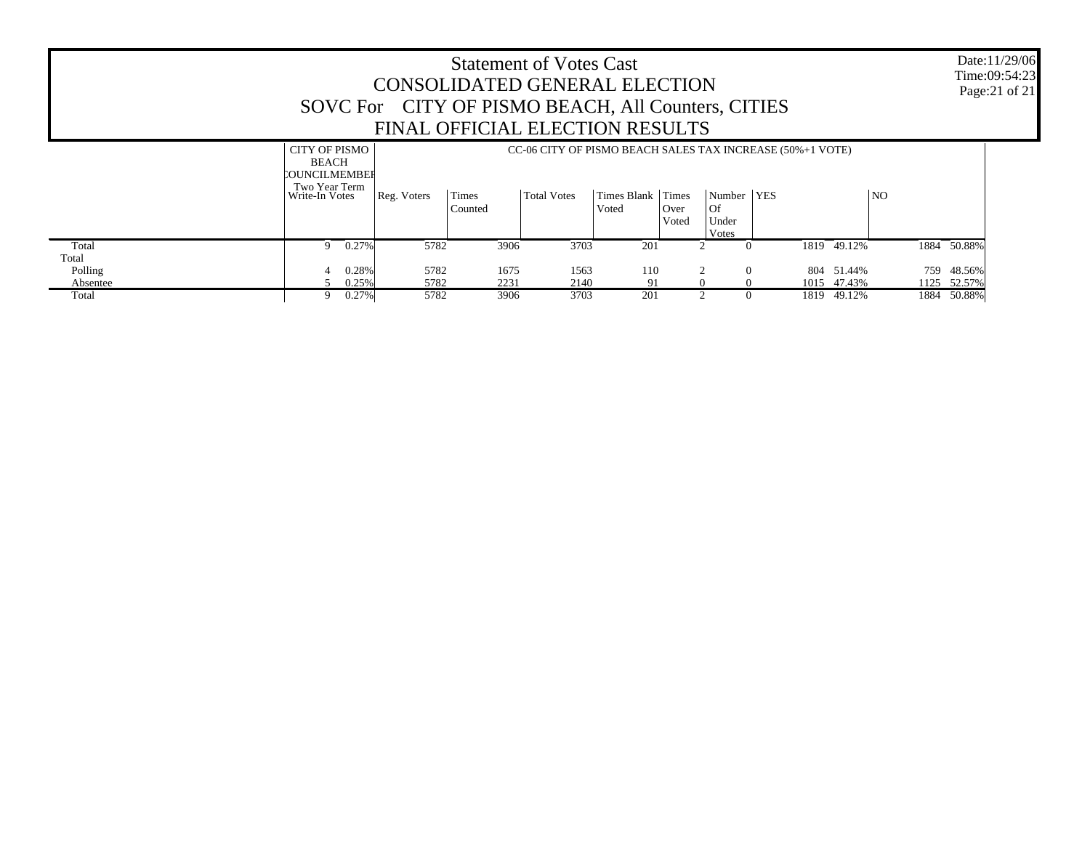|                   |                                                                                          |                   | CONSOLIDATED GENERAL ELECTION<br>SOVC For CITY OF PISMO BEACH, All Counters, CITIES<br>FINAL OFFICIAL ELECTION RESULTS |                  | <b>Statement of Votes Cast</b> |                      |                        |                                             |                                                                         |                            |                | Date:11/29/06<br>Time:09:54:23<br>Page: 21 of 21 |
|-------------------|------------------------------------------------------------------------------------------|-------------------|------------------------------------------------------------------------------------------------------------------------|------------------|--------------------------------|----------------------|------------------------|---------------------------------------------|-------------------------------------------------------------------------|----------------------------|----------------|--------------------------------------------------|
|                   | <b>CITY OF PISMO</b><br><b>BEACH</b><br>COUNCILMEMBER<br>Two Year Term<br>Write-In Votes |                   | Reg. Voters                                                                                                            | Times<br>Counted | <b>Total Votes</b>             | Times Blank<br>Voted | Times<br>Over<br>Voted | Number<br>$\overline{Of}$<br>Under<br>Votes | CC-06 CITY OF PISMO BEACH SALES TAX INCREASE (50%+1 VOTE)<br><b>YES</b> |                            | N <sub>O</sub> |                                                  |
| Total<br>Total    | 9                                                                                        | $0.27\%$          | 5782                                                                                                                   | 3906             | 3703                           | 201                  | $\mathcal{L}$          |                                             |                                                                         | 1819 49.12%                | 1884           | 50.88%                                           |
| Polling           |                                                                                          | 0.28%             | 5782                                                                                                                   | 1675             | 1563                           | 110                  |                        | $\Omega$                                    |                                                                         | 804 51.44%                 | 759            | 48.56%                                           |
| Absentee<br>Total | 9                                                                                        | 0.25%<br>$0.27\%$ | 5782<br>5782                                                                                                           | 2231<br>3906     | 2140<br>3703                   | 91<br>201            |                        |                                             |                                                                         | 1015 47.43%<br>1819 49.12% |                | 1125 52.57%<br>1884 50.88%                       |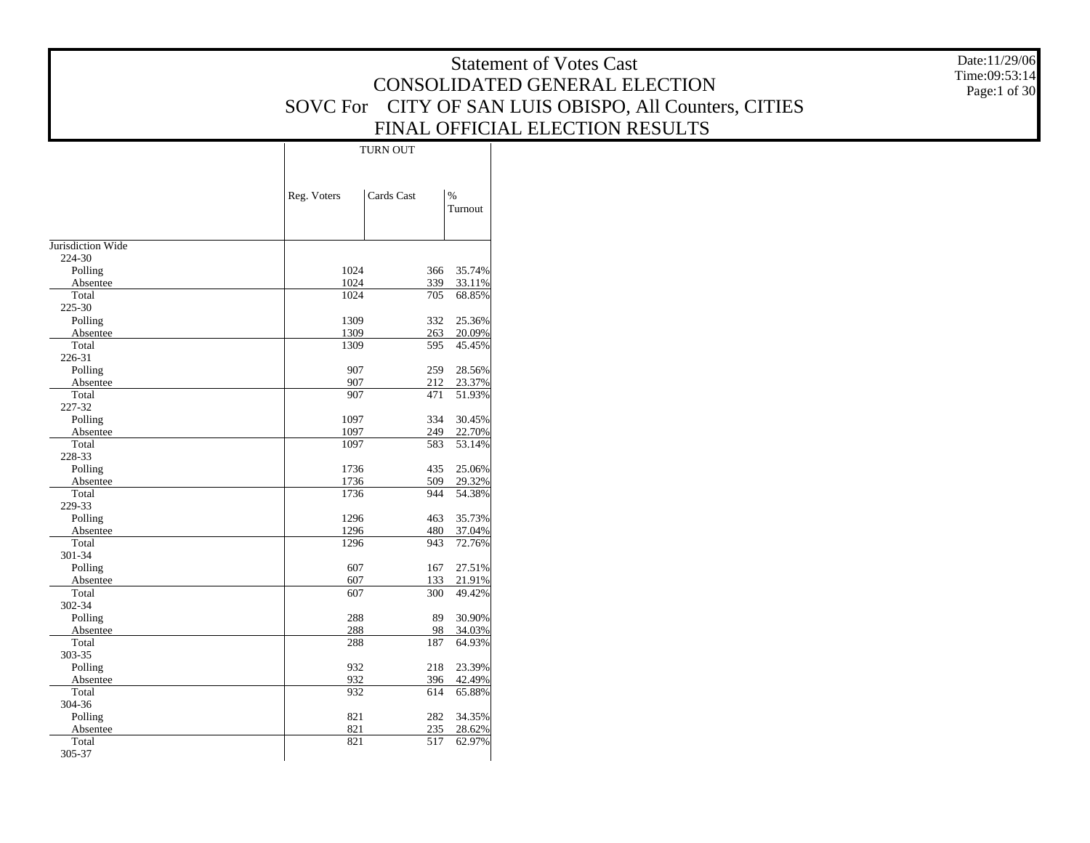|                             |                           |                                | <b>Statement of Votes Cast</b>                         | Date:11/29/06 |
|-----------------------------|---------------------------|--------------------------------|--------------------------------------------------------|---------------|
|                             |                           |                                | CONSOLIDATED GENERAL ELECTION                          | Time:09:53:14 |
|                             |                           |                                |                                                        | Page:1 of 30  |
|                             |                           |                                | SOVC For CITY OF SAN LUIS OBISPO, All Counters, CITIES |               |
|                             |                           |                                | FINAL OFFICIAL ELECTION RESULTS                        |               |
|                             | <b>TURN OUT</b>           |                                |                                                        |               |
|                             |                           |                                |                                                        |               |
|                             |                           |                                |                                                        |               |
|                             | Cards Cast<br>Reg. Voters | $\%$<br>Turnout                |                                                        |               |
|                             |                           |                                |                                                        |               |
|                             |                           |                                |                                                        |               |
| Jurisdiction Wide<br>224-30 |                           |                                |                                                        |               |
| Polling                     | 1024                      | 35.74%<br>366                  |                                                        |               |
| Absentee                    | 1024                      | 339<br>33.11%                  |                                                        |               |
| Total                       | 1024                      | 705<br>68.85%                  |                                                        |               |
| 225-30                      |                           |                                |                                                        |               |
| Polling                     | 1309                      | 332<br>25.36%                  |                                                        |               |
| Absentee                    | 1309                      | 263<br>20.09%<br>595<br>45.45% |                                                        |               |
| Total<br>226-31             | 1309                      |                                |                                                        |               |
| Polling                     | 907                       | 259<br>28.56%                  |                                                        |               |
| Absentee                    | 907                       | 212<br>23.37%                  |                                                        |               |
| Total                       | 907                       | 471<br>51.93%                  |                                                        |               |
| 227-32                      |                           |                                |                                                        |               |
| Polling                     | 1097                      | 334<br>30.45%                  |                                                        |               |
| Absentee                    | 1097                      | 249<br>22.70%                  |                                                        |               |
| Total<br>228-33             | 1097                      | 53.14%<br>583                  |                                                        |               |
| Polling                     | 1736                      | 435<br>25.06%                  |                                                        |               |
| Absentee                    | 1736                      | 509<br>29.32%                  |                                                        |               |
| Total                       | 1736                      | 944<br>54.38%                  |                                                        |               |
| 229-33                      |                           |                                |                                                        |               |
| Polling                     | 1296<br>1296              | 463<br>35.73%<br>480<br>37.04% |                                                        |               |
| Absentee<br>Total           | 1296                      | 943<br>72.76%                  |                                                        |               |
| 301-34                      |                           |                                |                                                        |               |
| Polling                     | 607                       | 27.51%<br>167                  |                                                        |               |
| Absentee                    | 607                       | 21.91%<br>133                  |                                                        |               |
| Total                       | 607                       | 300<br>49.42%                  |                                                        |               |
| 302-34                      |                           |                                |                                                        |               |
| Polling<br>Absentee         | 288<br>288                | 89<br>30.90%<br>98<br>34.03%   |                                                        |               |
| Total                       | 288                       | 187<br>64.93%                  |                                                        |               |
| 303-35                      |                           |                                |                                                        |               |
| Polling                     | 932                       | 23.39%<br>218                  |                                                        |               |
| Absentee                    | 932                       | 396<br>42.49%                  |                                                        |               |
| Total                       | 932                       | 65.88%<br>614                  |                                                        |               |
| 304-36                      | 821                       |                                |                                                        |               |
| Polling<br>Absentee         | 821                       | 282 34.35%<br>235<br>28.62%    |                                                        |               |
| Total                       | 821                       | 62.97%<br>517                  |                                                        |               |
| 305-37                      |                           |                                |                                                        |               |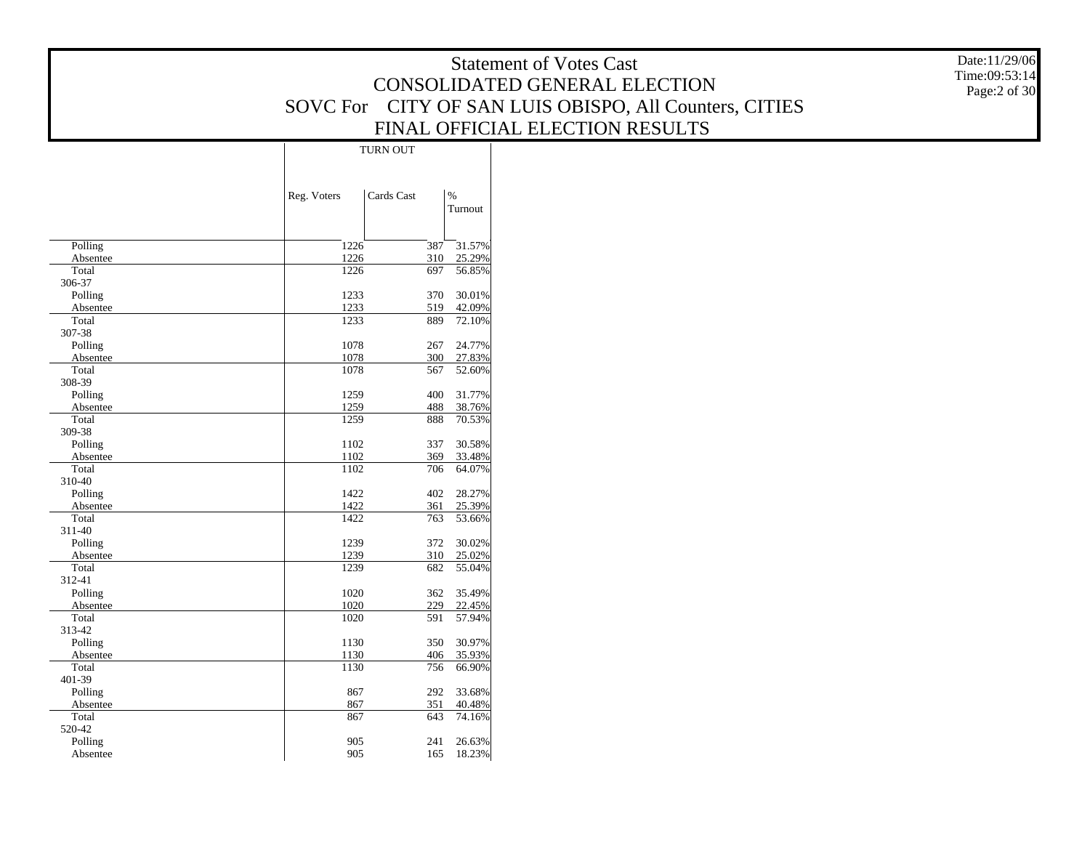| CONSOLIDATED GENERAL ELECTION<br>SOVC For CITY OF SAN LUIS OBISPO, All Counters, CITIES<br>FINAL OFFICIAL ELECTION RESULTS<br><b>TURN OUT</b><br>Cards Cast<br>$\%$<br>Reg. Voters<br>Turnout<br>387 31.57%<br>Polling<br>1226<br>310 25.29%<br>1226<br>Absentee<br>1226<br>697<br>56.85%<br>Total<br>306-37<br>1233<br>Polling<br>370<br>30.01%<br>1233<br>519<br>42.09%<br>Absentee<br>1233<br>889<br>72.10%<br>Total<br>307-38<br>1078<br>Polling<br>267<br>24.77%<br>1078<br>300<br>27.83%<br>Absentee<br>1078<br>567<br>Total<br>52.60%<br>308-39<br>1259<br>400<br>31.77%<br>Polling<br>1259<br>488<br>38.76%<br>Absentee<br>1259<br>Total<br>888<br>70.53%<br>309-38<br>Polling<br>1102<br>337<br>30.58%<br>1102<br>33.48%<br>Absentee<br>369<br>Total<br>1102<br>706<br>64.07%<br>310-40<br>1422<br>Polling<br>402<br>28.27%<br>1422<br>361<br>25.39%<br>Absentee<br>1422<br>763<br>53.66%<br>Total<br>311-40<br>1239<br>Polling<br>372<br>30.02%<br>1239<br>310<br>25.02%<br>Absentee<br>Total<br>1239<br>682<br>55.04%<br>312-41<br>1020<br>Polling<br>362<br>35.49%<br>1020<br>229<br>22.45%<br>Absentee<br>1020<br>591<br>57.94%<br>Total<br>313-42<br>30.97%<br>1130<br>350<br>Polling<br>1130<br>406<br>35.93%<br>Absentee<br>1130<br>756<br>Total<br>66.90% |        |  | <b>Statement of Votes Cast</b> | Date:11/29/06 |
|----------------------------------------------------------------------------------------------------------------------------------------------------------------------------------------------------------------------------------------------------------------------------------------------------------------------------------------------------------------------------------------------------------------------------------------------------------------------------------------------------------------------------------------------------------------------------------------------------------------------------------------------------------------------------------------------------------------------------------------------------------------------------------------------------------------------------------------------------------------------------------------------------------------------------------------------------------------------------------------------------------------------------------------------------------------------------------------------------------------------------------------------------------------------------------------------------------------------------------------------------------------------------|--------|--|--------------------------------|---------------|
| Page:2 of 30                                                                                                                                                                                                                                                                                                                                                                                                                                                                                                                                                                                                                                                                                                                                                                                                                                                                                                                                                                                                                                                                                                                                                                                                                                                               |        |  |                                | Time:09:53:14 |
|                                                                                                                                                                                                                                                                                                                                                                                                                                                                                                                                                                                                                                                                                                                                                                                                                                                                                                                                                                                                                                                                                                                                                                                                                                                                            |        |  |                                |               |
|                                                                                                                                                                                                                                                                                                                                                                                                                                                                                                                                                                                                                                                                                                                                                                                                                                                                                                                                                                                                                                                                                                                                                                                                                                                                            |        |  |                                |               |
|                                                                                                                                                                                                                                                                                                                                                                                                                                                                                                                                                                                                                                                                                                                                                                                                                                                                                                                                                                                                                                                                                                                                                                                                                                                                            |        |  |                                |               |
|                                                                                                                                                                                                                                                                                                                                                                                                                                                                                                                                                                                                                                                                                                                                                                                                                                                                                                                                                                                                                                                                                                                                                                                                                                                                            |        |  |                                |               |
|                                                                                                                                                                                                                                                                                                                                                                                                                                                                                                                                                                                                                                                                                                                                                                                                                                                                                                                                                                                                                                                                                                                                                                                                                                                                            |        |  |                                |               |
|                                                                                                                                                                                                                                                                                                                                                                                                                                                                                                                                                                                                                                                                                                                                                                                                                                                                                                                                                                                                                                                                                                                                                                                                                                                                            |        |  |                                |               |
|                                                                                                                                                                                                                                                                                                                                                                                                                                                                                                                                                                                                                                                                                                                                                                                                                                                                                                                                                                                                                                                                                                                                                                                                                                                                            |        |  |                                |               |
|                                                                                                                                                                                                                                                                                                                                                                                                                                                                                                                                                                                                                                                                                                                                                                                                                                                                                                                                                                                                                                                                                                                                                                                                                                                                            |        |  |                                |               |
|                                                                                                                                                                                                                                                                                                                                                                                                                                                                                                                                                                                                                                                                                                                                                                                                                                                                                                                                                                                                                                                                                                                                                                                                                                                                            |        |  |                                |               |
|                                                                                                                                                                                                                                                                                                                                                                                                                                                                                                                                                                                                                                                                                                                                                                                                                                                                                                                                                                                                                                                                                                                                                                                                                                                                            |        |  |                                |               |
|                                                                                                                                                                                                                                                                                                                                                                                                                                                                                                                                                                                                                                                                                                                                                                                                                                                                                                                                                                                                                                                                                                                                                                                                                                                                            |        |  |                                |               |
|                                                                                                                                                                                                                                                                                                                                                                                                                                                                                                                                                                                                                                                                                                                                                                                                                                                                                                                                                                                                                                                                                                                                                                                                                                                                            |        |  |                                |               |
|                                                                                                                                                                                                                                                                                                                                                                                                                                                                                                                                                                                                                                                                                                                                                                                                                                                                                                                                                                                                                                                                                                                                                                                                                                                                            |        |  |                                |               |
|                                                                                                                                                                                                                                                                                                                                                                                                                                                                                                                                                                                                                                                                                                                                                                                                                                                                                                                                                                                                                                                                                                                                                                                                                                                                            |        |  |                                |               |
|                                                                                                                                                                                                                                                                                                                                                                                                                                                                                                                                                                                                                                                                                                                                                                                                                                                                                                                                                                                                                                                                                                                                                                                                                                                                            |        |  |                                |               |
|                                                                                                                                                                                                                                                                                                                                                                                                                                                                                                                                                                                                                                                                                                                                                                                                                                                                                                                                                                                                                                                                                                                                                                                                                                                                            |        |  |                                |               |
|                                                                                                                                                                                                                                                                                                                                                                                                                                                                                                                                                                                                                                                                                                                                                                                                                                                                                                                                                                                                                                                                                                                                                                                                                                                                            |        |  |                                |               |
|                                                                                                                                                                                                                                                                                                                                                                                                                                                                                                                                                                                                                                                                                                                                                                                                                                                                                                                                                                                                                                                                                                                                                                                                                                                                            |        |  |                                |               |
|                                                                                                                                                                                                                                                                                                                                                                                                                                                                                                                                                                                                                                                                                                                                                                                                                                                                                                                                                                                                                                                                                                                                                                                                                                                                            |        |  |                                |               |
|                                                                                                                                                                                                                                                                                                                                                                                                                                                                                                                                                                                                                                                                                                                                                                                                                                                                                                                                                                                                                                                                                                                                                                                                                                                                            |        |  |                                |               |
|                                                                                                                                                                                                                                                                                                                                                                                                                                                                                                                                                                                                                                                                                                                                                                                                                                                                                                                                                                                                                                                                                                                                                                                                                                                                            |        |  |                                |               |
|                                                                                                                                                                                                                                                                                                                                                                                                                                                                                                                                                                                                                                                                                                                                                                                                                                                                                                                                                                                                                                                                                                                                                                                                                                                                            |        |  |                                |               |
|                                                                                                                                                                                                                                                                                                                                                                                                                                                                                                                                                                                                                                                                                                                                                                                                                                                                                                                                                                                                                                                                                                                                                                                                                                                                            |        |  |                                |               |
|                                                                                                                                                                                                                                                                                                                                                                                                                                                                                                                                                                                                                                                                                                                                                                                                                                                                                                                                                                                                                                                                                                                                                                                                                                                                            |        |  |                                |               |
|                                                                                                                                                                                                                                                                                                                                                                                                                                                                                                                                                                                                                                                                                                                                                                                                                                                                                                                                                                                                                                                                                                                                                                                                                                                                            |        |  |                                |               |
|                                                                                                                                                                                                                                                                                                                                                                                                                                                                                                                                                                                                                                                                                                                                                                                                                                                                                                                                                                                                                                                                                                                                                                                                                                                                            |        |  |                                |               |
|                                                                                                                                                                                                                                                                                                                                                                                                                                                                                                                                                                                                                                                                                                                                                                                                                                                                                                                                                                                                                                                                                                                                                                                                                                                                            |        |  |                                |               |
|                                                                                                                                                                                                                                                                                                                                                                                                                                                                                                                                                                                                                                                                                                                                                                                                                                                                                                                                                                                                                                                                                                                                                                                                                                                                            |        |  |                                |               |
|                                                                                                                                                                                                                                                                                                                                                                                                                                                                                                                                                                                                                                                                                                                                                                                                                                                                                                                                                                                                                                                                                                                                                                                                                                                                            |        |  |                                |               |
|                                                                                                                                                                                                                                                                                                                                                                                                                                                                                                                                                                                                                                                                                                                                                                                                                                                                                                                                                                                                                                                                                                                                                                                                                                                                            |        |  |                                |               |
|                                                                                                                                                                                                                                                                                                                                                                                                                                                                                                                                                                                                                                                                                                                                                                                                                                                                                                                                                                                                                                                                                                                                                                                                                                                                            |        |  |                                |               |
|                                                                                                                                                                                                                                                                                                                                                                                                                                                                                                                                                                                                                                                                                                                                                                                                                                                                                                                                                                                                                                                                                                                                                                                                                                                                            |        |  |                                |               |
|                                                                                                                                                                                                                                                                                                                                                                                                                                                                                                                                                                                                                                                                                                                                                                                                                                                                                                                                                                                                                                                                                                                                                                                                                                                                            |        |  |                                |               |
|                                                                                                                                                                                                                                                                                                                                                                                                                                                                                                                                                                                                                                                                                                                                                                                                                                                                                                                                                                                                                                                                                                                                                                                                                                                                            |        |  |                                |               |
|                                                                                                                                                                                                                                                                                                                                                                                                                                                                                                                                                                                                                                                                                                                                                                                                                                                                                                                                                                                                                                                                                                                                                                                                                                                                            |        |  |                                |               |
|                                                                                                                                                                                                                                                                                                                                                                                                                                                                                                                                                                                                                                                                                                                                                                                                                                                                                                                                                                                                                                                                                                                                                                                                                                                                            |        |  |                                |               |
|                                                                                                                                                                                                                                                                                                                                                                                                                                                                                                                                                                                                                                                                                                                                                                                                                                                                                                                                                                                                                                                                                                                                                                                                                                                                            |        |  |                                |               |
|                                                                                                                                                                                                                                                                                                                                                                                                                                                                                                                                                                                                                                                                                                                                                                                                                                                                                                                                                                                                                                                                                                                                                                                                                                                                            |        |  |                                |               |
|                                                                                                                                                                                                                                                                                                                                                                                                                                                                                                                                                                                                                                                                                                                                                                                                                                                                                                                                                                                                                                                                                                                                                                                                                                                                            | 401-39 |  |                                |               |
| Polling<br>867<br>292<br>33.68%                                                                                                                                                                                                                                                                                                                                                                                                                                                                                                                                                                                                                                                                                                                                                                                                                                                                                                                                                                                                                                                                                                                                                                                                                                            |        |  |                                |               |
| 867<br>351<br>40.48%<br>Absentee                                                                                                                                                                                                                                                                                                                                                                                                                                                                                                                                                                                                                                                                                                                                                                                                                                                                                                                                                                                                                                                                                                                                                                                                                                           |        |  |                                |               |
| Total<br>867<br>74.16%<br>643                                                                                                                                                                                                                                                                                                                                                                                                                                                                                                                                                                                                                                                                                                                                                                                                                                                                                                                                                                                                                                                                                                                                                                                                                                              |        |  |                                |               |
| 520-42<br>905<br>241<br>26.63%                                                                                                                                                                                                                                                                                                                                                                                                                                                                                                                                                                                                                                                                                                                                                                                                                                                                                                                                                                                                                                                                                                                                                                                                                                             |        |  |                                |               |
| Polling<br>905<br>165 18.23%<br>Absentee                                                                                                                                                                                                                                                                                                                                                                                                                                                                                                                                                                                                                                                                                                                                                                                                                                                                                                                                                                                                                                                                                                                                                                                                                                   |        |  |                                |               |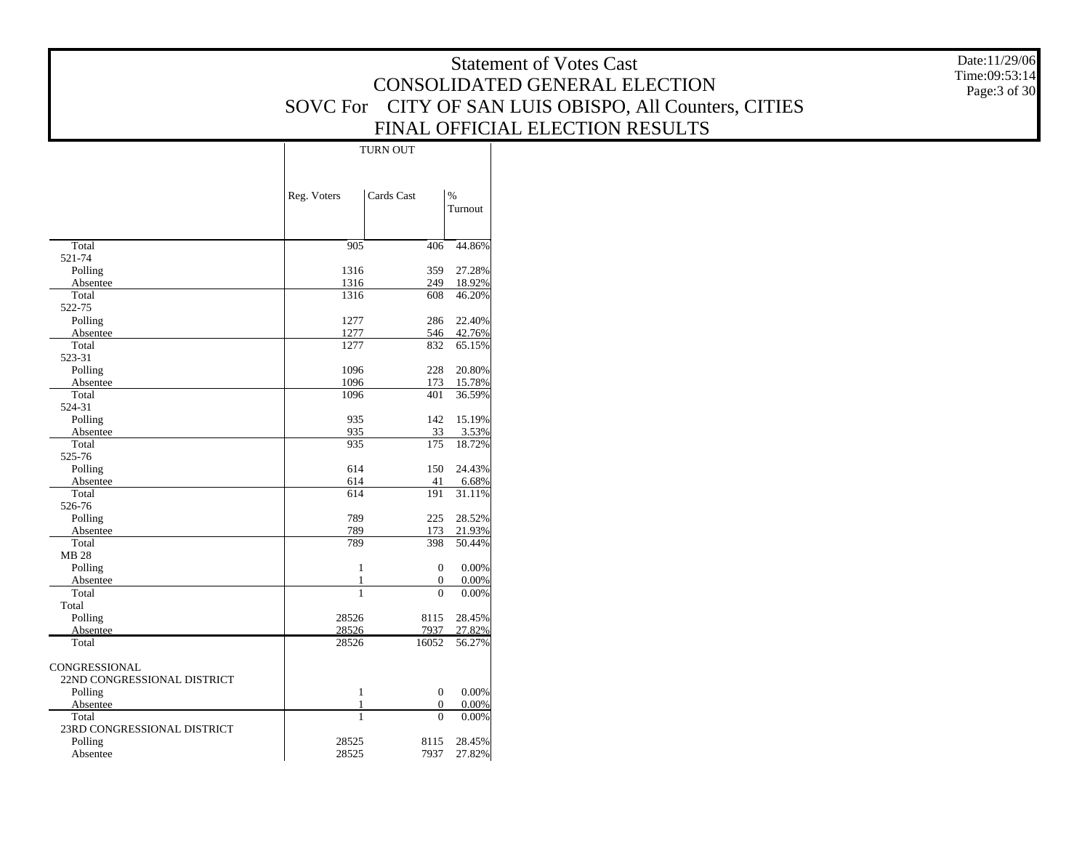|                             |                 |                            |         | <b>Statement of Votes Cast</b>                | Date:11/29/06 |
|-----------------------------|-----------------|----------------------------|---------|-----------------------------------------------|---------------|
|                             |                 |                            |         |                                               | Time:09:53:14 |
|                             |                 |                            |         | CONSOLIDATED GENERAL ELECTION                 | Page: 3 of 30 |
|                             | <b>SOVC</b> For |                            |         | CITY OF SAN LUIS OBISPO, All Counters, CITIES |               |
|                             |                 |                            |         |                                               |               |
|                             |                 |                            |         | FINAL OFFICIAL ELECTION RESULTS               |               |
|                             |                 | <b>TURN OUT</b>            |         |                                               |               |
|                             |                 |                            |         |                                               |               |
|                             |                 |                            |         |                                               |               |
|                             | Reg. Voters     | Cards Cast<br>$\%$         |         |                                               |               |
|                             |                 |                            | Turnout |                                               |               |
|                             |                 |                            |         |                                               |               |
|                             |                 |                            |         |                                               |               |
| Total                       | 905             | 406                        | 44.86%  |                                               |               |
| 521-74<br>Polling           | 1316            | 359                        | 27.28%  |                                               |               |
| Absentee                    | 1316            | 249                        | 18.92%  |                                               |               |
| Total                       | 1316            | 608                        | 46.20%  |                                               |               |
| 522-75                      |                 |                            |         |                                               |               |
| Polling                     | 1277            | 286                        | 22.40%  |                                               |               |
| Absentee                    | 1277            | 546                        | 42.76%  |                                               |               |
| Total                       | 1277            | 832                        | 65.15%  |                                               |               |
| 523-31<br>Polling           | 1096            | 228                        | 20.80%  |                                               |               |
| Absentee                    | 1096            | 173                        | 15.78%  |                                               |               |
| Total                       | 1096            | 401                        | 36.59%  |                                               |               |
| 524-31                      |                 |                            |         |                                               |               |
| Polling                     | 935             | 142                        | 15.19%  |                                               |               |
| Absentee                    | 935             | 33                         | 3.53%   |                                               |               |
| Total                       | 935             | 175                        | 18.72%  |                                               |               |
| 525-76<br>Polling           | 614             | 150 24.43%                 |         |                                               |               |
| Absentee                    | 614             | 41                         | 6.68%   |                                               |               |
| Total                       | 614             | 191                        | 31.11%  |                                               |               |
| 526-76                      |                 |                            |         |                                               |               |
| Polling                     | 789             | 225                        | 28.52%  |                                               |               |
| Absentee                    | 789             | 173                        | 21.93%  |                                               |               |
| Total<br>MB 28              | 789             | 398                        | 50.44%  |                                               |               |
| Polling                     | -1              | $\mathbf{0}$               | 0.00%   |                                               |               |
| Absentee                    |                 | $\boldsymbol{0}$           | 0.00%   |                                               |               |
| Total                       | $\overline{1}$  | $\mathbf{0}$               | 0.00%   |                                               |               |
| Total                       |                 |                            |         |                                               |               |
| Polling                     | 28526           | 8115                       | 28.45%  |                                               |               |
| Absentee                    | 28526           | 7937                       | 27.82%  |                                               |               |
| Total                       | 28526           | 16052                      | 56.27%  |                                               |               |
| CONGRESSIONAL               |                 |                            |         |                                               |               |
| 22ND CONGRESSIONAL DISTRICT |                 |                            |         |                                               |               |
| Polling                     | $\mathbf{1}$    | $\boldsymbol{0}$           | 0.00%   |                                               |               |
| Absentee                    |                 | $\mathbf{0}$               | 0.00%   |                                               |               |
| Total                       |                 | $\overline{0}$             | 0.00%   |                                               |               |
| 23RD CONGRESSIONAL DISTRICT | 28525           |                            |         |                                               |               |
| Polling<br>Absentee         | 28525           | 8115 28.45%<br>7937 27.82% |         |                                               |               |
|                             |                 |                            |         |                                               |               |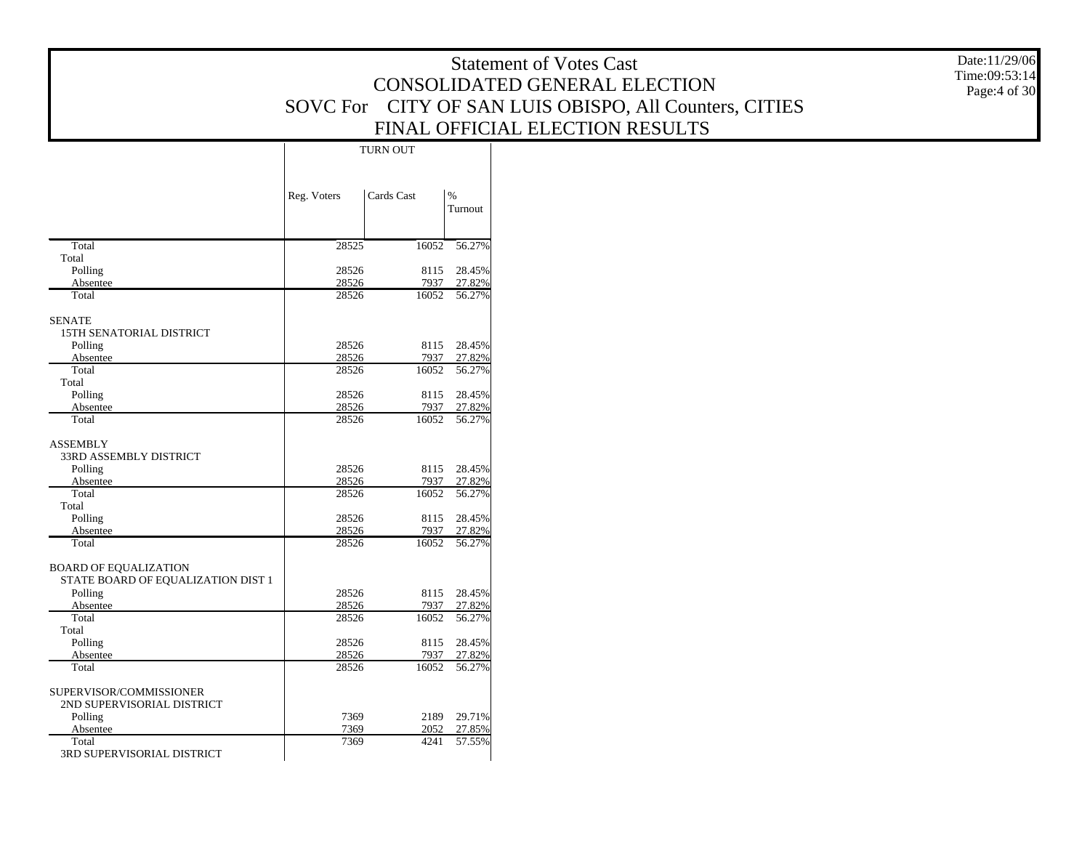|                                           |                |                 | <b>Statement of Votes Cast</b> | Date:11/29/06                                          |               |
|-------------------------------------------|----------------|-----------------|--------------------------------|--------------------------------------------------------|---------------|
|                                           |                |                 |                                | CONSOLIDATED GENERAL ELECTION                          | Time:09:53:14 |
|                                           |                |                 |                                |                                                        | Page:4 of 30  |
|                                           |                |                 |                                | SOVC For CITY OF SAN LUIS OBISPO, All Counters, CITIES |               |
|                                           |                |                 |                                | FINAL OFFICIAL ELECTION RESULTS                        |               |
|                                           |                |                 |                                |                                                        |               |
|                                           |                | <b>TURN OUT</b> |                                |                                                        |               |
|                                           |                |                 |                                |                                                        |               |
|                                           |                |                 |                                |                                                        |               |
|                                           | Reg. Voters    | Cards Cast      | $\%$                           |                                                        |               |
|                                           |                |                 | Turnout                        |                                                        |               |
|                                           |                |                 |                                |                                                        |               |
|                                           |                |                 |                                |                                                        |               |
| Total<br>Total                            | 28525          | 16052           | 56.27%                         |                                                        |               |
| Polling                                   | 28526          |                 | 8115 28.45%                    |                                                        |               |
| Absentee                                  | 28526          | 7937            | 27.82%                         |                                                        |               |
| Total                                     | 28526          | 16052           | 56.27%                         |                                                        |               |
|                                           |                |                 |                                |                                                        |               |
| <b>SENATE</b>                             |                |                 |                                |                                                        |               |
| 15TH SENATORIAL DISTRICT                  |                |                 |                                |                                                        |               |
| Polling                                   | 28526          |                 | 8115 28.45%                    |                                                        |               |
| Absentee<br>Total                         | 28526<br>28526 | 7937<br>16052   | 27.82%<br>56.27%               |                                                        |               |
| Total                                     |                |                 |                                |                                                        |               |
| Polling                                   | 28526          |                 | 8115 28.45%                    |                                                        |               |
| Absentee                                  | 28526          | 7937            | 27.82%                         |                                                        |               |
| Total                                     | 28526          | 16052           | 56.27%                         |                                                        |               |
|                                           |                |                 |                                |                                                        |               |
| <b>ASSEMBLY</b><br>33RD ASSEMBLY DISTRICT |                |                 |                                |                                                        |               |
| Polling                                   | 28526          |                 | 8115 28.45%                    |                                                        |               |
| Absentee                                  | 28526          | 7937            | 27.82%                         |                                                        |               |
| Total                                     | 28526          | 16052           | 56.27%                         |                                                        |               |
| Total                                     |                |                 |                                |                                                        |               |
| Polling                                   | 28526          |                 | 8115 28.45%                    |                                                        |               |
| Absentee                                  | 28526          | 7937            | 27.82%                         |                                                        |               |
| Total                                     | 28526          | 16052           | 56.27%                         |                                                        |               |
| <b>BOARD OF EQUALIZATION</b>              |                |                 |                                |                                                        |               |
| STATE BOARD OF EQUALIZATION DIST 1        |                |                 |                                |                                                        |               |
| Polling                                   | 28526          |                 | 8115 28.45%                    |                                                        |               |
| Absentee                                  | 28526          | 7937            | 27.82%                         |                                                        |               |
| Total                                     | 28526          | 16052           | 56.27%                         |                                                        |               |
| Total                                     |                |                 |                                |                                                        |               |
| Polling                                   | 28526          |                 | 8115 28.45%                    |                                                        |               |
| Absentee<br>Total                         | 28526<br>28526 | 7937<br>16052   | 27.82%<br>56.27%               |                                                        |               |
|                                           |                |                 |                                |                                                        |               |
| SUPERVISOR/COMMISSIONER                   |                |                 |                                |                                                        |               |
| 2ND SUPERVISORIAL DISTRICT                |                |                 |                                |                                                        |               |
| Polling                                   | 7369           | 2189            | 29.71%                         |                                                        |               |
| Absentee                                  | 7369           | 2052            | 27.85%                         |                                                        |               |
| Total                                     | 7369           | 4241            | 57.55%                         |                                                        |               |
| 3RD SUPERVISORIAL DISTRICT                |                |                 |                                |                                                        |               |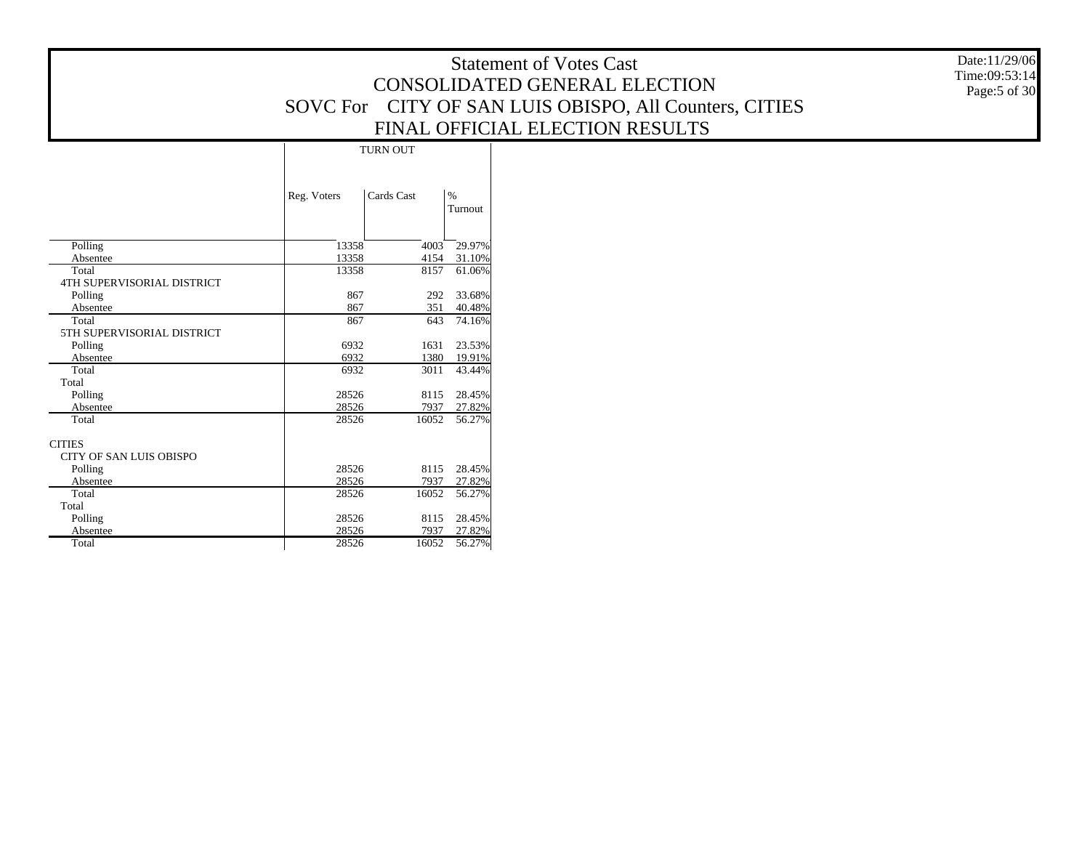Date:11/29/06 Time:09:53:14 Page:5 of 30

|                                                 | <b>TURN OUT</b> |            |                  |  |  |  |  |  |
|-------------------------------------------------|-----------------|------------|------------------|--|--|--|--|--|
|                                                 | Reg. Voters     | Cards Cast | $\%$<br>Turnout  |  |  |  |  |  |
| Polling                                         | 13358           | 4003       | 29.97%           |  |  |  |  |  |
| Absentee                                        | 13358           | 4154       | 31.10%           |  |  |  |  |  |
| Total<br><b>4TH SUPERVISORIAL DISTRICT</b>      | 13358           | 8157       | 61.06%           |  |  |  |  |  |
| Polling<br>Absentee                             | 867<br>867      | 292<br>351 | 33.68%<br>40.48% |  |  |  |  |  |
| Total<br>5TH SUPERVISORIAL DISTRICT             | 867             | 643        | 74.16%           |  |  |  |  |  |
| Polling                                         | 6932            | 1631       | 23.53%           |  |  |  |  |  |
| Absentee                                        | 6932            | 1380       | 19.91%           |  |  |  |  |  |
| Total<br>Total                                  | 6932            | 3011       | 43.44%           |  |  |  |  |  |
| Polling                                         | 28526           | 8115       | 28.45%           |  |  |  |  |  |
| Absentee                                        | 28526           | 7937       | 27.82%           |  |  |  |  |  |
| Total                                           | 28526           | 16052      | 56.27%           |  |  |  |  |  |
| <b>CITIES</b><br><b>CITY OF SAN LUIS OBISPO</b> |                 |            |                  |  |  |  |  |  |
| Polling                                         | 28526           | 8115       | 28.45%           |  |  |  |  |  |
| Absentee                                        | 28526           | 7937       | 27.82%           |  |  |  |  |  |
| Total                                           | 28526           | 16052      | 56.27%           |  |  |  |  |  |
| Total                                           |                 |            |                  |  |  |  |  |  |
| Polling                                         | 28526           | 8115       | 28.45%           |  |  |  |  |  |
| Absentee                                        | 28526           | 7937       | 27.82%           |  |  |  |  |  |
| Total                                           | 28526           | 16052      | 56.27%           |  |  |  |  |  |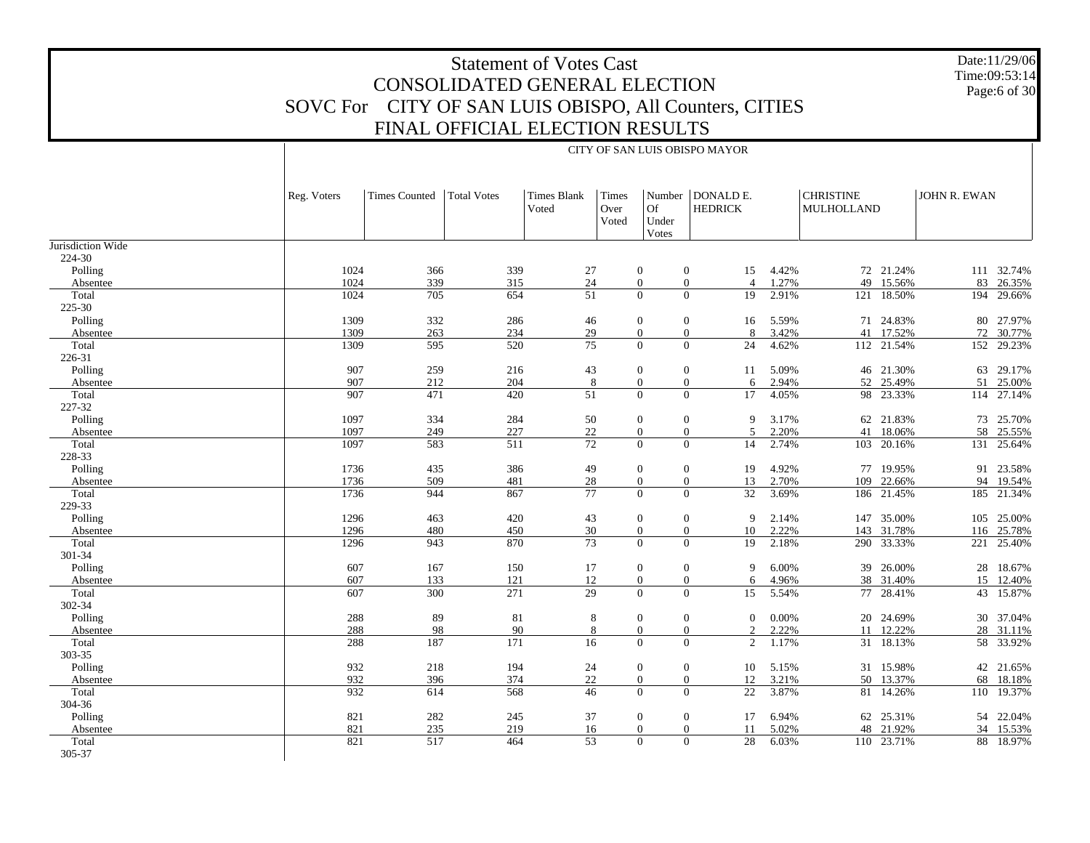Date:11/29/06 Time:09:53:14Page:6 of 30

|                   |             | CITY OF SAN LUIS OBISPO MAYOR |                    |                             |                        |                      |                                      |       |                                |            |              |            |  |  |  |
|-------------------|-------------|-------------------------------|--------------------|-----------------------------|------------------------|----------------------|--------------------------------------|-------|--------------------------------|------------|--------------|------------|--|--|--|
|                   | Reg. Voters | <b>Times Counted</b>          | <b>Total Votes</b> | <b>Times Blank</b><br>Voted | Times<br>Over<br>Voted | Of<br>Under<br>Votes | Number   DONALD E.<br><b>HEDRICK</b> |       | <b>CHRISTINE</b><br>MULHOLLAND |            | JOHN R. EWAN |            |  |  |  |
| Jurisdiction Wide |             |                               |                    |                             |                        |                      |                                      |       |                                |            |              |            |  |  |  |
| 224-30            |             |                               |                    |                             |                        |                      |                                      |       |                                |            |              |            |  |  |  |
| Polling           | 1024        | 366                           | 339                | 27                          |                        | $\mathbf{0}$         | $\mathbf{0}$<br>15                   | 4.42% |                                | 72 21.24%  |              | 111 32.74% |  |  |  |
| Absentee          | 1024        | 339                           | 315                | 24                          |                        | $\boldsymbol{0}$     | $\mathbf{0}$<br>$\overline{4}$       | 1.27% |                                | 49 15.56%  |              | 83 26.35%  |  |  |  |
| Total             | 1024        | 705                           | 654                | 51                          |                        | $\Omega$             | $\Omega$<br>19                       | 2.91% |                                | 121 18.50% |              | 194 29.66% |  |  |  |
| 225-30            |             |                               |                    |                             |                        |                      |                                      |       |                                |            |              |            |  |  |  |
| Polling           | 1309        | 332                           | 286                | 46                          |                        | $\mathbf{0}$         | $\mathbf{0}$<br>16                   | 5.59% |                                | 71 24.83%  |              | 80 27.97%  |  |  |  |
| Absentee          | 1309        | 263                           | 234                | 29                          |                        | $\boldsymbol{0}$     | $\mathbf{0}$<br>8                    | 3.42% |                                | 41 17.52%  |              | 72 30.77%  |  |  |  |
| Total             | 1309        | 595                           | 520                | 75                          |                        | $\Omega$             | $\overline{0}$<br>24                 | 4.62% |                                | 112 21.54% |              | 152 29.23% |  |  |  |
| 226-31            |             |                               |                    |                             |                        |                      |                                      |       |                                |            |              |            |  |  |  |
| Polling           | 907         | 259                           | 216                | 43                          |                        | $\boldsymbol{0}$     | $\mathbf{0}$<br>11                   | 5.09% |                                | 46 21.30%  |              | 63 29.17%  |  |  |  |
| Absentee          | 907         | 212                           | 204                | 8                           |                        | $\mathbf{0}$         | $\boldsymbol{0}$<br>6                | 2.94% |                                | 52 25.49%  | 51           | 25.00%     |  |  |  |
| Total             | 907         | 471                           | 420                | $\overline{51}$             |                        | $\Omega$             | $\Omega$<br>17                       | 4.05% |                                | 98 23.33%  |              | 114 27.14% |  |  |  |
| 227-32            |             |                               |                    |                             |                        |                      |                                      |       |                                |            |              |            |  |  |  |
| Polling           | 1097        | 334                           | 284                | 50                          |                        | $\mathbf{0}$         | $\mathbf{0}$<br>9                    | 3.17% |                                | 62 21.83%  |              | 73 25.70%  |  |  |  |
| Absentee          | 1097        | 249                           | 227                | $22\,$                      |                        | $\boldsymbol{0}$     | $\mathbf{0}$<br>5                    | 2.20% | 41                             | 18.06%     |              | 58 25.55%  |  |  |  |
| Total             | 1097        | 583                           | 511                | $\overline{72}$             |                        | $\Omega$             | $\overline{0}$<br>14                 | 2.74% |                                | 103 20.16% |              | 131 25.64% |  |  |  |
| 228-33            |             |                               |                    |                             |                        |                      |                                      |       |                                |            |              |            |  |  |  |
| Polling           | 1736        | 435                           | 386                | 49                          |                        | $\mathbf{0}$         | $\mathbf{0}$<br>19                   | 4.92% |                                | 77 19.95%  |              | 91 23.58%  |  |  |  |
| Absentee          | 1736        | 509                           | 481                | 28                          |                        | $\boldsymbol{0}$     | $\mathbf{0}$<br>13                   | 2.70% | 109                            | 22.66%     |              | 94 19.54%  |  |  |  |
| Total             | 1736        | 944                           | 867                | 77                          |                        | $\Omega$             | $\mathbf{0}$<br>32                   | 3.69% |                                | 186 21.45% |              | 185 21.34% |  |  |  |
| 229-33            |             |                               |                    |                             |                        |                      |                                      |       |                                |            |              |            |  |  |  |
| Polling           | 1296        | 463                           | 420                | 43                          |                        | $\overline{0}$       | $\mathbf{0}$<br>9                    | 2.14% |                                | 147 35.00% |              | 105 25.00% |  |  |  |
| Absentee          | 1296        | 480                           | 450                | 30                          |                        | $\overline{0}$       | $\overline{0}$<br>10                 | 2.22% |                                | 143 31.78% |              | 116 25.78% |  |  |  |
| Total             | 1296        | 943                           | 870                | $\overline{73}$             |                        | $\Omega$             | $\Omega$<br>19                       | 2.18% |                                | 290 33.33% | 221          | 25.40%     |  |  |  |
| 301-34            |             |                               |                    |                             |                        |                      |                                      |       |                                |            |              |            |  |  |  |
| Polling           | 607         | 167                           | 150                | 17                          |                        | $\mathbf{0}$         | $\mathbf{0}$<br>9                    | 6.00% |                                | 39 26.00%  |              | 28 18.67%  |  |  |  |
| Absentee          | 607         | 133                           | 121                | 12                          |                        | $\boldsymbol{0}$     | $\mathbf{0}$<br>6                    | 4.96% |                                | 38 31.40%  |              | 15 12.40%  |  |  |  |
| Total             | 607         | 300                           | 271                | $\overline{29}$             |                        | $\Omega$             | $\mathbf{0}$<br>15                   | 5.54% |                                | 77 28.41%  |              | 43 15.87%  |  |  |  |
| 302-34            |             |                               |                    |                             |                        |                      |                                      |       |                                |            |              |            |  |  |  |
| Polling           | 288         | 89                            | 81                 | 8                           |                        | $\mathbf{0}$         | $\boldsymbol{0}$<br>$\mathbf{0}$     | 0.00% |                                | 20 24.69%  |              | 30 37.04%  |  |  |  |
| Absentee          | 288         | 98                            | 90                 | 8                           |                        | $\boldsymbol{0}$     | $\boldsymbol{0}$<br>$\overline{2}$   | 2.22% | 11                             | 12.22%     |              | 28 31.11%  |  |  |  |
| Total             | 288         | 187                           | 171                | 16                          |                        | $\Omega$             | $\Omega$<br>2                        | 1.17% |                                | 31 18.13%  |              | 58 33.92%  |  |  |  |
| 303-35            |             |                               |                    |                             |                        |                      |                                      |       |                                |            |              |            |  |  |  |
| Polling           | 932         | 218                           | 194                | 24                          |                        | $\mathbf{0}$         | $\mathbf{0}$<br>10                   | 5.15% |                                | 31 15.98%  |              | 42 21.65%  |  |  |  |
| Absentee          | 932         | 396                           | 374                | 22                          |                        | $\boldsymbol{0}$     | $\boldsymbol{0}$<br>12               | 3.21% |                                | 50 13.37%  |              | 68 18.18%  |  |  |  |
| Total             | 932         | 614                           | 568                | 46                          |                        | $\Omega$             | $\overline{0}$<br>22                 | 3.87% |                                | 81 14.26%  |              | 110 19.37% |  |  |  |
| 304-36            |             |                               |                    |                             |                        |                      |                                      |       |                                |            |              |            |  |  |  |
| Polling           | 821         | 282                           | 245                | 37                          |                        | $\mathbf{0}$         | $\overline{0}$<br>17                 | 6.94% |                                | 62 25.31%  |              | 54 22.04%  |  |  |  |
| Absentee          | 821         | 235                           | 219                | 16                          |                        | $\boldsymbol{0}$     | $\boldsymbol{0}$<br>11               | 5.02% |                                | 48 21.92%  |              | 34 15.53%  |  |  |  |
| Total<br>305-37   | 821         | 517                           | 464                | 53                          |                        | $\Omega$             | $\mathbf{0}$<br>28                   | 6.03% |                                | 110 23.71% | 88           | 18.97%     |  |  |  |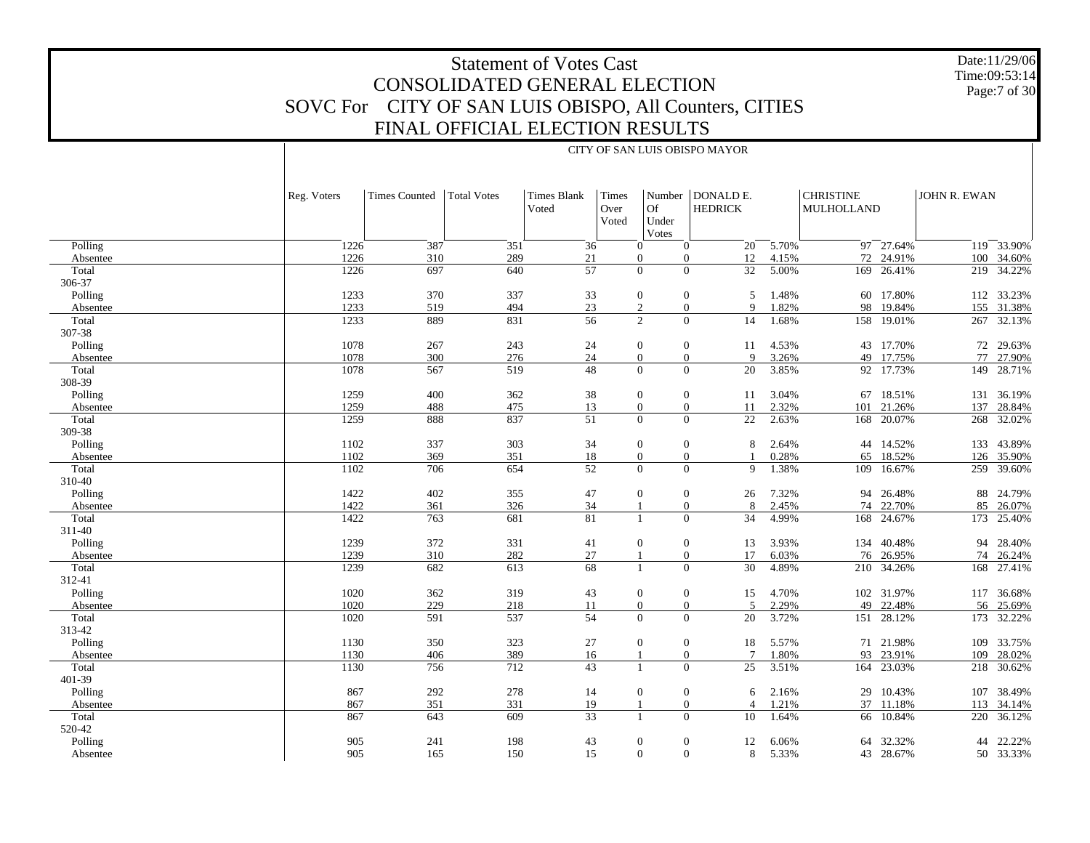#### Date:11/29/06 Time:09:53:14 Page:7 of 30

# Statement of Votes Cast CONSOLIDATED GENERAL ELECTION SOVC For CITY OF SAN LUIS OBISPO, All Counters, CITIES FINAL OFFICIAL ELECTION RESULTS

CITY OF SAN LUIS OBISPO MAYOR

|                   | Reg. Voters  | <b>Times Counted</b> | <b>Total Votes</b> | <b>Times Blank</b> | Times         |                                              | Number   DONALD E. |                | <b>CHRISTINE</b>           | JOHN R. EWAN |                  |
|-------------------|--------------|----------------------|--------------------|--------------------|---------------|----------------------------------------------|--------------------|----------------|----------------------------|--------------|------------------|
|                   |              |                      |                    | Voted              | Over<br>Voted | Of<br>Under<br>Votes                         | <b>HEDRICK</b>     |                | MULHOLLAND                 |              |                  |
| Polling           | 1226         | 387                  | 351                | 36                 |               | $\theta$<br>$\overline{0}$                   | $20^{-}$           | 5.70%          | 97 27.64%                  |              | 119 33.90%       |
| Absentee          | 1226         | 310                  | 289                | 21                 |               | $\mathbf{0}$<br>$\mathbf{0}$                 | 12                 | 4.15%          | 72 24.91%                  | 100          | 34.60%           |
| Total             | 1226         | 697                  | 640                | $\overline{57}$    |               | $\Omega$<br>$\Omega$                         | 32                 | 5.00%          | 26.41%<br>169              | 219          | 34.22%           |
| 306-37            |              |                      |                    |                    |               |                                              |                    |                |                            |              |                  |
| Polling           | 1233         | 370                  | 337                | 33                 |               | $\boldsymbol{0}$<br>$\mathbf{0}$             | 5                  | 1.48%          | 60 17.80%                  |              | 112 33.23%       |
| Absentee          | 1233         | 519                  | 494                | 23                 |               | $\overline{c}$<br>$\mathbf{0}$               | $\mathbf Q$        | 1.82%          | 98<br>19.84%               | 155          | 31.38%           |
| Total             | 1233         | 889                  | 831                | 56                 |               | 2<br>$\overline{0}$                          | 14                 | 1.68%          | 158 19.01%                 | 267          | 32.13%           |
| 307-38            |              |                      |                    |                    |               |                                              |                    |                |                            |              |                  |
| Polling           | 1078         | 267                  | 243                | 24                 |               | $\boldsymbol{0}$<br>$\boldsymbol{0}$         | 11                 | 4.53%          | 43 17.70%                  |              | 72 29.63%        |
| Absentee          | 1078         | 300                  | 276                | 24                 |               | $\overline{0}$<br>$\overline{0}$             | $\mathbf Q$        | 3.26%          | 17.75%<br>49               | 77           | 27.90%           |
| Total             | 1078         | 567                  | 519                | 48                 |               | $\Omega$<br>$\overline{0}$                   | 20                 | 3.85%          | 92 17.73%                  |              | 149 28.71%       |
| 308-39            |              |                      |                    |                    |               |                                              |                    |                |                            |              |                  |
| Polling           | 1259         | 400                  | 362                | 38                 |               | $\mathbf{0}$<br>$\boldsymbol{0}$             | 11                 | 3.04%          | 67<br>18.51%               | 131          | 36.19%           |
| Absentee          | 1259         | 488                  | 475                | 13                 |               | $\Omega$<br>$\boldsymbol{0}$                 | 11                 | 2.32%          | 21.26%<br>101              | 137          | 28.84%           |
| Total             | 1259         | 888                  | 837                | 51                 |               | $\theta$<br>$\Omega$                         | $\overline{22}$    | 2.63%          | 168<br>20.07%              | 268          | 32.02%           |
| 309-38            |              |                      |                    |                    |               |                                              |                    |                |                            |              |                  |
| Polling           | 1102         | 337                  | 303                | 34                 |               | $\mathbf{0}$<br>$\boldsymbol{0}$             | 8                  | 2.64%          | 44 14.52%                  | 133          | 43.89%           |
| Absentee          | 1102         | 369                  | 351                | 18                 |               | $\overline{0}$<br>$\mathbf{0}$               |                    | 0.28%          | 65<br>18.52%               | 126          | 35.90%           |
| Total             | 1102         | 706                  | 654                | $\overline{52}$    |               | $\Omega$<br>$\overline{0}$                   | 9                  | 1.38%          | 16.67%<br>109              |              | 259 39.60%       |
| 310-40            |              |                      |                    |                    |               |                                              |                    |                |                            |              |                  |
| Polling           | 1422<br>1422 | 402<br>361           | 355                | 47<br>34           |               | $\boldsymbol{0}$<br>$\theta$<br>$\mathbf{0}$ | 26                 | 7.32%          | 94 26.48%                  | 85           | 88 24.79%        |
| Absentee<br>Total | 1422         | 763                  | 326<br>681         | 81                 |               | $\Omega$                                     | 8<br>34            | 2.45%<br>4.99% | 74 22.70%<br>168<br>24.67% | 173          | 26.07%<br>25.40% |
| 311-40            |              |                      |                    |                    |               |                                              |                    |                |                            |              |                  |
| Polling           | 1239         | 372                  | 331                | 41                 |               | $\mathbf{0}$<br>$\theta$                     | 13                 | 3.93%          | 134 40.48%                 | 94           | 28.40%           |
| Absentee          | 1239         | 310                  | 282                | 27                 |               | $\boldsymbol{0}$                             | 17                 | 6.03%          | 76<br>26.95%               | 74           | 26.24%           |
| Total             | 1239         | 682                  | 613                | 68                 |               | $\overline{0}$                               | 30                 | 4.89%          | 210<br>34.26%              | 168          | 27.41%           |
| 312-41            |              |                      |                    |                    |               |                                              |                    |                |                            |              |                  |
| Polling           | 1020         | 362                  | 319                | 43                 |               | $\boldsymbol{0}$<br>$\boldsymbol{0}$         | 15                 | 4.70%          | 102 31.97%                 |              | 117 36.68%       |
| Absentee          | 1020         | 229                  | 218                | 11                 |               | $\overline{0}$<br>$\theta$                   | 5                  | 2.29%          | 49<br>22.48%               | 56           | 25.69%           |
| Total             | 1020         | 591                  | 537                | 54                 |               | $\Omega$<br>$\overline{0}$                   | 20                 | 3.72%          | 151 28.12%                 |              | 173 32.22%       |
| 313-42            |              |                      |                    |                    |               |                                              |                    |                |                            |              |                  |
| Polling           | 1130         | 350                  | 323                | 27                 |               | $\mathbf{0}$<br>$\theta$                     | 18                 | 5.57%          | 71 21.98%                  |              | 109 33.75%       |
| Absentee          | 1130         | 406                  | 389                | 16                 |               | $\boldsymbol{0}$                             | $\tau$             | 1.80%          | 93 23.91%                  | 109          | 28.02%           |
| Total             | 1130         | 756                  | 712                | 43                 |               | $\Omega$<br>$\mathbf{1}$                     | 25                 | 3.51%          | 164 23.03%                 | 218          | 30.62%           |
| 401-39            |              |                      |                    |                    |               |                                              |                    |                |                            |              |                  |
| Polling           | 867          | 292                  | 278                | 14                 |               | $\theta$<br>$\mathbf{0}$                     | 6                  | 2.16%          | 10.43%<br>29               | 107          | 38.49%           |
| Absentee          | 867          | 351                  | 331                | 19                 |               | $\boldsymbol{0}$                             | $\overline{4}$     | 1.21%          | 37<br>11.18%               | 113          | 34.14%           |
| Total             | 867          | 643                  | 609                | 33                 |               | $\Omega$                                     | 10                 | 1.64%          | 66<br>10.84%               | 220          | 36.12%           |
| 520-42            |              |                      |                    |                    |               |                                              |                    |                |                            |              |                  |
| Polling           | 905          | 241                  | 198                | 43                 |               | $\overline{0}$<br>$\boldsymbol{0}$           | 12                 | 6.06%          | 32.32%<br>64               | 44           | 22.22%           |
| Absentee          | 905          | 165                  | 150                | 15                 |               | $\overline{0}$<br>$\Omega$                   | 8                  | 5.33%          | 43 28.67%                  |              | 50 33.33%        |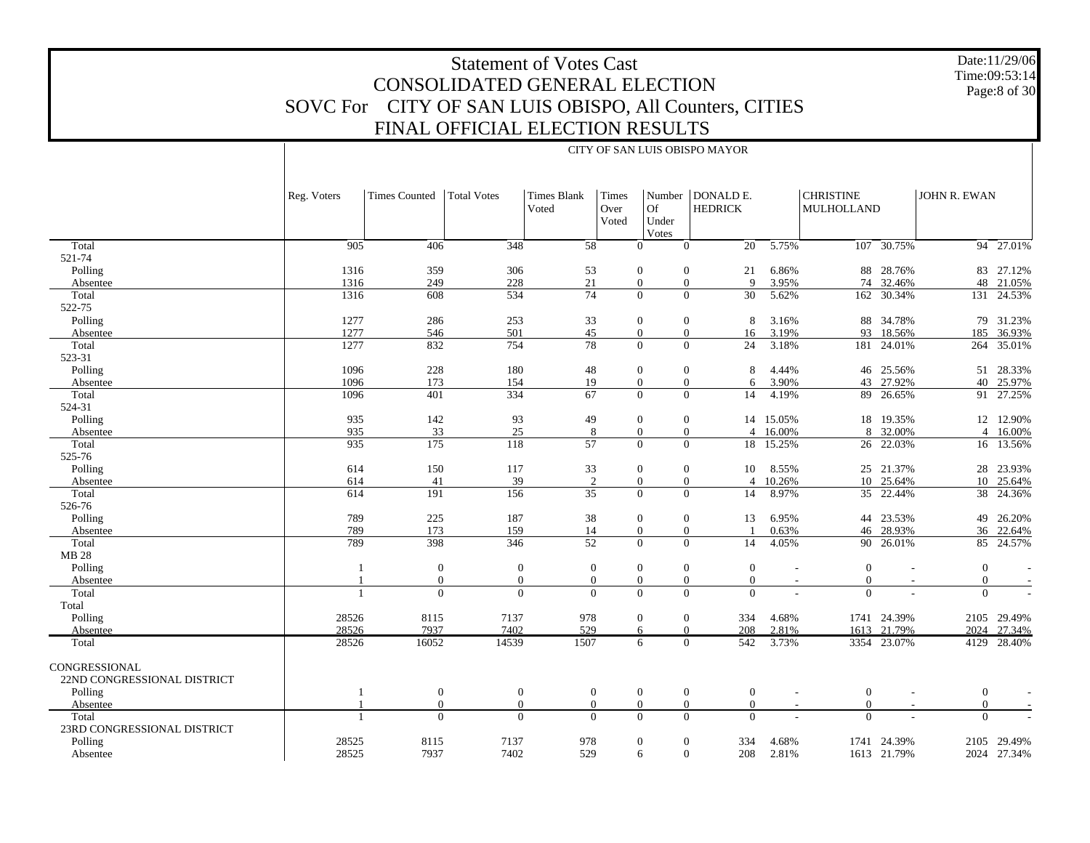#### Date:11/29/06 Time:09:53:14 Page:8 of 30

# Statement of Votes Cast CONSOLIDATED GENERAL ELECTION SOVC For CITY OF SAN LUIS OBISPO, All Counters, CITIES FINAL OFFICIAL ELECTION RESULTS

|                                                                |                |                      |                    |                             |                        |                                  | CITY OF SAN LUIS OBISPO MAYOR        |                |                                |                     |                     |                          |
|----------------------------------------------------------------|----------------|----------------------|--------------------|-----------------------------|------------------------|----------------------------------|--------------------------------------|----------------|--------------------------------|---------------------|---------------------|--------------------------|
|                                                                | Reg. Voters    | <b>Times Counted</b> | <b>Total Votes</b> | <b>Times Blank</b><br>Voted | Times<br>Over<br>Voted | Of<br>Under<br>Votes             | Number   DONALD E.<br><b>HEDRICK</b> |                | <b>CHRISTINE</b><br>MULHOLLAND |                     | <b>JOHN R. EWAN</b> |                          |
| Total                                                          | 905            | 406                  | 348                | 58                          |                        | $\Omega$                         | 20<br>$\theta$                       | 5.75%          |                                | $107 - 30.75\%$     |                     | $94 - 27.01%$            |
| 521-74                                                         |                |                      |                    |                             |                        |                                  |                                      |                |                                |                     |                     |                          |
| Polling                                                        | 1316           | 359                  | 306                | 53                          |                        | $\boldsymbol{0}$                 | 21<br>$\mathbf{0}$                   | 6.86%          | 88                             | 28.76%              |                     | 83 27.12%                |
| Absentee                                                       | 1316           | 249                  | 228                | 21                          |                        | $\boldsymbol{0}$                 | $\overline{9}$<br>$\mathbf{0}$       | 3.95%          | 74                             | 32.46%              |                     | 48 21.05%                |
| Total                                                          | 1316           | 608                  | 534                | 74                          |                        | $\Omega$                         | $\Omega$<br>30                       | 5.62%          |                                | 162 30.34%          |                     | 131 24.53%               |
| 522-75                                                         |                |                      |                    |                             |                        |                                  |                                      |                |                                |                     |                     |                          |
| Polling                                                        | 1277           | 286                  | 253                | 33                          |                        | $\boldsymbol{0}$                 | $\boldsymbol{0}$<br>8                | 3.16%          | 88                             | 34.78%              |                     | 79 31.23%                |
| Absentee                                                       | 1277           | 546                  | 501                | 45                          |                        | $\mathbf{0}$                     | $\mathbf{0}$<br>16                   | 3.19%          | 93                             | 18.56%              | 185                 | 36.93%                   |
| Total                                                          | 1277           | 832                  | 754                | $\overline{78}$             |                        | $\Omega$                         | $\mathbf{0}$<br>24                   | 3.18%          | 181                            | 24.01%              |                     | 264 35.01%               |
| 523-31                                                         |                |                      |                    |                             |                        |                                  |                                      |                |                                |                     |                     |                          |
| Polling                                                        | 1096           | 228                  | 180                | 48                          |                        | $\mathbf{0}$                     | $\mathbf{0}$<br>8                    | 4.44%          |                                | 46 25.56%           | 51                  | 28.33%                   |
| Absentee                                                       | 1096           | 173                  | 154                | 19                          |                        | $\boldsymbol{0}$                 | $\boldsymbol{0}$<br>6                | 3.90%          |                                | 43 27.92%           | 40                  | 25.97%                   |
| Total                                                          | 1096           | 401                  | 334                | 67                          |                        | $\Omega$                         | $\theta$<br>14                       | 4.19%          | 89                             | 26.65%              |                     | 91 27.25%                |
| 524-31                                                         |                |                      |                    |                             |                        |                                  |                                      |                |                                |                     |                     |                          |
| Polling                                                        | 935            | 142                  | 93                 | 49                          |                        | $\mathbf{0}$                     | $\mathbf{0}$<br>14                   | 15.05%         |                                | 18 19.35%           |                     | 12 12.90%                |
| Absentee                                                       | 935            | 33                   | 25                 | 8                           |                        | $\mathbf{0}$                     | $\mathbf{0}$<br>$\overline{4}$       | 16.00%         |                                | 8 32.00%            |                     | $\overline{4}$<br>16.00% |
| Total                                                          | 935            | 175                  | 118                | $\overline{57}$             |                        | $\overline{0}$                   | $\mathbf{0}$<br>18                   | 15.25%         | 26                             | 22.03%              | 16                  | 13.56%                   |
| 525-76                                                         |                |                      |                    |                             |                        |                                  |                                      |                |                                |                     |                     |                          |
| Polling                                                        | 614            | 150                  | 117                | 33                          |                        | $\mathbf{0}$                     | $\mathbf{0}$<br>10                   | 8.55%          |                                | 25 21.37%           | 28                  | 23.93%                   |
| Absentee                                                       | 614            | 41                   | 39                 | 2                           |                        | $\mathbf{0}$<br>$\Omega$         | $\theta$<br>$\overline{4}$           | 10.26%         |                                | 10 25.64%           | 10                  | 25.64%                   |
| Total                                                          | 614            | 191                  | 156                | 35                          |                        |                                  | $\Omega$<br>14                       | 8.97%          |                                | 35 22.44%           | 38                  | 24.36%                   |
| 526-76                                                         |                |                      |                    |                             |                        |                                  |                                      |                |                                |                     |                     |                          |
| Polling                                                        | 789<br>789     | 225<br>173           | 187<br>159         | 38<br>14                    |                        | $\mathbf{0}$<br>$\boldsymbol{0}$ | $\mathbf{0}$<br>13<br>$\mathbf{0}$   | 6.95%<br>0.63% | 46                             | 44 23.53%<br>28.93% | 49                  | 26.20%<br>36 22.64%      |
| Absentee<br>Total                                              | 789            | 398                  | 346                | 52                          |                        | $\Omega$                         | $\Omega$<br>14                       | 4.05%          | 90                             | 26.01%              |                     | 85 24.57%                |
| <b>MB 28</b>                                                   |                |                      |                    |                             |                        |                                  |                                      |                |                                |                     |                     |                          |
| Polling                                                        | $\overline{1}$ | $\mathbf{0}$         | $\boldsymbol{0}$   | $\boldsymbol{0}$            |                        | $\boldsymbol{0}$                 | $\boldsymbol{0}$<br>$\theta$         |                | $\boldsymbol{0}$               |                     | $\mathbf{0}$        |                          |
| Absentee                                                       |                | $\overline{0}$       | $\mathbf{0}$       | $\mathbf{0}$                |                        | $\mathbf{0}$                     | $\mathbf{0}$<br>$\overline{0}$       |                | $\overline{0}$                 |                     | $\mathbf{0}$        |                          |
| Total                                                          |                | $\theta$             | $\Omega$           | $\Omega$                    |                        | $\Omega$                         | $\Omega$<br>$\Omega$                 |                | $\Omega$                       |                     | $\Omega$            |                          |
| Total                                                          |                |                      |                    |                             |                        |                                  |                                      |                |                                |                     |                     |                          |
| Polling                                                        | 28526          | 8115                 | 7137               | 978                         |                        | $\boldsymbol{0}$                 | $\mathbf{0}$<br>334                  | 4.68%          |                                | 1741 24.39%         |                     | 2105 29.49%              |
| Absentee                                                       | 28526          | 7937                 | 7402               | 529                         |                        | 6                                | $\Omega$<br>208                      | 2.81%          |                                | 1613 21.79%         |                     | 2024 27.34%              |
| Total                                                          | 28526          | 16052                | 14539              | 1507                        |                        | 6                                | 542<br>$\Omega$                      | 3.73%          |                                | 3354 23.07%         | 4129                | 28.40%                   |
| <b>CONGRESSIONAL</b><br>22ND CONGRESSIONAL DISTRICT<br>Polling | 1              | $\mathbf{0}$         | $\mathbf{0}$       | $\overline{0}$              |                        | $\mathbf{0}$                     | $\boldsymbol{0}$<br>$\mathbf{0}$     |                | $\mathbf{0}$<br>$\sim$         |                     | $\mathbf{0}$        |                          |
| Absentee                                                       |                | $\theta$             | $\mathbf{0}$       | $\mathbf{0}$                |                        | $\mathbf{0}$<br>$\theta$         | $\overline{0}$                       |                | $\overline{0}$                 |                     | $\overline{0}$      |                          |
| Total                                                          |                | $\Omega$             | $\mathbf{0}$       | $\Omega$                    |                        | $\Omega$                         | $\Omega$<br>$\theta$                 |                | $\overline{0}$                 |                     | $\theta$            |                          |
| 23RD CONGRESSIONAL DISTRICT                                    |                |                      |                    |                             |                        |                                  |                                      |                |                                |                     |                     |                          |
| Polling                                                        | 28525          | 8115                 | 7137               | 978                         |                        | $\mathbf{0}$                     | $\mathbf{0}$<br>334                  | 4.68%          | 1741                           | 24.39%              |                     | 2105 29.49%              |
| Absentee                                                       | 28525          | 7937                 | 7402               | 529                         |                        | 6                                | $\theta$<br>208                      | 2.81%          |                                | 1613 21.79%         |                     | 2024 27.34%              |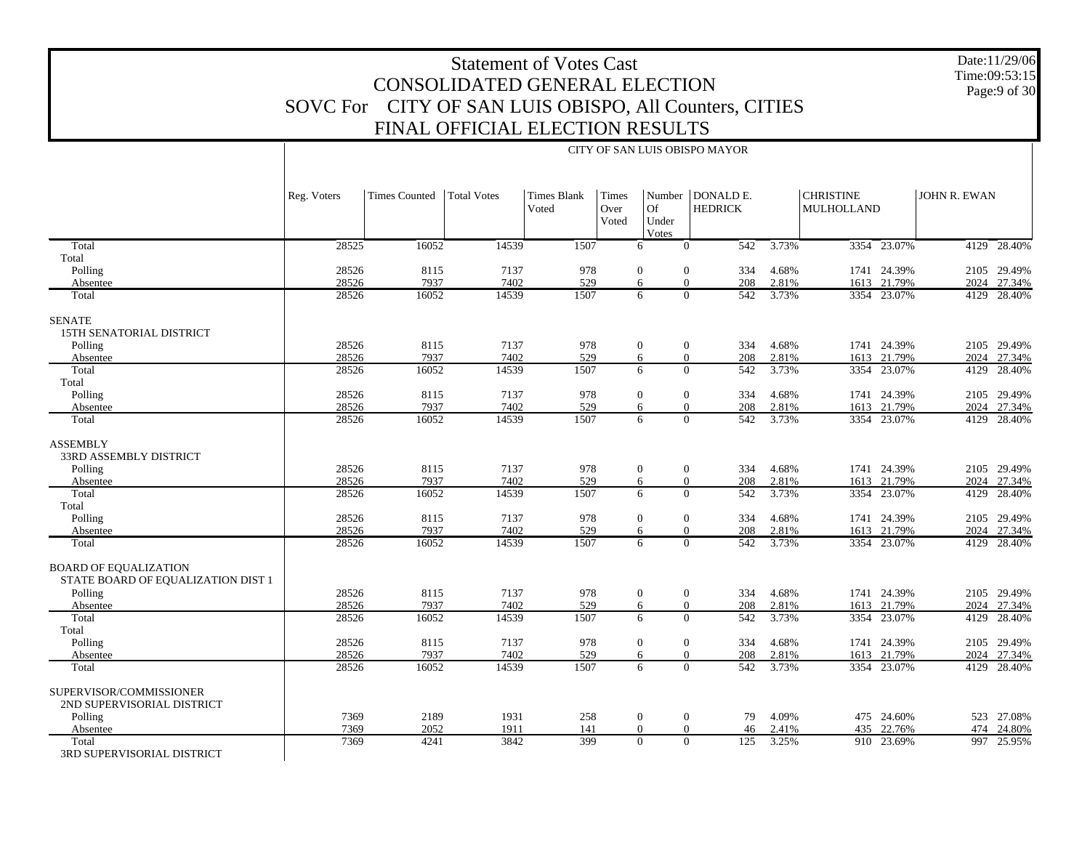Date:11/29/06 Time:09:53:15 Page:9 of 30

|                                                                                                           |                                           |                                       |                                       |                                  |                        |                                                   | CITY OF SAN LUIS OBISPO MAYOR                                                                                       |                                           |                                |                                                                         |              |                                                                    |
|-----------------------------------------------------------------------------------------------------------|-------------------------------------------|---------------------------------------|---------------------------------------|----------------------------------|------------------------|---------------------------------------------------|---------------------------------------------------------------------------------------------------------------------|-------------------------------------------|--------------------------------|-------------------------------------------------------------------------|--------------|--------------------------------------------------------------------|
|                                                                                                           | Reg. Voters                               | <b>Times Counted</b>                  | <b>Total Votes</b>                    | <b>Times Blank</b><br>Voted      | Times<br>Over<br>Voted | <b>Of</b><br>Under<br>Votes                       | Number   DONALD E.<br><b>HEDRICK</b>                                                                                |                                           | <b>CHRISTINE</b><br>MULHOLLAND |                                                                         | JOHN R. EWAN |                                                                    |
| Total                                                                                                     | 28525                                     | 16052                                 | 14539                                 | 1507                             |                        | 6                                                 | 542<br>$\mathbf{0}$                                                                                                 | 3.73%                                     |                                | 3354 23.07%                                                             |              | 4129 28.40%                                                        |
| Total                                                                                                     |                                           |                                       |                                       |                                  |                        |                                                   |                                                                                                                     |                                           |                                |                                                                         |              |                                                                    |
| Polling                                                                                                   | 28526                                     | 8115                                  | 7137                                  | 978                              |                        | $\mathbf{0}$                                      | $\overline{0}$<br>334                                                                                               | 4.68%                                     |                                | 1741 24.39%                                                             |              | 2105 29.49%                                                        |
| Absentee                                                                                                  | 28526                                     | 7937                                  | 7402                                  | 529                              |                        | 6                                                 | $\Omega$<br>208                                                                                                     | 2.81%                                     |                                | 1613 21.79%                                                             |              | 2024 27.34%                                                        |
| Total                                                                                                     | 28526                                     | 16052                                 | 14539                                 | 1507                             |                        | 6                                                 | 542<br>$\Omega$                                                                                                     | 3.73%                                     |                                | 3354 23.07%                                                             |              | 4129 28.40%                                                        |
| <b>SENATE</b><br>15TH SENATORIAL DISTRICT                                                                 |                                           |                                       |                                       |                                  |                        |                                                   |                                                                                                                     |                                           |                                |                                                                         |              |                                                                    |
| Polling                                                                                                   | 28526                                     | 8115                                  | 7137                                  | 978                              |                        | $\boldsymbol{0}$                                  | $\boldsymbol{0}$<br>334                                                                                             | 4.68%                                     |                                | 1741 24.39%                                                             |              | 2105 29.49%                                                        |
| Absentee                                                                                                  | 28526                                     | 7937                                  | 7402                                  | 529                              |                        | 6                                                 | $\mathbf{0}$<br>208                                                                                                 | 2.81%                                     |                                | 1613 21.79%                                                             |              | 2024 27.34%                                                        |
| Total                                                                                                     | 28526                                     | 16052                                 | 14539                                 | 1507                             |                        | 6                                                 | $\Omega$<br>542                                                                                                     | 3.73%                                     |                                | 3354 23.07%                                                             |              | 4129 28.40%                                                        |
| Total                                                                                                     |                                           |                                       |                                       |                                  |                        |                                                   |                                                                                                                     |                                           |                                |                                                                         |              |                                                                    |
| Polling                                                                                                   | 28526                                     | 8115                                  | 7137                                  | 978                              |                        | $\overline{0}$                                    | $\mathbf{0}$<br>334                                                                                                 | 4.68%                                     |                                | 1741 24.39%                                                             |              | 2105 29.49%                                                        |
| Absentee<br>Total                                                                                         | 28526<br>28526                            | 7937<br>16052                         | 7402<br>14539                         | 529<br>1507                      |                        | 6<br>6                                            | $\Omega$<br>208<br>542<br>$\Omega$                                                                                  | 2.81%<br>3.73%                            |                                | 1613 21.79%<br>3354 23.07%                                              |              | 2024 27.34%<br>4129 28.40%                                         |
| <b>ASSEMBLY</b><br>33RD ASSEMBLY DISTRICT<br>Polling<br>Absentee<br>Total<br>Total<br>Polling<br>Absentee | 28526<br>28526<br>28526<br>28526<br>28526 | 8115<br>7937<br>16052<br>8115<br>7937 | 7137<br>7402<br>14539<br>7137<br>7402 | 978<br>529<br>1507<br>978<br>529 |                        | $\boldsymbol{0}$<br>6<br>6<br>$\overline{0}$<br>6 | $\boldsymbol{0}$<br>334<br>$\mathbf{0}$<br>208<br>$\mathbf{0}$<br>542<br>$\mathbf{0}$<br>334<br>$\mathbf{0}$<br>208 | 4.68%<br>2.81%<br>3.73%<br>4.68%<br>2.81% |                                | 1741 24.39%<br>1613 21.79%<br>3354 23.07%<br>1741 24.39%<br>1613 21.79% | 2024         | 2105 29.49%<br>27.34%<br>4129 28.40%<br>2105 29.49%<br>2024 27.34% |
| Total                                                                                                     | 28526                                     | 16052                                 | 14539                                 | 1507                             |                        | 6                                                 | $\Omega$<br>542                                                                                                     | 3.73%                                     |                                | 3354 23.07%                                                             |              | 4129 28.40%                                                        |
| <b>BOARD OF EQUALIZATION</b><br>STATE BOARD OF EQUALIZATION DIST 1<br>Polling                             | 28526                                     | 8115                                  | 7137                                  | 978                              |                        | $\boldsymbol{0}$                                  | $\boldsymbol{0}$<br>334                                                                                             | 4.68%                                     |                                | 1741 24.39%                                                             |              | 2105 29.49%                                                        |
| Absentee                                                                                                  | 28526                                     | 7937                                  | 7402                                  | 529<br>1507                      |                        | 6<br>6                                            | $\mathbf{0}$<br>208                                                                                                 | 2.81%                                     |                                | 1613 21.79%                                                             |              | 2024 27.34%                                                        |
| Total<br>Total                                                                                            | 28526                                     | 16052                                 | 14539                                 |                                  |                        |                                                   | $\mathbf{0}$<br>542                                                                                                 | 3.73%                                     |                                | 3354 23.07%                                                             | 4129         | 28.40%                                                             |
| Polling                                                                                                   | 28526                                     | 8115                                  | 7137                                  | 978                              |                        | $\boldsymbol{0}$                                  | $\mathbf{0}$<br>334                                                                                                 | 4.68%                                     |                                | 1741 24.39%                                                             |              | 2105 29.49%                                                        |
| Absentee                                                                                                  | 28526                                     | 7937                                  | 7402                                  | 529                              |                        | 6                                                 | $\Omega$<br>208                                                                                                     | 2.81%                                     |                                | 1613 21.79%                                                             |              | 2024 27.34%                                                        |
| Total                                                                                                     | 28526                                     | 16052                                 | 14539                                 | 1507                             |                        | 6                                                 | $\Omega$<br>542                                                                                                     | 3.73%                                     |                                | 3354 23.07%                                                             | 4129         | 28.40%                                                             |
| SUPERVISOR/COMMISSIONER<br>2ND SUPERVISORIAL DISTRICT<br>Polling                                          | 7369                                      | 2189                                  | 1931                                  | 258                              |                        | $\boldsymbol{0}$                                  | $\overline{0}$<br>79                                                                                                | 4.09%                                     |                                | 475 24.60%                                                              |              | 523 27.08%                                                         |
| Absentee                                                                                                  | 7369                                      | 2052                                  | 1911                                  | 141                              |                        | $\boldsymbol{0}$                                  | $\mathbf{0}$<br>46                                                                                                  | 2.41%                                     |                                | 435 22.76%                                                              |              | 474 24.80%                                                         |
| Total                                                                                                     | 7369                                      | 4241                                  | 3842                                  | 399                              |                        | $\Omega$                                          | $\Omega$<br>125                                                                                                     | 3.25%                                     |                                | 910 23.69%                                                              |              | 997 25.95%                                                         |
| 3RD SUPERVISORIAL DISTRICT                                                                                |                                           |                                       |                                       |                                  |                        |                                                   |                                                                                                                     |                                           |                                |                                                                         |              |                                                                    |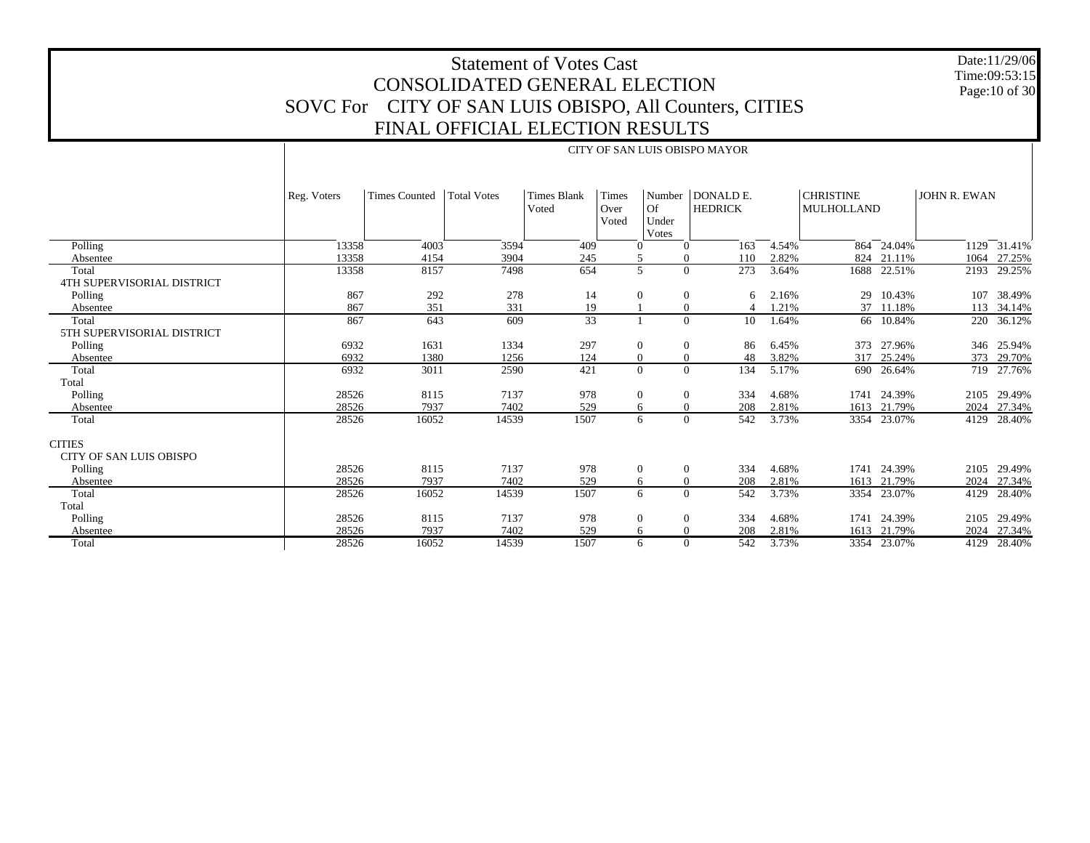Date:11/29/06 Time:09:53:15 Page:10 of 30

|                                                 |             |                      |             |                             |                               |                            | CITY OF SAN LUIS OBISPO MAYOR        |       |                                       |             |              |                  |
|-------------------------------------------------|-------------|----------------------|-------------|-----------------------------|-------------------------------|----------------------------|--------------------------------------|-------|---------------------------------------|-------------|--------------|------------------|
|                                                 | Reg. Voters | <b>Times Counted</b> | Total Votes | <b>Times Blank</b><br>Voted | <b>Times</b><br>Over<br>Voted | Of<br>Under<br>Votes       | Number   DONALD E.<br><b>HEDRICK</b> |       | <b>CHRISTINE</b><br><b>MULHOLLAND</b> |             | JOHN R. EWAN |                  |
| Polling                                         | 13358       | 4003                 | 3594        | 409                         | $\Omega$                      | $\mathbf{0}$               | 163                                  | 4.54% |                                       | 864 24.04%  |              | $1129 - 31.41\%$ |
| Absentee                                        | 13358       | 4154                 | 3904        | 245                         | 5                             | $\overline{0}$             | 110                                  | 2.82% |                                       | 824 21.11%  | 1064         | 27.25%           |
| Total                                           | 13358       | 8157                 | 7498        | 654                         |                               | 5<br>$\overline{0}$        | 273                                  | 3.64% | 1688                                  | 22.51%      | 2193         | 29.25%           |
| <b>4TH SUPERVISORIAL DISTRICT</b>               |             |                      |             |                             |                               |                            |                                      |       |                                       |             |              |                  |
| Polling                                         | 867         | 292                  | 278         | 14                          | $\overline{0}$                | $\boldsymbol{0}$           | 6                                    | 2.16% | 29                                    | 10.43%      | 107          | 38.49%           |
| Absentee                                        | 867         | 351                  | 331         | 19                          |                               | $\boldsymbol{0}$           | $\Delta$                             | 1.21% |                                       | 37 11.18%   | 113          | 34.14%           |
| Total                                           | 867         | 643                  | 609         | $\overline{33}$             |                               | $\overline{0}$             | 10                                   | 1.64% |                                       | 66 10.84%   | 220          | 36.12%           |
| 5TH SUPERVISORIAL DISTRICT                      |             |                      |             |                             |                               |                            |                                      |       |                                       |             |              |                  |
| Polling                                         | 6932        | 1631                 | 1334        | 297                         | $\overline{0}$                | $\mathbf{0}$               | 86                                   | 6.45% | 373                                   | 27.96%      | 346          | 25.94%           |
| Absentee                                        | 6932        | 1380                 | 1256        | 124                         | $\overline{0}$                | $\overline{0}$             | 48                                   | 3.82% | 317                                   | 25.24%      | 373          | 29.70%           |
| Total                                           | 6932        | 3011                 | 2590        | 421                         |                               | $\overline{0}$<br>$\Omega$ | 134                                  | 5.17% |                                       | 690 26.64%  | 719          | 27.76%           |
| Total                                           |             |                      |             |                             |                               |                            |                                      |       |                                       |             |              |                  |
| Polling                                         | 28526       | 8115                 | 7137        | 978                         | $\theta$                      | $\boldsymbol{0}$           | 334                                  | 4.68% |                                       | 1741 24.39% | 2105         | 29.49%           |
| Absentee                                        | 28526       | 7937                 | 7402        | 529                         | 6                             | $\mathbf{0}$               | 208                                  | 2.81% |                                       | 1613 21.79% | 2024         | 27.34%           |
| Total                                           | 28526       | 16052                | 14539       | 1507                        | 6                             | $\overline{0}$             | 542                                  | 3.73% |                                       | 3354 23.07% | 4129         | 28.40%           |
| <b>CITIES</b><br><b>CITY OF SAN LUIS OBISPO</b> |             |                      |             |                             |                               |                            |                                      |       |                                       |             |              |                  |
| Polling                                         | 28526       | 8115                 | 7137        | 978                         | $\theta$                      | $\boldsymbol{0}$           | 334                                  | 4.68% | 1741                                  | 24.39%      | 2105         | 29.49%           |
| Absentee                                        | 28526       | 7937                 | 7402        | 529                         | 6                             | $\overline{0}$             | 208                                  | 2.81% | 1613                                  | 21.79%      | 2024         | 27.34%           |
| Total                                           | 28526       | 16052                | 14539       | 1507                        |                               | $\Omega$<br>6              | 542                                  | 3.73% |                                       | 3354 23.07% | 4129         | 28.40%           |
| Total                                           |             |                      |             |                             |                               |                            |                                      |       |                                       |             |              |                  |
| Polling                                         | 28526       | 8115                 | 7137        | 978                         | $\overline{0}$                | $\mathbf{0}$               | 334                                  | 4.68% | 1741                                  | 24.39%      | 2105         | 29.49%           |
| Absentee                                        | 28526       | 7937                 | 7402        | 529                         | 6                             | $\overline{0}$             | 208                                  | 2.81% |                                       | 1613 21.79% | 2024         | 27.34%           |
| Total                                           | 28526       | 16052                | 14539       | 1507                        |                               | $\overline{0}$<br>6        | 542                                  | 3.73% |                                       | 3354 23.07% | 4129         | 28.40%           |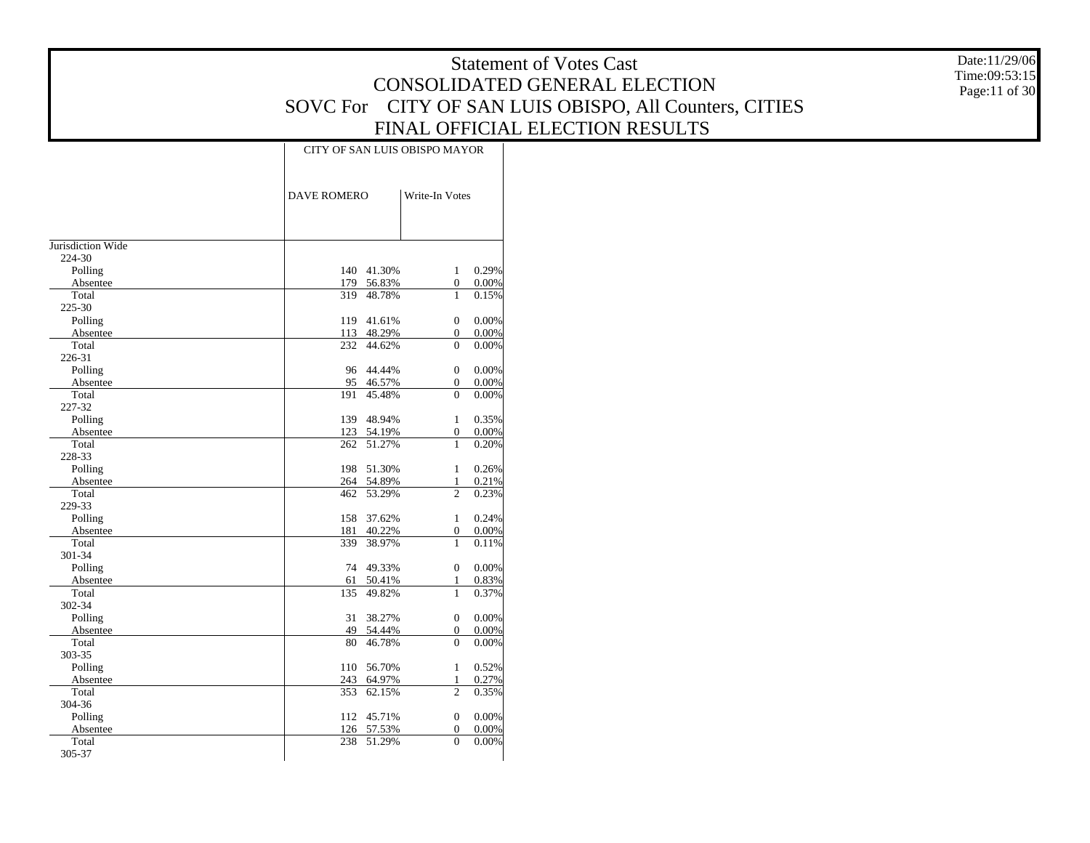Date:11/29/06 Time:09:53:15 Page:11 of 30

|                   | CITY OF SAN LUIS OBISPO MAYOR  |                       |                |
|-------------------|--------------------------------|-----------------------|----------------|
|                   | <b>DAVE ROMERO</b>             | Write-In Votes        |                |
|                   |                                |                       |                |
| Jurisdiction Wide |                                |                       |                |
| 224-30            |                                |                       |                |
| Polling           | 140 41.30%                     | $\mathbf{1}$          | 0.29%          |
| Absentee<br>Total | 179<br>56.83%<br>319<br>48.78% | $\boldsymbol{0}$<br>1 | 0.00%<br>0.15% |
| 225-30            |                                |                       |                |
| Polling           | 119<br>41.61%                  | $\mathbf{0}$          | 0.00%          |
| Absentee          | 113 48.29%                     | 0                     | 0.00%          |
| Total             | 232<br>44.62%                  | $\theta$              | 0.00%          |
| 226-31            |                                |                       |                |
| Polling           | 96 44.44%                      | $\mathbf{0}$          | 0.00%          |
| Absentee          | 95 46.57%                      | 0                     | 0.00%          |
| Total             | 45.48%<br>191                  | $\theta$              | 0.00%          |
| 227-32            |                                |                       |                |
| Polling           | 48.94%<br>139                  | 1                     | 0.35%          |
| Absentee          | 123<br>54.19%                  | 0                     | 0.00%          |
| Total             | 51.27%<br>262                  | 1                     | 0.20%          |
| 228-33            |                                |                       |                |
| Polling           | 198<br>51.30%                  | $\mathbf{1}$          | 0.26%          |
| Absentee          | 264<br>54.89%                  | $\mathbf{1}$          | 0.21%          |
| Total             | 53.29%<br>462                  | $\overline{c}$        | 0.23%          |
| 229-33            |                                |                       |                |
| Polling           | 158<br>37.62%                  | $\mathbf{1}$          | 0.24%          |
| Absentee          | 181<br>40.22%                  | $\overline{0}$        | 0.00%          |
| Total             | 339<br>38.97%                  | 1                     | 0.11%          |
| 301-34            |                                |                       |                |
| Polling           | 74<br>49.33%                   | $\overline{0}$        | 0.00%          |
| Absentee          | 50.41%<br>61                   | $\mathbf{1}$          | 0.83%          |
| Total             | 135<br>49.82%                  | 1                     | 0.37%          |
| 302-34            |                                |                       |                |
| Polling           | 31<br>38.27%                   | $\overline{0}$        | 0.00%          |
| Absentee          | 49<br>54.44%                   | 0                     | 0.00%          |
| Total             | 46.78%<br>80                   | $\theta$              | 0.00%          |
| 303-35            |                                |                       |                |
| Polling           | 110<br>56.70%                  | $\mathbf{1}$          | 0.52%          |
| Absentee          | 243<br>64.97%                  | $\mathbf{1}$          | 0.27%          |
| Total             | 62.15%<br>353                  | $\overline{c}$        | 0.35%          |
| 304-36            |                                |                       |                |
| Polling           | 45.71%<br>112                  | $\mathbf{0}$          | 0.00%          |
| Absentee          | 126<br>57.53%                  | 0                     | 0.00%          |
| Total             | 238<br>51.29%                  | $\theta$              | 0.00%          |
| 305-37            |                                |                       |                |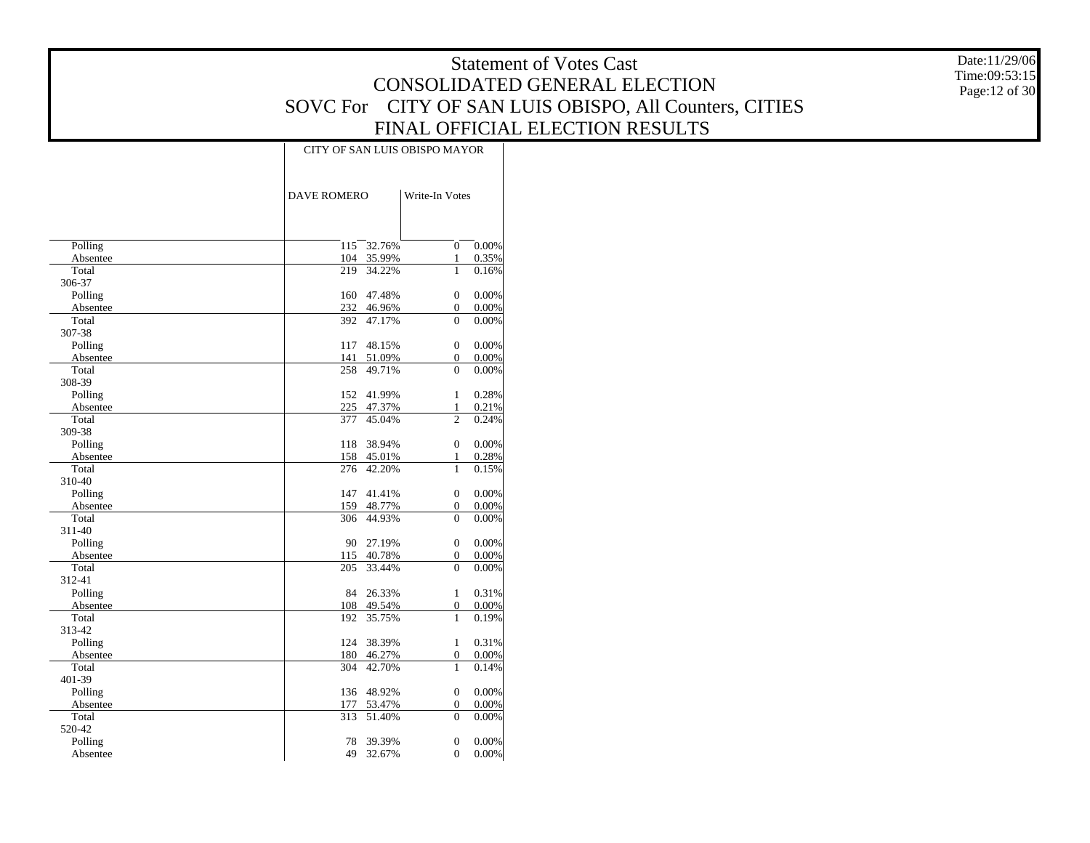Date:11/29/06 Time:09:53:15 Page:12 of 30

|          |                    | CITY OF SAN LUIS OBISPO MAYOR |       |  |  |  |  |  |  |  |  |  |
|----------|--------------------|-------------------------------|-------|--|--|--|--|--|--|--|--|--|
|          | <b>DAVE ROMERO</b> | Write-In Votes                |       |  |  |  |  |  |  |  |  |  |
|          |                    |                               |       |  |  |  |  |  |  |  |  |  |
| Polling  | 32.76%<br>115      | $\Omega$                      | 0.00% |  |  |  |  |  |  |  |  |  |
| Absentee | 104 35.99%         | $\mathbf{1}$                  | 0.35% |  |  |  |  |  |  |  |  |  |
| Total    | 219<br>34.22%      | 1                             | 0.16% |  |  |  |  |  |  |  |  |  |
| 306-37   |                    |                               |       |  |  |  |  |  |  |  |  |  |
| Polling  | 47.48%<br>160      | $\mathbf{0}$                  | 0.00% |  |  |  |  |  |  |  |  |  |
| Absentee | 232 46.96%         | $\overline{0}$                | 0.00% |  |  |  |  |  |  |  |  |  |
| Total    | 392 47.17%         | $\Omega$                      | 0.00% |  |  |  |  |  |  |  |  |  |
| 307-38   |                    |                               |       |  |  |  |  |  |  |  |  |  |
| Polling  | 117<br>48.15%      | $\overline{0}$                | 0.00% |  |  |  |  |  |  |  |  |  |
| Absentee | 141 51.09%         | $\mathbf{0}$                  | 0.00% |  |  |  |  |  |  |  |  |  |
| Total    | 258 49.71%         | $\Omega$                      | 0.00% |  |  |  |  |  |  |  |  |  |
| 308-39   |                    |                               |       |  |  |  |  |  |  |  |  |  |
| Polling  | 152 41.99%         | $\mathbf{1}$                  | 0.28% |  |  |  |  |  |  |  |  |  |
| Absentee | 225 47.37%         | 1                             | 0.21% |  |  |  |  |  |  |  |  |  |
| Total    | 377 45.04%         | $\overline{c}$                | 0.24% |  |  |  |  |  |  |  |  |  |
| 309-38   |                    |                               |       |  |  |  |  |  |  |  |  |  |
| Polling  | 38.94%<br>118      | $\overline{0}$                | 0.00% |  |  |  |  |  |  |  |  |  |
| Absentee | 158 45.01%         | $\mathbf{1}$                  | 0.28% |  |  |  |  |  |  |  |  |  |
| Total    | 276 42.20%         | $\mathbf{1}$                  | 0.15% |  |  |  |  |  |  |  |  |  |
| 310-40   |                    |                               |       |  |  |  |  |  |  |  |  |  |
| Polling  | 147 41.41%         | $\overline{0}$                | 0.00% |  |  |  |  |  |  |  |  |  |
| Absentee | 159 48.77%         | $\mathbf{0}$                  | 0.00% |  |  |  |  |  |  |  |  |  |
| Total    | 306 44.93%         | $\Omega$                      | 0.00% |  |  |  |  |  |  |  |  |  |
| 311-40   |                    |                               |       |  |  |  |  |  |  |  |  |  |
| Polling  | 90 27.19%          | 0                             | 0.00% |  |  |  |  |  |  |  |  |  |
| Absentee | 115 40.78%         | $\boldsymbol{0}$              | 0.00% |  |  |  |  |  |  |  |  |  |
| Total    | 33.44%<br>205      | $\Omega$                      | 0.00% |  |  |  |  |  |  |  |  |  |
| 312-41   |                    |                               |       |  |  |  |  |  |  |  |  |  |
| Polling  | 26.33%<br>84       | $\mathbf{1}$                  | 0.31% |  |  |  |  |  |  |  |  |  |
| Absentee | 108 49.54%         | $\mathbf{0}$                  | 0.00% |  |  |  |  |  |  |  |  |  |
| Total    | 35.75%<br>192      | 1                             | 0.19% |  |  |  |  |  |  |  |  |  |
| 313-42   |                    |                               |       |  |  |  |  |  |  |  |  |  |
| Polling  | 124<br>38.39%      | $\mathbf{1}$                  | 0.31% |  |  |  |  |  |  |  |  |  |
| Absentee | 180 46.27%         | $\boldsymbol{0}$              | 0.00% |  |  |  |  |  |  |  |  |  |
| Total    | 304<br>42.70%      | 1                             | 0.14% |  |  |  |  |  |  |  |  |  |
| 401-39   |                    |                               |       |  |  |  |  |  |  |  |  |  |
| Polling  | 136 48.92%         | $\boldsymbol{0}$              | 0.00% |  |  |  |  |  |  |  |  |  |
| Absentee | 177<br>53.47%      | $\mathbf{0}$                  | 0.00% |  |  |  |  |  |  |  |  |  |
| Total    | 313<br>51.40%      | $\Omega$                      | 0.00% |  |  |  |  |  |  |  |  |  |
| 520-42   |                    |                               |       |  |  |  |  |  |  |  |  |  |
| Polling  | 78<br>39.39%       | $\mathbf{0}$                  | 0.00% |  |  |  |  |  |  |  |  |  |
| Absentee | 49<br>32.67%       | $\theta$                      | 0.00% |  |  |  |  |  |  |  |  |  |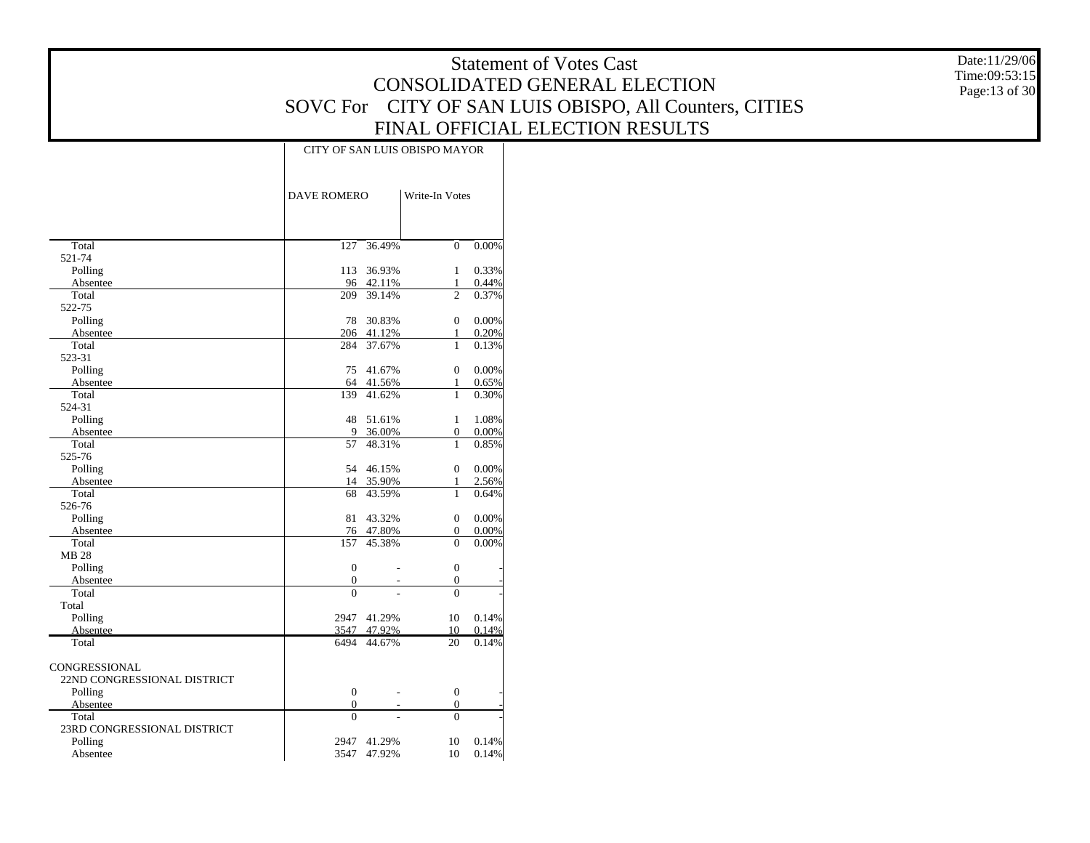Date:11/29/06 Time:09:53:15 Page:13 of 30

|                             |                    |                          | CITY OF SAN LUIS OBISPO MAYOR |       |
|-----------------------------|--------------------|--------------------------|-------------------------------|-------|
|                             | <b>DAVE ROMERO</b> |                          | Write-In Votes                |       |
| Total                       | 127                | 36.49%                   | $\mathbf{0}$                  | 0.00% |
| 521-74                      |                    |                          |                               |       |
| Polling                     | 113                | 36.93%                   | 1                             | 0.33% |
| Absentee                    | 96                 | 42.11%                   | $\mathbf{1}$                  | 0.44% |
| Total                       | 209                | 39.14%                   | $\overline{c}$                | 0.37% |
| 522-75                      |                    |                          |                               |       |
| Polling                     | 78                 | 30.83%                   | $\boldsymbol{0}$              | 0.00% |
| Absentee                    | 206                | 41.12%                   | 1                             | 0.20% |
| Total                       | 284                | 37.67%                   | 1                             | 0.13% |
| 523-31                      |                    |                          |                               |       |
| Polling                     | 75                 | 41.67%                   | $\boldsymbol{0}$              | 0.00% |
| Absentee                    | 64                 | 41.56%                   | 1                             | 0.65% |
| Total                       | 139                | 41.62%                   | 1                             | 0.30% |
| 524-31                      |                    |                          |                               |       |
| Polling                     | 48                 | 51.61%                   | $\mathbf{1}$                  | 1.08% |
| Absentee                    | 9                  | 36.00%                   | $\boldsymbol{0}$              | 0.00% |
| Total                       | 57                 | 48.31%                   | 1                             | 0.85% |
| 525-76                      |                    |                          |                               |       |
| Polling                     | 54                 | 46.15%                   | $\mathbf{0}$                  | 0.00% |
| Absentee                    | 14                 | 35.90%                   | $\mathbf{1}$                  | 2.56% |
| Total                       | 68                 | 43.59%                   | $\mathbf{1}$                  | 0.64% |
| 526-76                      |                    |                          |                               |       |
| Polling                     | 81                 | 43.32%                   | $\mathbf{0}$                  | 0.00% |
| Absentee                    | 76                 | 47.80%                   | $\mathbf{0}$                  | 0.00% |
| Total                       | 157                | 45.38%                   | $\Omega$                      | 0.00% |
| <b>MB 28</b>                |                    |                          |                               |       |
| Polling                     | $\boldsymbol{0}$   |                          | $\boldsymbol{0}$              |       |
| Absentee                    | $\mathbf{0}$       |                          | $\mathbf{0}$                  |       |
| Total                       | $\theta$           |                          | $\theta$                      |       |
| Total                       |                    |                          |                               |       |
| Polling                     | 2947               | 41.29%                   | 10                            | 0.14% |
| Absentee                    | 3547               | 47.92%                   | 10                            | 0.14% |
| Total                       | 6494               | 44.67%                   | 20                            | 0.14% |
| <b>CONGRESSIONAL</b>        |                    |                          |                               |       |
| 22ND CONGRESSIONAL DISTRICT |                    |                          |                               |       |
| Polling                     | $\boldsymbol{0}$   | $\overline{\phantom{a}}$ | $\boldsymbol{0}$              |       |
| Absentee                    | $\mathbf{0}$       |                          | $\mathbf{0}$                  |       |
| Total                       | $\theta$           |                          | $\theta$                      |       |
| 23RD CONGRESSIONAL DISTRICT |                    |                          |                               |       |
| Polling                     | 2947               | 41.29%                   | 10                            | 0.14% |
| Absentee                    | 3547               | 47.92%                   | 10                            | 0.14% |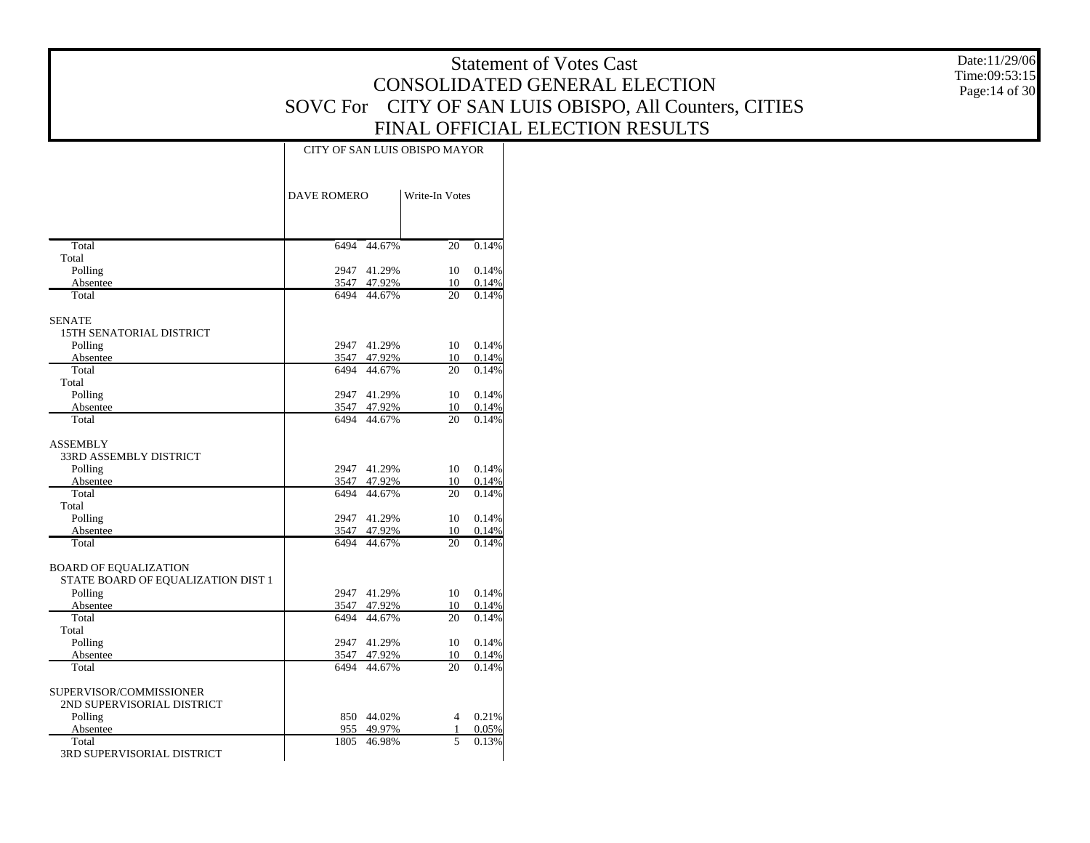Date:11/29/06 Time:09:53:15 Page:14 of 30

|                                    | CITY OF SAN LUIS OBISPO MAYOR |                            |                |                |  |  |  |  |
|------------------------------------|-------------------------------|----------------------------|----------------|----------------|--|--|--|--|
|                                    | <b>DAVE ROMERO</b>            |                            | Write-In Votes |                |  |  |  |  |
|                                    |                               |                            |                |                |  |  |  |  |
| Total                              | 6494                          | 44.67%                     | 20             | 0.14%          |  |  |  |  |
| Total                              |                               |                            |                |                |  |  |  |  |
| Polling                            |                               | 2947 41.29%                | 10             | 0.14%          |  |  |  |  |
| Absentee<br>Total                  |                               | 3547 47.92%<br>6494 44.67% | 10<br>20       | 0.14%<br>0.14% |  |  |  |  |
|                                    |                               |                            |                |                |  |  |  |  |
| <b>SENATE</b>                      |                               |                            |                |                |  |  |  |  |
| <b>15TH SENATORIAL DISTRICT</b>    |                               |                            |                |                |  |  |  |  |
| Polling                            |                               | 2947 41.29%                | 10             | 0.14%          |  |  |  |  |
| Absentee                           |                               | 3547 47.92%                | 10             | 0.14%          |  |  |  |  |
| Total                              |                               | 6494 44.67%                | 20             | 0.14%          |  |  |  |  |
| Total                              |                               |                            |                |                |  |  |  |  |
| Polling                            |                               | 2947 41.29%                | 10             | 0.14%          |  |  |  |  |
| Absentee                           |                               | 3547 47.92%                | 10             | 0.14%          |  |  |  |  |
| Total                              |                               | 6494 44.67%                | 20             | 0.14%          |  |  |  |  |
| <b>ASSEMBLY</b>                    |                               |                            |                |                |  |  |  |  |
| <b>33RD ASSEMBLY DISTRICT</b>      |                               |                            |                |                |  |  |  |  |
| Polling                            |                               | 2947 41.29%                | 10             | 0.14%          |  |  |  |  |
| Absentee                           |                               | 3547 47.92%                | 10             | 0.14%          |  |  |  |  |
| Total                              |                               | 6494 44.67%                | 20             | 0.14%          |  |  |  |  |
| Total                              |                               |                            |                |                |  |  |  |  |
| Polling                            |                               | 2947 41.29%                | 10             | 0.14%          |  |  |  |  |
| Absentee                           |                               | 3547 47.92%                | 10             | 0.14%          |  |  |  |  |
| Total                              |                               | 6494 44.67%                | 20             | 0.14%          |  |  |  |  |
| <b>BOARD OF EQUALIZATION</b>       |                               |                            |                |                |  |  |  |  |
| STATE BOARD OF EQUALIZATION DIST 1 |                               |                            |                |                |  |  |  |  |
| Polling                            |                               | 2947 41.29%                | 10             | 0.14%          |  |  |  |  |
| Absentee                           |                               | 3547 47.92%                | 10             | 0.14%          |  |  |  |  |
| Total                              |                               | 6494 44.67%                | 20             | 0.14%          |  |  |  |  |
| Total                              |                               |                            |                |                |  |  |  |  |
| Polling                            |                               | 2947 41.29%                | 10             | 0.14%          |  |  |  |  |
| Absentee                           |                               | 3547 47.92%                | 10             | 0.14%          |  |  |  |  |
| Total                              |                               | 6494 44.67%                | 20             | 0.14%          |  |  |  |  |
|                                    |                               |                            |                |                |  |  |  |  |
| SUPERVISOR/COMMISSIONER            |                               |                            |                |                |  |  |  |  |
| 2ND SUPERVISORIAL DISTRICT         |                               |                            |                |                |  |  |  |  |
| Polling                            |                               | 850 44.02%                 | $\overline{4}$ | 0.21%          |  |  |  |  |
| Absentee                           | 955                           | 49.97%                     | 1              | 0.05%          |  |  |  |  |
| Total                              |                               | 1805 46.98%                | 5              | 0.13%          |  |  |  |  |
| 3RD SUPERVISORIAL DISTRICT         |                               |                            |                |                |  |  |  |  |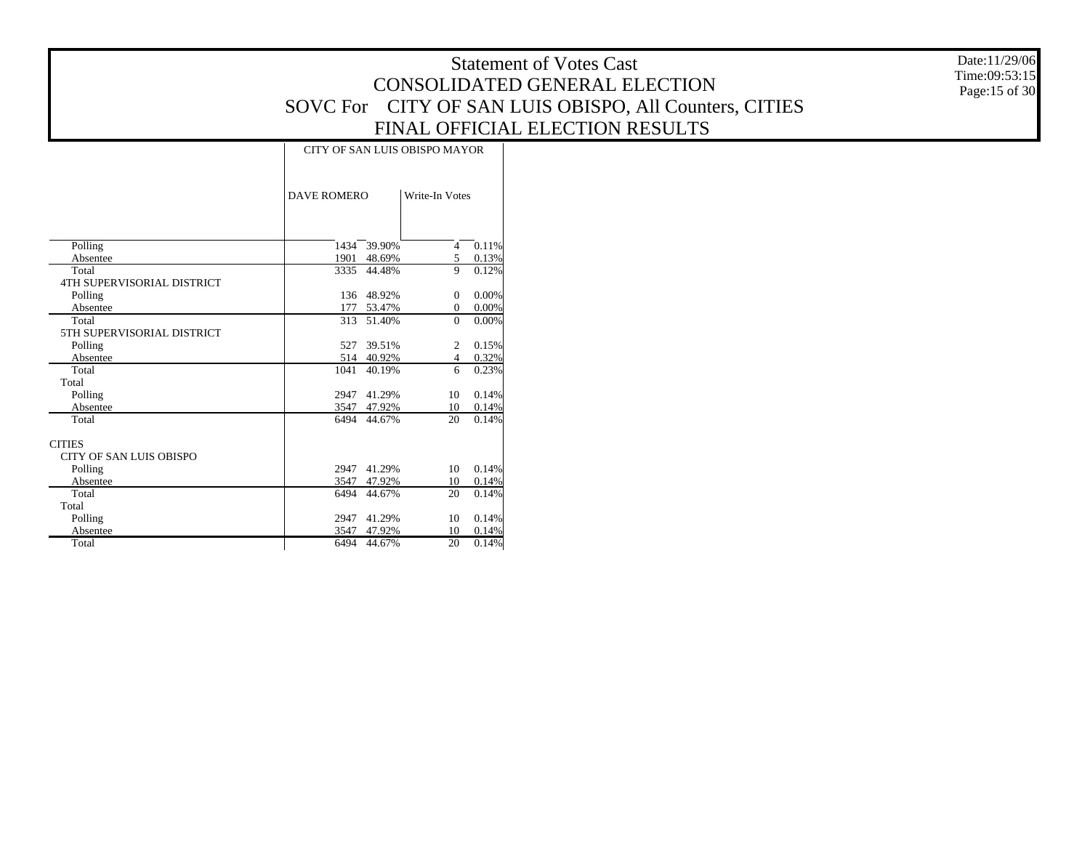Date:11/29/06 Time:09:53:15 Page:15 of 30

|                                     |      |                                      | CITY OF SAN LUIS OBISPO MAYOR |       |  |  |  |
|-------------------------------------|------|--------------------------------------|-------------------------------|-------|--|--|--|
|                                     |      | <b>DAVE ROMERO</b><br>Write-In Votes |                               |       |  |  |  |
|                                     |      |                                      |                               |       |  |  |  |
| Polling                             | 1434 | 39.90%                               | $\overline{4}$                | 0.11% |  |  |  |
| Absentee                            | 1901 | 48.69%                               | 5<br>9                        | 0.13% |  |  |  |
| Total<br>4TH SUPERVISORIAL DISTRICT | 3335 | 44.48%                               |                               | 0.12% |  |  |  |
| Polling                             |      | 136 48.92%                           | $\Omega$                      | 0.00% |  |  |  |
| Absentee                            | 177  | 53.47%                               | $\mathbf{0}$                  | 0.00% |  |  |  |
| Total                               | 313  | 51.40%                               | $\Omega$                      | 0.00% |  |  |  |
| 5TH SUPERVISORIAL DISTRICT          |      |                                      |                               |       |  |  |  |
| Polling                             | 527  | 39.51%                               | $\overline{c}$                | 0.15% |  |  |  |
| Absentee                            | 514  | 40.92%                               | 4                             | 0.32% |  |  |  |
| Total                               | 1041 | 40.19%                               | 6                             | 0.23% |  |  |  |
| Total                               |      |                                      |                               |       |  |  |  |
| Polling                             | 2947 | 41.29%                               | 10                            | 0.14% |  |  |  |
| Absentee                            | 3547 | 47.92%                               | 10                            | 0.14% |  |  |  |
| Total                               | 6494 | 44.67%                               | 20                            | 0.14% |  |  |  |
| <b>CITIES</b>                       |      |                                      |                               |       |  |  |  |
| <b>CITY OF SAN LUIS OBISPO</b>      |      |                                      |                               |       |  |  |  |
| Polling                             | 2947 | 41.29%                               | 10                            | 0.14% |  |  |  |
| Absentee                            | 3547 | 47.92%                               | 10                            | 0.14% |  |  |  |
| Total                               | 6494 | 44.67%                               | 20                            | 0.14% |  |  |  |
| Total                               |      |                                      |                               |       |  |  |  |
| Polling                             | 2947 | 41.29%                               | 10                            | 0.14% |  |  |  |
| Absentee                            | 3547 | 47.92%                               | 10                            | 0.14% |  |  |  |
| Total                               | 6494 | 44.67%                               | 20                            | 0.14% |  |  |  |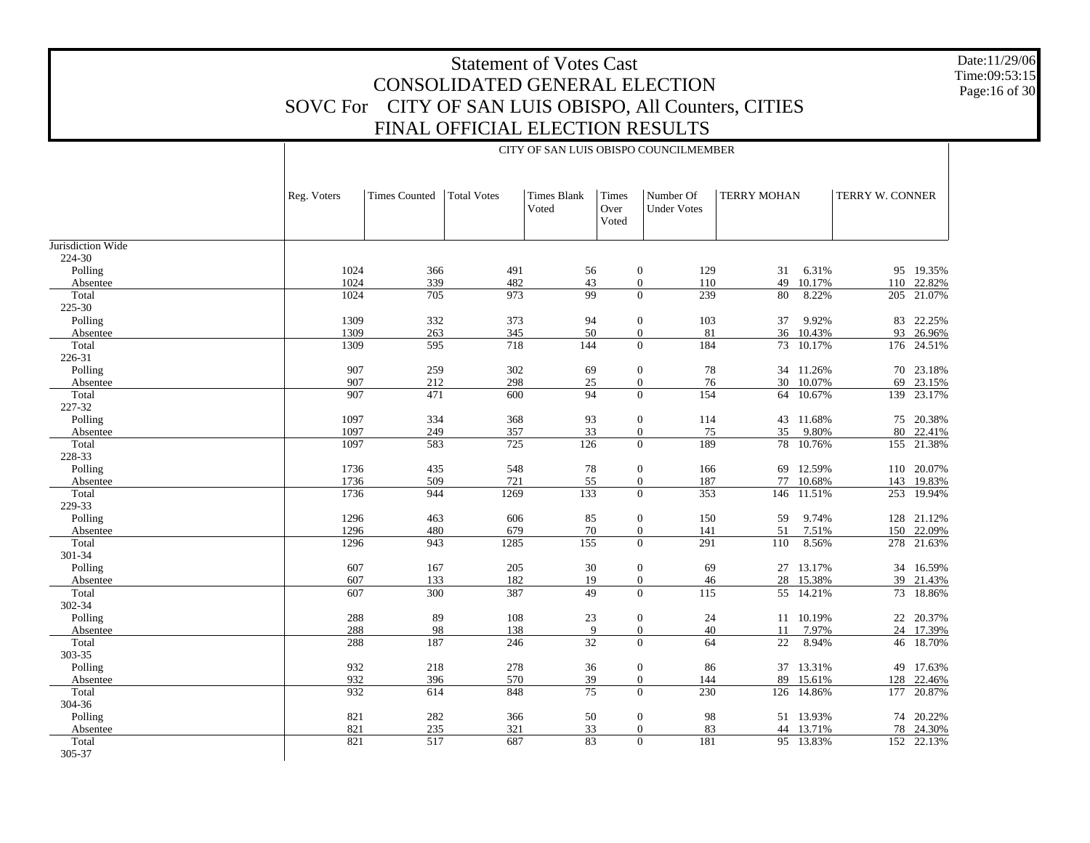Date:11/29/06 Time:09:53:15 Page:16 of 30

|                   |                  |                      |                    |                             |                        | CITY OF SAN LUIS OBISPO COUNCILMEMBER         |                    |           |                 |            |
|-------------------|------------------|----------------------|--------------------|-----------------------------|------------------------|-----------------------------------------------|--------------------|-----------|-----------------|------------|
|                   | Reg. Voters      | <b>Times Counted</b> | <b>Total Votes</b> | <b>Times Blank</b><br>Voted | Times<br>Over<br>Voted | Number Of<br><b>Under Votes</b>               | <b>TERRY MOHAN</b> |           | TERRY W. CONNER |            |
| Jurisdiction Wide |                  |                      |                    |                             |                        |                                               |                    |           |                 |            |
| 224-30            |                  |                      |                    |                             |                        |                                               |                    |           |                 |            |
| Polling           | 1024             | 366                  | 491                | 56                          |                        | $\boldsymbol{0}$<br>129                       | 31                 | 6.31%     | 95              | 19.35%     |
| Absentee          | 1024             | 339                  | 482                | 43                          |                        | $\overline{0}$<br>110                         | 49                 | 10.17%    | 110             | 22.82%     |
| Total             | 1024             | 705                  | 973                | 99                          |                        | $\overline{0}$<br>239                         | 80                 | 8.22%     | 205             | 21.07%     |
| 225-30            |                  |                      |                    |                             |                        |                                               |                    |           |                 |            |
| Polling           | 1309             | 332                  | 373                | 94                          |                        | 103<br>$\mathbf{0}$                           | 37                 | 9.92%     | 83              | 22.25%     |
| Absentee          | 1309             | 263                  | 345                | 50                          |                        | $\overline{0}$<br>81                          | 36                 | 10.43%    | 93              | 26.96%     |
| Total             | 1309             | 595                  | 718                | 144                         |                        | $\overline{0}$<br>184                         | 73                 | 10.17%    | 176             | 24.51%     |
| 226-31            |                  |                      |                    |                             |                        |                                               |                    |           |                 |            |
| Polling           | 907              | 259                  | 302                | 69                          |                        | $\mathbf{0}$<br>78                            |                    | 34 11.26% | 70              | 23.18%     |
| Absentee          | 907              | 212                  | 298                | $25\,$                      |                        | $\overline{0}$<br>76                          | 30                 | 10.07%    | 69              | 23.15%     |
| Total             | 907              | 471                  | 600                | 94                          |                        | $\overline{0}$<br>154                         | 64                 | 10.67%    | 139             | 23.17%     |
| 227-32            |                  |                      |                    |                             |                        |                                               |                    |           |                 |            |
| Polling           | 1097<br>1097     | 334                  | 368                | 93                          |                        | $\boldsymbol{0}$<br>114                       |                    | 43 11.68% | 75              | 20.38%     |
| Absentee          | 1097             | 249<br>583           | 357<br>725         | 33<br>126                   |                        | $\overline{0}$<br>75<br>189<br>$\overline{0}$ | 35                 | 9.80%     | 80              | 22.41%     |
| Total<br>228-33   |                  |                      |                    |                             |                        |                                               |                    | 78 10.76% |                 | 155 21.38% |
| Polling           | 1736             | 435                  | 548                | 78                          |                        | 166<br>$\mathbf{0}$                           |                    | 69 12.59% |                 | 110 20.07% |
| Absentee          | 1736             | 509                  | 721                | 55                          |                        | $\overline{0}$<br>187                         | 77                 | 10.68%    | 143             | 19.83%     |
| Total             | 1736             | 944                  | 1269               | 133                         |                        | $\overline{0}$<br>353                         | 146                | 11.51%    | 253             | 19.94%     |
| 229-33            |                  |                      |                    |                             |                        |                                               |                    |           |                 |            |
| Polling           | 1296             | 463                  | 606                | 85                          |                        | $\theta$<br>150                               | 59                 | 9.74%     |                 | 128 21.12% |
| Absentee          | 1296             | 480                  | 679                | 70                          |                        | $\overline{0}$<br>141                         | 51                 | 7.51%     | 150             | 22.09%     |
| Total             | 1296             | 943                  | 1285               | 155                         |                        | $\overline{0}$<br>291                         | 110                | 8.56%     | 278             | 21.63%     |
| 301-34            |                  |                      |                    |                             |                        |                                               |                    |           |                 |            |
| Polling           | 607              | 167                  | 205                | 30                          |                        | 69<br>$\boldsymbol{0}$                        |                    | 27 13.17% |                 | 34 16.59%  |
| Absentee          | 607              | 133                  | 182                | 19                          |                        | $\overline{0}$<br>46                          |                    | 28 15.38% | 39              | 21.43%     |
| Total             | $\overline{607}$ | $\overline{300}$     | 387                | 49                          |                        | $\Omega$<br>115                               |                    | 55 14.21% |                 | 73 18.86%  |
| 302-34            |                  |                      |                    |                             |                        |                                               |                    |           |                 |            |
| Polling           | 288              | 89                   | 108                | 23                          |                        | $\boldsymbol{0}$<br>24                        |                    | 11 10.19% |                 | 22 20.37%  |
| Absentee          | 288              | 98                   | 138                | 9                           |                        | $\boldsymbol{0}$<br>40                        | 11                 | 7.97%     | 24              | 17.39%     |
| Total             | 288              | 187                  | 246                | $\overline{32}$             |                        | $\Omega$<br>64                                | $\overline{22}$    | 8.94%     |                 | 46 18.70%  |
| 303-35            |                  |                      |                    |                             |                        |                                               |                    |           |                 |            |
| Polling           | 932              | 218                  | 278                | 36                          |                        | 86<br>$\boldsymbol{0}$                        |                    | 37 13.31% |                 | 49 17.63%  |
| Absentee          | 932              | 396                  | 570                | 39                          |                        | $\overline{0}$<br>144                         | 89                 | 15.61%    | 128             | 22.46%     |
| Total             | 932              | 614                  | 848                | $\overline{75}$             |                        | $\Omega$<br>230                               | 126                | 14.86%    |                 | 177 20.87% |
| 304-36            |                  |                      |                    |                             |                        |                                               |                    |           |                 |            |
| Polling           | 821              | 282                  | 366                | 50                          |                        | $\boldsymbol{0}$<br>98                        |                    | 51 13.93% | 74              | 20.22%     |
| Absentee          | 821              | 235                  | 321                | 33                          |                        | $\overline{0}$<br>83                          | 44                 | 13.71%    | 78              | 24.30%     |
| Total             | 821              | 517                  | 687                | 83                          |                        | 181<br>$\Omega$                               |                    | 95 13.83% |                 | 152 22.13% |
| 305-37            |                  |                      |                    |                             |                        |                                               |                    |           |                 |            |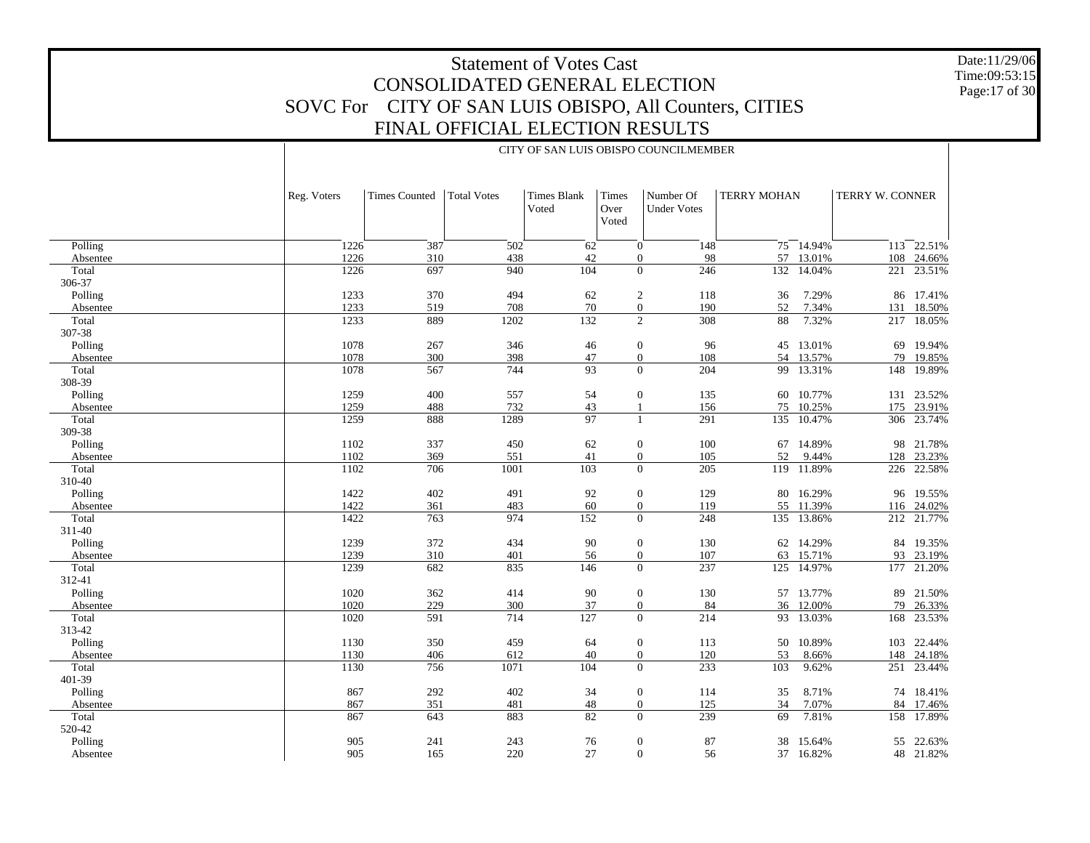Date:11/29/06 Time:09:53:15 Page:17 of 30

|                   |              |                      |                    |                             |                        | CITY OF SAN LUIS OBISPO COUNCILMEMBER                       |                       |                        |                 |                          |
|-------------------|--------------|----------------------|--------------------|-----------------------------|------------------------|-------------------------------------------------------------|-----------------------|------------------------|-----------------|--------------------------|
|                   |              |                      |                    |                             |                        |                                                             |                       |                        |                 |                          |
|                   | Reg. Voters  | <b>Times Counted</b> | <b>Total Votes</b> | <b>Times Blank</b><br>Voted | Times<br>Over<br>Voted | Number Of<br><b>Under Votes</b>                             | <b>TERRY MOHAN</b>    |                        | TERRY W. CONNER |                          |
|                   |              |                      |                    |                             |                        |                                                             |                       |                        |                 |                          |
| Polling           | 1226<br>1226 | 387                  | 502                | 62                          |                        | $\mathbf{0}$<br>148                                         |                       | 75 14.94%              |                 | $113 - 22.51\%$          |
| Absentee          | 1226         | 310<br>697           | 438<br>940         | 42<br>104                   |                        | 98<br>$\mathbf{0}$<br>$\frac{246}{ }$<br>$\mathbf{0}$       |                       | 57 13.01%              |                 | 108 24.66%<br>23.51%     |
| Total             |              |                      |                    |                             |                        |                                                             |                       | 132 14.04%             | 221             |                          |
| 306-37            |              |                      |                    |                             |                        |                                                             |                       |                        |                 |                          |
| Polling           | 1233<br>1233 | 370                  | 494                | 62                          |                        | $\overline{c}$<br>118                                       | 36                    | 7.29%                  |                 | 86 17.41%                |
| Absentee<br>Total | 1233         | 519<br>889           | 708<br>1202        | 70<br>132                   |                        | $\overline{0}$<br>190<br>$\overline{2}$<br>308              | 52<br>$\overline{88}$ | 7.34%<br>7.32%         | 131<br>217      | 18.50%<br>18.05%         |
|                   |              |                      |                    |                             |                        |                                                             |                       |                        |                 |                          |
| 307-38            |              |                      |                    |                             |                        |                                                             |                       |                        |                 |                          |
| Polling           | 1078<br>1078 | 267<br>300           | 346                | 46                          |                        | $\boldsymbol{0}$<br>96                                      |                       | 45 13.01%              | 69              | 19.94%                   |
| Absentee          | 1078         | 567                  | 398<br>744         | 47<br>$\overline{93}$       |                        | 108<br>$\boldsymbol{0}$<br>$\mathbf{0}$<br>$\overline{204}$ |                       | 54 13.57%<br>99 13.31% | 79<br>148       | 19.85%<br>19.89%         |
| Total<br>308-39   |              |                      |                    |                             |                        |                                                             |                       |                        |                 |                          |
|                   |              |                      |                    |                             |                        |                                                             |                       |                        |                 |                          |
| Polling           | 1259<br>1259 | $400\,$<br>488       | 557                | 54                          |                        | $\boldsymbol{0}$<br>135                                     |                       | 60 10.77%              |                 | 131 23.52%               |
| Absentee<br>Total | 1259         | 888                  | 732<br>1289        | 43<br>$\overline{97}$       |                        | 156<br>1<br>291<br>$\mathbf{1}$                             | 75<br>135             | 10.25%<br>10.47%       |                 | 175 23.91%<br>306 23.74% |
|                   |              |                      |                    |                             |                        |                                                             |                       |                        |                 |                          |
| 309-38            |              |                      |                    |                             |                        |                                                             |                       |                        |                 |                          |
| Polling           | 1102         | 337                  | 450                | 62                          |                        | $\boldsymbol{0}$<br>100                                     |                       | 67 14.89%              |                 | 98 21.78%                |
| Absentee          | 1102         | 369                  | 551                | 41                          |                        | $\boldsymbol{0}$<br>105<br>$\mathbf{0}$                     | 52                    | 9.44%                  |                 | 128 23.23%               |
| Total             | 1102         | 706                  | 1001               | 103                         |                        | 205                                                         |                       | 119 11.89%             | 226             | 22.58%                   |
| 310-40            |              |                      |                    |                             |                        |                                                             |                       |                        |                 |                          |
| Polling           | 1422<br>1422 | 402                  | 491                | 92                          |                        | $\boldsymbol{0}$<br>129                                     |                       | 80 16.29%              |                 | 96 19.55%                |
| Absentee          |              | 361                  | 483                | 60                          |                        | 119<br>$\boldsymbol{0}$<br>$\mathbf{0}$                     |                       | 55 11.39%              |                 | 116 24.02%               |
| Total             | 1422         | 763                  | 974                | 152                         |                        | 248                                                         |                       | 135 13.86%             |                 | 212 21.77%               |
| 311-40            |              |                      |                    |                             |                        |                                                             |                       |                        |                 |                          |
| Polling           | 1239<br>1239 | 372<br>310           | 434                | 90                          |                        | $\boldsymbol{0}$<br>130                                     |                       | 62 14.29%              |                 | 84 19.35%                |
| Absentee          |              |                      | 401                | 56                          |                        | 107<br>$\boldsymbol{0}$<br>$\mathbf{0}$                     | 63                    | 15.71%                 |                 | 93 23.19%                |
| Total             | 1239         | 682                  | 835                | 146                         |                        | 237                                                         |                       | 125 14.97%             | 177             | 21.20%                   |
| 312-41            |              |                      |                    |                             |                        |                                                             |                       |                        |                 |                          |
| Polling           | 1020<br>1020 | 362<br>229           | 414                | 90                          |                        | $\boldsymbol{0}$<br>130                                     |                       | 57 13.77%              |                 | 89 21.50%                |
| Absentee<br>Total | 1020         |                      | 300<br>714         | 37<br>127                   |                        | 84<br>$\boldsymbol{0}$<br>$\mathbf{0}$<br>214               |                       | 36 12.00%<br>93 13.03% |                 | 79 26.33%<br>23.53%      |
|                   |              | 591                  |                    |                             |                        |                                                             |                       |                        | 168             |                          |
| 313-42            |              |                      |                    |                             |                        |                                                             |                       |                        |                 |                          |
| Polling           | 1130         | 350                  | 459                | 64                          |                        | $\boldsymbol{0}$<br>113                                     | 50                    | 10.89%                 |                 | 103 22.44%               |
| Absentee          | 1130         | 406                  | 612                | 40                          |                        | 120<br>$\boldsymbol{0}$<br>$\mathbf{0}$                     | 53                    | 8.66%                  |                 | 148 24.18%               |
| Total             | 1130         | 756                  | 1071               | 104                         |                        | 233                                                         | 103                   | 9.62%                  | 251             | 23.44%                   |
| 401-39            |              |                      |                    |                             |                        |                                                             |                       |                        |                 |                          |
| Polling           | 867          | $292\,$              | 402                | 34                          |                        | $\boldsymbol{0}$<br>114                                     | 35                    | 8.71%                  |                 | 74 18.41%                |
| Absentee          | 867          | 351                  | 481                | 48                          |                        | 125<br>$\boldsymbol{0}$                                     | 34                    | 7.07%                  | 84              | 17.46%                   |
| Total             | 867          | 643                  | 883                | 82                          |                        | 239<br>$\mathbf{0}$                                         | 69                    | 7.81%                  | 158             | 17.89%                   |
| 520-42            |              |                      |                    |                             |                        |                                                             |                       |                        |                 |                          |
| Polling           | 905          | 241                  | 243                | 76                          |                        | $\boldsymbol{0}$<br>87                                      | 38                    | 15.64%                 |                 | 55 22.63%                |
| Absentee          | 905          | 165                  | 220                | 27                          |                        | $\mathbf{0}$<br>56                                          |                       | 37 16.82%              |                 | 48 21.82%                |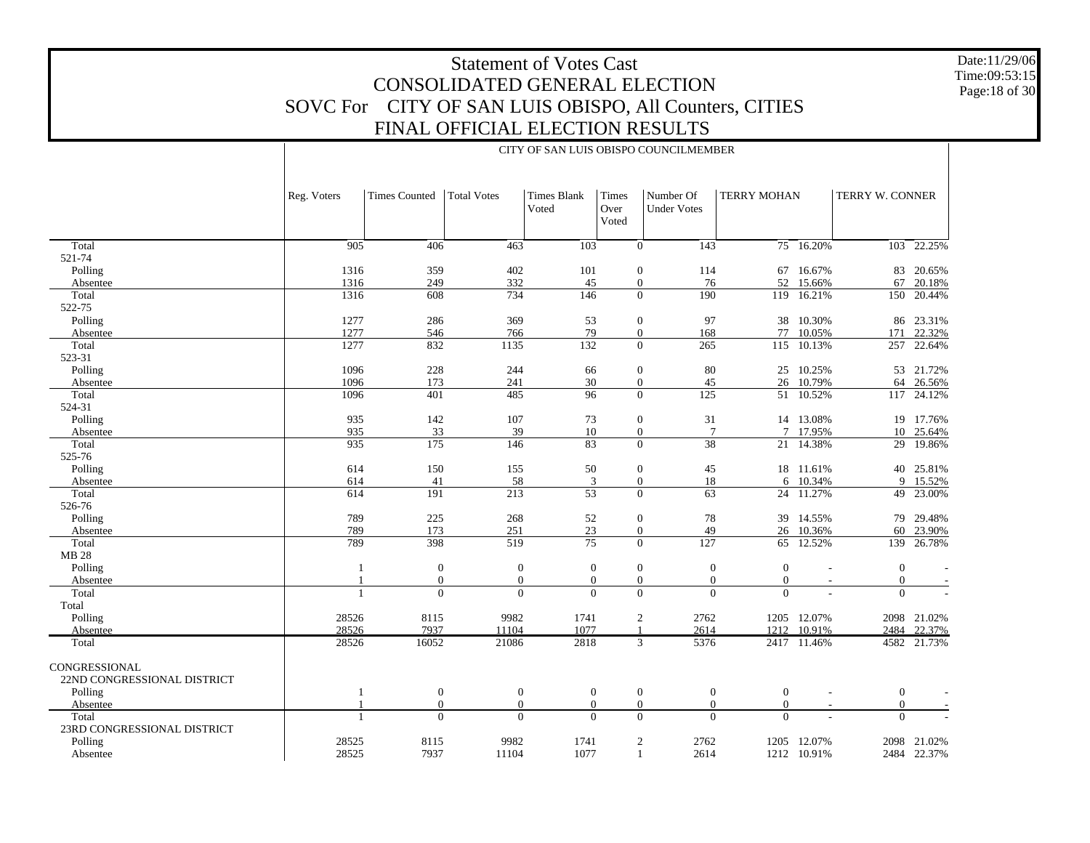CITY OF SAN LUIS OBISPO COUNCILMEMBER

Date:11/29/06 Time:09:53:15Page:18 of 30

|                                              | Reg. Voters  | <b>Times Counted</b>         | <b>Total Votes</b>       | <b>Times Blank</b><br>Voted | Times<br>Over<br>Voted | Number Of<br><b>Under Votes</b>          | <b>TERRY MOHAN</b>                               |                         | TERRY W. CONNER            |                  |
|----------------------------------------------|--------------|------------------------------|--------------------------|-----------------------------|------------------------|------------------------------------------|--------------------------------------------------|-------------------------|----------------------------|------------------|
| Total                                        | 905          | 406                          | 463                      | 103                         |                        | $\theta$<br>143                          |                                                  | $75 - 16.20%$           |                            | 103 22.25%       |
| 521-74                                       |              |                              |                          |                             |                        |                                          |                                                  |                         |                            |                  |
| Polling                                      | 1316         | 359                          | 402                      | 101                         |                        | $\mathbf{0}$<br>114                      | 67                                               | 16.67%                  | 83                         | 20.65%           |
| Absentee                                     | 1316         | 249                          | 332                      | 45                          |                        | 76<br>$\mathbf{0}$                       | 52                                               | 15.66%                  | 67                         | 20.18%           |
| Total                                        | 1316         | 608                          | 734                      | 146                         |                        | $\theta$<br>190                          | 119                                              | 16.21%                  | 150                        | 20.44%           |
| 522-75                                       |              |                              |                          |                             |                        |                                          |                                                  |                         |                            |                  |
| Polling                                      | 1277         | 286                          | 369                      | 53                          |                        | $\mathbf{0}$<br>97                       | 38                                               | 10.30%                  | 86                         | 23.31%           |
| Absentee                                     | 1277         | 546                          | 766                      | 79                          |                        | $\mathbf{0}$<br>168                      | 77                                               | 10.05%                  | 171                        | 22.32%           |
| Total                                        | 1277         | 832                          | 1135                     | 132                         |                        | $\overline{0}$<br>265                    | 115                                              | 10.13%                  | 257                        | 22.64%           |
| 523-31                                       |              |                              |                          |                             |                        |                                          |                                                  |                         |                            |                  |
| Polling                                      | 1096<br>1096 | 228<br>173                   | 244                      | 66<br>30                    |                        | $\mathbf{0}$<br>80<br>$\mathbf{0}$<br>45 | 25<br>26                                         | 10.25%<br>10.79%        | 53<br>64                   | 21.72%           |
| Absentee<br>Total                            | 1096         | 401                          | 241<br>485               | 96                          |                        | $\overline{0}$<br>125                    |                                                  | 51 10.52%               | 117                        | 26.56%<br>24.12% |
| 524-31                                       |              |                              |                          |                             |                        |                                          |                                                  |                         |                            |                  |
| Polling                                      | 935          | 142                          | 107                      | 73                          |                        | $\mathbf{0}$<br>31                       |                                                  | 14 13.08%               |                            | 19 17.76%        |
| Absentee                                     | 935          | 33                           | 39                       | $10\,$                      |                        | $\boldsymbol{0}$                         | $\tau$<br>$\tau$                                 | 17.95%                  |                            | 10 25.64%        |
| Total                                        | 935          | 175                          | 146                      | 83                          |                        | $\overline{38}$<br>$\Omega$              | 21                                               | 14.38%                  | 29                         | 19.86%           |
| 525-76                                       |              |                              |                          |                             |                        |                                          |                                                  |                         |                            |                  |
| Polling                                      | 614          | 150                          | 155                      | 50                          |                        | $\mathbf{0}$<br>45                       |                                                  | 18 11.61%               | 40                         | 25.81%           |
| Absentee                                     | 614          | 41                           | 58                       | 3                           |                        | $\mathbf{0}$<br>18                       | 6                                                | 10.34%                  | 9                          | 15.52%           |
| Total                                        | 614          | 191                          | 213                      | $\overline{53}$             |                        | $\theta$<br>63                           |                                                  | 24 11.27%               | 49                         | 23.00%           |
| 526-76                                       |              |                              |                          |                             |                        |                                          |                                                  |                         |                            |                  |
| Polling                                      | 789          | 225                          | 268                      | 52                          |                        | $\mathbf{0}$<br>78                       |                                                  | 39 14.55%               | 79                         | 29.48%           |
| Absentee                                     | 789          | 173                          | 251                      | 23                          |                        | $\overline{0}$<br>49                     | 26                                               | 10.36%                  | 60                         | 23.90%           |
| Total                                        | 789          | 398                          | 519                      | $\overline{75}$             |                        | $\theta$<br>127                          |                                                  | $65 \overline{12.52\%}$ | 139                        | 26.78%           |
| MB 28                                        |              |                              |                          |                             |                        |                                          |                                                  |                         |                            |                  |
| Polling                                      |              | $\mathbf{0}$                 | $\boldsymbol{0}$         | $\boldsymbol{0}$            |                        | $\mathbf{0}$                             | $\boldsymbol{0}$<br>$\overline{0}$               |                         | $\mathbf{0}$               |                  |
| Absentee<br>Total                            |              | $\boldsymbol{0}$<br>$\theta$ | $\mathbf{0}$<br>$\Omega$ | $\mathbf{0}$<br>$\Omega$    |                        | $\mathbf{0}$<br>$\theta$                 | $\mathbf{0}$<br>$\theta$<br>$\theta$<br>$\Omega$ |                         | $\overline{0}$<br>$\Omega$ |                  |
| Total                                        |              |                              |                          |                             |                        |                                          |                                                  |                         |                            |                  |
| Polling                                      | 28526        | 8115                         | 9982                     | 1741                        |                        | 2<br>2762                                | 1205                                             | 12.07%                  |                            | 2098 21.02%      |
| Absentee                                     | 28526        | 7937                         | 11104                    | 1077                        |                        | 2614<br>-1                               | 1212                                             | 10.91%                  | 2484                       | 22.37%           |
| Total                                        | 28526        | 16052                        | 21086                    | 2818                        |                        | $\overline{3}$<br>5376                   |                                                  | 2417 11.46%             |                            | 4582 21.73%      |
| CONGRESSIONAL<br>22ND CONGRESSIONAL DISTRICT |              |                              |                          |                             |                        |                                          |                                                  |                         |                            |                  |
| Polling                                      | 1            | $\mathbf{0}$                 | $\boldsymbol{0}$         | $\boldsymbol{0}$            |                        | $\boldsymbol{0}$                         | $\mathbf{0}$<br>$\boldsymbol{0}$                 |                         | $\overline{0}$             |                  |
| Absentee                                     |              | $\mathbf{0}$                 | $\mathbf{0}$             | $\mathbf{0}$                |                        | $\mathbf{0}$                             | $\mathbf{0}$<br>$\overline{0}$                   |                         | $\overline{0}$             |                  |
| Total                                        | $\mathbf{1}$ | $\Omega$                     | $\Omega$                 | $\Omega$                    |                        | $\theta$                                 | $\Omega$<br>$\Omega$                             |                         | $\Omega$                   |                  |
| 23RD CONGRESSIONAL DISTRICT                  |              |                              |                          |                             |                        |                                          |                                                  |                         |                            |                  |
| Polling                                      | 28525        | 8115                         | 9982                     | 1741                        |                        | 2<br>2762                                | 1205                                             | 12.07%                  |                            | 2098 21.02%      |
| Absentee                                     | 28525        | 7937                         | 11104                    | 1077                        |                        | 2614<br>$\mathbf{1}$                     | 1212                                             | 10.91%                  |                            | 2484 22.37%      |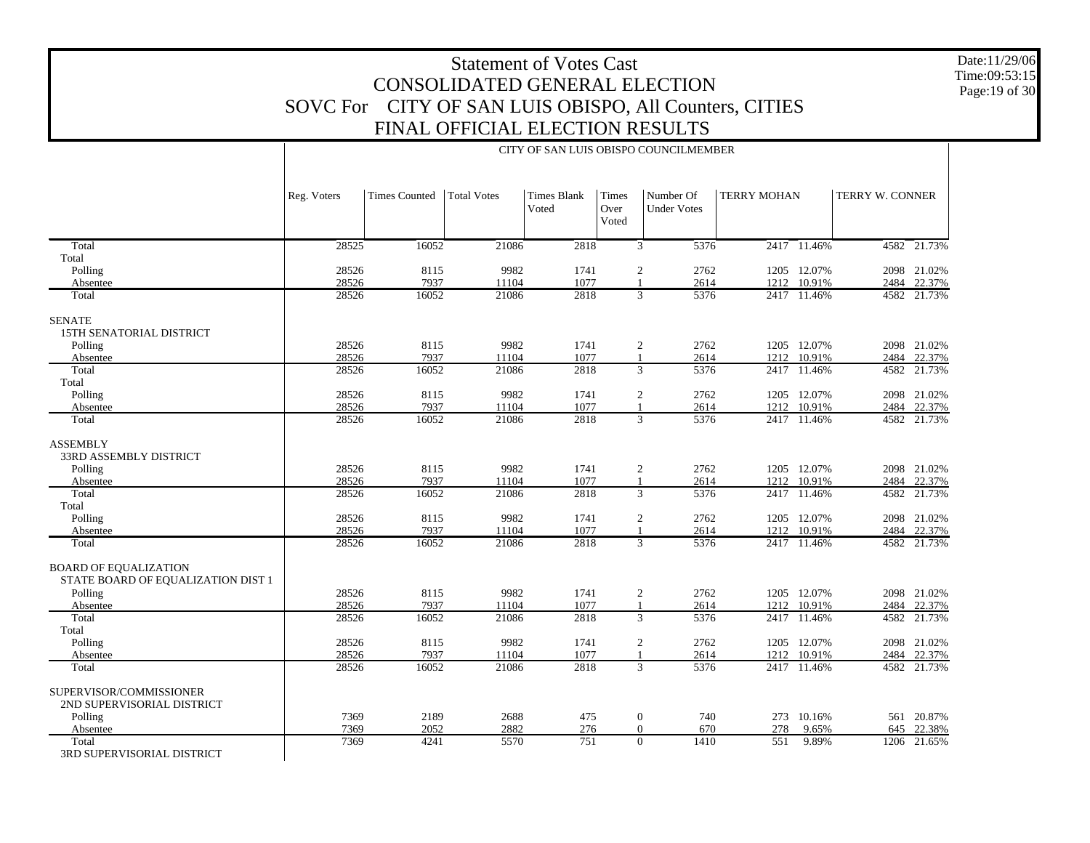Date:11/29/06 Time:09:53:15Page:19 of 30

|                                                                    | Reg. Voters | <b>Times Counted</b> | <b>Total Votes</b> | <b>Times Blank</b><br>Voted | Times<br>Over<br>Voted | Number Of<br><b>Under Votes</b> | <b>TERRY MOHAN</b> |             | TERRY W. CONNER |             |
|--------------------------------------------------------------------|-------------|----------------------|--------------------|-----------------------------|------------------------|---------------------------------|--------------------|-------------|-----------------|-------------|
| Total                                                              | 28525       | 16052                | 21086              | 2818                        |                        | 3<br>5376                       |                    | 2417 11.46% |                 | 4582 21.73% |
| Total                                                              |             |                      |                    |                             |                        |                                 |                    |             |                 |             |
| Polling                                                            | 28526       | 8115                 | 9982               | 1741                        |                        | $\overline{2}$<br>2762          |                    | 1205 12.07% |                 | 2098 21.02% |
| Absentee                                                           | 28526       | 7937                 | 11104              | 1077                        |                        | $\mathbf{1}$<br>2614            |                    | 1212 10.91% |                 | 2484 22.37% |
| Total                                                              | 28526       | 16052                | 21086              | 2818                        |                        | 3<br>5376                       |                    | 2417 11.46% |                 | 4582 21.73% |
| <b>SENATE</b>                                                      |             |                      |                    |                             |                        |                                 |                    |             |                 |             |
| 15TH SENATORIAL DISTRICT                                           |             |                      |                    |                             |                        |                                 |                    |             |                 |             |
| Polling                                                            | 28526       | 8115                 | 9982               | 1741                        |                        | $\overline{c}$<br>2762          |                    | 1205 12.07% |                 | 2098 21.02% |
| Absentee                                                           | 28526       | 7937                 | 11104              | 1077                        | $\mathbf{1}$           | 2614                            | 1212               | 10.91%      | 2484            | 22.37%      |
| Total                                                              | 28526       | 16052                | 21086              | 2818                        |                        | 3<br>5376                       |                    | 2417 11.46% |                 | 4582 21.73% |
| Total                                                              |             |                      |                    |                             |                        |                                 |                    |             |                 |             |
| Polling                                                            | 28526       | 8115                 | 9982               | 1741                        |                        | $\overline{2}$<br>2762          |                    | 1205 12.07% |                 | 2098 21.02% |
| Absentee                                                           | 28526       | 7937                 | 11104              | 1077                        |                        | $\mathbf{1}$<br>2614            | 1212               | 10.91%      |                 | 2484 22.37% |
| Total                                                              | 28526       | 16052                | 21086              | 2818                        |                        | $\overline{3}$<br>5376          |                    | 2417 11.46% |                 | 4582 21.73% |
| <b>ASSEMBLY</b>                                                    |             |                      |                    |                             |                        |                                 |                    |             |                 |             |
| 33RD ASSEMBLY DISTRICT                                             |             |                      |                    |                             |                        |                                 |                    |             |                 |             |
| Polling                                                            | 28526       | 8115                 | 9982               | 1741                        |                        | $\overline{2}$<br>2762          |                    | 1205 12.07% |                 | 2098 21.02% |
| Absentee                                                           | 28526       | 7937                 | 11104              | 1077                        | $\mathbf{1}$           | 2614                            | 1212               | 10.91%      |                 | 2484 22.37% |
| Total                                                              | 28526       | 16052                | 21086              | 2818                        |                        | 3<br>5376                       | 2417               | 11.46%      |                 | 4582 21.73% |
| Total                                                              |             |                      |                    |                             |                        |                                 |                    |             |                 |             |
| Polling                                                            | 28526       | 8115                 | 9982               | 1741                        |                        | $\sqrt{2}$<br>2762              |                    | 1205 12.07% |                 | 2098 21.02% |
| Absentee                                                           | 28526       | 7937                 | 11104              | 1077                        |                        | 2614<br>$\mathbf{1}$            |                    | 1212 10.91% |                 | 2484 22.37% |
| Total                                                              | 28526       | 16052                | 21086              | 2818                        |                        | 3<br>5376                       |                    | 2417 11.46% |                 | 4582 21.73% |
| <b>BOARD OF EQUALIZATION</b><br>STATE BOARD OF EQUALIZATION DIST 1 |             |                      |                    |                             |                        |                                 |                    |             |                 |             |
| Polling                                                            | 28526       | 8115                 | 9982               | 1741                        |                        | $\overline{c}$<br>2762          |                    | 1205 12.07% |                 | 2098 21.02% |
| Absentee                                                           | 28526       | 7937                 | 11104              | 1077                        |                        | $\mathbf{1}$<br>2614            | 1212               | 10.91%      |                 | 2484 22.37% |
| Total                                                              | 28526       | 16052                | 21086              | 2818                        |                        | $\overline{3}$<br>5376          |                    | 2417 11.46% |                 | 4582 21.73% |
| Total                                                              |             |                      |                    |                             |                        |                                 |                    |             |                 |             |
| Polling                                                            | 28526       | 8115                 | 9982               | 1741                        |                        | $\overline{c}$<br>2762          |                    | 1205 12.07% |                 | 2098 21.02% |
| Absentee                                                           | 28526       | 7937                 | 11104              | 1077                        |                        | $\mathbf{1}$<br>2614            | 1212               | 10.91%      |                 | 2484 22.37% |
| Total                                                              | 28526       | 16052                | 21086              | 2818                        |                        | 3<br>5376                       |                    | 2417 11.46% |                 | 4582 21.73% |
| SUPERVISOR/COMMISSIONER<br>2ND SUPERVISORIAL DISTRICT              |             |                      |                    |                             |                        |                                 |                    |             |                 |             |
| Polling                                                            | 7369        | 2189                 | 2688               | 475                         |                        | $\boldsymbol{0}$<br>740         |                    | 273 10.16%  |                 | 561 20.87%  |
| Absentee                                                           | 7369        | 2052                 | 2882               | 276                         |                        | 670<br>$\overline{0}$           | 278                | 9.65%       | 645             | 22.38%      |
| Total<br>3RD SUPERVISORIAL DISTRICT                                | 7369        | 4241                 | 5570               | 751                         |                        | $\Omega$<br>1410                | 551                | 9.89%       |                 | 1206 21.65% |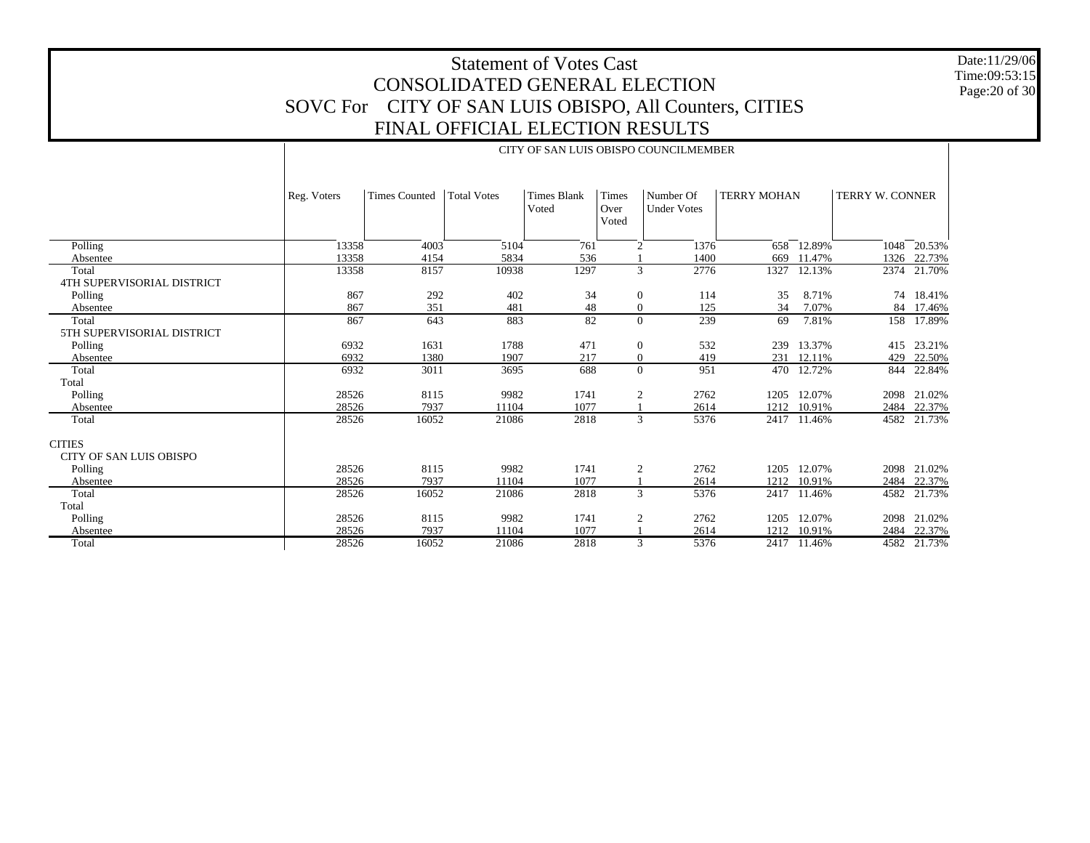Date:11/29/06 Time:09:53:15 Page:20 of 30

|                                     |             |                      |                    |                             |                        | CITY OF SAN LUIS OBISPO COUNCILMEMBER |                    |        |                        |        |
|-------------------------------------|-------------|----------------------|--------------------|-----------------------------|------------------------|---------------------------------------|--------------------|--------|------------------------|--------|
|                                     | Reg. Voters | <b>Times Counted</b> | <b>Total Votes</b> | <b>Times Blank</b><br>Voted | Times<br>Over<br>Voted | Number Of<br><b>Under Votes</b>       | <b>TERRY MOHAN</b> |        | <b>TERRY W. CONNER</b> |        |
| Polling                             | 13358       | 4003                 | 5104               | 761                         | 2                      | 1376                                  | 658                | 12.89% | 1048                   | 20.53% |
| Absentee                            | 13358       | 4154                 | 5834               | 536                         |                        | 1400                                  | 669                | 11.47% | 1326                   | 22.73% |
| Total<br>4TH SUPERVISORIAL DISTRICT | 13358       | 8157                 | 10938              | 1297                        |                        | 3<br>2776                             | 1327               | 12.13% | 2374                   | 21.70% |
| Polling                             | 867         | 292                  | 402                | 34                          | $\mathbf{0}$           | 114                                   | 35                 | 8.71%  | 74                     | 18.41% |
| Absentee                            | 867         | 351                  | 481                | 48                          |                        | 125<br>$\overline{0}$                 | 34                 | 7.07%  | 84                     | 17.46% |
| Total<br>5TH SUPERVISORIAL DISTRICT | 867         | 643                  | 883                | 82                          |                        | 239<br>$\Omega$                       | 69                 | 7.81%  | 158                    | 17.89% |
| Polling                             | 6932        | 1631                 | 1788               | 471                         | $\boldsymbol{0}$       | 532                                   | 239                | 13.37% | 415                    | 23.21% |
| Absentee                            | 6932        | 1380                 | 1907               | 217                         | $\mathbf{0}$           | 419                                   | 231                | 12.11% | 429                    | 22.50% |
| Total                               | 6932        | 3011                 | 3695               | 688                         |                        | 951<br>$\Omega$                       | 470                | 12.72% | 844                    | 22.84% |
| Total                               |             |                      |                    |                             |                        |                                       |                    |        |                        |        |
| Polling                             | 28526       | 8115                 | 9982               | 1741                        |                        | 2<br>2762                             | 1205               | 12.07% | 2098                   | 21.02% |
| Absentee                            | 28526       | 7937                 | 11104              | 1077                        |                        | 2614                                  | 1212               | 10.91% | 2484                   | 22.37% |
| Total                               | 28526       | 16052                | 21086              | 2818                        |                        | 5376<br>3                             | 2417               | 11.46% | 4582                   | 21.73% |
| <b>CITIES</b>                       |             |                      |                    |                             |                        |                                       |                    |        |                        |        |
| <b>CITY OF SAN LUIS OBISPO</b>      |             |                      |                    |                             |                        |                                       |                    |        |                        |        |
| Polling                             | 28526       | 8115                 | 9982               | 1741                        | $\overline{c}$         | 2762                                  | 1205               | 12.07% | 2098                   | 21.02% |
| Absentee                            | 28526       | 7937                 | 11104              | 1077                        |                        | 2614                                  | 1212               | 10.91% | 2484                   | 22.37% |
| Total                               | 28526       | 16052                | 21086              | 2818                        |                        | 3<br>5376                             | 2417               | 11.46% | 4582                   | 21.73% |
| Total                               |             |                      |                    |                             |                        |                                       |                    |        |                        |        |
| Polling                             | 28526       | 8115                 | 9982               | 1741                        | 2                      | 2762                                  | 1205               | 12.07% | 2098                   | 21.02% |
| Absentee                            | 28526       | 7937                 | 11104              | 1077                        |                        | 2614                                  | 1212               | 10.91% | 2484                   | 22.37% |
| Total                               | 28526       | 16052                | 21086              | 2818                        |                        | 5376<br>3                             | 2417               | 11.46% | 4582                   | 21.73% |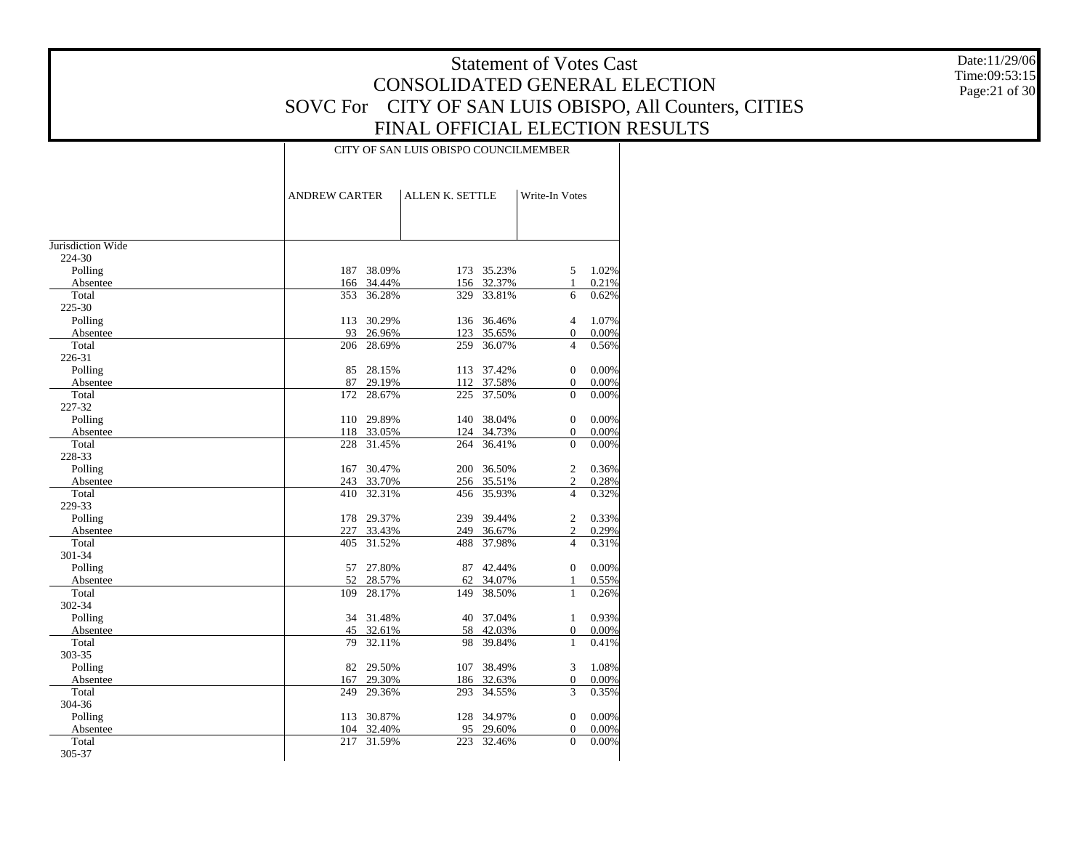Date:11/29/06 Time:09:53:15 Page:21 of 30

|                   | <b>ANDREW CARTER</b> |            | ALLEN K. SETTLE |            | Write-In Votes   |       |
|-------------------|----------------------|------------|-----------------|------------|------------------|-------|
|                   |                      |            |                 |            |                  |       |
| Jurisdiction Wide |                      |            |                 |            |                  |       |
| 224-30            |                      |            |                 |            |                  |       |
| Polling           | 187                  | 38.09%     |                 | 173 35.23% | 5                | 1.02% |
| Absentee          | 166                  | 34.44%     |                 | 156 32.37% | $\mathbf{1}$     | 0.21% |
| Total             | 353                  | 36.28%     | 329             | 33.81%     | 6                | 0.62% |
| 225-30            |                      |            |                 |            |                  |       |
| Polling           | 113                  | 30.29%     | 136             | 36.46%     | $\overline{4}$   | 1.07% |
| Absentee          | 93                   | 26.96%     | 123             | 35.65%     | $\Omega$         | 0.00% |
| Total             | 206                  | 28.69%     | 259             | 36.07%     | $\overline{4}$   | 0.56% |
| 226-31            |                      |            |                 |            |                  |       |
| Polling           | 85                   | 28.15%     | 113             | 37.42%     | $\mathbf{0}$     | 0.00% |
| Absentee          | 87                   | 29.19%     |                 | 112 37.58% | $\mathbf{0}$     | 0.00% |
| Total             | 172                  | 28.67%     | 225             | 37.50%     | $\mathbf{0}$     | 0.00% |
| 227-32            |                      |            |                 |            |                  |       |
| Polling           |                      | 110 29.89% | 140             | 38.04%     | $\overline{0}$   | 0.00% |
| Absentee          | 118                  | 33.05%     |                 | 124 34.73% | $\mathbf{0}$     | 0.00% |
| Total             | 228                  | 31.45%     | 264             | 36.41%     | $\theta$         | 0.00% |
| 228-33            |                      |            |                 |            |                  |       |
| Polling           | 167                  | 30.47%     | 200             | 36.50%     | $\overline{2}$   | 0.36% |
| Absentee          |                      | 243 33.70% |                 | 256 35.51% | $\overline{2}$   | 0.28% |
| Total             | 410                  | 32.31%     | 456             | 35.93%     | $\overline{4}$   | 0.32% |
| 229-33            |                      |            |                 |            |                  |       |
| Polling           | 178                  | 29.37%     | 239             | 39.44%     | $\overline{2}$   | 0.33% |
| Absentee          |                      | 227 33.43% | 249             | 36.67%     | $\sqrt{2}$       | 0.29% |
| Total             | 405                  | 31.52%     | 488             | 37.98%     | $\overline{4}$   | 0.31% |
| 301-34            |                      |            |                 |            |                  |       |
| Polling           | 57                   | 27.80%     | 87              | 42.44%     | $\mathbf{0}$     | 0.00% |
| Absentee          | 52                   | 28.57%     | 62              | 34.07%     | 1                | 0.55% |
| Total             | 109                  | 28.17%     | 149             | 38.50%     | $\mathbf{1}$     | 0.26% |
| 302-34            |                      |            |                 |            |                  |       |
| Polling           | 34                   | 31.48%     | 40              | 37.04%     | $\mathbf{1}$     | 0.93% |
| Absentee          |                      | 45 32.61%  |                 | 58 42.03%  | $\boldsymbol{0}$ | 0.00% |
| Total             | 79                   | 32.11%     | 98              | 39.84%     | 1                | 0.41% |
| 303-35            |                      |            |                 |            |                  |       |
| Polling           | 82                   | 29.50%     | 107             | 38.49%     | 3                | 1.08% |
| Absentee          | 167                  | 29.30%     |                 | 186 32.63% | $\overline{0}$   | 0.00% |
| Total             | 249                  | 29.36%     | 293             | 34.55%     | 3                | 0.35% |
| 304-36            |                      |            |                 |            |                  |       |
| Polling           | 113                  | 30.87%     | 128             | 34.97%     | $\mathbf{0}$     | 0.00% |
| Absentee          | 104                  | 32.40%     | 95              | 29.60%     | $\overline{0}$   | 0.00% |
| Total             | 217                  | 31.59%     | 223             | 32.46%     | $\Omega$         | 0.00% |
| 305-37            |                      |            |                 |            |                  |       |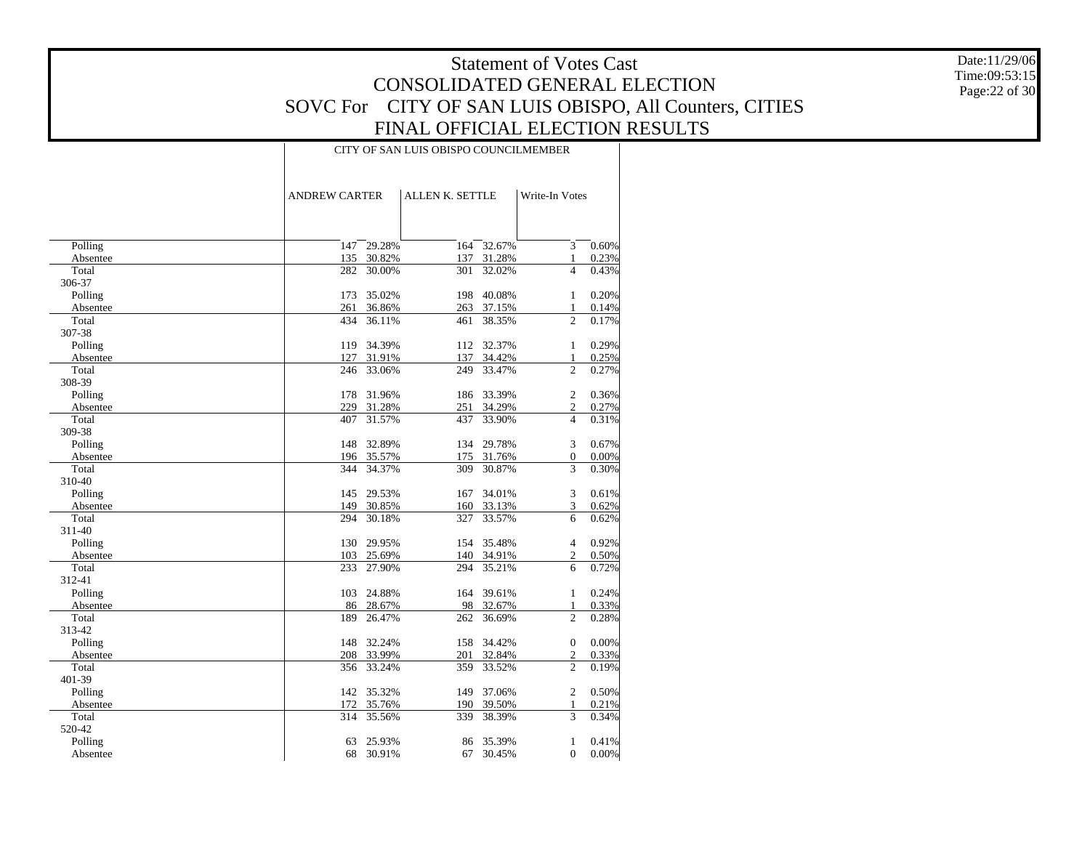Date:11/29/06 Time:09:53:15 Page:22 of 30

|          | <b>ANDREW CARTER</b> |            | <b>ALLEN K. SETTLE</b> |            | Write-In Votes   |       |
|----------|----------------------|------------|------------------------|------------|------------------|-------|
|          |                      |            |                        |            |                  |       |
|          |                      |            |                        |            |                  |       |
| Polling  | 147                  | 29.28%     | 164                    | 32.67%     | 3                | 0.60% |
| Absentee | 135                  | 30.82%     | 137                    | 31.28%     | 1                | 0.23% |
| Total    | 282                  | 30.00%     | 301                    | 32.02%     | $\overline{4}$   | 0.43% |
| 306-37   |                      |            |                        |            |                  |       |
| Polling  | 173                  | 35.02%     | 198                    | 40.08%     | 1                | 0.20% |
| Absentee | 261                  | 36.86%     | 263                    | 37.15%     | $\mathbf{1}$     | 0.14% |
| Total    | 434                  | 36.11%     | 461                    | 38.35%     | $\overline{c}$   | 0.17% |
| 307-38   |                      |            |                        |            |                  |       |
| Polling  | 119                  | 34.39%     | 112                    | 32.37%     | $\mathbf{1}$     | 0.29% |
| Absentee | 127                  | 31.91%     | 137                    | 34.42%     | $\mathbf{1}$     | 0.25% |
| Total    | 246                  | 33.06%     | 249                    | 33.47%     | $\overline{c}$   | 0.27% |
| 308-39   |                      |            |                        |            |                  |       |
| Polling  | 178                  | 31.96%     | 186                    | 33.39%     | $\overline{2}$   | 0.36% |
| Absentee | 229                  | 31.28%     | 251                    | 34.29%     | $\overline{c}$   | 0.27% |
| Total    | 407                  | 31.57%     | 437                    | 33.90%     | $\overline{4}$   | 0.31% |
| 309-38   |                      |            |                        |            |                  |       |
| Polling  | 148                  | 32.89%     | 134                    | 29.78%     | 3                | 0.67% |
| Absentee | 196                  | 35.57%     | 175                    | 31.76%     | $\overline{0}$   | 0.00% |
| Total    | 344                  | 34.37%     | 309                    | 30.87%     | 3                | 0.30% |
| 310-40   |                      |            |                        |            |                  |       |
| Polling  | 145                  | 29.53%     | 167                    | 34.01%     | 3                | 0.61% |
| Absentee | 149                  | 30.85%     | 160                    | 33.13%     | 3                | 0.62% |
| Total    | 294                  | 30.18%     | 327                    | 33.57%     | 6                | 0.62% |
| 311-40   |                      |            |                        |            |                  |       |
| Polling  | 130                  | 29.95%     | 154                    | 35.48%     | $\overline{4}$   | 0.92% |
| Absentee |                      | 103 25.69% |                        | 140 34.91% | $\mathfrak{2}$   | 0.50% |
| Total    | 233                  | 27.90%     | 294                    | 35.21%     | 6                | 0.72% |
| 312-41   |                      |            |                        |            |                  |       |
| Polling  | 103                  | 24.88%     | 164                    | 39.61%     | 1                | 0.24% |
| Absentee | 86                   | 28.67%     | 98                     | 32.67%     | $\mathbf{1}$     | 0.33% |
| Total    | 189                  | 26.47%     | 262                    | 36.69%     | $\overline{2}$   | 0.28% |
| 313-42   |                      |            |                        |            |                  |       |
| Polling  | 148                  | 32.24%     | 158                    | 34.42%     | $\boldsymbol{0}$ | 0.00% |
| Absentee | 208                  | 33.99%     | 201                    | 32.84%     | $\overline{c}$   | 0.33% |
| Total    | 356                  | 33.24%     | 359                    | 33.52%     | $\overline{c}$   | 0.19% |
| 401-39   |                      |            |                        |            |                  |       |
| Polling  | 142                  | 35.32%     | 149                    | 37.06%     | $\overline{c}$   | 0.50% |
| Absentee | 172                  | 35.76%     | 190                    | 39.50%     | 1                | 0.21% |
| Total    | 314                  | 35.56%     | 339                    | 38.39%     | 3                | 0.34% |
| 520-42   |                      |            |                        |            |                  |       |
| Polling  | 63                   | 25.93%     | 86                     | 35.39%     | 1                | 0.41% |
| Absentee | 68                   | 30.91%     | 67                     | 30.45%     | $\Omega$         | 0.00% |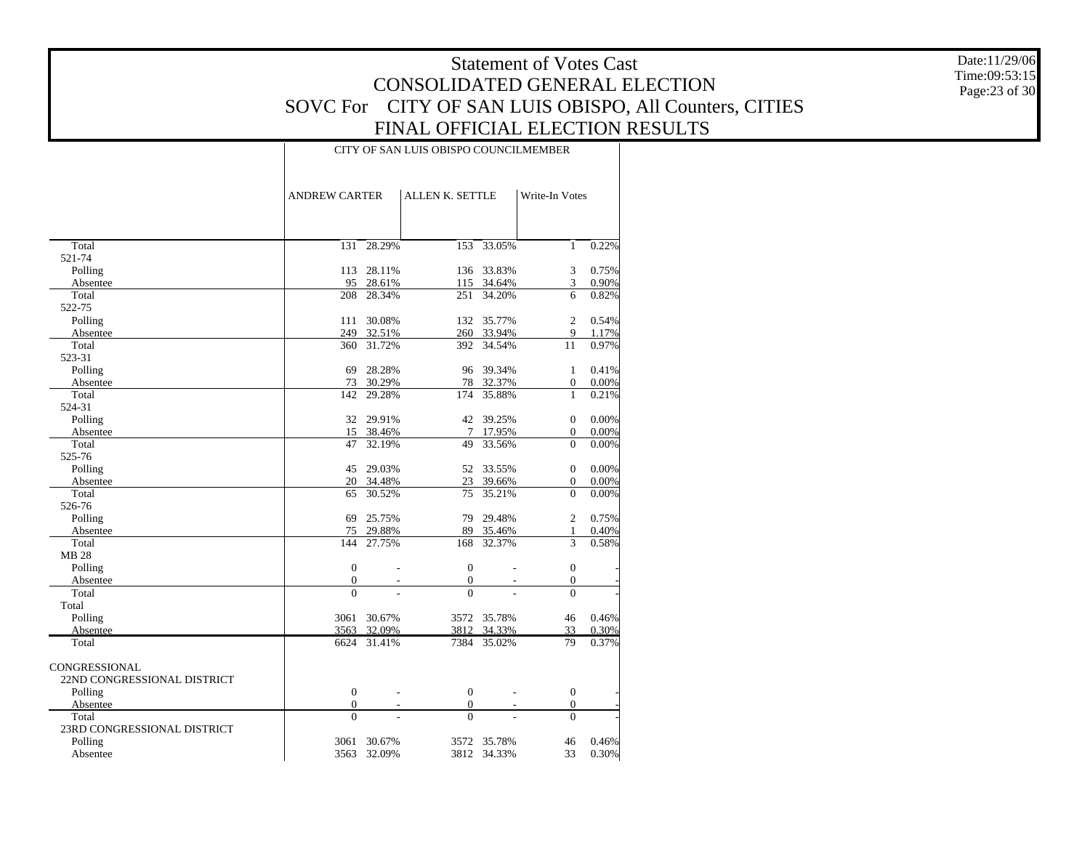Date:11/29/06 Time:09:53:15 Page:23 of 30

|                             | <b>ANDREW CARTER</b> |                          | ALLEN K. SETTLE  |                  | Write-In Votes                   |                |
|-----------------------------|----------------------|--------------------------|------------------|------------------|----------------------------------|----------------|
|                             |                      |                          |                  |                  |                                  |                |
| Total                       | 131                  | 28.29%                   | 153              | 33.05%           | $\mathbf{1}$                     | 0.22%          |
| 521-74                      |                      |                          |                  |                  |                                  |                |
| Polling                     | 113                  | 28.11%                   | 136              | 33.83%           | 3                                | 0.75%          |
| Absentee                    | 95                   | 28.61%                   | 115              | 34.64%           | 3                                | 0.90%          |
| Total                       | 208                  | 28.34%                   | 251              | 34.20%           | 6                                | 0.82%          |
| 522-75                      |                      |                          |                  |                  |                                  |                |
| Polling                     | 111                  | 30.08%                   | 132              | 35.77%           | $\overline{c}$                   | 0.54%          |
| Absentee                    | 249                  | 32.51%                   | 260              | 33.94%           | 9                                | 1.17%          |
| Total                       | 360                  | 31.72%                   | 392              | 34.54%           | 11                               | 0.97%          |
| 523-31                      |                      |                          |                  |                  |                                  |                |
| Polling                     | 69                   | 28.28%                   | 96               | 39.34%           | 1                                | 0.41%          |
| Absentee                    | 73<br>142            | 30.29%<br>29.28%         | 78<br>174        | 32.37%<br>35.88% | $\boldsymbol{0}$<br>$\mathbf{1}$ | 0.00%<br>0.21% |
| Total<br>524-31             |                      |                          |                  |                  |                                  |                |
| Polling                     | 32                   | 29.91%                   | 42               | 39.25%           | $\mathbf{0}$                     | 0.00%          |
| Absentee                    | 15                   | 38.46%                   | $\tau$           | 17.95%           | $\mathbf{0}$                     | 0.00%          |
| Total                       | 47                   | 32.19%                   | 49               | 33.56%           | $\overline{0}$                   | 0.00%          |
| 525-76                      |                      |                          |                  |                  |                                  |                |
| Polling                     | 45                   | 29.03%                   | 52               | 33.55%           | $\overline{0}$                   | 0.00%          |
| Absentee                    | 20                   | 34.48%                   | 23               | 39.66%           | $\boldsymbol{0}$                 | 0.00%          |
| Total                       | 65                   | 30.52%                   | 75               | 35.21%           | $\theta$                         | 0.00%          |
| 526-76                      |                      |                          |                  |                  |                                  |                |
| Polling                     | 69                   | 25.75%                   | 79               | 29.48%           | $\overline{c}$                   | 0.75%          |
| Absentee                    | 75                   | 29.88%                   | 89               | 35.46%           | $\mathbf{1}$                     | 0.40%          |
| Total                       | 144                  | 27.75%                   | 168              | 32.37%           | 3                                | 0.58%          |
| <b>MB 28</b>                |                      |                          |                  |                  |                                  |                |
| Polling                     | $\overline{0}$       |                          | $\Omega$         |                  | $\mathbf{0}$                     |                |
| Absentee                    | $\mathbf{0}$         | ÷.                       | $\mathbf{0}$     |                  | $\boldsymbol{0}$                 |                |
| Total                       | $\theta$             |                          | $\theta$         |                  | $\overline{0}$                   |                |
| Total                       |                      |                          |                  |                  |                                  |                |
| Polling                     | 3061                 | 30.67%                   | 3572             | 35.78%           | 46                               | 0.46%          |
| Absentee                    | 3563                 | 32.09%                   | 3812             | 34.33%           | 33                               | 0.30%          |
| Total                       | 6624                 | 31.41%                   | 7384             | 35.02%           | 79                               | 0.37%          |
| <b>CONGRESSIONAL</b>        |                      |                          |                  |                  |                                  |                |
| 22ND CONGRESSIONAL DISTRICT |                      |                          |                  |                  |                                  |                |
| Polling                     | $\boldsymbol{0}$     |                          | $\boldsymbol{0}$ |                  | $\boldsymbol{0}$                 |                |
| Absentee                    | $\theta$             | $\overline{\phantom{a}}$ | $\Omega$         | $\overline{a}$   | $\overline{0}$                   |                |
| Total                       | $\theta$             |                          | $\theta$         |                  | $\theta$                         |                |
| 23RD CONGRESSIONAL DISTRICT |                      |                          |                  |                  |                                  |                |
| Polling                     | 3061                 | 30.67%                   | 3572             | 35.78%           | 46                               | 0.46%          |
| Absentee                    | 3563                 | 32.09%                   | 3812             | 34.33%           | 33                               | 0.30%          |
|                             |                      |                          |                  |                  |                                  |                |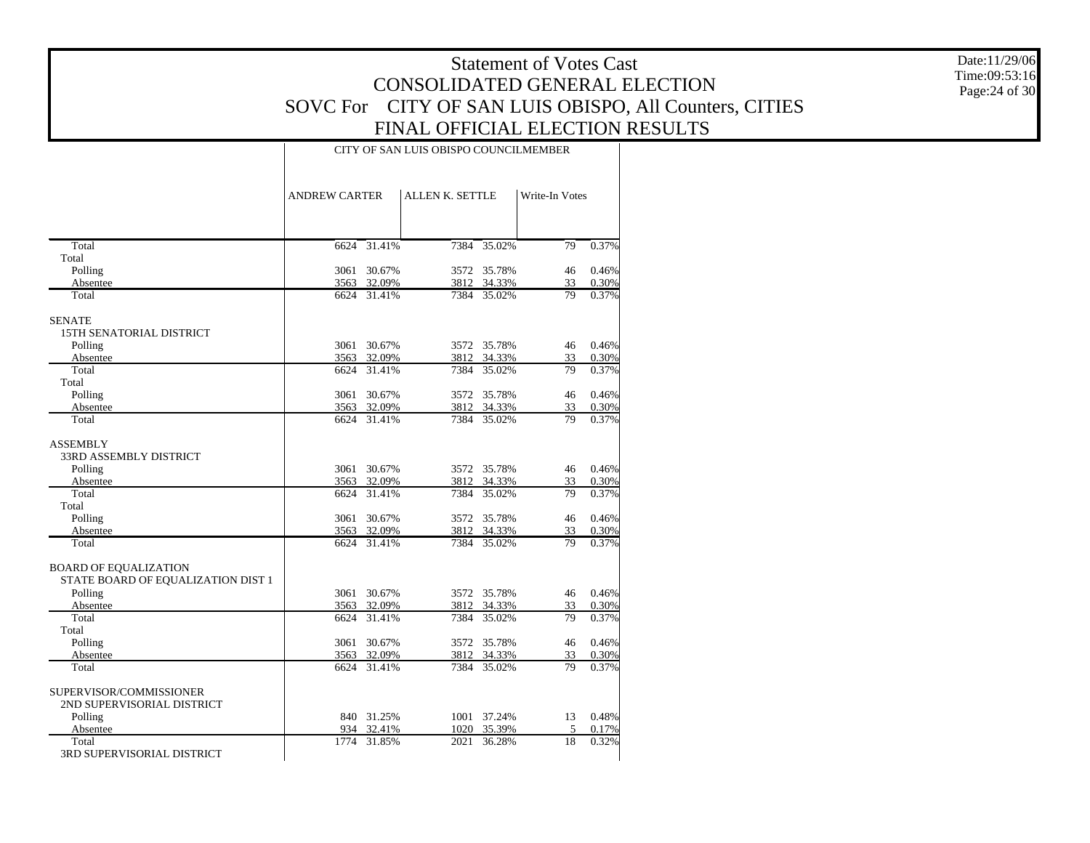Date:11/29/06 Time:09:53:16 Page:24 of 30

|                                    | <b>ANDREW CARTER</b> | ALLEN K. SETTLE  |      | Write-In Votes        |          |                |
|------------------------------------|----------------------|------------------|------|-----------------------|----------|----------------|
| Total                              | 6624                 | 31.41%           | 7384 | 35.02%                | 79       | 0.37%          |
| Total                              |                      |                  |      |                       |          |                |
| Polling                            | 3061                 | 30.67%           | 3572 | 35.78%                | 46       | 0.46%          |
| Absentee                           |                      | 3563 32.09%      |      | 3812 34.33%           | 33       | 0.30%          |
| Total                              |                      | 6624 31.41%      |      | 7384 35.02%           | 79       | 0.37%          |
| <b>SENATE</b>                      |                      |                  |      |                       |          |                |
| <b>15TH SENATORIAL DISTRICT</b>    |                      |                  |      |                       |          |                |
| Polling                            | 3061                 | 30.67%           |      | 3572 35.78%           | 46       | 0.46%          |
| Absentee                           | 3563                 | 32.09%           | 3812 | 34.33%                | 33       | 0.30%          |
| Total                              | 6624                 | 31.41%           | 7384 | 35.02%                | 79       | 0.37%          |
| Total                              |                      |                  |      |                       |          |                |
| Polling                            | 3061                 | 30.67%           | 3572 | 35.78%                | 46       | 0.46%          |
| Absentee                           | 3563                 | 32.09%           | 3812 | 34.33%                | 33       | 0.30%          |
| Total                              | 6624                 | 31.41%           | 7384 | 35.02%                | 79       | 0.37%          |
| <b>ASSEMBLY</b>                    |                      |                  |      |                       |          |                |
| 33RD ASSEMBLY DISTRICT             |                      |                  |      |                       |          |                |
| Polling                            | 3061                 | 30.67%           |      | 3572 35.78%           | 46       | 0.46%          |
| Absentee                           | 3563                 | 32.09%           | 3812 | 34.33%                | 33       | 0.30%          |
| Total                              | 6624                 | 31.41%           | 7384 | 35.02%                | 79       | 0.37%          |
| Total                              |                      |                  |      |                       |          |                |
| Polling                            | 3061                 | 30.67%           | 3572 | 35.78%                | 46       | 0.46%          |
| Absentee                           | 3563                 | 32.09%           |      | 3812 34.33%           | 33       | 0.30%          |
| Total                              | 6624                 | 31.41%           | 7384 | 35.02%                | 79       | 0.37%          |
| <b>BOARD OF EQUALIZATION</b>       |                      |                  |      |                       |          |                |
| STATE BOARD OF EQUALIZATION DIST 1 |                      |                  |      |                       |          |                |
| Polling<br>Absentee                | 3061                 | 30.67%<br>32.09% | 3812 | 3572 35.78%<br>34.33% | 46<br>33 | 0.46%          |
| Total                              | 3563<br>6624         | 31.41%           | 7384 | 35.02%                | 79       | 0.30%<br>0.37% |
| Total                              |                      |                  |      |                       |          |                |
| Polling                            | 3061                 | 30.67%           | 3572 | 35.78%                | 46       | 0.46%          |
| Absentee                           | 3563                 | 32.09%           |      | 3812 34.33%           | 33       | 0.30%          |
| Total                              | 6624                 | 31.41%           | 7384 | 35.02%                | 79       | 0.37%          |
| SUPERVISOR/COMMISSIONER            |                      |                  |      |                       |          |                |
| 2ND SUPERVISORIAL DISTRICT         |                      |                  |      |                       |          |                |
| Polling                            | 840                  | 31.25%           |      | 1001 37.24%           | 13       | 0.48%          |
| Absentee                           | 934                  | 32.41%           | 1020 | 35.39%                | 5        | 0.17%          |
| Total                              | 1774                 | 31.85%           | 2021 | 36.28%                | 18       | 0.32%          |
| 3RD SUPERVISORIAL DISTRICT         |                      |                  |      |                       |          |                |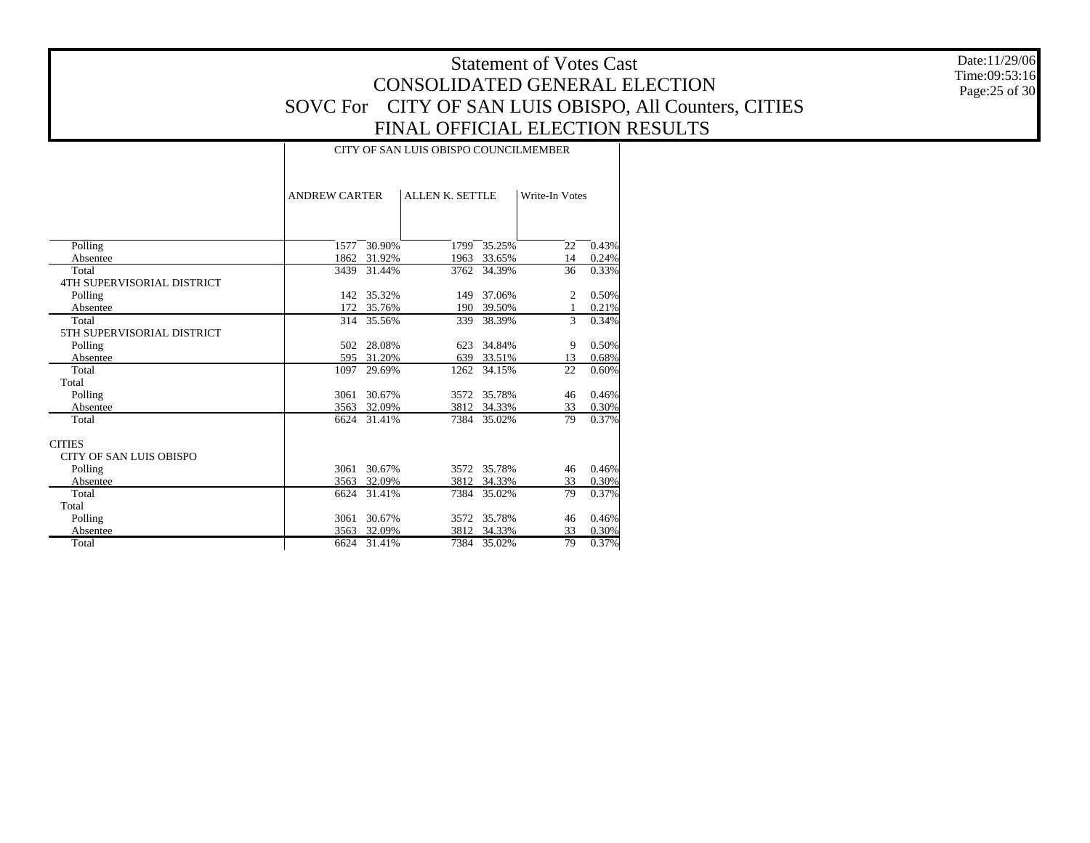Date:11/29/06 Time:09:53:16 Page:25 of 30

|                                   | <b>ANDREW CARTER</b> |             | <b>ALLEN K. SETTLE</b> |        | Write-In Votes |       |
|-----------------------------------|----------------------|-------------|------------------------|--------|----------------|-------|
|                                   |                      |             |                        |        |                |       |
|                                   |                      |             |                        |        |                |       |
| Polling                           | 1577                 | 30.90%      | 1799                   | 35.25% | 22             | 0.43% |
| Absentee                          | 1862                 | 31.92%      | 1963                   | 33.65% | 14             | 0.24% |
| Total                             | 3439                 | 31.44%      | 3762                   | 34.39% | 36             | 0.33% |
| <b>4TH SUPERVISORIAL DISTRICT</b> |                      |             |                        |        |                |       |
| Polling                           |                      | 142 35.32%  | 149                    | 37.06% | 2              | 0.50% |
| Absentee                          | 172                  | 35.76%      | 190                    | 39.50% | $\mathbf{1}$   | 0.21% |
| Total                             | 314                  | 35.56%      | 339                    | 38.39% | 3              | 0.34% |
| 5TH SUPERVISORIAL DISTRICT        |                      |             |                        |        |                |       |
| Polling                           | 502                  | 28.08%      | 623                    | 34.84% | 9              | 0.50% |
| Absentee                          | 595                  | 31.20%      | 639                    | 33.51% | 13             | 0.68% |
| Total                             | 1097                 | 29.69%      | 1262                   | 34.15% | 22             | 0.60% |
| Total                             |                      |             |                        |        |                |       |
| Polling                           | 3061                 | 30.67%      | 3572                   | 35.78% | 46             | 0.46% |
| Absentee                          | 3563                 | 32.09%      | 3812                   | 34.33% | 33             | 0.30% |
| Total                             |                      | 6624 31.41% | 7384                   | 35.02% | 79             | 0.37% |
| <b>CITIES</b>                     |                      |             |                        |        |                |       |
| <b>CITY OF SAN LUIS OBISPO</b>    |                      |             |                        |        |                |       |
| Polling                           | 3061                 | 30.67%      | 3572                   | 35.78% | 46             | 0.46% |
| Absentee                          | 3563                 | 32.09%      | 3812                   | 34.33% | 33             | 0.30% |
| Total                             | 6624                 | 31.41%      | 7384                   | 35.02% | 79             | 0.37% |
| Total                             |                      |             |                        |        |                |       |
| Polling                           | 3061                 | 30.67%      | 3572                   | 35.78% | 46             | 0.46% |
| Absentee                          | 3563                 | 32.09%      | 3812                   | 34.33% | 33             | 0.30% |
| Total                             | 6624                 | 31.41%      | 7384                   | 35.02% | 79             | 0.37% |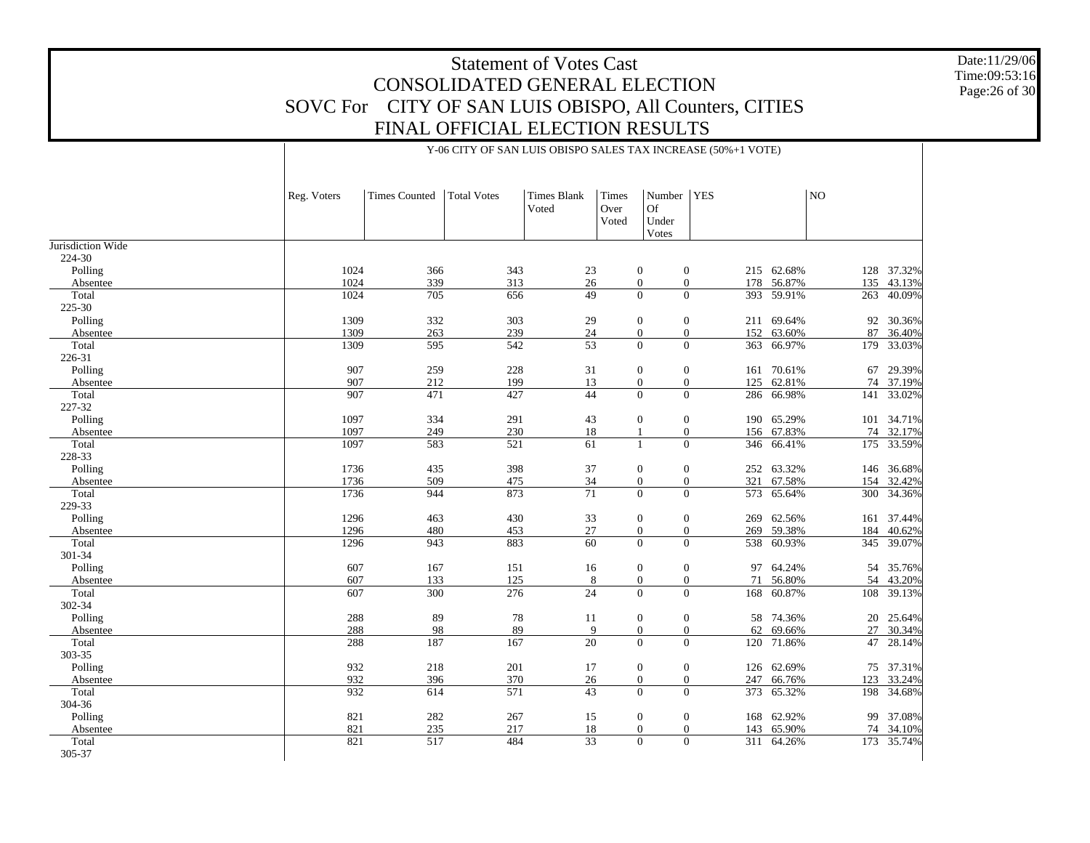Date:11/29/06 Time:09:53:16Page:26 of 30

20 25.64%

27 30.34%

47 28.14%

75 37.31%

123 33.24%

198 34.68%

99 37.08%

74 34.10%

173 35.74%

| Reg. Voters | <b>Times Counted</b> | <b>Total Votes</b> | <b>Times Blank</b><br>Voted | Times<br>Over<br>Voted | Number   YES<br><b>Of</b><br>Under<br>Votes   |     |            | NO  |            |
|-------------|----------------------|--------------------|-----------------------------|------------------------|-----------------------------------------------|-----|------------|-----|------------|
|             |                      |                    |                             |                        |                                               |     |            |     |            |
| 1024        | 366                  | 343                | 23                          |                        | $\boldsymbol{0}$<br>$\mathbf{0}$              |     | 215 62.68% |     | 128 37.32% |
| 1024        | 339                  | 313                | 26                          |                        | $\boldsymbol{0}$<br>$\boldsymbol{0}$          |     | 178 56.87% | 135 | 43.13%     |
| 1024        | 705                  | 656                | 49                          |                        | $\overline{0}$<br>$\overline{0}$              |     | 393 59.91% | 263 | 40.09%     |
|             |                      |                    |                             |                        |                                               |     |            |     |            |
| 1309        | 332                  | 303                | 29                          |                        | $\boldsymbol{0}$<br>0                         |     | 211 69.64% |     | 92 30.36%  |
| 1309        | 263                  | 239                | 24                          |                        | 0<br>$\boldsymbol{0}$                         |     | 152 63.60% | 87  | 36.40%     |
| 1309        | 595                  | 542                | $\overline{53}$             |                        | $\overline{0}$<br>$\Omega$                    |     | 363 66.97% | 179 | 33.03%     |
|             |                      |                    |                             |                        |                                               |     |            |     |            |
| 907         | 259                  | 228                | 31                          |                        | $\boldsymbol{0}$<br>$\boldsymbol{0}$          |     | 161 70.61% | 67  | 29.39%     |
| 907         | 212                  | 199                | 13                          |                        | $\boldsymbol{0}$<br>$\boldsymbol{0}$          | 125 | 62.81%     |     | 74 37.19%  |
| 907         | 471                  | 427                | 44                          |                        | $\overline{0}$<br>$\Omega$                    |     | 286 66.98% |     | 141 33.02% |
|             |                      |                    |                             |                        |                                               |     |            |     |            |
| 1097        | 334                  | 291                | 43                          |                        | 0<br>$\mathbf{0}$                             |     | 190 65.29% |     | 101 34.71% |
| 1097        | 249                  | 230                | 18                          |                        | $\boldsymbol{0}$                              |     | 156 67.83% |     | 74 32.17%  |
| 1097        | 583                  | 521                | 61                          |                        | $\theta$<br>$\mathbf{1}$                      |     | 346 66.41% |     | 175 33.59% |
|             |                      |                    |                             |                        |                                               |     |            |     |            |
| 1736        | 435                  | 398                | 37                          |                        | $\mathbf{0}$<br>0                             |     | 252 63.32% |     | 146 36.68% |
| 1736        | 509                  | 475                | $\frac{34}{5}$              |                        | 0<br>$\boldsymbol{0}$                         | 321 | 67.58%     | 154 | 32.42%     |
| 1736        | 944                  | 873                | $\overline{71}$             |                        | $\overline{0}$<br>$\mathbf{0}$                |     | 573 65.64% |     | 300 34.36% |
|             |                      |                    |                             |                        |                                               |     |            |     |            |
| 1296        | 463                  | 430                | 33                          |                        | $\boldsymbol{0}$<br>$\mathbf{0}$              |     | 269 62.56% |     | 161 37.44% |
| 1296        | 480                  | 453                | 27                          |                        | $\boldsymbol{0}$<br>$\boldsymbol{0}$          |     | 269 59.38% |     | 184 40.62% |
| 1296        | 943                  | 883                | 60                          |                        | $\overline{0}$<br>$\theta$                    |     | 538 60.93% |     | 345 39.07% |
|             |                      |                    |                             |                        |                                               |     |            |     |            |
| 607         | 167                  | 151                | 16                          |                        | $\boldsymbol{0}$<br>$\mathbf{0}$              |     | 97 64.24%  |     | 54 35.76%  |
| 607<br>607  | 133                  | 125<br>276         | 8<br>24                     |                        | 0<br>$\boldsymbol{0}$<br>$\Omega$<br>$\theta$ | 71  | 56.80%     |     | 54 43.20%  |
|             | 300                  |                    |                             |                        |                                               |     | 168 60.87% |     | 108 39.13% |

Y-06 CITY OF SAN LUIS OBISPO SALES TAX INCREASE (50%+1 VOTE)

| Polling  | 1309 | 332              | 303 | 29              | $\theta$         | $\theta$         | 211<br>69.64% |
|----------|------|------------------|-----|-----------------|------------------|------------------|---------------|
| Absentee | 1309 | 263              | 239 | 24              | $\boldsymbol{0}$ | $\mathbf{0}$     | 152<br>63.60% |
| Total    | 1309 | 595              | 542 | $\overline{53}$ | $\overline{0}$   | $\Omega$         | 363<br>66.97% |
| 226-31   |      |                  |     |                 |                  |                  |               |
| Polling  | 907  | 259              | 228 | 31              | $\boldsymbol{0}$ | $\mathbf{0}$     | 70.61%<br>161 |
| Absentee | 907  | 212              | 199 | 13              | $\mathbf{0}$     | $\mathbf{0}$     | 62.81%<br>125 |
| Total    | 907  | 471              | 427 | 44              | $\overline{0}$   | $\Omega$         | 66.98%<br>286 |
| 227-32   |      |                  |     |                 |                  |                  |               |
| Polling  | 1097 | 334              | 291 | 43              | $\overline{0}$   | $\mathbf{0}$     | 65.29%<br>190 |
| Absentee | 1097 | 249              | 230 | 18              |                  | $\boldsymbol{0}$ | 67.83%<br>156 |
| Total    | 1097 | 583              | 521 | 61              | $\mathbf{1}$     | $\Omega$         | 346<br>66.41% |
| 228-33   |      |                  |     |                 |                  |                  |               |
| Polling  | 1736 | 435              | 398 | 37              | $\boldsymbol{0}$ | $\mathbf{0}$     | 63.32%<br>252 |
| Absentee | 1736 | 509              | 475 | 34              | $\mathbf{0}$     | $\theta$         | 321<br>67.58% |
| Total    | 1736 | 944              | 873 | $\overline{71}$ | $\mathbf{0}$     | $\Omega$         | 65.64%<br>573 |
| 229-33   |      |                  |     |                 |                  |                  |               |
| Polling  | 1296 | 463              | 430 | 33              | $\boldsymbol{0}$ | $\boldsymbol{0}$ | 62.56%<br>269 |
| Absentee | 1296 | 480              | 453 | 27              | $\boldsymbol{0}$ | $\mathbf{0}$     | 269<br>59.38% |
| Total    | 1296 | 943              | 883 | $\overline{60}$ | $\overline{0}$   | $\Omega$         | 60.93%<br>538 |
| 301-34   |      |                  |     |                 |                  |                  |               |
| Polling  | 607  | 167              | 151 | 16              | $\boldsymbol{0}$ | $\mathbf{0}$     | 64.24%<br>97  |
| Absentee | 607  | 133              | 125 | 8               | $\boldsymbol{0}$ | $\boldsymbol{0}$ | 71<br>56.80%  |
| Total    | 607  | $\overline{300}$ | 276 | $\overline{24}$ | $\Omega$         | $\overline{0}$   | 60.87%<br>168 |
| 302-34   |      |                  |     |                 |                  |                  |               |
| Polling  | 288  | 89               | 78  | 11              | $\boldsymbol{0}$ | $\boldsymbol{0}$ | 74.36%<br>58  |
| Absentee | 288  | 98               | 89  | 9               | $\boldsymbol{0}$ | $\mathbf{0}$     | 69.66%<br>62  |
| Total    | 288  | 187              | 167 | $\overline{20}$ | $\overline{0}$   | $\Omega$         | 71.86%<br>120 |
| 303-35   |      |                  |     |                 |                  |                  |               |
| Polling  | 932  | 218              | 201 | 17              | $\mathbf{0}$     | $\mathbf{0}$     | 62.69%<br>126 |
| Absentee | 932  | 396              | 370 | 26              | $\boldsymbol{0}$ | $\boldsymbol{0}$ | 247<br>66.76% |
| Total    | 932  | 614              | 571 | 43              | $\theta$         | $\Omega$         | 65.32%<br>373 |
| 304-36   |      |                  |     |                 |                  |                  |               |
| Polling  | 821  | 282              | 267 | 15              | $\boldsymbol{0}$ | $\mathbf{0}$     | 62.92%<br>168 |
| Absentee | 821  | 235              | 217 | 18              | $\boldsymbol{0}$ | $\mathbf{0}$     | 65.90%<br>143 |
| Total    | 821  | $\overline{517}$ | 484 | $\overline{33}$ | $\boldsymbol{0}$ | $\mathbf{0}$     | 64.26%<br>311 |
| 305-37   |      |                  |     |                 |                  |                  |               |
|          |      |                  |     |                 |                  |                  |               |

Jurisdiction Wide 224-30 Polling Absentee Total 225-30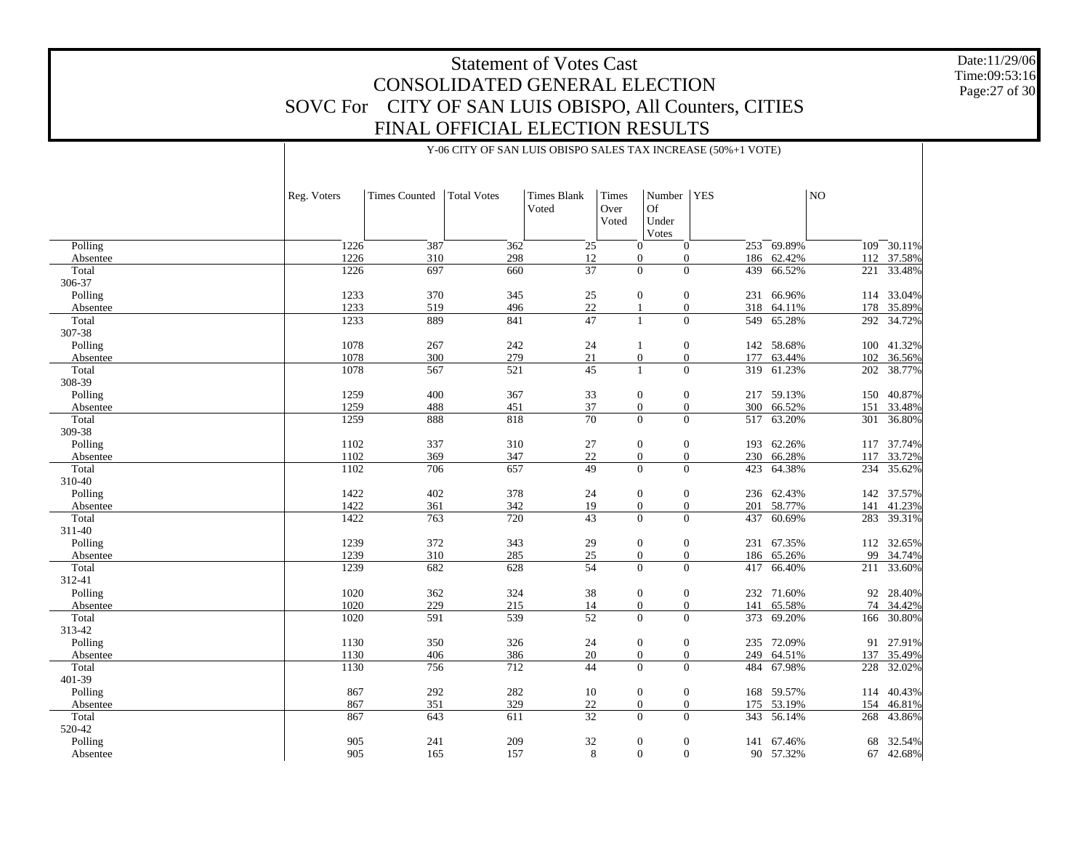Y-06 CITY OF SAN LUIS OBISPO SALES TAX INCREASE (50%+1 VOTE)

241 209 32 0 0 141 67.46%

165 157 8 0 0 90 57.32%

Date:11/29/06 Time:09:53:16 Page:27 of 30

68 32.54%

67 42.68%

|          | Reg. Voters | <b>Times Counted</b> | <b>Total Votes</b> | <b>Times Blank</b><br>Voted | Times<br>Over<br>Voted | Number   YES<br>Of<br>Under<br>Votes |     |            | NO  |            |
|----------|-------------|----------------------|--------------------|-----------------------------|------------------------|--------------------------------------|-----|------------|-----|------------|
| Polling  | 1226        | 387                  | 362                | 25                          |                        | $\overline{0}$<br>$\mathbf{0}$       |     | 253 69.89% | 109 | 30.11%     |
| Absentee | 1226        | 310                  | 298                | 12                          |                        | $\boldsymbol{0}$<br>$\mathbf{0}$     |     | 186 62.42% | 112 | 37.58%     |
| Total    | 1226        | 697                  | 660                | $\overline{37}$             |                        | $\Omega$<br>$\Omega$                 | 439 | 66.52%     |     | 221 33.48% |
| 306-37   |             |                      |                    |                             |                        |                                      |     |            |     |            |
| Polling  | 1233        | 370                  | 345                | 25                          |                        | $\boldsymbol{0}$<br>$\mathbf{0}$     | 231 | 66.96%     | 114 | 33.04%     |
| Absentee | 1233        | 519                  | 496                | 22                          |                        | $\mathbf{0}$<br>$\overline{1}$       | 318 | 64.11%     | 178 | 35.89%     |
| Total    | 1233        | 889                  | 841                | 47                          |                        | $\overline{0}$<br>$\mathbf{1}$       | 549 | 65.28%     | 292 | 34.72%     |
| 307-38   |             |                      |                    |                             |                        |                                      |     |            |     |            |
| Polling  | 1078        | 267                  | 242                | 24                          |                        | $\boldsymbol{0}$<br>1                |     | 142 58.68% |     | 100 41.32% |
| Absentee | 1078        | 300                  | 279                | 21                          |                        | $\boldsymbol{0}$<br>$\boldsymbol{0}$ | 177 | 63.44%     | 102 | 36.56%     |
| Total    | 1078        | 567                  | 521                | $\overline{45}$             |                        | $\Omega$<br>$\overline{1}$           | 319 | 61.23%     | 202 | 38.77%     |
| 308-39   |             |                      |                    |                             |                        |                                      |     |            |     |            |
| Polling  | 1259        | 400                  | 367                | 33                          |                        | $\mathbf{0}$<br>$\mathbf{0}$         | 217 | 59.13%     | 150 | 40.87%     |
| Absentee | 1259        | 488                  | 451                | 37                          |                        | $\boldsymbol{0}$<br>$\boldsymbol{0}$ | 300 | 66.52%     | 151 | 33.48%     |
| Total    | 1259        | 888                  | 818                | $\overline{70}$             |                        | $\Omega$<br>$\theta$                 | 517 | 63.20%     | 301 | 36.80%     |
| 309-38   |             |                      |                    |                             |                        |                                      |     |            |     |            |
| Polling  | 1102        | 337                  | 310                | 27                          |                        | $\mathbf{0}$<br>$\mathbf{0}$         | 193 | 62.26%     |     | 117 37.74% |
| Absentee | 1102        | 369                  | 347                | 22                          |                        | $\boldsymbol{0}$<br>$\mathbf{0}$     | 230 | 66.28%     | 117 | 33.72%     |
| Total    | 1102        | 706                  | 657                | 49                          |                        | $\Omega$<br>$\Omega$                 | 423 | 64.38%     | 234 | 35.62%     |
| 310-40   |             |                      |                    |                             |                        |                                      |     |            |     |            |
| Polling  | 1422        | 402                  | 378                | 24                          |                        | $\mathbf{0}$<br>$\mathbf{0}$         |     | 236 62.43% |     | 142 37.57% |
| Absentee | 1422        | 361                  | 342                | 19                          |                        | $\boldsymbol{0}$<br>$\boldsymbol{0}$ | 201 | 58.77%     | 141 | 41.23%     |
| Total    | 1422        | 763                  | 720                | 43                          |                        | $\theta$<br>$\Omega$                 |     | 437 60.69% |     | 283 39.31% |
| 311-40   |             |                      |                    |                             |                        |                                      |     |            |     |            |
| Polling  | 1239        | 372                  | 343                | 29                          |                        | $\boldsymbol{0}$<br>$\mathbf{0}$     | 231 | 67.35%     | 112 | 32.65%     |
| Absentee | 1239        | 310                  | 285                | $25\,$                      |                        | $\boldsymbol{0}$<br>$\boldsymbol{0}$ |     | 186 65.26% | 99  | 34.74%     |
| Total    | 1239        | 682                  | 628                | 54                          |                        | $\Omega$<br>$\Omega$                 | 417 | 66.40%     |     | 211 33.60% |
| 312-41   |             |                      |                    |                             |                        |                                      |     |            |     |            |
| Polling  | 1020        | 362                  | 324                | 38                          |                        | $\mathbf{0}$<br>$\mathbf{0}$         | 232 | 71.60%     | 92  | 28.40%     |
| Absentee | 1020        | 229                  | 215                | 14                          |                        | $\boldsymbol{0}$<br>$\mathbf{0}$     | 141 | 65.58%     | 74  | 34.42%     |
| Total    | 1020        | 591                  | 539                | 52                          |                        | $\Omega$<br>$\overline{0}$           | 373 | 69.20%     | 166 | 30.80%     |
| 313-42   |             |                      |                    |                             |                        |                                      |     |            |     |            |
| Polling  | 1130        | 350                  | 326                | 24                          |                        | $\mathbf{0}$<br>$\mathbf{0}$         | 235 | 72.09%     | 91  | 27.91%     |
| Absentee | 1130        | 406                  | 386                | $20\,$                      |                        | $\boldsymbol{0}$<br>$\boldsymbol{0}$ | 249 | 64.51%     | 137 | 35.49%     |
| Total    | 1130        | 756                  | 712                | 44                          |                        | $\Omega$<br>$\Omega$                 | 484 | 67.98%     | 228 | 32.02%     |
| 401-39   |             |                      |                    |                             |                        |                                      |     |            |     |            |
| Polling  | 867         | 292                  | 282                | 10                          |                        | $\mathbf{0}$<br>$\mathbf{0}$         |     | 168 59.57% | 114 | 40.43%     |
| Absentee | 867         | 351                  | 329                | $22\,$                      |                        | $\mathbf{0}$<br>$\mathbf{0}$         | 175 | 53.19%     | 154 | 46.81%     |
| Total    | 867         | 643                  | 611                | $\overline{32}$             |                        | $\Omega$<br>$\Omega$                 |     | 343 56.14% | 268 | 43.86%     |
| 520-42   |             |                      |                    |                             |                        |                                      |     |            |     |            |

905

905

 Polling Absentee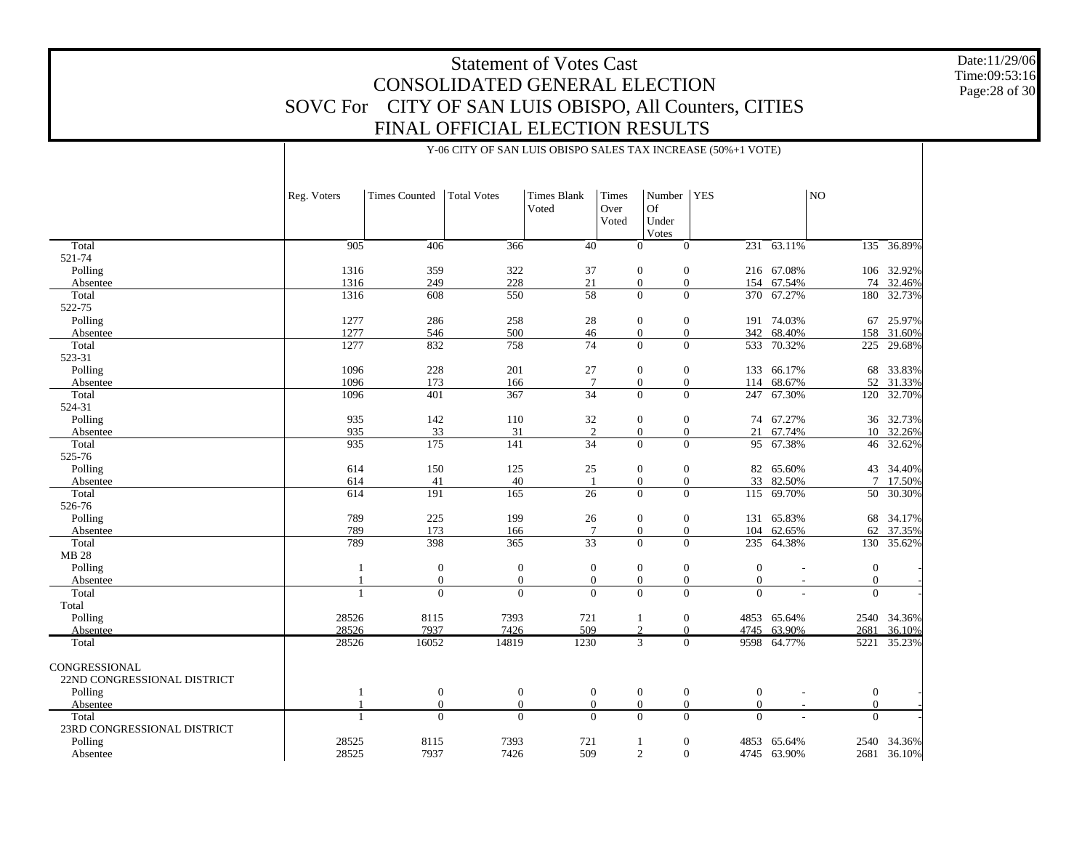Date:11/29/06 Time:09:53:16 Page:28 of 30

2540 34.36%

2681 36.10%

|                             | Reg. Voters    | <b>Times Counted</b> | Total Votes      | <b>Times Blank</b><br>Voted | Times<br>Over<br>Voted | Number   YES<br>Of<br>Under<br>Votes |                              |                 | NO             |                |
|-----------------------------|----------------|----------------------|------------------|-----------------------------|------------------------|--------------------------------------|------------------------------|-----------------|----------------|----------------|
| Total                       | 905            | 406                  | 366              | 40                          |                        | $\theta$<br>$\Omega$                 |                              | $231 - 63.11\%$ |                | $135 - 36.89%$ |
| 521-74                      |                |                      |                  |                             |                        |                                      |                              |                 |                |                |
| Polling                     | 1316           | 359                  | 322              | 37                          |                        | $\mathbf{0}$<br>$\mathbf{0}$         |                              | 216 67.08%      | 106            | 32.92%         |
| Absentee                    | 1316           | 249                  | 228              | 21                          |                        | $\overline{0}$<br>$\mathbf{0}$       |                              | 154 67.54%      |                | 74 32.46%      |
| Total                       | 1316           | 608                  | 550              | $\overline{58}$             |                        | $\theta$<br>$\theta$                 |                              | 370 67.27%      | 180            | 32.73%         |
| 522-75                      |                |                      |                  |                             |                        |                                      |                              |                 |                |                |
| Polling                     | 1277           | 286                  | 258              | 28                          |                        | $\mathbf{0}$<br>$\theta$             | 191                          | 74.03%          | 67             | 25.97%         |
| Absentee                    | 1277           | 546                  | 500              | 46                          |                        | $\overline{0}$<br>$\mathbf{0}$       |                              | 342 68.40%      | 158            | 31.60%         |
| Total                       | 1277           | 832                  | 758              | 74                          |                        | $\theta$                             | $\overline{0}$               | 533 70.32%      | 225            | 29.68%         |
| 523-31                      |                |                      |                  |                             |                        |                                      |                              |                 |                |                |
| Polling                     | 1096           | 228                  | 201              | $27\,$                      |                        | $\mathbf{0}$<br>$\mathbf{0}$         | 133                          | 66.17%          | 68             | 33.83%         |
| Absentee                    | 1096           | 173                  | 166              | $7\phantom{.0}$             |                        | $\overline{0}$<br>$\mathbf{0}$       | 114                          | 68.67%          | 52             | 31.33%         |
| Total                       | 1096           | 401                  | 367              | 34                          |                        | $\mathbf{0}$<br>$\mathbf{0}$         |                              | 247 67.30%      | 120            | 32.70%         |
| 524-31                      |                |                      |                  |                             |                        |                                      |                              |                 |                |                |
| Polling                     | 935            | 142                  | 110              | 32                          |                        | $\mathbf{0}$<br>$\mathbf{0}$         | 74                           | 67.27%          | 36             | 32.73%         |
| Absentee                    | 935            | 33                   | 31               | $\overline{2}$              |                        | $\overline{0}$<br>$\mathbf{0}$       | 21                           | 67.74%          |                | 10 32.26%      |
| Total                       | 935            | 175                  | 141              | 34                          |                        | $\Omega$<br>$\theta$                 |                              | 95 67.38%       |                | 46 32.62%      |
| 525-76                      |                |                      |                  |                             |                        |                                      |                              |                 |                |                |
| Polling                     | 614            | 150                  | 125              | $25\,$                      |                        | $\mathbf{0}$<br>$\mathbf{0}$         | 82                           | 65.60%          | 43             | 34.40%         |
| Absentee                    | 614            | 41                   | 40               |                             |                        | $\overline{0}$<br>$\mathbf{0}$       | 33                           | 82.50%          | $\tau$         | 17.50%         |
| Total                       | 614            | 191                  | 165              | 26                          |                        | $\mathbf{0}$<br>$\mathbf{0}$         |                              | 115 69.70%      | 50             | 30.30%         |
| 526-76                      |                |                      |                  |                             |                        |                                      |                              |                 |                |                |
| Polling                     | 789            | 225                  | 199              | 26                          |                        | $\mathbf{0}$<br>$\mathbf{0}$         | 131                          | 65.83%          | 68             | 34.17%         |
| Absentee                    | 789            | 173                  | 166              | $7\phantom{.0}$             |                        | $\mathbf{0}$<br>$\mathbf{0}$         | 104                          | 62.65%          | 62             | 37.35%         |
| Total                       | 789            | 398                  | 365              | $\overline{33}$             |                        | $\Omega$<br>$\theta$                 |                              | 235 64.38%      | 130            | 35.62%         |
| <b>MB 28</b>                |                |                      |                  |                             |                        |                                      |                              |                 |                |                |
| Polling                     | 1              | $\boldsymbol{0}$     | $\mathbf{0}$     | $\mathbf{0}$                |                        | $\mathbf{0}$<br>$\mathbf{0}$         | $\mathbf{0}$                 |                 | $\mathbf{0}$   |                |
| Absentee                    |                | $\boldsymbol{0}$     | $\boldsymbol{0}$ | $\mathbf{0}$                |                        | $\mathbf{0}$<br>$\mathbf{0}$         | $\mathbf{0}$                 | $\sim$          | $\mathbf{0}$   |                |
| Total                       | $\overline{1}$ | $\mathbf{0}$         | $\mathbf{0}$     | $\Omega$                    |                        | $\theta$<br>$\theta$                 | $\Omega$                     |                 | $\Omega$       |                |
| Total                       |                |                      |                  |                             |                        |                                      |                              |                 |                |                |
| Polling                     | 28526          | 8115                 | 7393             | 721                         |                        | $\mathbf{0}$<br>-1                   |                              | 4853 65.64%     |                | 2540 34.36%    |
| Absentee                    | 28526          | 7937                 | 7426             | 509                         |                        | 2<br>$\mathbf{0}$                    |                              | 4745 63.90%     | 2681           | 36.10%         |
| Total                       | 28526          | 16052                | 14819            | 1230                        |                        | 3                                    | $\overline{0}$               | 9598 64.77%     | 5221           | 35.23%         |
| CONGRESSIONAL               |                |                      |                  |                             |                        |                                      |                              |                 |                |                |
| 22ND CONGRESSIONAL DISTRICT |                |                      |                  |                             |                        |                                      |                              |                 |                |                |
| Polling                     |                | $\mathbf{0}$         | $\mathbf{0}$     |                             | $\overline{0}$         | $\mathbf{0}$                         | $\mathbf{0}$<br>$\mathbf{0}$ |                 | $\overline{0}$ |                |

1

1

28525

28525

 AbsenteeTotal

 Polling Absentee

23RD CONGRESSIONAL DISTRICT

Y-06 CITY OF SAN LUIS OBISPO SALES TAX INCREASE (50%+1 VOTE)

 $\begin{array}{ccccccccccc} 1 & 0 & 0 & 0 & 0 & 0 & 0 & - & 0 & - \end{array}$ 

 $\begin{array}{ccccccccccc} 1 & 0 & 0 & 0 & 0 & 0 & 0 & - & 0 & - \end{array}$ 

8115 7393 721 1 0 4853 65.64%

7937 7426 509 2 0 4745 63.90%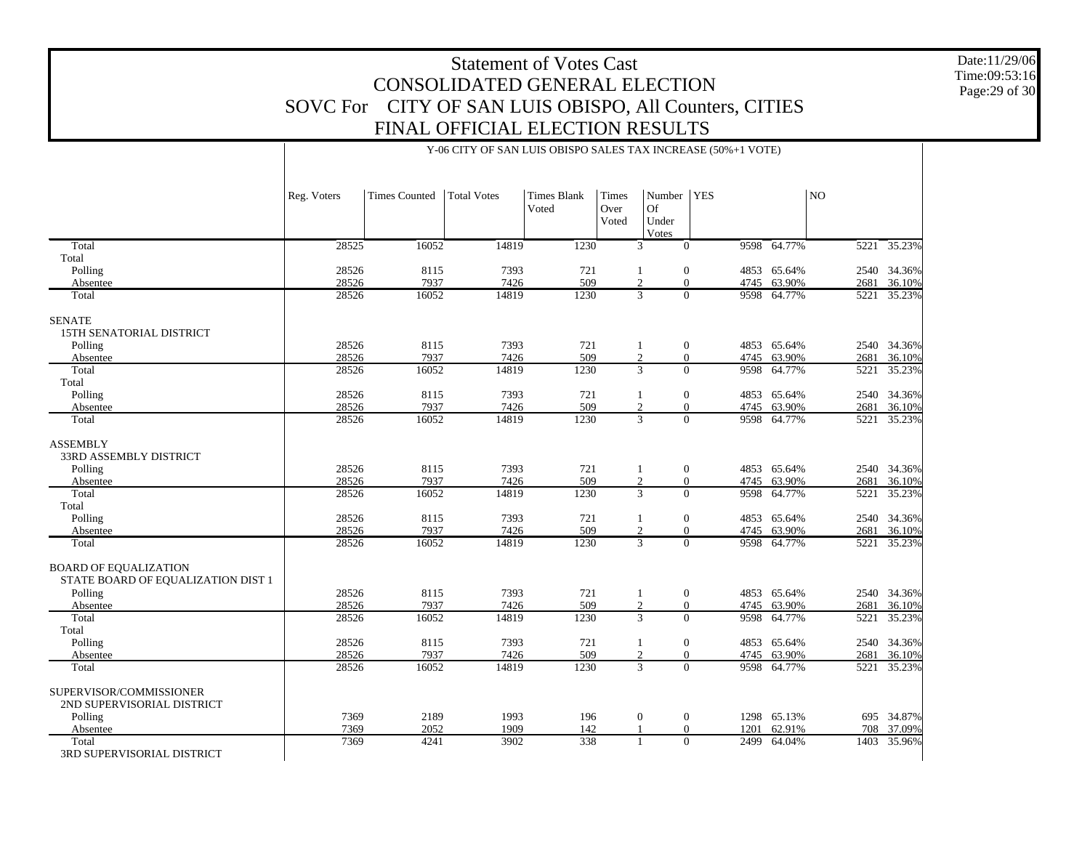Date:11/29/06 Time:09:53:16 Page:29 of 30

# Y-06 CITY OF SAN LUIS OBISPO SALES TAX INCREASE (50%+1 VOTE)

|                                                                    | Reg. Voters | <b>Times Counted</b> | <b>Total Votes</b> | <b>Times Blank</b><br>Voted | Times<br>Over<br>Voted | Number<br>Of<br>Under<br>Votes       | <b>YES</b> |             | N <sub>O</sub>    |             |
|--------------------------------------------------------------------|-------------|----------------------|--------------------|-----------------------------|------------------------|--------------------------------------|------------|-------------|-------------------|-------------|
| Total                                                              | 28525       | 16052                | 14819              | 1230                        |                        | $\overline{0}$<br>3                  |            | 9598 64.77% | 5221              | 35.23%      |
| Total                                                              |             |                      |                    |                             |                        |                                      |            |             |                   |             |
| Polling                                                            | 28526       | 8115                 | 7393               | 721                         |                        | $\mathbf{0}$<br>1                    |            | 4853 65.64% |                   | 2540 34.36% |
| Absentee                                                           | 28526       | 7937                 | 7426               | 509                         |                        | $\mathfrak{2}$<br>$\mathbf{0}$       | 4745       | 63.90%      | 2681              | 36.10%      |
| Total                                                              | 28526       | 16052                | 14819              | 1230                        |                        | $\overline{3}$<br>$\overline{0}$     | 9598       | 64.77%      | $\overline{5221}$ | 35.23%      |
| <b>SENATE</b><br>15TH SENATORIAL DISTRICT                          |             |                      |                    |                             |                        |                                      |            |             |                   |             |
| Polling                                                            | 28526       | 8115                 | 7393               | 721                         |                        | $\boldsymbol{0}$<br>1                |            | 4853 65.64% |                   | 2540 34.36% |
| Absentee                                                           | 28526       | 7937                 | 7426               | 509                         |                        | $\mathfrak{2}$<br>$\mathbf{0}$       | 4745       | 63.90%      | 2681              | 36.10%      |
| Total                                                              | 28526       | 16052                | 14819              | 1230                        |                        | $\overline{3}$<br>$\overline{0}$     | 9598       | 64.77%      | 5221              | 35.23%      |
| Total                                                              |             |                      |                    |                             |                        |                                      |            |             |                   |             |
| Polling                                                            | 28526       | 8115                 | 7393               | 721                         |                        | $\mathbf{0}$<br>$\mathbf{1}$         |            | 4853 65.64% |                   | 2540 34.36% |
| Absentee                                                           | 28526       | 7937                 | 7426               | 509                         |                        | $\overline{c}$<br>$\overline{0}$     | 4745       | 63.90%      | 2681              | 36.10%      |
| Total                                                              | 28526       | 16052                | 14819              | 1230                        |                        | $\overline{3}$<br>$\Omega$           | 9598       | 64.77%      | 5221              | 35.23%      |
| <b>ASSEMBLY</b><br><b>33RD ASSEMBLY DISTRICT</b>                   |             |                      |                    |                             |                        |                                      |            |             |                   |             |
| Polling                                                            | 28526       | 8115                 | 7393               | 721                         |                        | $\mathbf{0}$<br>$\mathbf{1}$         |            | 4853 65.64% |                   | 2540 34.36% |
| Absentee                                                           | 28526       | 7937                 | 7426               | 509                         |                        | $\overline{2}$<br>$\mathbf{0}$       | 4745       | 63.90%      | 2681              | 36.10%      |
| Total                                                              | 28526       | 16052                | 14819              | 1230                        |                        | $\overline{3}$<br>$\theta$           | 9598       | 64.77%      | 5221              | 35.23%      |
| Total                                                              |             |                      |                    |                             |                        |                                      |            |             |                   |             |
| Polling                                                            | 28526       | 8115                 | 7393               | 721                         |                        | $\mathbf{0}$<br>1                    |            | 4853 65.64% | 2540              | 34.36%      |
| Absentee                                                           | 28526       | 7937                 | 7426               | 509                         |                        | $\mathfrak{2}$<br>$\boldsymbol{0}$   | 4745       | 63.90%      | 2681              | 36.10%      |
| Total                                                              | 28526       | 16052                | 14819              | 1230                        |                        | 3<br>$\Omega$                        |            | 9598 64.77% | 5221              | 35.23%      |
| <b>BOARD OF EQUALIZATION</b><br>STATE BOARD OF EQUALIZATION DIST 1 |             |                      |                    |                             |                        |                                      |            |             |                   |             |
| Polling                                                            | 28526       | 8115                 | 7393               | 721                         |                        | $\mathbf{0}$<br>$\mathbf{1}$         |            | 4853 65.64% |                   | 2540 34.36% |
| Absentee                                                           | 28526       | 7937                 | 7426               | 509                         |                        | $\overline{2}$<br>$\mathbf{0}$       | 4745       | 63.90%      | 2681              | 36.10%      |
| Total                                                              | 28526       | 16052                | 14819              | 1230                        |                        | $\overline{3}$<br>$\overline{0}$     | 9598       | 64.77%      | 5221              | 35.23%      |
| Total                                                              |             |                      |                    |                             |                        |                                      |            |             |                   |             |
| Polling                                                            | 28526       | 8115                 | 7393               | 721                         |                        | $\mathbf{0}$<br>1                    | 4853       | 65.64%      | 2540              | 34.36%      |
| Absentee                                                           | 28526       | 7937                 | 7426               | 509                         |                        | $\overline{2}$<br>$\mathbf{0}$       | 4745       | 63.90%      | 2681              | 36.10%      |
| Total                                                              | 28526       | 16052                | 14819              | 1230                        |                        | $\overline{3}$<br>$\Omega$           | 9598       | 64.77%      | 5221              | 35.23%      |
| SUPERVISOR/COMMISSIONER<br>2ND SUPERVISORIAL DISTRICT<br>Polling   | 7369        | 2189                 | 1993               | 196                         |                        | $\boldsymbol{0}$<br>$\boldsymbol{0}$ |            | 1298 65.13% |                   | 695 34.87%  |
| Absentee                                                           | 7369        | 2052                 | 1909               | 142                         |                        | $\mathbf{0}$                         | 1201       | 62.91%      | 708               | 37.09%      |
| Total                                                              | 7369        | 4241                 | 3902               | 338                         |                        | $\mathbf{0}$<br>$\mathbf{1}$         | 2499       | 64.04%      | 1403              | 35.96%      |
| 3RD SUPERVISORIAL DISTRICT                                         |             |                      |                    |                             |                        |                                      |            |             |                   |             |